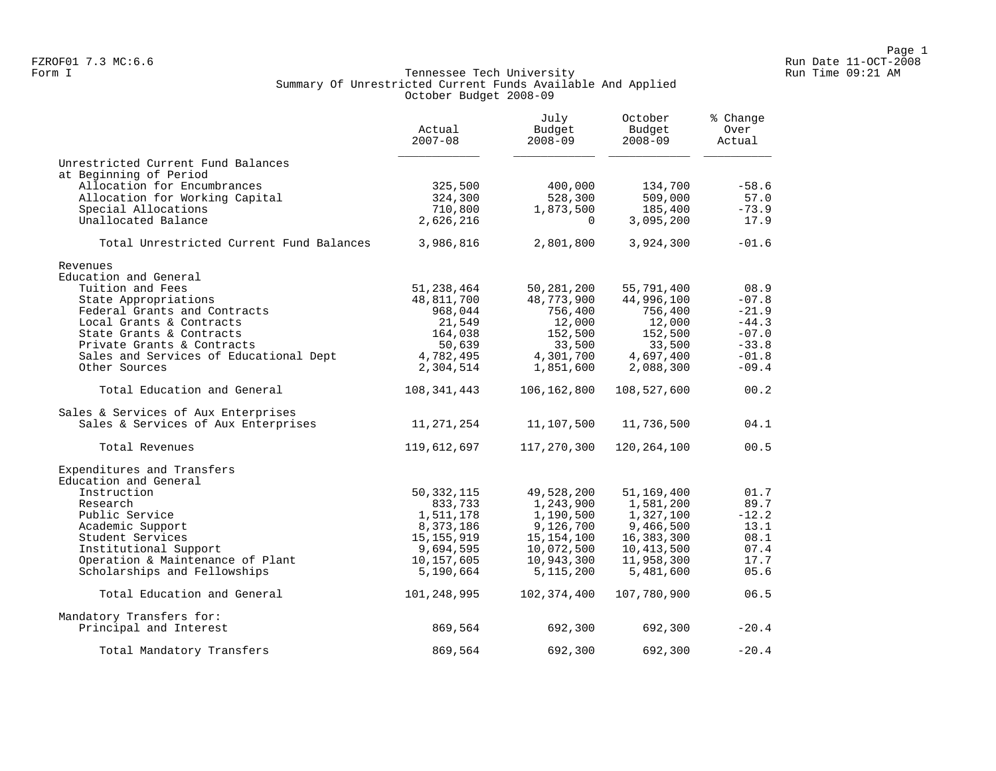### Form I Georgian Communication of the Secondary Run Time Communication of the Tennessee Tech University Communication Run Time 09:21 AM Summary Of Unrestricted Current Funds Available And Applied October Budget 2008-09

|                                          | Actual<br>$2007 - 08$ | July<br>Budget<br>$2008 - 09$ | October<br>Budget<br>$2008 - 09$ | % Change<br>Over<br>Actual |
|------------------------------------------|-----------------------|-------------------------------|----------------------------------|----------------------------|
| Unrestricted Current Fund Balances       |                       |                               |                                  |                            |
| at Beginning of Period                   |                       |                               |                                  |                            |
| Allocation for Encumbrances              | 325,500               | 400,000                       | 134,700                          | $-58.6$                    |
| Allocation for Working Capital           | 324,300               | 528,300                       | 509,000                          | 57.0                       |
| Special Allocations                      | 710,800               | 1,873,500                     | 185,400                          | $-73.9$                    |
| Unallocated Balance                      | 2,626,216             | $\Omega$                      | 3,095,200                        | 17.9                       |
| Total Unrestricted Current Fund Balances | 3,986,816             | 2,801,800                     | 3,924,300                        | $-01.6$                    |
| Revenues                                 |                       |                               |                                  |                            |
| Education and General                    |                       |                               |                                  |                            |
| Tuition and Fees                         | 51,238,464            | 50,281,200                    | 55,791,400                       | 08.9                       |
| State Appropriations                     | 48,811,700            | 48,773,900                    | 44,996,100                       | $-07.8$                    |
| Federal Grants and Contracts             | 968,044               | 756,400                       | 756,400                          | $-21.9$                    |
| Local Grants & Contracts                 | 21,549                | 12,000                        | 12,000                           | $-44.3$                    |
| State Grants & Contracts                 | 164,038               | 152,500                       | 152,500                          | $-07.0$                    |
| Private Grants & Contracts               | 50,639                | 33,500                        | 33,500                           | $-33.8$                    |
| Sales and Services of Educational Dept   | 4,782,495             | 4,301,700                     | 4,697,400                        | $-01.8$                    |
| Other Sources                            | 2,304,514             | 1,851,600                     | 2,088,300                        | $-09.4$                    |
| Total Education and General              | 108,341,443           | 106,162,800                   | 108,527,600                      | 00.2                       |
| Sales & Services of Aux Enterprises      |                       |                               |                                  |                            |
| Sales & Services of Aux Enterprises      | 11,271,254            | 11,107,500                    | 11,736,500                       | 04.1                       |
| Total Revenues                           | 119,612,697           | 117,270,300                   | 120,264,100                      | 00.5                       |
| Expenditures and Transfers               |                       |                               |                                  |                            |
| Education and General                    |                       |                               |                                  |                            |
| Instruction                              | 50, 332, 115          | 49,528,200                    | 51,169,400                       | 01.7                       |
| Research                                 | 833,733               | 1,243,900                     | 1,581,200                        | 89.7                       |
| Public Service                           | 1,511,178             | 1,190,500                     | 1,327,100                        | $-12.2$                    |
| Academic Support                         | 8,373,186             | 9,126,700                     | 9,466,500                        | 13.1                       |
| Student Services                         | 15, 155, 919          | 15, 154, 100                  | 16,383,300                       | 08.1                       |
| Institutional Support                    | 9,694,595             | 10,072,500                    | 10,413,500                       | 07.4                       |
| Operation & Maintenance of Plant         | 10,157,605            | 10,943,300                    | 11,958,300                       | 17.7                       |
| Scholarships and Fellowships             | 5,190,664             | 5, 115, 200                   | 5,481,600                        | 05.6                       |
| Total Education and General              | 101,248,995           | 102,374,400                   | 107,780,900                      | 06.5                       |
| Mandatory Transfers for:                 |                       |                               |                                  |                            |
| Principal and Interest                   | 869,564               | 692,300                       | 692,300                          | $-20.4$                    |
| Total Mandatory Transfers                | 869,564               | 692,300                       | 692,300                          | $-20.4$                    |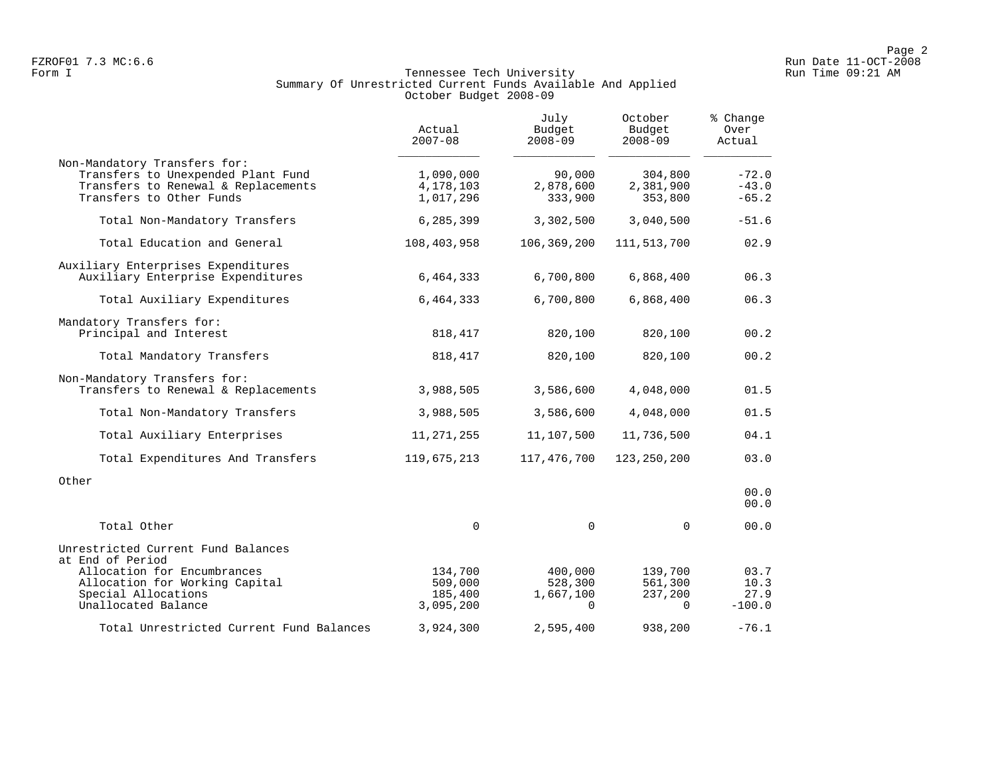## Form I Georgian Communication of the Secondary Run Time Communication of the Tennessee Tech University Communication Run Time 09:21 AM Summary Of Unrestricted Current Funds Available And Applied October Budget 2008-09

|                                                                                                                                       | Actual<br>$2007 - 08$               | July<br>Budget<br>$2008 - 09$  | October<br>Budget<br>$2008 - 09$ | % Change<br>Over<br>Actual    |
|---------------------------------------------------------------------------------------------------------------------------------------|-------------------------------------|--------------------------------|----------------------------------|-------------------------------|
| Non-Mandatory Transfers for:<br>Transfers to Unexpended Plant Fund<br>Transfers to Renewal & Replacements<br>Transfers to Other Funds | 1,090,000<br>4,178,103<br>1,017,296 | 90,000<br>2,878,600<br>333,900 | 304,800<br>2,381,900<br>353,800  | $-72.0$<br>$-43.0$<br>$-65.2$ |
| Total Non-Mandatory Transfers                                                                                                         | 6,285,399                           | 3,302,500                      | 3,040,500                        | $-51.6$                       |
| Total Education and General                                                                                                           | 108,403,958                         | 106, 369, 200                  | 111, 513, 700                    | 02.9                          |
| Auxiliary Enterprises Expenditures<br>Auxiliary Enterprise Expenditures                                                               | 6,464,333                           | 6,700,800                      | 6,868,400                        | 06.3                          |
| Total Auxiliary Expenditures                                                                                                          | 6,464,333                           | 6,700,800                      | 6,868,400                        | 06.3                          |
| Mandatory Transfers for:<br>Principal and Interest                                                                                    | 818,417                             | 820,100                        | 820,100                          | 00.2                          |
| Total Mandatory Transfers                                                                                                             | 818,417                             | 820,100                        | 820,100                          | 00.2                          |
| Non-Mandatory Transfers for:<br>Transfers to Renewal & Replacements                                                                   | 3,988,505                           | 3,586,600                      | 4,048,000                        | 01.5                          |
| Total Non-Mandatory Transfers                                                                                                         | 3,988,505                           | 3,586,600                      | 4,048,000                        | 01.5                          |
| Total Auxiliary Enterprises                                                                                                           | 11, 271, 255                        | 11,107,500                     | 11,736,500                       | 04.1                          |
| Total Expenditures And Transfers                                                                                                      | 119,675,213                         | 117,476,700                    | 123, 250, 200                    | 03.0                          |
| Other                                                                                                                                 |                                     |                                |                                  | 00.0<br>00.0                  |
| Total Other                                                                                                                           | $\Omega$                            | $\Omega$                       | $\Omega$                         | 00.0                          |
| Unrestricted Current Fund Balances<br>at End of Period<br>Allocation for Encumbrances<br>Allocation for Working Capital               | 134,700<br>509,000                  | 400,000<br>528,300             | 139,700<br>561,300               | 03.7<br>10.3                  |
| Special Allocations<br>Unallocated Balance                                                                                            | 185,400<br>3,095,200                | 1,667,100<br>$\Omega$          | 237,200<br>$\Omega$              | 27.9<br>$-100.0$              |
| Total Unrestricted Current Fund Balances                                                                                              | 3,924,300                           | 2,595,400                      | 938,200                          | $-76.1$                       |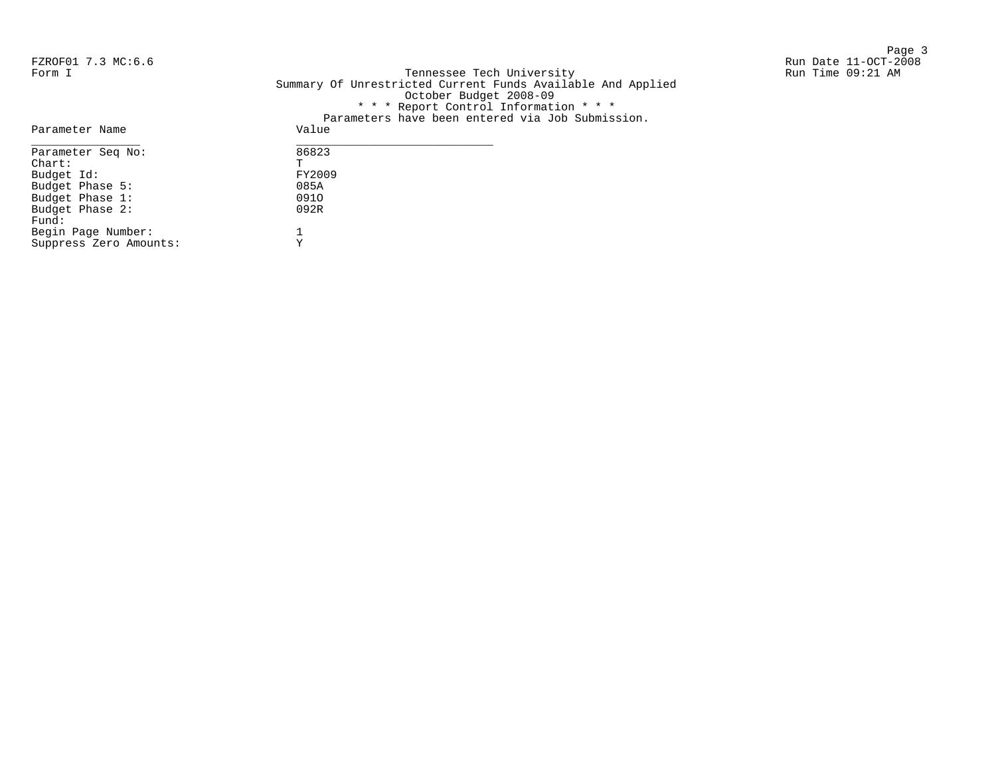Page 3 and 20 and 20 and 20 and 20 and 20 and 20 and 20 and 20 and 20 and 20 and 20 and 20 and 20 and 20 and 20

FZROF01 7.3 MC:6.6 Run Date 11-OCT-2008 Form I Georgian Communication of the Secondary Run Time Communication of the Tennessee Tech University Communication Run Time 09:21 AM Summary Of Unrestricted Current Funds Available And Applied October Budget 2008-09 \* \* \* Report Control Information \* \* \* Parameters have been entered via Job Submission.

|                        | Parameters nave been entered via Job Submissio |
|------------------------|------------------------------------------------|
| Parameter Name         | Value                                          |
| Parameter Seq No:      | 86823                                          |
| $chart$ :              | Ͳ                                              |
| Budget Id:             | FY2009                                         |
| Budget Phase 5:        | 085A                                           |
| Budget Phase 1:        | 0910                                           |
| Budget Phase 2:        | 092R                                           |
| Fund:                  |                                                |
| Begin Page Number:     |                                                |
| Suppress Zero Amounts: | v                                              |
|                        |                                                |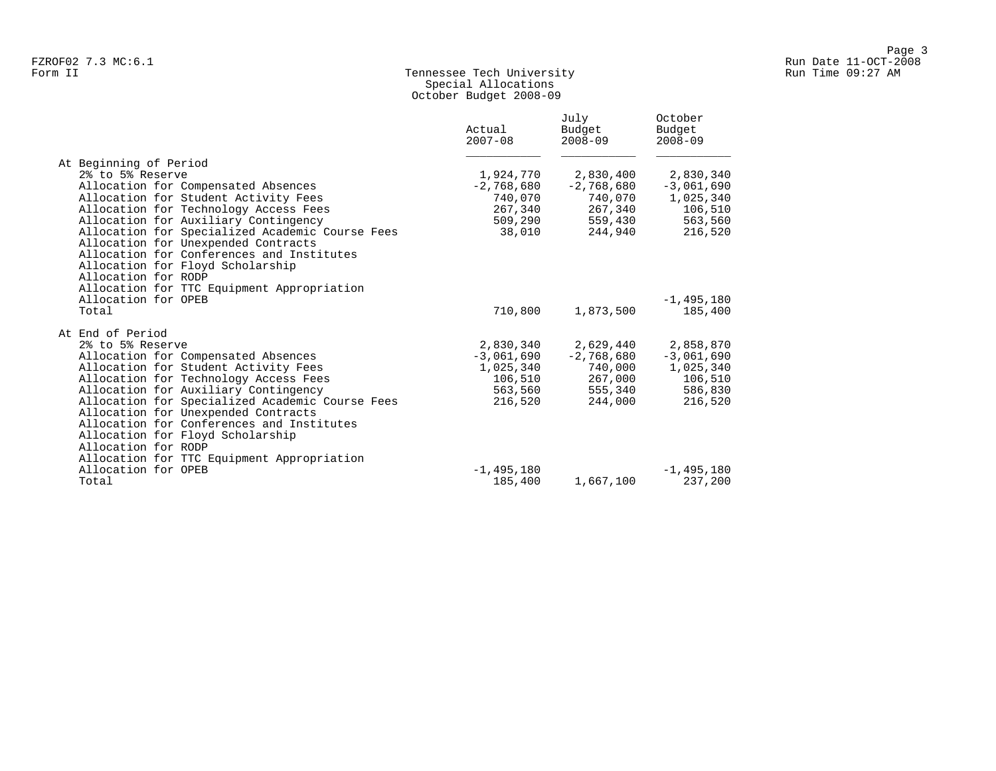# Form II Tennessee Tech University Run Time 09:27 AM Special Allocations October Budget 2008-09

|                                                 | Actual<br>$2007 - 08$ | July<br>Budget<br>$2008 - 09$ | October<br>Budget<br>$2008 - 09$ |
|-------------------------------------------------|-----------------------|-------------------------------|----------------------------------|
| At Beginning of Period                          |                       |                               |                                  |
| 2% to 5% Reserve                                | 1,924,770             | 2,830,400                     | 2,830,340                        |
| Allocation for Compensated Absences             | $-2,768,680$          | $-2,768,680$                  | $-3,061,690$                     |
| Allocation for Student Activity Fees            | 740,070               | 740,070                       | 1,025,340                        |
| Allocation for Technology Access Fees           | 267,340               | 267,340                       | 106,510                          |
| Allocation for Auxiliary Contingency            | 509,290               | 559,430                       | 563,560                          |
| Allocation for Specialized Academic Course Fees | 38,010                | 244,940                       | 216,520                          |
| Allocation for Unexpended Contracts             |                       |                               |                                  |
| Allocation for Conferences and Institutes       |                       |                               |                                  |
| Allocation for Floyd Scholarship                |                       |                               |                                  |
| Allocation for RODP                             |                       |                               |                                  |
| Allocation for TTC Equipment Appropriation      |                       |                               |                                  |
| Allocation for OPEB                             |                       |                               | $-1,495,180$                     |
| Total                                           | 710,800               | 1,873,500                     | 185,400                          |
| At End of Period                                |                       |                               |                                  |
| 2% to 5% Reserve                                | 2,830,340             | 2,629,440                     | 2,858,870                        |
| Allocation for Compensated Absences             | $-3,061,690$          | $-2,768,680$                  | $-3,061,690$                     |
| Allocation for Student Activity Fees            | 1,025,340             | 740,000                       | 1,025,340                        |
| Allocation for Technology Access Fees           | 106,510               | 267,000                       | 106,510                          |
| Allocation for Auxiliary Contingency            | 563,560               | 555,340                       | 586,830                          |
| Allocation for Specialized Academic Course Fees | 216,520               | 244,000                       | 216,520                          |
| Allocation for Unexpended Contracts             |                       |                               |                                  |
| Allocation for Conferences and Institutes       |                       |                               |                                  |
| Allocation for Floyd Scholarship                |                       |                               |                                  |
| Allocation for RODP                             |                       |                               |                                  |
| Allocation for TTC Equipment Appropriation      |                       |                               |                                  |
| Allocation for OPEB                             | $-1.495.180$          |                               | $-1,495,180$                     |
| Total                                           | 185,400               | 1,667,100                     | 237,200                          |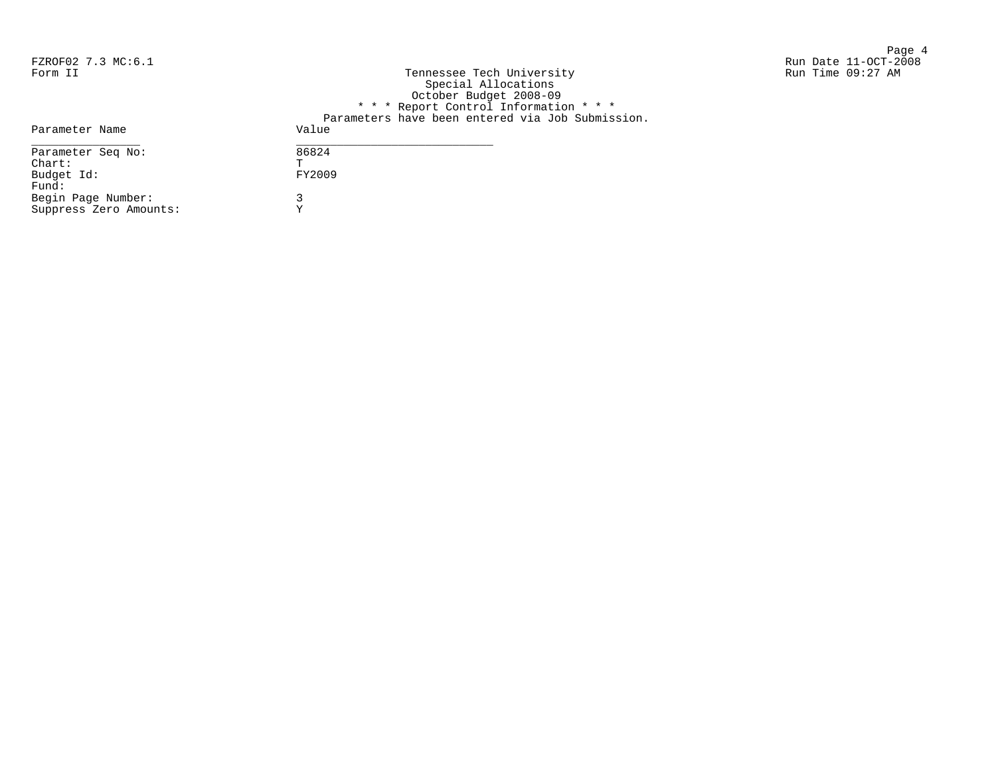Page 4 FZROF02 7.3 MC:6.1 Run Date 11-OCT-2008 Run Time 09:27 AM

| Form II                | Tennessee Tech University                        |
|------------------------|--------------------------------------------------|
|                        | Special Allocations                              |
|                        | October Budget 2008-09                           |
|                        | * * * Report Control Information * * *           |
|                        | Parameters have been entered via Job Submission. |
| Parameter Name         | Value                                            |
| Parameter Seq No:      | 86824                                            |
| $chart$ :              | T                                                |
| Budget Id:             | FY2009                                           |
| Fund:                  |                                                  |
| Begin Page Number:     |                                                  |
| Suppress Zero Amounts: | v                                                |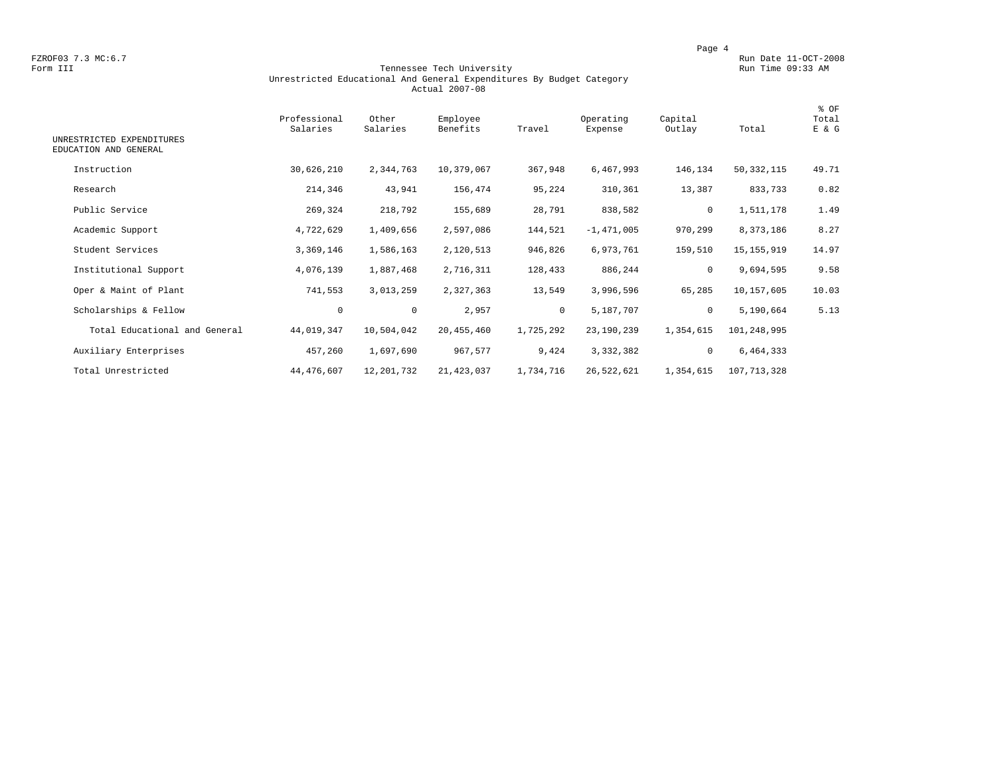FZROF03 7.3 MC:6.7 Run Date 11-OCT-2008<br>Form III Run Date 11-OCT-2008 Tennessee Tech University Run Time 09:33 AM

### Form III Tennessee Tech University Run Time 09:33 AM Unrestricted Educational And General Expenditures By Budget Category Actual 2007-08

| UNRESTRICTED EXPENDITURES     | Professional<br>Salaries | Other<br>Salaries | Employee<br>Benefits | Travel       | Operating<br>Expense | Capital<br>Outlay | Total        | % OF<br>Total<br>E & G |
|-------------------------------|--------------------------|-------------------|----------------------|--------------|----------------------|-------------------|--------------|------------------------|
| EDUCATION AND GENERAL         |                          |                   |                      |              |                      |                   |              |                        |
| Instruction                   | 30,626,210               | 2,344,763         | 10,379,067           | 367,948      | 6,467,993            | 146,134           | 50, 332, 115 | 49.71                  |
| Research                      | 214,346                  | 43,941            | 156,474              | 95,224       | 310,361              | 13,387            | 833,733      | 0.82                   |
| Public Service                | 269,324                  | 218,792           | 155,689              | 28,791       | 838,582              | 0                 | 1,511,178    | 1.49                   |
| Academic Support              | 4,722,629                | 1,409,656         | 2,597,086            | 144,521      | $-1,471,005$         | 970,299           | 8,373,186    | 8.27                   |
| Student Services              | 3,369,146                | 1,586,163         | 2,120,513            | 946,826      | 6,973,761            | 159,510           | 15, 155, 919 | 14.97                  |
| Institutional Support         | 4,076,139                | 1,887,468         | 2,716,311            | 128,433      | 886,244              | $\mathbf 0$       | 9,694,595    | 9.58                   |
| Oper & Maint of Plant         | 741,553                  | 3,013,259         | 2,327,363            | 13,549       | 3,996,596            | 65,285            | 10,157,605   | 10.03                  |
| Scholarships & Fellow         | 0                        | $\mathbf 0$       | 2,957                | $\mathbf{0}$ | 5,187,707            | $\mathbf 0$       | 5,190,664    | 5.13                   |
| Total Educational and General | 44,019,347               | 10,504,042        | 20, 455, 460         | 1,725,292    | 23,190,239           | 1,354,615         | 101,248,995  |                        |
| Auxiliary Enterprises         | 457,260                  | 1,697,690         | 967,577              | 9,424        | 3,332,382            | 0                 | 6,464,333    |                        |
| Total Unrestricted            | 44, 476, 607             | 12,201,732        | 21, 423, 037         | 1,734,716    | 26,522,621           | 1,354,615         | 107,713,328  |                        |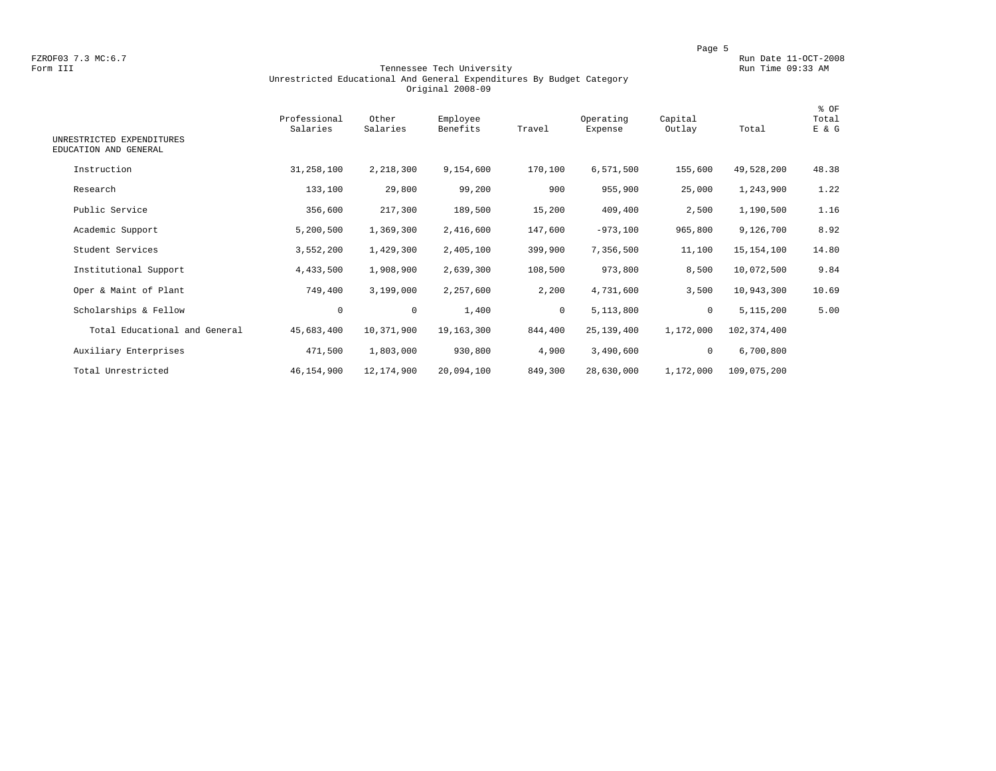FZROF03 7.3 MC:6.7 Run Date 11-OCT-2008<br>Form III Run Date 11-OCT-2008 Run Date 11-OCT-2008 Run Date 11-OCT-2008

### Tennessee Tech University Unrestricted Educational And General Expenditures By Budget Category Original 2008-09

| UNRESTRICTED EXPENDITURES<br>EDUCATION AND GENERAL | Professional<br>Salaries | Other<br>Salaries | Employee<br>Benefits | Travel       | Operating<br>Expense | Capital<br>Outlay | Total       | % OF<br>Total<br>E & G |
|----------------------------------------------------|--------------------------|-------------------|----------------------|--------------|----------------------|-------------------|-------------|------------------------|
| Instruction                                        | 31,258,100               | 2,218,300         | 9,154,600            | 170,100      | 6,571,500            | 155,600           | 49,528,200  | 48.38                  |
| Research                                           | 133,100                  | 29,800            | 99,200               | 900          | 955,900              | 25,000            | 1,243,900   | 1.22                   |
| Public Service                                     | 356,600                  | 217,300           | 189,500              | 15,200       | 409,400              | 2,500             | 1,190,500   | 1.16                   |
| Academic Support                                   | 5,200,500                | 1,369,300         | 2,416,600            | 147,600      | $-973,100$           | 965,800           | 9,126,700   | 8.92                   |
| Student Services                                   | 3,552,200                | 1,429,300         | 2,405,100            | 399,900      | 7,356,500            | 11,100            | 15,154,100  | 14.80                  |
| Institutional Support                              | 4,433,500                | 1,908,900         | 2,639,300            | 108,500      | 973,800              | 8,500             | 10,072,500  | 9.84                   |
| Oper & Maint of Plant                              | 749,400                  | 3,199,000         | 2,257,600            | 2,200        | 4,731,600            | 3,500             | 10,943,300  | 10.69                  |
| Scholarships & Fellow                              | $\mathbf 0$              | $\mathbf 0$       | 1,400                | $\mathbf{0}$ | 5,113,800            | $\mathbf 0$       | 5,115,200   | 5.00                   |
| Total Educational and General                      | 45,683,400               | 10,371,900        | 19,163,300           | 844,400      | 25,139,400           | 1,172,000         | 102,374,400 |                        |
| Auxiliary Enterprises                              | 471,500                  | 1,803,000         | 930,800              | 4,900        | 3,490,600            | 0                 | 6,700,800   |                        |
| Total Unrestricted                                 | 46,154,900               | 12,174,900        | 20,094,100           | 849,300      | 28,630,000           | 1,172,000         | 109,075,200 |                        |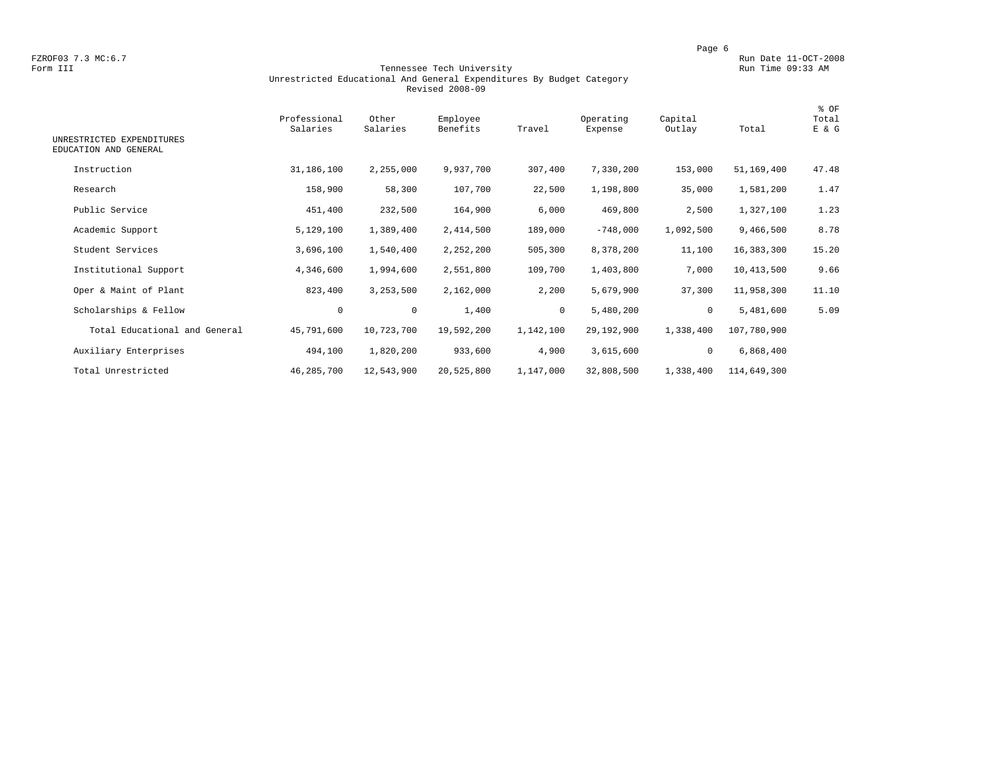FZROF03 7.3 MC:6.7 Run Date 11-OCT-2008<br>Form III Run Date 11-OCT-2008 Tennessee Tech University Run Time 09:33 AM

### Form III Tennessee Tech University Run Time 09:33 AM Unrestricted Educational And General Expenditures By Budget Category Revised 2008-09

| UNRESTRICTED EXPENDITURES<br>EDUCATION AND GENERAL | Professional<br>Salaries | Other<br>Salaries | Employee<br>Benefits | Travel    | Operating<br>Expense | Capital<br>Outlay | Total       | % OF<br>Total<br>E & G |
|----------------------------------------------------|--------------------------|-------------------|----------------------|-----------|----------------------|-------------------|-------------|------------------------|
| Instruction                                        | 31,186,100               | 2,255,000         | 9,937,700            | 307,400   | 7,330,200            | 153,000           | 51,169,400  | 47.48                  |
| Research                                           | 158,900                  | 58,300            | 107,700              | 22,500    | 1,198,800            | 35,000            | 1,581,200   | 1.47                   |
| Public Service                                     | 451,400                  | 232,500           | 164,900              | 6,000     | 469,800              | 2,500             | 1,327,100   | 1.23                   |
| Academic Support                                   | 5,129,100                | 1,389,400         | 2,414,500            | 189,000   | $-748,000$           | 1,092,500         | 9,466,500   | 8.78                   |
| Student Services                                   | 3,696,100                | 1,540,400         | 2,252,200            | 505,300   | 8,378,200            | 11,100            | 16,383,300  | 15.20                  |
| Institutional Support                              | 4,346,600                | 1,994,600         | 2,551,800            | 109,700   | 1,403,800            | 7,000             | 10,413,500  | 9.66                   |
| Oper & Maint of Plant                              | 823,400                  | 3,253,500         | 2,162,000            | 2,200     | 5,679,900            | 37,300            | 11,958,300  | 11.10                  |
| Scholarships & Fellow                              | $\circ$                  | $\mathbf 0$       | 1,400                | $\circ$   | 5,480,200            | 0                 | 5,481,600   | 5.09                   |
| Total Educational and General                      | 45,791,600               | 10,723,700        | 19,592,200           | 1,142,100 | 29,192,900           | 1,338,400         | 107,780,900 |                        |
| Auxiliary Enterprises                              | 494,100                  | 1,820,200         | 933,600              | 4,900     | 3,615,600            | 0                 | 6,868,400   |                        |
| Total Unrestricted                                 | 46,285,700               | 12,543,900        | 20,525,800           | 1,147,000 | 32,808,500           | 1,338,400         | 114,649,300 |                        |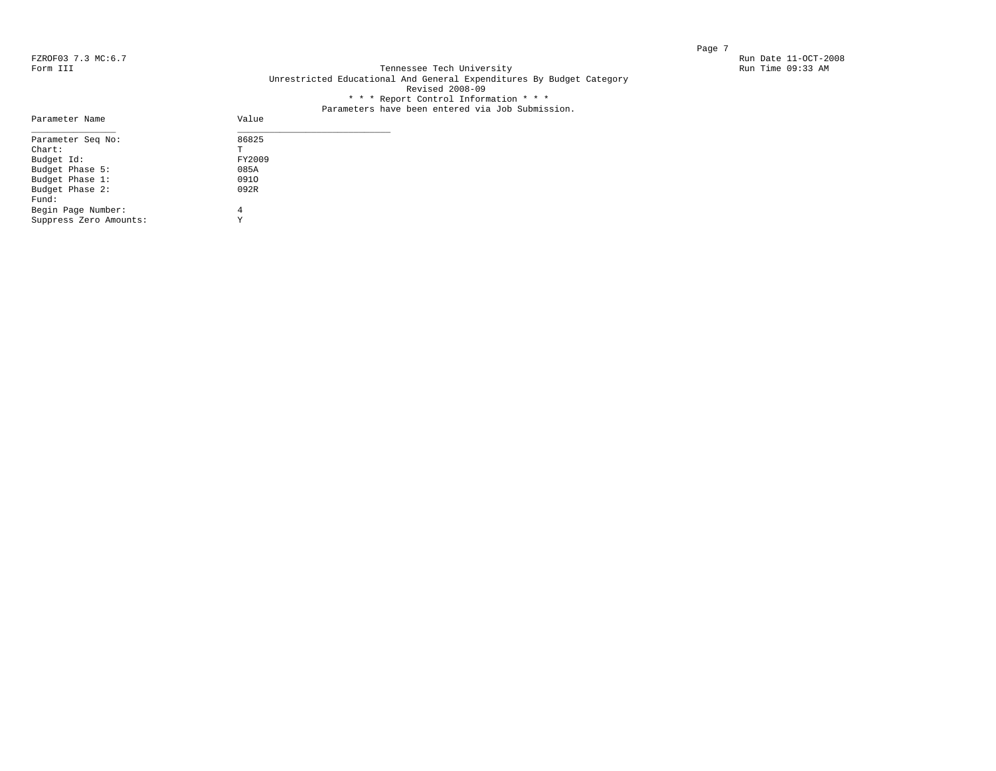Parameter Name

### FZROF03 7.3 MC:6.7 Run Date 11-OCT-2008<br>Form III Run Date 11-OCT-2008 Run Date 11-OCT-2008 Run Date 11-OCT-2008 Tennessee Tech University Unrestricted Educational And General Expenditures By Budget Category Revised 2008-09 \* \* \* Report Control Information \* \* \*

# Parameters have been entered via Job Submission.<br>Value

| Parameter Seq No:      | 86825  |  |
|------------------------|--------|--|
| $Chart$ :              | Τ      |  |
| Budget Id:             | FY2009 |  |
| Budget Phase 5:        | 085A   |  |
| Budget Phase 1:        | 0910   |  |
| Budget Phase 2:        | 092R   |  |
| Fund:                  |        |  |
| Begin Page Number:     | 4      |  |
| Suppress Zero Amounts: | Y      |  |
|                        |        |  |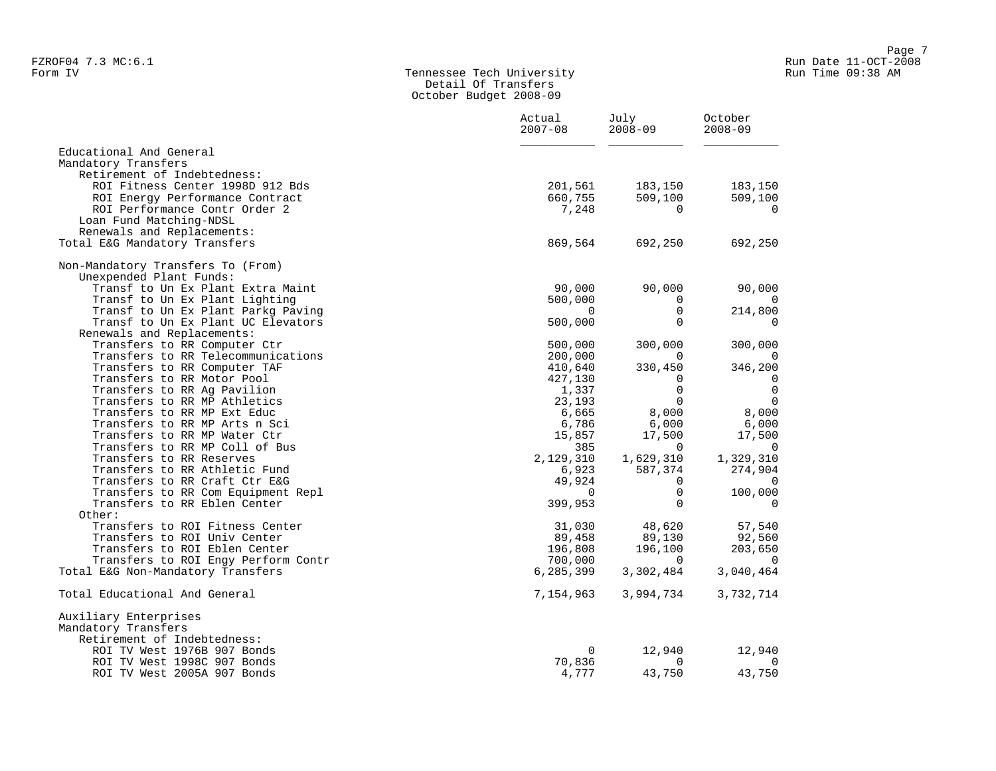### Form IV Tennessee Tech University Run Time 09:38 AM Detail Of Transfers October Budget 2008-09

|                                                              | Actual<br>$2007 - 08$ | July<br>$2008 - 09$ | October<br>$2008 - 09$ |
|--------------------------------------------------------------|-----------------------|---------------------|------------------------|
| Educational And General                                      |                       |                     |                        |
| Mandatory Transfers                                          |                       |                     |                        |
| Retirement of Indebtedness:                                  |                       |                     |                        |
| ROI Fitness Center 1998D 912 Bds                             | 201,561               | 183,150             | 183,150                |
| ROI Energy Performance Contract                              | 660,755               | 509,100             | 509,100                |
| ROI Performance Contr Order 2                                | 7,248                 | $\Omega$            | 0                      |
| Loan Fund Matching-NDSL                                      |                       |                     |                        |
| Renewals and Replacements:                                   |                       |                     |                        |
| Total E&G Mandatory Transfers                                | 869,564               | 692,250             | 692,250                |
| Non-Mandatory Transfers To (From)                            |                       |                     |                        |
| Unexpended Plant Funds:                                      |                       |                     |                        |
| Transf to Un Ex Plant Extra Maint                            | 90,000                | 90,000              | 90,000                 |
| Transf to Un Ex Plant Lighting                               | 500,000               | $\Omega$            | 0                      |
| Transf to Un Ex Plant Parkg Paving                           | $\Omega$              | $\mathbf 0$         | 214,800                |
| Transf to Un Ex Plant UC Elevators                           | 500,000               | $\Omega$            | $\mathbf 0$            |
| Renewals and Replacements:                                   |                       |                     |                        |
| Transfers to RR Computer Ctr                                 | 500,000               | 300,000             | 300,000                |
| Transfers to RR Telecommunications                           | 200,000               | $\Omega$            | 0                      |
| Transfers to RR Computer TAF                                 | 410,640               | 330,450             | 346,200                |
| Transfers to RR Motor Pool                                   | 427,130               | 0                   | 0                      |
| Transfers to RR Ag Pavilion                                  | 1,337                 | $\Omega$            | $\mathbf 0$            |
| Transfers to RR MP Athletics                                 | 23,193                | 0                   | $\mathbf 0$            |
| Transfers to RR MP Ext Educ<br>Transfers to RR MP Arts n Sci | 6,665<br>6,786        | 8,000<br>6,000      | 8,000<br>6,000         |
| Transfers to RR MP Water Ctr                                 | 15,857                | 17,500              | 17,500                 |
| Transfers to RR MP Coll of Bus                               | 385                   | $\Omega$            | $\overline{0}$         |
| Transfers to RR Reserves                                     | 2,129,310             | 1,629,310           | 1,329,310              |
| Transfers to RR Athletic Fund                                | 6,923                 | 587,374             | 274,904                |
| Transfers to RR Craft Ctr E&G                                | 49,924                | $\Omega$            | $\Omega$               |
| Transfers to RR Com Equipment Repl                           | $\Omega$              | $\mathbf 0$         | 100,000                |
| Transfers to RR Eblen Center                                 | 399,953               | $\Omega$            | $\mathbf 0$            |
| Other:                                                       |                       |                     |                        |
| Transfers to ROI Fitness Center                              | 31,030                | 48,620              | 57,540                 |
| Transfers to ROI Univ Center                                 | 89,458                | 89,130              | 92,560                 |
| Transfers to ROI Eblen Center                                | 196,808               | 196,100             | 203,650                |
| Transfers to ROI Engy Perform Contr                          | 700,000               | $\Omega$            | 0                      |
| Total E&G Non-Mandatory Transfers                            | 6,285,399             | 3,302,484           | 3,040,464              |
| Total Educational And General                                | 7,154,963             | 3,994,734           | 3,732,714              |
| Auxiliary Enterprises                                        |                       |                     |                        |
| Mandatory Transfers                                          |                       |                     |                        |
| Retirement of Indebtedness:                                  |                       |                     |                        |
| ROI TV West 1976B 907 Bonds                                  | 0                     | 12,940              | 12,940                 |
| ROI TV West 1998C 907 Bonds                                  | 70,836                | $\Omega$            | 0                      |
| ROI TV West 2005A 907 Bonds                                  | 4,777                 | 43,750              | 43,750                 |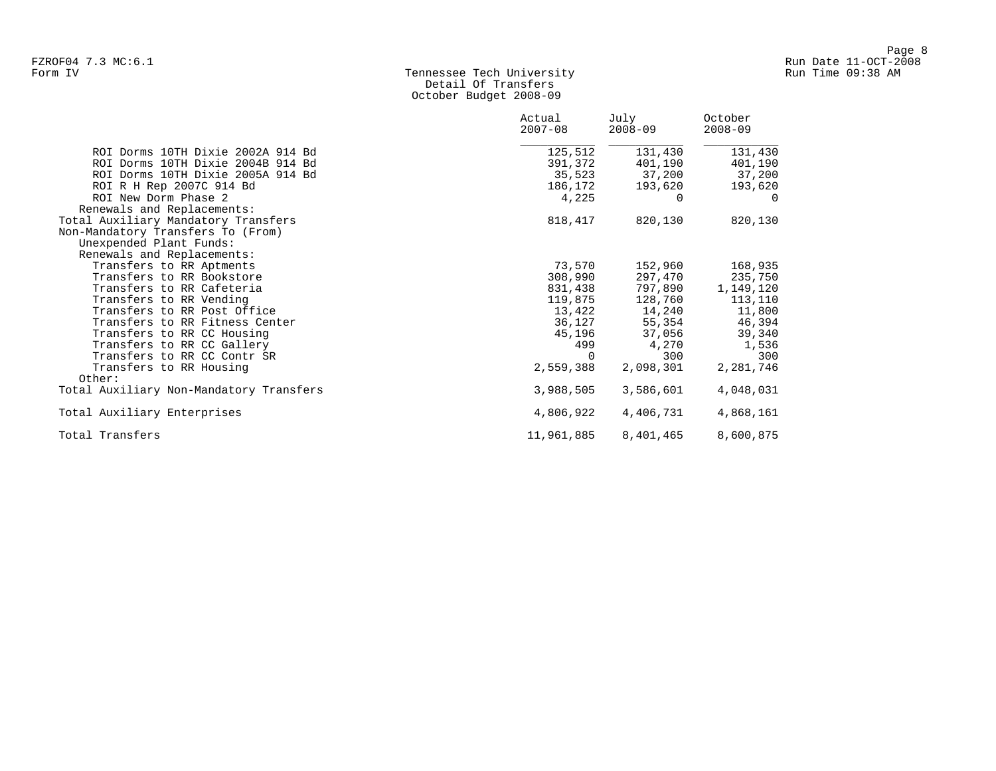# Form IV Tennessee Tech University Run Time 09:38 AM Detail Of Transfers October Budget 2008-09

|                                         | Actual<br>$2007 - 08$ | July<br>$2008 - 09$ | October<br>$2008 - 09$ |
|-----------------------------------------|-----------------------|---------------------|------------------------|
| ROI Dorms 10TH Dixie 2002A 914 Bd       | 125,512               | 131,430             | 131,430                |
| ROI Dorms 10TH Dixie 2004B 914 Bd       | 391,372               | 401,190             | 401,190                |
| ROI Dorms 10TH Dixie 2005A 914 Bd       | 35,523                | 37,200              | 37,200                 |
| ROI R H Rep 2007C 914 Bd                | 186,172               | 193,620             | 193,620                |
| ROI New Dorm Phase 2                    | 4,225                 | $\Omega$            | $\Omega$               |
| Renewals and Replacements:              |                       |                     |                        |
| Total Auxiliary Mandatory Transfers     | 818,417               | 820,130             | 820,130                |
| Non-Mandatory Transfers To (From)       |                       |                     |                        |
| Unexpended Plant Funds:                 |                       |                     |                        |
| Renewals and Replacements:              |                       |                     |                        |
| Transfers to RR Aptments                | 73,570                | 152,960             | 168,935                |
| Transfers to RR Bookstore               | 308,990               | 297,470             | 235,750                |
| Transfers to RR Cafeteria               | 831,438               | 797,890             | 1,149,120              |
| Transfers to RR Vending                 | 119,875               | 128,760             | 113,110                |
| Transfers to RR Post Office             | 13,422                | 14,240              | 11,800                 |
| Transfers to RR Fitness Center          |                       | 36,127 55,354       | 46,394                 |
| Transfers to RR CC Housing              | 45,196                | 37,056              | 39,340                 |
| Transfers to RR CC Gallery              | 499                   | 4,270               | 1,536                  |
| Transfers to RR CC Contr SR             | $\Omega$              | 300                 | 300                    |
| Transfers to RR Housing                 | 2,559,388             | 2,098,301           | 2,281,746              |
| Other:                                  |                       |                     |                        |
| Total Auxiliary Non-Mandatory Transfers | 3,988,505             | 3,586,601           | 4,048,031              |
| Total Auxiliary Enterprises             | 4,806,922             | 4,406,731           | 4,868,161              |
| Total Transfers                         | 11,961,885            | 8,401,465           | 8,600,875              |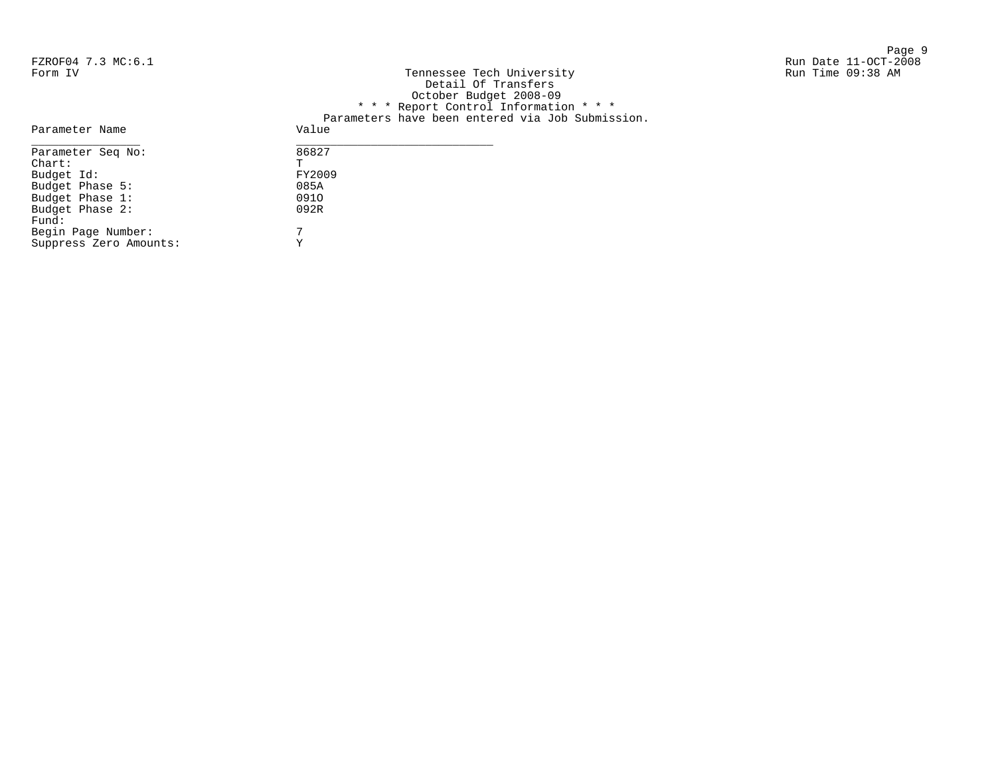Begin Page Number: 7 Suppress Zero Amounts: Y

Fund:

Page 9 and 2012 12:00 the state of the state of the state of the state of the state of the state of the state o

| FZROF04 7.3 MC:6.1 |                                                  | Run Date 11-OCT-2008 |
|--------------------|--------------------------------------------------|----------------------|
| Form IV            | Tennessee Tech University                        | Run Time 09:38 AM    |
|                    | Detail Of Transfers                              |                      |
|                    | October Budget 2008-09                           |                      |
|                    | * * * Report Control Information * * *           |                      |
|                    | Parameters have been entered via Job Submission. |                      |
| Parameter Name     | Value                                            |                      |
| Parameter Seq No:  | 86827                                            |                      |
| Chart:             | m.                                               |                      |
| Budget Id:         | FY2009                                           |                      |
| Budget Phase 5:    | 085A                                             |                      |
| Budget Phase 1:    | 0910                                             |                      |
| Budget Phase 2:    | 092R                                             |                      |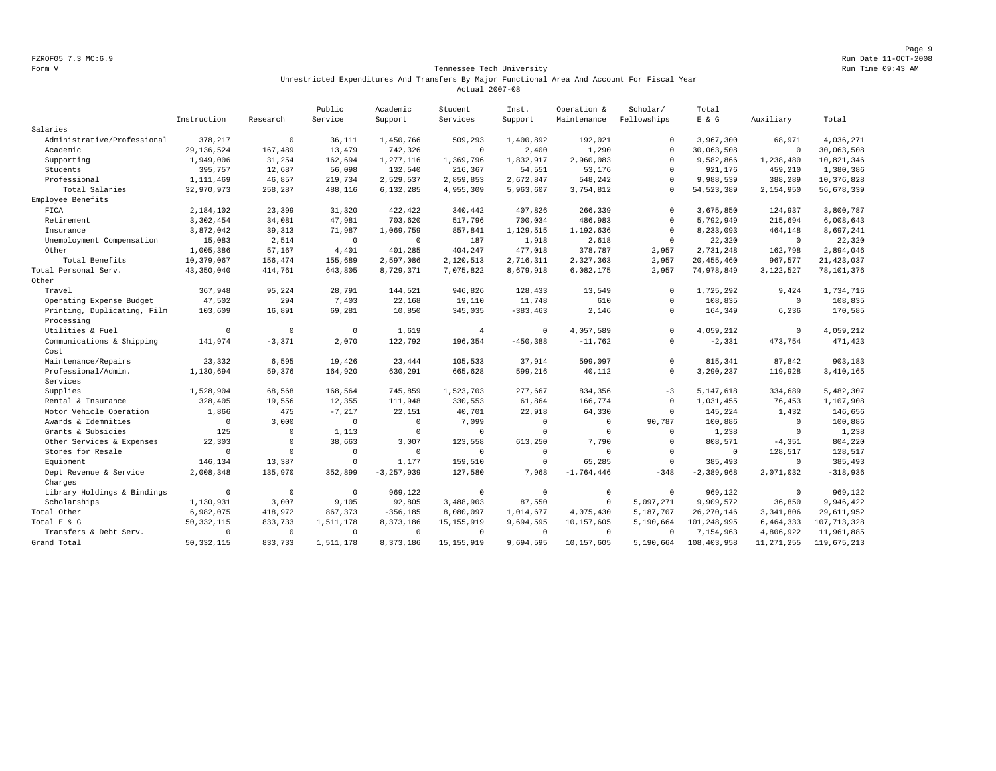Page 9 FZROF05 7.3 MC:6.9 Run Date 11-OCT-2008

### Form V Tennessee Tech University Run Time 09:43 AM Unrestricted Expenditures And Transfers By Major Functional Area And Account For Fiscal Year Actual 2007-08

|                             |              |              | Public      | Academic       | Student        | Inst.       | Operation &    | Scholar/    | Total          |              |               |
|-----------------------------|--------------|--------------|-------------|----------------|----------------|-------------|----------------|-------------|----------------|--------------|---------------|
|                             | Instruction  | Research     | Service     | Support        | Services       | Support     | Maintenance    | Fellowships | $E$ & $G$      | Auxiliary    | Total         |
| Salaries                    |              |              |             |                |                |             |                |             |                |              |               |
| Administrative/Professional | 378,217      | $\mathsf 0$  | 36,111      | 1,450,766      | 509,293        | 1,400,892   | 192,021        | $^{\circ}$  | 3,967,300      | 68,971       | 4,036,271     |
| Academic                    | 29, 136, 524 | 167,489      | 13,479      | 742,326        | $\mathbf 0$    | 2,400       | 1,290          | $\Omega$    | 30,063,508     | $\circ$      | 30,063,508    |
| Supporting                  | 1,949,006    | 31,254       | 162,694     | 1,277,116      | 1,369,796      | 1,832,917   | 2,960,083      | $\Omega$    | 9,582,866      | 1,238,480    | 10,821,346    |
| Students                    | 395,757      | 12,687       | 56,098      | 132,540        | 216,367        | 54,551      | 53,176         | $\Omega$    | 921,176        | 459,210      | 1,380,386     |
| Professional                | 1,111,469    | 46,857       | 219,734     | 2,529,537      | 2,859,853      | 2,672,847   | 548,242        | $\Omega$    | 9,988,539      | 388,289      | 10,376,828    |
| Total Salaries              | 32,970,973   | 258,287      | 488,116     | 6,132,285      | 4,955,309      | 5,963,607   | 3,754,812      | $\Omega$    | 54, 523, 389   | 2,154,950    | 56,678,339    |
| Employee Benefits           |              |              |             |                |                |             |                |             |                |              |               |
| FICA                        | 2,184,102    | 23,399       | 31,320      | 422,422        | 340,442        | 407,826     | 266,339        | $\Omega$    | 3,675,850      | 124,937      | 3,800,787     |
| Retirement                  | 3,302,454    | 34,081       | 47,981      | 703,620        | 517,796        | 700,034     | 486,983        | $\Omega$    | 5,792,949      | 215,694      | 6,008,643     |
| Insurance                   | 3,872,042    | 39,313       | 71.987      | 1,069,759      | 857,841        | 1,129,515   | 1,192,636      | $\Omega$    | 8,233,093      | 464,148      | 8,697,241     |
| Unemployment Compensation   | 15,083       | 2,514        | $\mathbf 0$ | $^{\circ}$     | 187            | 1,918       | 2,618          | $\mathbf 0$ | 22,320         | $^{\circ}$   | 22,320        |
| Other                       | 1,005,386    | 57,167       | 4,401       | 401,285        | 404,247        | 477,018     | 378,787        | 2,957       | 2,731,248      | 162,798      | 2,894,046     |
| Total Benefits              | 10,379,067   | 156,474      | 155,689     | 2,597,086      | 2,120,513      | 2,716,311   | 2,327,363      | 2,957       | 20, 455, 460   | 967,577      | 21, 423, 037  |
| Total Personal Serv.        | 43,350,040   | 414,761      | 643,805     | 8,729,371      | 7,075,822      | 8,679,918   | 6,082,175      | 2,957       | 74,978,849     | 3,122,527    | 78,101,376    |
| Other                       |              |              |             |                |                |             |                |             |                |              |               |
| Travel                      | 367,948      | 95,224       | 28,791      | 144,521        | 946,826        | 128,433     | 13,549         | $\Omega$    | 1,725,292      | 9.424        | 1,734,716     |
| Operating Expense Budget    | 47,502       | 294          | 7,403       | 22,168         | 19,110         | 11,748      | 610            | $\Omega$    | 108,835        | $\mathbf 0$  | 108,835       |
| Printing, Duplicating, Film | 103,609      | 16,891       | 69,281      | 10,850         | 345,035        | $-383, 463$ | 2,146          | $\Omega$    | 164,349        | 6,236        | 170,585       |
| Processing                  |              |              |             |                |                |             |                |             |                |              |               |
| Utilities & Fuel            | $\Omega$     | $\mathbf 0$  | $\Omega$    | 1,619          | $\overline{4}$ | $^{\circ}$  | 4,057,589      | $\Omega$    | 4,059,212      | $\circ$      | 4,059,212     |
| Communications & Shipping   | 141,974      | $-3,371$     | 2,070       | 122,792        | 196,354        | $-450.388$  | $-11,762$      | $\mathbf 0$ | $-2,331$       | 473,754      | 471,423       |
| Cost                        |              |              |             |                |                |             |                |             |                |              |               |
| Maintenance/Repairs         | 23,332       | 6,595        | 19,426      | 23,444         | 105,533        | 37,914      | 599,097        | $\mathbf 0$ | 815, 341       | 87,842       | 903,183       |
| Professional/Admin.         | 1,130,694    | 59,376       | 164,920     | 630,291        | 665,628        | 599,216     | 40,112         | $\mathbf 0$ | 3,290,237      | 119,928      | 3,410,165     |
| Services                    |              |              |             |                |                |             |                |             |                |              |               |
| Supplies                    | 1,528,904    | 68,568       | 168,564     | 745,859        | 1,523,703      | 277,667     | 834,356        | $-3$        | 5,147,618      | 334,689      | 5,482,307     |
| Rental & Insurance          | 328,405      | 19,556       | 12,355      | 111,948        | 330,553        | 61,864      | 166,774        | $\mathbf 0$ | 1,031,455      | 76,453       | 1,107,908     |
| Motor Vehicle Operation     | 1,866        | 475          | $-7,217$    | 22,151         | 40,701         | 22,918      | 64,330         | $\mathbf 0$ | 145,224        | 1,432        | 146,656       |
| Awards & Idemnities         | $\mathbf 0$  | 3,000        | $\Omega$    | $\circ$        | 7,099          | $\Omega$    | $\overline{0}$ | 90,787      | 100,886        | $\mathbf 0$  | 100,886       |
| Grants & Subsidies          | 125          | $\mathbf{0}$ | 1,113       | $\mathbf 0$    | $\mathbf 0$    | $\Omega$    | $\Omega$       | $\Omega$    | 1,238          | $\mathbf 0$  | 1,238         |
| Other Services & Expenses   | 22,303       | $\mathbf 0$  | 38,663      | 3,007          | 123,558        | 613,250     | 7,790          | $\mathbb O$ | 808,571        | $-4, 351$    | 804,220       |
| Stores for Resale           | $\circ$      | $\circ$      | $\Omega$    | $\mathbf 0$    | $\circ$        | $\mathbf 0$ | $\overline{0}$ | $\Omega$    | $\circ$        | 128,517      | 128,517       |
| Equipment                   | 146,134      | 13,387       | $\Omega$    | 1,177          | 159,510        | $\Omega$    | 65,285         | $\Omega$    | 385,493        | $\mathbf 0$  | 385,493       |
| Dept Revenue & Service      | 2,008,348    | 135,970      | 352,899     | $-3, 257, 939$ | 127,580        | 7,968       | $-1,764,446$   | $-348$      | $-2, 389, 968$ | 2,071,032    | $-318,936$    |
| Charges                     |              |              |             |                |                |             |                |             |                |              |               |
| Library Holdings & Bindings | $\mathbf 0$  | $\mathbf 0$  | $^{\circ}$  | 969,122        | $\mathbb O$    | $\mathbf 0$ | $\mathbb O$    | $\Omega$    | 969,122        | $\mathbf 0$  | 969,122       |
| Scholarships                | 1,130,931    | 3,007        | 9,105       | 92,805         | 3,488,903      | 87,550      | $\mathbf 0$    | 5,097,271   | 9,909,572      | 36,850       | 9,946,422     |
| Total Other                 | 6,982,075    | 418,972      | 867,373     | $-356, 185$    | 8,080,097      | 1,014,677   | 4,075,430      | 5,187,707   | 26, 270, 146   | 3, 341, 806  | 29,611,952    |
| Total E & G                 | 50,332,115   | 833,733      | 1,511,178   | 8,373,186      | 15, 155, 919   | 9,694,595   | 10,157,605     | 5,190,664   | 101,248,995    | 6,464,333    | 107, 713, 328 |
| Transfers & Debt Serv.      | $\Omega$     | $\mathbf 0$  | $\Omega$    | $\Omega$       | $^{\circ}$     | $\Omega$    | $^{\circ}$     | $\Omega$    | 7,154,963      | 4,806,922    | 11,961,885    |
| Grand Total                 | 50, 332, 115 | 833.733      | 1,511,178   | 8,373,186      | 15, 155, 919   | 9.694.595   | 10,157,605     | 5,190,664   | 108, 403, 958  | 11, 271, 255 | 119,675,213   |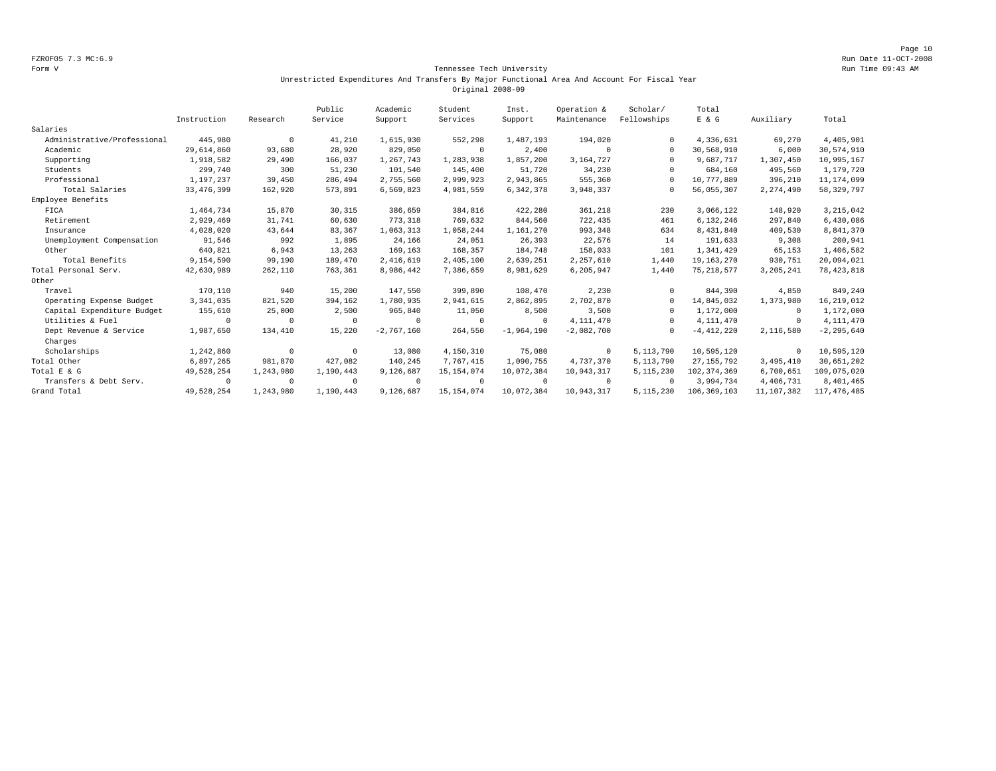Page 10 FZROF05 7.3 MC:6.9 Run Date 11-OCT-2008

### Form V Tennessee Tech University Run Time 09:43 AM Unrestricted Expenditures And Transfers By Major Functional Area And Account For Fiscal Year Original 2008-09

|                             |              |            | Public    | Academic     | Student      | Inst.        | Operation &  | Scholar/    | Total          |             |                |
|-----------------------------|--------------|------------|-----------|--------------|--------------|--------------|--------------|-------------|----------------|-------------|----------------|
|                             | Instruction  | Research   | Service   | Support      | Services     | Support      | Maintenance  | Fellowships | E & G          | Auxiliary   | Total          |
| Salaries                    |              |            |           |              |              |              |              |             |                |             |                |
| Administrative/Professional | 445,980      | $^{\circ}$ | 41,210    | 1,615,930    | 552,298      | 1,487,193    | 194,020      | $\Omega$    | 4,336,631      | 69,270      | 4,405,901      |
| Academic                    | 29,614,860   | 93,680     | 28,920    | 829,050      | $^{\circ}$   | 2,400        | $\Omega$     | $\Omega$    | 30,568,910     | 6,000       | 30,574,910     |
| Supporting                  | 1,918,582    | 29,490     | 166,037   | 1,267,743    | 1,283,938    | 1,857,200    | 3,164,727    | $\cap$      | 9,687,717      | 1,307,450   | 10,995,167     |
| Students                    | 299,740      | 300        | 51,230    | 101,540      | 145,400      | 51,720       | 34,230       |             | 684,160        | 495,560     | 1,179,720      |
| Professional                | 1,197,237    | 39,450     | 286,494   | 2,755,560    | 2,999,923    | 2,943,865    | 555,360      | $\cap$      | 10,777,889     | 396,210     | 11, 174, 099   |
| Total Salaries              | 33, 476, 399 | 162,920    | 573,891   | 6,569,823    | 4,981,559    | 6,342,378    | 3,948,337    |             | 56,055,307     | 2,274,490   | 58, 329, 797   |
| Employee Benefits           |              |            |           |              |              |              |              |             |                |             |                |
| FICA                        | 1,464,734    | 15,870     | 30,315    | 386,659      | 384,816      | 422,280      | 361,218      | 230         | 3,066,122      | 148,920     | 3, 215, 042    |
| Retirement                  | 2,929,469    | 31,741     | 60,630    | 773,318      | 769,632      | 844,560      | 722,435      | 461         | 6,132,246      | 297,840     | 6,430,086      |
| Insurance                   | 4,028,020    | 43,644     | 83,367    | 1,063,313    | 1,058,244    | 1,161,270    | 993,348      | 634         | 8,431,840      | 409,530     | 8,841,370      |
| Unemployment Compensation   | 91,546       | 992        | 1,895     | 24,166       | 24,051       | 26,393       | 22,576       | 14          | 191,633        | 9,308       | 200,941        |
| Other                       | 640,821      | 6,943      | 13,263    | 169,163      | 168,357      | 184,748      | 158,033      | 101         | 1,341,429      | 65,153      | 1,406,582      |
| Total Benefits              | 9,154,590    | 99,190     | 189,470   | 2,416,619    | 2,405,100    | 2,639,251    | 2,257,610    | 1,440       | 19, 163, 270   | 930,751     | 20,094,021     |
| Total Personal Serv.        | 42,630,989   | 262,110    | 763,361   | 8,986,442    | 7,386,659    | 8,981,629    | 6,205,947    | 1,440       | 75, 218, 577   | 3, 205, 241 | 78, 423, 818   |
| Other                       |              |            |           |              |              |              |              |             |                |             |                |
| Travel                      | 170,110      | 940        | 15,200    | 147,550      | 399,890      | 108,470      | 2,230        | $\cap$      | 844,390        | 4,850       | 849,240        |
| Operating Expense Budget    | 3, 341, 035  | 821,520    | 394,162   | 1,780,935    | 2,941,615    | 2,862,895    | 2,702,870    | $\cap$      | 14,845,032     | 1,373,980   | 16, 219, 012   |
| Capital Expenditure Budget  | 155,610      | 25,000     | 2,500     | 965,840      | 11,050       | 8,500        | 3,500        | $\Omega$    | 1,172,000      | $^{\circ}$  | 1,172,000      |
| Utilities & Fuel            | $\Omega$     | $\Omega$   | $\Omega$  | $\Omega$     | $\Omega$     | $\Omega$     | 4,111,470    | $\cap$      | 4, 111, 470    | $^{\circ}$  | 4, 111, 470    |
| Dept Revenue & Service      | 1,987,650    | 134,410    | 15,220    | $-2,767,160$ | 264,550      | $-1,964,190$ | $-2,082,700$ | $\Omega$    | $-4, 412, 220$ | 2,116,580   | $-2, 295, 640$ |
| Charges                     |              |            |           |              |              |              |              |             |                |             |                |
| Scholarships                | 1,242,860    | $^{\circ}$ | $\Omega$  | 13,080       | 4,150,310    | 75,080       | $\mathbf 0$  | 5, 113, 790 | 10,595,120     | $^{\circ}$  | 10,595,120     |
| Total Other                 | 6,897,265    | 981,870    | 427,082   | 140,245      | 7,767,415    | 1,090,755    | 4,737,370    | 5, 113, 790 | 27, 155, 792   | 3,495,410   | 30,651,202     |
| Total E & G                 | 49,528,254   | 1,243,980  | 1,190,443 | 9,126,687    | 15, 154, 074 | 10,072,384   | 10,943,317   | 5, 115, 230 | 102, 374, 369  | 6,700,651   | 109,075,020    |
| Transfers & Debt Serv.      | $^{\circ}$   | $\Omega$   | $\Omega$  | $\Omega$     | $\Omega$     | $\Omega$     | $^{\circ}$   | $\cap$      | 3,994,734      | 4,406,731   | 8,401,465      |
| Grand Total                 | 49,528,254   | 1,243,980  | 1,190,443 | 9,126,687    | 15, 154, 074 | 10,072,384   | 10,943,317   | 5, 115, 230 | 106, 369, 103  | 11,107,382  | 117, 476, 485  |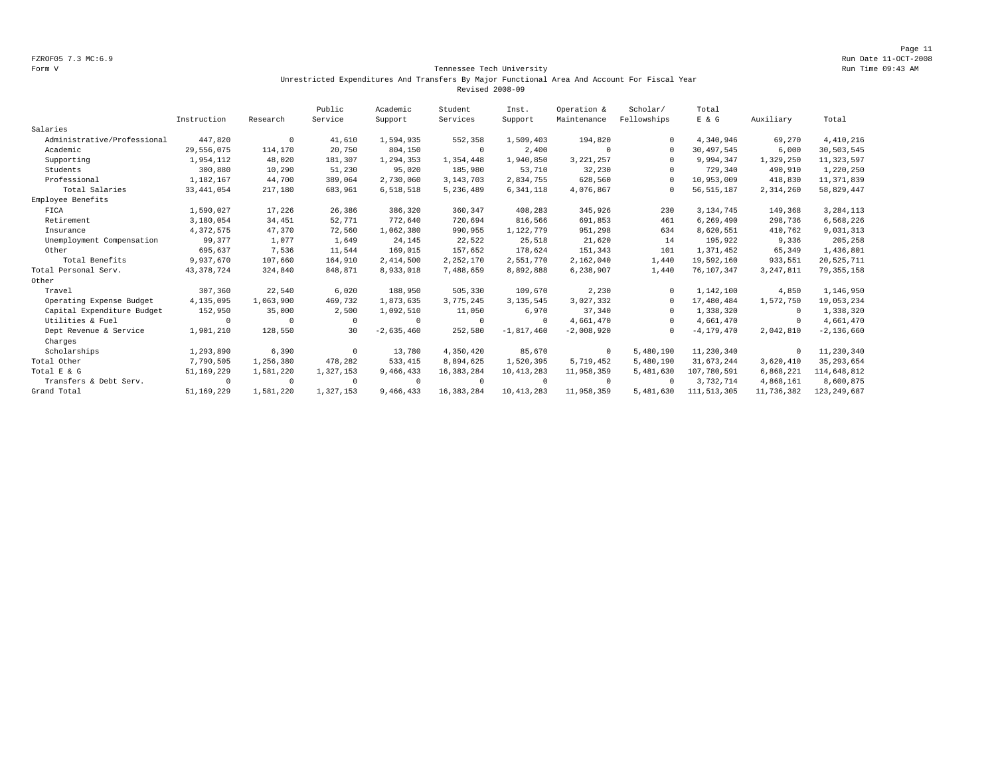Page 11 FZROF05 7.3 MC:6.9 Run Date 11-OCT-2008

### Form V Tennessee Tech University Run Time 09:43 AM Unrestricted Expenditures And Transfers By Major Functional Area And Account For Fiscal Year Revised 2008-09

|                             |              |            | Public    | Academic     | Student      | Inst.        | Operation &  | Scholar/    | Total          |             |                |
|-----------------------------|--------------|------------|-----------|--------------|--------------|--------------|--------------|-------------|----------------|-------------|----------------|
|                             | Instruction  | Research   | Service   | Support      | Services     | Support      | Maintenance  | Fellowships | E & G          | Auxiliary   | Total          |
| Salaries                    |              |            |           |              |              |              |              |             |                |             |                |
| Administrative/Professional | 447,820      | $^{\circ}$ | 41,610    | 1,594,935    | 552,358      | 1,509,403    | 194,820      |             | 4,340,946      | 69,270      | 4,410,216      |
| Academic                    | 29.556.075   | 114,170    | 20,750    | 804,150      | $^{\circ}$   | 2,400        | $\Omega$     | $\Omega$    | 30,497,545     | 6,000       | 30,503,545     |
| Supporting                  | 1,954,112    | 48,020     | 181,307   | 1,294,353    | 1,354,448    | 1,940,850    | 3, 221, 257  | $\Omega$    | 9,994,347      | 1,329,250   | 11, 323, 597   |
| Students                    | 300,880      | 10,290     | 51,230    | 95,020       | 185,980      | 53,710       | 32,230       |             | 729,340        | 490,910     | 1,220,250      |
| Professional                | 1,182,167    | 44,700     | 389,064   | 2,730,060    | 3, 143, 703  | 2,834,755    | 628,560      |             | 10,953,009     | 418,830     | 11,371,839     |
| Total Salaries              | 33, 441, 054 | 217,180    | 683,961   | 6,518,518    | 5,236,489    | 6, 341, 118  | 4,076,867    |             | 56, 515, 187   | 2,314,260   | 58,829,447     |
| Employee Benefits           |              |            |           |              |              |              |              |             |                |             |                |
| FICA                        | 1,590,027    | 17,226     | 26,386    | 386,320      | 360,347      | 408,283      | 345,926      | 230         | 3, 134, 745    | 149,368     | 3, 284, 113    |
| Retirement                  | 3,180,054    | 34,451     | 52,771    | 772.640      | 720,694      | 816,566      | 691,853      | 461         | 6,269,490      | 298,736     | 6,568,226      |
| Insurance                   | 4,372,575    | 47,370     | 72,560    | 1,062,380    | 990,955      | 1,122,779    | 951,298      | 634         | 8,620,551      | 410,762     | 9,031,313      |
| Unemployment Compensation   | 99,377       | 1,077      | 1,649     | 24,145       | 22,522       | 25,518       | 21,620       | 14          | 195,922        | 9,336       | 205,258        |
| Other                       | 695,637      | 7,536      | 11,544    | 169,015      | 157,652      | 178,624      | 151,343      | 101         | 1,371,452      | 65,349      | 1,436,801      |
| Total Benefits              | 9,937,670    | 107,660    | 164,910   | 2,414,500    | 2,252,170    | 2,551,770    | 2,162,040    | 1,440       | 19,592,160     | 933,551     | 20,525,711     |
| Total Personal Serv.        | 43, 378, 724 | 324,840    | 848,871   | 8,933,018    | 7,488,659    | 8,892,888    | 6,238,907    | 1,440       | 76,107,347     | 3, 247, 811 | 79, 355, 158   |
| Other                       |              |            |           |              |              |              |              |             |                |             |                |
| Travel                      | 307,360      | 22,540     | 6,020     | 188,950      | 505,330      | 109,670      | 2,230        | $\Omega$    | 1,142,100      | 4,850       | 1,146,950      |
| Operating Expense Budget    | 4,135,095    | 1,063,900  | 469,732   | 1,873,635    | 3,775,245    | 3, 135, 545  | 3,027,332    | $\Omega$    | 17,480,484     | 1,572,750   | 19,053,234     |
| Capital Expenditure Budget  | 152,950      | 35,000     | 2,500     | 1,092,510    | 11,050       | 6,970        | 37,340       |             | 1,338,320      | $^{\circ}$  | 1,338,320      |
| Utilities & Fuel            | $^{\circ}$   | $\Omega$   | $\Omega$  | $^{\circ}$   | $\mathbf 0$  | $\Omega$     | 4,661,470    | $\Omega$    | 4,661,470      | $\circ$     | 4,661,470      |
| Dept Revenue & Service      | 1,901,210    | 128,550    | 30        | $-2,635,460$ | 252,580      | $-1,817,460$ | $-2,008,920$ |             | $-4, 179, 470$ | 2,042,810   | $-2, 136, 660$ |
| Charges                     |              |            |           |              |              |              |              |             |                |             |                |
| Scholarships                | 1,293,890    | 6,390      | $\Omega$  | 13,780       | 4,350,420    | 85,670       | $^{\circ}$   | 5,480,190   | 11,230,340     | $^{\circ}$  | 11,230,340     |
| Total Other                 | 7,790,505    | 1,256,380  | 478,282   | 533, 415     | 8,894,625    | 1,520,395    | 5,719,452    | 5,480,190   | 31,673,244     | 3,620,410   | 35, 293, 654   |
| Total E & G                 | 51,169,229   | 1,581,220  | 1,327,153 | 9,466,433    | 16, 383, 284 | 10, 413, 283 | 11,958,359   | 5,481,630   | 107,780,591    | 6,868,221   | 114,648,812    |
| Transfers & Debt Serv.      | $^{\circ}$   | $^{\circ}$ | $\Omega$  | $\Omega$     | $^{\circ}$   | $\Omega$     | $\Omega$     | $\Omega$    | 3,732,714      | 4,868,161   | 8,600,875      |
| Grand Total                 | 51, 169, 229 | 1,581,220  | 1,327,153 | 9,466,433    | 16, 383, 284 | 10, 413, 283 | 11,958,359   | 5,481,630   | 111, 513, 305  | 11,736,382  | 123, 249, 687  |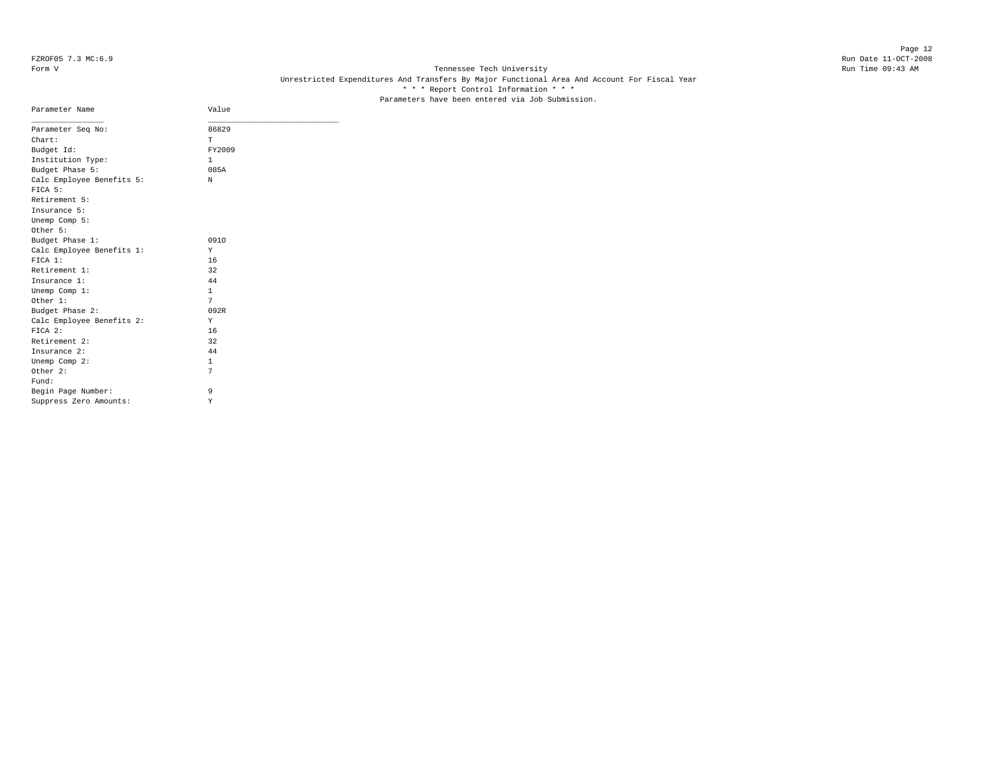Page 12 FZROF05 7.3 MC:6.9 Run Date 11-OCT-2008

# Form V Tennessee Tech University Run Time 09:43 AM Unrestricted Expenditures And Transfers By Major Functional Area And Account For Fiscal Year \* \* \* Report Control Information \* \* \* Parameters have been entered via Job Submission.

| Parameter Name                       | Value        |  |
|--------------------------------------|--------------|--|
| Parameter Seq No:                    | 86829        |  |
| Chart:                               | T.           |  |
| Budget Id:                           | FY2009       |  |
| Institution Type:                    | $\mathbf{1}$ |  |
| Budget Phase 5:                      | 085A         |  |
| Calc Employee Benefits 5:<br>FICA 5: | N            |  |
| Retirement 5:                        |              |  |
| Insurance 5:                         |              |  |
| Unemp Comp 5:                        |              |  |
| Other 5:                             |              |  |
| Budget Phase 1:                      | 0910         |  |
| Calc Employee Benefits 1:            | Y            |  |
| FICA 1:                              | 16           |  |
| Retirement 1:                        | 32           |  |
| Insurance 1:                         | 44           |  |
| Unemp Comp 1:                        | $\mathbf{1}$ |  |
| Other 1:                             | 7            |  |
| Budget Phase 2:                      | 092R         |  |
| Calc Employee Benefits 2:            | Y            |  |
| FTCA 2:                              | 16           |  |
| Retirement 2:                        | 32           |  |
| Insurance 2:                         | 44           |  |
| Unemp Comp 2:                        | $\mathbf{1}$ |  |
| Other 2:                             | 7            |  |
| Fund:                                |              |  |
| Begin Page Number:                   | 9            |  |
| Suppress Zero Amounts:               | Υ            |  |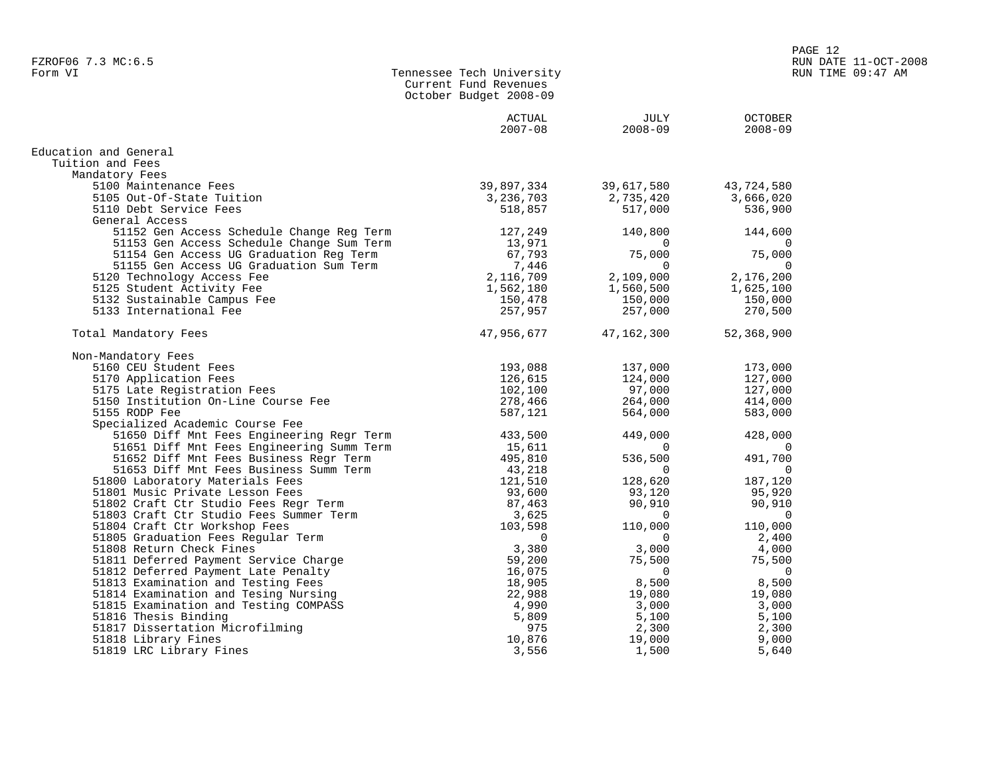| Form VI | Tennessee Tech University |
|---------|---------------------------|
|         | Current Fund Revenues     |
|         | October Budget 2008-09    |

|                                           | ACTUAL<br>$2007 - 08$ | JULY<br>$2008 - 09$ | <b>OCTOBER</b><br>$2008 - 09$ |
|-------------------------------------------|-----------------------|---------------------|-------------------------------|
| Education and General                     |                       |                     |                               |
| Tuition and Fees                          |                       |                     |                               |
| Mandatory Fees                            |                       |                     |                               |
| 5100 Maintenance Fees                     | 39,897,334            | 39,617,580          | 43,724,580                    |
| 5105 Out-Of-State Tuition                 | 3,236,703             | 2,735,420           | 3,666,020                     |
| 5110 Debt Service Fees                    | 518,857               | 517,000             | 536,900                       |
| General Access                            |                       |                     |                               |
| 51152 Gen Access Schedule Change Reg Term | 127,249               | 140,800             | 144,600                       |
| 51153 Gen Access Schedule Change Sum Term | 13,971                | $\Omega$            | 0                             |
| 51154 Gen Access UG Graduation Reg Term   | 67,793                | 75,000              | 75,000                        |
| 51155 Gen Access UG Graduation Sum Term   | 7,446                 | $\Omega$            | $\Omega$                      |
| 5120 Technology Access Fee                | 2,116,709             | 2,109,000           | 2,176,200                     |
| 5125 Student Activity Fee                 | 1,562,180             | 1,560,500           | 1,625,100                     |
| 5132 Sustainable Campus Fee               | 150,478               | 150,000             | 150,000                       |
| 5133 International Fee                    | 257,957               | 257,000             | 270,500                       |
| Total Mandatory Fees                      | 47,956,677            | 47,162,300          | 52,368,900                    |
| Non-Mandatory Fees                        |                       |                     |                               |
| 5160 CEU Student Fees                     | 193,088               | 137,000             | 173,000                       |
| 5170 Application Fees                     | 126,615               | 124,000             | 127,000                       |
| 5175 Late Registration Fees               | 102,100               | 97,000              | 127,000                       |
| 5150 Institution On-Line Course Fee       | 278,466               | 264,000             | 414,000                       |
| 5155 RODP Fee                             | 587,121               | 564,000             | 583,000                       |
| Specialized Academic Course Fee           |                       |                     |                               |
| 51650 Diff Mnt Fees Engineering Regr Term | 433,500               | 449,000             | 428,000                       |
| 51651 Diff Mnt Fees Engineering Summ Term | 15,611                | $\Omega$            | $\Omega$                      |
| 51652 Diff Mnt Fees Business Regr Term    | 495,810               | 536,500             | 491,700                       |
| 51653 Diff Mnt Fees Business Summ Term    | 43,218                | $\Omega$            | $\Omega$                      |
| 51800 Laboratory Materials Fees           | 121,510               | 128,620             | 187,120                       |
| 51801 Music Private Lesson Fees           | 93,600                | 93,120              | 95,920                        |
| 51802 Craft Ctr Studio Fees Regr Term     | 87,463                | 90,910              | 90,910                        |
| 51803 Craft Ctr Studio Fees Summer Term   | 3,625                 | $\Omega$            | $\Omega$                      |
| 51804 Craft Ctr Workshop Fees             | 103,598               | 110,000             | 110,000                       |
| 51805 Graduation Fees Regular Term        | $\Omega$              | $\Omega$            | 2,400                         |
| 51808 Return Check Fines                  | 3,380                 | 3,000               | 4,000                         |
| 51811 Deferred Payment Service Charge     | 59,200                | 75,500              | 75,500                        |
| 51812 Deferred Payment Late Penalty       | 16,075                | $\Omega$            | $\Omega$                      |
| 51813 Examination and Testing Fees        | 18,905                | 8,500               | 8,500                         |
| 51814 Examination and Tesing Nursing      | 22,988                | 19,080              | 19,080                        |
| 51815 Examination and Testing COMPASS     | 4,990                 | 3,000               | 3,000                         |
| 51816 Thesis Binding                      | 5,809                 | 5,100               | 5,100                         |
| 51817 Dissertation Microfilming           | 975                   | 2,300               | 2,300                         |
| 51818 Library Fines                       | 10,876                | 19,000              | 9,000                         |
| 51819 LRC Library Fines                   | 3,556                 | 1,500               | 5,640                         |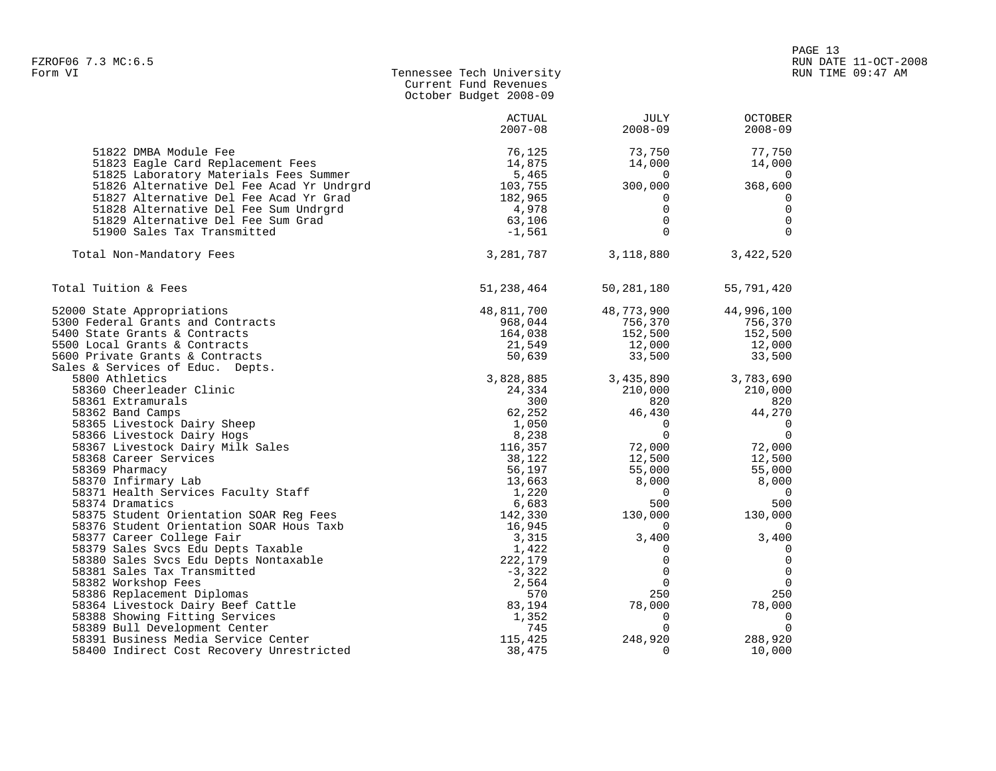| Form VI | Tennessee Tech University |
|---------|---------------------------|
|         | Current Fund Revenues     |
|         | October Budget 2008-09    |

|                                                                | <b>ACTUAL</b><br>$2007 - 08$ | <b>JULY</b><br>$2008 - 09$ | <b>OCTOBER</b><br>$2008 - 09$ |
|----------------------------------------------------------------|------------------------------|----------------------------|-------------------------------|
| 51822 DMBA Module Fee                                          | 76,125                       | 73,750                     | 77,750                        |
| 51823 Eagle Card Replacement Fees                              | 14,875                       | 14,000                     | 14,000                        |
| 51825 Laboratory Materials Fees Summer                         | 5,465                        | $\Omega$                   | $\Omega$                      |
| 51826 Alternative Del Fee Acad Yr Undrgrd                      | 103,755                      | 300,000                    | 368,600                       |
| 51827 Alternative Del Fee Acad Yr Grad                         | 182,965                      | 0                          | 0                             |
| 51828 Alternative Del Fee Sum Undrgrd                          | 4,978                        | $\mathbf 0$                | $\mathbf 0$                   |
| 51829 Alternative Del Fee Sum Grad                             | 63,106                       | $\mathbf 0$                | $\overline{0}$                |
| 51900 Sales Tax Transmitted                                    | $-1,561$                     | $\Omega$                   | $\Omega$                      |
| Total Non-Mandatory Fees                                       | 3,281,787                    | 3,118,880                  | 3,422,520                     |
| Total Tuition & Fees                                           | 51,238,464                   | 50,281,180                 | 55,791,420                    |
| 52000 State Appropriations                                     | 48,811,700                   | 48,773,900                 | 44,996,100                    |
| 5300 Federal Grants and Contracts                              | 968,044                      | 756,370                    | 756,370                       |
| 5400 State Grants & Contracts                                  | 164,038                      | 152,500                    | 152,500                       |
| 5500 Local Grants & Contracts                                  | 21,549                       | 12,000                     | 12,000                        |
| 5600 Private Grants & Contracts                                | 50,639                       | 33,500                     | 33,500                        |
| Sales & Services of Educ. Depts.                               |                              |                            |                               |
| 5800 Athletics                                                 | 3,828,885                    | 3,435,890                  | 3,783,690                     |
| 58360 Cheerleader Clinic                                       | 24,334                       | 210,000                    | 210,000                       |
| 58361 Extramurals                                              | 300                          | 820                        | 820                           |
| 58362 Band Camps                                               | 62,252                       | 46,430                     | 44,270                        |
| 58365 Livestock Dairy Sheep                                    | 1,050                        | $\mathbf 0$<br>$\Omega$    | - 0<br>$\overline{0}$         |
| 58366 Livestock Dairy Hogs<br>58367 Livestock Dairy Milk Sales | 8,238<br>116,357             | 72,000                     | 72,000                        |
| 58368 Career Services                                          | 38,122                       | 12,500                     | 12,500                        |
| 58369 Pharmacy                                                 | 56,197                       | 55,000                     | 55,000                        |
| 58370 Infirmary Lab                                            | 13,663                       | 8,000                      | 8,000                         |
| 58371 Health Services Faculty Staff                            | 1,220                        | $\overline{0}$             | $\bigcirc$                    |
| 58374 Dramatics                                                | 6,683                        | 500                        | 500                           |
| 58375 Student Orientation SOAR Reg Fees                        | 142,330                      | 130,000                    | 130,000                       |
| 58376 Student Orientation SOAR Hous Taxb                       | 16,945                       | 0                          | 0                             |
| 58377 Career College Fair                                      | 3,315                        | 3,400                      | 3,400                         |
| 58379 Sales Svcs Edu Depts Taxable                             | 1,422                        | 0                          | 0                             |
| 58380 Sales Svcs Edu Depts Nontaxable                          | 222,179                      | 0                          | $\mathbf 0$                   |
| 58381 Sales Tax Transmitted                                    | $-3,322$                     | $\mathbf 0$                | $\mathbf 0$                   |
| 58382 Workshop Fees                                            | 2,564                        | $\Omega$                   | $\overline{0}$                |
| 58386 Replacement Diplomas                                     | 570                          | 250                        | 250                           |
| 58364 Livestock Dairy Beef Cattle                              | 83,194                       | 78,000                     | 78,000                        |
| 58388 Showing Fitting Services                                 | 1,352                        | $\mathbf 0$                | $\overline{\phantom{0}}$      |
| 58389 Bull Development Center                                  | 745                          | $\mathbf 0$                | $\overline{0}$                |
| 58391 Business Media Service Center                            | 115,425                      | 248,920                    | 288,920                       |
| 58400 Indirect Cost Recovery Unrestricted                      | 38,475                       | $\Omega$                   | 10,000                        |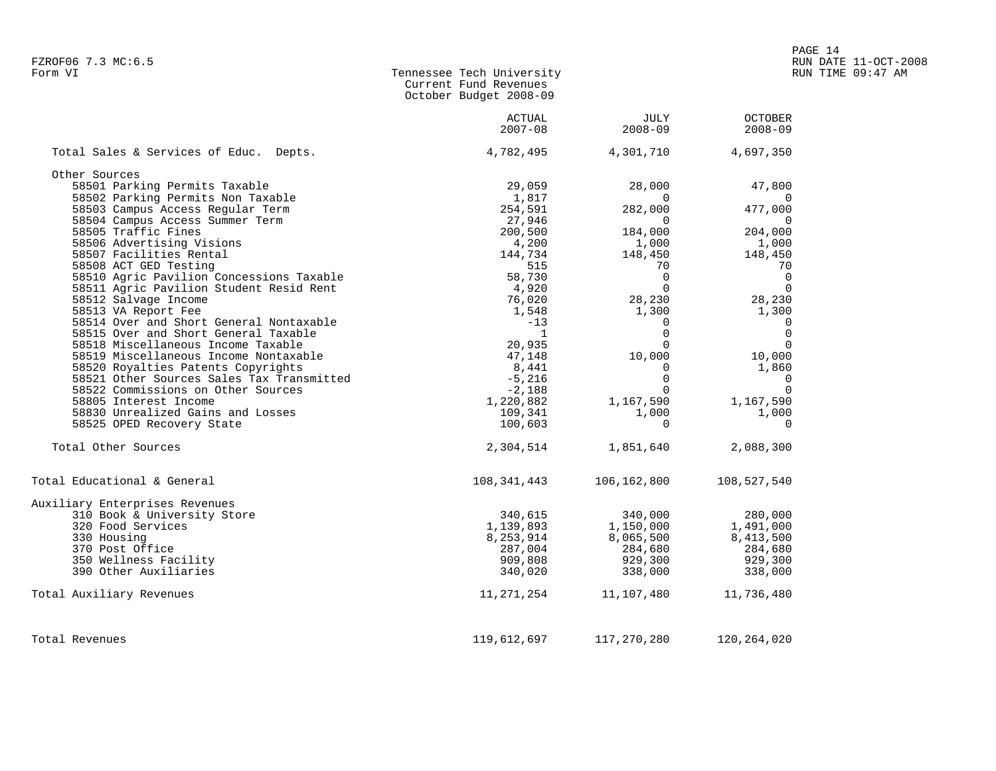| Form VI | Tennessee Tech University |
|---------|---------------------------|
|         | Current Fund Revenues     |
|         | October Budget 2008-09    |

|                                           | ACTUAL<br>$2007 - 08$ | JULY<br>$2008 - 09$ | <b>OCTOBER</b><br>$2008 - 09$ |
|-------------------------------------------|-----------------------|---------------------|-------------------------------|
| Total Sales & Services of Educ. Depts.    | 4,782,495             | 4,301,710           | 4,697,350                     |
| Other Sources                             |                       |                     |                               |
| 58501 Parking Permits Taxable             | 29,059                | 28,000              | 47,800                        |
| 58502 Parking Permits Non Taxable         | 1,817                 | $\Omega$            | $\mathbf 0$                   |
| 58503 Campus Access Regular Term          | 254,591               | 282,000             | 477,000                       |
| 58504 Campus Access Summer Term           | 27,946                | $\overline{0}$      | $\overline{0}$                |
| 58505 Traffic Fines                       | 200,500               | 184,000             | 204,000                       |
| 58506 Advertising Visions                 | 4,200                 | 1,000               | 1,000                         |
| 58507 Facilities Rental                   | 144,734               | 148,450             | 148,450                       |
| 58508 ACT GED Testing                     | 515                   | 70                  | 70                            |
| 58510 Agric Pavilion Concessions Taxable  | 58,730                | $\overline{0}$      | $\overline{0}$                |
| 58511 Agric Pavilion Student Resid Rent   | 4,920                 | $\Omega$            | $\overline{0}$                |
| 58512 Salvage Income                      | 76,020                | 28,230              | 28,230                        |
|                                           |                       |                     |                               |
| 58513 VA Report Fee                       | 1,548                 | 1,300               | 1,300                         |
| 58514 Over and Short General Nontaxable   | $-13$                 | $\mathbf 0$         | $\overline{0}$                |
| 58515 Over and Short General Taxable      | $\overline{1}$        | $\mathbf 0$         | $\mathbf{0}$                  |
| 58518 Miscellaneous Income Taxable        | 20,935                | $\Omega$            | $\overline{0}$                |
| 58519 Miscellaneous Income Nontaxable     | 47,148                | 10,000              | 10,000                        |
| 58520 Royalties Patents Copyrights        | 8,441                 | $\mathbf 0$         | 1,860                         |
| 58521 Other Sources Sales Tax Transmitted | $-5,216$              | $\Omega$            | $\Omega$                      |
| 58522 Commissions on Other Sources        | $-2,188$              | $\Omega$            | $\Omega$                      |
| 58805 Interest Income                     | 1,220,882             | 1,167,590           | 1,167,590                     |
| 58830 Unrealized Gains and Losses         | 109,341               | 1,000               | 1,000                         |
| 58525 OPED Recovery State                 | 100,603               | $\Omega$            | $\Omega$                      |
| Total Other Sources                       | 2,304,514             | 1,851,640           | 2,088,300                     |
| Total Educational & General               | 108,341,443           | 106,162,800         | 108,527,540                   |
| Auxiliary Enterprises Revenues            |                       |                     |                               |
| 310 Book & University Store               | 340,615               | 340,000             | 280,000                       |
| 320 Food Services                         | 1,139,893             | 1,150,000           | 1,491,000                     |
| 330 Housing                               | 8,253,914             | 8,065,500           | 8,413,500                     |
| 370 Post Office                           | 287,004               | 284,680             | 284,680                       |
| 350 Wellness Facility                     | 909,808               | 929,300             | 929,300                       |
| 390 Other Auxiliaries                     | 340,020               | 338,000             | 338,000                       |
| Total Auxiliary Revenues                  | 11,271,254            | 11,107,480          | 11,736,480                    |
| Total Revenues                            | 119,612,697           | 117,270,280         | 120, 264, 020                 |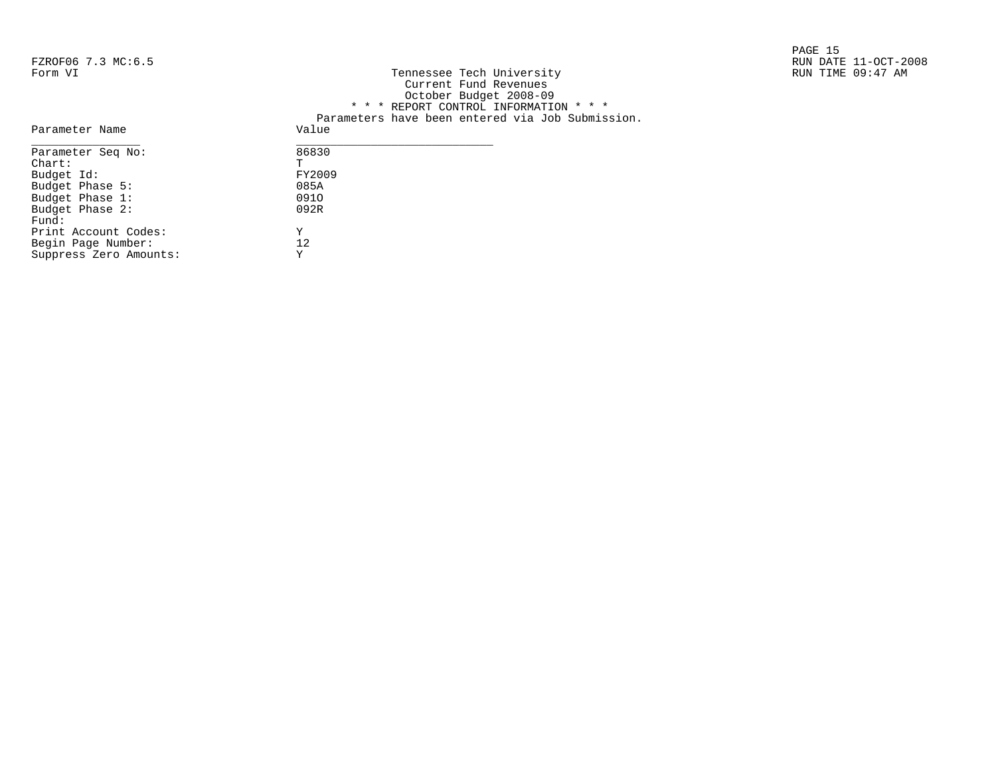|                    |                           | PAGE 15              |
|--------------------|---------------------------|----------------------|
| FZROF06 7.3 MC:6.5 |                           | RUN DATE 11-OCT-2008 |
| Form VI            | Tennessee Tech University | RUN TIME 09:47 AM    |

| FZROFU6 7.3 MC:6.5 |                                                  | RUN DATE II-OCT-2 |
|--------------------|--------------------------------------------------|-------------------|
| Form VI            | Tennessee Tech University                        | RUN TIME 09:47 AM |
|                    | Current Fund Revenues                            |                   |
|                    | October Budget 2008-09                           |                   |
|                    | * * * REPORT CONTROL INFORMATION * * *           |                   |
|                    | Parameters have been entered via Job Submission. |                   |
| Parameter Name     | Value                                            |                   |
| Parameter Seq No:  | 86830                                            |                   |
| Chart:             | T.                                               |                   |
| Budget Id:         | FY2009                                           |                   |
| Budget Phase 5:    | 085A                                             |                   |
| Budget Phase 1:    | 0910                                             |                   |
| Budget Phase 2:    | 092R                                             |                   |
|                    |                                                  |                   |

| Parameter Seg No:      | 86830  |
|------------------------|--------|
| $chart$ :              | Ͳ      |
| Budget Id:             | FY2009 |
| Budget Phase 5:        | 085A   |
| Budget Phase 1:        | 0910   |
| Budget Phase 2:        | 092R   |
| Fund:                  |        |
| Print Account Codes:   | Y      |
| Begin Page Number:     | 12.    |
| Suppress Zero Amounts: | Y      |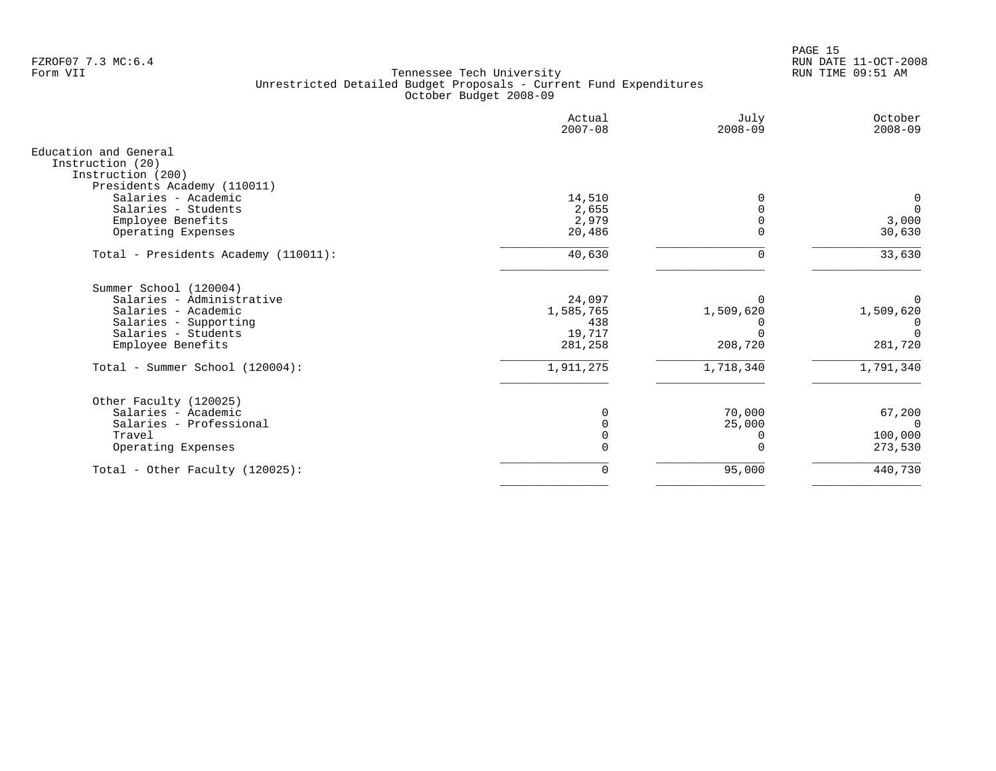en and the set of the set of the set of the set of the set of the set of the set of the set of the set of the set of the set of the set of the set of the set of the set of the set of the set of the set of the set of the se FZROF07 7.3 MC:6.4 RUN DATE 11-OCT-2008

|                                                    | Actual<br>$2007 - 08$ | July<br>$2008 - 09$ | October<br>$2008 - 09$ |
|----------------------------------------------------|-----------------------|---------------------|------------------------|
| Education and General                              |                       |                     |                        |
| Instruction (20)                                   |                       |                     |                        |
| Instruction (200)                                  |                       |                     |                        |
| Presidents Academy (110011)<br>Salaries - Academic |                       |                     | 0                      |
| Salaries - Students                                | 14,510<br>2,655       |                     | $\overline{0}$         |
| Employee Benefits                                  | 2,979                 |                     | 3,000                  |
| Operating Expenses                                 | 20,486                | $\Omega$            | 30,630                 |
| Total - Presidents Academy (110011):               | 40,630                | $\Omega$            | 33,630                 |
| Summer School (120004)                             |                       |                     |                        |
| Salaries - Administrative                          | 24,097                |                     | $\Omega$               |
| Salaries - Academic                                | 1,585,765             | 1,509,620           | 1,509,620              |
| Salaries - Supporting                              | 438                   |                     |                        |
| Salaries - Students                                | 19,717                |                     | $\Omega$               |
| Employee Benefits                                  | 281,258               | 208,720             | 281,720                |
| Total - Summer School (120004):                    | 1,911,275             | 1,718,340           | 1,791,340              |
| Other Faculty (120025)                             |                       |                     |                        |
| Salaries - Academic                                | $\Omega$              | 70,000              | 67,200                 |
| Salaries - Professional                            |                       | 25,000              | $\Omega$               |
| Travel                                             | $\Omega$              | 0                   | 100,000                |
| Operating Expenses                                 | $\Omega$              | $\Omega$            | 273,530                |
| Total - Other Faculty $(120025)$ :                 | 0                     | 95,000              | 440,730                |
|                                                    |                       |                     |                        |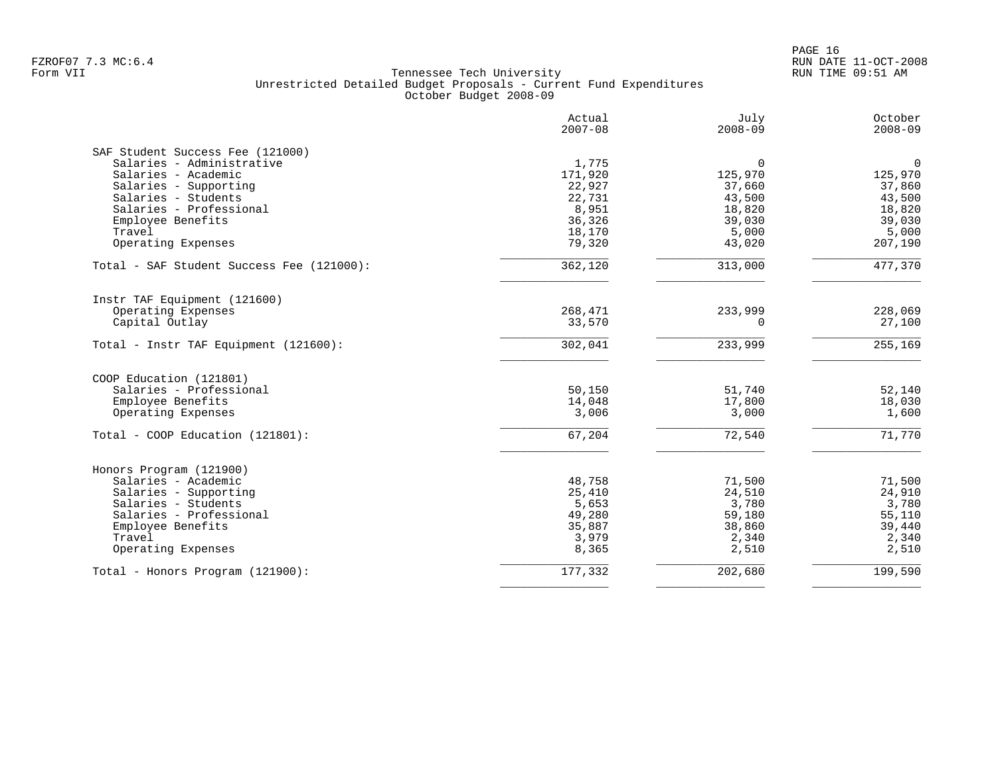|                                           | Actual<br>$2007 - 08$ | July<br>$2008 - 09$ | October<br>$2008 - 09$ |
|-------------------------------------------|-----------------------|---------------------|------------------------|
| SAF Student Success Fee (121000)          |                       |                     |                        |
| Salaries - Administrative                 | 1,775                 | $\Omega$            | $\mathbf 0$            |
| Salaries - Academic                       | 171,920               | 125,970             | 125,970                |
| Salaries - Supporting                     | 22,927                | 37,660              | 37,860                 |
| Salaries - Students                       | 22,731                | 43,500              | 43,500                 |
| Salaries - Professional                   | 8,951                 | 18,820              | 18,820                 |
| Employee Benefits                         | 36,326                | 39,030              | 39,030                 |
| Travel                                    | 18,170                | 5,000               | 5,000                  |
| Operating Expenses                        | 79,320                | 43,020              | 207,190                |
| Total - SAF Student Success Fee (121000): | 362,120               | 313,000             | 477,370                |
| Instr TAF Equipment (121600)              |                       |                     |                        |
| Operating Expenses                        | 268,471               | 233,999             | 228,069                |
| Capital Outlay                            | 33,570                | $\Omega$            | 27,100                 |
|                                           |                       |                     |                        |
| Total - Instr TAF Equipment (121600):     | 302,041               | 233,999             | 255,169                |
| COOP Education (121801)                   |                       |                     |                        |
| Salaries - Professional                   | 50,150                | 51,740              | 52,140                 |
| Employee Benefits                         | 14,048                | 17,800              | 18,030                 |
| Operating Expenses                        | 3,006                 | 3,000               | 1,600                  |
| Total - COOP Education (121801):          | 67,204                | 72,540              | 71,770                 |
| Honors Program (121900)                   |                       |                     |                        |
| Salaries - Academic                       | 48,758                | 71,500              | 71,500                 |
| Salaries - Supporting                     | 25,410                | 24,510              | 24,910                 |
| Salaries - Students                       | 5,653                 | 3,780               | 3,780                  |
| Salaries - Professional                   | 49,280                | 59,180              | 55,110                 |
| Employee Benefits                         | 35,887                | 38,860              | 39,440                 |
| Travel                                    | 3,979                 | 2,340               | 2,340                  |
| Operating Expenses                        | 8,365                 | 2,510               | 2,510                  |
| Total - Honors Program (121900):          | 177,332               | 202,680             | 199,590                |
|                                           |                       |                     |                        |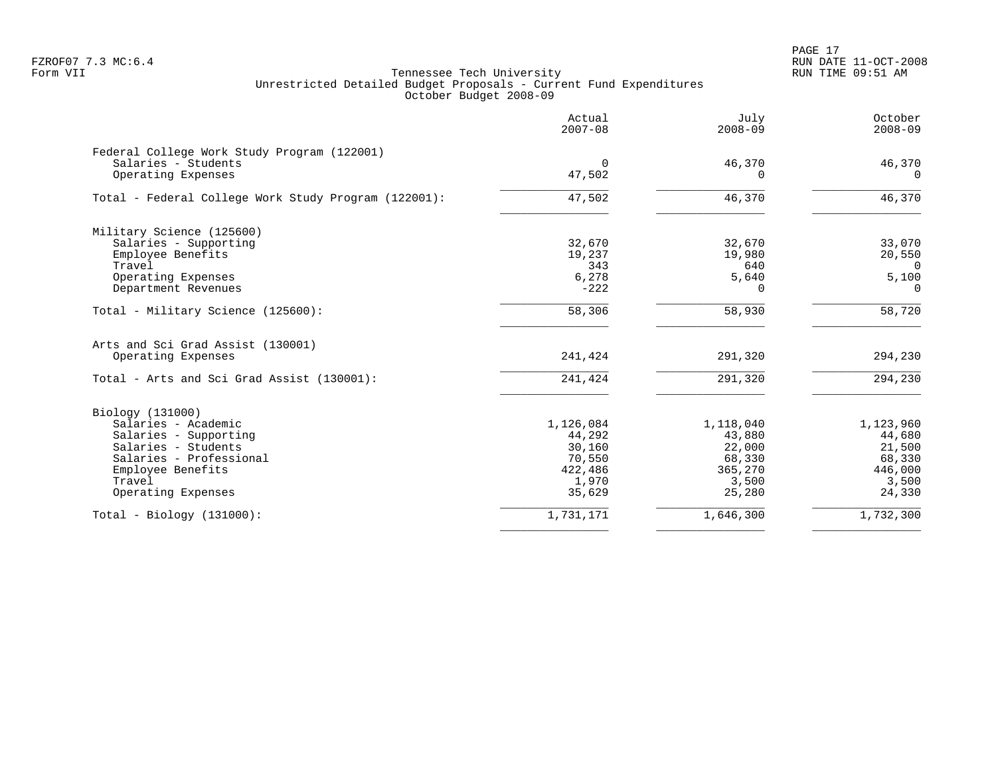|                                                      | Actual<br>$2007 - 08$ | July<br>$2008 - 09$ | October<br>$2008 - 09$ |
|------------------------------------------------------|-----------------------|---------------------|------------------------|
| Federal College Work Study Program (122001)          |                       |                     |                        |
| Salaries - Students                                  | $\Omega$              | 46,370              | 46,370                 |
| Operating Expenses                                   | 47,502                | 0                   | $\Omega$               |
| Total - Federal College Work Study Program (122001): | 47,502                | 46,370              | 46,370                 |
| Military Science (125600)                            |                       |                     |                        |
| Salaries - Supporting                                | 32,670                | 32,670              | 33,070                 |
| Employee Benefits                                    | 19,237                | 19,980              | 20,550                 |
| Travel                                               | 343                   | 640                 | $\Omega$               |
| Operating Expenses                                   | 6,278                 | 5,640               | 5,100                  |
| Department Revenues                                  | $-222$                | $\Omega$            | $\Omega$               |
| Total - Military Science (125600):                   | 58,306                | 58,930              | 58,720                 |
| Arts and Sci Grad Assist (130001)                    |                       |                     |                        |
| Operating Expenses                                   | 241,424               | 291,320             | 294,230                |
| Total - Arts and Sci Grad Assist (130001):           | 241,424               | 291,320             | 294,230                |
| Biology (131000)                                     |                       |                     |                        |
| Salaries - Academic                                  | 1,126,084             | 1,118,040           | 1,123,960              |
| Salaries - Supporting                                | 44,292                | 43,880              | 44,680                 |
| Salaries - Students                                  | 30,160                | 22,000              | 21,500                 |
| Salaries - Professional                              | 70,550                | 68,330              | 68,330                 |
| Employee Benefits                                    | 422,486               | 365,270             | 446,000                |
| Travel                                               | 1,970                 | 3,500               | 3,500                  |
| Operating Expenses                                   | 35,629                | 25,280              | 24,330                 |
| $Total - Biology (131000):$                          | 1,731,171             | 1,646,300           | 1,732,300              |
|                                                      |                       |                     |                        |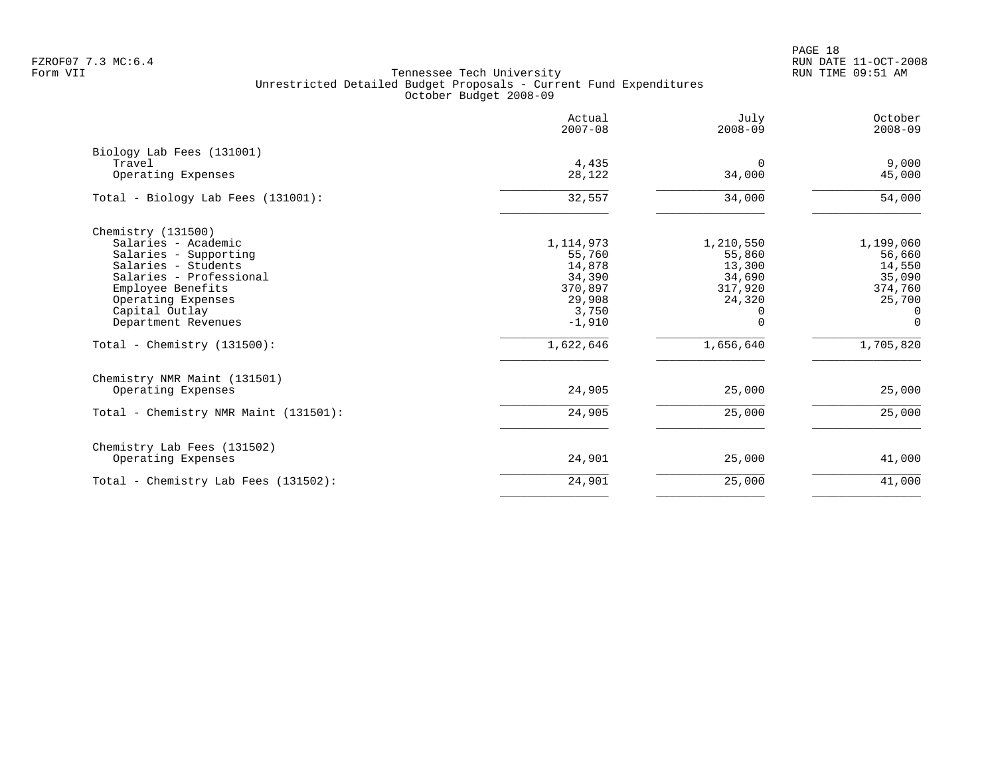PAGE 18 FZROF07 7.3 MC:6.4 RUN DATE 11-OCT-2008

| Actual      | July        | October     |
|-------------|-------------|-------------|
| $2007 - 08$ | $2008 - 09$ | $2008 - 09$ |
| 4,435       | $\Omega$    | 9,000       |
| 28,122      | 34,000      | 45,000      |
| 32,557      | 34,000      | 54,000      |
| 1, 114, 973 | 1,210,550   | 1,199,060   |
| 55,760      | 55,860      | 56,660      |
| 14,878      | 13,300      | 14,550      |
| 34,390      | 34,690      | 35,090      |
| 370,897     | 317,920     | 374,760     |
| 29,908      | 24,320      | 25,700      |
| 3,750       | 0           | 0           |
| $-1,910$    | $\Omega$    | $\Omega$    |
| 1,622,646   | 1,656,640   | 1,705,820   |
| 24,905      | 25,000      | 25,000      |
| 24,905      | 25,000      | 25,000      |
| 24,901      | 25,000      | 41,000      |
| 24,901      | 25,000      | 41,000      |
|             |             |             |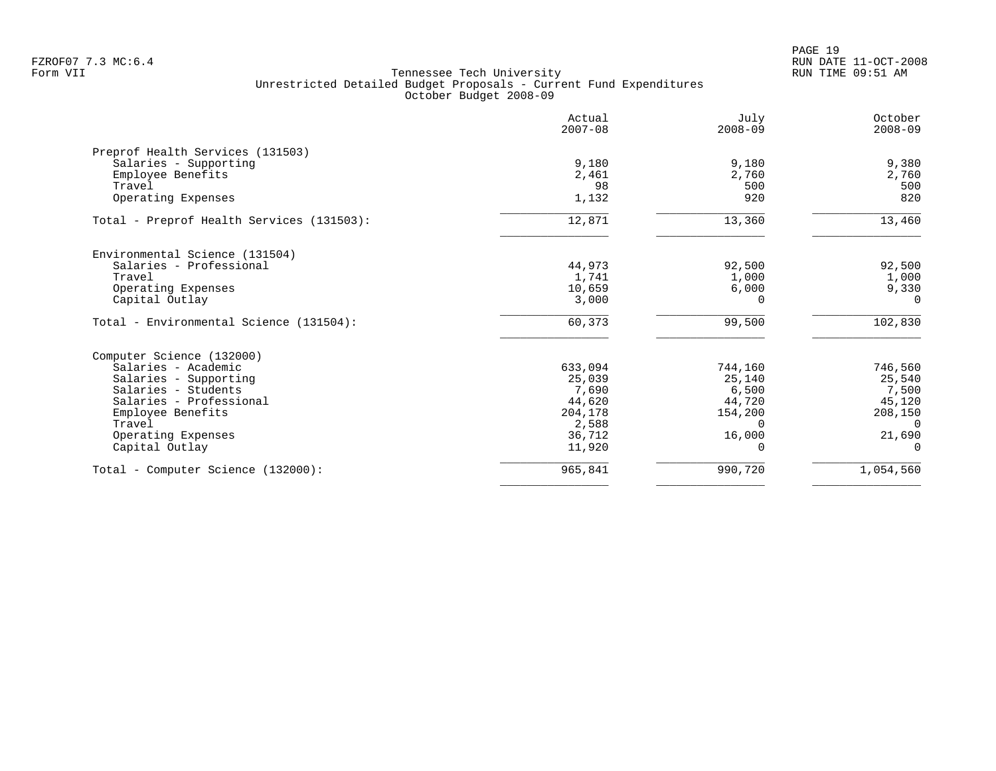|                                           | Actual<br>$2007 - 08$ | July<br>$2008 - 09$ | October<br>$2008 - 09$ |
|-------------------------------------------|-----------------------|---------------------|------------------------|
| Preprof Health Services (131503)          |                       |                     |                        |
| Salaries - Supporting                     | 9,180                 | 9,180               | 9,380                  |
| Employee Benefits                         | 2,461                 | 2,760               | 2,760                  |
| Travel                                    | 98                    | 500                 | 500                    |
| Operating Expenses                        | 1,132                 | 920                 | 820                    |
| Total - Preprof Health Services (131503): | 12,871                | 13,360              | 13,460                 |
| Environmental Science (131504)            |                       |                     |                        |
| Salaries - Professional                   | 44,973                | 92,500              | 92,500                 |
| Travel                                    | 1,741                 | 1,000               | 1,000                  |
| Operating Expenses                        | 10,659                | 6,000               | 9,330                  |
| Capital Outlay                            | 3,000                 | 0                   | $\Omega$               |
| Total - Environmental Science (131504):   | 60,373                | 99,500              | 102,830                |
| Computer Science (132000)                 |                       |                     |                        |
| Salaries - Academic                       | 633,094               | 744,160             | 746,560                |
| Salaries - Supporting                     | 25,039                | 25,140              | 25,540                 |
| Salaries - Students                       | 7,690                 | 6,500               | 7,500                  |
| Salaries - Professional                   | 44,620                | 44,720              | 45,120                 |
| Employee Benefits                         | 204,178               | 154,200             | 208,150                |
| Travel                                    | 2,588                 | $\Omega$            | $\Omega$               |
| Operating Expenses                        | 36,712                | 16,000              | 21,690                 |
| Capital Outlay                            | 11,920                | O                   | $\Omega$               |
| Total - Computer Science (132000):        | 965,841               | 990,720             | 1,054,560              |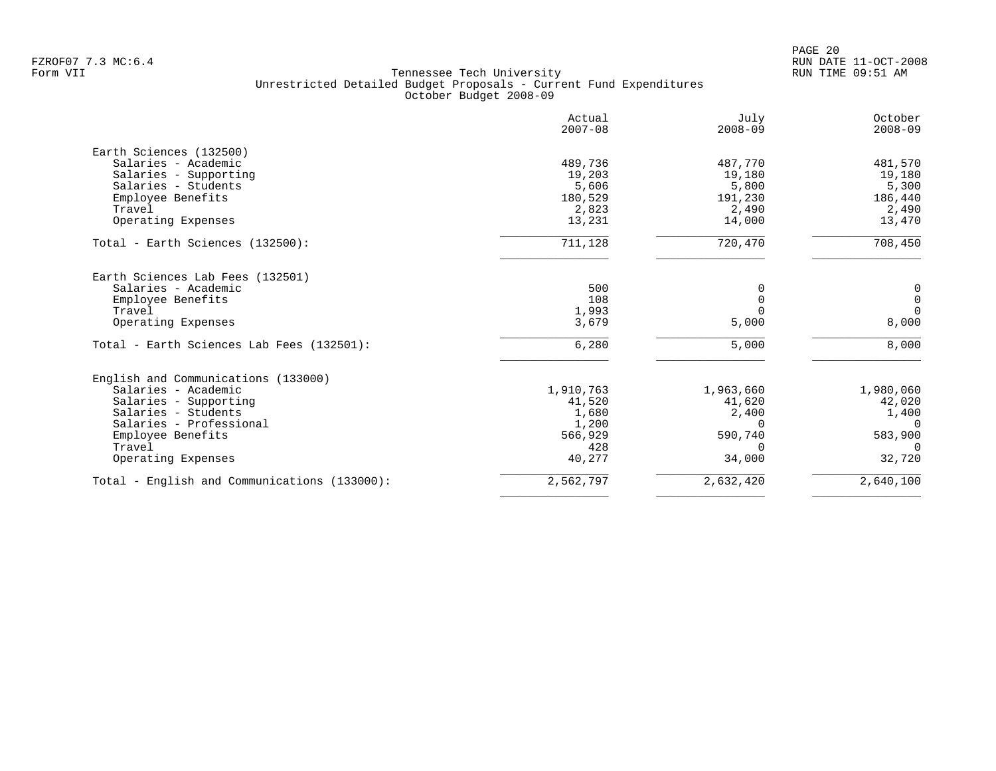PAGE 20 FZROF07 7.3 MC:6.4 RUN DATE 11-OCT-2008

|                                           | Actual<br>$2007 - 08$ | July<br>$2008 - 09$ | October<br>$2008 - 09$ |
|-------------------------------------------|-----------------------|---------------------|------------------------|
| Earth Sciences (132500)                   |                       |                     |                        |
| Salaries - Academic                       | 489,736               | 487,770             | 481,570                |
| Salaries - Supporting                     | 19,203                | 19,180              | 19,180                 |
| Salaries - Students                       | 5,606                 | 5,800               | 5,300                  |
| Employee Benefits                         | 180,529               | 191,230             | 186,440                |
| Travel                                    | 2,823                 | 2,490               | 2,490                  |
| Operating Expenses                        | 13,231                | 14,000              | 13,470                 |
| Total - Earth Sciences (132500):          | 711,128               | 720,470             | 708,450                |
| Earth Sciences Lab Fees (132501)          |                       |                     |                        |
| Salaries - Academic                       | 500                   | O                   | 0                      |
| Employee Benefits                         | 108                   | $\Omega$            | $\mathbf 0$            |
| Travel                                    | 1,993                 | $\Omega$            | $\Omega$               |
| Operating Expenses                        | 3,679                 | 5,000               | 8,000                  |
| Total - Earth Sciences Lab Fees (132501): | 6,280                 | 5,000               | 8,000                  |
| English and Communications (133000)       |                       |                     |                        |
| Salaries - Academic                       | 1,910,763             | 1,963,660           | 1,980,060              |
| Salaries - Supporting                     | 41,520                | 41,620              | 42,020                 |
| Salaries - Students                       | 1,680                 | 2,400               | 1,400                  |
| Salaries - Professional                   | 1,200                 | $\Omega$            | $\Omega$               |
| Employee Benefits                         | 566,929               | 590,740             | 583,900                |
| Travel                                    | 428                   | $\Omega$            | $\Omega$               |
| Operating Expenses                        | 40,277                | 34,000              | 32,720                 |
|                                           |                       |                     | 2,640,100              |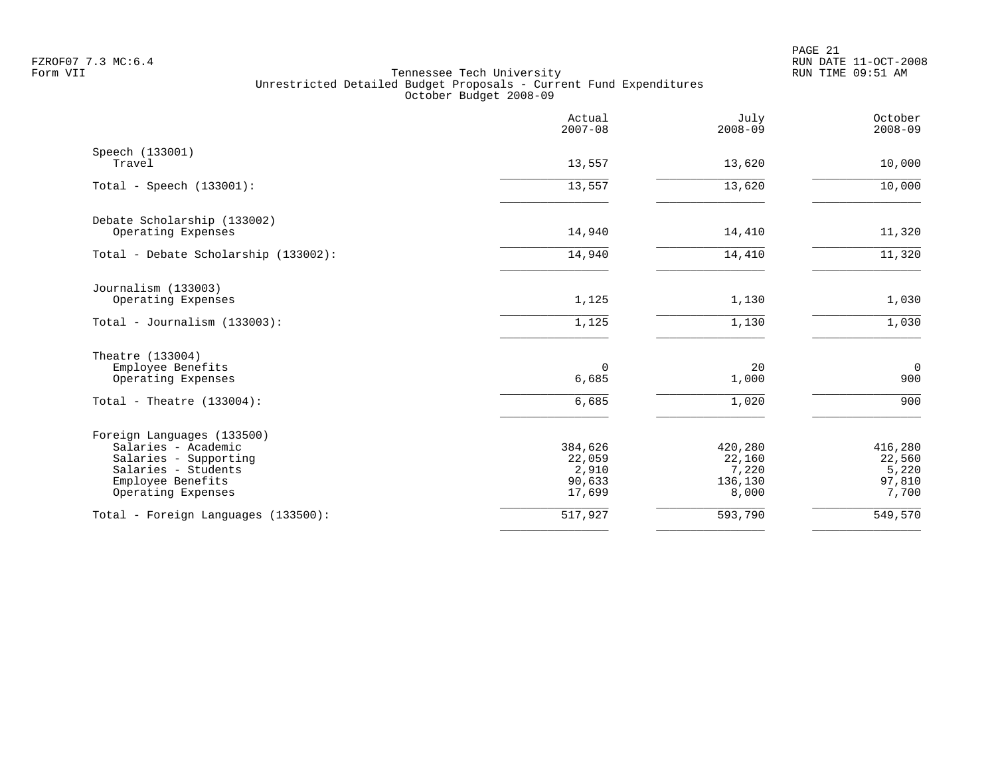|                                                                                                                                              | Actual<br>$2007 - 08$                          | July<br>$2008 - 09$                            | October<br>$2008 - 09$                        |
|----------------------------------------------------------------------------------------------------------------------------------------------|------------------------------------------------|------------------------------------------------|-----------------------------------------------|
| Speech (133001)<br>Travel                                                                                                                    | 13,557                                         | 13,620                                         | 10,000                                        |
| Total - Speech $(133001)$ :                                                                                                                  | 13,557                                         | 13,620                                         | 10,000                                        |
| Debate Scholarship (133002)<br>Operating Expenses                                                                                            | 14,940                                         | 14,410                                         | 11,320                                        |
| Total - Debate Scholarship (133002):                                                                                                         | 14,940                                         | 14,410                                         | 11,320                                        |
| Journalism (133003)<br>Operating Expenses                                                                                                    | 1,125                                          | 1,130                                          | 1,030                                         |
| Total - Journalism (133003):                                                                                                                 | 1,125                                          | 1,130                                          | 1,030                                         |
| Theatre (133004)<br>Employee Benefits<br>Operating Expenses                                                                                  | 0<br>6,685                                     | 20<br>1,000                                    | $\mathbf 0$<br>900                            |
| Total - Theatre $(133004)$ :                                                                                                                 | 6,685                                          | 1,020                                          | 900                                           |
| Foreign Languages (133500)<br>Salaries - Academic<br>Salaries - Supporting<br>Salaries - Students<br>Employee Benefits<br>Operating Expenses | 384,626<br>22,059<br>2,910<br>90,633<br>17,699 | 420,280<br>22,160<br>7,220<br>136,130<br>8,000 | 416,280<br>22,560<br>5,220<br>97,810<br>7,700 |
| Total - Foreign Languages (133500):                                                                                                          | 517,927                                        | 593,790                                        | 549,570                                       |
|                                                                                                                                              |                                                |                                                |                                               |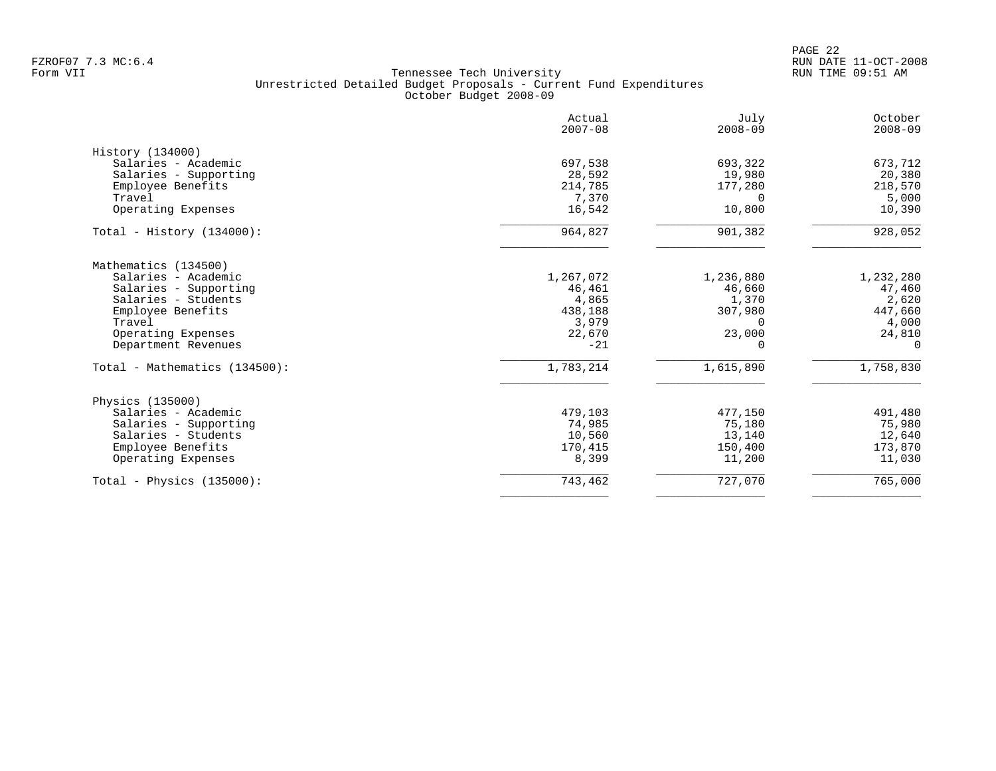PAGE 22 FZROF07 7.3 MC:6.4 RUN DATE 11-OCT-2008

|                               | Actual<br>$2007 - 08$ | July<br>$2008 - 09$ | October<br>$2008 - 09$ |
|-------------------------------|-----------------------|---------------------|------------------------|
| History (134000)              |                       |                     |                        |
| Salaries - Academic           | 697,538               | 693,322             | 673,712                |
| Salaries - Supporting         | 28,592                | 19,980              | 20,380                 |
| Employee Benefits             | 214,785               | 177,280             | 218,570                |
| Travel                        | 7,370                 | $\Omega$            | 5,000                  |
| Operating Expenses            | 16,542                | 10,800              | 10,390                 |
| Total - History $(134000)$ :  | 964,827               | 901,382             | 928,052                |
| Mathematics (134500)          |                       |                     |                        |
| Salaries - Academic           | 1,267,072             | 1,236,880           | 1,232,280              |
| Salaries - Supporting         | 46,461                | 46,660              | 47,460                 |
| Salaries - Students           | 4,865                 | 1,370               | 2,620                  |
| Employee Benefits             | 438,188               | 307,980             | 447,660                |
| Travel                        | 3,979                 | $\Omega$            | 4,000                  |
| Operating Expenses            | 22,670                | 23,000              | 24,810                 |
| Department Revenues           | $-21$                 | <sup>0</sup>        | 0                      |
| Total - Mathematics (134500): | 1,783,214             | 1,615,890           | 1,758,830              |
| Physics (135000)              |                       |                     |                        |
| Salaries - Academic           | 479,103               | 477,150             | 491,480                |
| Salaries - Supporting         | 74,985                | 75,180              | 75,980                 |
| Salaries - Students           | 10,560                | 13,140              | 12,640                 |
| Employee Benefits             | 170,415               | 150,400             | 173,870                |
| Operating Expenses            | 8,399                 | 11,200              | 11,030                 |
| Total - Physics $(135000)$ :  | 743,462               | 727,070             | 765,000                |
|                               |                       |                     |                        |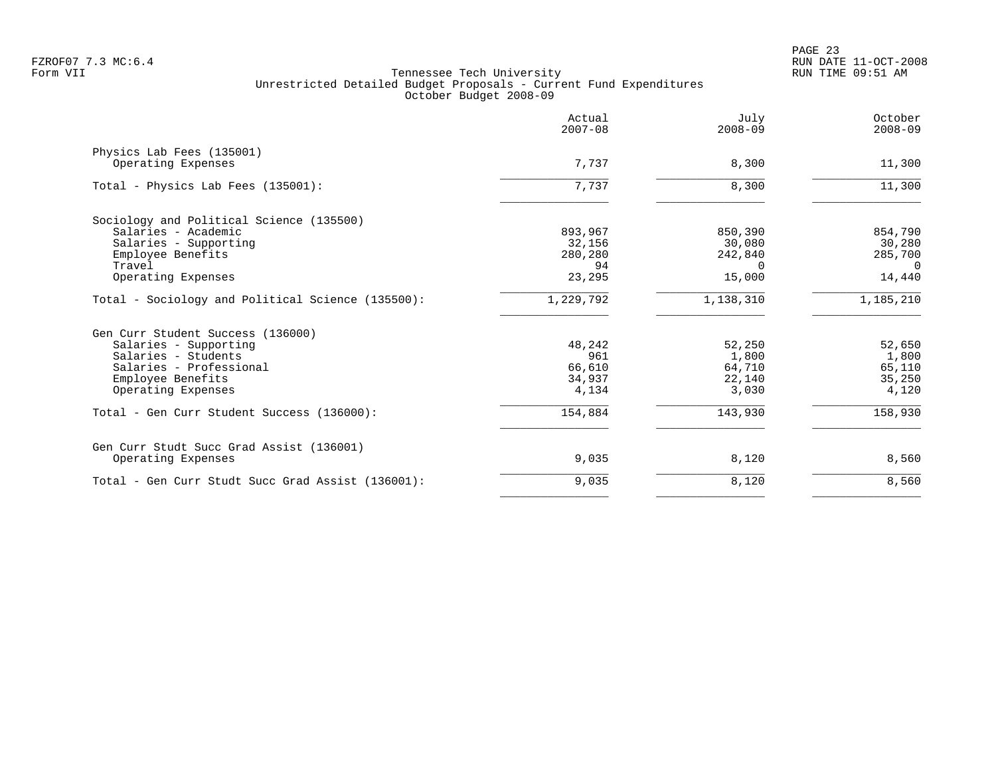|                                                   | Actual<br>$2007 - 08$ | July<br>$2008 - 09$ | October<br>$2008 - 09$ |
|---------------------------------------------------|-----------------------|---------------------|------------------------|
| Physics Lab Fees (135001)                         |                       |                     |                        |
| Operating Expenses                                | 7,737                 | 8,300               | 11,300                 |
| Total - Physics Lab Fees (135001):                | 7,737                 | 8,300               | 11,300                 |
| Sociology and Political Science (135500)          |                       |                     |                        |
| Salaries - Academic                               | 893,967               | 850,390             | 854,790                |
| Salaries - Supporting                             | 32,156                | 30,080              | 30,280                 |
| Employee Benefits                                 | 280,280               | 242,840             | 285,700                |
| Travel                                            | 94                    | $\Omega$            | $\Omega$               |
| Operating Expenses                                | 23,295                | 15,000              | 14,440                 |
| Total - Sociology and Political Science (135500): | 1,229,792             | 1,138,310           | 1,185,210              |
| Gen Curr Student Success (136000)                 |                       |                     |                        |
| Salaries - Supporting                             | 48,242                | 52,250              | 52,650                 |
| Salaries - Students                               | 961                   | 1,800               | 1,800                  |
| Salaries - Professional                           | 66,610                | 64,710              | 65,110                 |
| Employee Benefits                                 | 34,937                | 22,140              | 35,250                 |
| Operating Expenses                                | 4,134                 | 3,030               | 4,120                  |
| Total - Gen Curr Student Success (136000):        | 154,884               | 143,930             | 158,930                |
| Gen Curr Studt Succ Grad Assist (136001)          |                       |                     |                        |
| Operating Expenses                                | 9,035                 | 8,120               | 8,560                  |
| Total - Gen Curr Studt Succ Grad Assist (136001): | 9,035                 | 8,120               | 8,560                  |
|                                                   |                       |                     |                        |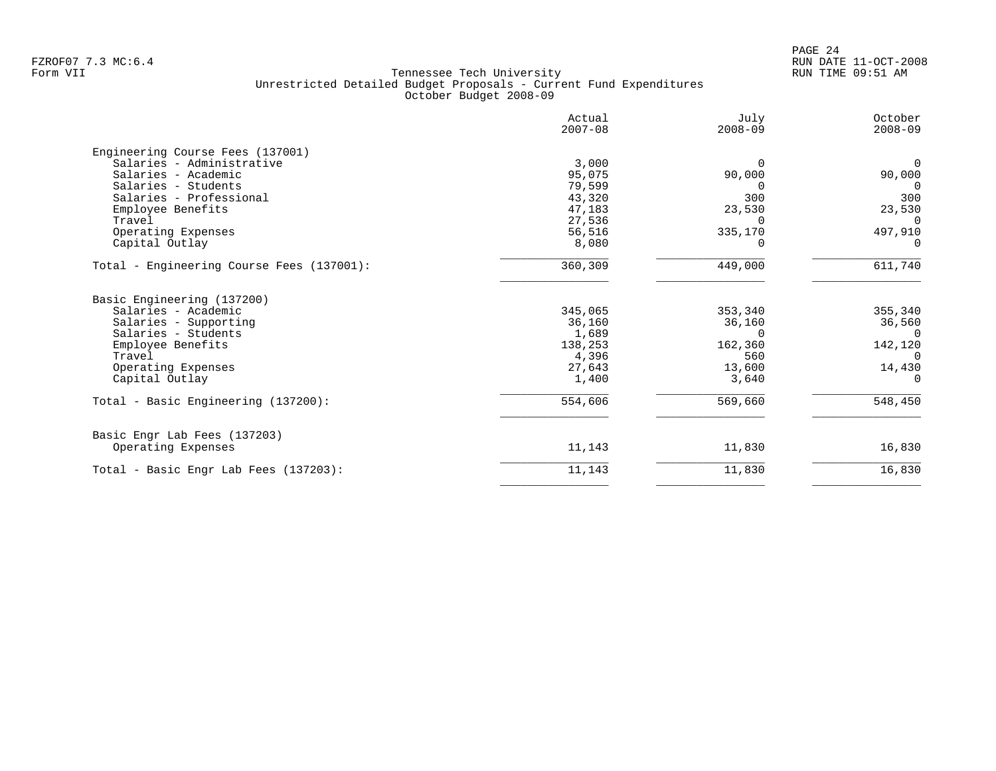|                                           | Actual<br>$2007 - 08$ | July<br>$2008 - 09$ | October<br>$2008 - 09$ |
|-------------------------------------------|-----------------------|---------------------|------------------------|
| Engineering Course Fees (137001)          |                       |                     |                        |
| Salaries - Administrative                 | 3,000                 | $\Omega$            | $\overline{0}$         |
| Salaries - Academic                       | 95,075                | 90,000              | 90,000                 |
| Salaries - Students                       | 79,599                | $\Omega$            | $\Omega$               |
| Salaries - Professional                   | 43,320                | 300                 | 300                    |
| Employee Benefits                         | 47,183                | 23,530              | 23,530                 |
| Travel                                    | 27,536                | $\Omega$            | $\Omega$               |
| Operating Expenses                        | 56,516                | 335,170             | 497,910                |
| Capital Outlay                            | 8,080                 | $\Omega$            | $\Omega$               |
| Total - Engineering Course Fees (137001): | 360,309               | 449,000             | 611,740                |
| Basic Engineering (137200)                |                       |                     |                        |
| Salaries - Academic                       | 345,065               | 353,340             | 355,340                |
| Salaries - Supporting                     | 36,160                | 36,160              | 36,560                 |
| Salaries - Students                       | 1,689                 | $\Omega$            | $\Omega$               |
| Employee Benefits                         | 138,253               | 162,360             | 142,120                |
| Travel                                    | 4,396                 | 560                 | $\Omega$               |
| Operating Expenses                        | 27,643                | 13,600              | 14,430                 |
| Capital Outlay                            | 1,400                 | 3,640               | $\Omega$               |
| Total - Basic Engineering (137200):       | 554,606               | 569,660             | 548,450                |
| Basic Engr Lab Fees (137203)              |                       |                     |                        |
| Operating Expenses                        | 11,143                | 11,830              | 16,830                 |
| Total - Basic Engr Lab Fees (137203):     | 11,143                | 11,830              | 16,830                 |
|                                           |                       |                     |                        |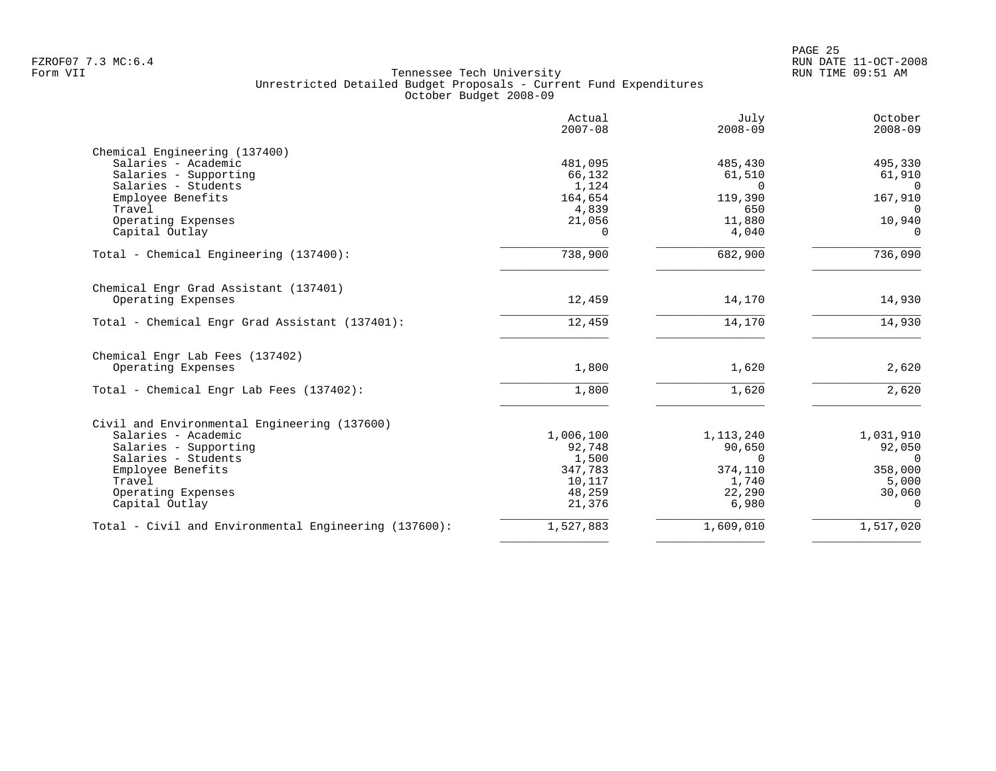|                                                       | Actual<br>$2007 - 08$ | July<br>$2008 - 09$ | October<br>$2008 - 09$ |
|-------------------------------------------------------|-----------------------|---------------------|------------------------|
| Chemical Engineering (137400)                         |                       |                     |                        |
| Salaries - Academic                                   | 481,095               | 485,430             | 495,330                |
| Salaries - Supporting                                 | 66,132                | 61,510              | 61,910                 |
| Salaries - Students                                   | 1,124                 | $\Omega$            | $\Omega$               |
| Employee Benefits                                     | 164,654               | 119,390             | 167,910                |
| Travel                                                | 4,839                 | 650                 | $\Omega$               |
| Operating Expenses                                    | 21,056                | 11,880              | 10,940                 |
| Capital Outlay                                        | $\Omega$              | 4,040               | $\Omega$               |
| Total - Chemical Engineering (137400):                | 738,900               | 682,900             | 736,090                |
| Chemical Engr Grad Assistant (137401)                 |                       |                     |                        |
| Operating Expenses                                    | 12,459                | 14,170              | 14,930                 |
| Total - Chemical Engr Grad Assistant (137401):        | 12,459                | 14,170              | 14,930                 |
| Chemical Engr Lab Fees (137402)                       |                       |                     |                        |
| Operating Expenses                                    | 1,800                 | 1,620               | 2,620                  |
| Total - Chemical Engr Lab Fees (137402):              | 1,800                 | 1,620               | 2,620                  |
| Civil and Environmental Engineering (137600)          |                       |                     |                        |
| Salaries - Academic                                   | 1,006,100             | 1, 113, 240         | 1,031,910              |
| Salaries - Supporting                                 | 92,748                | 90,650              | 92,050                 |
| Salaries - Students                                   | 1,500                 | $\Omega$            | $\Omega$               |
| Employee Benefits                                     | 347,783               | 374,110             | 358,000                |
| Travel                                                | 10,117                | 1,740               | 5,000                  |
| Operating Expenses                                    | 48,259                | 22,290              | 30,060                 |
| Capital Outlay                                        | 21,376                | 6,980               | $\Omega$               |
|                                                       | 1,527,883             | 1,609,010           | 1,517,020              |
| Total - Civil and Environmental Engineering (137600): |                       |                     |                        |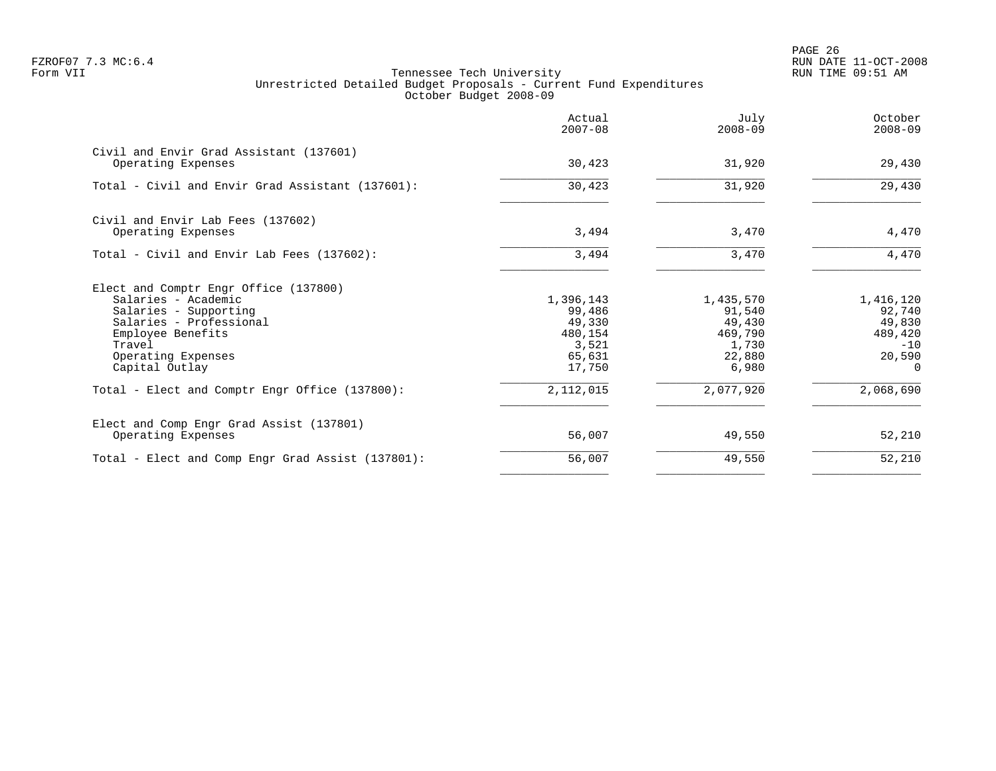PAGE 26 FZROF07 7.3 MC:6.4 RUN DATE 11-OCT-2008

|                                                                                    | $2008 - 09$                                                                       | $2008 - 09$                                                                          |
|------------------------------------------------------------------------------------|-----------------------------------------------------------------------------------|--------------------------------------------------------------------------------------|
| 30,423                                                                             | 31,920                                                                            | 29,430                                                                               |
| 30,423                                                                             | 31,920                                                                            | 29,430                                                                               |
| 3,494                                                                              | 3,470                                                                             | 4,470                                                                                |
| 3,494                                                                              | 3,470                                                                             | 4,470                                                                                |
| 1,396,143<br>99,486<br>49,330<br>480,154<br>3,521<br>65,631<br>17,750<br>2,112,015 | 1,435,570<br>91,540<br>49,430<br>469,790<br>1,730<br>22,880<br>6,980<br>2,077,920 | 1,416,120<br>92,740<br>49,830<br>489,420<br>$-10$<br>20,590<br>$\Omega$<br>2,068,690 |
| 56,007                                                                             | 49,550                                                                            | 52,210                                                                               |
| 56,007                                                                             | 49,550                                                                            | 52,210                                                                               |
|                                                                                    |                                                                                   |                                                                                      |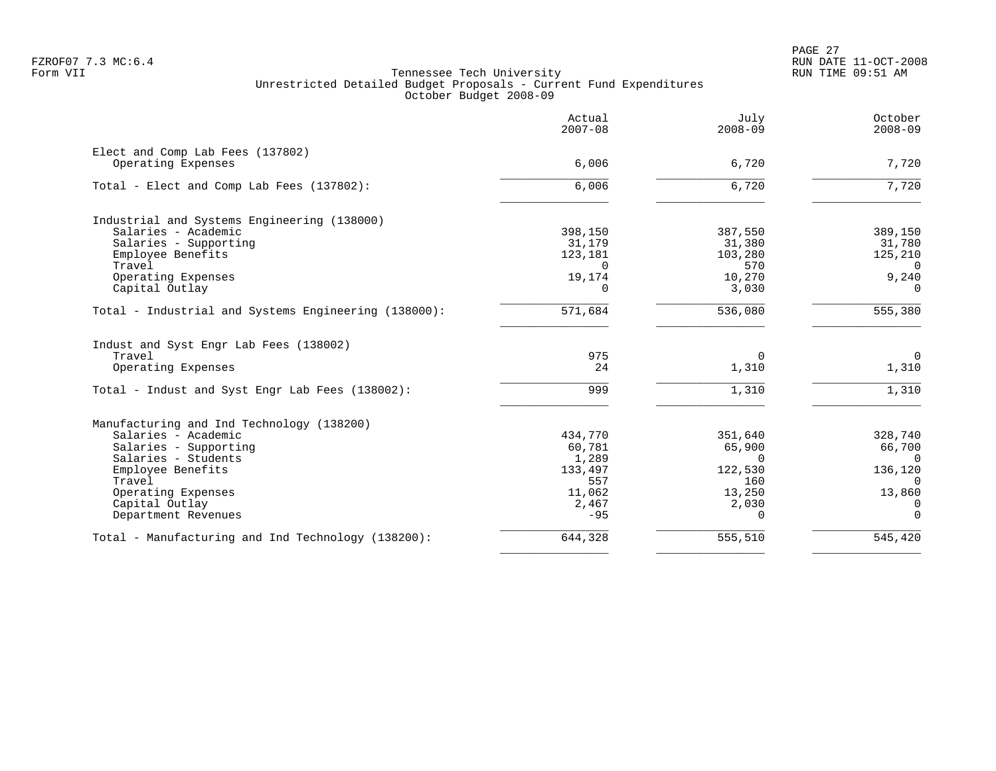|                                                                           | Actual<br>$2007 - 08$ | July<br>$2008 - 09$ | October<br>$2008 - 09$ |
|---------------------------------------------------------------------------|-----------------------|---------------------|------------------------|
| Elect and Comp Lab Fees (137802)                                          |                       |                     |                        |
| Operating Expenses                                                        | 6,006                 | 6,720               | 7,720                  |
| Total - Elect and Comp Lab Fees (137802):                                 | 6,006                 | 6,720               | 7,720                  |
| Industrial and Systems Engineering (138000)                               |                       |                     |                        |
| Salaries - Academic                                                       | 398,150               | 387,550             | 389,150                |
| Salaries - Supporting                                                     | 31,179                | 31,380              | 31,780                 |
| Employee Benefits                                                         | 123,181               | 103,280             | 125,210                |
| Travel                                                                    | $\Omega$              | 570                 | $\Omega$               |
| Operating Expenses                                                        | 19,174                | 10,270              | 9,240                  |
| Capital Outlay                                                            | 0                     | 3,030               | 0                      |
| Total - Industrial and Systems Engineering (138000):                      | 571,684               | 536,080             | 555,380                |
| Indust and Syst Engr Lab Fees (138002)                                    |                       |                     |                        |
| Travel                                                                    | 975                   | $\Omega$            | $\Omega$               |
| Operating Expenses                                                        | 24                    | 1,310               | 1,310                  |
| Total - Indust and Syst Engr Lab Fees (138002):                           | 999                   | 1,310               | 1,310                  |
| Manufacturing and Ind Technology (138200)                                 |                       |                     |                        |
| Salaries - Academic                                                       | 434,770               | 351,640             | 328,740                |
| Salaries - Supporting                                                     | 60,781                | 65,900              | 66,700                 |
| Salaries - Students                                                       | 1,289                 | $\Omega$            | $\Omega$               |
| Employee Benefits                                                         | 133,497               | 122,530             | 136,120                |
| Travel                                                                    | 557                   | 160                 | $\Omega$               |
| Operating Expenses                                                        | 11,062                | 13,250              | 13,860                 |
| Capital Outlay                                                            | 2,467                 | 2,030               | $\Omega$               |
|                                                                           |                       |                     | $\Omega$               |
|                                                                           | 644,328               | 555,510             | 545,420                |
| Department Revenues<br>Total - Manufacturing and Ind Technology (138200): | $-95$                 | $\Omega$            |                        |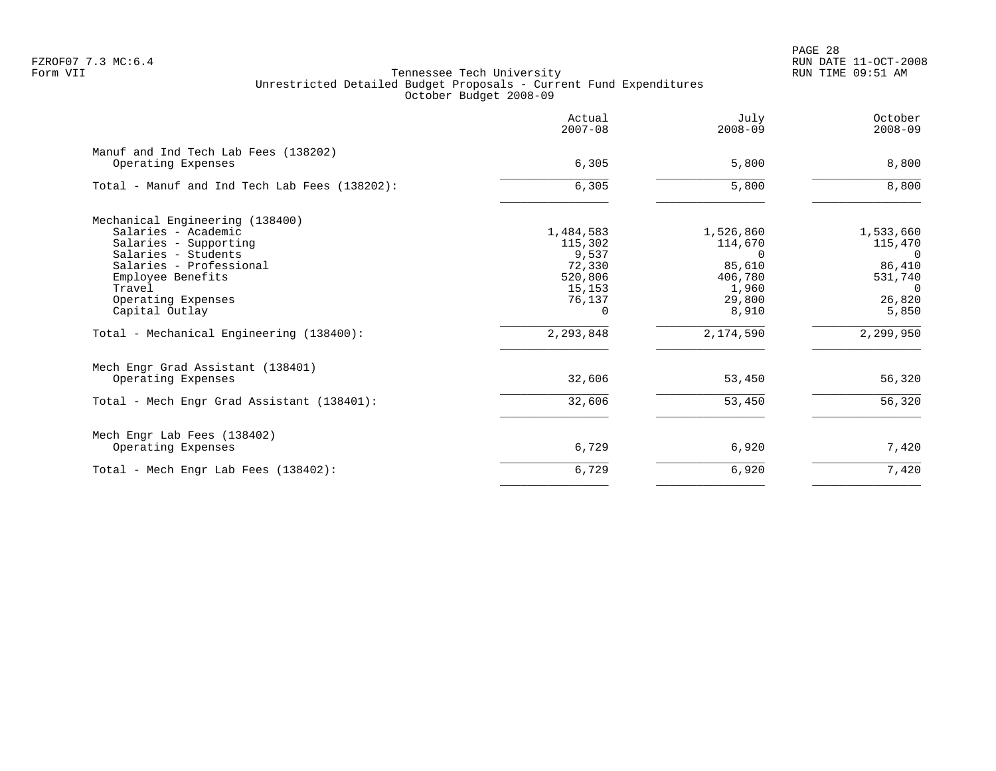PAGE 28 FZROF07 7.3 MC:6.4 RUN DATE 11-OCT-2008

|                                                            | Actual<br>$2007 - 08$ | July<br>$2008 - 09$ | October<br>$2008 - 09$ |
|------------------------------------------------------------|-----------------------|---------------------|------------------------|
| Manuf and Ind Tech Lab Fees (138202)<br>Operating Expenses | 6,305                 | 5,800               | 8,800                  |
| Total - Manuf and Ind Tech Lab Fees (138202):              | 6, 305                | 5,800               | 8,800                  |
| Mechanical Engineering (138400)                            |                       |                     |                        |
| Salaries - Academic                                        | 1,484,583             | 1,526,860           | 1,533,660              |
| Salaries - Supporting                                      | 115,302               | 114,670             | 115,470                |
| Salaries - Students                                        | 9,537                 | $\Omega$            | $\Omega$               |
| Salaries - Professional                                    | 72,330<br>520,806     | 85,610              | 86,410                 |
| Employee Benefits<br>Travel                                | 15,153                | 406,780<br>1,960    | 531,740<br>$\Omega$    |
| Operating Expenses                                         | 76,137                | 29,800              | 26,820                 |
| Capital Outlay                                             | $\Omega$              | 8,910               | 5,850                  |
| Total - Mechanical Engineering (138400):                   | 2,293,848             | 2,174,590           | 2,299,950              |
| Mech Engr Grad Assistant (138401)                          |                       |                     |                        |
| Operating Expenses                                         | 32,606                | 53,450              | 56,320                 |
| Total - Mech Engr Grad Assistant (138401):                 | 32,606                | 53,450              | 56,320                 |
| Mech Engr Lab Fees (138402)                                |                       |                     |                        |
| Operating Expenses                                         | 6,729                 | 6,920               | 7,420                  |
| Total - Mech Engr Lab Fees (138402):                       | 6,729                 | 6,920               | 7,420                  |
|                                                            |                       |                     |                        |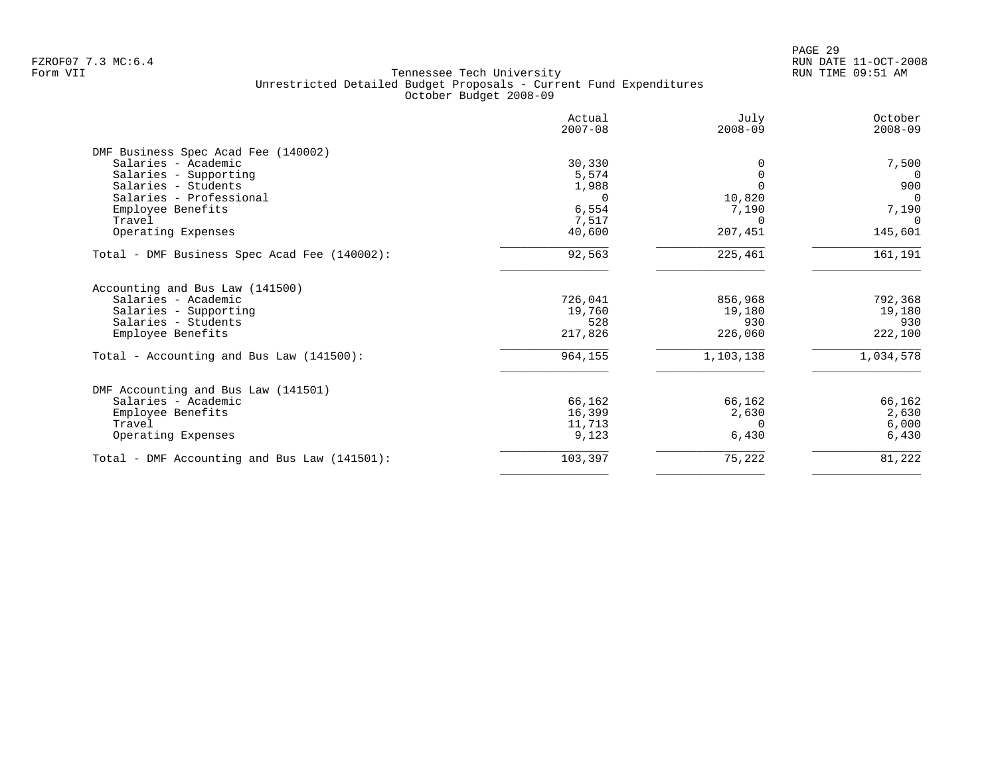|                                              | Actual<br>$2007 - 08$ | July<br>$2008 - 09$ | October<br>$2008 - 09$ |
|----------------------------------------------|-----------------------|---------------------|------------------------|
| DMF Business Spec Acad Fee (140002)          |                       |                     |                        |
| Salaries - Academic                          | 30,330                |                     | 7,500                  |
| Salaries - Supporting                        | 5,574                 |                     | $\Omega$               |
| Salaries - Students                          | 1,988                 |                     | 900                    |
| Salaries - Professional                      | $\Omega$              | 10,820              | $\Omega$               |
| Employee Benefits                            | 6,554                 | 7,190               | 7,190                  |
| Travel                                       | 7,517                 | $\Omega$            | $\Omega$               |
| Operating Expenses                           | 40,600                | 207,451             | 145,601                |
| Total - DMF Business Spec Acad Fee (140002): | 92,563                | 225,461             | 161,191                |
| Accounting and Bus Law (141500)              |                       |                     |                        |
| Salaries - Academic                          | 726,041               | 856,968             | 792,368                |
| Salaries - Supporting                        | 19,760                | 19,180              | 19,180                 |
| Salaries - Students                          | 528                   | 930                 | 930                    |
| Employee Benefits                            | 217,826               | 226,060             | 222,100                |
| Total - Accounting and Bus Law (141500):     | 964,155               | 1,103,138           | 1,034,578              |
| DMF Accounting and Bus Law (141501)          |                       |                     |                        |
| Salaries - Academic                          | 66,162                | 66,162              | 66,162                 |
| Employee Benefits                            | 16,399                | 2,630               | 2,630                  |
| Travel                                       | 11,713                | $\Omega$            | 6,000                  |
| Operating Expenses                           | 9,123                 | 6,430               | 6,430                  |
| Total - DMF Accounting and Bus Law (141501): | 103,397               | 75,222              | 81,222                 |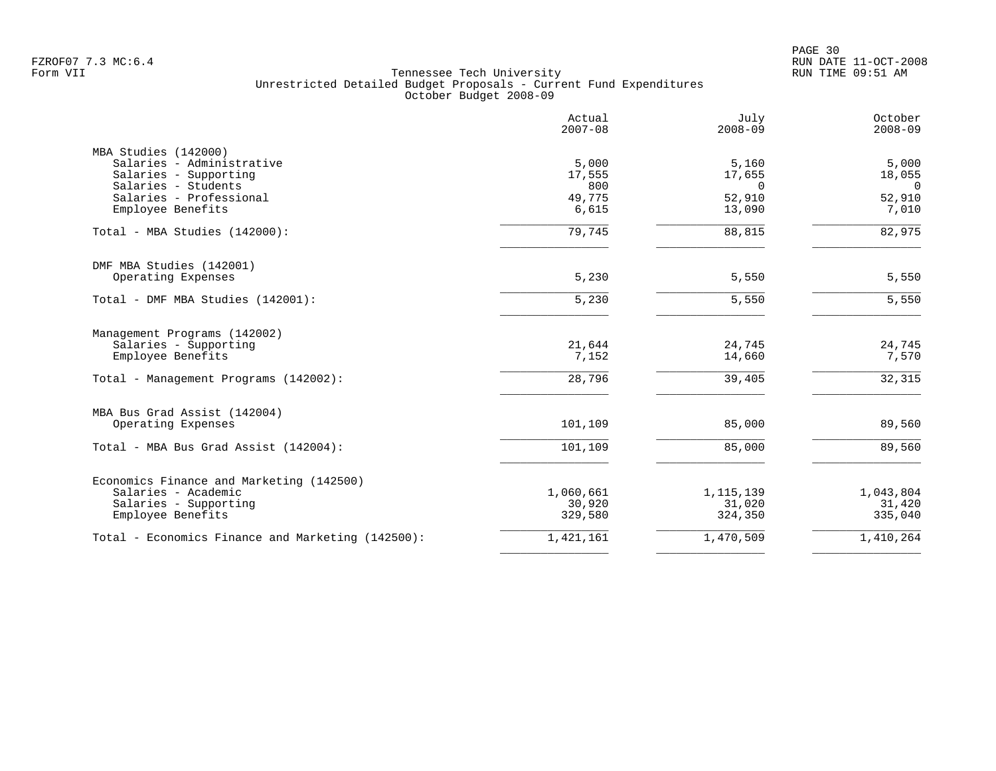|                                                   | Actual<br>$2007 - 08$ | July<br>$2008 - 09$ | October<br>$2008 - 09$ |
|---------------------------------------------------|-----------------------|---------------------|------------------------|
| MBA Studies (142000)                              |                       |                     |                        |
| Salaries - Administrative                         | 5,000                 | 5,160               | 5,000                  |
| Salaries - Supporting                             | 17,555                | 17,655              | 18,055                 |
| Salaries - Students                               | 800                   | $\Omega$            | $\Omega$               |
| Salaries - Professional                           | 49,775                | 52,910              | 52,910                 |
| Employee Benefits                                 | 6,615                 | 13,090              | 7,010                  |
| Total - MBA Studies (142000):                     | 79,745                | 88,815              | 82,975                 |
| DMF MBA Studies (142001)                          |                       |                     |                        |
| Operating Expenses                                | 5,230                 | 5,550               | 5,550                  |
| Total - DMF MBA Studies (142001):                 | 5,230                 | 5,550               | 5,550                  |
| Management Programs (142002)                      |                       |                     |                        |
| Salaries - Supporting                             | 21,644                | 24,745              | 24,745                 |
| Employee Benefits                                 | 7,152                 | 14,660              | 7,570                  |
| Total - Management Programs (142002):             | 28,796                | 39,405              | 32,315                 |
| MBA Bus Grad Assist (142004)                      |                       |                     |                        |
| Operating Expenses                                | 101,109               | 85,000              | 89,560                 |
| Total - MBA Bus Grad Assist (142004):             | 101,109               | 85,000              | 89,560                 |
| Economics Finance and Marketing (142500)          |                       |                     |                        |
| Salaries - Academic                               | 1,060,661             | 1, 115, 139         | 1,043,804              |
| Salaries - Supporting                             | 30,920                | 31,020              | 31,420                 |
| Employee Benefits                                 | 329,580               | 324,350             | 335,040                |
| Total - Economics Finance and Marketing (142500): | 1,421,161             | 1,470,509           | 1,410,264              |
|                                                   |                       |                     |                        |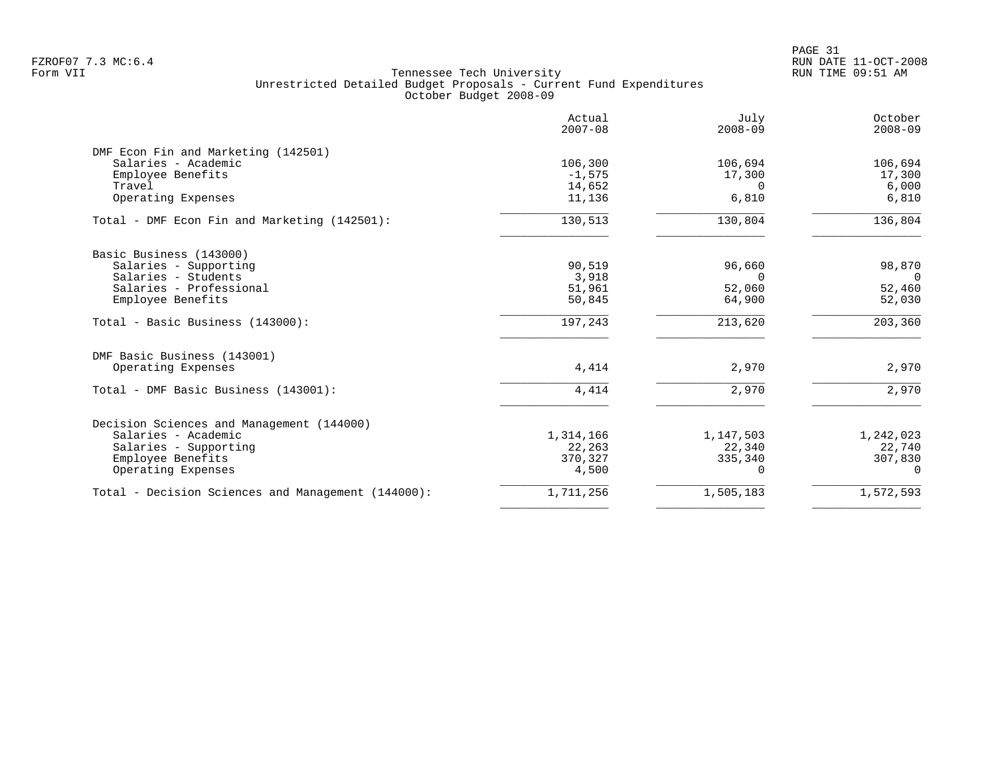PAGE 31 FZROF07 7.3 MC:6.4 RUN DATE 11-OCT-2008

|                                                    | Actual<br>$2007 - 08$ | July<br>$2008 - 09$ | October<br>$2008 - 09$ |
|----------------------------------------------------|-----------------------|---------------------|------------------------|
| DMF Econ Fin and Marketing (142501)                |                       |                     |                        |
| Salaries - Academic                                | 106,300               | 106,694             | 106,694                |
| Employee Benefits                                  | $-1,575$              | 17,300              | 17,300                 |
| Travel                                             | 14,652                | $\Omega$            | 6,000                  |
| Operating Expenses                                 | 11,136                | 6,810               | 6,810                  |
| Total - DMF Econ Fin and Marketing (142501):       | 130,513               | 130,804             | 136,804                |
| Basic Business (143000)                            |                       |                     |                        |
| Salaries - Supporting                              | 90,519                | 96,660              | 98,870                 |
| Salaries - Students                                | 3,918                 | $\Omega$            | $\Omega$               |
| Salaries - Professional                            | 51,961                | 52,060              | 52,460                 |
| Employee Benefits                                  | 50,845                | 64,900              | 52,030                 |
| Total - Basic Business (143000):                   | 197,243               | 213,620             | 203,360                |
| DMF Basic Business (143001)                        |                       |                     |                        |
| Operating Expenses                                 | 4,414                 | 2,970               | 2,970                  |
| Total - DMF Basic Business (143001):               | 4,414                 | 2,970               | 2,970                  |
| Decision Sciences and Management (144000)          |                       |                     |                        |
| Salaries - Academic                                | 1,314,166             | 1,147,503           | 1,242,023              |
| Salaries - Supporting                              | 22,263                | 22,340              | 22,740                 |
| Employee Benefits                                  | 370,327               | 335,340             | 307,830                |
| Operating Expenses                                 | 4,500                 | $\Omega$            | $\Omega$               |
| Total - Decision Sciences and Management (144000): | 1,711,256             | 1,505,183           | 1,572,593              |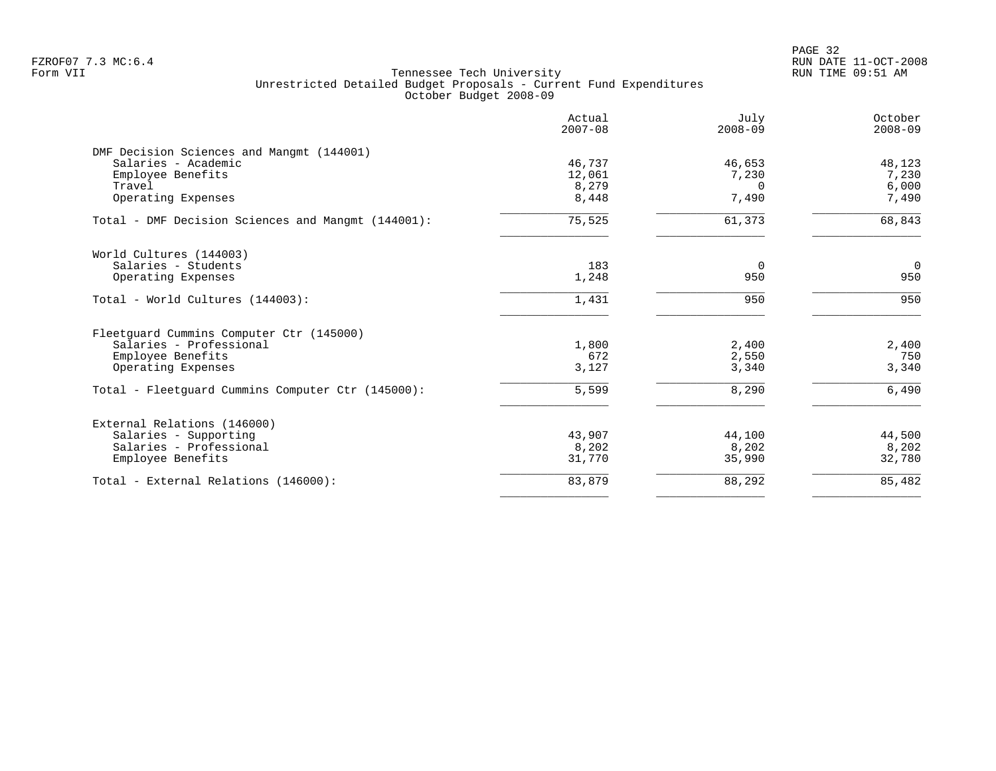PAGE 32 FZROF07 7.3 MC:6.4 RUN DATE 11-OCT-2008

| Actual<br>$2007 - 08$ | July<br>$2008 - 09$             | October<br>$2008 - 09$                                |
|-----------------------|---------------------------------|-------------------------------------------------------|
|                       |                                 |                                                       |
| 46,737                | 46,653                          | 48,123                                                |
| 12,061                | 7,230                           | 7,230                                                 |
| 8,279                 | $\Omega$                        | 6,000                                                 |
| 8,448                 | 7,490                           | 7,490                                                 |
| 75,525                | 61,373                          | 68,843                                                |
|                       |                                 |                                                       |
| 183                   | $\overline{0}$                  | $\mathbf 0$                                           |
| 1,248                 | 950                             | 950                                                   |
| 1,431                 | 950                             | 950                                                   |
|                       |                                 |                                                       |
|                       |                                 | 2,400                                                 |
|                       |                                 | 750                                                   |
| 3,127                 | 3,340                           | 3,340                                                 |
| 5,599                 | 8,290                           | 6,490                                                 |
|                       |                                 |                                                       |
|                       |                                 | 44,500                                                |
|                       |                                 | 8,202                                                 |
| 31,770                | 35,990                          | 32,780                                                |
|                       |                                 | 85,482                                                |
|                       | 1,800<br>672<br>43,907<br>8,202 | 2,400<br>2,550<br>44,100<br>8,202<br>83,879<br>88,292 |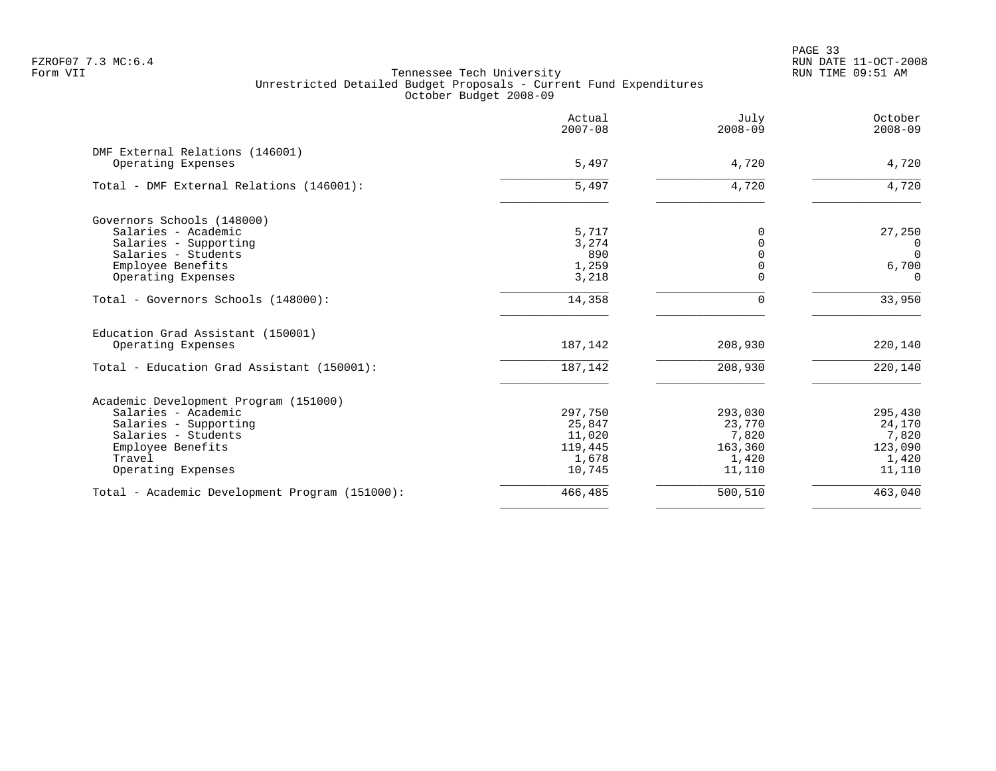PAGE 33 FZROF07 7.3 MC:6.4 RUN DATE 11-OCT-2008

|                                                       | Actual<br>$2007 - 08$ | July<br>$2008 - 09$ | October<br>$2008 - 09$ |
|-------------------------------------------------------|-----------------------|---------------------|------------------------|
| DMF External Relations (146001)<br>Operating Expenses | 5,497                 | 4,720               | 4,720                  |
|                                                       |                       |                     |                        |
| Total - DMF External Relations (146001):              | 5,497                 | 4,720               | 4,720                  |
| Governors Schools (148000)                            |                       |                     |                        |
| Salaries - Academic                                   | 5,717                 | 0                   | 27,250                 |
| Salaries - Supporting                                 | 3,274                 | $\Omega$            | $\Omega$               |
| Salaries - Students                                   | 890                   | $\Omega$            | $\Omega$               |
| Employee Benefits                                     | 1,259                 | $\Omega$            | 6,700                  |
| Operating Expenses                                    | 3,218                 |                     | $\Omega$               |
| Total - Governors Schools (148000):                   | 14,358                | $\Omega$            | 33,950                 |
| Education Grad Assistant (150001)                     |                       |                     |                        |
| Operating Expenses                                    | 187,142               | 208,930             | 220,140                |
| Total - Education Grad Assistant (150001):            | 187,142               | 208,930             | 220,140                |
| Academic Development Program (151000)                 |                       |                     |                        |
| Salaries - Academic                                   | 297,750               | 293,030             | 295,430                |
| Salaries - Supporting                                 | 25,847                | 23,770              | 24,170                 |
| Salaries - Students                                   | 11,020                | 7,820               | 7,820                  |
| Employee Benefits                                     | 119,445               | 163,360             | 123,090                |
| Travel                                                | 1,678                 | 1,420               | 1,420                  |
| Operating Expenses                                    | 10,745                | 11,110              | 11,110                 |
| Total - Academic Development Program (151000):        | 466,485               | 500,510             | 463,040                |
|                                                       |                       |                     |                        |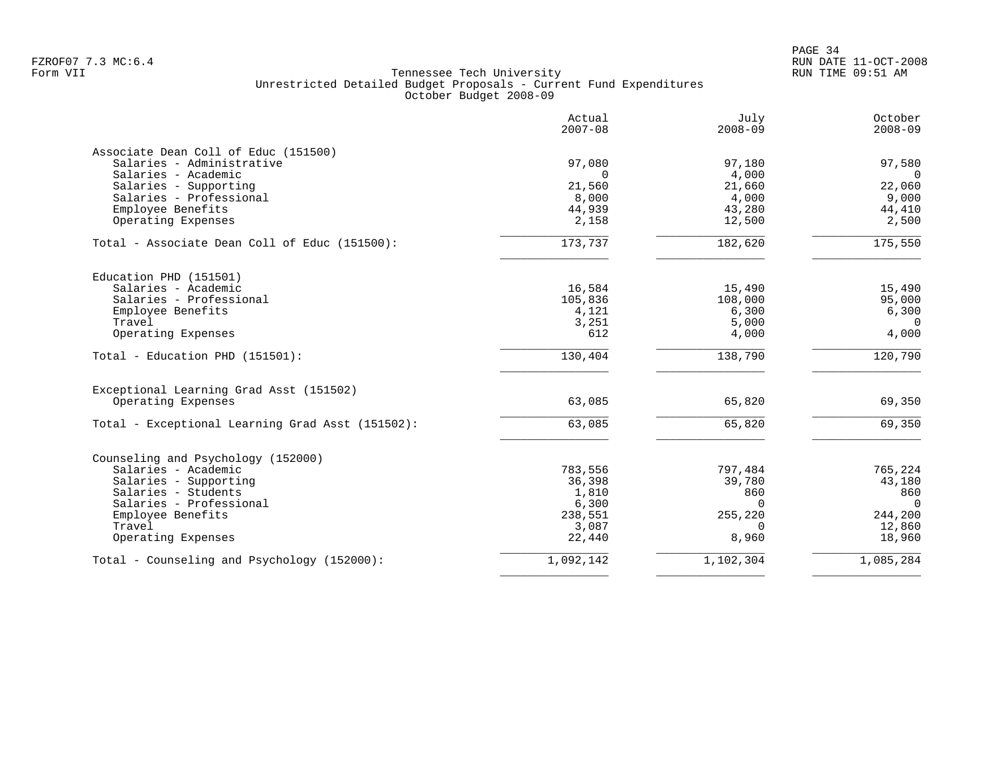PAGE 34 FZROF07 7.3 MC:6.4 RUN DATE 11-OCT-2008

|                                                  | Actual<br>$2007 - 08$ | July<br>$2008 - 09$ | October<br>$2008 - 09$ |
|--------------------------------------------------|-----------------------|---------------------|------------------------|
| Associate Dean Coll of Educ (151500)             |                       |                     |                        |
| Salaries - Administrative                        | 97,080                | 97,180              | 97,580                 |
| Salaries - Academic                              | $\Omega$              | 4,000               | $\overline{0}$         |
| Salaries - Supporting                            | 21,560                | 21,660              | 22,060                 |
| Salaries - Professional                          | 8,000                 | 4,000               | 9,000                  |
| Employee Benefits                                | 44,939                | 43,280              | 44,410                 |
| Operating Expenses                               | 2,158                 | 12,500              | 2,500                  |
| Total - Associate Dean Coll of Educ (151500):    | 173,737               | 182,620             | 175,550                |
| Education PHD (151501)                           |                       |                     |                        |
| Salaries - Academic                              | 16,584                | 15,490              | 15,490                 |
| Salaries - Professional                          | 105,836               | 108,000             | 95,000                 |
| Employee Benefits                                | 4,121                 | 6,300               | 6,300                  |
| Travel                                           | 3,251                 | 5,000               | $\overline{0}$         |
| Operating Expenses                               | 612                   | 4,000               | 4,000                  |
| Total - Education PHD (151501):                  | 130,404               | 138,790             | 120,790                |
| Exceptional Learning Grad Asst (151502)          |                       |                     |                        |
| Operating Expenses                               | 63,085                | 65,820              | 69,350                 |
| Total - Exceptional Learning Grad Asst (151502): | 63,085                | 65,820              | 69,350                 |
| Counseling and Psychology (152000)               |                       |                     |                        |
| Salaries - Academic                              | 783,556               | 797,484             | 765,224                |
| Salaries - Supporting                            | 36,398                | 39,780              | 43,180                 |
| Salaries - Students                              | 1,810                 | 860                 | 860                    |
| Salaries - Professional                          | 6,300                 | $\Omega$            | $\Omega$               |
| Employee Benefits                                | 238,551               | 255,220             | 244,200                |
| Travel                                           | 3,087                 | $\Omega$            | 12,860                 |
| Operating Expenses                               | 22,440                | 8,960               | 18,960                 |
| Total - Counseling and Psychology (152000):      | 1,092,142             | 1,102,304           | 1,085,284              |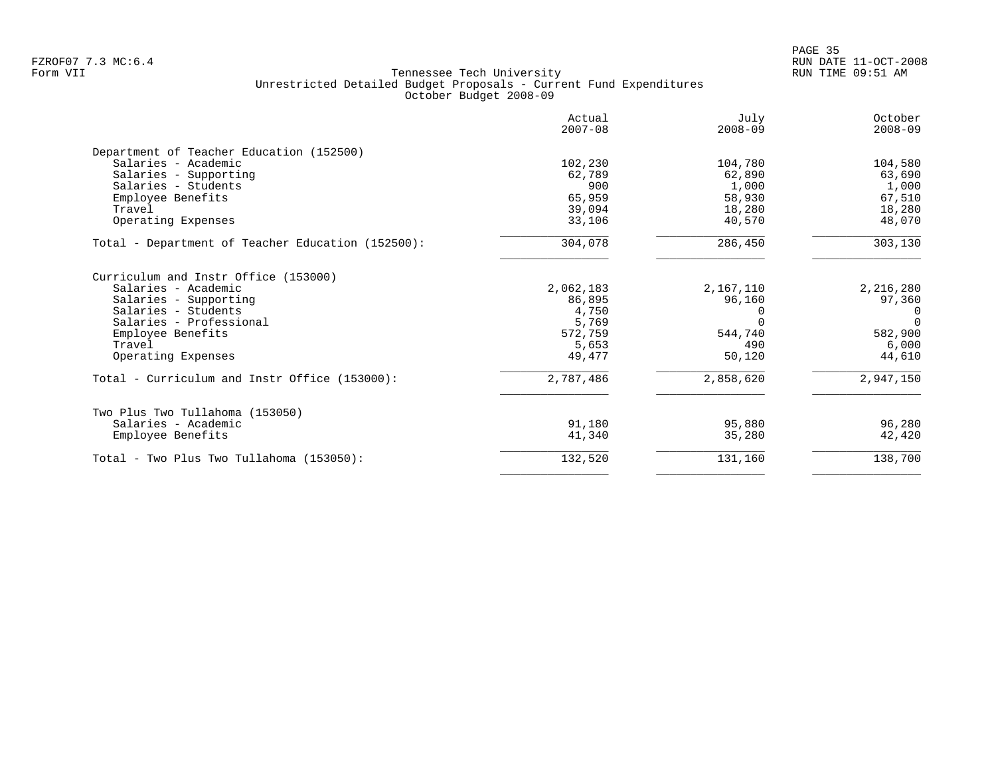| Actual<br>$2007 - 08$ | July<br>$2008 - 09$                                                         | October<br>$2008 - 09$                                  |
|-----------------------|-----------------------------------------------------------------------------|---------------------------------------------------------|
|                       |                                                                             |                                                         |
|                       |                                                                             | 104,580                                                 |
| 62,789                | 62,890                                                                      | 63,690                                                  |
| 900                   | 1,000                                                                       | 1,000                                                   |
| 65,959                | 58,930                                                                      | 67,510                                                  |
| 39,094                | 18,280                                                                      | 18,280                                                  |
| 33,106                | 40,570                                                                      | 48,070                                                  |
| 304,078               | 286,450                                                                     | 303,130                                                 |
|                       |                                                                             |                                                         |
| 2,062,183             | 2,167,110                                                                   | 2,216,280                                               |
|                       |                                                                             | 97,360                                                  |
|                       |                                                                             | $\Omega$                                                |
|                       |                                                                             | $\Omega$                                                |
|                       |                                                                             | 582,900                                                 |
|                       |                                                                             | 6,000                                                   |
|                       |                                                                             | 44,610                                                  |
| 2,787,486             | 2,858,620                                                                   | 2,947,150                                               |
|                       |                                                                             |                                                         |
|                       |                                                                             | 96,280                                                  |
| 41,340                | 35,280                                                                      | 42,420                                                  |
| 132,520               | 131,160                                                                     | 138,700                                                 |
|                       | 102,230<br>86,895<br>4,750<br>5,769<br>572,759<br>5,653<br>49,477<br>91,180 | 104,780<br>96,160<br>544,740<br>490<br>50,120<br>95,880 |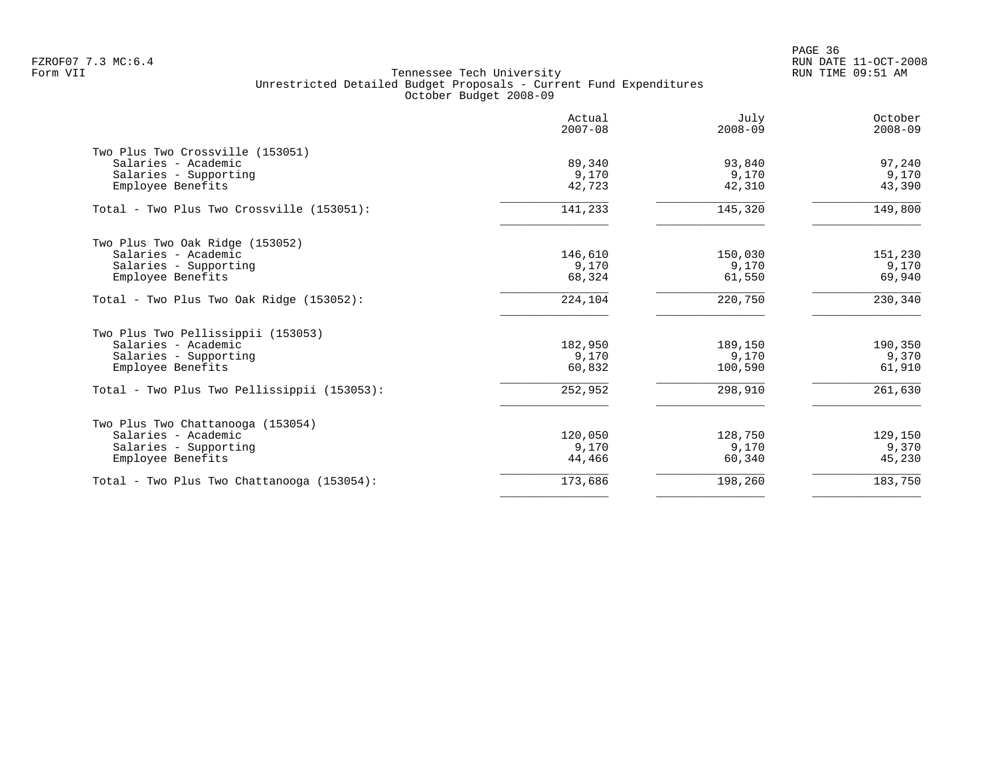|                                             | Actual<br>$2007 - 08$ | July<br>$2008 - 09$ | October<br>$2008 - 09$ |
|---------------------------------------------|-----------------------|---------------------|------------------------|
| Two Plus Two Crossville (153051)            |                       |                     |                        |
| Salaries - Academic                         | 89,340                | 93,840              | 97,240                 |
| Salaries - Supporting                       | 9,170                 | 9,170               | 9,170                  |
| Employee Benefits                           | 42,723                | 42,310              | 43,390                 |
| Total - Two Plus Two Crossville (153051):   | 141,233               | 145,320             | 149,800                |
| Two Plus Two Oak Ridge (153052)             |                       |                     |                        |
| Salaries - Academic                         | 146,610               | 150,030             | 151,230                |
| Salaries - Supporting                       | 9,170                 | 9,170               | 9,170                  |
| Employee Benefits                           | 68,324                | 61,550              | 69,940                 |
| Total - Two Plus Two Oak Ridge $(153052)$ : | 224,104               | 220,750             | 230,340                |
| Two Plus Two Pellissippii (153053)          |                       |                     |                        |
| Salaries - Academic                         | 182,950               | 189,150             | 190,350                |
| Salaries - Supporting                       | 9,170                 | 9,170               | 9,370                  |
| Employee Benefits                           | 60,832                | 100,590             | 61,910                 |
| Total - Two Plus Two Pellissippii (153053): | 252,952               | 298,910             | 261,630                |
| Two Plus Two Chattanooga (153054)           |                       |                     |                        |
| Salaries - Academic                         | 120,050               | 128,750             | 129,150                |
| Salaries - Supporting                       | 9,170                 | 9,170               | 9,370                  |
| Employee Benefits                           | 44,466                | 60,340              | 45,230                 |
| Total - Two Plus Two Chattanooga (153054):  | 173,686               | 198,260             | 183,750                |
|                                             |                       |                     |                        |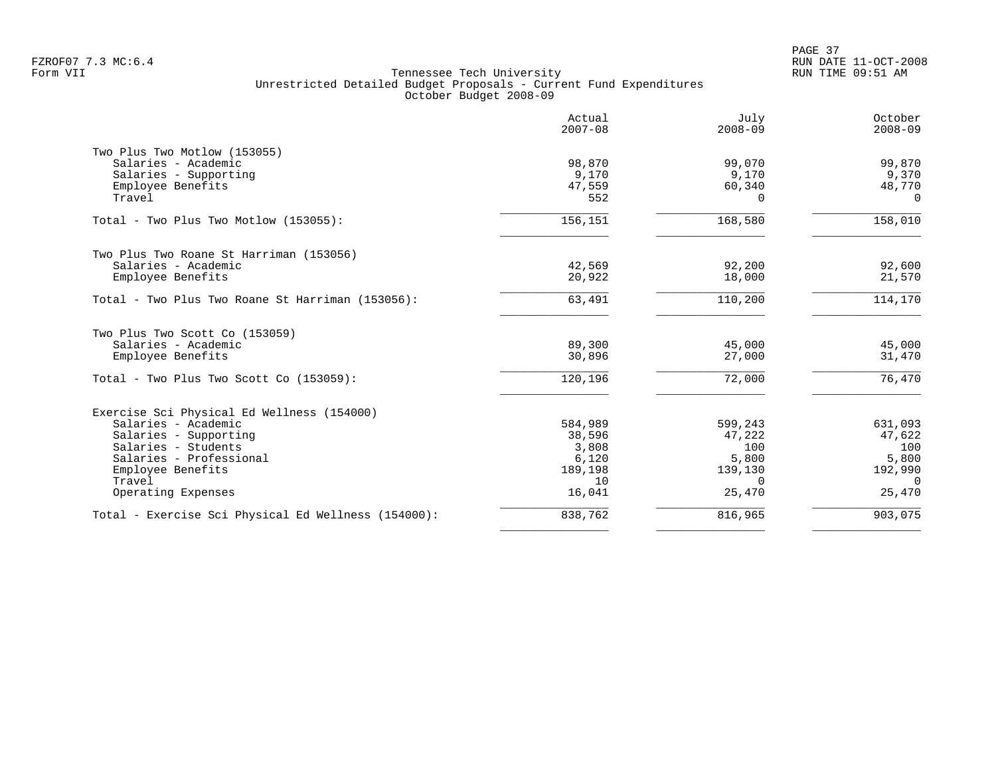|                                                     | Actual<br>$2007 - 08$ | July<br>$2008 - 09$ | October<br>$2008 - 09$ |
|-----------------------------------------------------|-----------------------|---------------------|------------------------|
| Two Plus Two Motlow (153055)                        |                       |                     |                        |
| Salaries - Academic                                 | 98,870                | 99,070              | 99,870                 |
| Salaries - Supporting                               | 9,170                 | 9,170               | 9,370                  |
| Employee Benefits                                   | 47,559                | 60,340              | 48,770                 |
| Travel                                              | 552                   | $\Omega$            | $\Omega$               |
| Total - Two Plus Two Motlow (153055):               | 156,151               | 168,580             | 158,010                |
| Two Plus Two Roane St Harriman (153056)             |                       |                     |                        |
| Salaries - Academic                                 | 42,569                | 92,200              | 92,600                 |
| Employee Benefits                                   | 20,922                | 18,000              | 21,570                 |
| Total - Two Plus Two Roane St Harriman (153056):    | 63,491                | 110,200             | 114,170                |
| Two Plus Two Scott Co (153059)                      |                       |                     |                        |
| Salaries - Academic                                 | 89,300                | 45,000              | 45,000                 |
| Employee Benefits                                   | 30,896                | 27,000              | 31,470                 |
| Total - Two Plus Two Scott Co (153059):             | 120,196               | 72,000              | $\overline{76, 470}$   |
| Exercise Sci Physical Ed Wellness (154000)          |                       |                     |                        |
| Salaries - Academic                                 | 584,989               | 599,243             | 631,093                |
| Salaries - Supporting                               | 38,596                | 47,222              | 47,622                 |
| Salaries - Students                                 | 3,808                 | 100                 | 100                    |
| Salaries - Professional                             | 6,120                 | 5,800               | 5,800                  |
| Employee Benefits                                   | 189,198               | 139,130             | 192,990                |
| Travel                                              | 10                    | $\Omega$            | $\Omega$               |
| Operating Expenses                                  | 16,041                | 25,470              | 25,470                 |
| Total - Exercise Sci Physical Ed Wellness (154000): | 838,762               | 816,965             | 903,075                |
|                                                     |                       |                     |                        |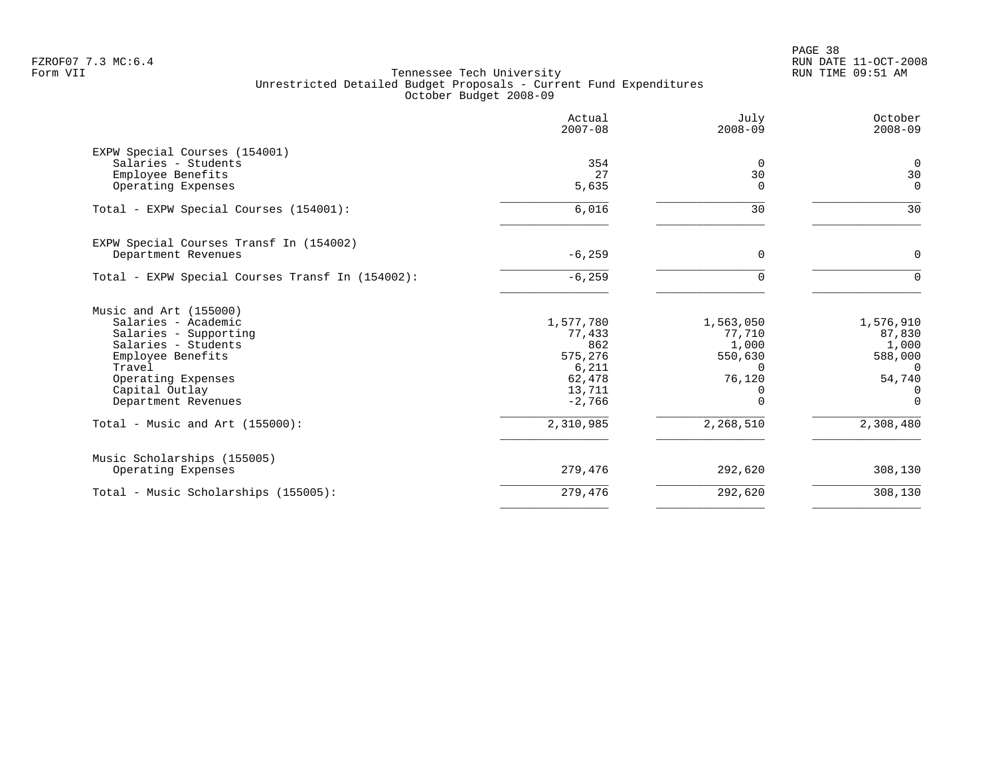|                                                  | Actual<br>$2007 - 08$ | July<br>$2008 - 09$ | October<br>$2008 - 09$ |
|--------------------------------------------------|-----------------------|---------------------|------------------------|
| EXPW Special Courses (154001)                    |                       |                     |                        |
| Salaries - Students                              | 354                   | 0                   | 0                      |
| Employee Benefits                                | 27                    | 30                  | 30                     |
| Operating Expenses                               | 5,635                 | $\Omega$            | $\Omega$               |
| Total - EXPW Special Courses (154001):           | 6,016                 | 30                  | 30                     |
| EXPW Special Courses Transf In (154002)          |                       |                     |                        |
| Department Revenues                              | $-6, 259$             | $\Omega$            | $\Omega$               |
| Total - EXPW Special Courses Transf In (154002): | $-6, 259$             | $\Omega$            | $\Omega$               |
| Music and Art (155000)                           |                       |                     |                        |
| Salaries - Academic                              | 1,577,780             | 1,563,050           | 1,576,910              |
| Salaries - Supporting                            | 77,433                | 77,710              | 87,830                 |
| Salaries - Students                              | 862                   | 1,000               | 1,000                  |
| Employee Benefits                                | 575,276               | 550,630             | 588,000                |
| Travel                                           | 6,211                 | $\Omega$            | $\Omega$               |
| Operating Expenses                               | 62,478                | 76,120              | 54,740                 |
| Capital Outlay                                   | 13,711                |                     | 0                      |
| Department Revenues                              | $-2,766$              | $\Omega$            | $\Omega$               |
| Total - Music and Art $(155000)$ :               | 2,310,985             | 2,268,510           | 2,308,480              |
| Music Scholarships (155005)                      |                       |                     |                        |
| Operating Expenses                               | 279,476               | 292,620             | 308,130                |
| Total - Music Scholarships (155005):             | 279,476               | 292,620             | 308,130                |
|                                                  |                       |                     |                        |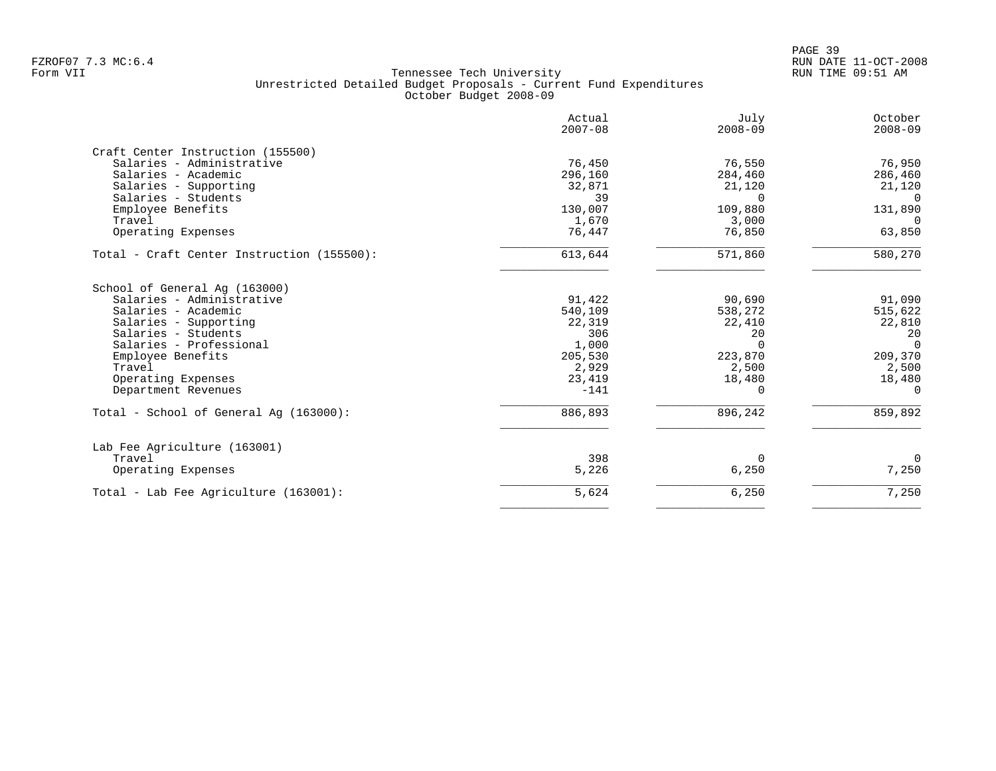PAGE 39 FZROF07 7.3 MC:6.4 RUN DATE 11-OCT-2008

|                                                        | $2008 - 09$                                                        | $2008 - 09$                                                        |
|--------------------------------------------------------|--------------------------------------------------------------------|--------------------------------------------------------------------|
|                                                        |                                                                    |                                                                    |
|                                                        |                                                                    | 76,950                                                             |
|                                                        |                                                                    | 286,460                                                            |
|                                                        |                                                                    | 21,120                                                             |
| 39                                                     | $\Omega$                                                           | $\Omega$                                                           |
|                                                        |                                                                    | 131,890                                                            |
|                                                        |                                                                    | $\Omega$                                                           |
| 76,447                                                 | 76,850                                                             | 63,850                                                             |
| 613,644                                                | 571,860                                                            | 580,270                                                            |
| 91,422<br>540,109<br>22,319<br>306<br>1,000<br>205,530 | 90,690<br>538,272<br>22,410<br>20<br>$\Omega$<br>223,870           | 91,090<br>515,622<br>22,810<br>20<br>$\Omega$<br>209,370<br>2,500  |
|                                                        |                                                                    | 18,480                                                             |
| $-141$                                                 | $\Omega$                                                           | $\Omega$                                                           |
| 886,893                                                | 896,242                                                            | 859,892                                                            |
|                                                        |                                                                    |                                                                    |
| 398                                                    | $\Omega$                                                           | $\Omega$                                                           |
| 5,226                                                  | 6,250                                                              | 7,250                                                              |
| 5,624                                                  | 6,250                                                              | 7,250                                                              |
|                                                        | 76,450<br>296,160<br>32,871<br>130,007<br>1,670<br>2,929<br>23,419 | 76,550<br>284,460<br>21,120<br>109,880<br>3,000<br>2,500<br>18,480 |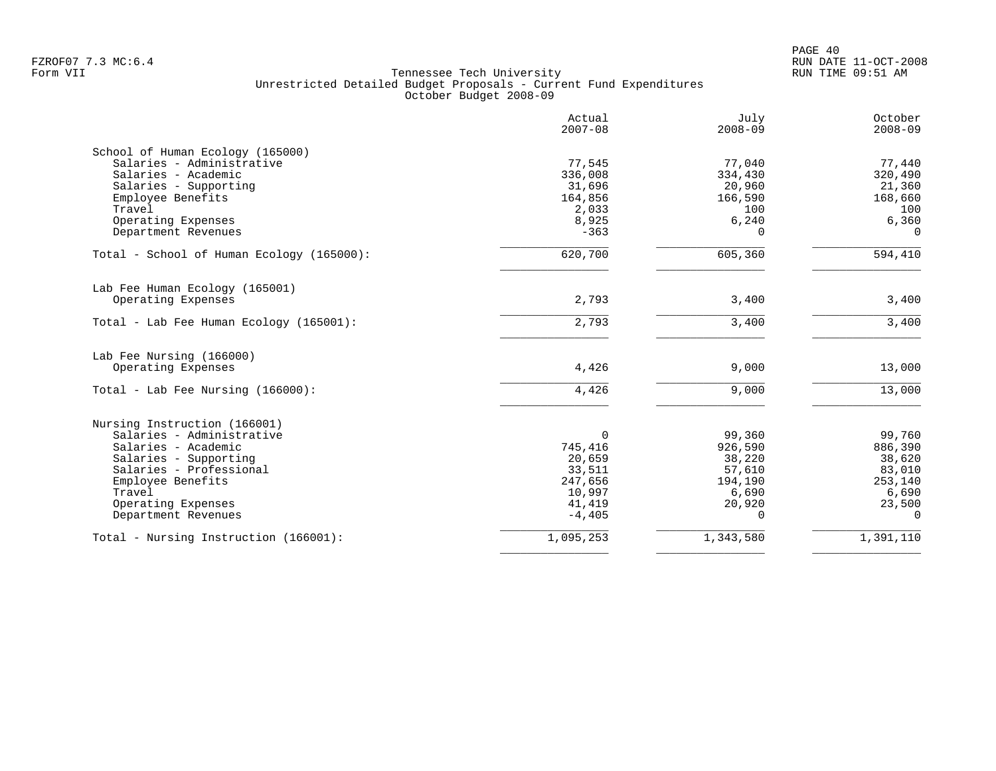|                                           | Actual<br>$2007 - 08$ | July<br>$2008 - 09$ | October<br>$2008 - 09$ |
|-------------------------------------------|-----------------------|---------------------|------------------------|
| School of Human Ecology (165000)          |                       |                     |                        |
| Salaries - Administrative                 | 77,545                | 77,040              | 77,440                 |
| Salaries - Academic                       | 336,008               | 334,430             | 320,490                |
| Salaries - Supporting                     | 31,696                | 20,960              | 21,360                 |
| Employee Benefits<br>Travel               | 164,856<br>2,033      | 166,590<br>100      | 168,660<br>100         |
| Operating Expenses                        | 8,925                 | 6,240               | 6,360                  |
| Department Revenues                       | $-363$                | $\Omega$            | $\Omega$               |
| Total - School of Human Ecology (165000): | 620,700               | 605,360             | 594,410                |
| Lab Fee Human Ecology (165001)            |                       |                     |                        |
| Operating Expenses                        | 2,793                 | 3,400               | 3,400                  |
| Total - Lab Fee Human Ecology (165001):   | 2,793                 | 3,400               | 3,400                  |
| Lab Fee Nursing (166000)                  |                       |                     |                        |
| Operating Expenses                        | 4,426                 | 9,000               | 13,000                 |
| Total - Lab Fee Nursing $(166000)$ :      | 4,426                 | 9,000               | 13,000                 |
| Nursing Instruction (166001)              |                       |                     |                        |
| Salaries - Administrative                 | $\Omega$              | 99,360              | 99,760                 |
| Salaries - Academic                       | 745,416               | 926,590             | 886,390                |
| Salaries - Supporting                     | 20,659                | 38,220              | 38,620                 |
| Salaries - Professional                   | 33,511                | 57,610              | 83,010                 |
| Employee Benefits                         | 247,656               | 194,190             | 253,140                |
| Travel                                    | 10,997                | 6,690               | 6,690                  |
| Operating Expenses                        | 41,419                | 20,920              | 23,500                 |
| Department Revenues                       | $-4,405$              | $\Omega$            | $\Omega$               |
| Total - Nursing Instruction (166001):     | 1,095,253             | 1,343,580           | 1,391,110              |
|                                           |                       |                     |                        |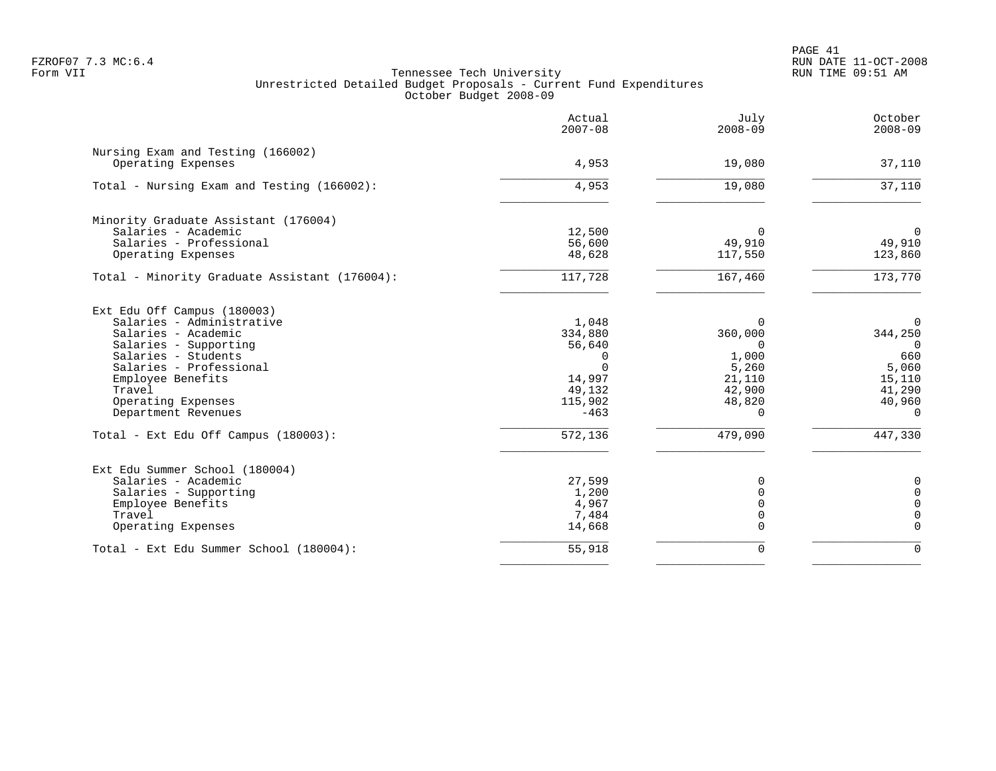PAGE 41 FZROF07 7.3 MC:6.4 RUN DATE 11-OCT-2008

|                                                         | Actual<br>$2007 - 08$ | July<br>$2008 - 09$ | October<br>$2008 - 09$ |
|---------------------------------------------------------|-----------------------|---------------------|------------------------|
| Nursing Exam and Testing (166002)<br>Operating Expenses | 4,953                 | 19,080              | 37,110                 |
|                                                         |                       |                     |                        |
| Total - Nursing Exam and Testing (166002):              | 4,953                 | 19,080              | 37,110                 |
| Minority Graduate Assistant (176004)                    |                       |                     |                        |
| Salaries - Academic                                     | 12,500                | $\Omega$            | $\mathbf 0$            |
| Salaries - Professional                                 | 56,600                | 49,910              | 49,910                 |
| Operating Expenses                                      | 48,628                | 117,550             | 123,860                |
| Total - Minority Graduate Assistant (176004):           | 117,728               | 167,460             | 173,770                |
| Ext Edu Off Campus (180003)                             |                       |                     |                        |
| Salaries - Administrative                               | 1,048                 | $\Omega$            | $\mathbf 0$            |
| Salaries - Academic                                     | 334,880               | 360,000             | 344,250                |
| Salaries - Supporting                                   | 56,640                | $\Omega$            | $\Omega$               |
| Salaries - Students                                     | $\Omega$              | 1,000               | 660                    |
| Salaries - Professional                                 | $\Omega$              | 5,260               | 5,060                  |
| Employee Benefits                                       | 14,997                | 21,110              | 15,110                 |
| Travel<br>Operating Expenses                            | 49,132<br>115,902     | 42,900<br>48,820    | 41,290<br>40,960       |
| Department Revenues                                     | $-463$                | $\Omega$            | $\Omega$               |
| Total - Ext Edu Off Campus (180003):                    | 572,136               | 479,090             | 447,330                |
|                                                         |                       |                     |                        |
| Ext Edu Summer School (180004)                          |                       | $\Omega$            |                        |
| Salaries - Academic<br>Salaries - Supporting            | 27,599<br>1,200       |                     | 0<br>$\Omega$          |
| Employee Benefits                                       | 4,967                 |                     | $\Omega$               |
| Travel                                                  | 7,484                 |                     | 0                      |
| Operating Expenses                                      | 14,668                | $\Omega$            | $\Omega$               |
| Total - Ext Edu Summer School (180004):                 | 55,918                | $\Omega$            | $\Omega$               |
|                                                         |                       |                     |                        |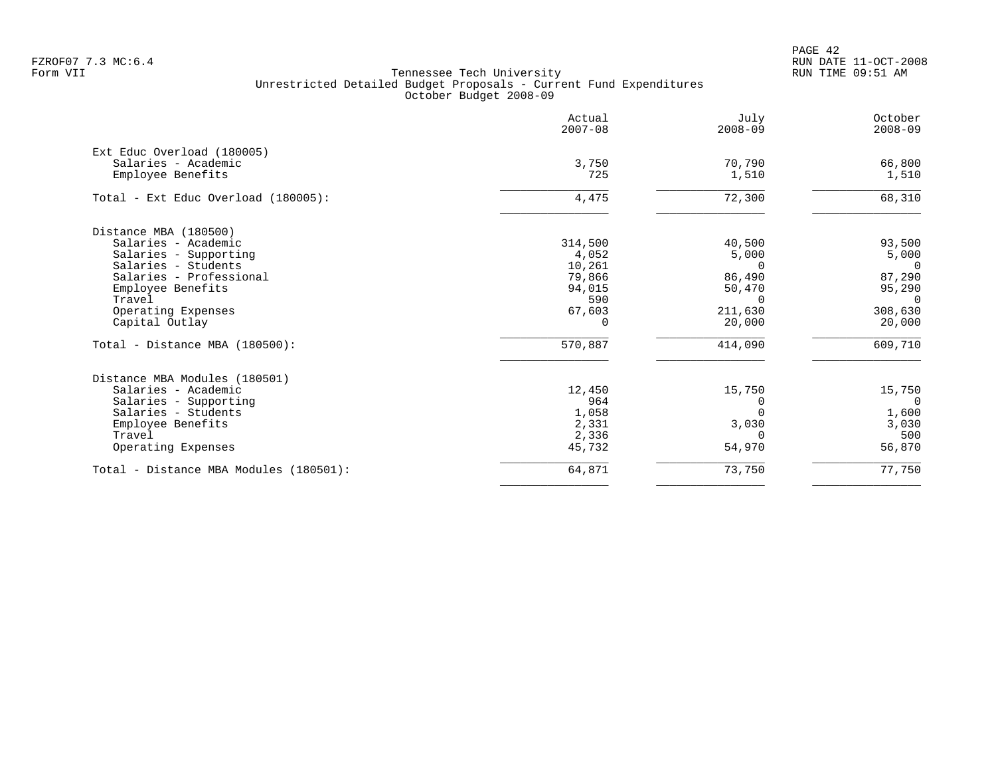PAGE 42 FZROF07 7.3 MC:6.4 RUN DATE 11-OCT-2008

|                                          | Actual<br>$2007 - 08$ | July<br>$2008 - 09$ | October<br>$2008 - 09$ |
|------------------------------------------|-----------------------|---------------------|------------------------|
| Ext Educ Overload (180005)               |                       |                     |                        |
| Salaries - Academic<br>Employee Benefits | 3,750<br>725          | 70,790<br>1,510     | 66,800<br>1,510        |
|                                          |                       |                     |                        |
| Total - Ext Educ Overload (180005):      | 4,475                 | 72,300              | 68,310                 |
| Distance MBA (180500)                    |                       |                     |                        |
| Salaries - Academic                      | 314,500               | 40,500              | 93,500                 |
| Salaries - Supporting                    | 4,052                 | 5,000               | 5,000                  |
| Salaries - Students                      | 10,261                | $\Omega$            | $\Omega$               |
| Salaries - Professional                  | 79,866                | 86,490              | 87,290                 |
| Employee Benefits<br>Travel              | 94,015<br>590         | 50,470<br>$\Omega$  | 95,290<br>$\Omega$     |
| Operating Expenses                       | 67,603                | 211,630             | 308,630                |
| Capital Outlay                           | $\Omega$              | 20,000              | 20,000                 |
| Total - Distance MBA (180500):           | 570,887               | 414,090             | 609,710                |
| Distance MBA Modules (180501)            |                       |                     |                        |
| Salaries - Academic                      | 12,450                | 15,750              | 15,750                 |
| Salaries - Supporting                    | 964                   | $\Omega$            | $\overline{0}$         |
| Salaries - Students                      | 1,058                 |                     | 1,600                  |
| Employee Benefits                        | 2,331                 | 3,030               | 3,030                  |
| Travel                                   | 2,336                 | $\Omega$            | 500                    |
| Operating Expenses                       | 45,732                | 54,970              | 56,870                 |
| Total - Distance MBA Modules (180501):   | 64,871                | 73,750              | 77,750                 |
|                                          |                       |                     |                        |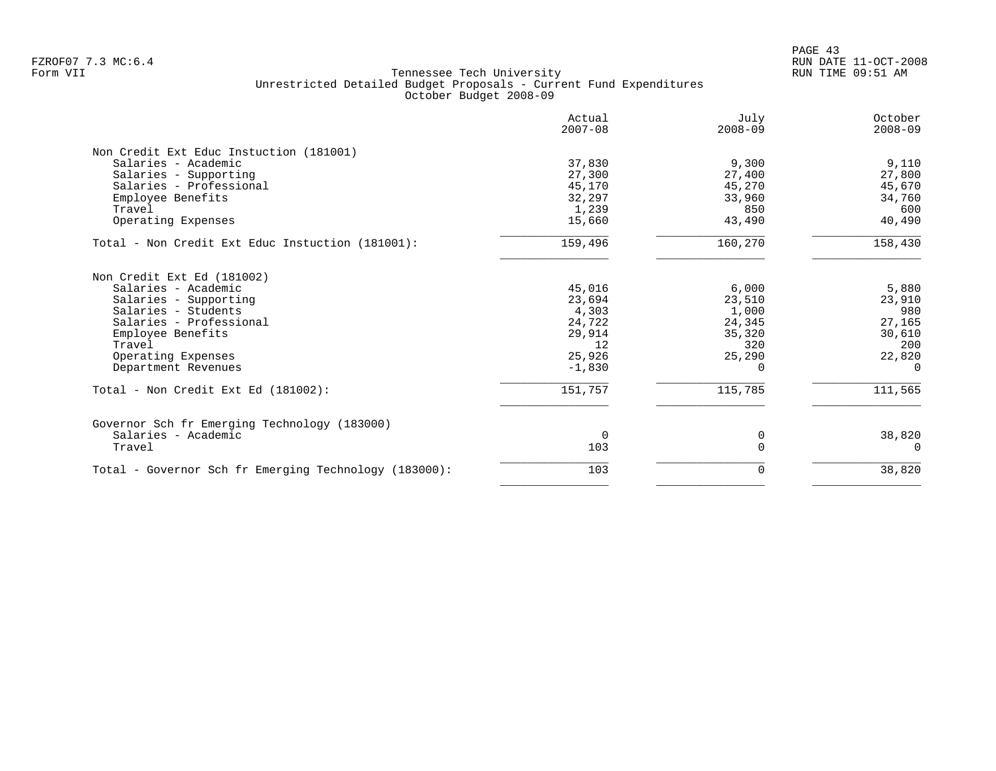PAGE 43 FZROF07 7.3 MC:6.4 RUN DATE 11-OCT-2008

| Actual<br>$2007 - 08$ | July<br>$2008 - 09$                                                                        | October<br>$2008 - 09$                                               |
|-----------------------|--------------------------------------------------------------------------------------------|----------------------------------------------------------------------|
|                       |                                                                                            |                                                                      |
|                       |                                                                                            | 9,110                                                                |
|                       |                                                                                            | 27,800                                                               |
|                       |                                                                                            | 45,670                                                               |
|                       |                                                                                            | 34,760                                                               |
|                       |                                                                                            | 600                                                                  |
| 15,660                | 43,490                                                                                     | 40,490                                                               |
| 159,496               | 160,270                                                                                    | 158,430                                                              |
|                       |                                                                                            |                                                                      |
| 45,016                | 6,000                                                                                      | 5,880                                                                |
| 23,694                | 23,510                                                                                     | 23,910                                                               |
|                       |                                                                                            | 980                                                                  |
|                       |                                                                                            | 27,165                                                               |
|                       | 35,320                                                                                     | 30,610                                                               |
|                       |                                                                                            | 200                                                                  |
|                       | 25,290                                                                                     | 22,820                                                               |
| $-1,830$              | $\Omega$                                                                                   | $\Omega$                                                             |
| 151,757               | 115,785                                                                                    | 111,565                                                              |
|                       |                                                                                            |                                                                      |
| $\Omega$              | 0                                                                                          | 38,820                                                               |
| 103                   |                                                                                            | $\Omega$                                                             |
| 103                   | 0                                                                                          | 38,820                                                               |
|                       | 37,830<br>27,300<br>45,170<br>32,297<br>1,239<br>4,303<br>24,722<br>29,914<br>12<br>25,926 | 9,300<br>27,400<br>45,270<br>33,960<br>850<br>1,000<br>24,345<br>320 |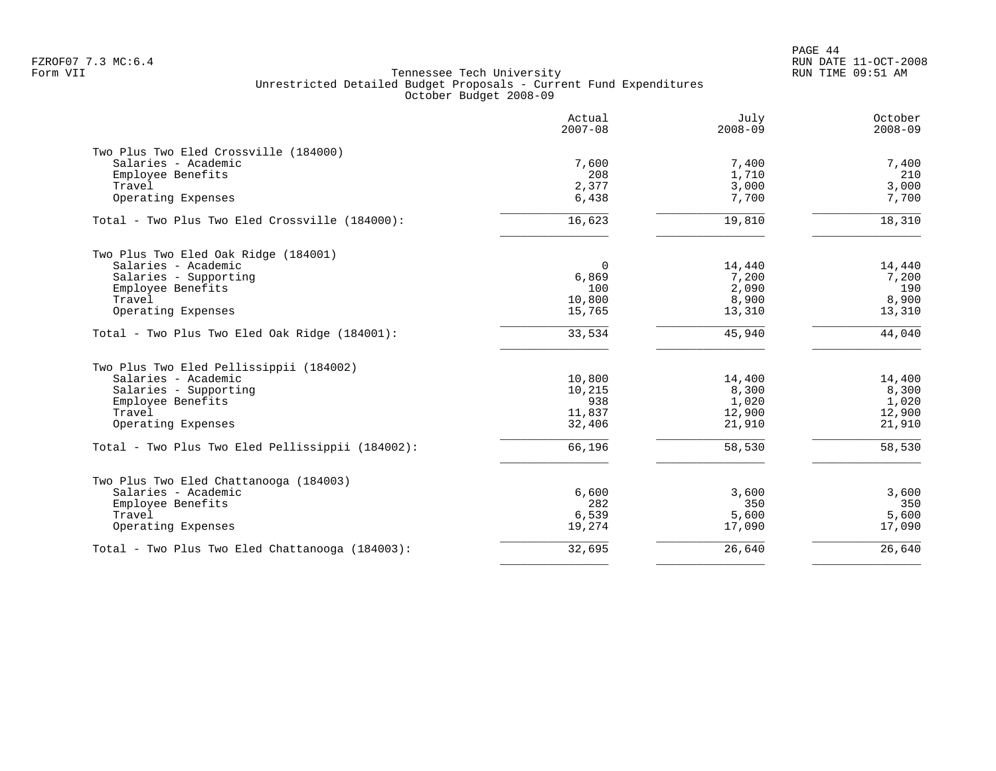PAGE 44 FZROF07 7.3 MC:6.4 RUN DATE 11-OCT-2008

|                                                  | Actual<br>$2007 - 08$ | July<br>$2008 - 09$ | October<br>$2008 - 09$ |
|--------------------------------------------------|-----------------------|---------------------|------------------------|
| Two Plus Two Eled Crossville (184000)            |                       |                     |                        |
| Salaries - Academic                              | 7,600                 | 7,400               | 7,400                  |
| Employee Benefits                                | 208                   | 1,710               | 210                    |
| Travel                                           | 2,377                 | 3,000               | 3,000                  |
| Operating Expenses                               | 6,438                 | 7,700               | 7,700                  |
| Total - Two Plus Two Eled Crossville (184000):   | 16,623                | 19,810              | 18,310                 |
| Two Plus Two Eled Oak Ridge (184001)             |                       |                     |                        |
| Salaries - Academic                              | $\Omega$              | 14,440              | 14,440                 |
| Salaries - Supporting                            | 6,869                 | 7,200               | 7,200                  |
| Employee Benefits                                | 100                   | 2,090               | 190                    |
| Travel                                           | 10,800                | 8,900               | 8,900                  |
| Operating Expenses                               | 15,765                | 13,310              | 13,310                 |
| Total - Two Plus Two Eled Oak Ridge (184001):    | 33,534                | 45,940              | 44,040                 |
| Two Plus Two Eled Pellissippii (184002)          |                       |                     |                        |
| Salaries - Academic                              | 10,800                | 14,400              | 14,400                 |
| Salaries - Supporting                            | 10,215                | 8,300               | 8,300                  |
| Employee Benefits                                | 938                   | 1,020               | 1,020                  |
| Travel                                           | 11,837                | 12,900              | 12,900                 |
| Operating Expenses                               | 32,406                | 21,910              | 21,910                 |
| Total - Two Plus Two Eled Pellissippii (184002): | 66,196                | 58,530              | 58,530                 |
| Two Plus Two Eled Chattanooga (184003)           |                       |                     |                        |
| Salaries - Academic                              | 6,600                 | 3,600               | 3,600                  |
| Employee Benefits                                | 282                   | 350                 | 350                    |
| Travel                                           | 6,539                 | 5,600               | 5,600                  |
| Operating Expenses                               | 19,274                | 17,090              | 17,090                 |
| Total - Two Plus Two Eled Chattanooga (184003):  | 32,695                | 26,640              | 26,640                 |
|                                                  |                       |                     |                        |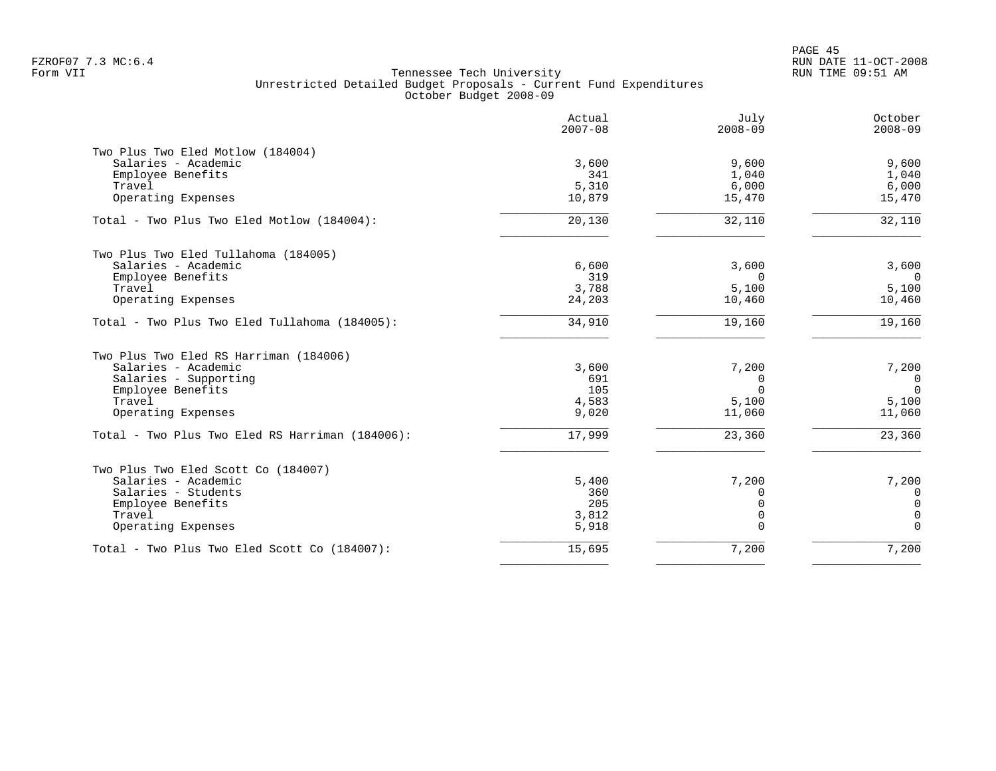|                                                 | Actual<br>$2007 - 08$ | July<br>$2008 - 09$ | October<br>$2008 - 09$ |
|-------------------------------------------------|-----------------------|---------------------|------------------------|
| Two Plus Two Eled Motlow (184004)               |                       |                     |                        |
| Salaries - Academic                             | 3,600                 | 9,600               | 9,600                  |
| Employee Benefits                               | 341                   | 1,040               | 1,040                  |
| Travel                                          | 5,310                 | 6,000               | 6,000                  |
| Operating Expenses                              | 10,879                | 15,470              | 15,470                 |
| Total - Two Plus Two Eled Motlow (184004):      | 20,130                | 32,110              | 32,110                 |
| Two Plus Two Eled Tullahoma (184005)            |                       |                     |                        |
| Salaries - Academic                             | 6,600                 | 3,600               | 3,600                  |
| Employee Benefits                               | 319                   | $\Omega$            | $\Omega$               |
| Travel                                          | 3,788                 | 5,100               | 5,100                  |
| Operating Expenses                              | 24,203                | 10,460              | 10,460                 |
| Total - Two Plus Two Eled Tullahoma (184005):   | 34,910                | 19,160              | 19,160                 |
| Two Plus Two Eled RS Harriman (184006)          |                       |                     |                        |
| Salaries - Academic                             | 3,600                 | 7,200               | 7,200                  |
| Salaries - Supporting                           | 691                   | $\Omega$            | $\mathbf 0$            |
| Employee Benefits                               | 105                   | $\Omega$            | $\Omega$               |
| Travel                                          | 4,583                 | 5,100               | 5,100                  |
| Operating Expenses                              | 9,020                 | 11,060              | 11,060                 |
| Total - Two Plus Two Eled RS Harriman (184006): | 17,999                | 23,360              | 23,360                 |
| Two Plus Two Eled Scott Co (184007)             |                       |                     |                        |
| Salaries - Academic                             | 5,400                 | 7,200               | 7,200                  |
| Salaries - Students                             | 360                   | $\Omega$            | $\Omega$               |
| Employee Benefits                               | 205                   | $\Omega$            | $\mathbf 0$            |
| Travel                                          | 3,812                 | $\Omega$            | 0                      |
| Operating Expenses                              | 5,918                 | $\Omega$            | $\Omega$               |
| Total - Two Plus Two Eled Scott Co (184007):    | 15,695                | 7,200               | 7,200                  |
|                                                 |                       |                     |                        |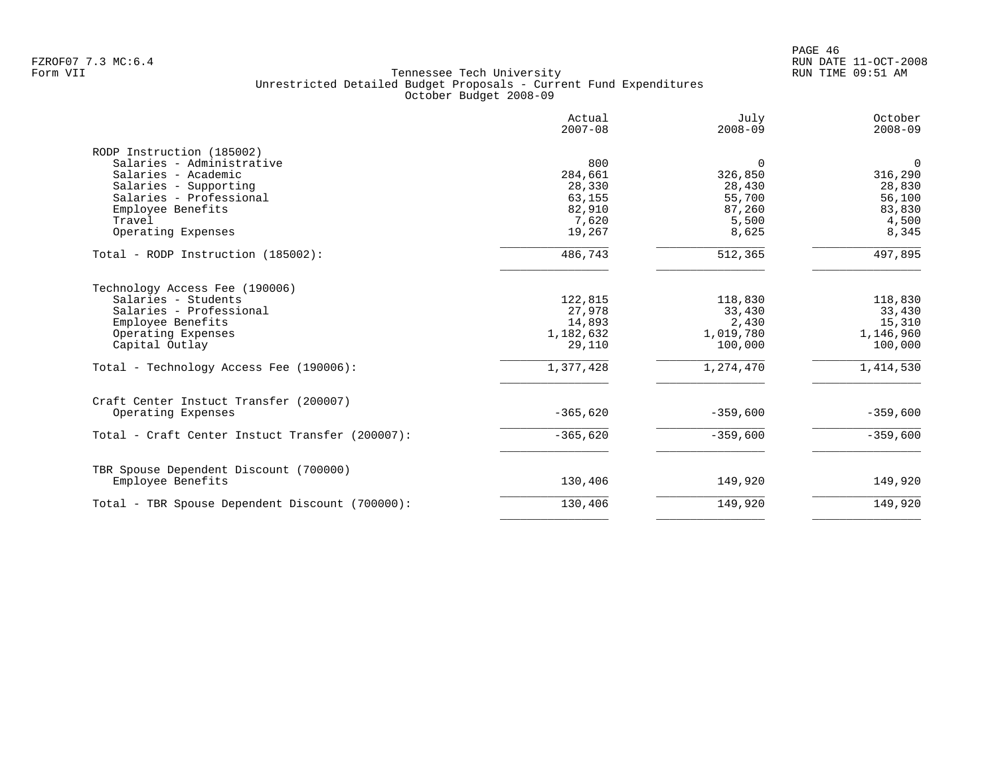PAGE 46 FZROF07 7.3 MC:6.4 RUN DATE 11-OCT-2008

|                                                 | Actual<br>$2007 - 08$ | July<br>$2008 - 09$ | October<br>$2008 - 09$ |
|-------------------------------------------------|-----------------------|---------------------|------------------------|
| RODP Instruction (185002)                       |                       |                     |                        |
| Salaries - Administrative                       | 800                   | $\Omega$            | $\overline{0}$         |
| Salaries - Academic                             | 284,661               | 326,850             | 316,290                |
| Salaries - Supporting                           | 28,330                | 28,430              | 28,830                 |
| Salaries - Professional                         | 63,155                | 55,700              | 56,100                 |
| Employee Benefits                               | 82,910                | 87,260              | 83,830                 |
| Travel                                          | 7,620                 | 5,500               | 4,500                  |
| Operating Expenses                              | 19,267                | 8,625               | 8,345                  |
| Total - RODP Instruction (185002):              | 486,743               | 512,365             | 497,895                |
| Technology Access Fee (190006)                  |                       |                     |                        |
| Salaries - Students                             | 122,815               | 118,830             | 118,830                |
| Salaries - Professional                         | 27,978                | 33,430              | 33,430                 |
| Employee Benefits                               | 14,893                | 2,430               | 15,310                 |
| Operating Expenses                              | 1,182,632             | 1,019,780           | 1,146,960              |
| Capital Outlay                                  | 29,110                | 100,000             | 100,000                |
| Total - Technology Access Fee (190006):         | 1,377,428             | 1,274,470           | 1,414,530              |
| Craft Center Instuct Transfer (200007)          |                       |                     |                        |
| Operating Expenses                              | $-365,620$            | $-359,600$          | $-359,600$             |
| Total - Craft Center Instuct Transfer (200007): | $-365,620$            | $-359,600$          | $-359,600$             |
| TBR Spouse Dependent Discount (700000)          |                       |                     |                        |
| Employee Benefits                               | 130,406               | 149,920             | 149,920                |
| Total - TBR Spouse Dependent Discount (700000): | 130,406               | 149,920             | 149,920                |
|                                                 |                       |                     |                        |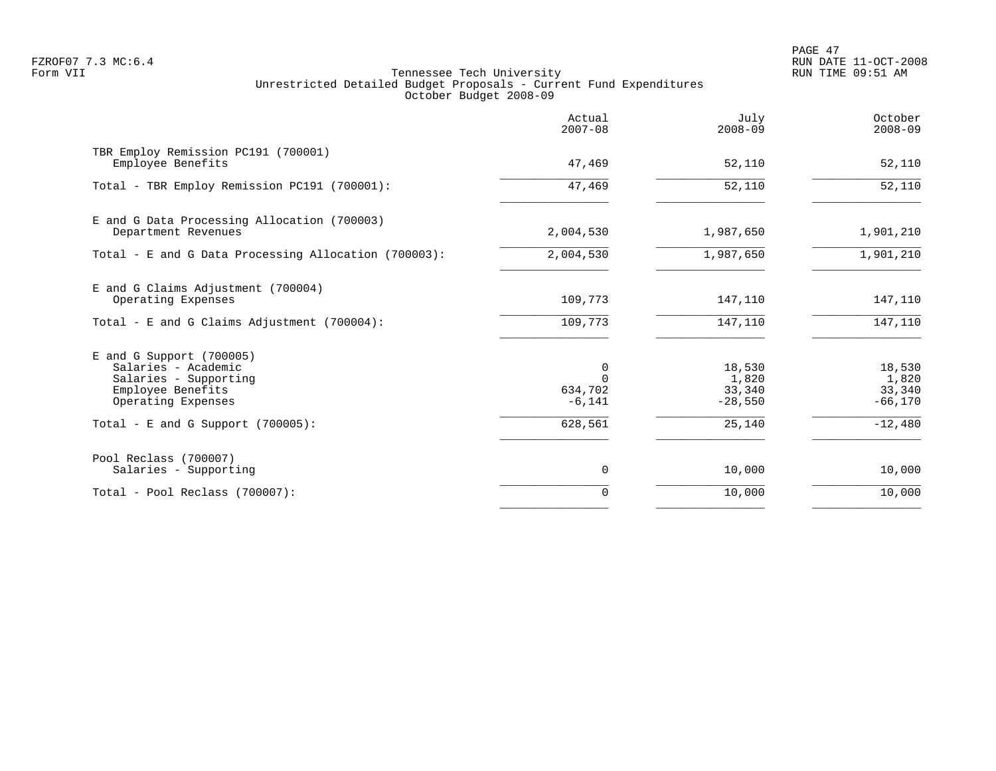PAGE 47 FZROF07 7.3 MC:6.4 RUN DATE 11-OCT-2008

|                                                                                                                       | Actual<br>$2007 - 08$    | July<br>$2008 - 09$                    | October<br>$2008 - 09$                 |
|-----------------------------------------------------------------------------------------------------------------------|--------------------------|----------------------------------------|----------------------------------------|
| TBR Employ Remission PC191 (700001)<br>Employee Benefits                                                              | 47,469                   | 52,110                                 | 52,110                                 |
| Total - TBR Employ Remission PC191 (700001):                                                                          | 47,469                   | 52,110                                 | 52,110                                 |
| E and G Data Processing Allocation (700003)<br>Department Revenues                                                    | 2,004,530                | 1,987,650                              | 1,901,210                              |
| Total - E and G Data Processing Allocation (700003):                                                                  | 2,004,530                | 1,987,650                              | 1,901,210                              |
| E and G Claims Adjustment (700004)<br>Operating Expenses                                                              | 109,773                  | 147,110                                | 147,110                                |
| Total - E and G Claims Adjustment $(700004)$ :                                                                        | 109,773                  | 147,110                                | 147,110                                |
| $E$ and G Support (700005)<br>Salaries - Academic<br>Salaries - Supporting<br>Employee Benefits<br>Operating Expenses | 0<br>634,702<br>$-6,141$ | 18,530<br>1,820<br>33,340<br>$-28,550$ | 18,530<br>1,820<br>33,340<br>$-66,170$ |
| Total - E and G Support $(700005)$ :                                                                                  | 628,561                  | 25,140                                 | $-12,480$                              |
| Pool Reclass (700007)<br>Salaries - Supporting                                                                        | 0                        | 10,000                                 | 10,000                                 |
| Total - Pool Reclass (700007):                                                                                        | $\Omega$                 | 10,000                                 | 10,000                                 |
|                                                                                                                       |                          |                                        |                                        |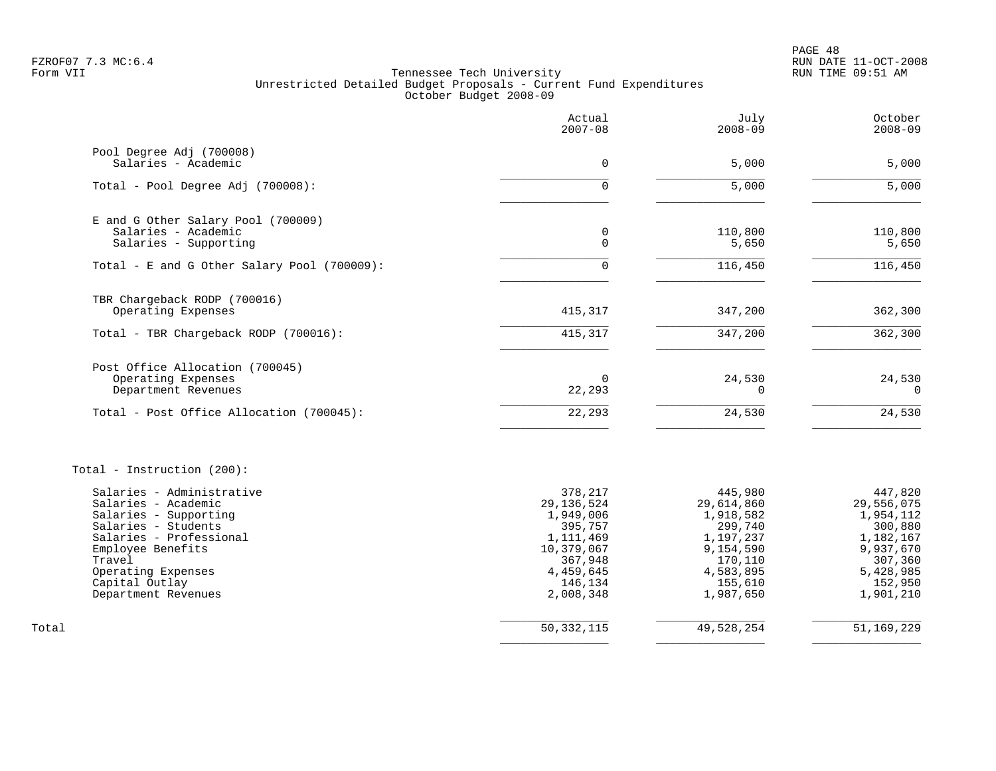PAGE 48 FZROF07 7.3 MC:6.4 RUN DATE 11-OCT-2008

|                                                  | Actual<br>$2007 - 08$   | July<br>$2008 - 09$    | October<br>$2008 - 09$ |
|--------------------------------------------------|-------------------------|------------------------|------------------------|
| Pool Degree Adj (700008)<br>Salaries - Academic  | $\overline{0}$          | 5,000                  | 5,000                  |
|                                                  |                         |                        |                        |
| Total - Pool Degree Adj (700008):                | $\Omega$                | $\overline{5,000}$     | 5,000                  |
| E and G Other Salary Pool (700009)               |                         |                        |                        |
| Salaries - Academic<br>Salaries - Supporting     | 0<br>$\Omega$           | 110,800<br>5,650       | 110,800<br>5,650       |
| Total - E and G Other Salary Pool (700009):      | $\Omega$                | 116,450                | 116,450                |
| TBR Chargeback RODP (700016)                     |                         |                        |                        |
| Operating Expenses                               | 415,317                 | 347,200                | 362,300                |
| Total - TBR Chargeback RODP (700016):            | 415,317                 | 347,200                | 362,300                |
| Post Office Allocation (700045)                  |                         |                        |                        |
| Operating Expenses<br>Department Revenues        | $\Omega$<br>22,293      | 24,530<br>$\Omega$     | 24,530<br>$\Omega$     |
| Total - Post Office Allocation (700045):         | 22,293                  | 24,530                 | 24,530                 |
| Total - Instruction (200):                       |                         |                        |                        |
| Salaries - Administrative<br>Salaries - Academic | 378,217<br>29, 136, 524 | 445,980<br>29,614,860  | 447,820<br>29,556,075  |
| Salaries - Supporting                            | 1,949,006               | 1,918,582              | 1,954,112              |
| Salaries - Students<br>Salaries - Professional   | 395,757                 | 299,740                | 300,880                |
| Employee Benefits                                | 1,111,469<br>10,379,067 | 1,197,237<br>9,154,590 | 1,182,167<br>9,937,670 |
| Travel                                           | 367,948                 | 170,110                | 307,360                |
| Operating Expenses<br>Capital Outlay             | 4,459,645<br>146,134    | 4,583,895<br>155,610   | 5,428,985<br>152,950   |
| Department Revenues                              | 2,008,348               | 1,987,650              | 1,901,210              |
| Total                                            | 50, 332, 115            | 49,528,254             | 51,169,229             |
|                                                  |                         |                        |                        |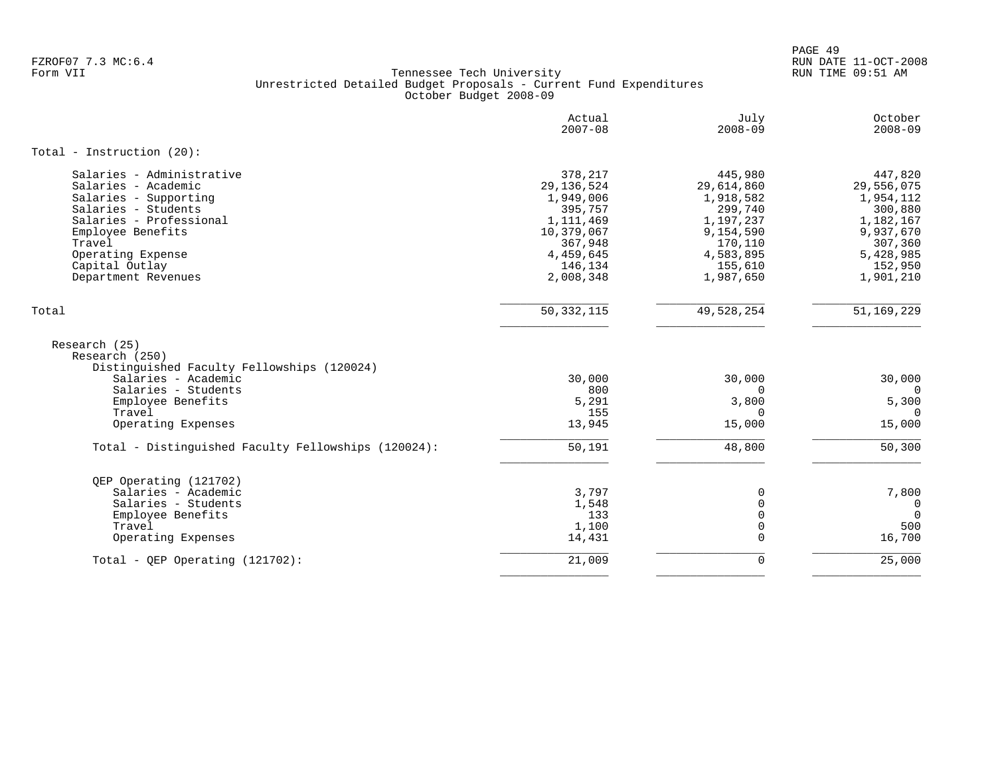PAGE 49 FZROF07 7.3 MC:6.4 RUN DATE 11-OCT-2008

|                                                                                                                                                                                                                          | Actual<br>$2007 - 08$                                                                                                      | July<br>$2008 - 09$                                                                                                     | October<br>$2008 - 09$                                                                                                  |
|--------------------------------------------------------------------------------------------------------------------------------------------------------------------------------------------------------------------------|----------------------------------------------------------------------------------------------------------------------------|-------------------------------------------------------------------------------------------------------------------------|-------------------------------------------------------------------------------------------------------------------------|
| Total - Instruction $(20)$ :                                                                                                                                                                                             |                                                                                                                            |                                                                                                                         |                                                                                                                         |
| Salaries - Administrative<br>Salaries - Academic<br>Salaries - Supporting<br>Salaries - Students<br>Salaries - Professional<br>Employee Benefits<br>Travel<br>Operating Expense<br>Capital Outlay<br>Department Revenues | 378,217<br>29, 136, 524<br>1,949,006<br>395,757<br>1,111,469<br>10,379,067<br>367,948<br>4,459,645<br>146,134<br>2,008,348 | 445,980<br>29,614,860<br>1,918,582<br>299,740<br>1,197,237<br>9,154,590<br>170,110<br>4,583,895<br>155,610<br>1,987,650 | 447,820<br>29,556,075<br>1,954,112<br>300,880<br>1,182,167<br>9,937,670<br>307,360<br>5,428,985<br>152,950<br>1,901,210 |
| Total                                                                                                                                                                                                                    | 50, 332, 115                                                                                                               | 49,528,254                                                                                                              | 51,169,229                                                                                                              |
| Research (25)<br>Research (250)<br>Distinguished Faculty Fellowships (120024)                                                                                                                                            |                                                                                                                            |                                                                                                                         |                                                                                                                         |
| Salaries - Academic                                                                                                                                                                                                      | 30,000                                                                                                                     | 30,000                                                                                                                  | 30,000                                                                                                                  |
| Salaries - Students                                                                                                                                                                                                      | 800                                                                                                                        | $\Omega$                                                                                                                | $\Omega$                                                                                                                |
| Employee Benefits<br>Travel                                                                                                                                                                                              | 5,291<br>155                                                                                                               | 3,800<br>$\Omega$                                                                                                       | 5,300<br>$\Omega$                                                                                                       |
| Operating Expenses                                                                                                                                                                                                       | 13,945                                                                                                                     | 15,000                                                                                                                  | 15,000                                                                                                                  |
| Total - Distinguished Faculty Fellowships (120024):                                                                                                                                                                      | 50,191                                                                                                                     | 48,800                                                                                                                  | 50,300                                                                                                                  |
| QEP Operating (121702)                                                                                                                                                                                                   |                                                                                                                            |                                                                                                                         |                                                                                                                         |
| Salaries - Academic                                                                                                                                                                                                      | 3,797                                                                                                                      | 0                                                                                                                       | 7,800                                                                                                                   |
| Salaries - Students<br>Employee Benefits                                                                                                                                                                                 | 1,548<br>133                                                                                                               | $\mathbf 0$<br>$\Omega$                                                                                                 | $\overline{0}$<br>$\Omega$                                                                                              |
| Travel                                                                                                                                                                                                                   | 1,100                                                                                                                      | 0                                                                                                                       | 500                                                                                                                     |
| Operating Expenses                                                                                                                                                                                                       | 14,431                                                                                                                     | $\Omega$                                                                                                                | 16,700                                                                                                                  |
| Total - OEP Operating (121702):                                                                                                                                                                                          | 21,009                                                                                                                     | $\mathbf 0$                                                                                                             | 25,000                                                                                                                  |
|                                                                                                                                                                                                                          |                                                                                                                            |                                                                                                                         |                                                                                                                         |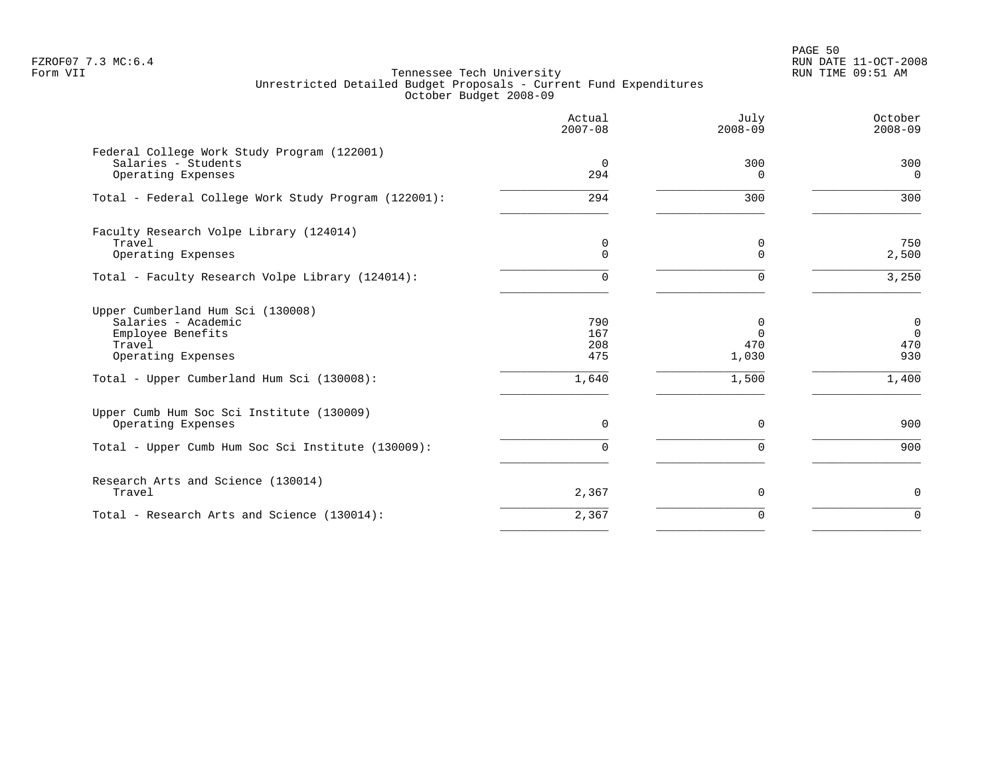PAGE 50 FZROF07 7.3 MC:6.4 RUN DATE 11-OCT-2008

|                                                                                                                                                             | Actual<br>$2007 - 08$             | July<br>$2008 - 09$                           | October<br>$2008 - 09$                               |
|-------------------------------------------------------------------------------------------------------------------------------------------------------------|-----------------------------------|-----------------------------------------------|------------------------------------------------------|
| Federal College Work Study Program (122001)<br>Salaries - Students<br>Operating Expenses                                                                    | $\overline{0}$<br>294             | 300<br>$\Omega$                               | 300<br>$\overline{0}$                                |
| Total - Federal College Work Study Program (122001):                                                                                                        | 294                               | 300                                           | 300                                                  |
| Faculty Research Volpe Library (124014)<br>Travel<br>Operating Expenses                                                                                     | 0<br>$\Omega$                     | 0<br>∩                                        | 750<br>2,500                                         |
| Total - Faculty Research Volpe Library (124014):                                                                                                            | 0                                 |                                               | 3,250                                                |
| Upper Cumberland Hum Sci (130008)<br>Salaries - Academic<br>Employee Benefits<br>Travel<br>Operating Expenses<br>Total - Upper Cumberland Hum Sci (130008): | 790<br>167<br>208<br>475<br>1,640 | $\Omega$<br>$\Omega$<br>470<br>1,030<br>1,500 | $\mathbf 0$<br>$\overline{0}$<br>470<br>930<br>1,400 |
| Upper Cumb Hum Soc Sci Institute (130009)<br>Operating Expenses                                                                                             | 0                                 | $\Omega$                                      | 900                                                  |
| Total - Upper Cumb Hum Soc Sci Institute (130009):                                                                                                          | $\Omega$                          | $\Omega$                                      | 900                                                  |
| Research Arts and Science (130014)<br>Travel                                                                                                                | 2,367                             | $\mathbf 0$                                   | 0                                                    |
| Total - Research Arts and Science (130014):                                                                                                                 | 2,367                             | $\Omega$                                      | $\Omega$                                             |
|                                                                                                                                                             |                                   |                                               |                                                      |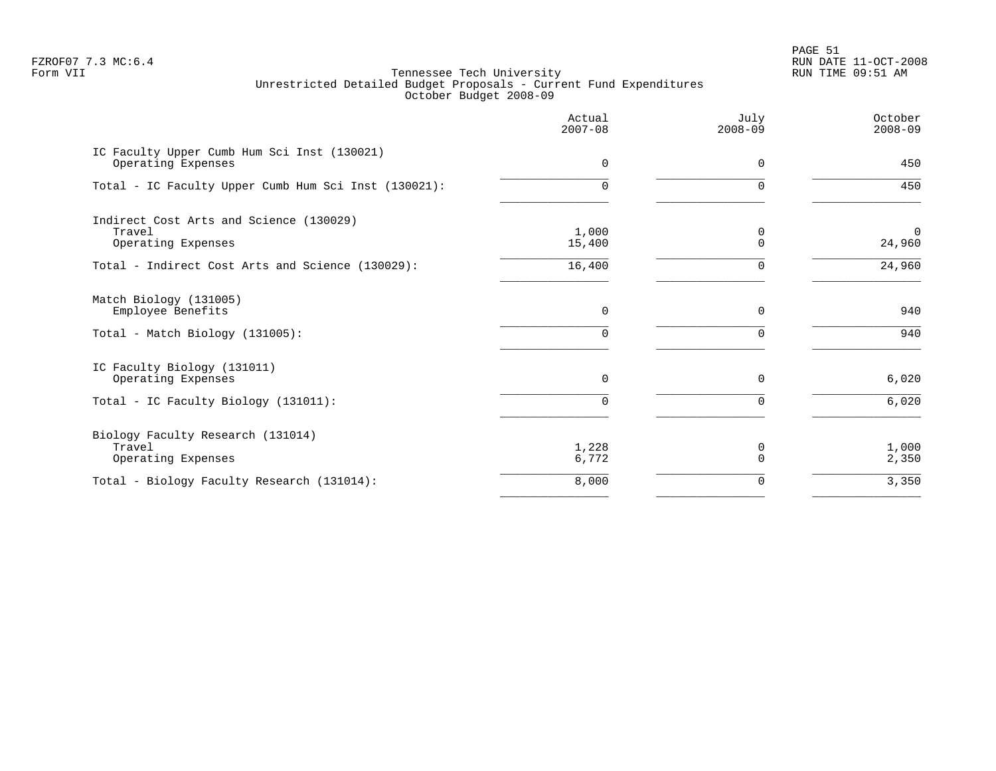PAGE 51 FZROF07 7.3 MC:6.4 RUN DATE 11-OCT-2008

|                                                                         | Actual<br>$2007 - 08$ | July<br>$2008 - 09$ | October<br>$2008 - 09$   |
|-------------------------------------------------------------------------|-----------------------|---------------------|--------------------------|
| IC Faculty Upper Cumb Hum Sci Inst (130021)<br>Operating Expenses       | $\Omega$              | $\Omega$            | 450                      |
| Total - IC Faculty Upper Cumb Hum Sci Inst (130021):                    | 0                     | $\Omega$            | 450                      |
| Indirect Cost Arts and Science (130029)<br>Travel<br>Operating Expenses | 1,000<br>15,400       | 0<br>$\Omega$       | $\overline{0}$<br>24,960 |
| Total - Indirect Cost Arts and Science (130029):                        | 16,400                | $\Omega$            | 24,960                   |
| Match Biology (131005)<br>Employee Benefits                             | 0                     | $\Omega$            | 940                      |
| Total - Match Biology (131005):                                         | O.                    |                     | 940                      |
| IC Faculty Biology (131011)<br>Operating Expenses                       | 0                     | $\mathbf 0$         | 6,020                    |
| Total - IC Faculty Biology (131011):                                    | 0                     | $\Omega$            | 6,020                    |
| Biology Faculty Research (131014)<br>Travel<br>Operating Expenses       | 1,228<br>6,772        | 0<br>$\Omega$       | 1,000<br>2,350           |
| Total - Biology Faculty Research (131014):                              | 8,000                 | 0                   | 3,350                    |
|                                                                         |                       |                     |                          |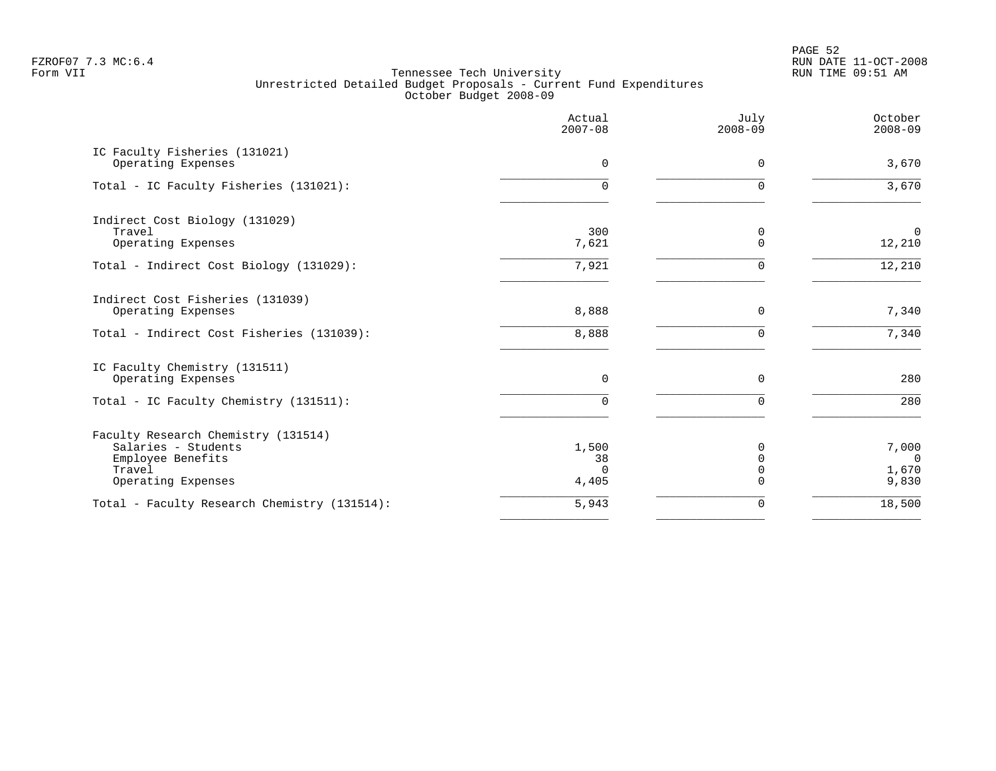PAGE 52 FZROF07 7.3 MC:6.4 RUN DATE 11-OCT-2008

|                                                                                                                 | Actual<br>$2007 - 08$            | July<br>$2008 - 09$      | October<br>$2008 - 09$              |
|-----------------------------------------------------------------------------------------------------------------|----------------------------------|--------------------------|-------------------------------------|
| IC Faculty Fisheries (131021)<br>Operating Expenses                                                             | $\mathbf 0$                      | $\mathbf 0$              | 3,670                               |
| Total - IC Faculty Fisheries (131021):                                                                          | 0                                | $\Omega$                 | 3,670                               |
| Indirect Cost Biology (131029)<br>Travel<br>Operating Expenses                                                  | 300<br>7,621                     | 0<br>$\Omega$            | $\mathbf 0$<br>12,210               |
| Total - Indirect Cost Biology (131029):                                                                         | 7,921                            | $\Omega$                 | 12,210                              |
| Indirect Cost Fisheries (131039)<br>Operating Expenses                                                          | 8,888                            | $\Omega$                 | 7,340                               |
| Total - Indirect Cost Fisheries (131039):                                                                       | 8,888                            | $\Omega$                 | 7,340                               |
| IC Faculty Chemistry (131511)<br>Operating Expenses                                                             | 0                                | $\mathbf 0$              | 280                                 |
| Total - IC Faculty Chemistry (131511):                                                                          | 0                                | $\Omega$                 | 280                                 |
| Faculty Research Chemistry (131514)<br>Salaries - Students<br>Employee Benefits<br>Travel<br>Operating Expenses | 1,500<br>38<br>$\Omega$<br>4,405 | <sup>0</sup><br>$\Omega$ | 7,000<br>$\Omega$<br>1,670<br>9,830 |
| Total - Faculty Research Chemistry (131514):                                                                    | 5,943                            | $\mathbf 0$              | 18,500                              |
|                                                                                                                 |                                  |                          |                                     |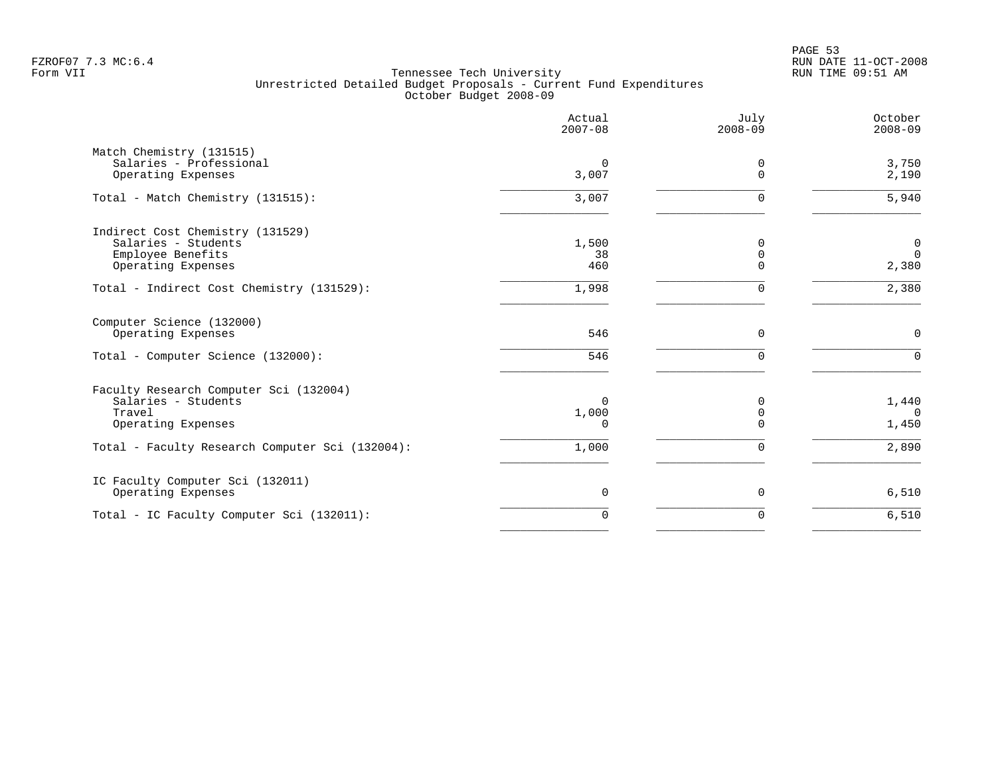PAGE 53 FZROF07 7.3 MC:6.4 RUN DATE 11-OCT-2008

|                                                                                                                                                  | Actual<br>$2007 - 08$                  | July<br>$2008 - 09$                         | October<br>$2008 - 09$              |
|--------------------------------------------------------------------------------------------------------------------------------------------------|----------------------------------------|---------------------------------------------|-------------------------------------|
| Match Chemistry (131515)<br>Salaries - Professional<br>Operating Expenses                                                                        | $\Omega$<br>3,007                      | 0<br>$\Omega$                               | 3,750<br>2,190                      |
| Total - Match Chemistry (131515):                                                                                                                | 3,007                                  | $\mathbf 0$                                 | 5,940                               |
| Indirect Cost Chemistry (131529)<br>Salaries - Students<br>Employee Benefits<br>Operating Expenses                                               | 1,500<br>38<br>460                     | 0<br>$\mathbf 0$<br>$\Omega$                | $\mathbf 0$<br>$\mathbf 0$<br>2,380 |
| Total - Indirect Cost Chemistry (131529):                                                                                                        | 1,998                                  | $\mathbf 0$                                 | 2,380                               |
| Computer Science (132000)<br>Operating Expenses<br>Total - Computer Science (132000):                                                            | 546<br>546                             | $\mathbf 0$<br>$\mathbf 0$                  | $\mathbf 0$<br>$\mathbf 0$          |
| Faculty Research Computer Sci (132004)<br>Salaries - Students<br>Travel<br>Operating Expenses<br>Total - Faculty Research Computer Sci (132004): | $\Omega$<br>1,000<br>$\Omega$<br>1,000 | 0<br>$\mathbf 0$<br>$\Omega$<br>$\mathbf 0$ | 1,440<br>$\Omega$<br>1,450<br>2,890 |
| IC Faculty Computer Sci (132011)<br>Operating Expenses                                                                                           | $\mathbf 0$                            | $\mathbf 0$                                 | 6,510                               |
| Total - IC Faculty Computer Sci (132011):                                                                                                        | $\Omega$                               | $\mathbf 0$                                 | 6,510                               |
|                                                                                                                                                  |                                        |                                             |                                     |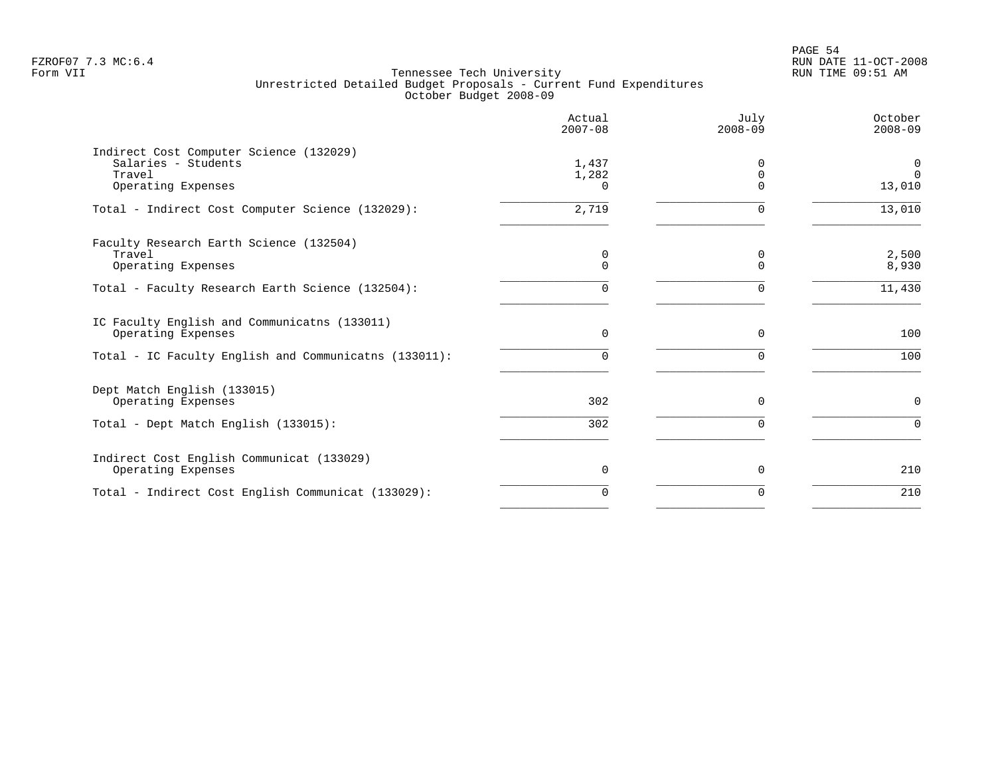PAGE 54 FZROF07 7.3 MC:6.4 RUN DATE 11-OCT-2008

|                                                                                                | Actual<br>$2007 - 08$      | July<br>$2008 - 09$              | October<br>$2008 - 09$  |
|------------------------------------------------------------------------------------------------|----------------------------|----------------------------------|-------------------------|
| Indirect Cost Computer Science (132029)<br>Salaries - Students<br>Travel<br>Operating Expenses | 1,437<br>1,282<br>$\Omega$ | $\Omega$<br>$\Omega$<br>$\Omega$ | 0<br>$\Omega$<br>13,010 |
| Total - Indirect Cost Computer Science (132029):                                               | 2,719                      | $\Omega$                         | 13,010                  |
| Faculty Research Earth Science (132504)<br>Travel<br>Operating Expenses                        | 0<br>0                     | 0<br>$\Omega$                    | 2,500<br>8,930          |
| Total - Faculty Research Earth Science (132504):                                               | 0                          | $\Omega$                         | 11,430                  |
| IC Faculty English and Communicatns (133011)<br>Operating Expenses                             | 0                          | 0                                | 100                     |
| Total - IC Faculty English and Communicatns (133011):                                          | 0                          | $\Omega$                         | 100                     |
| Dept Match English (133015)<br>Operating Expenses                                              | 302                        | $\Omega$                         | $\mathbf 0$             |
| Total - Dept Match English (133015):                                                           | 302                        |                                  | $\Omega$                |
| Indirect Cost English Communicat (133029)<br>Operating Expenses                                | 0                          | $\Omega$                         | 210                     |
| Total - Indirect Cost English Communicat (133029):                                             | $\Omega$                   | $\Omega$                         | 210                     |
|                                                                                                |                            |                                  |                         |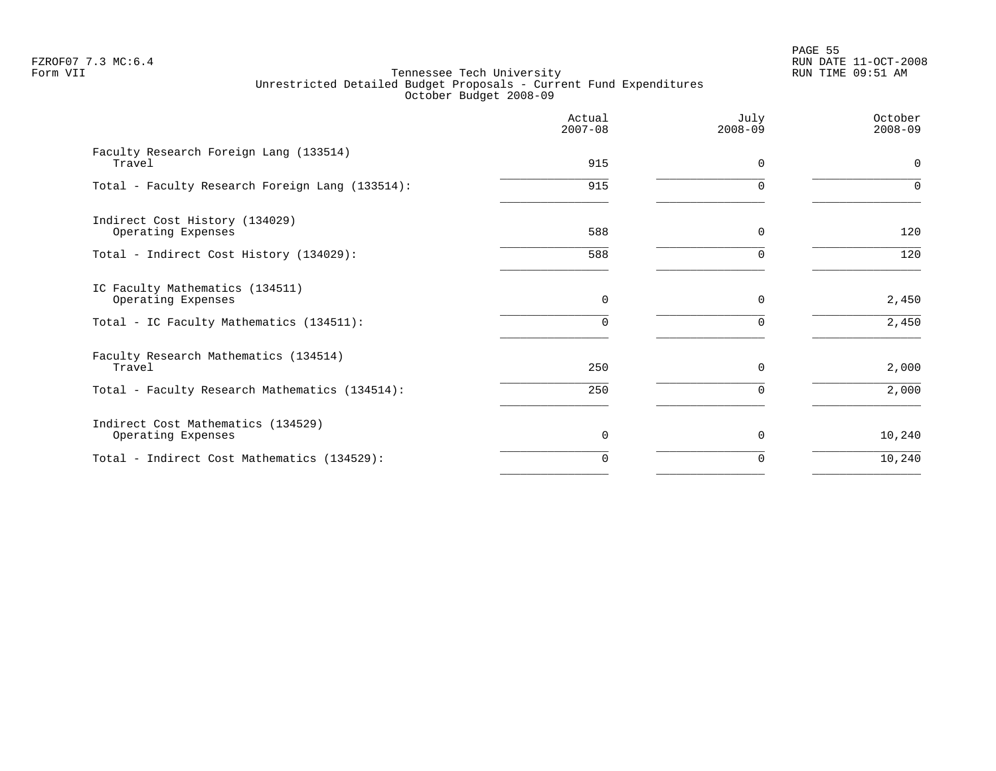en and the state of the state of the state of the state of the state of the state of the state of the state of the state of the state of the state of the state of the state of the state of the state of the state of the sta FZROF07 7.3 MC:6.4 RUN DATE 11-OCT-2008

|                                                          | Actual<br>$2007 - 08$ | July<br>$2008 - 09$ | October<br>$2008 - 09$ |
|----------------------------------------------------------|-----------------------|---------------------|------------------------|
| Faculty Research Foreign Lang (133514)<br>Travel         | 915                   | $\Omega$            | $\mathbf 0$            |
| Total - Faculty Research Foreign Lang (133514):          | 915                   |                     | $\Omega$               |
| Indirect Cost History (134029)<br>Operating Expenses     | 588                   | $\Omega$            | 120                    |
| Total - Indirect Cost History (134029):                  | 588                   |                     | 120                    |
| IC Faculty Mathematics (134511)<br>Operating Expenses    | $\Omega$              | $\Omega$            | 2,450                  |
| Total - IC Faculty Mathematics (134511):                 | $\Omega$              |                     | 2,450                  |
| Faculty Research Mathematics (134514)<br>Travel          | 250                   | $\Omega$            | 2,000                  |
| Total - Faculty Research Mathematics (134514):           | 250                   |                     | 2,000                  |
| Indirect Cost Mathematics (134529)<br>Operating Expenses | $\Omega$              | $\Omega$            | 10,240                 |
| Total - Indirect Cost Mathematics (134529):              | $\Omega$              | O                   | 10,240                 |
|                                                          |                       |                     |                        |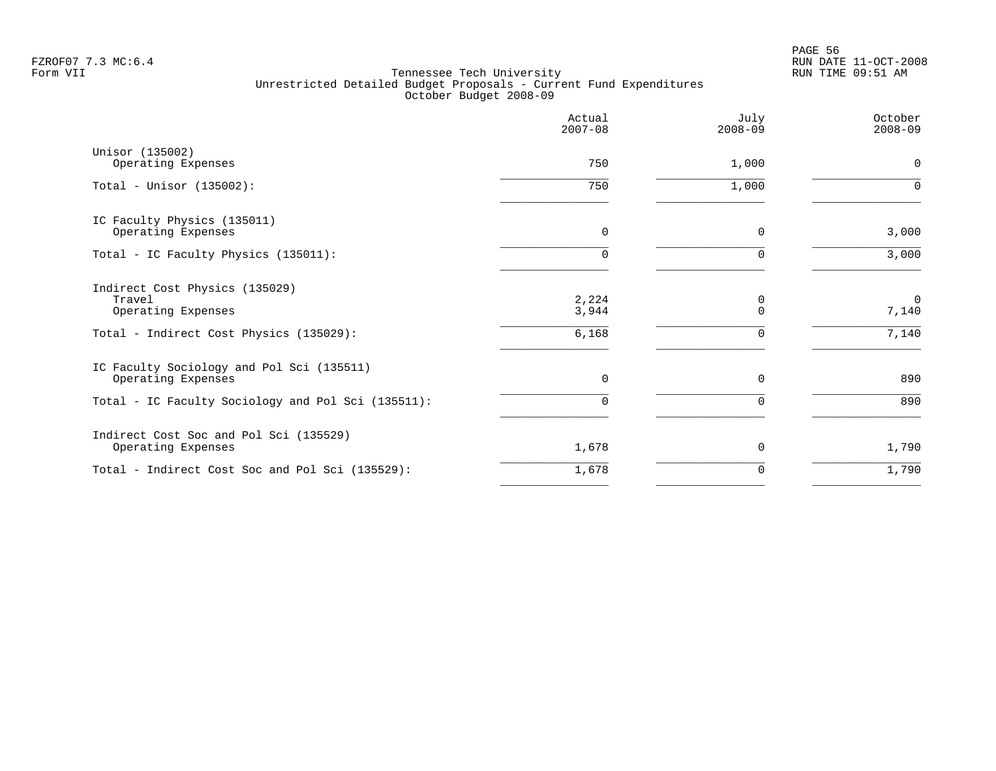PAGE 56 FZROF07 7.3 MC:6.4 RUN DATE 11-OCT-2008

|                                                                 | Actual<br>$2007 - 08$ | July<br>$2008 - 09$ | October<br>$2008 - 09$ |
|-----------------------------------------------------------------|-----------------------|---------------------|------------------------|
| Unisor (135002)<br>Operating Expenses                           | 750                   | 1,000               | $\mathbf 0$            |
| Total - Unisor $(135002)$ :                                     | 750                   | 1,000               | $\Omega$               |
| IC Faculty Physics (135011)<br>Operating Expenses               | 0                     | $\Omega$            | 3,000                  |
| Total - IC Faculty Physics (135011):                            | 0                     | $\Omega$            | 3,000                  |
| Indirect Cost Physics (135029)<br>Travel<br>Operating Expenses  | 2,224<br>3,944        | 0<br>$\mathbf 0$    | $\mathbf 0$<br>7,140   |
| Total - Indirect Cost Physics (135029):                         | 6,168                 | $\Omega$            | 7,140                  |
| IC Faculty Sociology and Pol Sci (135511)<br>Operating Expenses | $\mathbf 0$           | 0                   | 890                    |
| Total - IC Faculty Sociology and Pol Sci (135511):              | $\Omega$              | $\Omega$            | 890                    |
| Indirect Cost Soc and Pol Sci (135529)<br>Operating Expenses    | 1,678                 | 0                   | 1,790                  |
| Total - Indirect Cost Soc and Pol Sci (135529):                 | 1,678                 | 0                   | 1,790                  |
|                                                                 |                       |                     |                        |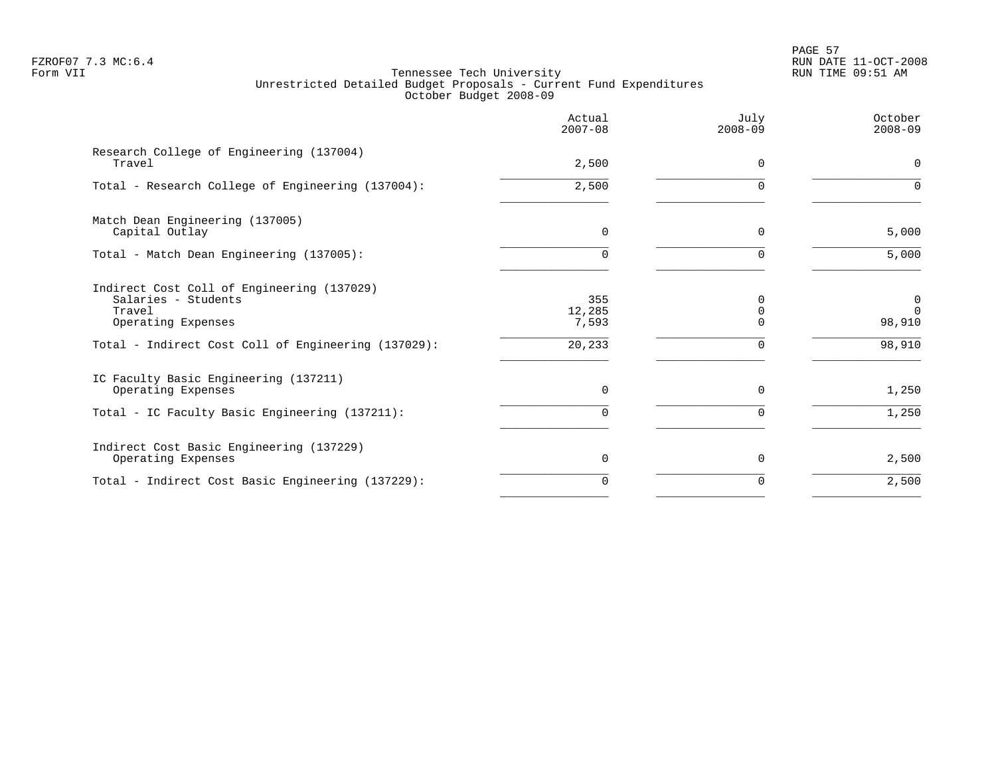# PAGE 57 FZROF07 7.3 MC:6.4 RUN DATE 11-OCT-2008

|                                                                                                                                                          | Actual<br>$2007 - 08$            | July<br>$2008 - 09$                                 | October<br>$2008 - 09$                      |
|----------------------------------------------------------------------------------------------------------------------------------------------------------|----------------------------------|-----------------------------------------------------|---------------------------------------------|
| Research College of Engineering (137004)<br>Travel                                                                                                       | 2,500                            | $\Omega$                                            | 0                                           |
| Total - Research College of Engineering (137004):                                                                                                        | 2,500                            | $\Omega$                                            | $\Omega$                                    |
| Match Dean Engineering (137005)<br>Capital Outlay                                                                                                        | $\Omega$                         | $\Omega$                                            | 5,000                                       |
| Total - Match Dean Engineering (137005):                                                                                                                 | $\Omega$                         | $\Omega$                                            | 5,000                                       |
| Indirect Cost Coll of Engineering (137029)<br>Salaries - Students<br>Travel<br>Operating Expenses<br>Total - Indirect Cost Coll of Engineering (137029): | 355<br>12,285<br>7,593<br>20,233 | <sup>n</sup><br>$\mathbf 0$<br>$\Omega$<br>$\Omega$ | $\mathbf 0$<br>$\Omega$<br>98,910<br>98,910 |
| IC Faculty Basic Engineering (137211)<br>Operating Expenses                                                                                              | $\Omega$                         | $\Omega$                                            | 1,250                                       |
| Total - IC Faculty Basic Engineering (137211):                                                                                                           | $\cap$                           | $\Omega$                                            | 1,250                                       |
| Indirect Cost Basic Engineering (137229)<br>Operating Expenses                                                                                           | $\Omega$                         | $\Omega$                                            | 2,500                                       |
| Total - Indirect Cost Basic Engineering (137229):                                                                                                        | $\Omega$                         | $\Omega$                                            | 2,500                                       |
|                                                                                                                                                          |                                  |                                                     |                                             |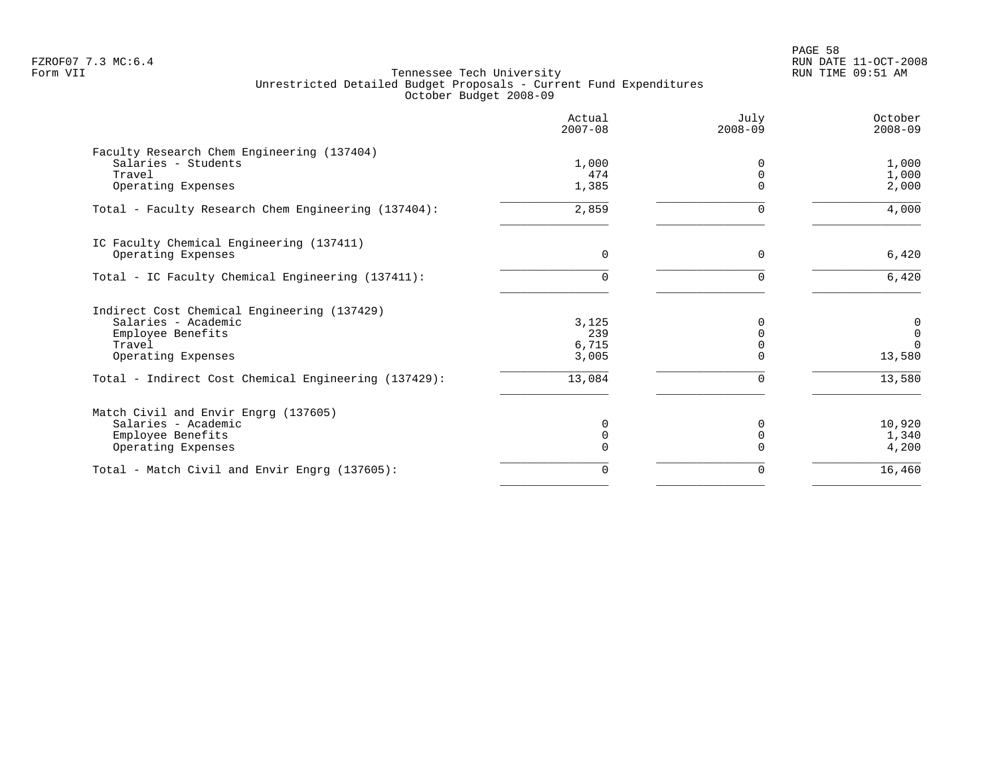PAGE 58 FZROF07 7.3 MC:6.4 RUN DATE 11-OCT-2008

|                                                      | Actual<br>$2007 - 08$ | July<br>$2008 - 09$ | October<br>$2008 - 09$ |
|------------------------------------------------------|-----------------------|---------------------|------------------------|
| Faculty Research Chem Engineering (137404)           |                       |                     |                        |
| Salaries - Students                                  | 1,000                 |                     | 1,000                  |
| Travel                                               | 474                   | $\Omega$            | 1,000                  |
| Operating Expenses                                   | 1,385                 |                     | 2,000                  |
| Total - Faculty Research Chem Engineering (137404):  | 2,859                 | 0                   | 4,000                  |
| IC Faculty Chemical Engineering (137411)             |                       |                     |                        |
| Operating Expenses                                   | $\Omega$              | $\Omega$            | 6,420                  |
| Total - IC Faculty Chemical Engineering (137411):    | 0                     |                     | 6,420                  |
| Indirect Cost Chemical Engineering (137429)          |                       |                     |                        |
| Salaries - Academic                                  | 3,125                 |                     | 0                      |
| Employee Benefits                                    | 239                   |                     | 0                      |
| Travel                                               | 6,715                 |                     | $\Omega$               |
| Operating Expenses                                   | 3,005                 |                     | 13,580                 |
| Total - Indirect Cost Chemical Engineering (137429): | 13,084                | 0                   | 13,580                 |
| Match Civil and Envir Engrg (137605)                 |                       |                     |                        |
| Salaries - Academic                                  | 0                     | $\Omega$            | 10,920                 |
| Employee Benefits                                    | 0                     |                     | 1,340                  |
| Operating Expenses                                   | 0                     |                     | 4,200                  |
| Total - Match Civil and Envir Engrg (137605):        | 0                     | 0                   | 16,460                 |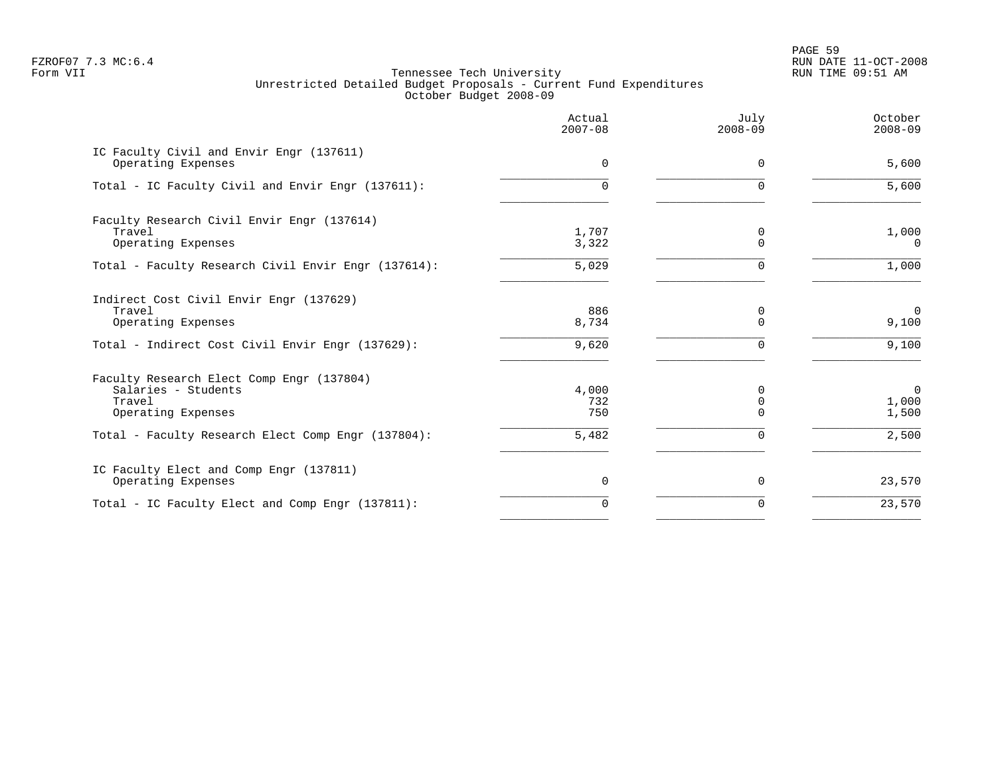PAGE 59 FZROF07 7.3 MC:6.4 RUN DATE 11-OCT-2008

|                                                                                                                             | Actual<br>$2007 - 08$ | July<br>$2008 - 09$ | October<br>$2008 - 09$           |
|-----------------------------------------------------------------------------------------------------------------------------|-----------------------|---------------------|----------------------------------|
| IC Faculty Civil and Envir Engr (137611)<br>Operating Expenses                                                              | 0                     | $\Omega$            | 5,600                            |
| Total - IC Faculty Civil and Envir Engr (137611):                                                                           | $\Omega$              | O                   | 5,600                            |
| Faculty Research Civil Envir Engr (137614)<br>Travel<br>Operating Expenses                                                  | 1,707<br>3,322        | 0<br>$\Omega$       | 1,000<br>$\Omega$                |
| Total - Faculty Research Civil Envir Engr (137614):                                                                         | 5,029                 | $\Omega$            | 1,000                            |
| Indirect Cost Civil Envir Engr (137629)<br>Travel<br>Operating Expenses<br>Total - Indirect Cost Civil Envir Engr (137629): | 886<br>8,734<br>9,620 | 0<br>$\Omega$<br>U  | $\overline{0}$<br>9,100<br>9,100 |
| Faculty Research Elect Comp Engr (137804)<br>Salaries - Students<br>Travel<br>Operating Expenses                            | 4,000<br>732<br>750   | $\Omega$            | $\Omega$<br>1,000<br>1,500       |
| Total - Faculty Research Elect Comp Engr (137804):                                                                          | 5,482                 | O                   | 2,500                            |
| IC Faculty Elect and Comp Engr (137811)<br>Operating Expenses                                                               | 0                     | $\Omega$            | 23,570                           |
| Total - IC Faculty Elect and Comp Engr (137811):                                                                            | $\Omega$              | $\Omega$            | 23,570                           |
|                                                                                                                             |                       |                     |                                  |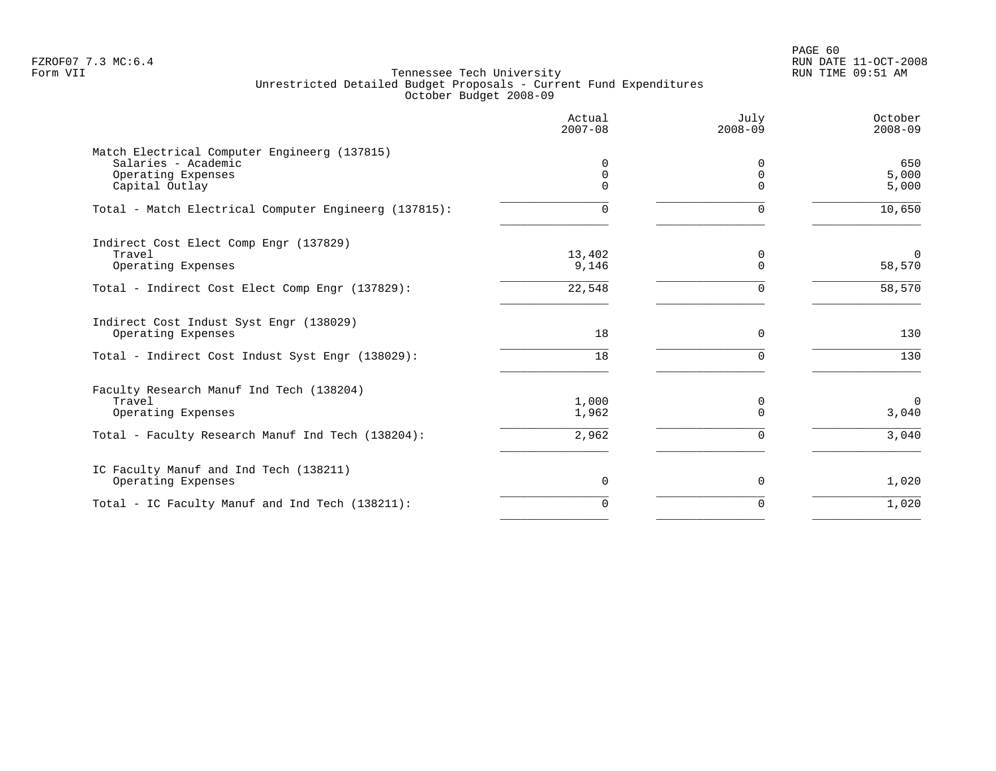PAGE 60 FZROF07 7.3 MC:6.4 RUN DATE 11-OCT-2008

|                                                                                                             | Actual<br>$2007 - 08$ | July<br>$2008 - 09$           | October<br>$2008 - 09$ |
|-------------------------------------------------------------------------------------------------------------|-----------------------|-------------------------------|------------------------|
| Match Electrical Computer Engineerg (137815)<br>Salaries - Academic<br>Operating Expenses<br>Capital Outlay | 0<br>0<br>$\Omega$    | <sup>0</sup><br>0<br>$\Omega$ | 650<br>5,000<br>5,000  |
| Total - Match Electrical Computer Engineerg (137815):                                                       | 0                     | $\Omega$                      | 10,650                 |
| Indirect Cost Elect Comp Engr (137829)<br>Travel<br>Operating Expenses                                      | 13,402<br>9,146       | 0<br>$\Omega$                 | $\Omega$<br>58,570     |
| Total - Indirect Cost Elect Comp Engr (137829):                                                             | 22,548                | $\Omega$                      | 58,570                 |
| Indirect Cost Indust Syst Engr (138029)<br>Operating Expenses                                               | 18                    | $\mathbf 0$                   | 130                    |
| Total - Indirect Cost Indust Syst Engr (138029):                                                            | 18                    | $\Omega$                      | 130                    |
| Faculty Research Manuf Ind Tech (138204)<br>Travel<br>Operating Expenses                                    | 1,000<br>1,962        | 0<br>$\Omega$                 | $\Omega$<br>3,040      |
| Total - Faculty Research Manuf Ind Tech (138204):                                                           | 2,962                 | $\Omega$                      | 3,040                  |
| IC Faculty Manuf and Ind Tech (138211)<br>Operating Expenses                                                | 0                     | 0                             | 1,020                  |
| Total - IC Faculty Manuf and Ind Tech (138211):                                                             | $\Omega$              | $\Omega$                      | 1,020                  |
|                                                                                                             |                       |                               |                        |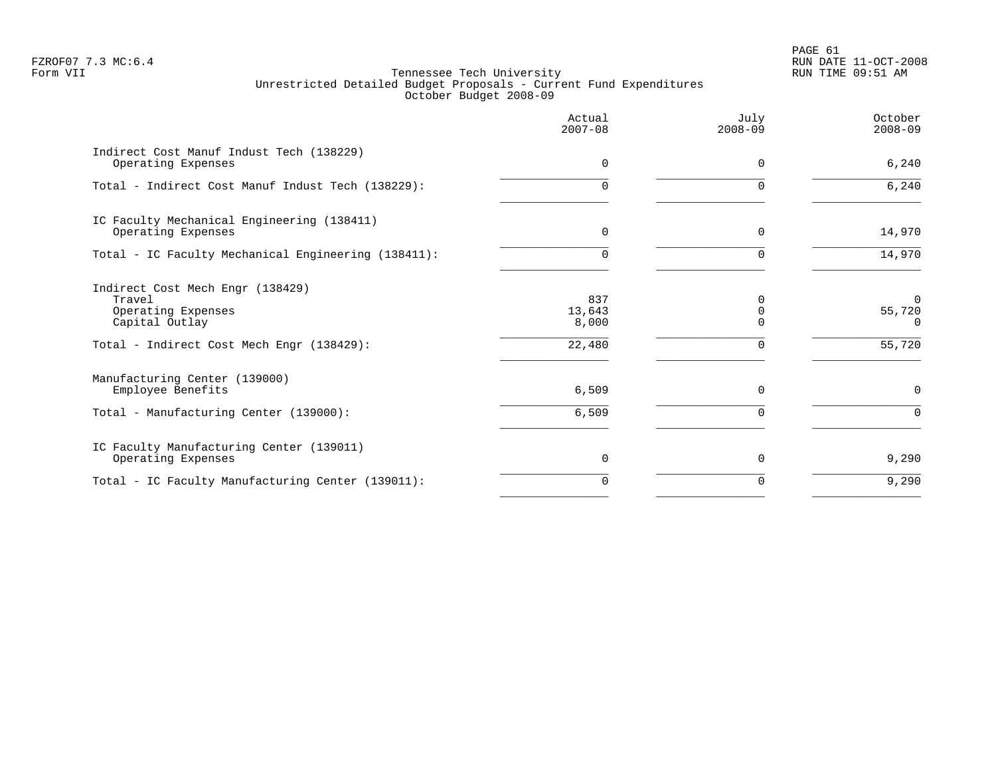PAGE 61 FZROF07 7.3 MC:6.4 RUN DATE 11-OCT-2008

|                                                                                                                                 | Actual<br>$2007 - 08$            | July<br>$2008 - 09$  | October<br>$2008 - 09$                   |
|---------------------------------------------------------------------------------------------------------------------------------|----------------------------------|----------------------|------------------------------------------|
| Indirect Cost Manuf Indust Tech (138229)<br>Operating Expenses                                                                  | $\Omega$                         | $\Omega$             | 6,240                                    |
| Total - Indirect Cost Manuf Indust Tech (138229):                                                                               | $\Omega$                         | $\Omega$             | 6,240                                    |
| IC Faculty Mechanical Engineering (138411)<br>Operating Expenses                                                                | 0                                | $\Omega$             | 14,970                                   |
| Total - IC Faculty Mechanical Engineering (138411):                                                                             | $\Omega$                         | $\Omega$             | 14,970                                   |
| Indirect Cost Mech Engr (138429)<br>Travel<br>Operating Expenses<br>Capital Outlay<br>Total - Indirect Cost Mech Engr (138429): | 837<br>13,643<br>8,000<br>22,480 |                      | $\Omega$<br>55,720<br>$\Omega$<br>55,720 |
| Manufacturing Center (139000)<br>Employee Benefits<br>Total - Manufacturing Center (139000):                                    | 6,509<br>6,509                   | $\Omega$<br>$\Omega$ | $\Omega$<br>$\Omega$                     |
| IC Faculty Manufacturing Center (139011)<br>Operating Expenses                                                                  | 0                                | $\Omega$             | 9,290                                    |
| Total - IC Faculty Manufacturing Center (139011):                                                                               | $\Omega$                         | O                    | 9,290                                    |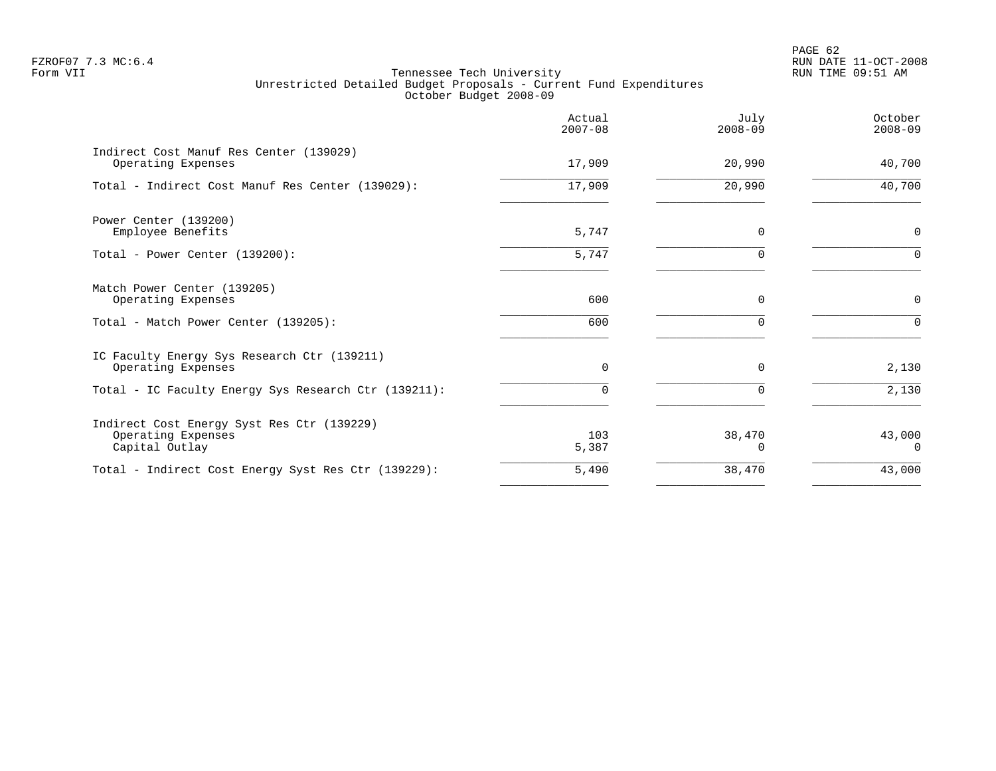PAGE 62 FZROF07 7.3 MC:6.4 RUN DATE 11-OCT-2008

|                                                                                    | Actual<br>$2007 - 08$ | July<br>$2008 - 09$ | October<br>$2008 - 09$ |
|------------------------------------------------------------------------------------|-----------------------|---------------------|------------------------|
| Indirect Cost Manuf Res Center (139029)<br>Operating Expenses                      | 17,909                | 20,990              | 40,700                 |
| Total - Indirect Cost Manuf Res Center (139029):                                   | 17,909                | 20,990              | 40,700                 |
| Power Center (139200)<br>Employee Benefits                                         | 5,747                 | 0                   | 0                      |
| Total - Power Center (139200):                                                     | 5,747                 | $\Omega$            | $\Omega$               |
| Match Power Center (139205)<br>Operating Expenses                                  | 600                   | 0                   | 0                      |
| Total - Match Power Center (139205):                                               | 600                   | $\Omega$            | $\Omega$               |
| IC Faculty Energy Sys Research Ctr (139211)<br>Operating Expenses                  | $\Omega$              | $\Omega$            | 2,130                  |
| Total - IC Faculty Energy Sys Research Ctr (139211):                               | $\Omega$              | 0                   | 2,130                  |
| Indirect Cost Energy Syst Res Ctr (139229)<br>Operating Expenses<br>Capital Outlay | 103<br>5,387          | 38,470<br>O         | 43,000<br>$\Omega$     |
| Total - Indirect Cost Energy Syst Res Ctr (139229):                                | 5,490                 | 38,470              | 43,000                 |
|                                                                                    |                       |                     |                        |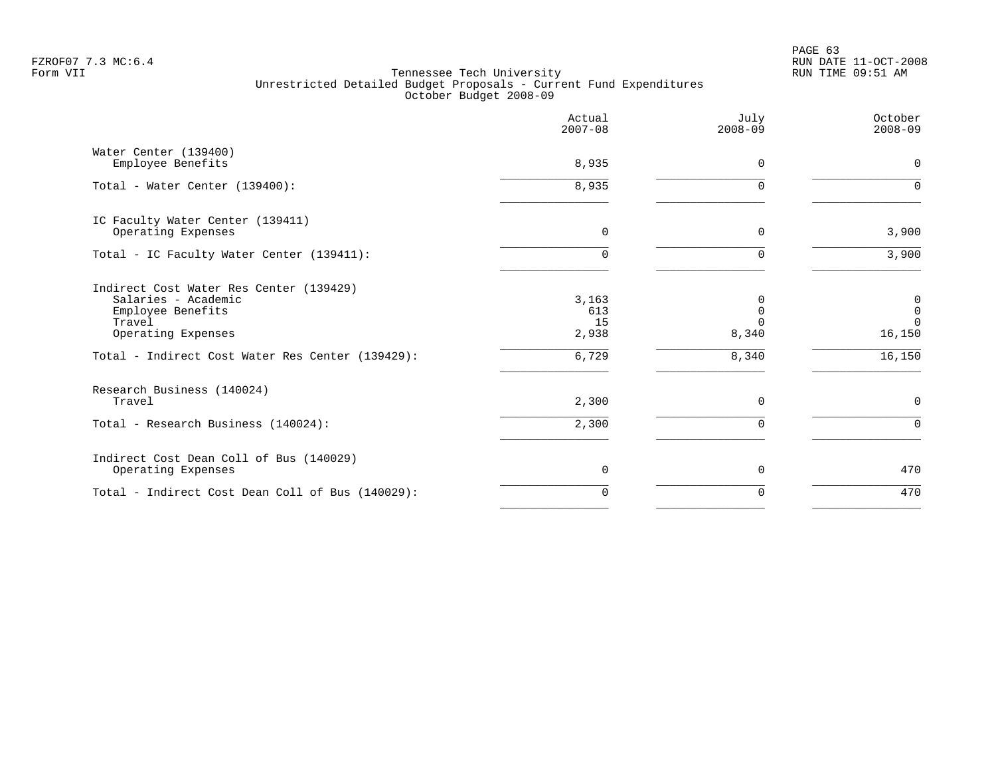PAGE 63 FZROF07 7.3 MC:6.4 RUN DATE 11-OCT-2008

|                                                                                                                                                                         | Actual<br>$2007 - 08$                | July<br>$2008 - 09$             | October<br>$2008 - 09$                                        |
|-------------------------------------------------------------------------------------------------------------------------------------------------------------------------|--------------------------------------|---------------------------------|---------------------------------------------------------------|
| Water Center (139400)<br>Employee Benefits                                                                                                                              | 8,935                                | $\Omega$                        | $\mathbf 0$                                                   |
| Total - Water Center (139400):                                                                                                                                          | 8,935                                | $\Omega$                        | $\Omega$                                                      |
| IC Faculty Water Center (139411)<br>Operating Expenses                                                                                                                  | $\mathbf 0$                          | 0                               | 3,900                                                         |
| Total - IC Faculty Water Center (139411):                                                                                                                               | $\cap$                               |                                 | 3,900                                                         |
| Indirect Cost Water Res Center (139429)<br>Salaries - Academic<br>Employee Benefits<br>Travel<br>Operating Expenses<br>Total - Indirect Cost Water Res Center (139429): | 3,163<br>613<br>15<br>2,938<br>6,729 | N<br>$\Omega$<br>8,340<br>8,340 | $\overline{0}$<br>$\mathbf 0$<br>$\Omega$<br>16,150<br>16,150 |
| Research Business (140024)                                                                                                                                              |                                      |                                 |                                                               |
| Travel<br>Total - Research Business (140024):                                                                                                                           | 2,300<br>2,300                       | $\Omega$<br>$\Omega$            | $\mathbf 0$<br>$\Omega$                                       |
| Indirect Cost Dean Coll of Bus (140029)<br>Operating Expenses                                                                                                           | 0                                    | 0                               | 470                                                           |
| Total - Indirect Cost Dean Coll of Bus (140029):                                                                                                                        | $\Omega$                             | $\Omega$                        | 470                                                           |
|                                                                                                                                                                         |                                      |                                 |                                                               |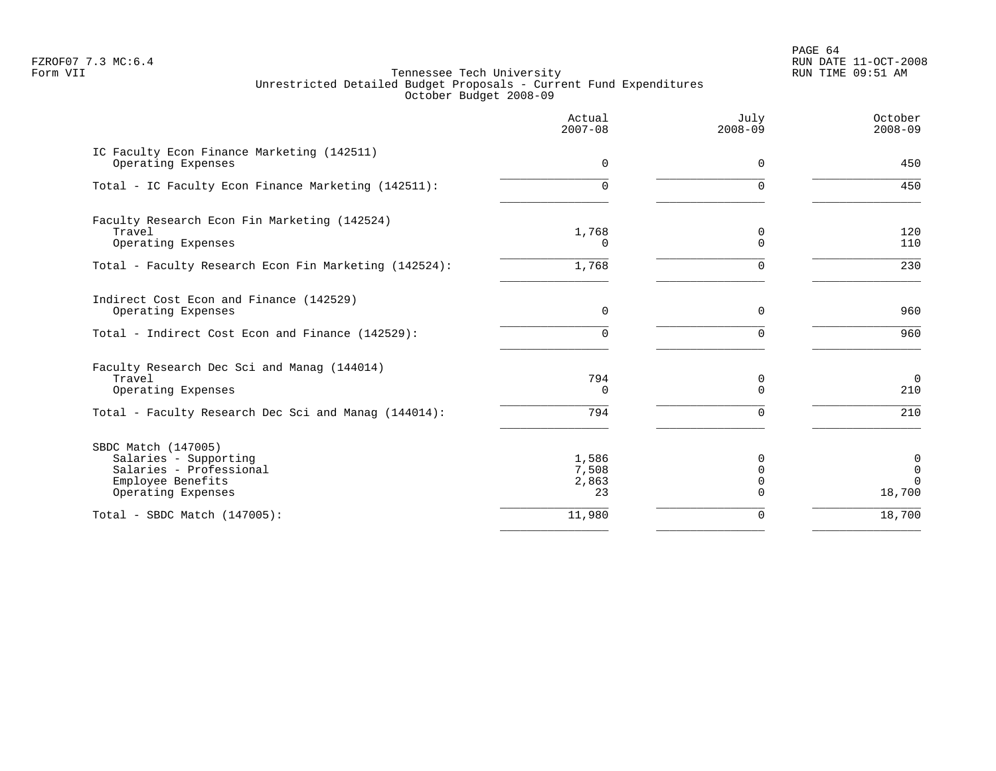PAGE 64 FZROF07 7.3 MC:6.4 RUN DATE 11-OCT-2008

|                                                                                                                    | Actual<br>$2007 - 08$         | July<br>$2008 - 09$                          | October<br>$2008 - 09$       |
|--------------------------------------------------------------------------------------------------------------------|-------------------------------|----------------------------------------------|------------------------------|
| IC Faculty Econ Finance Marketing (142511)<br>Operating Expenses                                                   | $\Omega$                      | $\Omega$                                     | 450                          |
| Total - IC Faculty Econ Finance Marketing (142511):                                                                | 0                             | $\Omega$                                     | 450                          |
| Faculty Research Econ Fin Marketing (142524)<br>Travel<br>Operating Expenses                                       | 1,768<br>0                    | 0<br>$\Omega$                                | 120<br>110                   |
| Total - Faculty Research Econ Fin Marketing (142524):                                                              | 1,768                         | $\Omega$                                     | 230                          |
| Indirect Cost Econ and Finance (142529)<br>Operating Expenses                                                      | 0                             | $\mathbf 0$                                  | 960                          |
| Total - Indirect Cost Econ and Finance (142529):                                                                   | 0                             | $\Omega$                                     | 960                          |
| Faculty Research Dec Sci and Manag (144014)<br>Travel<br>Operating Expenses                                        | 794<br>$\Omega$               | 0<br>$\Omega$                                | $\mathbf 0$<br>210           |
| Total - Faculty Research Dec Sci and Manag (144014):                                                               | 794                           | 0                                            | 210                          |
| SBDC Match (147005)<br>Salaries - Supporting<br>Salaries - Professional<br>Employee Benefits<br>Operating Expenses | 1,586<br>7,508<br>2,863<br>23 | $\Omega$<br>$\Omega$<br>$\Omega$<br>$\Omega$ | 0<br>0<br>$\Omega$<br>18,700 |
| Total - SBDC Match $(147005)$ :                                                                                    | 11,980                        | 0                                            | 18,700                       |
|                                                                                                                    |                               |                                              |                              |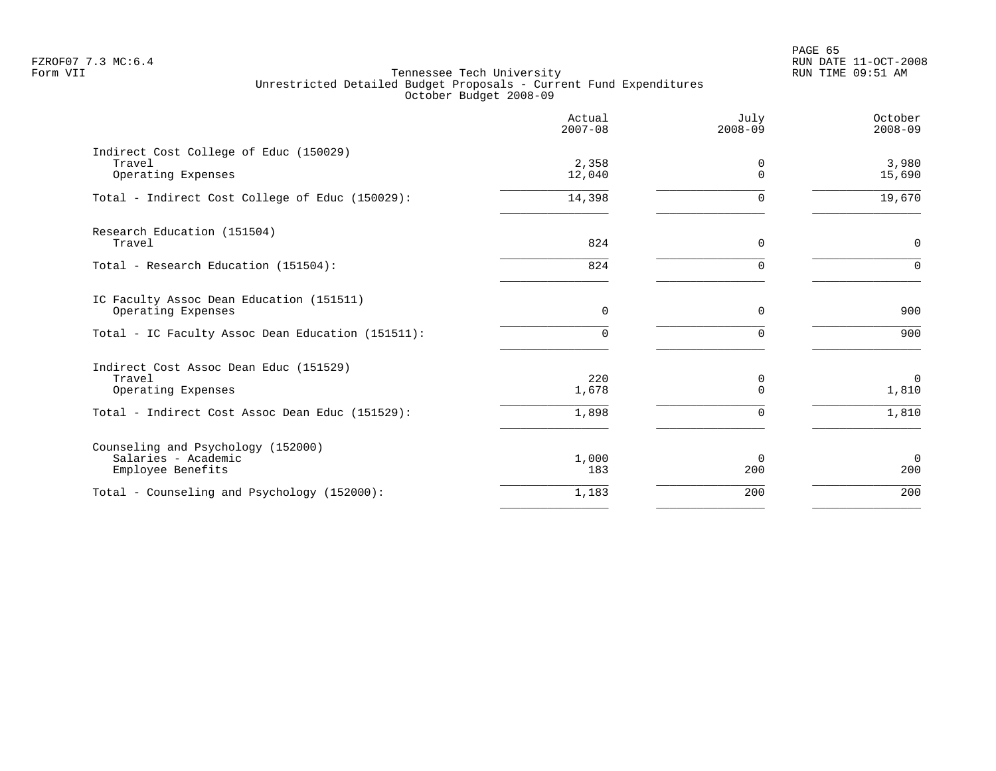|                                                                                | Actual<br>$2007 - 08$ | July<br>$2008 - 09$ | October<br>$2008 - 09$  |
|--------------------------------------------------------------------------------|-----------------------|---------------------|-------------------------|
| Indirect Cost College of Educ (150029)<br>Travel<br>Operating Expenses         | 2,358<br>12,040       | $\Omega$            | 3,980<br>15,690         |
| Total - Indirect Cost College of Educ (150029):                                | 14,398                |                     | 19,670                  |
| Research Education (151504)<br>Travel                                          | 824                   | $\Omega$            | $\mathbf 0$             |
| Total - Research Education (151504):                                           | 824                   |                     | $\Omega$                |
| IC Faculty Assoc Dean Education (151511)<br>Operating Expenses                 | 0                     | $\mathbf 0$         | 900                     |
| Total - IC Faculty Assoc Dean Education (151511):                              | $\Omega$              | $\Omega$            | 900                     |
| Indirect Cost Assoc Dean Educ (151529)<br>Travel<br>Operating Expenses         | 220<br>1,678          | 0<br>$\Omega$       | $\overline{0}$<br>1,810 |
| Total - Indirect Cost Assoc Dean Educ (151529):                                | 1,898                 |                     | 1,810                   |
| Counseling and Psychology (152000)<br>Salaries - Academic<br>Employee Benefits | 1,000<br>183          | $\Omega$<br>200     | $\mathbf 0$<br>200      |
| Total - Counseling and Psychology (152000):                                    | 1,183                 | 200                 | 200                     |
|                                                                                |                       |                     |                         |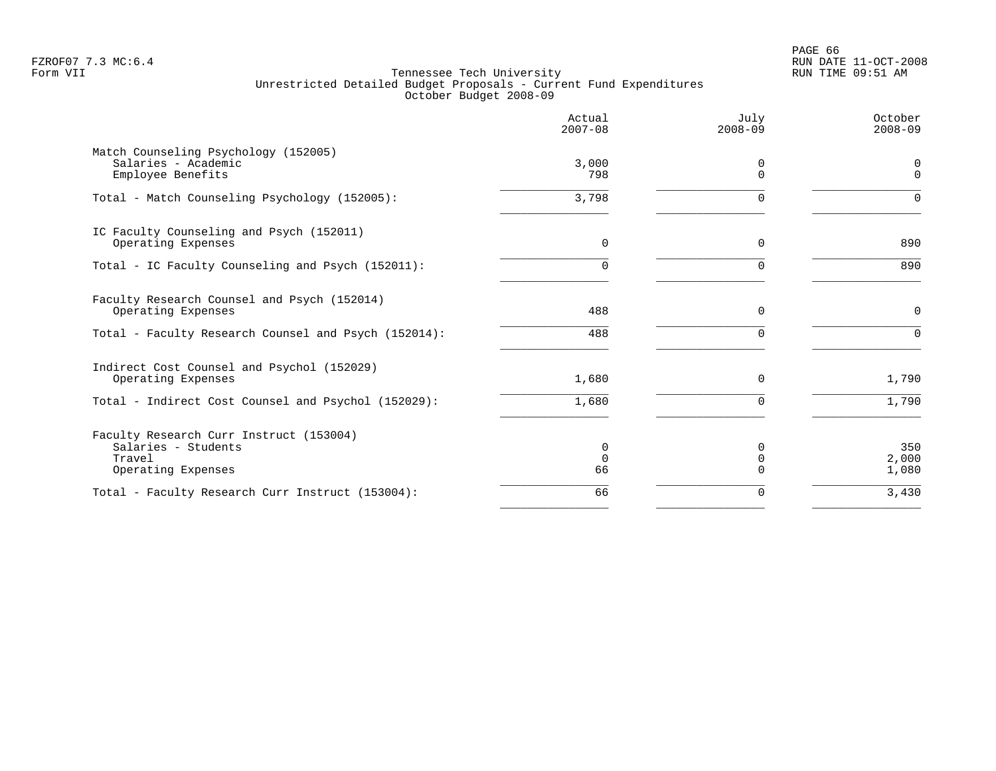PAGE 66 FZROF07 7.3 MC:6.4 RUN DATE 11-OCT-2008

|                                                                                                | Actual<br>$2007 - 08$  | July<br>$2008 - 09$  | October<br>$2008 - 09$ |
|------------------------------------------------------------------------------------------------|------------------------|----------------------|------------------------|
| Match Counseling Psychology (152005)<br>Salaries - Academic<br>Employee Benefits               | 3,000<br>798           | 0<br>$\Omega$        | 0<br>$\mathbf 0$       |
| Total - Match Counseling Psychology (152005):                                                  | 3,798                  | $\Omega$             | $\Omega$               |
| IC Faculty Counseling and Psych (152011)<br>Operating Expenses                                 | $\Omega$               | $\Omega$             | 890                    |
| Total - IC Faculty Counseling and Psych (152011):                                              | 0                      | <sup>n</sup>         | 890                    |
| Faculty Research Counsel and Psych (152014)<br>Operating Expenses                              | 488                    | $\mathbf 0$          | $\mathbf 0$            |
| Total - Faculty Research Counsel and Psych (152014):                                           | 488                    | $\Omega$             | $\Omega$               |
| Indirect Cost Counsel and Psychol (152029)<br>Operating Expenses                               | 1,680                  | $\Omega$             | 1,790                  |
| Total - Indirect Cost Counsel and Psychol (152029):                                            | 1,680                  | $\Omega$             | 1,790                  |
| Faculty Research Curr Instruct (153004)<br>Salaries - Students<br>Travel<br>Operating Expenses | 0<br>$\mathbf 0$<br>66 | $\Omega$<br>$\Omega$ | 350<br>2,000<br>1,080  |
| Total - Faculty Research Curr Instruct (153004):                                               | 66                     | $\Omega$             | 3,430                  |
|                                                                                                |                        |                      |                        |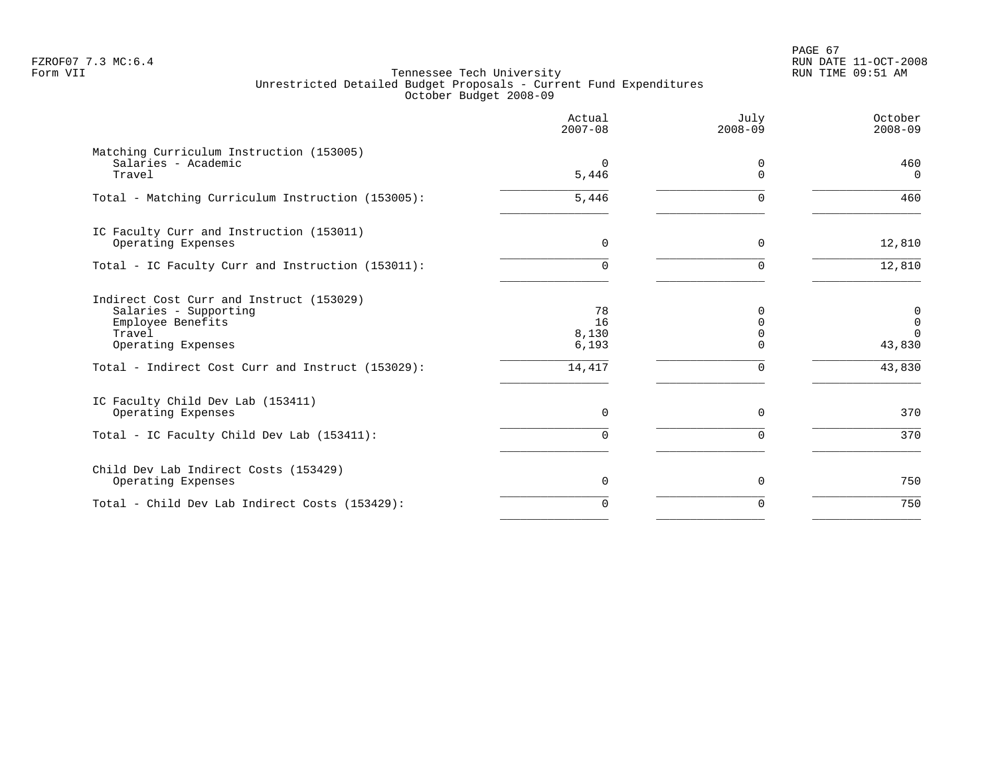PAGE 67 FZROF07 7.3 MC:6.4 RUN DATE 11-OCT-2008

|                                                                                                                                                                             | Actual<br>$2007 - 08$                | July<br>$2008 - 09$ | October<br>$2008 - 09$                                        |
|-----------------------------------------------------------------------------------------------------------------------------------------------------------------------------|--------------------------------------|---------------------|---------------------------------------------------------------|
| Matching Curriculum Instruction (153005)<br>Salaries - Academic<br>Travel                                                                                                   | $\Omega$<br>5,446                    | 0<br>$\Omega$       | 460<br>$\Omega$                                               |
| Total - Matching Curriculum Instruction (153005):                                                                                                                           | 5,446                                | O                   | 460                                                           |
| IC Faculty Curr and Instruction (153011)<br>Operating Expenses                                                                                                              | $\Omega$                             | $\Omega$            | 12,810                                                        |
| Total - IC Faculty Curr and Instruction (153011):                                                                                                                           | $\cap$                               | $\Omega$            | 12,810                                                        |
| Indirect Cost Curr and Instruct (153029)<br>Salaries - Supporting<br>Employee Benefits<br>Travel<br>Operating Expenses<br>Total - Indirect Cost Curr and Instruct (153029): | 78<br>16<br>8,130<br>6,193<br>14,417 | U                   | $\overline{0}$<br>$\mathbf 0$<br>$\Omega$<br>43,830<br>43,830 |
| IC Faculty Child Dev Lab (153411)<br>Operating Expenses                                                                                                                     | $\Omega$                             | $\Omega$            | 370                                                           |
| Total - IC Faculty Child Dev Lab (153411):                                                                                                                                  | $\Omega$                             | U                   | 370                                                           |
| Child Dev Lab Indirect Costs (153429)<br>Operating Expenses                                                                                                                 | $\Omega$                             | $\Omega$            | 750                                                           |
| Total - Child Dev Lab Indirect Costs (153429):                                                                                                                              | $\Omega$                             | $\Omega$            | 750                                                           |
|                                                                                                                                                                             |                                      |                     |                                                               |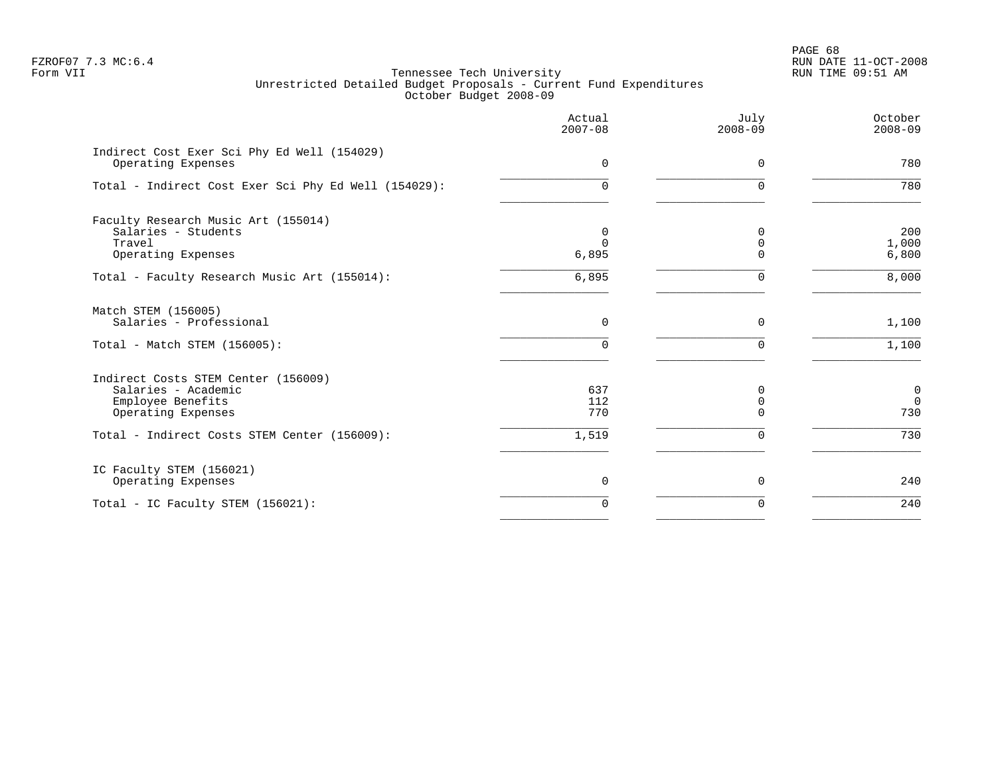PAGE 68 FZROF07 7.3 MC:6.4 RUN DATE 11-OCT-2008

|                                                                                                       | Actual<br>$2007 - 08$  | July<br>$2008 - 09$                  | October<br>$2008 - 09$            |
|-------------------------------------------------------------------------------------------------------|------------------------|--------------------------------------|-----------------------------------|
| Indirect Cost Exer Sci Phy Ed Well (154029)<br>Operating Expenses                                     | 0                      | $\mathbf 0$                          | 780                               |
| Total - Indirect Cost Exer Sci Phy Ed Well (154029):                                                  | 0                      | $\Omega$                             | 780                               |
| Faculty Research Music Art (155014)<br>Salaries - Students<br>Travel<br>Operating Expenses            | 0<br>$\Omega$<br>6,895 | <sup>0</sup><br>$\Omega$<br>$\Omega$ | 200<br>1,000<br>6,800             |
| Total - Faculty Research Music Art (155014):                                                          | 6,895                  | $\Omega$                             | 8,000                             |
| Match STEM (156005)<br>Salaries - Professional<br>Total - Match STEM (156005):                        | $\mathbf 0$<br>0       | $\mathbf 0$                          | 1,100<br>1,100                    |
| Indirect Costs STEM Center (156009)<br>Salaries - Academic<br>Employee Benefits<br>Operating Expenses | 637<br>112<br>770      | $\Omega$<br>$\mathbf 0$<br>$\Omega$  | $\mathbf 0$<br>$\mathbf 0$<br>730 |
| Total - Indirect Costs STEM Center (156009):                                                          | 1,519                  | $\Omega$                             | 730                               |
| IC Faculty STEM (156021)<br>Operating Expenses                                                        | 0                      | 0                                    | 240                               |
| Total - IC Faculty STEM (156021):                                                                     | $\Omega$               | $\Omega$                             | 240                               |
|                                                                                                       |                        |                                      |                                   |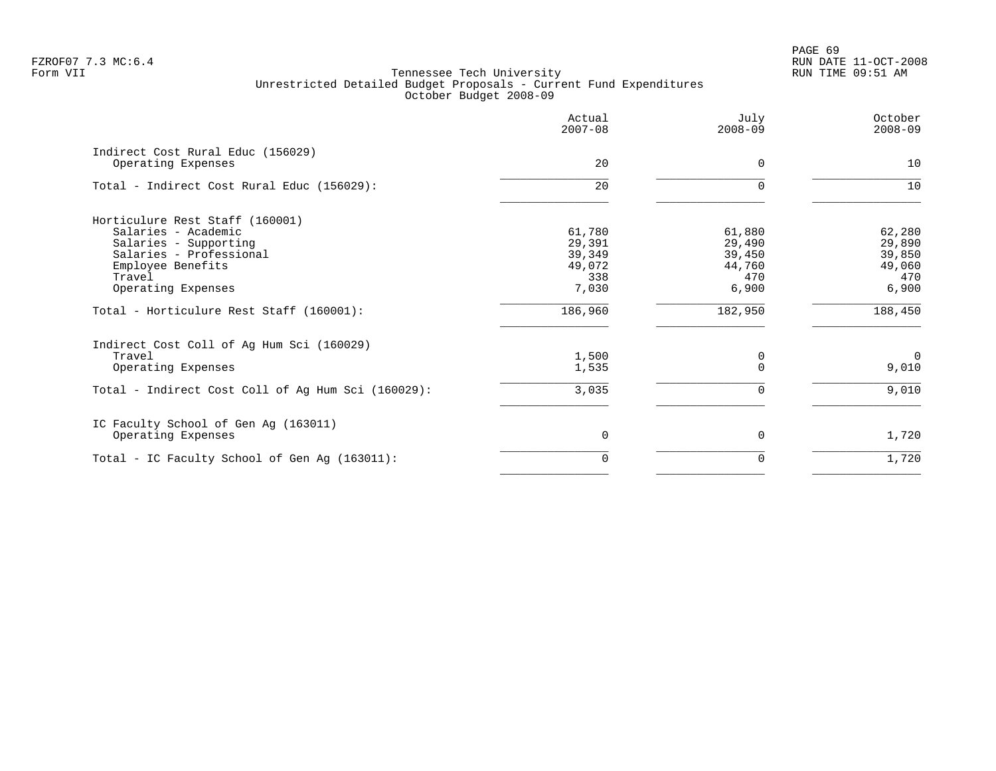PAGE 69 FZROF07 7.3 MC:6.4 RUN DATE 11-OCT-2008

|                                                                                                                                                                 | Actual<br>$2007 - 08$                                | July<br>$2008 - 09$                                  | October<br>$2008 - 09$                               |
|-----------------------------------------------------------------------------------------------------------------------------------------------------------------|------------------------------------------------------|------------------------------------------------------|------------------------------------------------------|
| Indirect Cost Rural Educ (156029)<br>Operating Expenses                                                                                                         | 20                                                   | $\Omega$                                             | 10                                                   |
| Total - Indirect Cost Rural Educ (156029):                                                                                                                      | 20                                                   | $\Omega$                                             | 10                                                   |
| Horticulure Rest Staff (160001)<br>Salaries - Academic<br>Salaries - Supporting<br>Salaries - Professional<br>Employee Benefits<br>Travel<br>Operating Expenses | 61,780<br>29,391<br>39,349<br>49,072<br>338<br>7,030 | 61,880<br>29,490<br>39,450<br>44,760<br>470<br>6,900 | 62,280<br>29,890<br>39,850<br>49,060<br>470<br>6,900 |
| Total - Horticulure Rest Staff (160001):                                                                                                                        | 186,960                                              | 182,950                                              | 188,450                                              |
| Indirect Cost Coll of Ag Hum Sci (160029)<br>Travel<br>Operating Expenses                                                                                       | 1,500<br>1,535                                       | 0                                                    | $\Omega$<br>9,010                                    |
| Total - Indirect Cost Coll of Ag Hum Sci (160029):                                                                                                              | 3,035                                                | 0                                                    | 9,010                                                |
| IC Faculty School of Gen Ag (163011)<br>Operating Expenses                                                                                                      | 0                                                    | $\Omega$                                             | 1,720                                                |
| Total - IC Faculty School of Gen Ag (163011):                                                                                                                   | $\Omega$                                             | 0                                                    | 1,720                                                |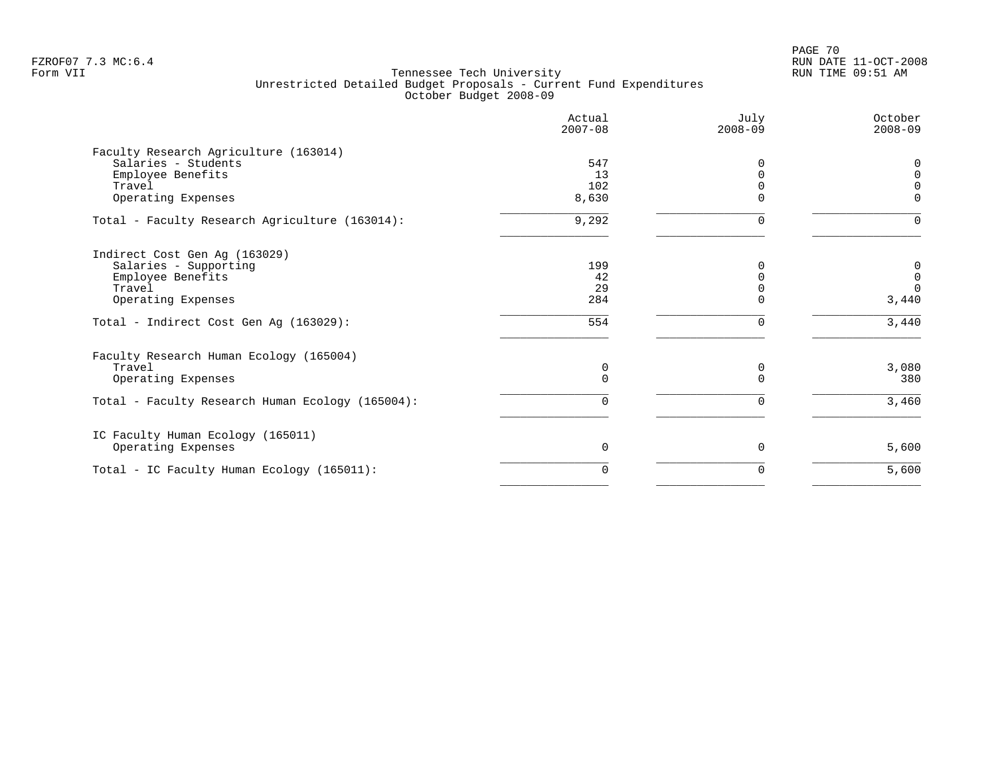PAGE 70 FZROF07 7.3 MC:6.4 RUN DATE 11-OCT-2008

|                                                  | Actual<br>$2007 - 08$ | July<br>$2008 - 09$ | October<br>$2008 - 09$ |
|--------------------------------------------------|-----------------------|---------------------|------------------------|
| Faculty Research Agriculture (163014)            |                       |                     |                        |
| Salaries - Students                              | 547                   |                     |                        |
| Employee Benefits                                | 13                    | $\Omega$            | $\Omega$               |
| Travel                                           | 102                   | $\Omega$            | $\Omega$               |
| Operating Expenses                               | 8,630                 |                     | $\Omega$               |
| Total - Faculty Research Agriculture (163014):   | 9,292                 | $\Omega$            | ∩                      |
| Indirect Cost Gen Ag (163029)                    |                       |                     |                        |
| Salaries - Supporting                            | 199                   |                     | 0                      |
| Employee Benefits                                | 42                    | $\Omega$            | $\mathbf 0$            |
| Travel                                           | 29                    |                     | $\Omega$               |
| Operating Expenses                               | 284                   | $\Omega$            | 3,440                  |
| Total - Indirect Cost Gen Ag (163029):           | 554                   | $\Omega$            | 3,440                  |
| Faculty Research Human Ecology (165004)          |                       |                     |                        |
| Travel                                           | 0                     | 0                   | 3,080                  |
| Operating Expenses                               | 0                     | $\Omega$            | 380                    |
| Total - Faculty Research Human Ecology (165004): | 0                     | 0                   | 3,460                  |
| IC Faculty Human Ecology (165011)                |                       |                     |                        |
| Operating Expenses                               | $\Omega$              | $\Omega$            | 5,600                  |
| Total - IC Faculty Human Ecology (165011):       | 0                     | $\Omega$            | 5,600                  |
|                                                  |                       |                     |                        |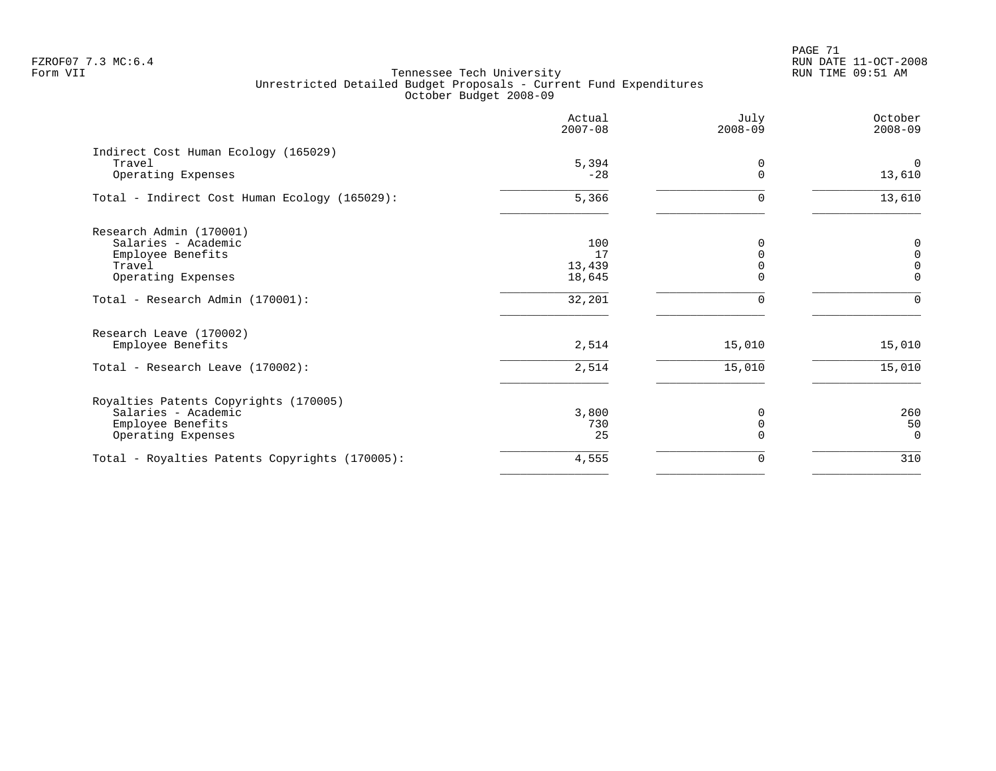# PAGE 71 FZROF07 7.3 MC:6.4 RUN DATE 11-OCT-2008

|                                                                      | Actual<br>$2007 - 08$ | July<br>$2008 - 09$ | October<br>$2008 - 09$   |
|----------------------------------------------------------------------|-----------------------|---------------------|--------------------------|
| Indirect Cost Human Ecology (165029)<br>Travel<br>Operating Expenses | 5,394<br>$-28$        | 0<br>$\Omega$       | $\Omega$<br>13,610       |
| Total - Indirect Cost Human Ecology (165029):                        | 5,366                 | 0                   | 13,610                   |
| Research Admin (170001)                                              |                       |                     |                          |
| Salaries - Academic<br>Employee Benefits                             | 100<br>17             |                     | $\pmb{0}$<br>$\mathbf 0$ |
| Travel<br>Operating Expenses                                         | 13,439<br>18,645      | U                   | $\mathbf 0$<br>$\Omega$  |
| Total - Research Admin (170001):                                     | 32,201                | O                   | $\Omega$                 |
| Research Leave (170002)                                              |                       |                     |                          |
| Employee Benefits                                                    | 2,514                 | 15,010              | 15,010                   |
| Total - Research Leave (170002):                                     | 2,514                 | 15,010              | 15,010                   |
| Royalties Patents Copyrights (170005)                                |                       |                     |                          |
| Salaries - Academic                                                  | 3,800<br>730          |                     | 260                      |
| Employee Benefits<br>Operating Expenses                              | 25                    |                     | 50<br>$\overline{0}$     |
| Total - Royalties Patents Copyrights (170005):                       | 4,555                 | 0                   | 310                      |
|                                                                      |                       |                     |                          |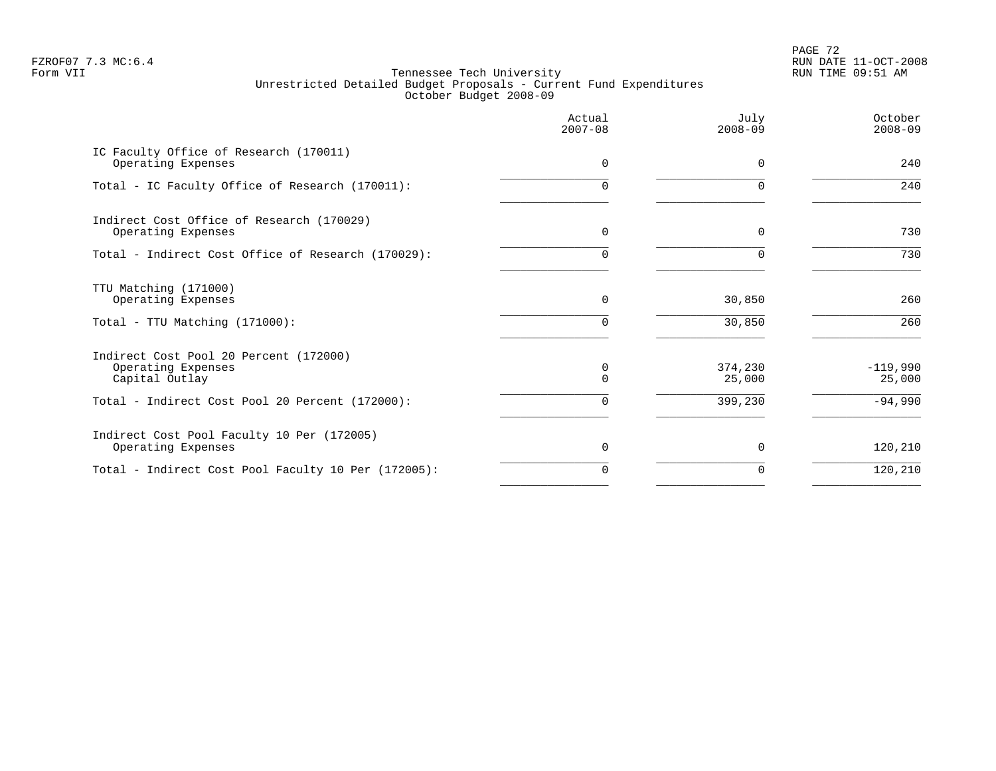PAGE 72 FZROF07 7.3 MC:6.4 RUN DATE 11-OCT-2008

|                                                                                | Actual<br>$2007 - 08$ | July<br>$2008 - 09$ | October<br>$2008 - 09$ |
|--------------------------------------------------------------------------------|-----------------------|---------------------|------------------------|
| IC Faculty Office of Research (170011)<br>Operating Expenses                   | $\Omega$              | $\Omega$            | 240                    |
| Total - IC Faculty Office of Research (170011):                                | U                     |                     | 240                    |
| Indirect Cost Office of Research (170029)<br>Operating Expenses                | $\Omega$              | $\Omega$            | 730                    |
| Total - Indirect Cost Office of Research (170029):                             | 0                     | $\Omega$            | 730                    |
| TTU Matching (171000)<br>Operating Expenses                                    | 0                     | 30,850              | 260                    |
| Total - TTU Matching (171000):                                                 | $\Omega$              | 30,850              | 260                    |
| Indirect Cost Pool 20 Percent (172000)<br>Operating Expenses<br>Capital Outlay | $\Omega$<br>0         | 374,230<br>25,000   | $-119,990$<br>25,000   |
| Total - Indirect Cost Pool 20 Percent (172000):                                | $\Omega$              | 399,230             | $-94,990$              |
| Indirect Cost Pool Faculty 10 Per (172005)<br>Operating Expenses               | $\Omega$              | $\Omega$            | 120,210                |
| Total - Indirect Cost Pool Faculty 10 Per (172005):                            | 0                     | $\Omega$            | 120,210                |
|                                                                                |                       |                     |                        |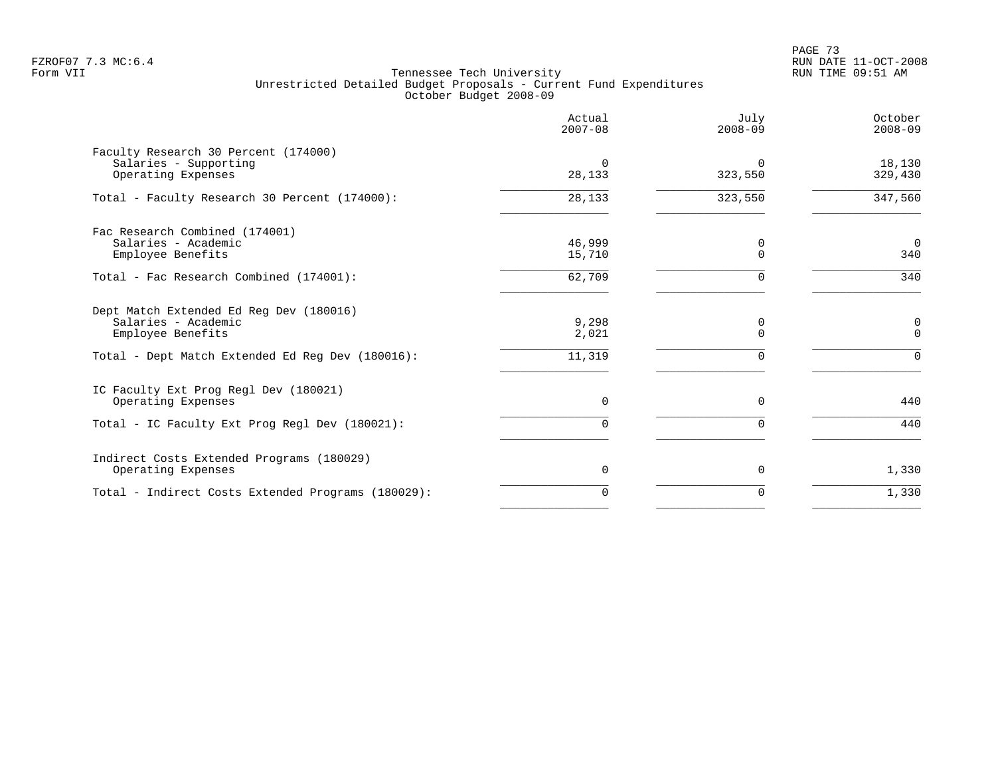|                                                                                     | Actual<br>$2007 - 08$ | July<br>$2008 - 09$ | October<br>$2008 - 09$ |
|-------------------------------------------------------------------------------------|-----------------------|---------------------|------------------------|
| Faculty Research 30 Percent (174000)<br>Salaries - Supporting<br>Operating Expenses | $\Omega$<br>28,133    | $\Omega$<br>323,550 | 18,130<br>329,430      |
| Total - Faculty Research 30 Percent (174000):                                       | 28,133                | 323,550             | 347,560                |
| Fac Research Combined (174001)<br>Salaries - Academic<br>Employee Benefits          | 46,999<br>15,710      | 0<br>$\Omega$       | $\overline{0}$<br>340  |
| Total - Fac Research Combined (174001):                                             | 62,709                | 0                   | 340                    |
| Dept Match Extended Ed Req Dev (180016)<br>Salaries - Academic<br>Employee Benefits | 9,298<br>2,021        | 0<br>$\Omega$       | 0<br>$\Omega$          |
| Total - Dept Match Extended Ed Reg Dev (180016):                                    | 11,319                | $\Omega$            | $\Omega$               |
| IC Faculty Ext Prog Regl Dev (180021)<br>Operating Expenses                         | 0                     | $\Omega$            | 440                    |
| Total - IC Faculty Ext Prog Regl Dev (180021):                                      | 0                     |                     | 440                    |
| Indirect Costs Extended Programs (180029)<br>Operating Expenses                     | 0                     | 0                   | 1,330                  |
| Total - Indirect Costs Extended Programs (180029):                                  | $\Omega$              | $\Omega$            | 1,330                  |
|                                                                                     |                       |                     |                        |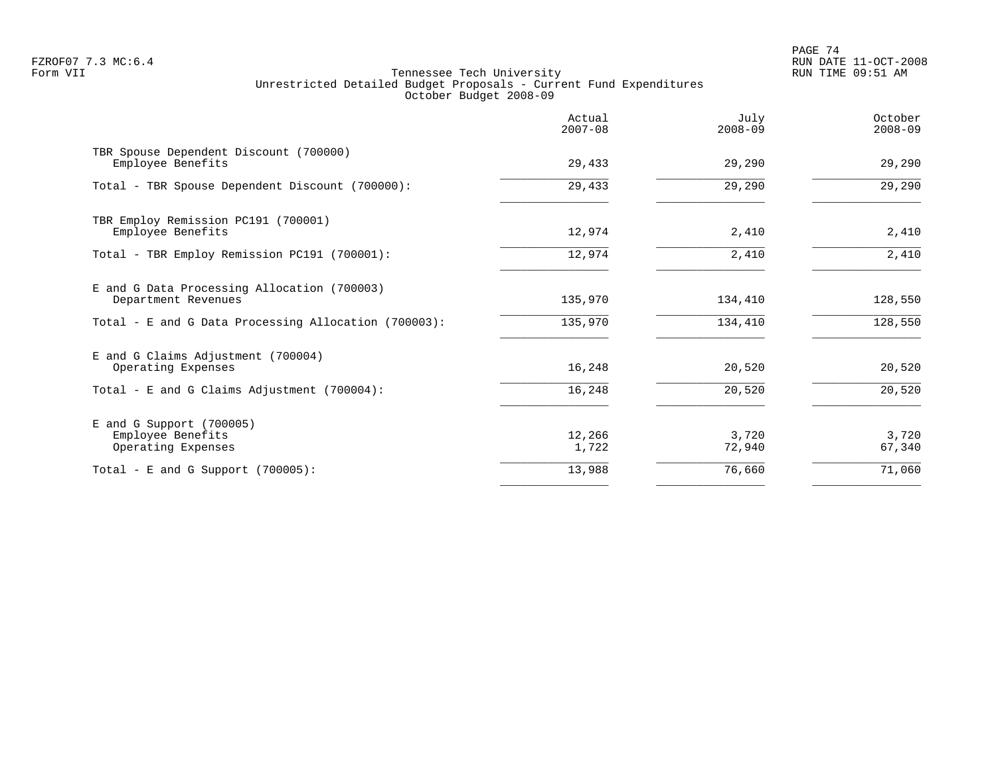PAGE 74 FZROF07 7.3 MC:6.4 RUN DATE 11-OCT-2008

|                                                                       | Actual<br>$2007 - 08$ | July<br>$2008 - 09$ | October<br>$2008 - 09$ |
|-----------------------------------------------------------------------|-----------------------|---------------------|------------------------|
| TBR Spouse Dependent Discount (700000)<br>Employee Benefits           | 29,433                | 29,290              | 29,290                 |
| Total - TBR Spouse Dependent Discount (700000):                       | 29,433                | 29,290              | 29,290                 |
| TBR Employ Remission PC191 (700001)<br>Employee Benefits              | 12,974                | 2,410               | 2,410                  |
| Total - TBR Employ Remission PC191 (700001):                          | 12,974                | 2,410               | 2,410                  |
| E and G Data Processing Allocation (700003)<br>Department Revenues    | 135,970               | 134,410             | 128,550                |
| Total - E and G Data Processing Allocation (700003):                  | 135,970               | 134,410             | 128,550                |
| E and G Claims Adjustment (700004)<br>Operating Expenses              | 16,248                | 20,520              | 20,520                 |
| Total - E and G Claims Adjustment (700004):                           | 16,248                | 20,520              | 20,520                 |
| $E$ and G Support (700005)<br>Employee Benefits<br>Operating Expenses | 12,266<br>1,722       | 3,720<br>72,940     | 3,720<br>67,340        |
| Total - E and G Support $(700005)$ :                                  | 13,988                | 76,660              | 71,060                 |
|                                                                       |                       |                     |                        |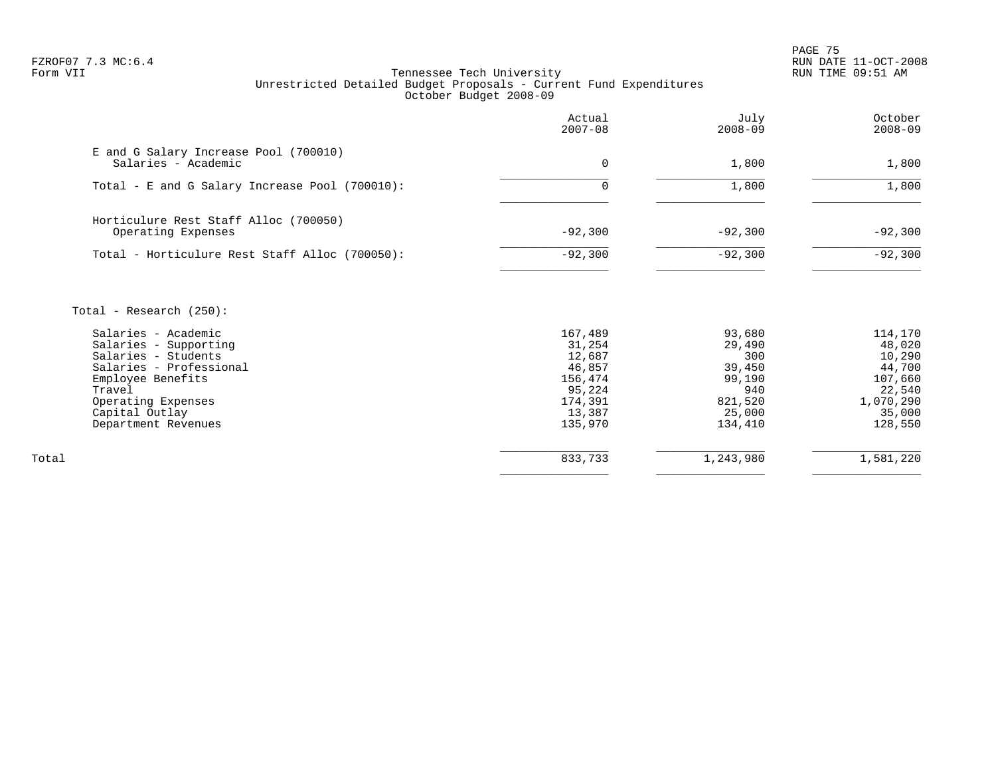en and the set of the set of the set of the set of the set of the set of the set of the set of the set of the set of the set of the set of the set of the set of the set of the set of the set of the set of the set of the se FZROF07 7.3 MC:6.4 RUN DATE 11-OCT-2008

|                                                              | Actual<br>$2007 - 08$ | July<br>$2008 - 09$ | October<br>$2008 - 09$ |
|--------------------------------------------------------------|-----------------------|---------------------|------------------------|
| E and G Salary Increase Pool (700010)<br>Salaries - Academic | $\mathbf 0$           | 1,800               | 1,800                  |
| Total - E and G Salary Increase Pool (700010):               | $\Omega$              | 1,800               | 1,800                  |
| Horticulure Rest Staff Alloc (700050)<br>Operating Expenses  | $-92,300$             | $-92,300$           | $-92,300$              |
| Total - Horticulure Rest Staff Alloc (700050):               | $-92,300$             | $-92,300$           | $-92,300$              |
| Total - Research $(250)$ :                                   |                       |                     |                        |
| Salaries - Academic                                          | 167,489               | 93,680              | 114,170                |
| Salaries - Supporting                                        | 31,254                | 29,490              | 48,020                 |
| Salaries - Students                                          | 12,687                | 300                 | 10,290                 |
| Salaries - Professional                                      | 46,857                | 39,450              | 44,700                 |
| Employee Benefits                                            | 156,474               | 99,190              | 107,660                |
| Travel                                                       | 95,224                | 940                 | 22,540                 |
| Operating Expenses                                           | 174,391               | 821,520             | 1,070,290              |
| Capital Outlay                                               | 13,387                | 25,000              | 35,000                 |
| Department Revenues                                          | 135,970               | 134,410             | 128,550                |
| Total                                                        | 833,733               | 1,243,980           | 1,581,220              |
|                                                              |                       |                     |                        |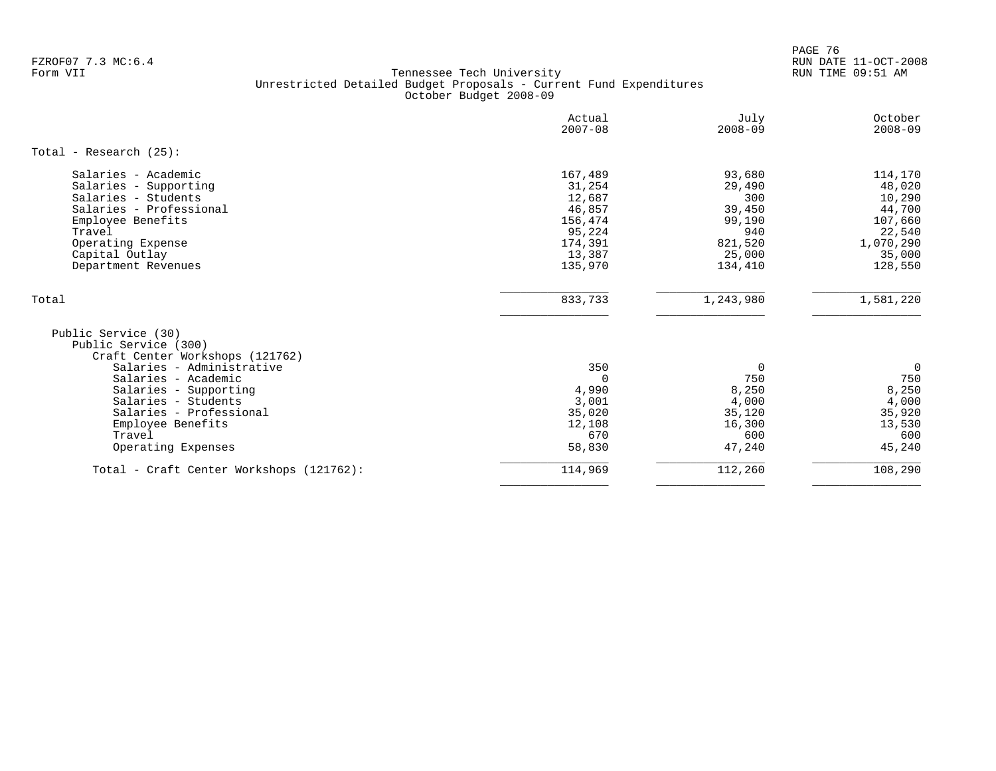en and the set of the set of the set of the set of the set of the set of the set of the set of the set of the set of the set of the set of the set of the set of the set of the set of the set of the set of the set of the se FZROF07 7.3 MC:6.4 RUN DATE 11-OCT-2008

|                                                                                                                                                                                                                                                                    | Actual<br>$2007 - 08$                                                                      | July<br>$2008 - 09$                                                                | October<br>$2008 - 09$                                                                       |
|--------------------------------------------------------------------------------------------------------------------------------------------------------------------------------------------------------------------------------------------------------------------|--------------------------------------------------------------------------------------------|------------------------------------------------------------------------------------|----------------------------------------------------------------------------------------------|
| Total - Research $(25)$ :                                                                                                                                                                                                                                          |                                                                                            |                                                                                    |                                                                                              |
| Salaries - Academic<br>Salaries - Supporting<br>Salaries - Students<br>Salaries - Professional<br>Employee Benefits<br>Travel<br>Operating Expense<br>Capital Outlay<br>Department Revenues                                                                        | 167,489<br>31,254<br>12,687<br>46,857<br>156,474<br>95,224<br>174,391<br>13,387<br>135,970 | 93,680<br>29,490<br>300<br>39,450<br>99,190<br>940<br>821,520<br>25,000<br>134,410 | 114,170<br>48,020<br>10,290<br>44,700<br>107,660<br>22,540<br>1,070,290<br>35,000<br>128,550 |
| Total                                                                                                                                                                                                                                                              | 833,733                                                                                    | 1,243,980                                                                          | 1,581,220                                                                                    |
| Public Service (30)<br>Public Service (300)<br>Craft Center Workshops (121762)<br>Salaries - Administrative<br>Salaries - Academic<br>Salaries - Supporting<br>Salaries - Students<br>Salaries - Professional<br>Employee Benefits<br>Travel<br>Operating Expenses | 350<br>0<br>4,990<br>3,001<br>35,020<br>12,108<br>670<br>58,830                            | 0<br>750<br>8,250<br>4,000<br>35,120<br>16,300<br>600<br>47,240                    | 0<br>750<br>8,250<br>4,000<br>35,920<br>13,530<br>600<br>45,240                              |
| Total - Craft Center Workshops (121762):                                                                                                                                                                                                                           | 114,969                                                                                    | 112,260                                                                            | 108,290                                                                                      |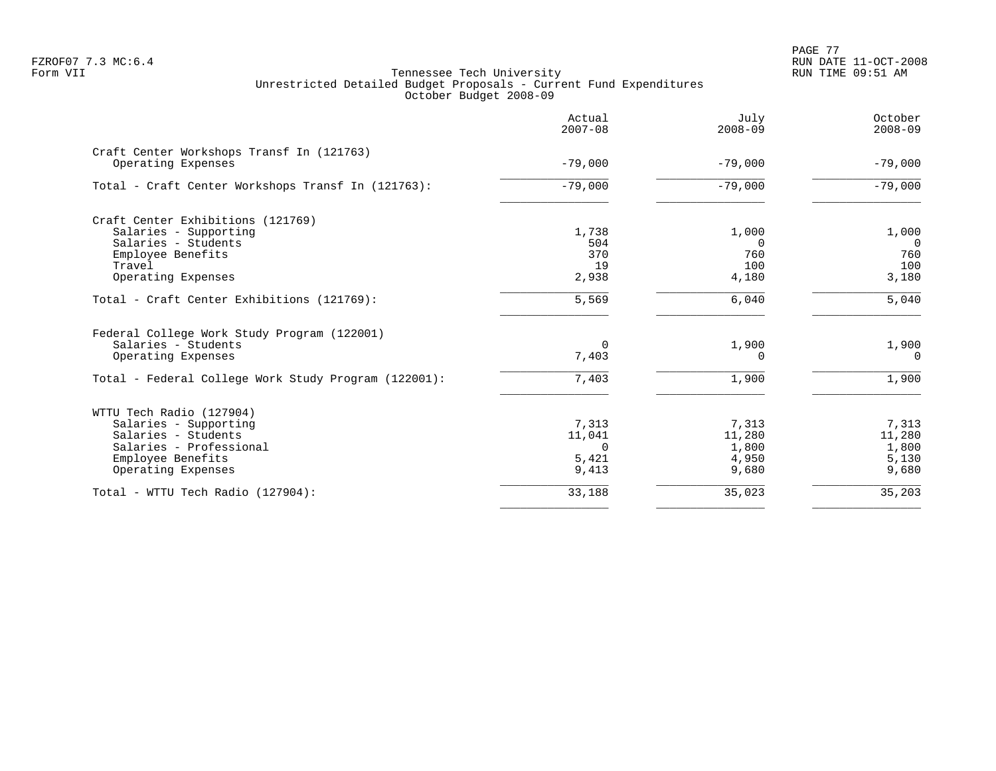PAGE 77 FZROF07 7.3 MC:6.4 RUN DATE 11-OCT-2008

|                                                      | Actual<br>$2007 - 08$ | July<br>$2008 - 09$ | October<br>$2008 - 09$ |
|------------------------------------------------------|-----------------------|---------------------|------------------------|
| Craft Center Workshops Transf In (121763)            | $-79,000$             | $-79,000$           | $-79,000$              |
| Operating Expenses                                   |                       |                     |                        |
| Total - Craft Center Workshops Transf In (121763):   | $-79,000$             | $-79,000$           | $-79,000$              |
| Craft Center Exhibitions (121769)                    |                       |                     |                        |
| Salaries - Supporting                                | 1,738                 | 1,000               | 1,000                  |
| Salaries - Students                                  | 504                   | $\Omega$            | $\Omega$               |
| Employee Benefits                                    | 370                   | 760                 | 760                    |
| Travel                                               | 19                    | 100                 | 100                    |
| Operating Expenses                                   | 2,938                 | 4,180               | 3,180                  |
| Total - Craft Center Exhibitions (121769):           | 5,569                 | 6,040               | 5,040                  |
| Federal College Work Study Program (122001)          |                       |                     |                        |
| Salaries - Students                                  | $\Omega$              | 1,900               | 1,900                  |
| Operating Expenses                                   | 7,403                 | $\Omega$            | $\Omega$               |
| Total - Federal College Work Study Program (122001): | 7,403                 | 1,900               | 1,900                  |
| WTTU Tech Radio (127904)                             |                       |                     |                        |
| Salaries - Supporting                                | 7,313                 | 7,313               | 7,313                  |
| Salaries - Students                                  | 11,041                | 11,280              | 11,280                 |
| Salaries - Professional                              | $\Omega$              | 1,800               | 1,800                  |
| Employee Benefits                                    | 5,421                 | 4,950               | 5,130                  |
| Operating Expenses                                   | 9,413                 | 9,680               | 9,680                  |
| Total - WTTU Tech Radio (127904):                    | 33,188                | 35,023              | 35,203                 |
|                                                      |                       |                     |                        |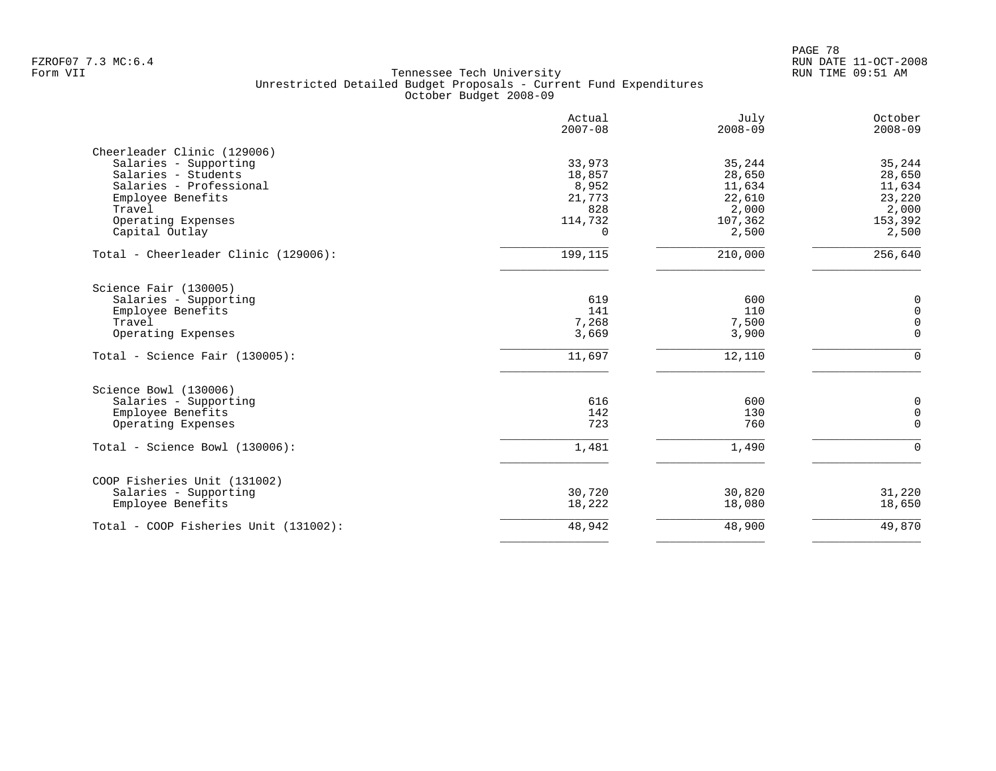|                                       | Actual<br>$2007 - 08$ | July<br>$2008 - 09$ | October<br>$2008 - 09$ |
|---------------------------------------|-----------------------|---------------------|------------------------|
| Cheerleader Clinic (129006)           |                       |                     |                        |
| Salaries - Supporting                 | 33,973                | 35,244              | 35,244                 |
| Salaries - Students                   | 18,857                | 28,650              | 28,650                 |
| Salaries - Professional               | 8,952                 | 11,634              | 11,634                 |
| Employee Benefits                     | 21,773                | 22,610              | 23,220                 |
| Travel                                | 828                   | 2,000               | 2,000                  |
| Operating Expenses                    | 114,732               | 107,362             | 153,392                |
| Capital Outlay                        | $\Omega$              | 2,500               | 2,500                  |
| Total - Cheerleader Clinic (129006):  | 199,115               | 210,000             | 256,640                |
| Science Fair (130005)                 |                       |                     |                        |
| Salaries - Supporting                 | 619                   | 600                 | $\mathsf{O}$           |
| Employee Benefits                     | 141                   | 110                 | $\mathsf{O}\xspace$    |
| Travel                                | 7,268                 | 7,500               | $\mathsf{O}\xspace$    |
| Operating Expenses                    | 3,669                 | 3,900               | $\mathbf 0$            |
|                                       |                       |                     |                        |
| Total - Science Fair $(130005)$ :     | 11,697                | 12,110              | $\Omega$               |
| Science Bowl (130006)                 |                       |                     |                        |
| Salaries - Supporting                 | 616                   | 600                 | $\mathbf 0$            |
| Employee Benefits                     | 142                   | 130                 | $\mathsf 0$            |
| Operating Expenses                    | 723                   | 760                 | $\Omega$               |
| $Total - Science Bowl (130006):$      | 1,481                 | 1,490               | $\Omega$               |
| COOP Fisheries Unit (131002)          |                       |                     |                        |
| Salaries - Supporting                 | 30,720                | 30,820              | 31,220                 |
| Employee Benefits                     | 18,222                | 18,080              | 18,650                 |
| Total - COOP Fisheries Unit (131002): | 48,942                | 48,900              | 49,870                 |
|                                       |                       |                     |                        |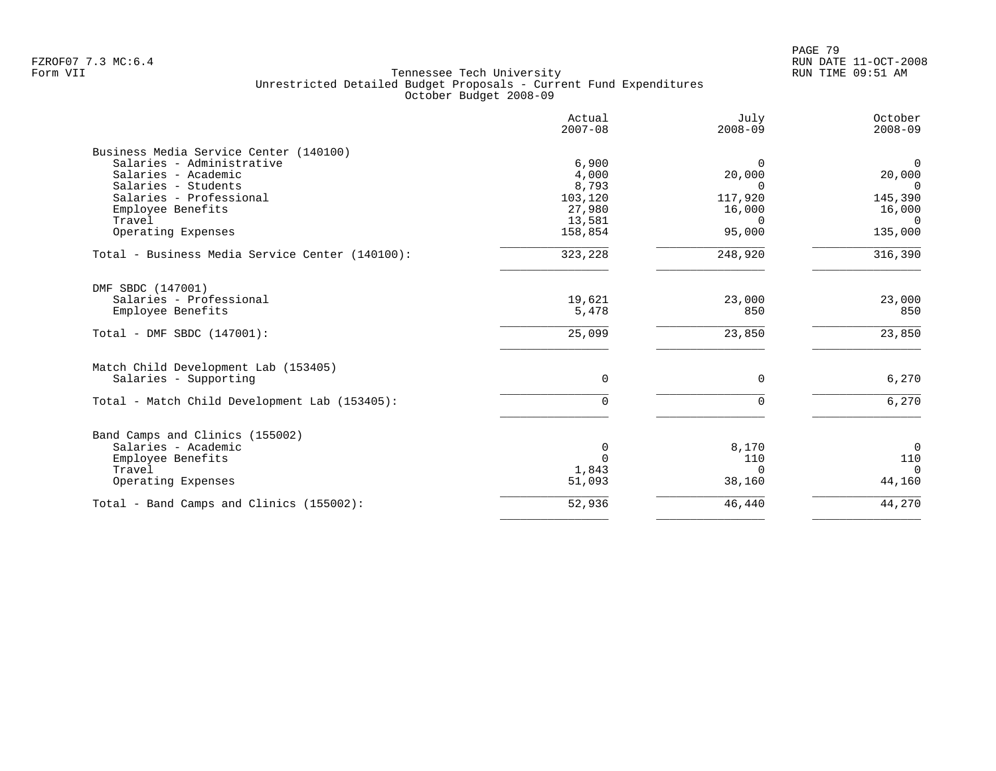| Actual<br>$2007 - 08$ | July<br>$2008 - 09$                                                                         | October<br>$2008 - 09$                                                                    |
|-----------------------|---------------------------------------------------------------------------------------------|-------------------------------------------------------------------------------------------|
|                       |                                                                                             |                                                                                           |
|                       | $\Omega$                                                                                    | $\overline{0}$                                                                            |
|                       |                                                                                             | 20,000                                                                                    |
|                       |                                                                                             | $\overline{0}$                                                                            |
|                       |                                                                                             | 145,390                                                                                   |
|                       |                                                                                             | 16,000                                                                                    |
|                       |                                                                                             | $\Omega$                                                                                  |
|                       |                                                                                             | 135,000                                                                                   |
| 323,228               | 248,920                                                                                     | 316,390                                                                                   |
|                       |                                                                                             |                                                                                           |
| 19,621                | 23,000                                                                                      | 23,000                                                                                    |
| 5,478                 | 850                                                                                         | 850                                                                                       |
| 25,099                | 23,850                                                                                      | 23,850                                                                                    |
|                       |                                                                                             |                                                                                           |
| 0                     | $\mathbf 0$                                                                                 | 6,270                                                                                     |
| 0                     | $\Omega$                                                                                    | 6,270                                                                                     |
|                       |                                                                                             |                                                                                           |
|                       |                                                                                             | $\overline{0}$                                                                            |
|                       |                                                                                             | 110                                                                                       |
|                       |                                                                                             | $\Omega$                                                                                  |
| 51,093                | 38,160                                                                                      | 44,160                                                                                    |
| 52,936                | 46,440                                                                                      | 44,270                                                                                    |
|                       | 6,900<br>4,000<br>8,793<br>103,120<br>27,980<br>13,581<br>158,854<br>0<br>$\Omega$<br>1,843 | 20,000<br>$\Omega$<br>117,920<br>16,000<br>$\Omega$<br>95,000<br>8,170<br>110<br>$\Omega$ |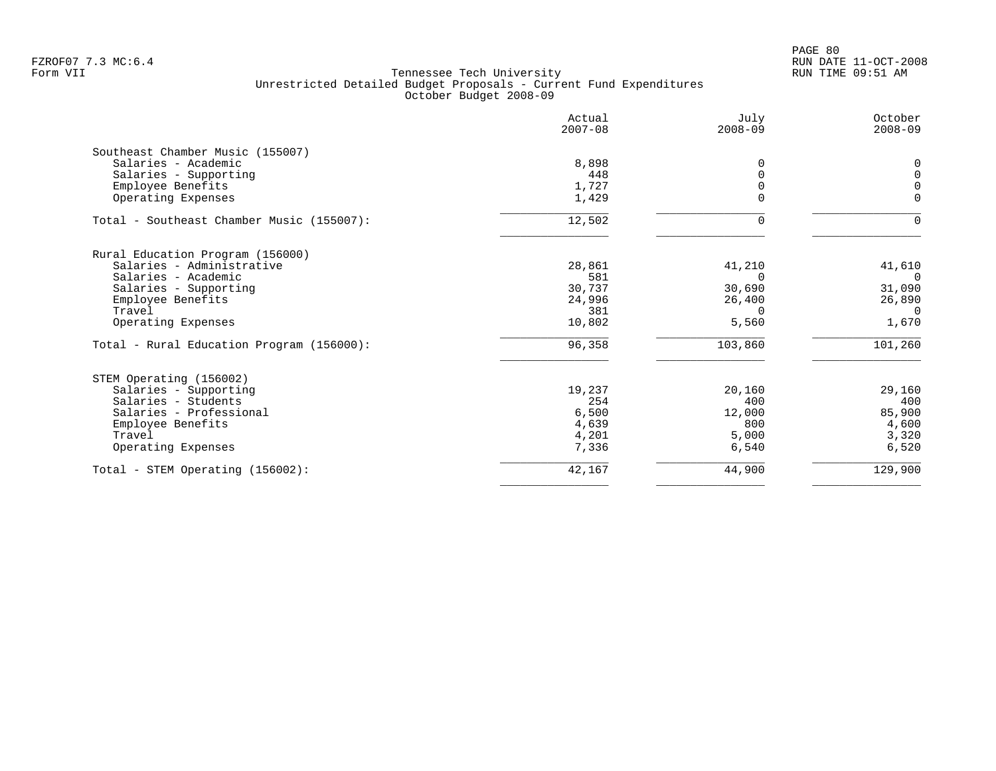|                                           | Actual<br>$2007 - 08$ | July<br>$2008 - 09$ | October<br>$2008 - 09$ |
|-------------------------------------------|-----------------------|---------------------|------------------------|
| Southeast Chamber Music (155007)          |                       |                     |                        |
| Salaries - Academic                       | 8,898                 | 0                   | $\Omega$               |
| Salaries - Supporting                     | 448                   | $\Omega$            | $\Omega$               |
| Employee Benefits                         | 1,727                 |                     | $\Omega$               |
| Operating Expenses                        | 1,429                 | $\Omega$            | $\mathbf 0$            |
| Total - Southeast Chamber Music (155007): | 12,502                | $\Omega$            | $\Omega$               |
| Rural Education Program (156000)          |                       |                     |                        |
| Salaries - Administrative                 | 28,861                | 41,210              | 41,610                 |
| Salaries - Academic                       | 581                   | $\Omega$            | $\Omega$               |
| Salaries - Supporting                     | 30,737                | 30,690              | 31,090                 |
| Employee Benefits                         | 24,996                | 26,400              | 26,890                 |
| Travel                                    | 381                   | $\Omega$            | $\Omega$               |
| Operating Expenses                        | 10,802                | 5,560               | 1,670                  |
| Total - Rural Education Program (156000): | 96,358                | 103,860             | 101,260                |
| STEM Operating (156002)                   |                       |                     |                        |
| Salaries - Supporting                     | 19,237                | 20,160              | 29,160                 |
| Salaries - Students                       | 254                   | 400                 | 400                    |
| Salaries - Professional                   | 6,500                 | 12,000              | 85,900                 |
| Employee Benefits                         | 4,639                 | 800                 | 4,600                  |
| Travel                                    | 4,201                 | 5,000               | 3,320                  |
| Operating Expenses                        | 7,336                 | 6,540               | 6,520                  |
| Total - STEM Operating (156002):          | 42,167                | 44,900              | 129,900                |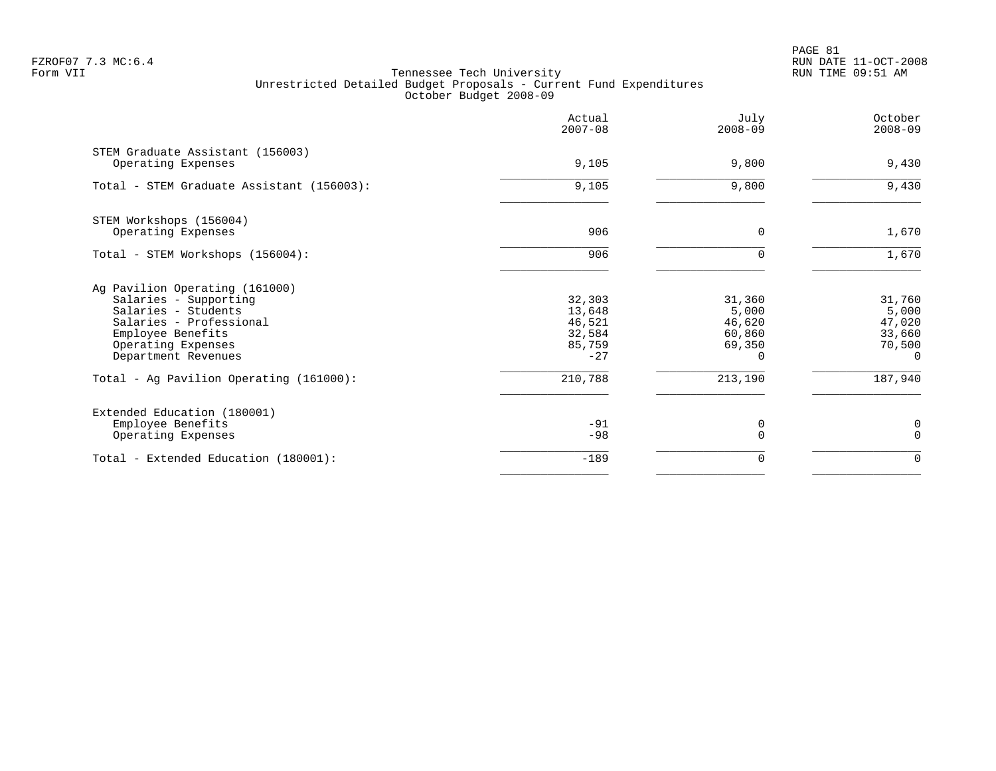PAGE 81 FZROF07 7.3 MC:6.4 RUN DATE 11-OCT-2008

|                                                                                                                                                                             | Actual<br>$2007 - 08$                                   | July<br>$2008 - 09$                                       | October<br>$2008 - 09$                                    |
|-----------------------------------------------------------------------------------------------------------------------------------------------------------------------------|---------------------------------------------------------|-----------------------------------------------------------|-----------------------------------------------------------|
| STEM Graduate Assistant (156003)<br>Operating Expenses                                                                                                                      | 9,105                                                   | 9,800                                                     | 9,430                                                     |
| Total - STEM Graduate Assistant (156003):                                                                                                                                   | 9,105                                                   | 9,800                                                     | 9,430                                                     |
| STEM Workshops (156004)<br>Operating Expenses                                                                                                                               | 906                                                     | $\Omega$                                                  | 1,670                                                     |
| Total - STEM Workshops (156004):                                                                                                                                            | 906                                                     | 0                                                         | 1,670                                                     |
| Ag Pavilion Operating (161000)<br>Salaries - Supporting<br>Salaries - Students<br>Salaries - Professional<br>Employee Benefits<br>Operating Expenses<br>Department Revenues | 32,303<br>13,648<br>46,521<br>32,584<br>85,759<br>$-27$ | 31,360<br>5,000<br>46,620<br>60,860<br>69,350<br>$\Omega$ | 31,760<br>5,000<br>47,020<br>33,660<br>70,500<br>$\Omega$ |
| Total - Ag Pavilion Operating (161000):                                                                                                                                     | 210,788                                                 | 213,190                                                   | 187,940                                                   |
| Extended Education (180001)<br>Employee Benefits<br>Operating Expenses                                                                                                      | $-91$<br>$-98$                                          | 0<br>$\Omega$                                             | 0<br>$\Omega$                                             |
| Total - Extended Education (180001):                                                                                                                                        | $-189$                                                  | 0                                                         | $\Omega$                                                  |
|                                                                                                                                                                             |                                                         |                                                           |                                                           |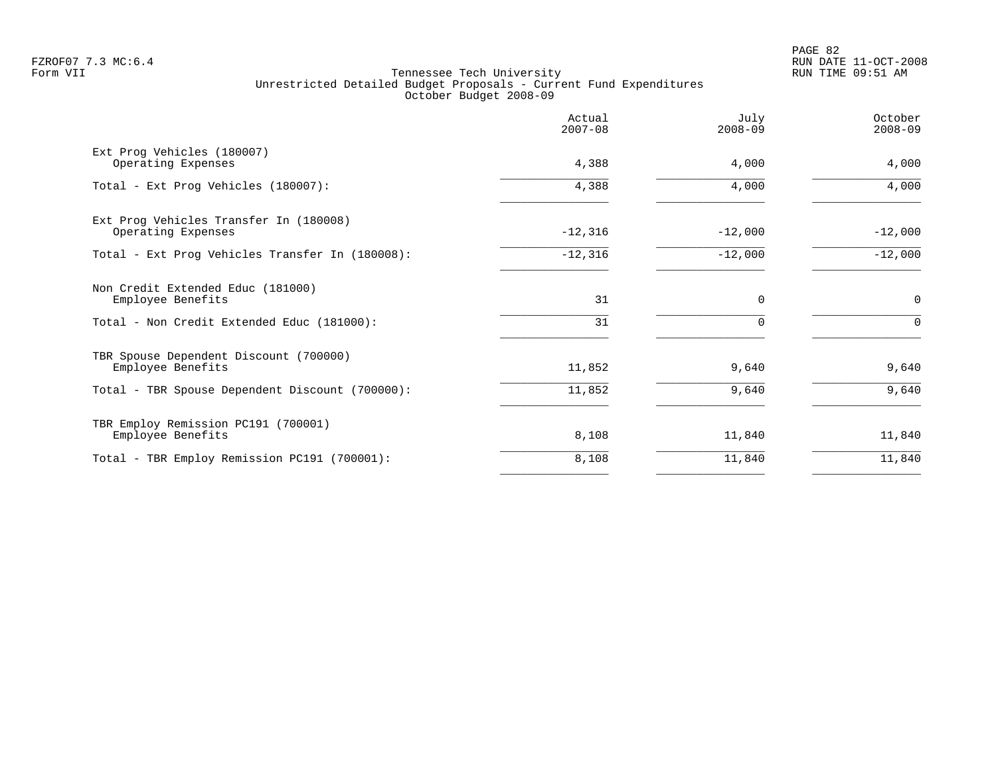PAGE 82 FZROF07 7.3 MC:6.4 RUN DATE 11-OCT-2008

| Actual<br>$2007 - 08$ | July<br>$2008 - 09$ | October<br>$2008 - 09$ |
|-----------------------|---------------------|------------------------|
| 4,388                 | 4,000               | 4,000                  |
| 4,388                 | 4,000               | 4,000                  |
| $-12,316$             | $-12,000$           | $-12,000$              |
| $-12,316$             | $-12,000$           | $-12,000$              |
| 31                    | $\Omega$            | $\mathbf 0$            |
| 31                    |                     | $\Omega$               |
| 11,852                | 9,640               | 9,640                  |
| 11,852                | 9,640               | 9,640                  |
| 8,108                 | 11,840              | 11,840                 |
| 8,108                 | 11,840              | 11,840                 |
|                       |                     |                        |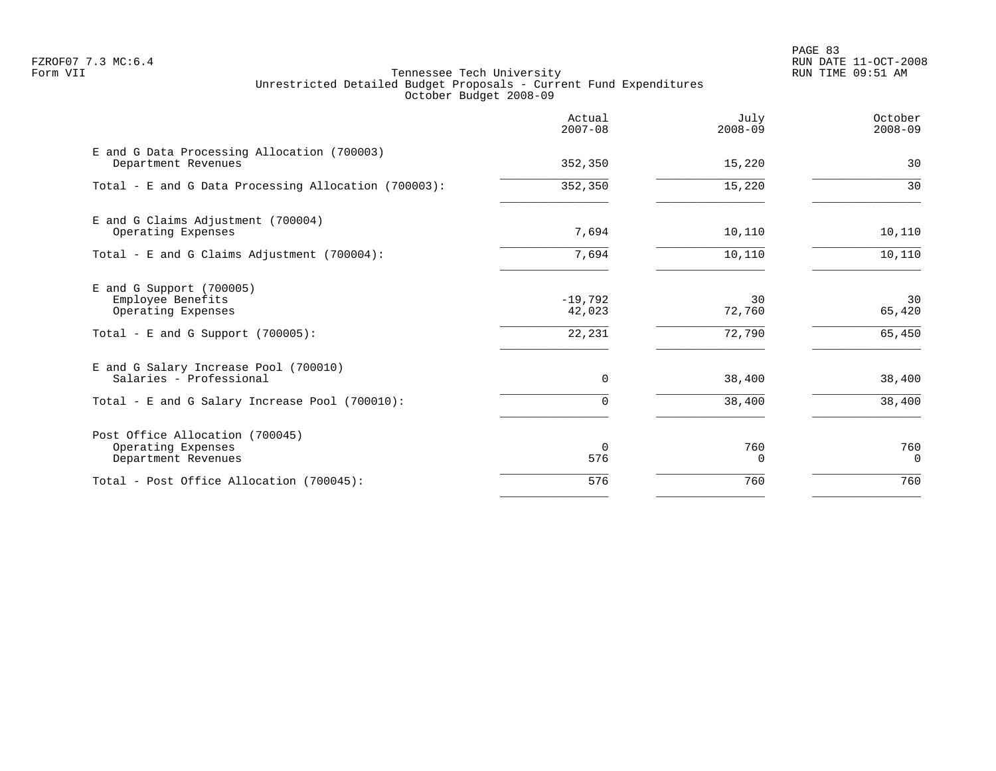PAGE 83 FZROF07 7.3 MC:6.4 RUN DATE 11-OCT-2008

|                                                                                                               | Actual<br>$2007 - 08$         | July<br>$2008 - 09$    | October<br>$2008 - 09$ |
|---------------------------------------------------------------------------------------------------------------|-------------------------------|------------------------|------------------------|
| E and G Data Processing Allocation (700003)<br>Department Revenues                                            | 352,350                       | 15,220                 | 30                     |
| Total - E and G Data Processing Allocation (700003):                                                          | 352, 350                      | 15,220                 | 30                     |
| E and G Claims Adjustment (700004)<br>Operating Expenses                                                      | 7,694                         | 10,110                 | 10,110                 |
| Total - E and G Claims Adjustment (700004):                                                                   | 7,694                         | 10,110                 | 10,110                 |
| $E$ and G Support (700005)<br>Employee Benefits<br>Operating Expenses<br>Total - E and G Support $(700005)$ : | $-19,792$<br>42,023<br>22,231 | 30<br>72,760<br>72,790 | 30<br>65,420<br>65,450 |
| E and G Salary Increase Pool (700010)<br>Salaries - Professional                                              | $\mathbf 0$                   | 38,400                 | 38,400                 |
| Total - E and G Salary Increase Pool (700010):                                                                | 0                             | 38,400                 | 38,400                 |
| Post Office Allocation (700045)<br>Operating Expenses<br>Department Revenues                                  | $\Omega$<br>576               | 760<br>0               | 760<br>$\overline{0}$  |
| Total - Post Office Allocation (700045):                                                                      | 576                           | 760                    | 760                    |
|                                                                                                               |                               |                        |                        |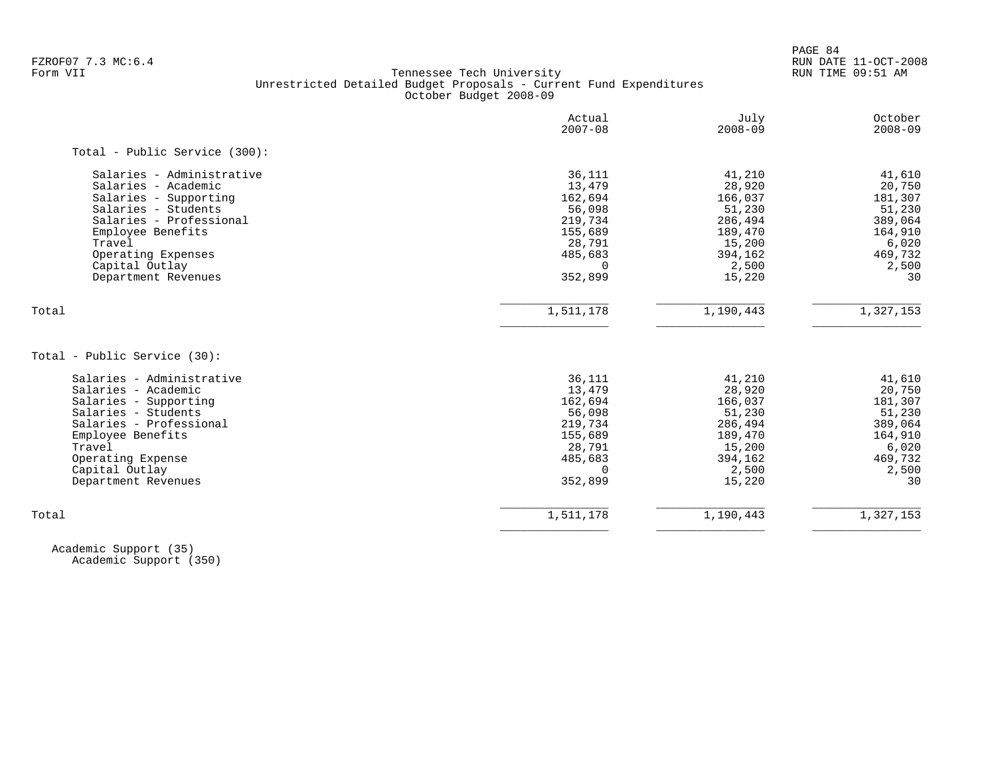PAGE 84

# FZROF07 7.3 MC:6.4 RUN DATE 11-OCT-2008<br>Form VII RUN TIME 09:51 AM Tennessee Tech University Unrestricted Detailed Budget Proposals - Current Fund Expenditures October Budget 2008-09

|                               | Actual<br>$2007 - 08$ | July<br>$2008 - 09$ | October<br>$2008 - 09$ |
|-------------------------------|-----------------------|---------------------|------------------------|
| Total - Public Service (300): |                       |                     |                        |
| Salaries - Administrative     | 36,111                | 41,210              | 41,610                 |
| Salaries - Academic           | 13,479                | 28,920              | 20,750                 |
| Salaries - Supporting         | 162,694               | 166,037             | 181,307                |
| Salaries - Students           | 56,098                | 51,230              | 51,230                 |
| Salaries - Professional       | 219,734               | 286,494             | 389,064                |
| Employee Benefits             | 155,689               | 189,470             | 164,910                |
| Travel                        | 28,791                | 15,200              | 6,020                  |
| Operating Expenses            | 485,683               | 394,162             | 469,732                |
| Capital Outlay                | $\Omega$              | 2,500               | 2,500                  |
| Department Revenues           | 352,899               | 15,220              | 30                     |
| Total                         | 1,511,178             | 1,190,443           | 1,327,153              |
| Total - Public Service (30):  |                       |                     |                        |
| Salaries - Administrative     | 36,111                | 41,210              | 41,610                 |
| Salaries - Academic           | 13,479                | 28,920              | 20,750                 |
| Salaries - Supporting         | 162,694               | 166,037             | 181,307                |
| Salaries - Students           | 56,098                | 51,230              | 51,230                 |
| Salaries - Professional       | 219,734               | 286,494             | 389,064                |
| Employee Benefits             | 155,689               | 189,470             | 164,910                |
| Travel                        | 28,791                | 15,200              | 6,020                  |
| Operating Expense             | 485,683               | 394,162             | 469,732                |
| Capital Outlay                | $\Omega$              | 2,500               | 2,500                  |
| Department Revenues           | 352,899               | 15,220              | 30                     |
|                               |                       |                     |                        |

 Academic Support (35) Academic Support (350)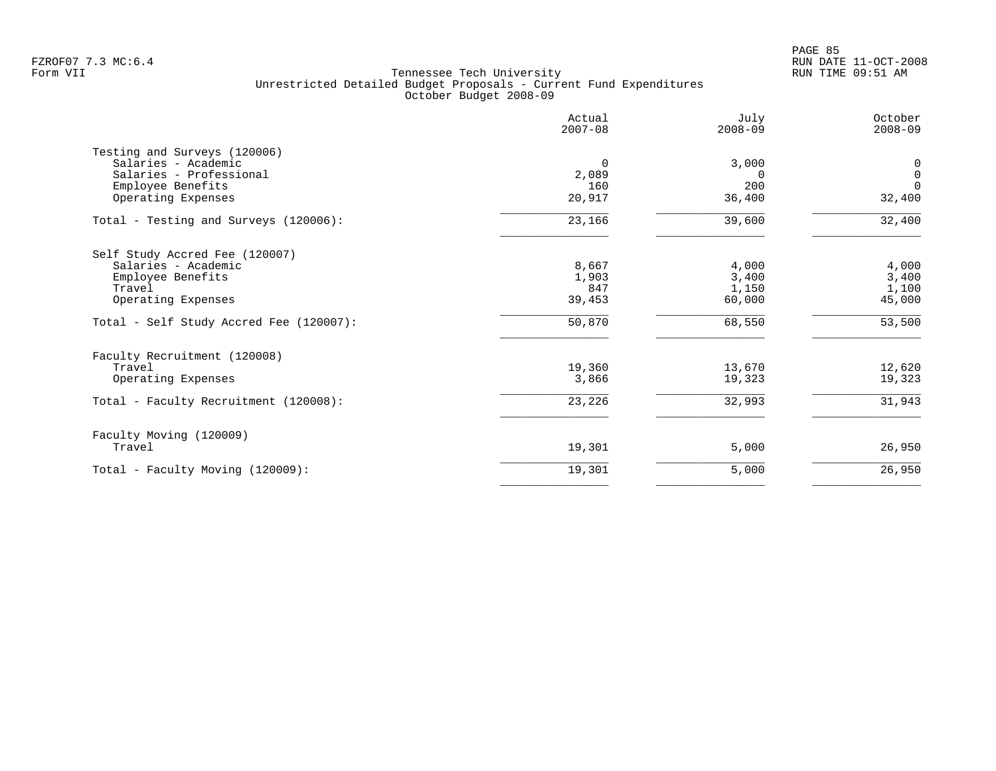|                                         | Actual<br>$2007 - 08$ | July<br>$2008 - 09$ | October<br>$2008 - 09$ |
|-----------------------------------------|-----------------------|---------------------|------------------------|
| Testing and Surveys (120006)            |                       |                     |                        |
| Salaries - Academic                     | 0                     | 3,000               | 0                      |
| Salaries - Professional                 | 2,089                 | $\Omega$            | $\mathbf 0$            |
| Employee Benefits                       | 160                   | 200                 | $\Omega$               |
| Operating Expenses                      | 20,917                | 36,400              | 32,400                 |
| Total - Testing and Surveys (120006):   | 23,166                | 39,600              | 32,400                 |
| Self Study Accred Fee (120007)          |                       |                     |                        |
| Salaries - Academic                     | 8,667                 | 4,000               | 4,000                  |
| Employee Benefits                       | 1,903                 | 3,400               | 3,400                  |
| Travel                                  | 847                   | 1,150               | 1,100                  |
| Operating Expenses                      | 39,453                | 60,000              | 45,000                 |
| Total - Self Study Accred Fee (120007): | 50,870                | 68,550              | 53,500                 |
| Faculty Recruitment (120008)            |                       |                     |                        |
| Travel                                  | 19,360                | 13,670              | 12,620                 |
| Operating Expenses                      | 3,866                 | 19,323              | 19,323                 |
| Total - Faculty Recruitment (120008):   | 23,226                | 32,993              | 31,943                 |
| Faculty Moving (120009)                 |                       |                     |                        |
| Travel                                  | 19,301                | 5,000               | 26,950                 |
| Total - Faculty Moving (120009):        | 19,301                | 5,000               | 26,950                 |
|                                         |                       |                     |                        |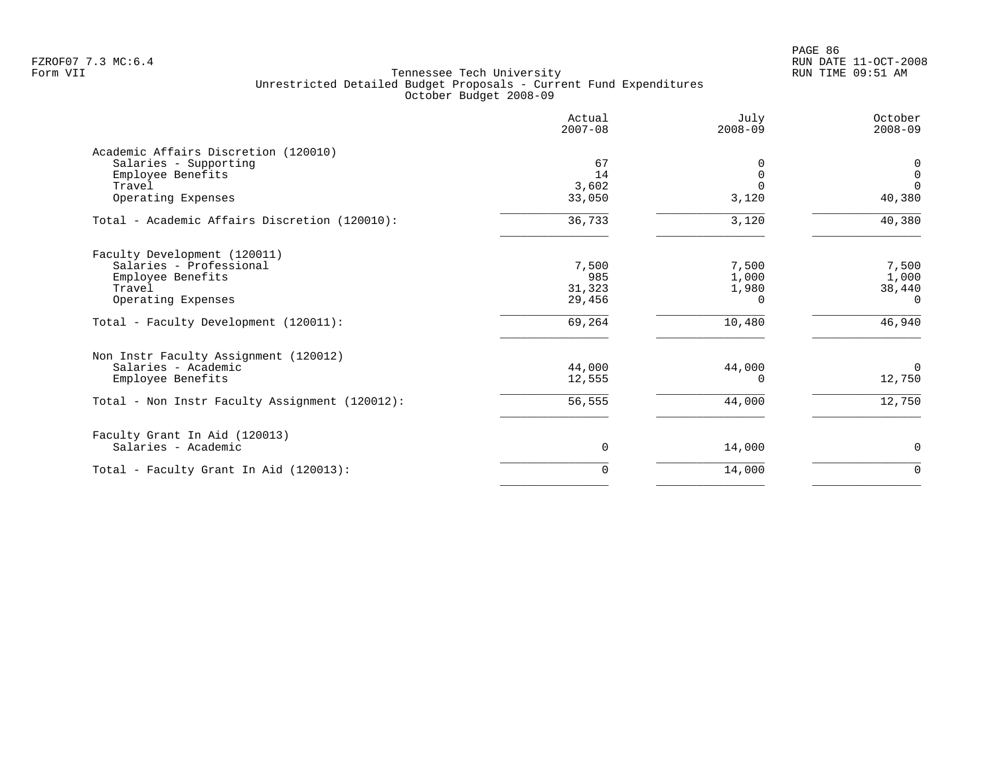PAGE 86 FZROF07 7.3 MC:6.4 RUN DATE 11-OCT-2008

|                                                | Actual<br>$2007 - 08$ | July<br>$2008 - 09$ | October<br>$2008 - 09$ |
|------------------------------------------------|-----------------------|---------------------|------------------------|
| Academic Affairs Discretion (120010)           |                       |                     |                        |
| Salaries - Supporting                          | 67                    | 0                   | 0                      |
| Employee Benefits                              | 14                    | $\Omega$            | $\mathbf 0$            |
| Travel                                         | 3,602                 | $\Omega$            | $\Omega$               |
| Operating Expenses                             | 33,050                | 3,120               | 40,380                 |
| Total - Academic Affairs Discretion (120010):  | 36,733                | 3,120               | 40,380                 |
| Faculty Development (120011)                   |                       |                     |                        |
| Salaries - Professional                        | 7,500                 | 7,500               | 7,500                  |
| Employee Benefits                              | 985                   | 1,000               | 1,000                  |
| Travel                                         | 31,323                | 1,980               | 38,440                 |
| Operating Expenses                             | 29,456                | 0                   | $\Omega$               |
| Total - Faculty Development (120011):          | 69,264                | 10,480              | 46,940                 |
| Non Instr Faculty Assignment (120012)          |                       |                     |                        |
| Salaries - Academic                            | 44,000                | 44,000              | $\Omega$               |
| Employee Benefits                              | 12,555                | 0                   | 12,750                 |
| Total - Non Instr Faculty Assignment (120012): | 56,555                | 44,000              | 12,750                 |
| Faculty Grant In Aid (120013)                  |                       |                     |                        |
| Salaries - Academic                            | 0                     | 14,000              | 0                      |
| Total - Faculty Grant In Aid (120013):         | 0                     | 14,000              | $\mathbf 0$            |
|                                                |                       |                     |                        |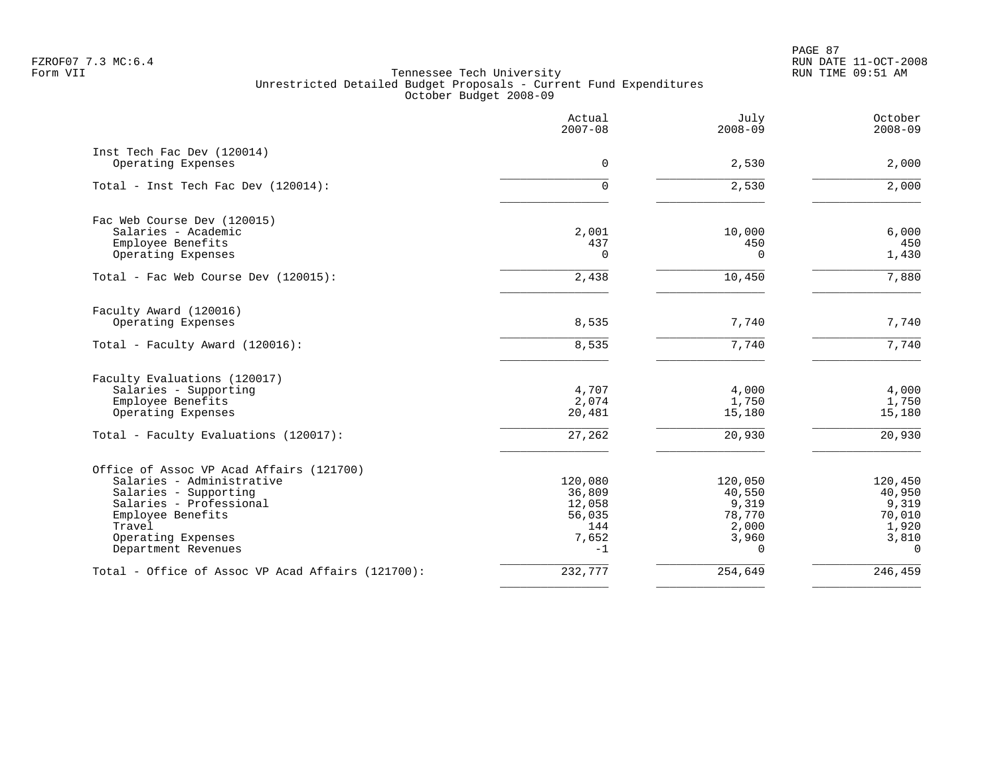PAGE 87 FZROF07 7.3 MC:6.4 RUN DATE 11-OCT-2008

|                                                   | Actual<br>$2007 - 08$ | July<br>$2008 - 09$ | October<br>$2008 - 09$ |
|---------------------------------------------------|-----------------------|---------------------|------------------------|
| Inst Tech Fac Dev (120014)<br>Operating Expenses  | $\Omega$              | 2,530               | 2,000                  |
|                                                   |                       |                     |                        |
| Total - Inst Tech Fac Dev (120014):               | $\mathbf 0$           | 2,530               | 2,000                  |
| Fac Web Course Dev (120015)                       |                       |                     |                        |
| Salaries - Academic                               | 2,001                 | 10,000              | 6,000                  |
| Employee Benefits<br>Operating Expenses           | 437<br>$\Omega$       | 450<br>$\Omega$     | 450<br>1,430           |
|                                                   |                       |                     |                        |
| Total - Fac Web Course Dev (120015):              | 2,438                 | 10,450              | 7,880                  |
| Faculty Award (120016)                            |                       |                     |                        |
| Operating Expenses                                | 8,535                 | 7,740               | 7,740                  |
| Total - Faculty Award (120016):                   | 8,535                 | 7,740               | 7,740                  |
| Faculty Evaluations (120017)                      |                       |                     |                        |
| Salaries - Supporting                             | 4,707                 | 4,000               | 4,000                  |
| Employee Benefits                                 | 2,074                 | 1,750               | 1,750                  |
| Operating Expenses                                | 20,481                | 15,180              | 15,180                 |
| Total - Faculty Evaluations (120017):             | 27,262                | 20,930              | 20,930                 |
| Office of Assoc VP Acad Affairs (121700)          |                       |                     |                        |
| Salaries - Administrative                         | 120,080               | 120,050             | 120,450                |
| Salaries - Supporting                             | 36,809                | 40,550              | 40,950                 |
| Salaries - Professional                           | 12,058                | 9,319               | 9,319                  |
| Employee Benefits<br>Travel                       | 56,035<br>144         | 78,770              | 70,010                 |
| Operating Expenses                                | 7,652                 | 2,000<br>3,960      | 1,920<br>3,810         |
| Department Revenues                               | $-1$                  | $\Omega$            | $\Omega$               |
| Total - Office of Assoc VP Acad Affairs (121700): | 232,777               | 254,649             | 246,459                |
|                                                   |                       |                     |                        |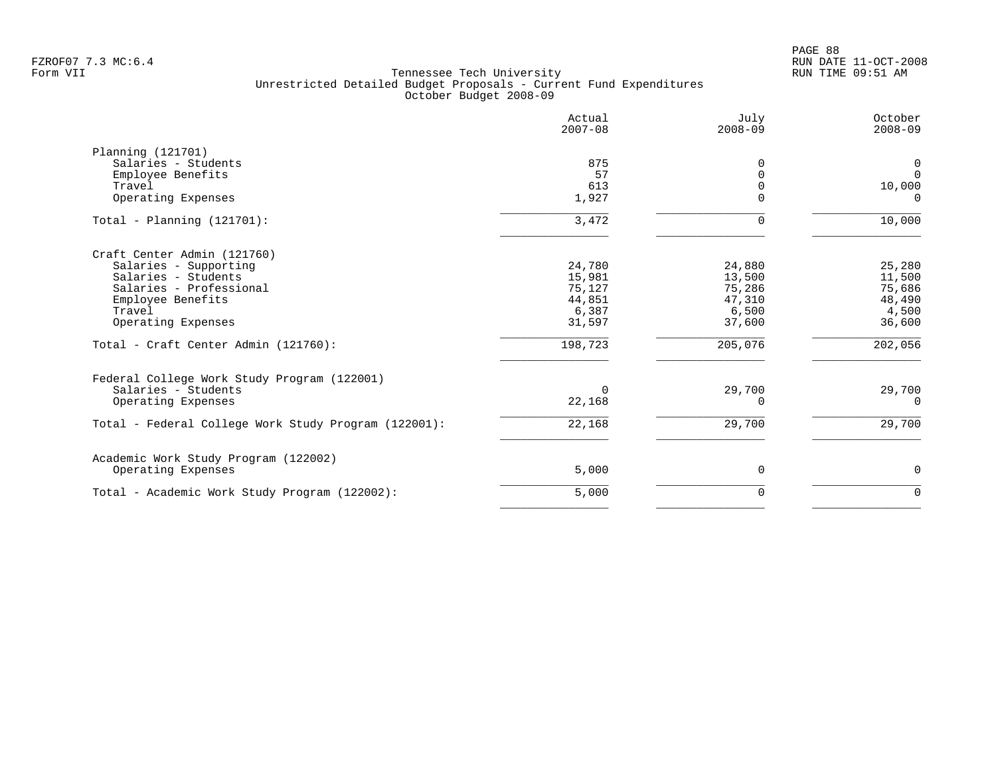PAGE 88 FZROF07 7.3 MC:6.4 RUN DATE 11-OCT-2008

|                                                      | Actual<br>$2007 - 08$ | July<br>$2008 - 09$ | October<br>$2008 - 09$ |
|------------------------------------------------------|-----------------------|---------------------|------------------------|
| Planning (121701)                                    |                       |                     |                        |
| Salaries - Students                                  | 875                   | <sup>0</sup>        | 0                      |
| Employee Benefits                                    | 57                    |                     | $\overline{0}$         |
| Travel                                               | 613                   |                     | 10,000                 |
| Operating Expenses                                   | 1,927                 | $\Omega$            | $\Omega$               |
| Total - Planning $(121701)$ :                        | 3,472                 | $\Omega$            | 10,000                 |
| Craft Center Admin (121760)                          |                       |                     |                        |
| Salaries - Supporting                                | 24,780                | 24,880              | 25,280                 |
| Salaries - Students                                  | 15,981                | 13,500              | 11,500                 |
| Salaries - Professional                              | 75,127                | 75,286              | 75,686                 |
| Employee Benefits                                    | 44,851                | 47,310              | 48,490                 |
| Travel                                               | 6,387                 | 6,500               | 4,500                  |
| Operating Expenses                                   | 31,597                | 37,600              | 36,600                 |
| Total - Craft Center Admin (121760):                 | 198,723               | 205,076             | 202,056                |
| Federal College Work Study Program (122001)          |                       |                     |                        |
| Salaries - Students                                  | $\Omega$              | 29,700              | 29,700                 |
| Operating Expenses                                   | 22,168                | $\Omega$            | $\Omega$               |
| Total - Federal College Work Study Program (122001): | 22,168                | 29,700              | 29,700                 |
| Academic Work Study Program (122002)                 |                       |                     |                        |
| Operating Expenses                                   | 5,000                 | 0                   | 0                      |
| Total - Academic Work Study Program (122002):        | 5,000                 | $\Omega$            | $\Omega$               |
|                                                      |                       |                     |                        |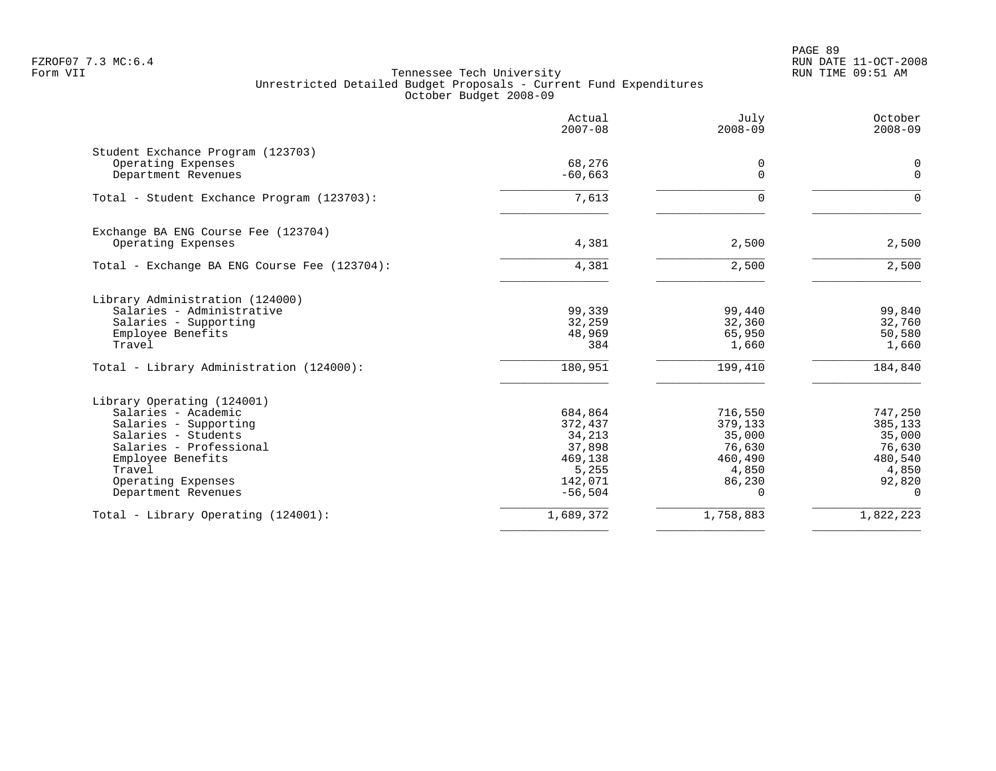|                                              | Actual<br>$2007 - 08$ | July<br>$2008 - 09$ | October<br>$2008 - 09$     |
|----------------------------------------------|-----------------------|---------------------|----------------------------|
| Student Exchance Program (123703)            |                       |                     |                            |
| Operating Expenses<br>Department Revenues    | 68,276<br>$-60,663$   | 0<br>$\Omega$       | $\mathbf 0$<br>$\mathbf 0$ |
|                                              |                       |                     |                            |
| Total - Student Exchance Program (123703):   | 7,613                 | $\Omega$            | $\Omega$                   |
| Exchange BA ENG Course Fee (123704)          |                       |                     |                            |
| Operating Expenses                           | 4,381                 | 2,500               | 2,500                      |
| Total - Exchange BA ENG Course Fee (123704): | 4,381                 | 2,500               | 2,500                      |
| Library Administration (124000)              |                       |                     |                            |
| Salaries - Administrative                    | 99,339                | 99,440              | 99,840                     |
| Salaries - Supporting                        | 32,259                | 32,360              | 32,760                     |
| Employee Benefits<br>Travel                  | 48,969<br>384         | 65,950<br>1,660     | 50,580<br>1,660            |
|                                              |                       |                     |                            |
| Total - Library Administration (124000):     | 180,951               | 199,410             | 184,840                    |
| Library Operating (124001)                   |                       |                     |                            |
| Salaries - Academic                          | 684,864               | 716,550             | 747,250                    |
| Salaries - Supporting                        | 372,437               | 379,133             | 385,133                    |
| Salaries - Students                          | 34,213                | 35,000              | 35,000                     |
| Salaries - Professional                      | 37,898                | 76,630              | 76,630                     |
| Employee Benefits<br>Travel                  | 469,138               | 460,490             | 480,540                    |
| Operating Expenses                           | 5,255<br>142,071      | 4,850<br>86,230     | 4,850<br>92,820            |
| Department Revenues                          | $-56, 504$            | $\Omega$            | $\Omega$                   |
| Total - Library Operating (124001):          | 1,689,372             | 1,758,883           | 1,822,223                  |
|                                              |                       |                     |                            |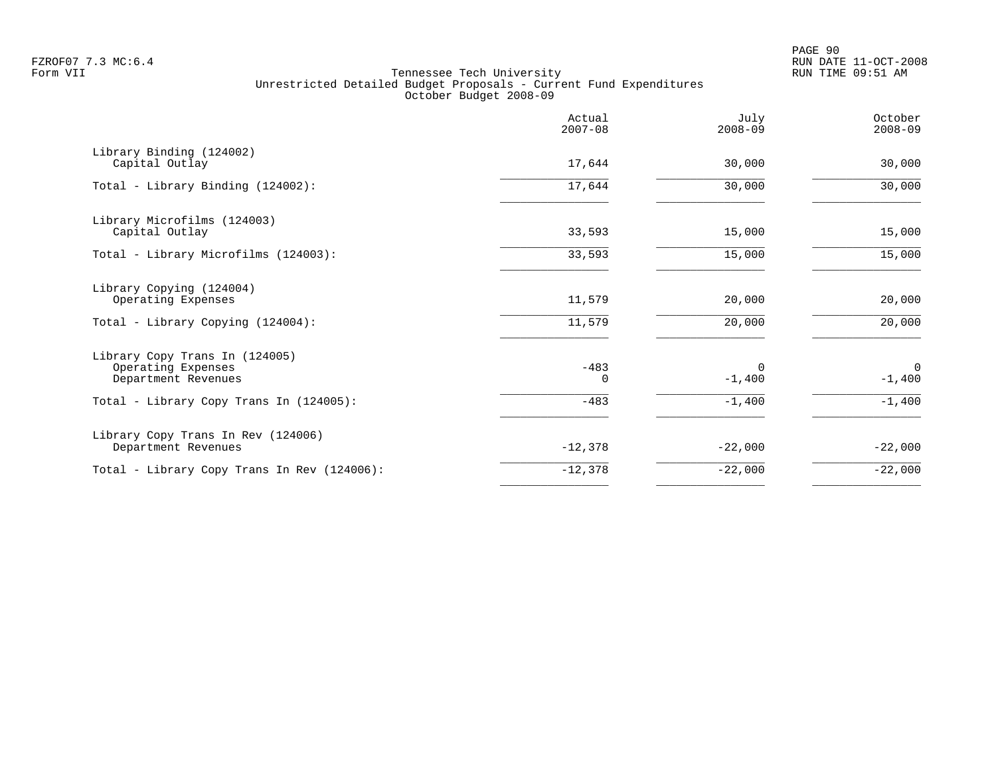PAGE 90 FZROF07 7.3 MC:6.4 RUN DATE 11-OCT-2008

|                                                                             | Actual<br>$2007 - 08$ | July<br>$2008 - 09$  | October<br>$2008 - 09$ |
|-----------------------------------------------------------------------------|-----------------------|----------------------|------------------------|
| Library Binding (124002)<br>Capital Outlay                                  | 17,644                | 30,000               | 30,000                 |
| Total - Library Binding (124002):                                           | 17,644                | 30,000               | 30,000                 |
| Library Microfilms (124003)<br>Capital Outlay                               | 33,593                | 15,000               | 15,000                 |
| Total - Library Microfilms (124003):                                        | 33,593                | 15,000               | 15,000                 |
| Library Copying (124004)<br>Operating Expenses                              | 11,579                | 20,000               | 20,000                 |
| Total - Library Copying (124004):                                           | 11,579                | 20,000               | 20,000                 |
| Library Copy Trans In (124005)<br>Operating Expenses<br>Department Revenues | $-483$<br>0           | $\Omega$<br>$-1,400$ | $\Omega$<br>$-1,400$   |
| Total - Library Copy Trans In (124005):                                     | $-483$                | $-1,400$             | $-1,400$               |
| Library Copy Trans In Rev (124006)<br>Department Revenues                   | $-12,378$             | $-22,000$            | $-22,000$              |
| Total - Library Copy Trans In Rev (124006):                                 | $-12,378$             | $-22,000$            | $-22,000$              |
|                                                                             |                       |                      |                        |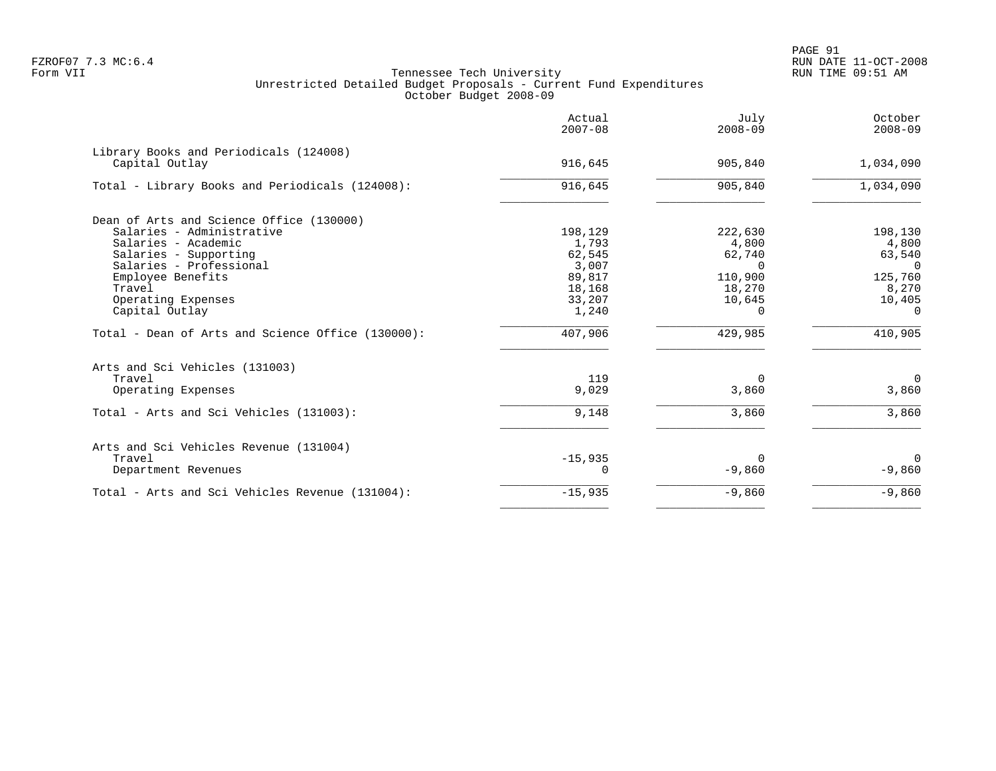PAGE 91 FZROF07 7.3 MC:6.4 RUN DATE 11-OCT-2008

|                                                          | Actual<br>$2007 - 08$ | July<br>$2008 - 09$ | October<br>$2008 - 09$ |
|----------------------------------------------------------|-----------------------|---------------------|------------------------|
| Library Books and Periodicals (124008)<br>Capital Outlay | 916,645               | 905,840             | 1,034,090              |
| Total - Library Books and Periodicals (124008):          | 916,645               | 905,840             | 1,034,090              |
| Dean of Arts and Science Office (130000)                 |                       |                     |                        |
| Salaries - Administrative                                | 198,129               | 222,630             | 198,130                |
| Salaries - Academic                                      | 1,793                 | 4,800               | 4,800                  |
| Salaries - Supporting                                    | 62,545                | 62,740              | 63,540                 |
| Salaries - Professional                                  | 3,007                 | $\Omega$            | $\Omega$               |
| Employee Benefits                                        | 89,817                | 110,900             | 125,760                |
| Travel                                                   | 18,168                | 18,270              | 8,270                  |
| Operating Expenses                                       | 33,207                | 10,645              | 10,405                 |
| Capital Outlay                                           | 1,240                 | $\Omega$            | $\Omega$               |
| Total - Dean of Arts and Science Office (130000):        | 407,906               | 429,985             | 410,905                |
| Arts and Sci Vehicles (131003)                           |                       |                     |                        |
| Travel                                                   | 119                   | $\Omega$            | $\overline{0}$         |
| Operating Expenses                                       | 9,029                 | 3,860               | 3,860                  |
| Total - Arts and Sci Vehicles (131003):                  | 9,148                 | 3,860               | 3,860                  |
| Arts and Sci Vehicles Revenue (131004)                   |                       |                     |                        |
| Travel                                                   | $-15,935$             | $\Omega$            | $\Omega$               |
| Department Revenues                                      | 0                     | $-9,860$            | $-9,860$               |
| Total - Arts and Sci Vehicles Revenue (131004):          | $-15,935$             | $-9,860$            | $-9,860$               |
|                                                          |                       |                     |                        |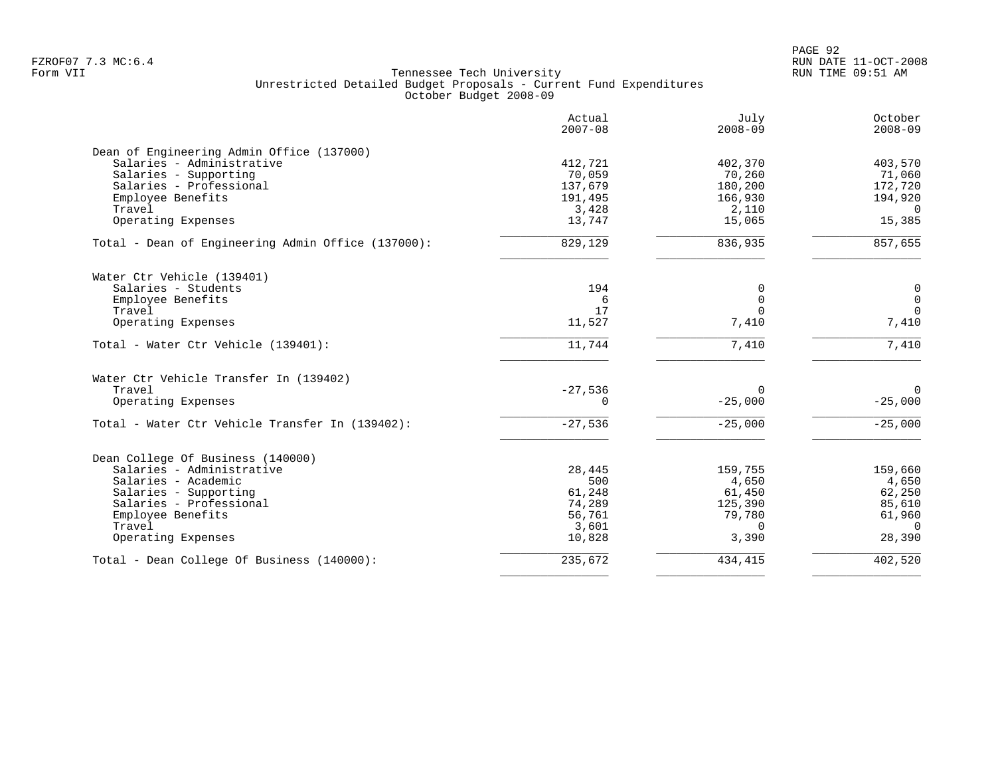PAGE 92 FZROF07 7.3 MC:6.4 RUN DATE 11-OCT-2008

|                                                    | Actual<br>$2007 - 08$ | July<br>$2008 - 09$ | October<br>$2008 - 09$ |
|----------------------------------------------------|-----------------------|---------------------|------------------------|
| Dean of Engineering Admin Office (137000)          |                       |                     |                        |
| Salaries - Administrative                          | 412,721               | 402,370             | 403,570                |
| Salaries - Supporting                              | 70,059                | 70,260              | 71,060                 |
| Salaries - Professional                            | 137,679               | 180,200             | 172,720                |
| Employee Benefits                                  | 191,495               | 166,930             | 194,920                |
| Travel                                             | 3,428                 | 2,110               | $\overline{0}$         |
| Operating Expenses                                 | 13,747                | 15,065              | 15,385                 |
| Total - Dean of Engineering Admin Office (137000): | 829,129               | 836,935             | 857,655                |
| Water Ctr Vehicle (139401)                         |                       |                     |                        |
| Salaries - Students                                | 194                   | 0                   | $\mathbf 0$            |
| Employee Benefits                                  | 6                     | $\Omega$            | $\mathsf{O}$           |
| Travel                                             | 17                    | $\Omega$            | $\mathbf 0$            |
| Operating Expenses                                 | 11,527                | 7,410               | 7,410                  |
| Total - Water Ctr Vehicle (139401):                | 11,744                | 7,410               | 7,410                  |
| Water Ctr Vehicle Transfer In (139402)             |                       |                     |                        |
| Travel                                             | $-27,536$             | $\mathbf 0$         | $\Omega$               |
| Operating Expenses                                 | $\Omega$              | $-25,000$           | $-25,000$              |
| Total - Water Ctr Vehicle Transfer In (139402):    | $-27,536$             | $-25,000$           | $-25,000$              |
| Dean College Of Business (140000)                  |                       |                     |                        |
| Salaries - Administrative                          | 28,445                | 159,755             | 159,660                |
| Salaries - Academic                                | 500                   | 4,650               | 4,650                  |
| Salaries - Supporting                              | 61,248                | 61,450              | 62,250                 |
| Salaries - Professional                            | 74,289                | 125,390             | 85,610                 |
| Employee Benefits                                  | 56,761                | 79,780              | 61,960                 |
| Travel                                             | 3,601                 | $\Omega$            | $\overline{0}$         |
| Operating Expenses                                 | 10,828                | 3,390               | 28,390                 |
| Total - Dean College Of Business (140000):         | 235,672               | 434,415             | 402,520                |
|                                                    |                       |                     |                        |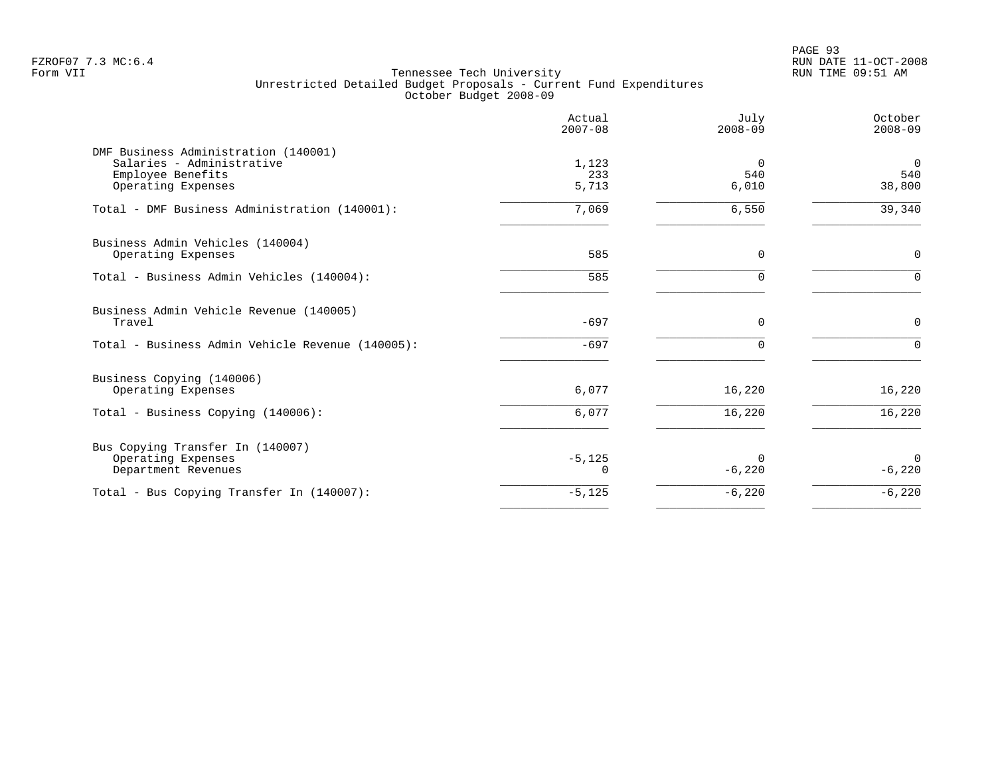PAGE 93 FZROF07 7.3 MC:6.4 RUN DATE 11-OCT-2008

|                                                                                                              | Actual<br>$2007 - 08$ | July<br>$2008 - 09$      | October<br>$2008 - 09$          |
|--------------------------------------------------------------------------------------------------------------|-----------------------|--------------------------|---------------------------------|
| DMF Business Administration (140001)<br>Salaries - Administrative<br>Employee Benefits<br>Operating Expenses | 1,123<br>233<br>5,713 | $\Omega$<br>540<br>6,010 | $\overline{0}$<br>540<br>38,800 |
| Total - DMF Business Administration (140001):                                                                | 7,069                 | 6,550                    | 39,340                          |
| Business Admin Vehicles (140004)<br>Operating Expenses                                                       | 585                   | 0                        | $\mathsf 0$                     |
| Total - Business Admin Vehicles (140004):                                                                    | 585                   | $\Omega$                 | $\Omega$                        |
| Business Admin Vehicle Revenue (140005)<br>Travel                                                            | $-697$                | $\Omega$                 | $\Omega$                        |
| Total - Business Admin Vehicle Revenue (140005):                                                             | $-697$                | $\Omega$                 | $\Omega$                        |
| Business Copying (140006)<br>Operating Expenses                                                              | 6,077                 | 16,220                   | 16,220                          |
| Total - Business Copying (140006):                                                                           | 6,077                 | 16,220                   | 16,220                          |
| Bus Copying Transfer In (140007)<br>Operating Expenses<br>Department Revenues                                | $-5,125$              | 0<br>$-6,220$            | $\Omega$<br>$-6,220$            |
| Total - Bus Copying Transfer In (140007):                                                                    | $-5,125$              | $-6,220$                 | $-6,220$                        |
|                                                                                                              |                       |                          |                                 |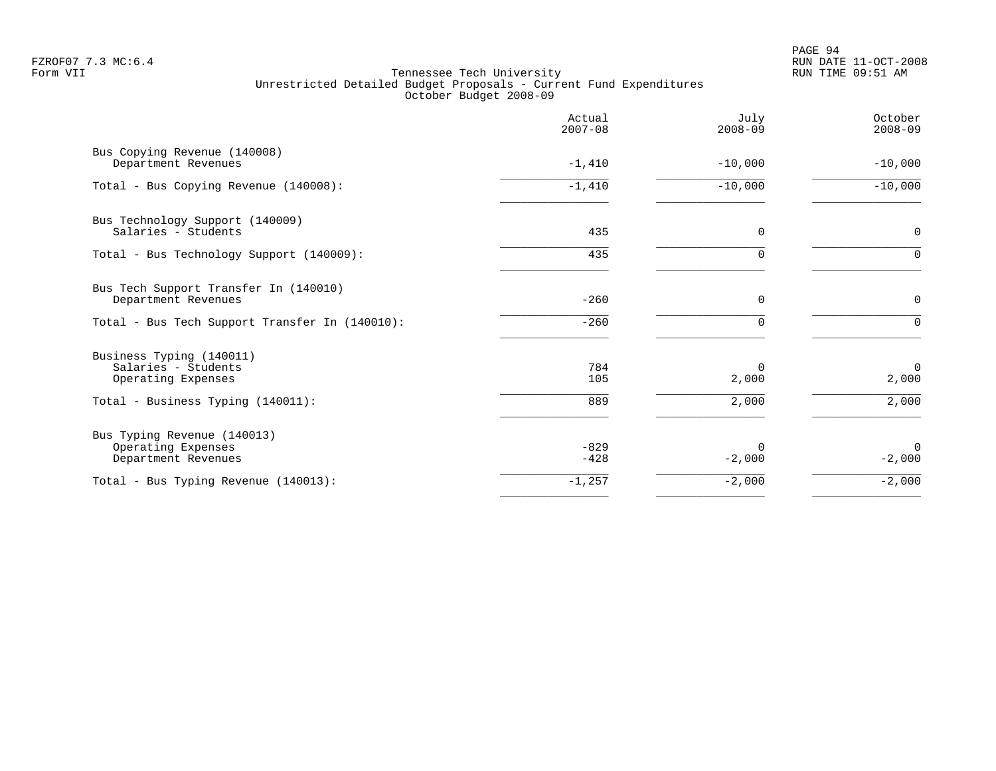|                                                                          | Actual<br>$2007 - 08$ | July<br>$2008 - 09$  | October<br>$2008 - 09$ |
|--------------------------------------------------------------------------|-----------------------|----------------------|------------------------|
| Bus Copying Revenue (140008)<br>Department Revenues                      | $-1,410$              | $-10,000$            | $-10,000$              |
| Total - Bus Copying Revenue (140008):                                    | $-1,410$              | $-10,000$            | $-10,000$              |
| Bus Technology Support (140009)<br>Salaries - Students                   | 435                   | $\mathbf 0$          | $\mathbf 0$            |
| Total - Bus Technology Support (140009):                                 | 435                   | 0                    | $\mathbf 0$            |
| Bus Tech Support Transfer In (140010)<br>Department Revenues             | $-260$                | $\Omega$             | 0                      |
| Total - Bus Tech Support Transfer In (140010):                           | $-260$                | $\Omega$             | $\Omega$               |
| Business Typing (140011)<br>Salaries - Students<br>Operating Expenses    | 784<br>105            | $\Omega$<br>2,000    | $\mathbf 0$<br>2,000   |
| Total - Business Typing (140011):                                        | 889                   | 2,000                | 2,000                  |
| Bus Typing Revenue (140013)<br>Operating Expenses<br>Department Revenues | $-829$<br>$-428$      | $\Omega$<br>$-2,000$ | $\Omega$<br>$-2,000$   |
| Total - Bus Typing Revenue (140013):                                     | $-1,257$              | $-2,000$             | $-2,000$               |
|                                                                          |                       |                      |                        |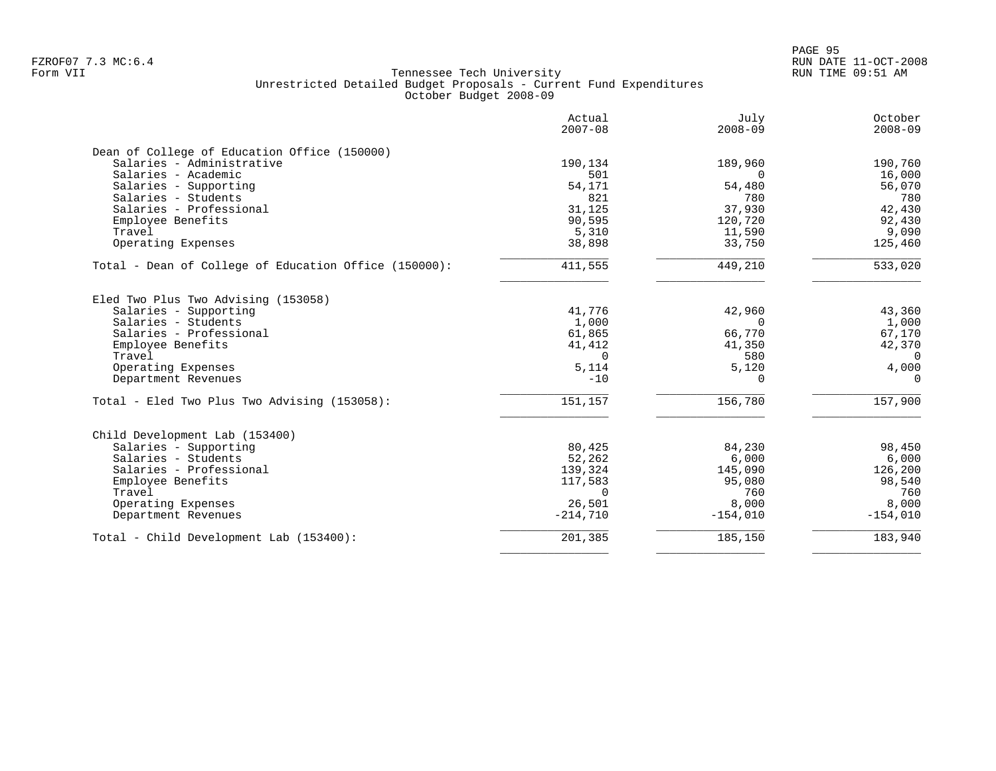| Actual<br>$2007 - 08$ | July<br>$2008 - 09$       | October<br>$2008 - 09$    |
|-----------------------|---------------------------|---------------------------|
|                       |                           |                           |
| 190,134               | 189,960                   | 190,760                   |
| 501                   | $\Omega$                  | 16,000                    |
| 54,171                | 54,480                    | 56,070                    |
| 821                   | 780                       | 780                       |
| 31,125                | 37,930                    | 42,430                    |
| 90,595                | 120,720                   | 92,430                    |
|                       | 11,590                    | 9,090                     |
| 38,898                | 33,750                    | 125,460                   |
| 411,555               | 449,210                   | 533,020                   |
|                       |                           |                           |
| 41,776                | 42,960                    | 43,360                    |
| 1,000                 | $\Omega$                  | 1,000                     |
|                       |                           | 67,170                    |
|                       |                           | 42,370                    |
| $\Omega$              | 580                       | $\Omega$                  |
| 5,114                 |                           | 4,000                     |
| $-10$                 | $\Omega$                  | $\Omega$                  |
| 151,157               | 156,780                   | 157,900                   |
|                       |                           |                           |
| 80,425                | 84,230                    | 98,450                    |
| 52,262                | 6,000                     | 6,000                     |
| 139,324               | 145,090                   | 126,200                   |
| 117,583               | 95,080                    | 98,540                    |
| $\Omega$              | 760                       | 760                       |
| 26,501                | 8,000                     | 8,000                     |
| $-214,710$            | $-154,010$                | $-154,010$                |
| 201,385               | 185,150                   | 183,940                   |
|                       | 5,310<br>61,865<br>41,412 | 66,770<br>41,350<br>5,120 |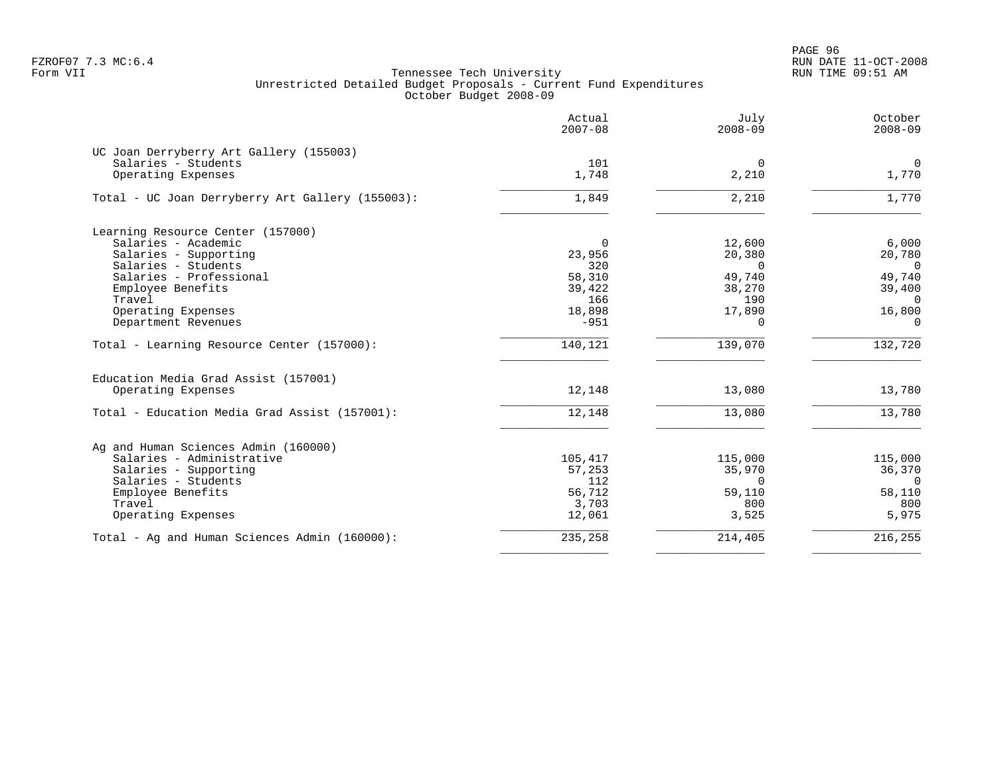PAGE 96 FZROF07 7.3 MC:6.4 RUN DATE 11-OCT-2008

|                                                  | Actual<br>$2007 - 08$ | July<br>$2008 - 09$     | October<br>$2008 - 09$  |
|--------------------------------------------------|-----------------------|-------------------------|-------------------------|
| UC Joan Derryberry Art Gallery (155003)          |                       |                         |                         |
| Salaries - Students<br>Operating Expenses        | 101<br>1,748          | $\overline{0}$<br>2,210 | $\overline{0}$<br>1,770 |
| Total - UC Joan Derryberry Art Gallery (155003): | 1,849                 | 2,210                   | 1,770                   |
| Learning Resource Center (157000)                |                       |                         |                         |
| Salaries - Academic                              | 0                     | 12,600                  | 6,000                   |
| Salaries - Supporting                            | 23,956                | 20,380                  | 20,780                  |
| Salaries - Students                              | 320                   | $\Omega$                | $\overline{0}$          |
| Salaries - Professional                          | 58,310                | 49,740                  | 49,740                  |
| Employee Benefits                                | 39,422                | 38,270                  | 39,400                  |
| Travel                                           | 166                   | 190                     | $\Omega$                |
| Operating Expenses                               | 18,898                | 17,890                  | 16,800                  |
| Department Revenues                              | $-951$                | 0                       | $\Omega$                |
| Total - Learning Resource Center (157000):       | 140,121               | 139,070                 | 132,720                 |
| Education Media Grad Assist (157001)             |                       |                         |                         |
| Operating Expenses                               | 12,148                | 13,080                  | 13,780                  |
| Total - Education Media Grad Assist (157001):    | 12,148                | 13,080                  | 13,780                  |
| Ag and Human Sciences Admin (160000)             |                       |                         |                         |
| Salaries - Administrative                        | 105,417               | 115,000                 | 115,000                 |
| Salaries - Supporting                            | 57,253                | 35,970                  | 36,370                  |
| Salaries - Students                              | 112                   | $\Omega$                | $\Omega$                |
| Employee Benefits                                | 56,712                | 59,110                  | 58,110                  |
| Travel                                           | 3,703                 | 800                     | 800                     |
| Operating Expenses                               | 12,061                | 3,525                   | 5,975                   |
| Total - Ag and Human Sciences Admin (160000):    | 235,258               | 214,405                 | 216,255                 |
|                                                  |                       |                         |                         |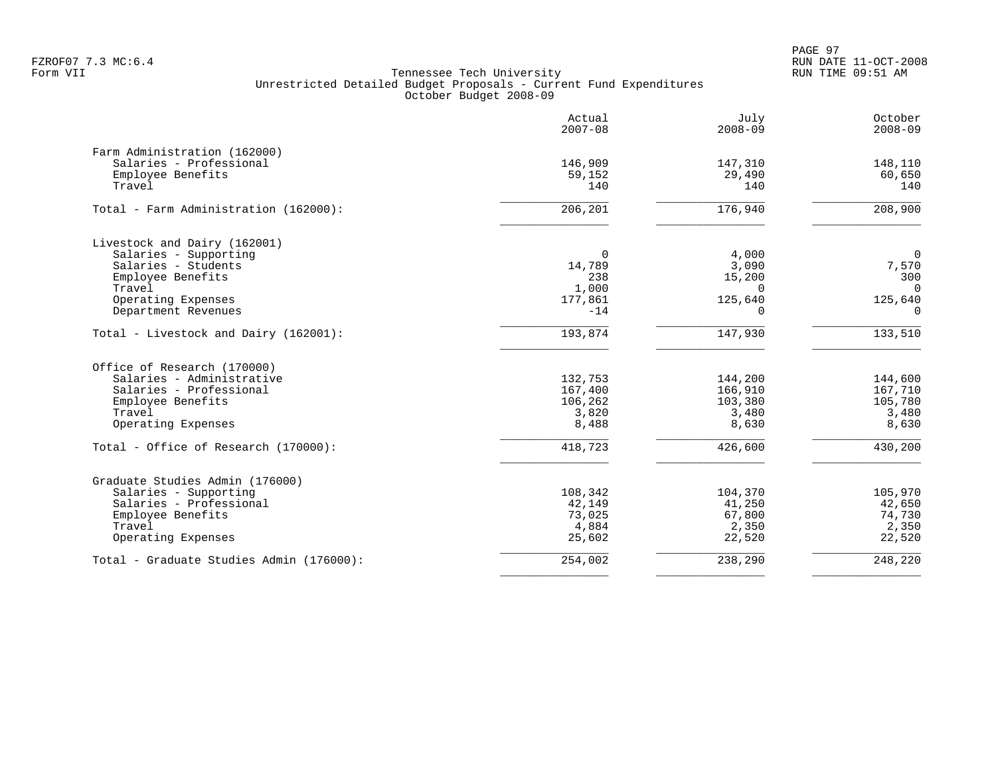PAGE 97 FZROF07 7.3 MC:6.4 RUN DATE 11-OCT-2008

|                                          | Actual<br>$2007 - 08$ | July<br>$2008 - 09$ | October<br>$2008 - 09$ |
|------------------------------------------|-----------------------|---------------------|------------------------|
| Farm Administration (162000)             |                       |                     |                        |
| Salaries - Professional                  | 146,909               | 147,310             | 148,110                |
| Employee Benefits                        | 59,152                | 29,490              | 60,650                 |
| Travel                                   | 140                   | 140                 | 140                    |
| Total - Farm Administration (162000):    | 206,201               | 176,940             | 208,900                |
| Livestock and Dairy (162001)             |                       |                     |                        |
| Salaries - Supporting                    | 0                     | 4,000               | $\mathbf 0$            |
| Salaries - Students                      | 14,789                | 3,090               | 7,570                  |
| Employee Benefits                        | 238                   | 15,200              | 300                    |
| Travel                                   | 1,000                 | $\Omega$            | $\overline{0}$         |
| Operating Expenses                       | 177,861               | 125,640             | 125,640                |
| Department Revenues                      | $-14$                 | $\Omega$            | $\Omega$               |
| Total - Livestock and Dairy (162001):    | 193,874               | 147,930             | 133,510                |
| Office of Research (170000)              |                       |                     |                        |
| Salaries - Administrative                | 132,753               | 144,200             | 144,600                |
| Salaries - Professional                  | 167,400               | 166,910             | 167,710                |
| Employee Benefits                        | 106,262               | 103,380             | 105,780                |
| Travel                                   | 3,820                 | 3,480               | 3,480                  |
| Operating Expenses                       | 8,488                 | 8,630               | 8,630                  |
| Total - Office of Research (170000):     | 418,723               | 426,600             | 430,200                |
| Graduate Studies Admin (176000)          |                       |                     |                        |
| Salaries - Supporting                    | 108,342               | 104,370             | 105,970                |
| Salaries - Professional                  | 42,149                | 41,250              | 42,650                 |
| Employee Benefits                        | 73,025                | 67,800              | 74,730                 |
| Travel                                   | 4,884                 | 2,350               | 2,350                  |
| Operating Expenses                       | 25,602                | 22,520              | 22,520                 |
| Total - Graduate Studies Admin (176000): | 254,002               | 238,290             | 248,220                |
|                                          |                       |                     |                        |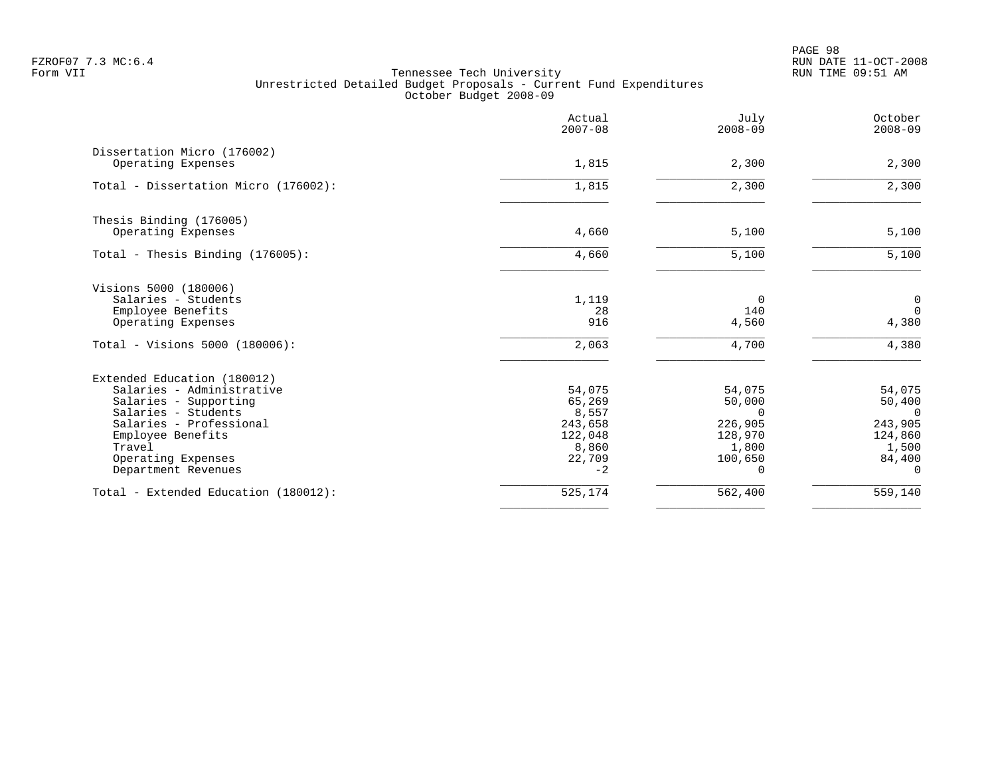PAGE 98 FZROF07 7.3 MC:6.4 RUN DATE 11-OCT-2008

|                                                   | Actual<br>$2007 - 08$ | July<br>$2008 - 09$ | October<br>$2008 - 09$  |
|---------------------------------------------------|-----------------------|---------------------|-------------------------|
| Dissertation Micro (176002)<br>Operating Expenses | 1,815                 | 2,300               | 2,300                   |
| Total - Dissertation Micro (176002):              | 1,815                 | 2,300               | 2,300                   |
|                                                   |                       |                     |                         |
| Thesis Binding (176005)<br>Operating Expenses     | 4,660                 | 5,100               |                         |
|                                                   |                       |                     | 5,100                   |
| Total - Thesis Binding (176005):                  | 4,660                 | 5,100               | 5,100                   |
| Visions 5000 (180006)                             |                       |                     |                         |
| Salaries - Students                               | 1,119                 | $\Omega$            | $\overline{0}$          |
| Employee Benefits<br>Operating Expenses           | 28<br>916             | 140<br>4,560        | $\overline{0}$<br>4,380 |
| Total - Visions 5000 (180006):                    | 2,063                 | 4,700               | 4,380                   |
| Extended Education (180012)                       |                       |                     |                         |
| Salaries - Administrative                         | 54,075                | 54,075              | 54,075                  |
| Salaries - Supporting                             | 65,269                | 50,000              | 50,400                  |
| Salaries - Students<br>Salaries - Professional    | 8,557<br>243,658      | $\Omega$<br>226,905 | $\Omega$<br>243,905     |
| Employee Benefits                                 | 122,048               | 128,970             | 124,860                 |
| Travel                                            | 8,860                 | 1,800               | 1,500                   |
| Operating Expenses                                | 22,709                | 100,650             | 84,400                  |
| Department Revenues                               | $-2$                  | 0                   | $\Omega$                |
| Total - Extended Education (180012):              | 525,174               | 562,400             | 559,140                 |
|                                                   |                       |                     |                         |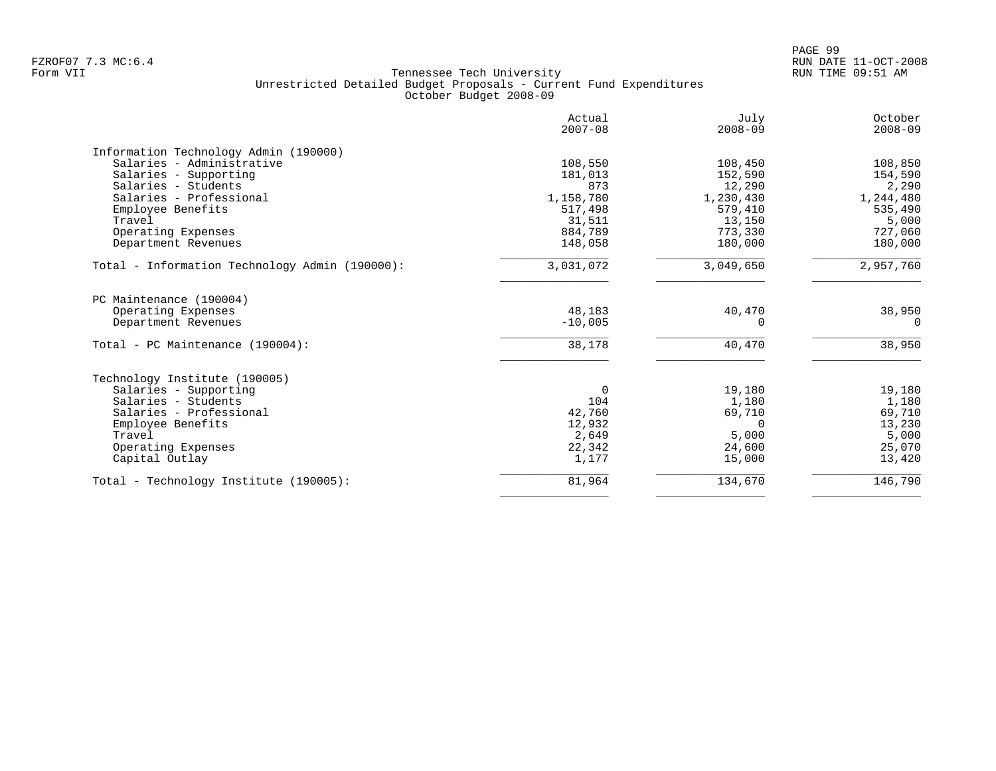|                                                | Actual<br>$2007 - 08$ | July<br>$2008 - 09$ | October<br>$2008 - 09$ |
|------------------------------------------------|-----------------------|---------------------|------------------------|
| Information Technology Admin (190000)          |                       |                     |                        |
| Salaries - Administrative                      | 108,550               | 108,450             | 108,850                |
| Salaries - Supporting                          | 181,013               | 152,590             | 154,590                |
| Salaries - Students                            | 873                   | 12,290              | 2,290                  |
| Salaries - Professional                        | 1,158,780             | 1,230,430           | 1,244,480              |
| Employee Benefits                              | 517,498               | 579,410             | 535,490                |
| Travel                                         | 31,511                | 13,150              | 5,000                  |
| Operating Expenses                             | 884,789               | 773,330             | 727,060                |
| Department Revenues                            | 148,058               | 180,000             | 180,000                |
| Total - Information Technology Admin (190000): | 3,031,072             | 3,049,650           | 2,957,760              |
| PC Maintenance (190004)                        |                       |                     |                        |
| Operating Expenses                             | 48,183                | 40,470              | 38,950                 |
| Department Revenues                            | $-10,005$             | U                   | $\Omega$               |
| Total - PC Maintenance (190004):               | 38,178                | 40,470              | 38,950                 |
| Technology Institute (190005)                  |                       |                     |                        |
| Salaries - Supporting                          | $\Omega$              | 19,180              | 19,180                 |
| Salaries - Students                            | 104                   | 1,180               | 1,180                  |
| Salaries - Professional                        | 42,760                | 69,710              | 69,710                 |
| Employee Benefits                              | 12,932                | $\Omega$            | 13,230                 |
| Travel                                         | 2,649                 | 5,000               | 5,000                  |
| Operating Expenses                             | 22,342                | 24,600              | 25,070                 |
| Capital Outlay                                 | 1,177                 | 15,000              | 13,420                 |
| Total - Technology Institute (190005):         | 81,964                | 134,670             | 146,790                |
|                                                |                       |                     |                        |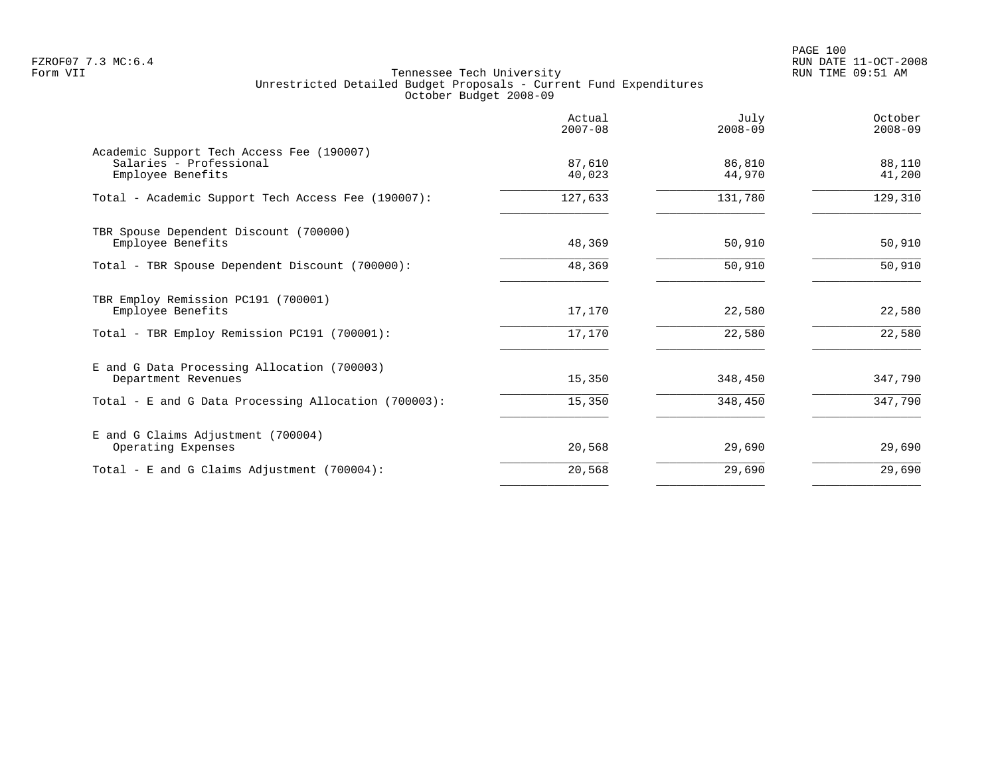PAGE 100 FZROF07 7.3 MC:6.4 RUN DATE 11-OCT-2008

|                                                                                           | Actual<br>$2007 - 08$ | July<br>$2008 - 09$ | October<br>$2008 - 09$ |
|-------------------------------------------------------------------------------------------|-----------------------|---------------------|------------------------|
| Academic Support Tech Access Fee (190007)<br>Salaries - Professional<br>Employee Benefits | 87,610<br>40,023      | 86,810<br>44,970    | 88,110<br>41,200       |
| Total - Academic Support Tech Access Fee (190007):                                        | 127,633               | 131,780             | 129,310                |
| TBR Spouse Dependent Discount (700000)<br>Employee Benefits                               | 48,369                | 50,910              | 50,910                 |
| Total - TBR Spouse Dependent Discount (700000):                                           | 48,369                | 50,910              | 50,910                 |
| TBR Employ Remission PC191 (700001)<br>Employee Benefits                                  | 17,170                | 22,580              | 22,580                 |
| Total - TBR Employ Remission PC191 (700001):                                              | 17,170                | 22,580              | 22,580                 |
| E and G Data Processing Allocation (700003)<br>Department Revenues                        | 15,350                | 348,450             | 347,790                |
| Total - E and G Data Processing Allocation (700003):                                      | 15,350                | 348,450             | 347,790                |
| E and G Claims Adjustment (700004)<br>Operating Expenses                                  | 20,568                | 29,690              | 29,690                 |
| Total - E and G Claims Adjustment $(700004)$ :                                            | 20,568                | 29,690              | 29,690                 |
|                                                                                           |                       |                     |                        |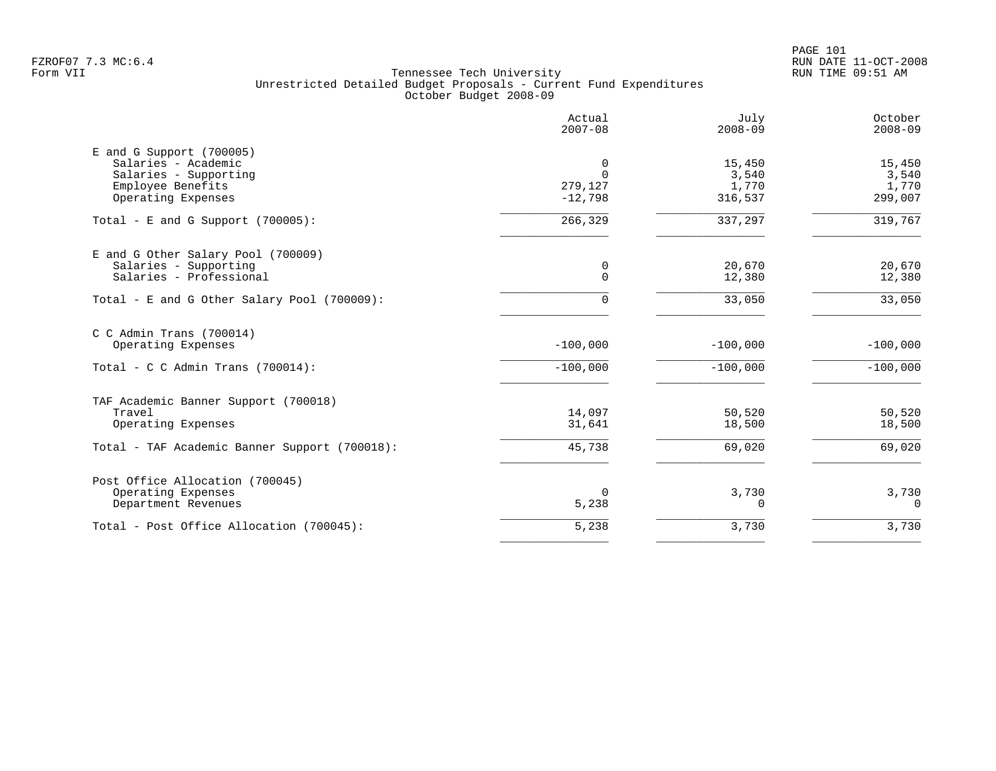PAGE 101 FZROF07 7.3 MC:6.4 RUN DATE 11-OCT-2008

|                                                                                                                       | Actual<br>$2007 - 08$                 | July<br>$2008 - 09$                 | October<br>$2008 - 09$              |
|-----------------------------------------------------------------------------------------------------------------------|---------------------------------------|-------------------------------------|-------------------------------------|
| $E$ and G Support (700005)<br>Salaries - Academic<br>Salaries - Supporting<br>Employee Benefits<br>Operating Expenses | 0<br>$\Omega$<br>279,127<br>$-12,798$ | 15,450<br>3,540<br>1,770<br>316,537 | 15,450<br>3,540<br>1,770<br>299,007 |
| Total - E and G Support $(700005)$ :                                                                                  | 266,329                               | 337,297                             | 319,767                             |
| E and G Other Salary Pool (700009)<br>Salaries - Supporting<br>Salaries - Professional                                | 0<br>0                                | 20,670<br>12,380                    | 20,670<br>12,380                    |
| Total - E and G Other Salary Pool (700009):                                                                           | 0                                     | 33,050                              | 33,050                              |
| C C Admin Trans (700014)<br>Operating Expenses                                                                        | $-100,000$                            | $-100.000$                          | $-100,000$                          |
| Total - C C Admin Trans $(700014)$ :                                                                                  | $-100,000$                            | $-100,000$                          | $-100,000$                          |
| TAF Academic Banner Support (700018)<br>Travel<br>Operating Expenses                                                  | 14,097<br>31,641                      | 50,520<br>18,500                    | 50,520<br>18,500                    |
| Total - TAF Academic Banner Support (700018):                                                                         | 45,738                                | 69,020                              | 69,020                              |
| Post Office Allocation (700045)<br>Operating Expenses<br>Department Revenues                                          | 0<br>5,238                            | 3,730<br>$\Omega$                   | 3,730<br>$\Omega$                   |
| Total - Post Office Allocation (700045):                                                                              | 5,238                                 | 3,730                               | 3,730                               |
|                                                                                                                       |                                       |                                     |                                     |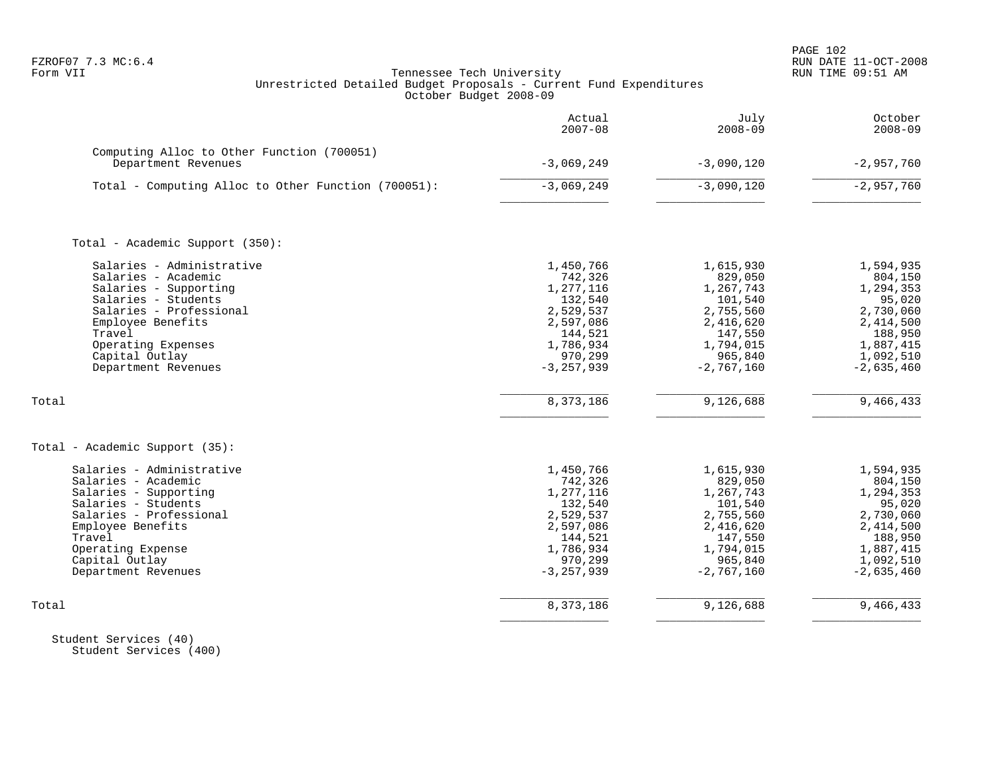| FZROF07 7.3 MC:6.4<br>Form VII                                                                                                                                                                                                     | Tennessee Tech University<br>Unrestricted Detailed Budget Proposals - Current Fund Expenditures<br>October Budget 2008-09                |                                                                                                                                        | PAGE 102<br>RUN DATE 11-OCT-2008<br>RUN TIME 09:51 AM                                                                                   |
|------------------------------------------------------------------------------------------------------------------------------------------------------------------------------------------------------------------------------------|------------------------------------------------------------------------------------------------------------------------------------------|----------------------------------------------------------------------------------------------------------------------------------------|-----------------------------------------------------------------------------------------------------------------------------------------|
|                                                                                                                                                                                                                                    | Actual<br>$2007 - 08$                                                                                                                    | July<br>$2008 - 09$                                                                                                                    | October<br>$2008 - 09$                                                                                                                  |
| Computing Alloc to Other Function (700051)<br>Department Revenues                                                                                                                                                                  | $-3,069,249$                                                                                                                             | $-3,090,120$                                                                                                                           | $-2,957,760$                                                                                                                            |
| Total - Computing Alloc to Other Function (700051):                                                                                                                                                                                | $-3,069,249$                                                                                                                             | $-3,090,120$                                                                                                                           | $-2,957,760$                                                                                                                            |
| Total - Academic Support (350):                                                                                                                                                                                                    |                                                                                                                                          |                                                                                                                                        |                                                                                                                                         |
| Salaries - Administrative<br>Salaries - Academic<br>Salaries - Supporting<br>Salaries - Students<br>Salaries - Professional<br>Employee Benefits<br>Travel<br>Operating Expenses<br>Capital Outlay<br>Department Revenues<br>Total | 1,450,766<br>742,326<br>1,277,116<br>132,540<br>2,529,537<br>2,597,086<br>144,521<br>1,786,934<br>970,299<br>$-3, 257, 939$<br>8,373,186 | 1,615,930<br>829,050<br>1,267,743<br>101,540<br>2,755,560<br>2,416,620<br>147,550<br>1,794,015<br>965,840<br>$-2,767,160$<br>9,126,688 | 1,594,935<br>804,150<br>1,294,353<br>95,020<br>2,730,060<br>2,414,500<br>188,950<br>1,887,415<br>1,092,510<br>$-2,635,460$<br>9,466,433 |
| Total - Academic Support (35):                                                                                                                                                                                                     |                                                                                                                                          |                                                                                                                                        |                                                                                                                                         |
| Salaries - Administrative<br>Salaries - Academic<br>Salaries - Supporting<br>Salaries - Students<br>Salaries - Professional<br>Employee Benefits<br>Travel<br>Operating Expense<br>Capital Outlay<br>Department Revenues           | 1,450,766<br>742,326<br>1,277,116<br>132,540<br>2,529,537<br>2,597,086<br>144,521<br>1,786,934<br>970,299<br>$-3, 257, 939$              | 1,615,930<br>829,050<br>1,267,743<br>101,540<br>2,755,560<br>2,416,620<br>147,550<br>1,794,015<br>965,840<br>$-2,767,160$              | 1,594,935<br>804,150<br>1,294,353<br>95,020<br>2,730,060<br>2,414,500<br>188,950<br>1,887,415<br>1,092,510<br>$-2,635,460$              |
| Total                                                                                                                                                                                                                              | 8,373,186                                                                                                                                | 9,126,688                                                                                                                              | 9,466,433                                                                                                                               |
|                                                                                                                                                                                                                                    |                                                                                                                                          |                                                                                                                                        |                                                                                                                                         |

 Student Services (40) Student Services (400)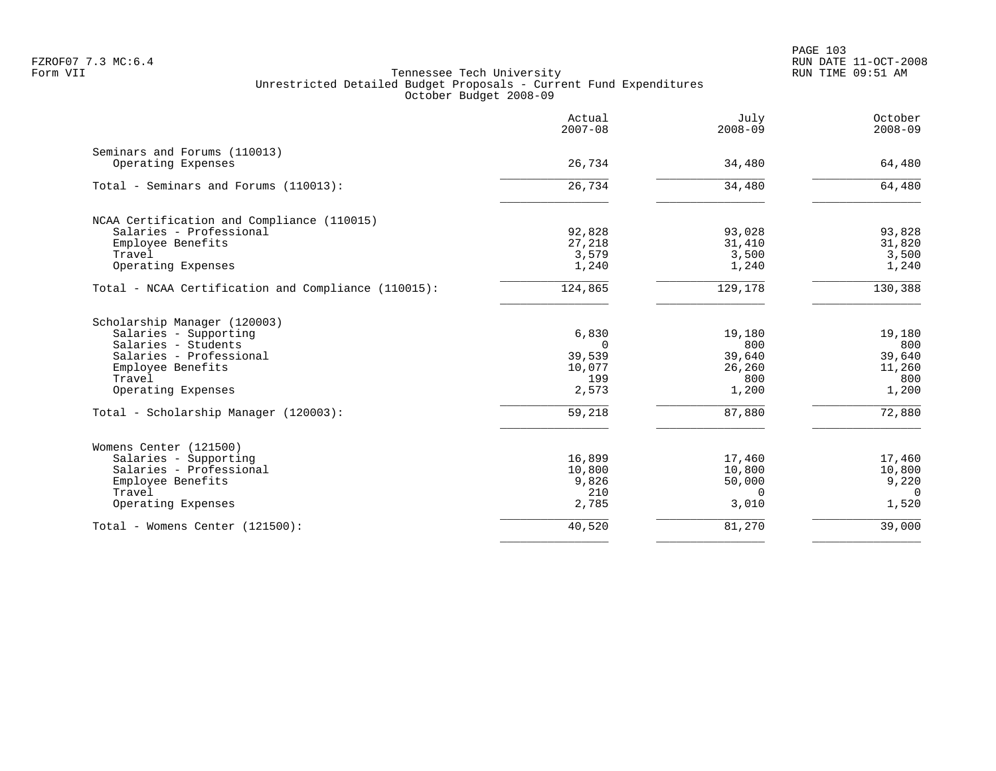|                                                     | Actual<br>$2007 - 08$ | July<br>$2008 - 09$ | October<br>$2008 - 09$ |
|-----------------------------------------------------|-----------------------|---------------------|------------------------|
| Seminars and Forums (110013)                        |                       |                     |                        |
| Operating Expenses                                  | 26,734                | 34,480              | 64,480                 |
| Total - Seminars and Forums (110013):               | 26,734                | 34,480              | 64,480                 |
| NCAA Certification and Compliance (110015)          |                       |                     |                        |
| Salaries - Professional                             | 92,828                | 93,028              | 93,828                 |
| Employee Benefits                                   | 27,218                | 31,410              | 31,820                 |
| Travel                                              | 3,579                 | 3,500               | 3,500                  |
| Operating Expenses                                  | 1,240                 | 1,240               | 1,240                  |
| Total - NCAA Certification and Compliance (110015): | 124,865               | 129,178             | 130,388                |
| Scholarship Manager (120003)                        |                       |                     |                        |
| Salaries - Supporting                               | 6,830                 | 19,180              | 19,180                 |
| Salaries - Students                                 | $\Omega$              | 800                 | 800                    |
| Salaries - Professional                             | 39,539                | 39,640              | 39,640                 |
| Employee Benefits                                   | 10,077                | 26,260              | 11,260                 |
| Travel                                              | 199                   | 800                 | 800                    |
| Operating Expenses                                  | 2,573                 | 1,200               | 1,200                  |
| Total - Scholarship Manager (120003):               | 59,218                | 87,880              | 72,880                 |
| Womens Center (121500)                              |                       |                     |                        |
| Salaries - Supporting                               | 16,899                | 17,460              | 17,460                 |
| Salaries - Professional                             | 10,800                | 10,800              | 10,800                 |
| Employee Benefits                                   | 9,826                 | 50,000              | 9,220                  |
| Travel                                              | 210                   | $\Omega$            | $\Omega$               |
| Operating Expenses                                  | 2,785                 | 3,010               | 1,520                  |
| Total - Womens Center (121500):                     | 40,520                | 81,270              | 39,000                 |
|                                                     |                       |                     |                        |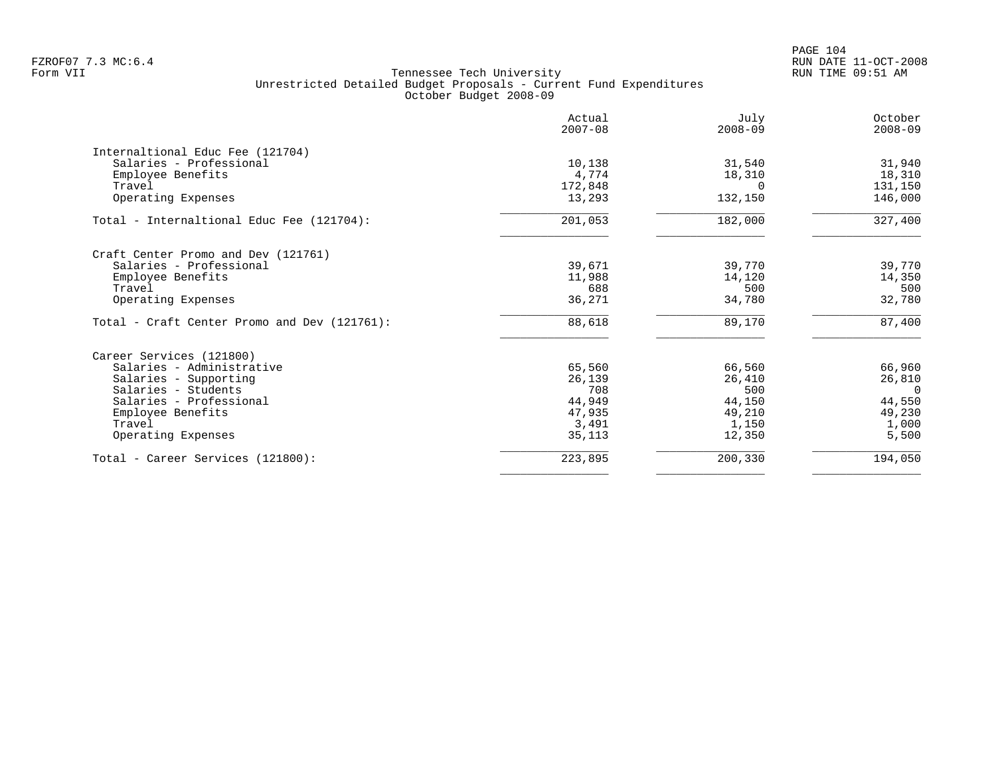|                                              | Actual<br>$2007 - 08$ | July<br>$2008 - 09$ | October<br>$2008 - 09$ |
|----------------------------------------------|-----------------------|---------------------|------------------------|
| Internaltional Educ Fee (121704)             |                       |                     |                        |
| Salaries - Professional                      | 10,138                | 31,540              | 31,940                 |
| Employee Benefits                            | 4,774                 | 18,310              | 18,310                 |
| Travel                                       | 172,848               |                     | 131,150                |
| Operating Expenses                           | 13,293                | 132,150             | 146,000                |
| Total - Internaltional Educ Fee (121704):    | 201,053               | 182,000             | 327,400                |
| Craft Center Promo and Dev (121761)          |                       |                     |                        |
| Salaries - Professional                      | 39,671                | 39,770              | 39,770                 |
| Employee Benefits                            | 11,988                | 14,120              | 14,350                 |
| Travel                                       | 688                   | 500                 | 500                    |
| Operating Expenses                           | 36,271                | 34,780              | 32,780                 |
| Total - Craft Center Promo and Dev (121761): | 88,618                | 89,170              | 87,400                 |
| Career Services (121800)                     |                       |                     |                        |
| Salaries - Administrative                    | 65,560                | 66,560              | 66,960                 |
| Salaries - Supporting                        | 26,139                | 26,410              | 26,810                 |
| Salaries - Students                          | 708                   | 500                 | $\Omega$               |
| Salaries - Professional                      | 44,949                | 44,150              | 44,550                 |
| Employee Benefits                            | 47,935                | 49,210              | 49,230                 |
| Travel                                       | 3,491                 | 1,150               | 1,000                  |
| Operating Expenses                           | 35,113                | 12,350              | 5,500                  |
| Total - Career Services (121800):            | 223,895               | 200,330             | 194,050                |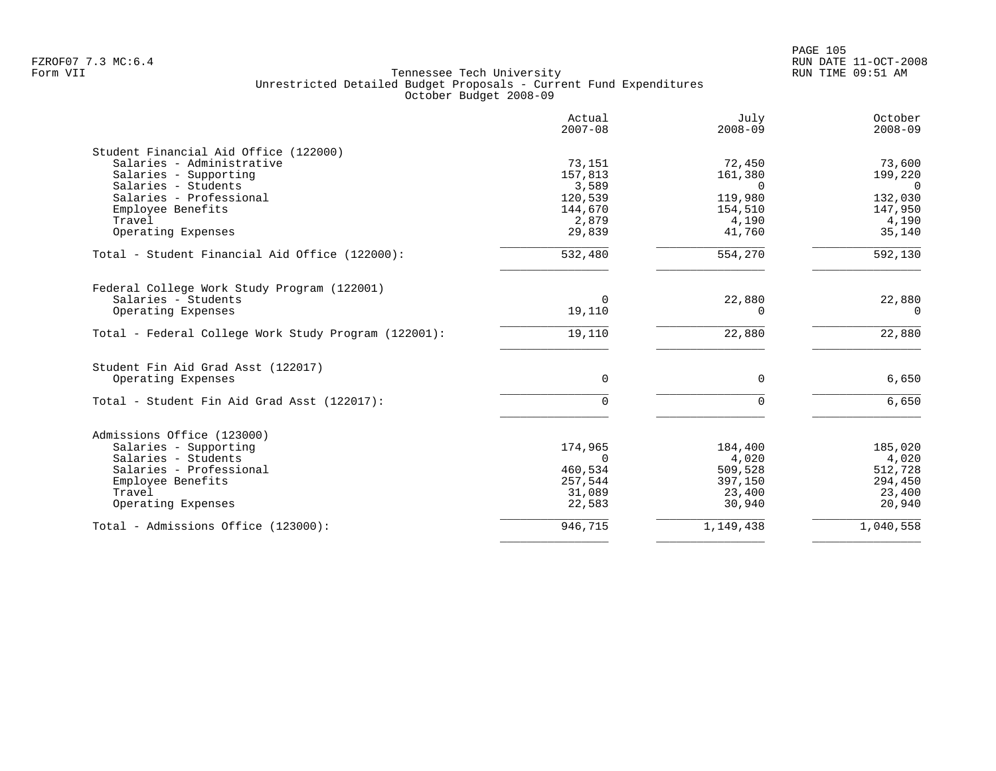|                                                      | Actual<br>$2007 - 08$ | July<br>$2008 - 09$ | October<br>$2008 - 09$ |
|------------------------------------------------------|-----------------------|---------------------|------------------------|
| Student Financial Aid Office (122000)                |                       |                     |                        |
| Salaries - Administrative                            | 73,151                | 72,450              | 73,600                 |
| Salaries - Supporting                                | 157,813               | 161,380             | 199,220                |
| Salaries - Students                                  | 3,589                 | $\Omega$            | $\Omega$               |
| Salaries - Professional                              | 120,539               | 119,980             | 132,030                |
| Employee Benefits                                    | 144,670               | 154,510             | 147,950                |
| Travel                                               | 2,879                 | 4,190               | 4,190                  |
| Operating Expenses                                   | 29,839                | 41,760              | 35,140                 |
| Total - Student Financial Aid Office (122000):       | 532,480               | 554,270             | 592,130                |
| Federal College Work Study Program (122001)          |                       |                     |                        |
| Salaries - Students                                  | 0                     | 22,880              | 22,880                 |
| Operating Expenses                                   | 19,110                | $\Omega$            | $\Omega$               |
| Total - Federal College Work Study Program (122001): | 19,110                | 22,880              | 22,880                 |
| Student Fin Aid Grad Asst (122017)                   |                       |                     |                        |
| Operating Expenses                                   | $\Omega$              | $\Omega$            | 6,650                  |
| Total - Student Fin Aid Grad Asst (122017):          | $\Omega$              | $\Omega$            | 6,650                  |
| Admissions Office (123000)                           |                       |                     |                        |
| Salaries - Supporting                                | 174,965               | 184,400             | 185,020                |
| Salaries - Students                                  | $\Omega$              | 4,020               | 4,020                  |
| Salaries - Professional                              | 460,534               | 509,528             | 512,728                |
| Employee Benefits                                    | 257,544               | 397,150             | 294,450                |
| Travel                                               | 31,089                | 23,400              | 23,400                 |
| Operating Expenses                                   | 22,583                | 30,940              | 20,940                 |
| Total - Admissions Office (123000):                  | 946,715               | 1,149,438           | 1,040,558              |
|                                                      |                       |                     |                        |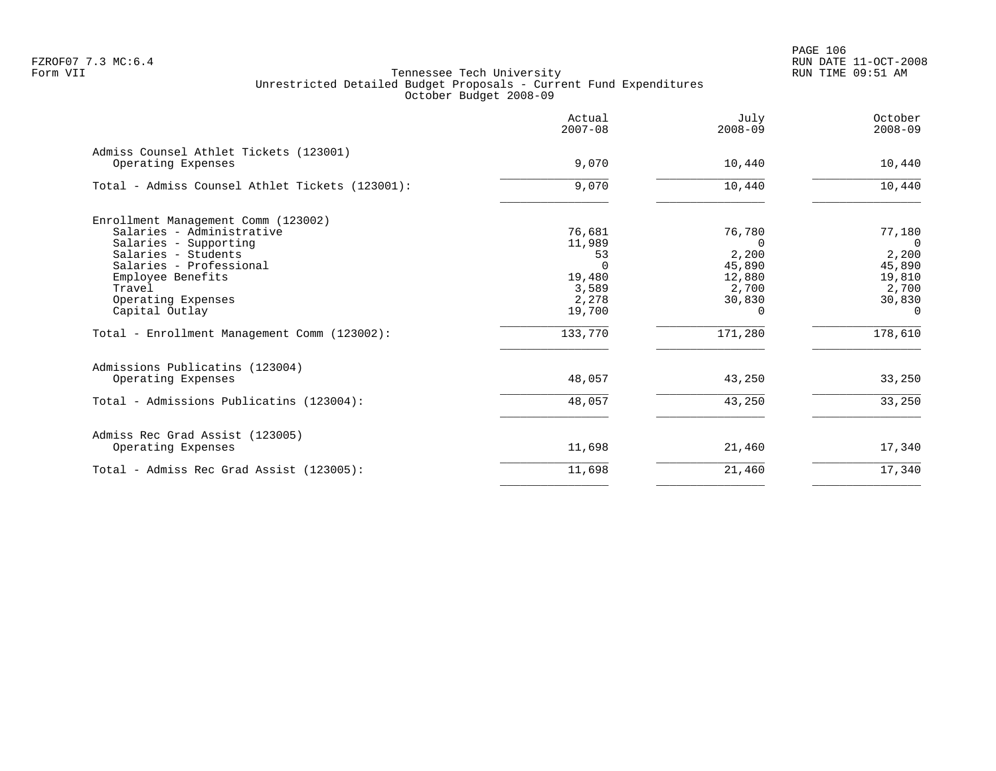PAGE 106 FZROF07 7.3 MC:6.4 RUN DATE 11-OCT-2008

|                                                              | Actual<br>$2007 - 08$ | July<br>$2008 - 09$ | October<br>$2008 - 09$ |
|--------------------------------------------------------------|-----------------------|---------------------|------------------------|
| Admiss Counsel Athlet Tickets (123001)<br>Operating Expenses | 9,070                 | 10,440              | 10,440                 |
| Total - Admiss Counsel Athlet Tickets (123001):              | 9,070                 | 10,440              | 10,440                 |
| Enrollment Management Comm (123002)                          |                       |                     |                        |
| Salaries - Administrative                                    | 76,681                | 76,780              | 77,180                 |
| Salaries - Supporting                                        | 11,989                | $\Omega$            | $\overline{0}$         |
| Salaries - Students                                          | 53                    | 2,200               | 2,200                  |
| Salaries - Professional<br>Employee Benefits                 |                       | 45,890<br>12,880    | 45,890                 |
| Travel                                                       | 19,480<br>3,589       | 2,700               | 19,810<br>2,700        |
| Operating Expenses                                           | 2,278                 | 30,830              | 30,830                 |
| Capital Outlay                                               | 19,700                | 0                   | $\Omega$               |
| Total - Enrollment Management Comm (123002):                 | 133,770               | 171,280             | 178,610                |
| Admissions Publicatins (123004)                              |                       |                     |                        |
| Operating Expenses                                           | 48,057                | 43,250              | 33,250                 |
| Total - Admissions Publicatins (123004):                     | 48,057                | 43,250              | 33,250                 |
| Admiss Rec Grad Assist (123005)                              |                       |                     |                        |
| Operating Expenses                                           | 11,698                | 21,460              | 17,340                 |
| Total - Admiss Rec Grad Assist (123005):                     | 11,698                | 21,460              | 17,340                 |
|                                                              |                       |                     |                        |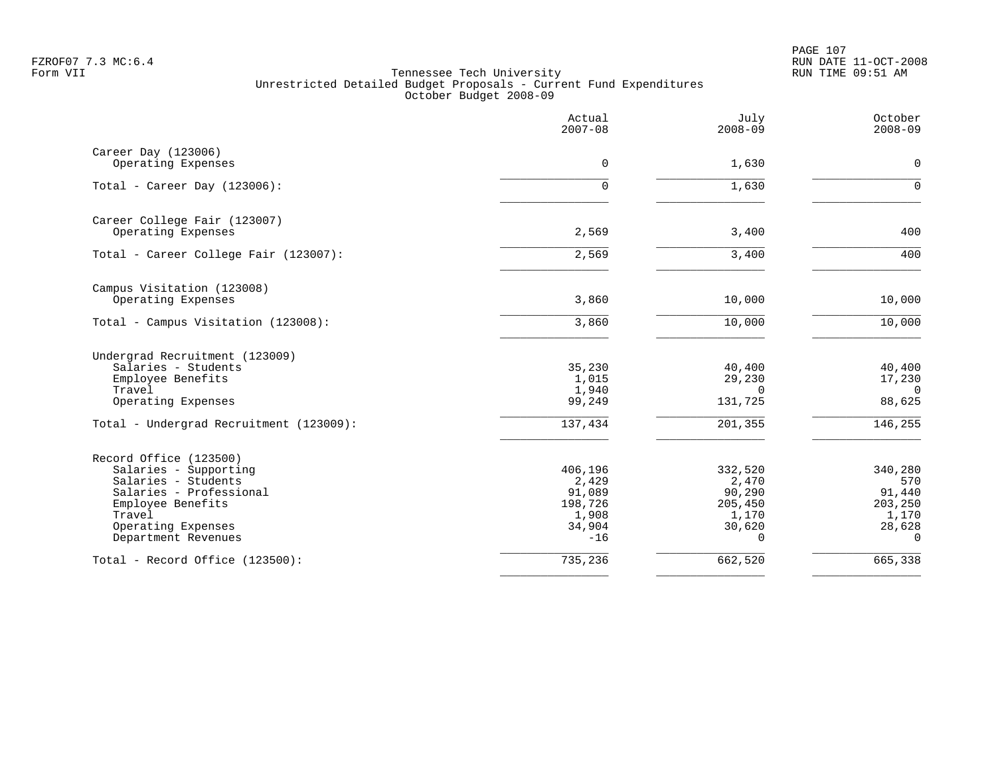PAGE 107 FZROF07 7.3 MC:6.4 RUN DATE 11-OCT-2008

|                                           | Actual<br>$2007 - 08$ | July<br>$2008 - 09$ | October<br>$2008 - 09$ |
|-------------------------------------------|-----------------------|---------------------|------------------------|
| Career Day (123006)<br>Operating Expenses | $\mathbf 0$           | 1,630               | $\mathbf 0$            |
|                                           |                       |                     |                        |
| Total - Career Day $(123006)$ :           | $\Omega$              | 1,630               | $\Omega$               |
| Career College Fair (123007)              |                       |                     |                        |
| Operating Expenses                        | 2,569                 | 3,400               | 400                    |
| Total - Career College Fair (123007):     | 2,569                 | 3,400               | 400                    |
| Campus Visitation (123008)                |                       |                     |                        |
| Operating Expenses                        | 3,860                 | 10,000              | 10,000                 |
| Total - Campus Visitation (123008):       | 3,860                 | 10,000              | 10,000                 |
| Undergrad Recruitment (123009)            |                       |                     |                        |
| Salaries - Students                       | 35,230                | 40,400              | 40,400                 |
| Employee Benefits                         | 1,015                 | 29,230              | 17,230                 |
| Travel                                    | 1,940                 | $\Omega$            | $\Omega$               |
| Operating Expenses                        | 99,249                | 131,725             | 88,625                 |
| Total - Undergrad Recruitment (123009):   | 137,434               | 201,355             | 146, 255               |
| Record Office (123500)                    |                       |                     |                        |
| Salaries - Supporting                     | 406,196               | 332,520             | 340,280                |
| Salaries - Students                       | 2,429                 | 2,470               | 570                    |
| Salaries - Professional                   | 91,089                | 90,290              | 91,440                 |
| Employee Benefits<br>Travel               | 198,726<br>1,908      | 205,450<br>1,170    | 203,250<br>1,170       |
| Operating Expenses                        | 34,904                | 30,620              | 28,628                 |
| Department Revenues                       | $-16$                 | $\Omega$            | $\Omega$               |
| Total - Record Office (123500):           | 735,236               | 662,520             | 665,338                |
|                                           |                       |                     |                        |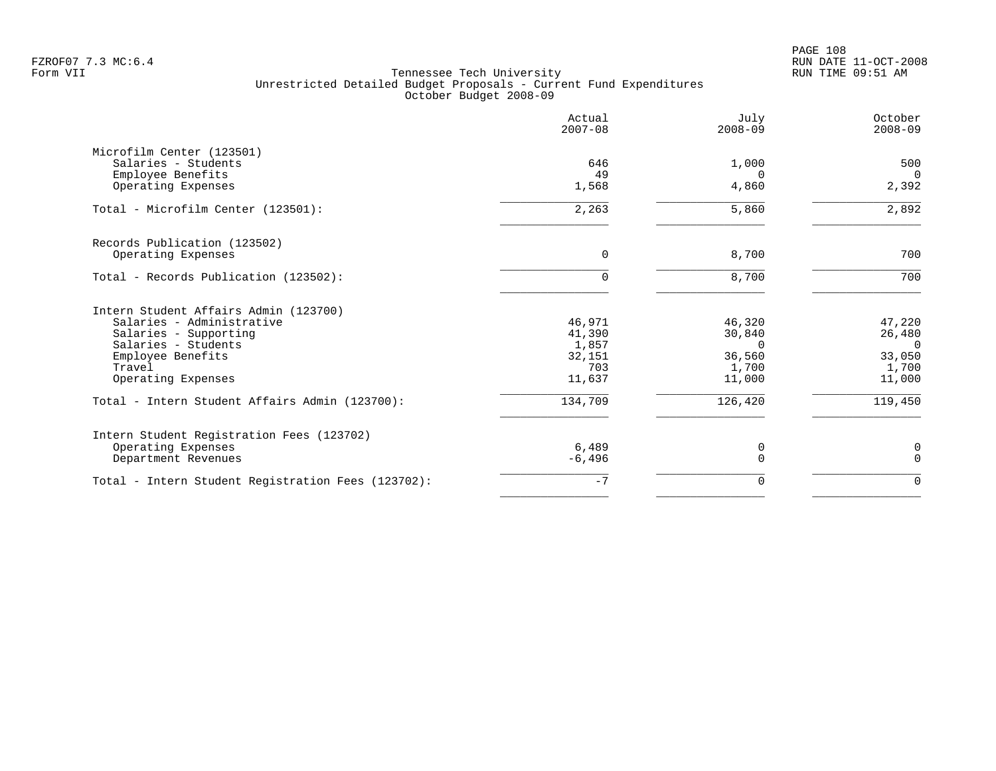PAGE 108 FZROF07 7.3 MC:6.4 RUN DATE 11-OCT-2008

|                                                    | Actual<br>$2007 - 08$ | July<br>$2008 - 09$ | October<br>$2008 - 09$ |
|----------------------------------------------------|-----------------------|---------------------|------------------------|
| Microfilm Center (123501)                          |                       |                     |                        |
| Salaries - Students                                | 646                   | 1,000               | 500                    |
| Employee Benefits<br>Operating Expenses            | 49<br>1,568           | $\Omega$<br>4,860   | $\Omega$<br>2,392      |
|                                                    |                       |                     |                        |
| Total - Microfilm Center (123501):                 | 2,263                 | 5,860               | 2,892                  |
| Records Publication (123502)                       |                       |                     |                        |
| Operating Expenses                                 | 0                     | 8,700               | 700                    |
| Total - Records Publication (123502):              | $\Omega$              | 8,700               | 700                    |
| Intern Student Affairs Admin (123700)              |                       |                     |                        |
| Salaries - Administrative                          | 46,971                | 46,320              | 47,220                 |
| Salaries - Supporting                              | 41,390                | 30,840              | 26,480                 |
| Salaries - Students                                | 1,857                 | $\Omega$            | $\Omega$               |
| Employee Benefits<br>Travel                        | 32,151<br>703         | 36,560<br>1,700     | 33,050<br>1,700        |
| Operating Expenses                                 | 11,637                | 11,000              | 11,000                 |
| Total - Intern Student Affairs Admin (123700):     | 134,709               | 126,420             | 119,450                |
| Intern Student Registration Fees (123702)          |                       |                     |                        |
| Operating Expenses                                 | 6,489                 | 0                   | $\mathbf 0$            |
| Department Revenues                                | $-6,496$              | $\Omega$            | $\Omega$               |
| Total - Intern Student Registration Fees (123702): | $-7$                  | 0                   | $\mathbf 0$            |
|                                                    |                       |                     |                        |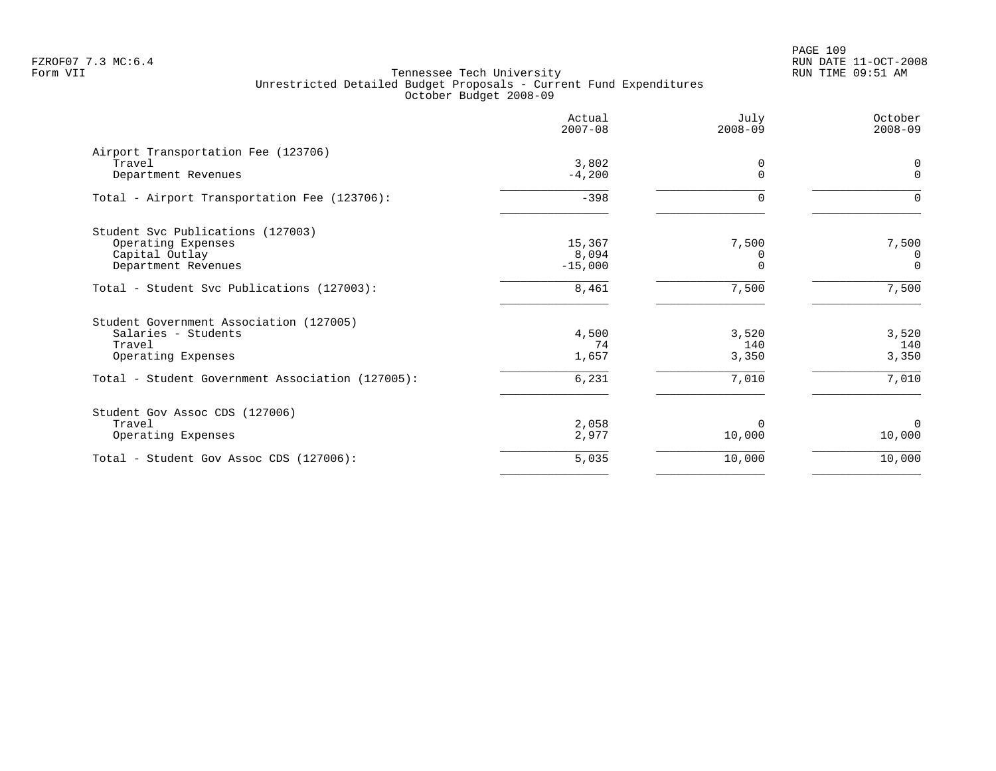PAGE 109 FZROF07 7.3 MC:6.4 RUN DATE 11-OCT-2008

|                                                  | Actual<br>$2007 - 08$ | July<br>$2008 - 09$ | October<br>$2008 - 09$ |
|--------------------------------------------------|-----------------------|---------------------|------------------------|
| Airport Transportation Fee (123706)<br>Travel    | 3,802                 | 0                   | 0                      |
| Department Revenues                              | $-4,200$              |                     | $\Omega$               |
| Total - Airport Transportation Fee (123706):     | $-398$                | $\Omega$            | $\Omega$               |
| Student Svc Publications (127003)                |                       |                     |                        |
| Operating Expenses                               | 15,367                | 7,500               | 7,500                  |
| Capital Outlay                                   | 8,094<br>$-15,000$    |                     | 0<br>$\Omega$          |
| Department Revenues                              |                       |                     |                        |
| Total - Student Svc Publications (127003):       | 8,461                 | 7,500               | 7,500                  |
| Student Government Association (127005)          |                       |                     |                        |
| Salaries - Students                              | 4,500                 | 3,520               | 3,520                  |
| Travel                                           | 74                    | 140                 | 140                    |
| Operating Expenses                               | 1,657                 | 3,350               | 3,350                  |
| Total - Student Government Association (127005): | 6,231                 | 7,010               | 7,010                  |
| Student Gov Assoc CDS (127006)                   |                       |                     |                        |
| Travel                                           | 2,058                 | 0                   | $\Omega$               |
| Operating Expenses                               | 2,977                 | 10,000              | 10,000                 |
| Total - Student Gov Assoc CDS (127006):          | 5,035                 | 10,000              | 10,000                 |
|                                                  |                       |                     |                        |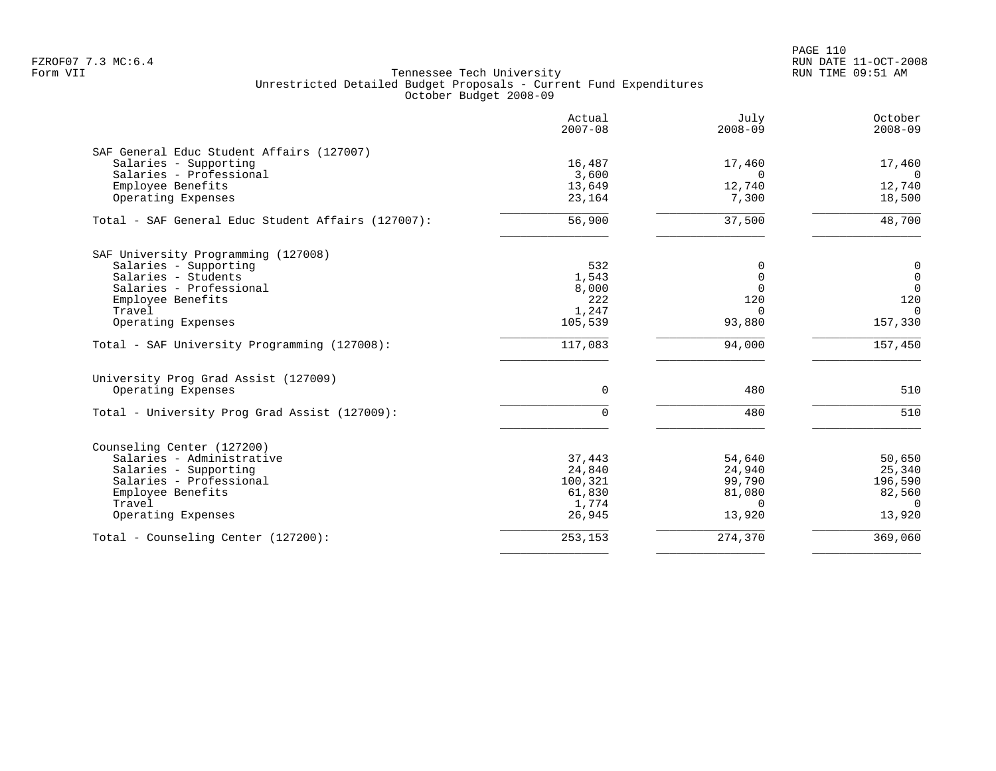PAGE 110 FZROF07 7.3 MC:6.4 RUN DATE 11-OCT-2008

|                                                    | Actual<br>$2007 - 08$ | July<br>$2008 - 09$ | October<br>$2008 - 09$ |
|----------------------------------------------------|-----------------------|---------------------|------------------------|
| SAF General Educ Student Affairs (127007)          |                       |                     |                        |
| Salaries - Supporting                              | 16,487                | 17,460              | 17,460                 |
| Salaries - Professional                            | 3,600                 | $\Omega$            | $\Omega$               |
| Employee Benefits<br>Operating Expenses            | 13,649<br>23,164      | 12,740<br>7,300     | 12,740<br>18,500       |
|                                                    |                       |                     |                        |
| Total - SAF General Educ Student Affairs (127007): | 56,900                | 37,500              | 48,700                 |
| SAF University Programming (127008)                |                       |                     |                        |
| Salaries - Supporting                              | 532                   | 0                   | $\mathbf 0$            |
| Salaries - Students                                | 1,543                 | $\Omega$            | $\mathbf 0$            |
| Salaries - Professional                            | 8,000                 | $\Omega$            | $\overline{0}$         |
| Employee Benefits                                  | 222                   | 120                 | 120                    |
| Travel                                             | 1,247                 | $\mathbf 0$         | $\Omega$               |
| Operating Expenses                                 | 105,539               | 93,880              | 157,330                |
| Total - SAF University Programming (127008):       | 117,083               | 94,000              | 157,450                |
| University Prog Grad Assist (127009)               |                       |                     |                        |
| Operating Expenses                                 | 0                     | 480                 | 510                    |
| Total - University Prog Grad Assist (127009):      | 0                     | 480                 | 510                    |
| Counseling Center (127200)                         |                       |                     |                        |
| Salaries - Administrative                          | 37,443                | 54,640              | 50,650                 |
| Salaries - Supporting                              | 24,840                | 24,940              | 25,340                 |
| Salaries - Professional                            | 100,321               | 99,790              | 196,590                |
| Employee Benefits                                  | 61,830                | 81,080              | 82,560                 |
| Travel                                             | 1,774                 | $\Omega$            | $\Omega$               |
| Operating Expenses                                 | 26,945                | 13,920              | 13,920                 |
| Total - Counseling Center (127200):                | 253,153               | 274,370             | 369,060                |
|                                                    |                       |                     |                        |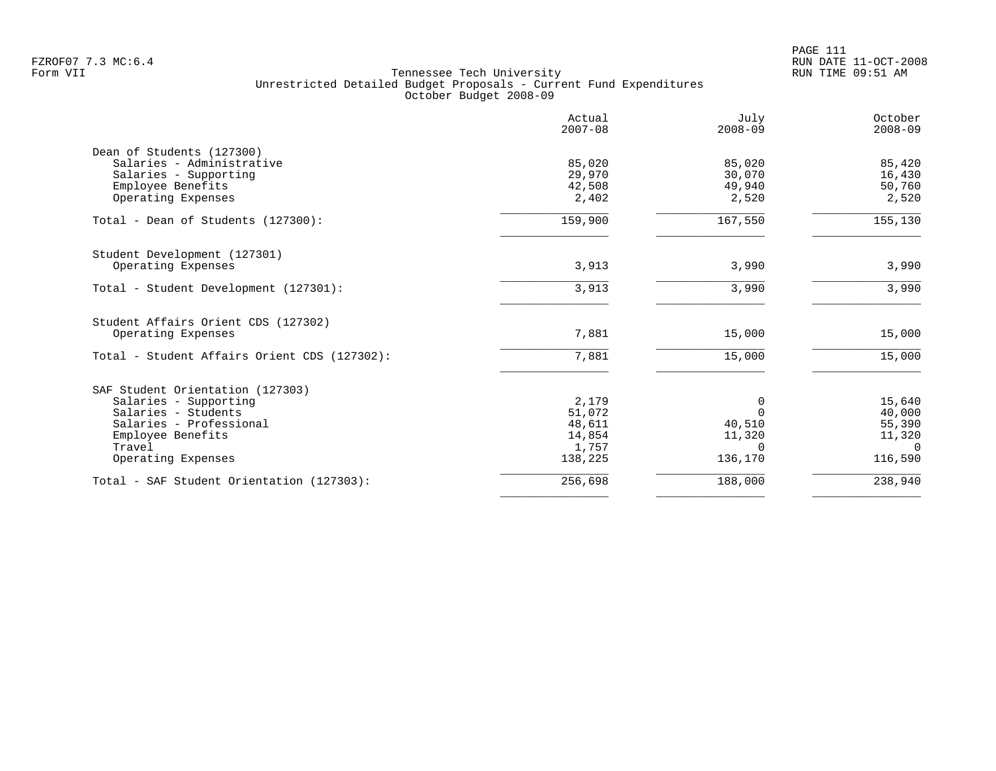|                                                                  | Actual<br>$2007 - 08$ | July<br>$2008 - 09$ | October<br>$2008 - 09$    |
|------------------------------------------------------------------|-----------------------|---------------------|---------------------------|
| Dean of Students (127300)<br>Salaries - Administrative           | 85,020<br>29,970      | 85,020<br>30,070    | 85,420                    |
| Salaries - Supporting<br>Employee Benefits<br>Operating Expenses | 42,508<br>2,402       | 49,940<br>2,520     | 16,430<br>50,760<br>2,520 |
| Total - Dean of Students (127300):                               | 159,900               | 167,550             | 155,130                   |
| Student Development (127301)<br>Operating Expenses               | 3,913                 | 3,990               | 3,990                     |
| Total - Student Development (127301):                            | 3,913                 | 3,990               | 3,990                     |
| Student Affairs Orient CDS (127302)<br>Operating Expenses        | 7,881                 | 15,000              | 15,000                    |
| Total - Student Affairs Orient CDS (127302):                     | 7,881                 | 15,000              | 15,000                    |
| SAF Student Orientation (127303)                                 |                       |                     |                           |
| Salaries - Supporting                                            | 2,179                 | 0                   | 15,640                    |
| Salaries - Students<br>Salaries - Professional                   | 51,072<br>48,611      | $\Omega$<br>40,510  | 40,000<br>55,390          |
| Employee Benefits                                                | 14,854                | 11,320              | 11,320                    |
| Travel                                                           | 1,757                 | $\Omega$            | $\Omega$                  |
| Operating Expenses                                               | 138,225               | 136,170             | 116,590                   |
| Total - SAF Student Orientation (127303):                        | 256,698               | 188,000             | 238,940                   |
|                                                                  |                       |                     |                           |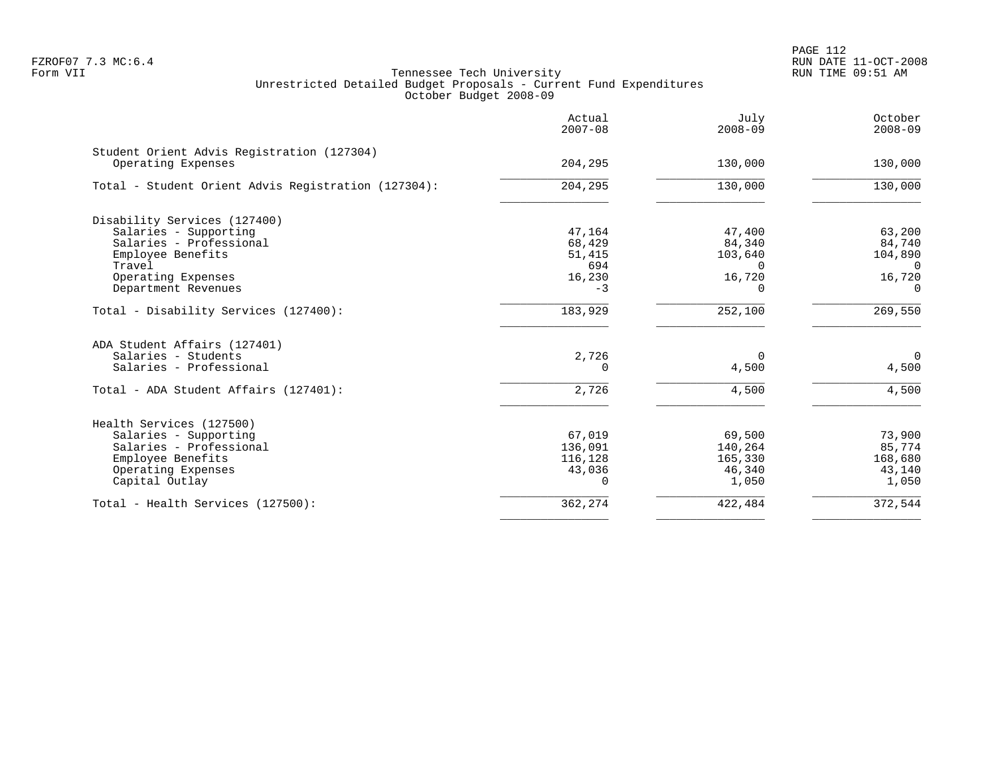PAGE 112 FZROF07 7.3 MC:6.4 RUN DATE 11-OCT-2008

|                                                                  | Actual<br>$2007 - 08$ | July<br>$2008 - 09$ | October<br>$2008 - 09$ |
|------------------------------------------------------------------|-----------------------|---------------------|------------------------|
| Student Orient Advis Registration (127304)<br>Operating Expenses | 204,295               | 130,000             | 130,000                |
| Total - Student Orient Advis Registration (127304):              | 204,295               | 130,000             | 130,000                |
| Disability Services (127400)                                     |                       |                     |                        |
| Salaries - Supporting                                            | 47,164                | 47,400              | 63,200                 |
| Salaries - Professional                                          | 68,429                | 84,340              | 84,740                 |
| Employee Benefits                                                | 51,415                | 103,640             | 104,890                |
| Travel                                                           | 694                   | $\Omega$            | $\Omega$               |
| Operating Expenses                                               | 16,230                | 16,720              | 16,720                 |
| Department Revenues                                              | $-3$                  | $\Omega$            | $\Omega$               |
| Total - Disability Services (127400):                            | 183,929               | 252,100             | 269,550                |
| ADA Student Affairs (127401)                                     |                       |                     |                        |
| Salaries - Students                                              | 2,726                 | $\Omega$            | $\mathbf 0$            |
| Salaries - Professional                                          | $\Omega$              | 4,500               | 4,500                  |
| Total - ADA Student Affairs (127401):                            | 2,726                 | 4,500               | 4,500                  |
| Health Services (127500)                                         |                       |                     |                        |
| Salaries - Supporting                                            | 67,019                | 69,500              | 73,900                 |
| Salaries - Professional                                          | 136,091               | 140,264             | 85,774                 |
| Employee Benefits                                                | 116,128               | 165,330             | 168,680                |
| Operating Expenses                                               | 43,036                | 46,340              | 43,140                 |
| Capital Outlay                                                   | $\Omega$              | 1,050               | 1,050                  |
| Total - Health Services (127500):                                | 362,274               | 422,484             | 372,544                |
|                                                                  |                       |                     |                        |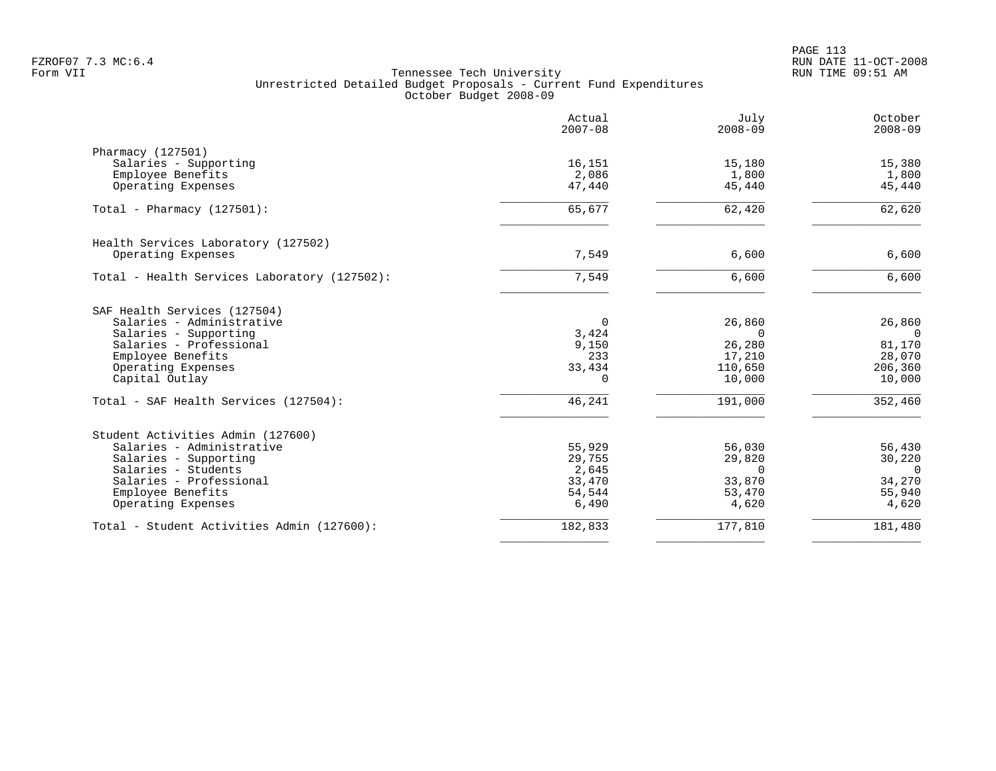|                                              | Actual<br>$2007 - 08$ | July<br>$2008 - 09$ | October<br>$2008 - 09$ |
|----------------------------------------------|-----------------------|---------------------|------------------------|
| Pharmacy (127501)                            |                       |                     |                        |
| Salaries - Supporting                        | 16,151                | 15,180              | 15,380                 |
| Employee Benefits                            | 2,086                 | 1,800               | 1,800                  |
| Operating Expenses                           | 47,440                | 45,440              | 45,440                 |
| Total - Pharmacy $(127501)$ :                | 65,677                | 62,420              | 62,620                 |
| Health Services Laboratory (127502)          |                       |                     |                        |
| Operating Expenses                           | 7,549                 | 6,600               | 6,600                  |
| Total - Health Services Laboratory (127502): | 7,549                 | 6,600               | 6,600                  |
| SAF Health Services (127504)                 |                       |                     |                        |
| Salaries - Administrative                    | $\Omega$              | 26,860              | 26,860                 |
| Salaries - Supporting                        | 3,424                 | $\Omega$            | $\Omega$               |
| Salaries - Professional                      | 9,150                 | 26,280              | 81,170<br>28,070       |
| Employee Benefits<br>Operating Expenses      | 233<br>33,434         | 17,210<br>110,650   | 206,360                |
| Capital Outlay                               | $\Omega$              | 10,000              | 10,000                 |
| Total - SAF Health Services (127504):        | 46,241                | 191,000             | 352,460                |
| Student Activities Admin (127600)            |                       |                     |                        |
| Salaries - Administrative                    | 55,929                | 56,030              | 56,430                 |
| Salaries - Supporting                        | 29,755                | 29,820              | 30,220                 |
| Salaries - Students                          | 2,645                 | $\Omega$            | $\Omega$               |
| Salaries - Professional                      | 33,470                | 33,870              | 34,270                 |
| Employee Benefits                            | 54,544                | 53,470              | 55,940                 |
| Operating Expenses                           | 6,490                 | 4,620               | 4,620                  |
| Total - Student Activities Admin (127600):   | 182,833               | 177,810             | 181,480                |
|                                              |                       |                     |                        |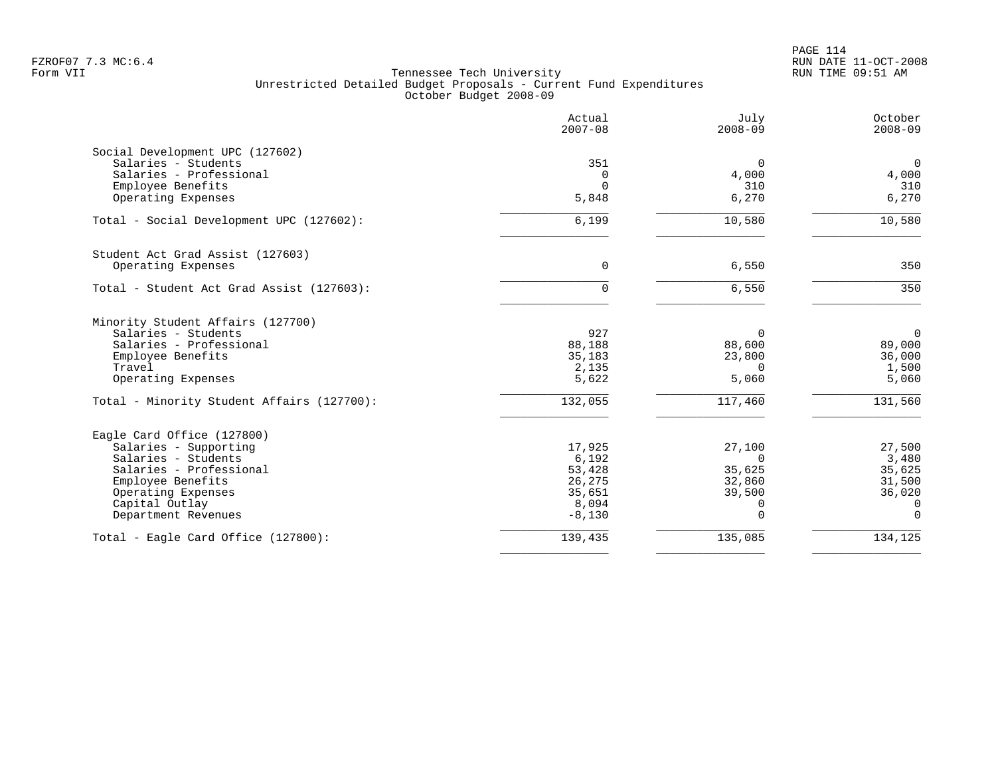|                                            | Actual<br>$2007 - 08$ | July<br>$2008 - 09$ | October<br>$2008 - 09$ |
|--------------------------------------------|-----------------------|---------------------|------------------------|
| Social Development UPC (127602)            |                       |                     |                        |
| Salaries - Students                        | 351                   | $\Omega$            | $\mathbf 0$            |
| Salaries - Professional                    | 0                     | 4,000               | 4,000                  |
| Employee Benefits                          | $\Omega$              | 310                 | 310                    |
| Operating Expenses                         | 5,848                 | 6,270               | 6,270                  |
| Total - Social Development UPC (127602):   | 6,199                 | 10,580              | 10,580                 |
| Student Act Grad Assist (127603)           |                       |                     |                        |
| Operating Expenses                         | $\Omega$              | 6,550               | 350                    |
| Total - Student Act Grad Assist (127603):  | 0                     | 6,550               | 350                    |
| Minority Student Affairs (127700)          |                       |                     |                        |
| Salaries - Students                        | 927                   | $\Omega$            | $\overline{0}$         |
| Salaries - Professional                    | 88,188                | 88,600              | 89,000                 |
| Employee Benefits                          | 35,183                | 23,800              | 36,000                 |
| Travel                                     | 2,135                 | $\Omega$            | 1,500                  |
| Operating Expenses                         | 5,622                 | 5,060               | 5,060                  |
| Total - Minority Student Affairs (127700): | 132,055               | 117,460             | 131,560                |
| Eagle Card Office (127800)                 |                       |                     |                        |
| Salaries - Supporting                      | 17,925                | 27,100              | 27,500                 |
| Salaries - Students                        | 6,192                 | $\Omega$            | 3,480                  |
| Salaries - Professional                    | 53,428                | 35,625              | 35,625                 |
| Employee Benefits                          | 26,275                | 32,860              | 31,500                 |
| Operating Expenses                         | 35,651                | 39,500              | 36,020                 |
| Capital Outlay                             | 8,094                 | $\Omega$            | 0                      |
| Department Revenues                        | $-8,130$              | $\Omega$            | $\Omega$               |
| Total - Eagle Card Office (127800):        | 139,435               | 135,085             | 134,125                |
|                                            |                       |                     |                        |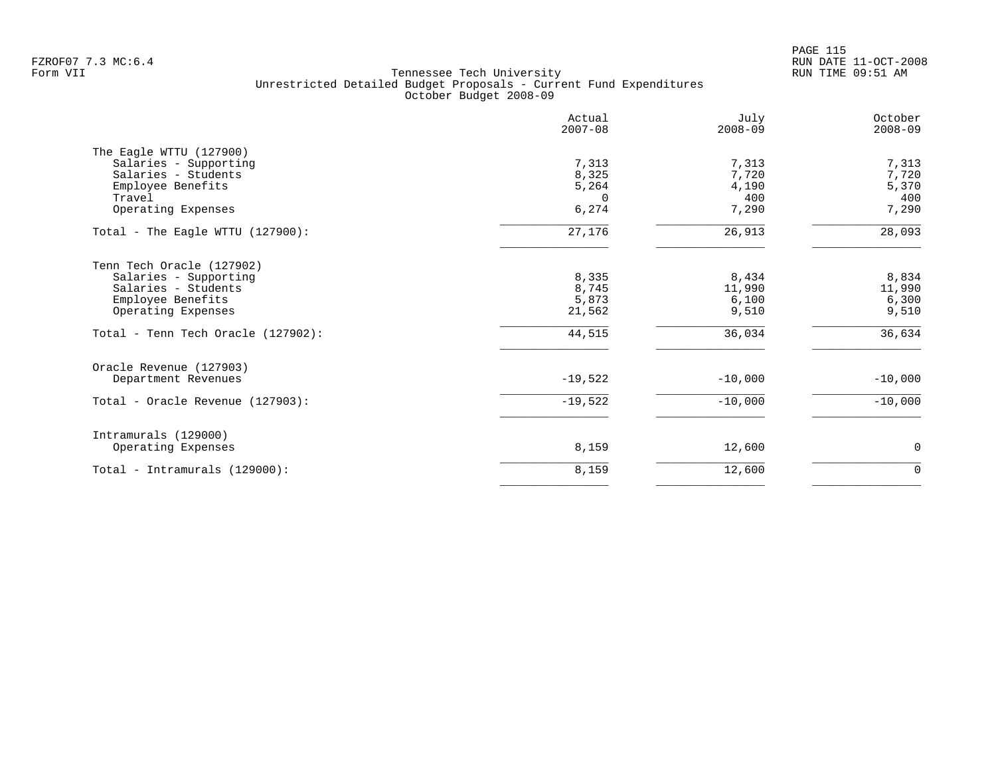PAGE 115 FZROF07 7.3 MC:6.4 RUN DATE 11-OCT-2008

|                                    | Actual<br>$2007 - 08$ | July<br>$2008 - 09$ | October<br>$2008 - 09$ |
|------------------------------------|-----------------------|---------------------|------------------------|
| The Eagle WTTU (127900)            |                       |                     |                        |
| Salaries - Supporting              | 7,313                 | 7,313               | 7,313                  |
| Salaries - Students                | 8,325                 | 7,720               | 7,720                  |
| Employee Benefits                  | 5,264                 | 4,190               | 5,370                  |
| Travel                             | $\Omega$              | 400                 | 400                    |
| Operating Expenses                 | 6,274                 | 7,290               | 7,290                  |
| Total - The Eagle WTTU (127900):   | 27,176                | 26,913              | 28,093                 |
| Tenn Tech Oracle (127902)          |                       |                     |                        |
| Salaries - Supporting              | 8,335                 | 8,434               | 8,834                  |
| Salaries - Students                | 8,745                 | 11,990              | 11,990                 |
| Employee Benefits                  | 5,873                 | 6,100               | 6,300                  |
| Operating Expenses                 | 21,562                | 9,510               | 9,510                  |
| Total - Tenn Tech Oracle (127902): | 44,515                | 36,034              | 36,634                 |
| Oracle Revenue (127903)            |                       |                     |                        |
| Department Revenues                | $-19,522$             | $-10,000$           | $-10,000$              |
| Total - Oracle Revenue (127903):   | $-19,522$             | $-10,000$           | $-10,000$              |
| Intramurals (129000)               |                       |                     |                        |
| Operating Expenses                 | 8,159                 | 12,600              | $\mathbf 0$            |
| Total - Intramurals (129000):      | 8,159                 | 12,600              | $\mathbf 0$            |
|                                    |                       |                     |                        |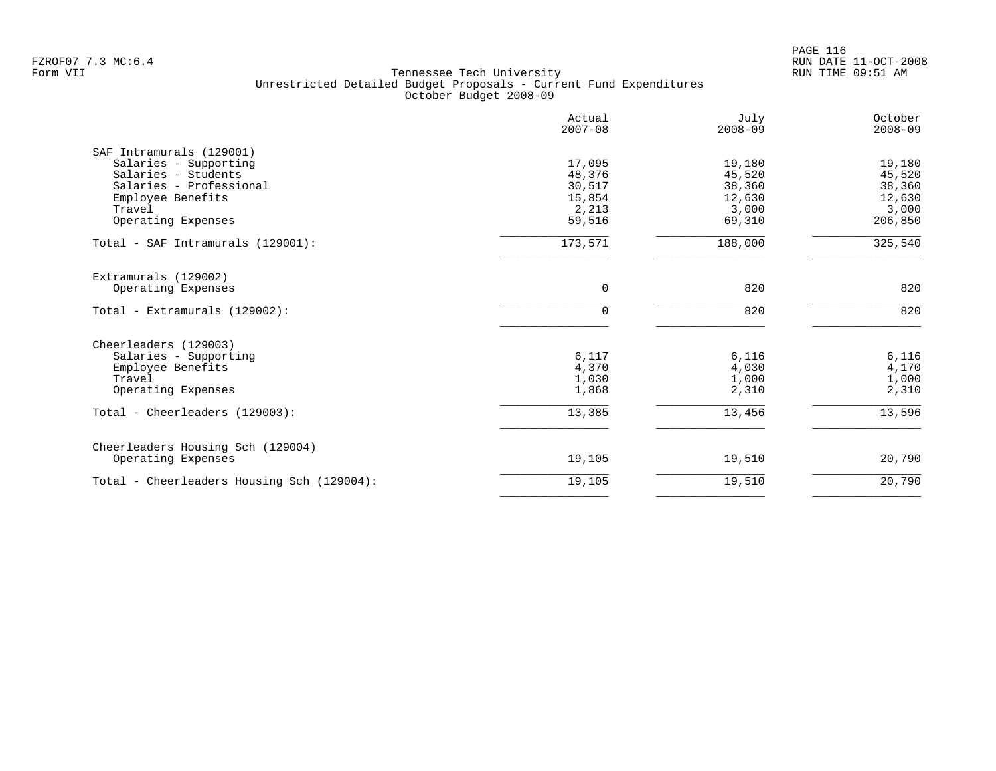| Actual<br>$2007 - 08$ | July<br>$2008 - 09$                                             | October<br>$2008 - 09$                                          |
|-----------------------|-----------------------------------------------------------------|-----------------------------------------------------------------|
|                       |                                                                 |                                                                 |
| 17,095                | 19,180                                                          | 19,180                                                          |
|                       |                                                                 | 45,520                                                          |
|                       |                                                                 | 38,360                                                          |
|                       |                                                                 | 12,630                                                          |
|                       |                                                                 | 3,000                                                           |
|                       |                                                                 | 206,850                                                         |
| 173,571               | 188,000                                                         | 325,540                                                         |
|                       |                                                                 |                                                                 |
| 0                     | 820                                                             | 820                                                             |
| $\Omega$              | 820                                                             | 820                                                             |
|                       |                                                                 |                                                                 |
|                       |                                                                 | 6,116                                                           |
| 4,370                 | 4,030                                                           | 4,170                                                           |
|                       |                                                                 | 1,000                                                           |
| 1,868                 | 2,310                                                           | 2,310                                                           |
| 13,385                | 13,456                                                          | 13,596                                                          |
|                       |                                                                 |                                                                 |
| 19,105                | 19,510                                                          | 20,790                                                          |
| 19,105                | 19,510                                                          | 20,790                                                          |
|                       | 48,376<br>30,517<br>15,854<br>2,213<br>59,516<br>6,117<br>1,030 | 45,520<br>38,360<br>12,630<br>3,000<br>69,310<br>6,116<br>1,000 |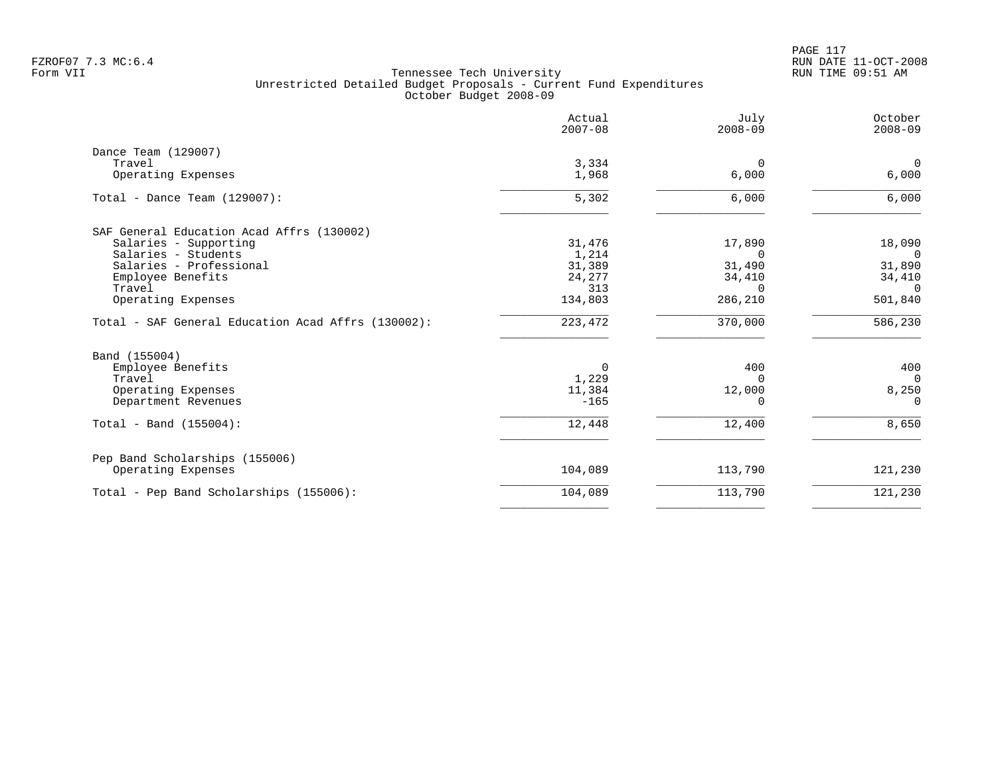PAGE 117 FZROF07 7.3 MC:6.4 RUN DATE 11-OCT-2008

|                                                    | Actual<br>$2007 - 08$ | July<br>$2008 - 09$ | October<br>$2008 - 09$  |
|----------------------------------------------------|-----------------------|---------------------|-------------------------|
| Dance Team (129007)                                |                       |                     |                         |
| Travel<br>Operating Expenses                       | 3,334<br>1,968        | $\Omega$<br>6,000   | $\overline{0}$<br>6,000 |
| Total - Dance Team $(129007)$ :                    | 5,302                 | 6,000               | 6,000                   |
| SAF General Education Acad Affrs (130002)          |                       |                     |                         |
| Salaries - Supporting                              | 31,476                | 17,890              | 18,090                  |
| Salaries - Students                                | 1,214                 | $\Omega$            | $\Omega$                |
| Salaries - Professional                            | 31,389                | 31,490              | 31,890                  |
| Employee Benefits                                  | 24,277                | 34,410              | 34,410                  |
| Travel<br>Operating Expenses                       | 313<br>134,803        | $\Omega$<br>286,210 | $\Omega$<br>501,840     |
| Total - SAF General Education Acad Affrs (130002): | 223, 472              | 370,000             | 586,230                 |
| Band (155004)                                      |                       |                     |                         |
| Employee Benefits                                  | 0                     | 400                 | 400                     |
| Travel                                             | 1,229                 | $\Omega$            | $\Omega$                |
| Operating Expenses                                 | 11,384                | 12,000              | 8,250                   |
| Department Revenues                                | $-165$                | ∩                   | $\Omega$                |
| Total - Band $(155004)$ :                          | 12,448                | 12,400              | 8,650                   |
| Pep Band Scholarships (155006)                     |                       |                     |                         |
| Operating Expenses                                 | 104,089               | 113,790             | 121,230                 |
| Total - Pep Band Scholarships (155006):            | 104,089               | 113,790             | 121,230                 |
|                                                    |                       |                     |                         |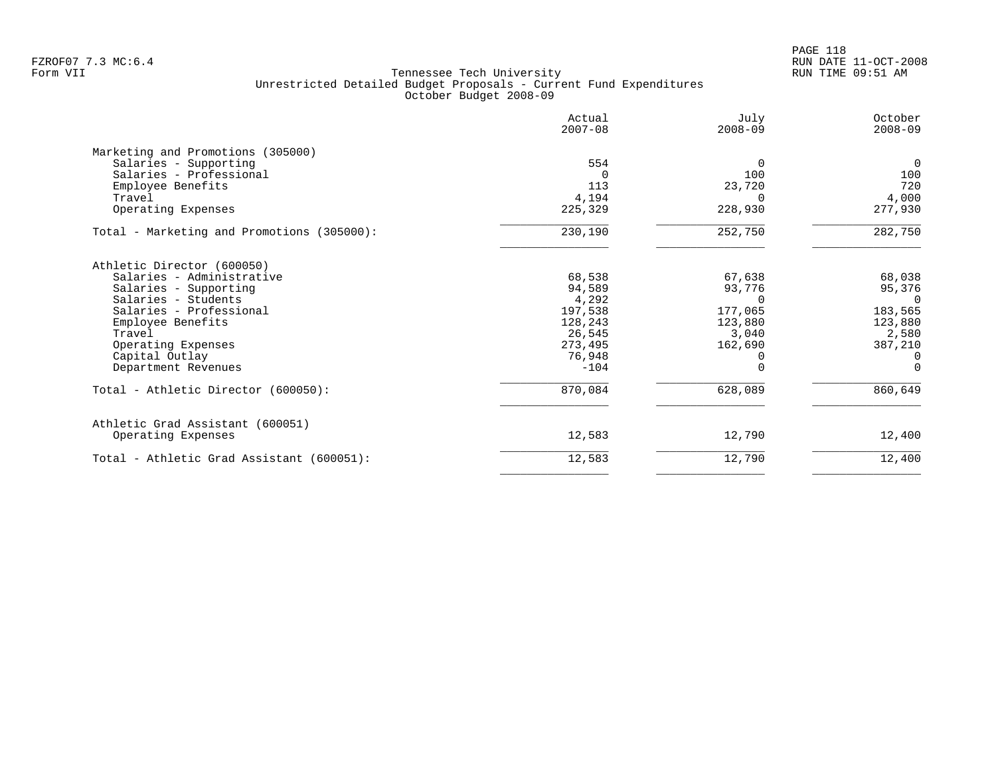# PAGE 118 FZROF07 7.3 MC:6.4 RUN DATE 11-OCT-2008

|                                            | Actual<br>$2007 - 08$ | July<br>$2008 - 09$ | October<br>$2008 - 09$ |
|--------------------------------------------|-----------------------|---------------------|------------------------|
| Marketing and Promotions (305000)          |                       |                     |                        |
| Salaries - Supporting                      | 554                   | $\Omega$            | $\overline{0}$         |
| Salaries - Professional                    | $\Omega$              | 100                 | 100                    |
| Employee Benefits                          | 113                   | 23,720              | 720                    |
| Travel                                     | 4,194                 | $\Omega$            | 4,000                  |
| Operating Expenses                         | 225,329               | 228,930             | 277,930                |
| Total - Marketing and Promotions (305000): | 230,190               | 252,750             | 282,750                |
| Athletic Director (600050)                 |                       |                     |                        |
| Salaries - Administrative                  | 68,538                | 67,638              | 68,038                 |
| Salaries - Supporting                      | 94,589                | 93,776              | 95,376                 |
| Salaries - Students                        | 4,292                 |                     | $\cap$                 |
| Salaries - Professional                    | 197,538               | 177,065             | 183,565                |
| Employee Benefits                          | 128,243               | 123,880             | 123,880                |
| Travel                                     | 26,545                | 3,040               | 2,580                  |
| Operating Expenses                         | 273,495               | 162,690             | 387,210                |
| Capital Outlay                             | 76,948                |                     | $\Omega$               |
| Department Revenues                        | $-104$                |                     | $\Omega$               |
| Total - Athletic Director (600050):        | 870,084               | 628,089             | 860,649                |
| Athletic Grad Assistant (600051)           |                       |                     |                        |
| Operating Expenses                         | 12,583                | 12,790              | 12,400                 |
| Total - Athletic Grad Assistant (600051):  | 12,583                | 12,790              | 12,400                 |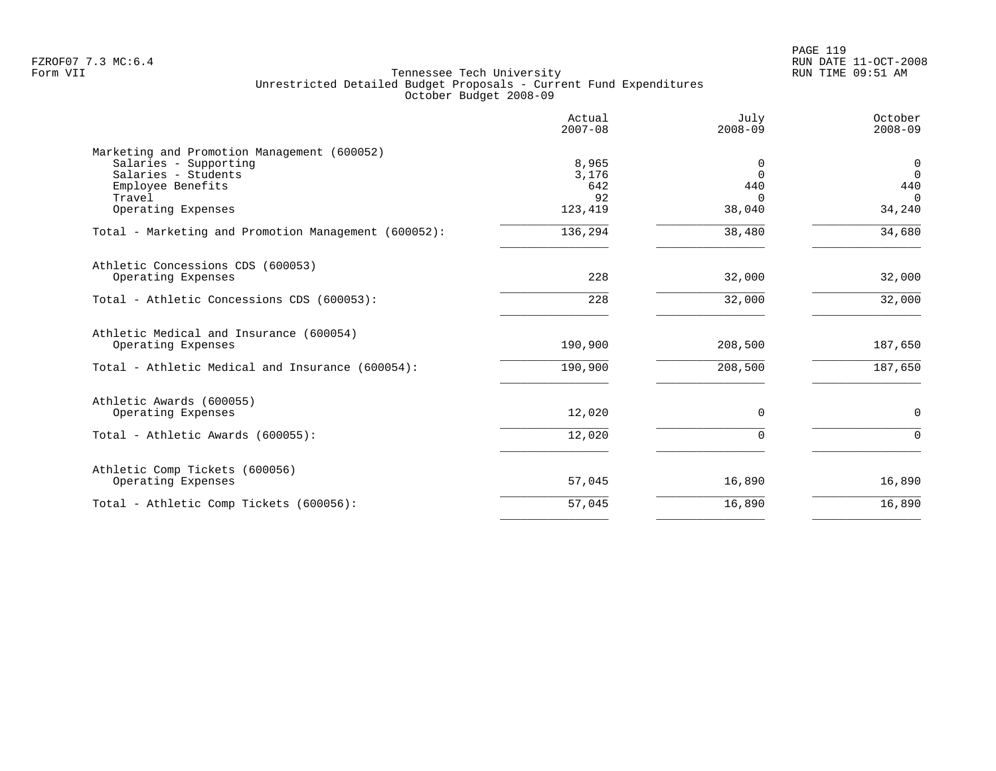PAGE 119 FZROF07 7.3 MC:6.4 RUN DATE 11-OCT-2008

|                                                                                                                            | Actual<br>$2007 - 08$       | July<br>$2008 - 09$              | October<br>$2008 - 09$                           |
|----------------------------------------------------------------------------------------------------------------------------|-----------------------------|----------------------------------|--------------------------------------------------|
| Marketing and Promotion Management (600052)<br>Salaries - Supporting<br>Salaries - Students<br>Employee Benefits<br>Travel | 8,965<br>3,176<br>642<br>92 | 0<br>$\Omega$<br>440<br>$\Omega$ | $\mathbf 0$<br>$\overline{0}$<br>440<br>$\Omega$ |
| Operating Expenses<br>Total - Marketing and Promotion Management (600052):                                                 | 123,419<br>136,294          | 38,040<br>38,480                 | 34,240<br>34,680                                 |
| Athletic Concessions CDS (600053)<br>Operating Expenses<br>Total - Athletic Concessions CDS (600053):                      | 228<br>228                  | 32,000<br>32,000                 | 32,000<br>32,000                                 |
| Athletic Medical and Insurance (600054)<br>Operating Expenses                                                              | 190,900                     | 208,500                          | 187,650                                          |
| Total - Athletic Medical and Insurance (600054):                                                                           | 190,900                     | 208,500                          | 187,650                                          |
| Athletic Awards (600055)<br>Operating Expenses                                                                             | 12,020                      | 0                                | $\mathbf 0$                                      |
| Total - Athletic Awards (600055):                                                                                          | 12,020                      | $\Omega$                         | $\mathbf 0$                                      |
| Athletic Comp Tickets (600056)<br>Operating Expenses                                                                       | 57,045                      | 16,890                           | 16,890                                           |
| Total - Athletic Comp Tickets (600056):                                                                                    | 57,045                      | 16,890                           | 16,890                                           |
|                                                                                                                            |                             |                                  |                                                  |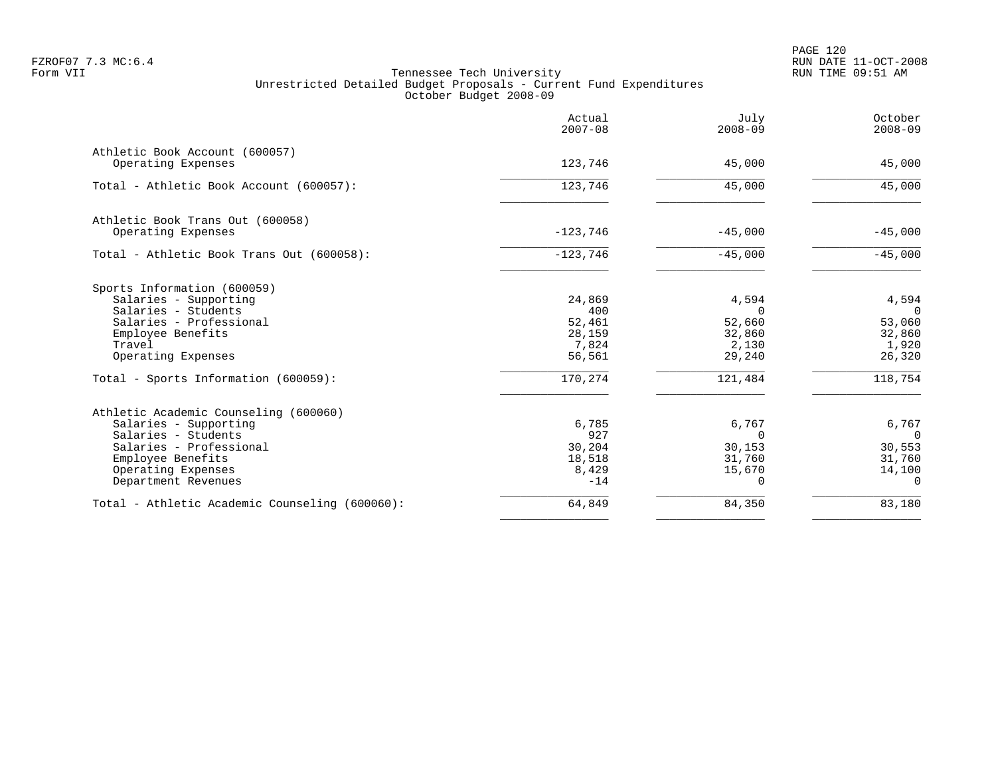|                                                                                                                                                                                    | Actual<br>$2007 - 08$                                | July<br>$2008 - 09$                                      | October<br>$2008 - 09$                                         |
|------------------------------------------------------------------------------------------------------------------------------------------------------------------------------------|------------------------------------------------------|----------------------------------------------------------|----------------------------------------------------------------|
| Athletic Book Account (600057)<br>Operating Expenses                                                                                                                               | 123,746                                              | 45,000                                                   | 45,000                                                         |
| Total - Athletic Book Account (600057):                                                                                                                                            | 123,746                                              | 45,000                                                   | 45,000                                                         |
| Athletic Book Trans Out (600058)<br>Operating Expenses                                                                                                                             | $-123,746$                                           | $-45,000$                                                | $-45,000$                                                      |
| Total - Athletic Book Trans Out (600058):                                                                                                                                          | $-123,746$                                           | $-45,000$                                                | $-45,000$                                                      |
| Sports Information (600059)<br>Salaries - Supporting<br>Salaries - Students<br>Salaries - Professional<br>Employee Benefits<br>Travel<br>Operating Expenses                        | 24,869<br>400<br>52,461<br>28,159<br>7,824<br>56,561 | 4,594<br>$\Omega$<br>52,660<br>32,860<br>2,130<br>29,240 | 4,594<br>$\overline{0}$<br>53,060<br>32,860<br>1,920<br>26,320 |
| Total - Sports Information (600059):                                                                                                                                               | 170,274                                              | 121,484                                                  | 118,754                                                        |
| Athletic Academic Counseling (600060)<br>Salaries - Supporting<br>Salaries - Students<br>Salaries - Professional<br>Employee Benefits<br>Operating Expenses<br>Department Revenues | 6,785<br>927<br>30,204<br>18,518<br>8,429<br>$-14$   | 6,767<br>$\Omega$<br>30,153<br>31,760<br>15,670<br>0     | 6,767<br>$\Omega$<br>30,553<br>31,760<br>14,100<br>$\Omega$    |
| Total - Athletic Academic Counseling (600060):                                                                                                                                     | 64,849                                               | 84,350                                                   | 83,180                                                         |
|                                                                                                                                                                                    |                                                      |                                                          |                                                                |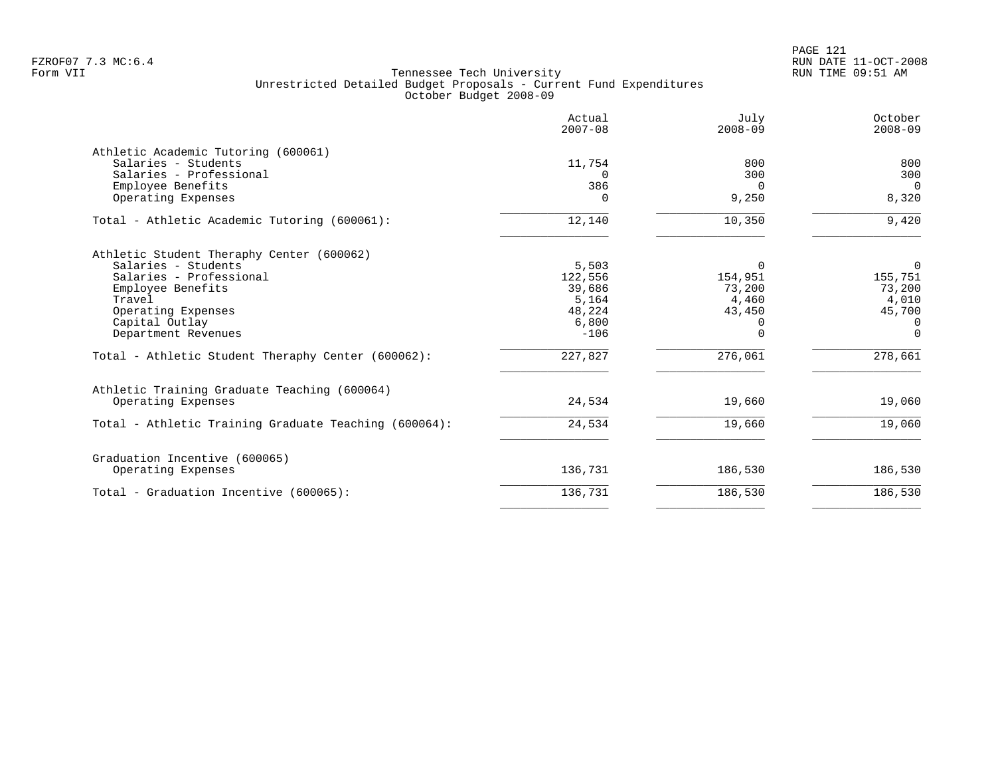PAGE 121 FZROF07 7.3 MC:6.4 RUN DATE 11-OCT-2008

|                                                                                                                                                                                           | Actual<br>$2007 - 08$                                            | July<br>$2008 - 09$                                        | October<br>$2008 - 09$                                                   |
|-------------------------------------------------------------------------------------------------------------------------------------------------------------------------------------------|------------------------------------------------------------------|------------------------------------------------------------|--------------------------------------------------------------------------|
| Athletic Academic Tutoring (600061)<br>Salaries - Students<br>Salaries - Professional<br>Employee Benefits<br>Operating Expenses                                                          | 11,754<br>$\Omega$<br>386<br>$\Omega$                            | 800<br>300<br>$\Omega$<br>9,250                            | 800<br>300<br>$\overline{0}$<br>8,320                                    |
| Total - Athletic Academic Tutoring (600061):                                                                                                                                              | 12,140                                                           | 10,350                                                     | 9,420                                                                    |
| Athletic Student Theraphy Center (600062)<br>Salaries - Students<br>Salaries - Professional<br>Employee Benefits<br>Travel<br>Operating Expenses<br>Capital Outlay<br>Department Revenues | 5,503<br>122,556<br>39,686<br>5,164<br>48,224<br>6,800<br>$-106$ | $\Omega$<br>154,951<br>73,200<br>4,460<br>43,450<br>0<br>U | $\Omega$<br>155,751<br>73,200<br>4,010<br>45,700<br>$\Omega$<br>$\Omega$ |
| Total - Athletic Student Theraphy Center (600062):                                                                                                                                        | 227,827                                                          | 276,061                                                    | 278,661                                                                  |
| Athletic Training Graduate Teaching (600064)<br>Operating Expenses                                                                                                                        | 24,534                                                           | 19,660                                                     | 19,060                                                                   |
| Total - Athletic Training Graduate Teaching (600064):                                                                                                                                     | 24,534                                                           | 19,660                                                     | 19,060                                                                   |
| Graduation Incentive (600065)<br>Operating Expenses                                                                                                                                       | 136,731                                                          | 186,530                                                    | 186,530                                                                  |
| Total - Graduation Incentive (600065):                                                                                                                                                    | 136,731                                                          | 186,530                                                    | 186,530                                                                  |
|                                                                                                                                                                                           |                                                                  |                                                            |                                                                          |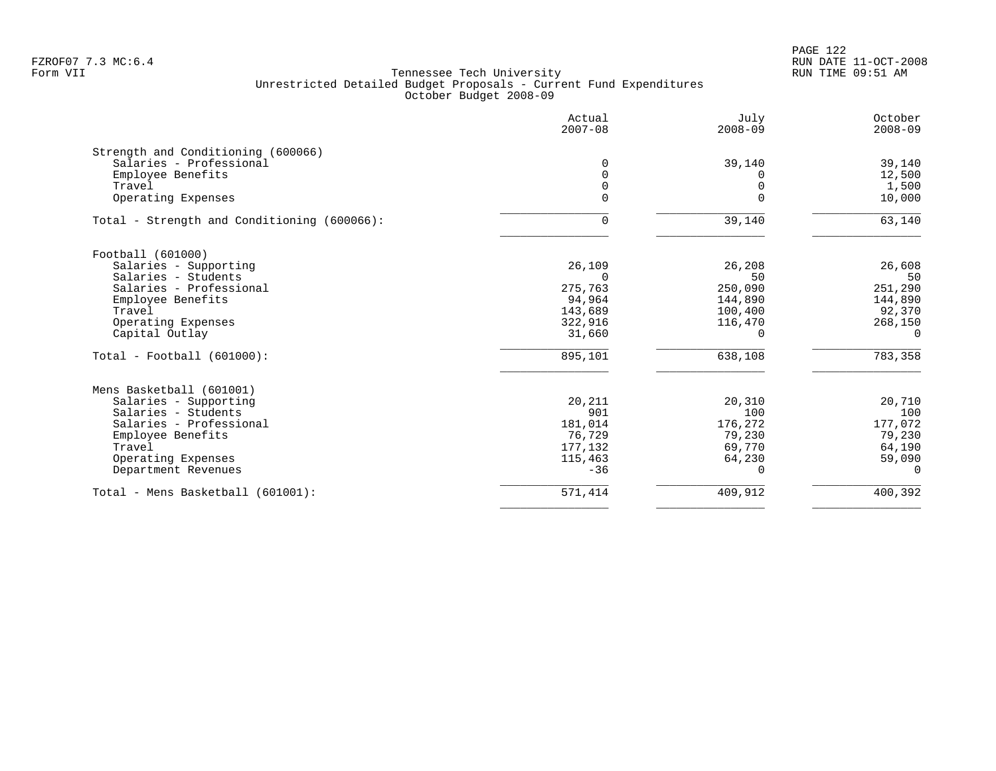PAGE 122 FZROF07 7.3 MC:6.4 RUN DATE 11-OCT-2008

|                                             | Actual<br>$2007 - 08$ | July<br>$2008 - 09$ | October<br>$2008 - 09$ |
|---------------------------------------------|-----------------------|---------------------|------------------------|
| Strength and Conditioning (600066)          |                       |                     |                        |
| Salaries - Professional                     | $\Omega$              | 39,140              | 39,140                 |
| Employee Benefits                           |                       |                     | 12,500                 |
| Travel                                      | $\Omega$              |                     | 1,500                  |
| Operating Expenses                          | $\Omega$              | ∩                   | 10,000                 |
| Total - Strength and Conditioning (600066): | $\Omega$              | 39,140              | 63,140                 |
| Football (601000)                           |                       |                     |                        |
| Salaries - Supporting                       | 26,109                | 26,208              | 26,608                 |
| Salaries - Students                         |                       | 50                  | 50                     |
| Salaries - Professional                     | 275,763               | 250,090             | 251,290                |
| Employee Benefits                           | 94,964                | 144,890             | 144,890                |
| Travel                                      | 143,689               | 100,400             | 92,370                 |
| Operating Expenses                          | 322,916               | 116,470             | 268,150                |
| Capital Outlay                              | 31,660                | 0                   | $\Omega$               |
| $Total - Football (601000):$                | 895,101               | 638,108             | 783,358                |
| Mens Basketball (601001)                    |                       |                     |                        |
| Salaries - Supporting                       | 20,211                | 20,310              | 20,710                 |
| Salaries - Students                         | 901                   | 100                 | 100                    |
| Salaries - Professional                     | 181,014               | 176,272             | 177,072                |
| Employee Benefits                           | 76,729                | 79,230              | 79,230                 |
| Travel                                      | 177,132               | 69,770              | 64,190                 |
| Operating Expenses                          | 115,463               | 64,230              | 59,090                 |
| Department Revenues                         | $-36$                 | 0                   | $\Omega$               |
| Total - Mens Basketball (601001):           | 571,414               | 409,912             | 400,392                |
|                                             |                       |                     |                        |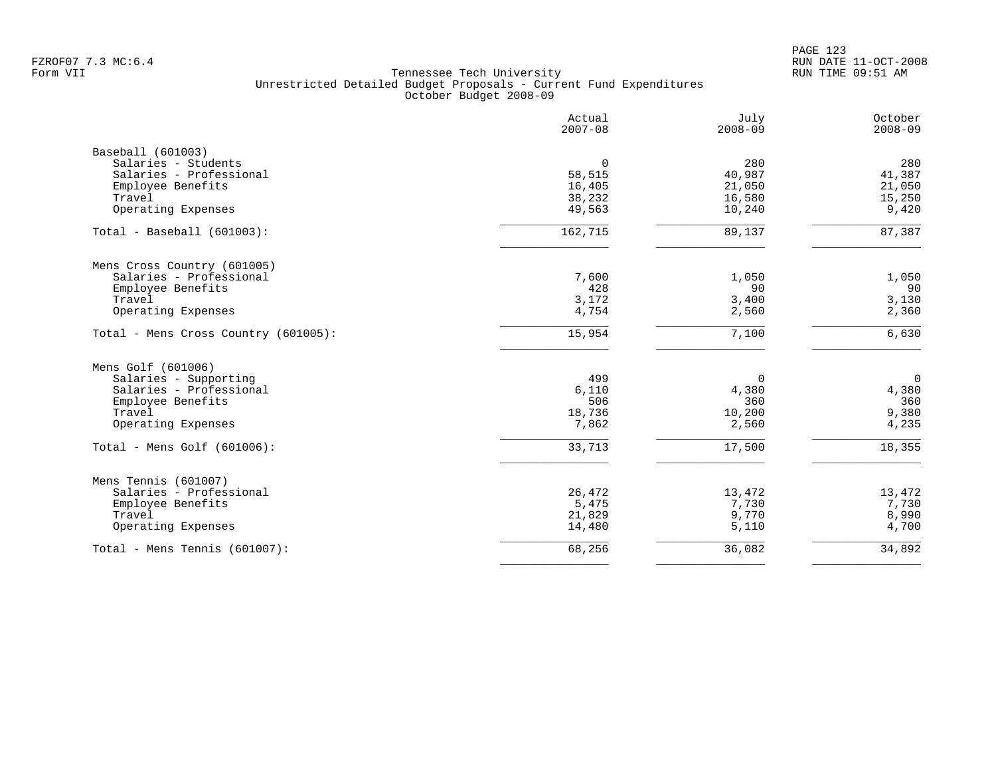PAGE 123 FZROF07 7.3 MC:6.4 RUN DATE 11-OCT-2008

|                                      | Actual<br>$2007 - 08$ | July<br>$2008 - 09$ | October<br>$2008 - 09$ |
|--------------------------------------|-----------------------|---------------------|------------------------|
| Baseball (601003)                    |                       |                     |                        |
| Salaries - Students                  | $\mathbf 0$           | 280                 | 280                    |
| Salaries - Professional              | 58,515                | 40,987              | 41,387                 |
| Employee Benefits                    | 16,405                | 21,050              | 21,050                 |
| Travel                               | 38,232                | 16,580              | 15,250                 |
| Operating Expenses                   | 49,563                | 10,240              | 9,420                  |
| $Total - Baseball (601003):$         | 162,715               | 89,137              | 87,387                 |
| Mens Cross Country (601005)          |                       |                     |                        |
| Salaries - Professional              | 7,600                 | 1,050               | 1,050                  |
| Employee Benefits                    | 428                   | 90                  | 90                     |
| Travel                               | 3,172                 | 3,400               | 3,130                  |
| Operating Expenses                   | 4,754                 | 2,560               | 2,360                  |
| Total - Mens Cross Country (601005): | 15,954                | 7,100               | 6,630                  |
| Mens Golf (601006)                   |                       |                     |                        |
| Salaries - Supporting                | 499                   | 0                   | $\mathbf 0$            |
| Salaries - Professional              | 6,110                 | 4,380               | 4,380                  |
| Employee Benefits                    | 506                   | 360                 | 360                    |
| Travel                               | 18,736                | 10,200              | 9,380                  |
| Operating Expenses                   | 7,862                 | 2,560               | 4,235                  |
| Total - Mens Golf $(601006)$ :       | 33,713                | 17,500              | 18,355                 |
| Mens Tennis (601007)                 |                       |                     |                        |
| Salaries - Professional              | 26,472                | 13,472              | 13,472                 |
| Employee Benefits                    | 5,475                 | 7,730               | 7,730                  |
| Travel                               | 21,829                | 9,770               | 8,990                  |
| Operating Expenses                   | 14,480                | 5,110               | 4,700                  |
| Total - Mens Tennis (601007):        | 68,256                | 36,082              | 34,892                 |
|                                      |                       |                     |                        |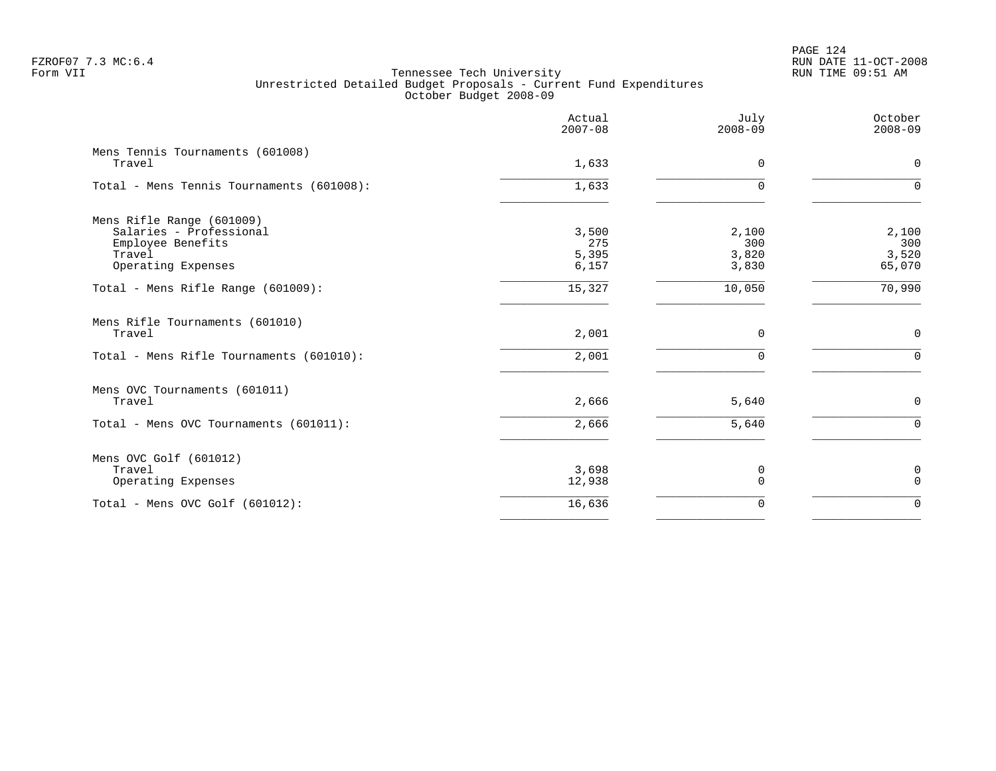# PAGE 124 FZROF07 7.3 MC:6.4 RUN DATE 11-OCT-2008

|                                                                                                           | Actual<br>$2007 - 08$          | July<br>$2008 - 09$            | October<br>$2008 - 09$          |
|-----------------------------------------------------------------------------------------------------------|--------------------------------|--------------------------------|---------------------------------|
| Mens Tennis Tournaments (601008)<br>Travel                                                                | 1,633                          | 0                              | $\mathsf{O}$                    |
| Total - Mens Tennis Tournaments (601008):                                                                 | 1,633                          | 0                              | $\Omega$                        |
| Mens Rifle Range (601009)<br>Salaries - Professional<br>Employee Benefits<br>Travel<br>Operating Expenses | 3,500<br>275<br>5,395<br>6,157 | 2,100<br>300<br>3,820<br>3,830 | 2,100<br>300<br>3,520<br>65,070 |
| Total - Mens Rifle Range (601009):                                                                        | 15,327                         | 10,050                         | 70,990                          |
| Mens Rifle Tournaments (601010)<br>Travel<br>Total - Mens Rifle Tournaments (601010):                     | 2,001<br>$\overline{2,001}$    | 0<br>$\Omega$                  | $\mathbf 0$<br>$\Omega$         |
| Mens OVC Tournaments (601011)<br>Travel<br>Total - Mens OVC Tournaments (601011):                         | 2,666<br>2,666                 | 5,640<br>5,640                 | $\mathbf 0$<br>$\Omega$         |
| Mens OVC Golf (601012)<br>Travel<br>Operating Expenses                                                    | 3,698<br>12,938                | 0<br>0                         | 0<br>$\mathbf 0$                |
| Total - Mens OVC Golf (601012):                                                                           | 16,636                         | $\mathbf 0$                    | $\Omega$                        |
|                                                                                                           |                                |                                |                                 |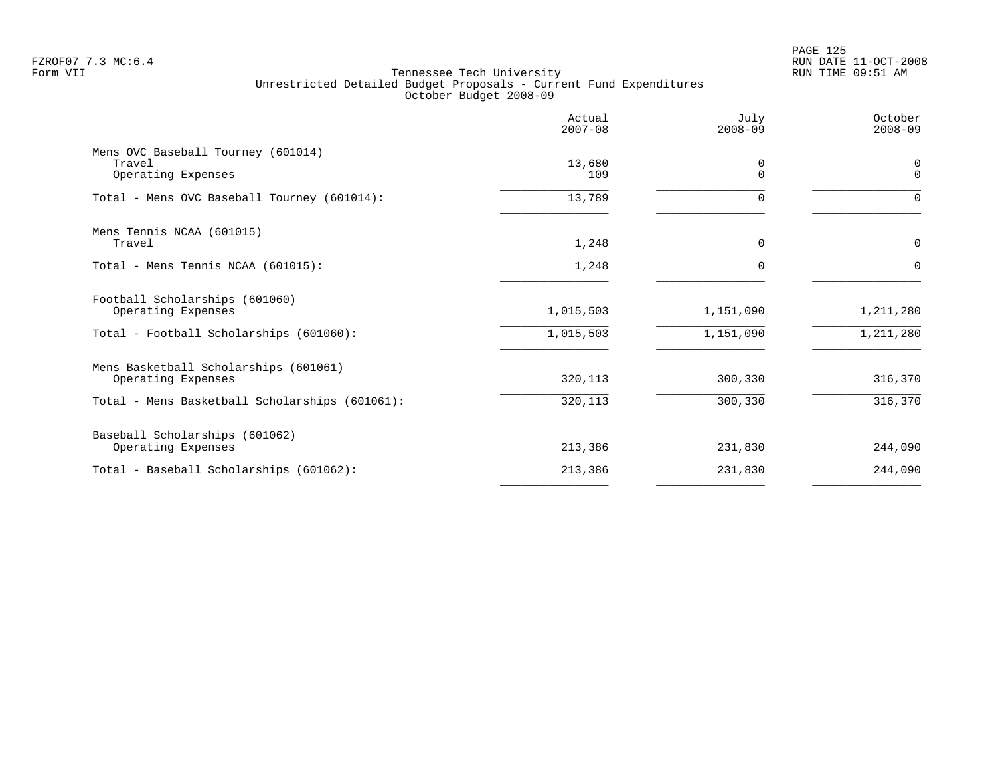PAGE 125 FZROF07 7.3 MC:6.4 RUN DATE 11-OCT-2008

|                                                                    | Actual<br>$2007 - 08$ | July<br>$2008 - 09$ | October<br>$2008 - 09$  |
|--------------------------------------------------------------------|-----------------------|---------------------|-------------------------|
| Mens OVC Baseball Tourney (601014)<br>Travel<br>Operating Expenses | 13,680<br>109         | 0<br>$\Omega$       | $\mathbf 0$<br>$\Omega$ |
| Total - Mens OVC Baseball Tourney (601014):                        | 13,789                | $\Omega$            | $\Omega$                |
| Mens Tennis NCAA (601015)<br>Travel                                | 1,248                 | $\Omega$            | 0                       |
| Total - Mens Tennis NCAA (601015):                                 | 1,248                 | $\Omega$            | $\Omega$                |
| Football Scholarships (601060)<br>Operating Expenses               | 1,015,503             | 1,151,090           | 1,211,280               |
| Total - Football Scholarships (601060):                            | 1,015,503             | 1,151,090           | 1,211,280               |
| Mens Basketball Scholarships (601061)<br>Operating Expenses        | 320,113               | 300,330             | 316,370                 |
| Total - Mens Basketball Scholarships (601061):                     | 320,113               | 300,330             | 316,370                 |
| Baseball Scholarships (601062)<br>Operating Expenses               | 213,386               | 231,830             | 244,090                 |
| Total - Baseball Scholarships (601062):                            | 213,386               | 231,830             | 244,090                 |
|                                                                    |                       |                     |                         |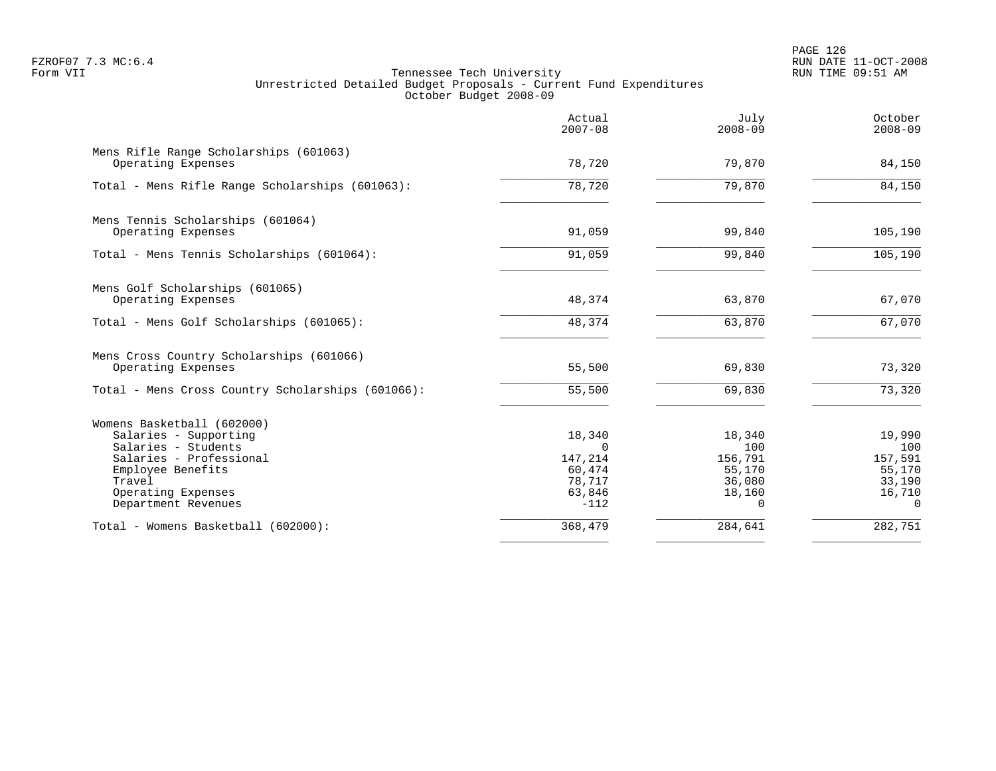PAGE 126 FZROF07 7.3 MC:6.4 RUN DATE 11-OCT-2008

|                                                              | Actual<br>$2007 - 08$ | July<br>$2008 - 09$ | October<br>$2008 - 09$ |
|--------------------------------------------------------------|-----------------------|---------------------|------------------------|
| Mens Rifle Range Scholarships (601063)<br>Operating Expenses | 78,720                | 79,870              | 84,150                 |
| Total - Mens Rifle Range Scholarships (601063):              | 78,720                | 79,870              | 84,150                 |
| Mens Tennis Scholarships (601064)                            |                       |                     |                        |
| Operating Expenses                                           | 91,059                | 99,840              | 105,190                |
| Total - Mens Tennis Scholarships (601064):                   | 91,059                | 99,840              | 105, 190               |
| Mens Golf Scholarships (601065)                              |                       |                     |                        |
| Operating Expenses                                           | 48,374                | 63,870              | 67,070                 |
| Total - Mens Golf Scholarships (601065):                     | 48,374                | 63,870              | 67,070                 |
| Mens Cross Country Scholarships (601066)                     |                       |                     |                        |
| Operating Expenses                                           | 55,500                | 69,830              | 73,320                 |
| Total - Mens Cross Country Scholarships (601066):            | 55,500                | 69,830              | 73,320                 |
| Womens Basketball (602000)                                   |                       |                     |                        |
| Salaries - Supporting                                        | 18,340<br>$\Omega$    | 18,340              | 19,990                 |
| Salaries - Students<br>Salaries - Professional               | 147,214               | 100<br>156,791      | 100<br>157,591         |
| Employee Benefits                                            | 60,474                | 55,170              | 55,170                 |
| Travel                                                       | 78,717                | 36,080              | 33,190                 |
| Operating Expenses                                           | 63,846                | 18,160              | 16,710                 |
| Department Revenues                                          | $-112$                | $\Omega$            | $\Omega$               |
| Total - Womens Basketball (602000):                          | 368,479               | 284,641             | $\frac{282}{751}$      |
|                                                              |                       |                     |                        |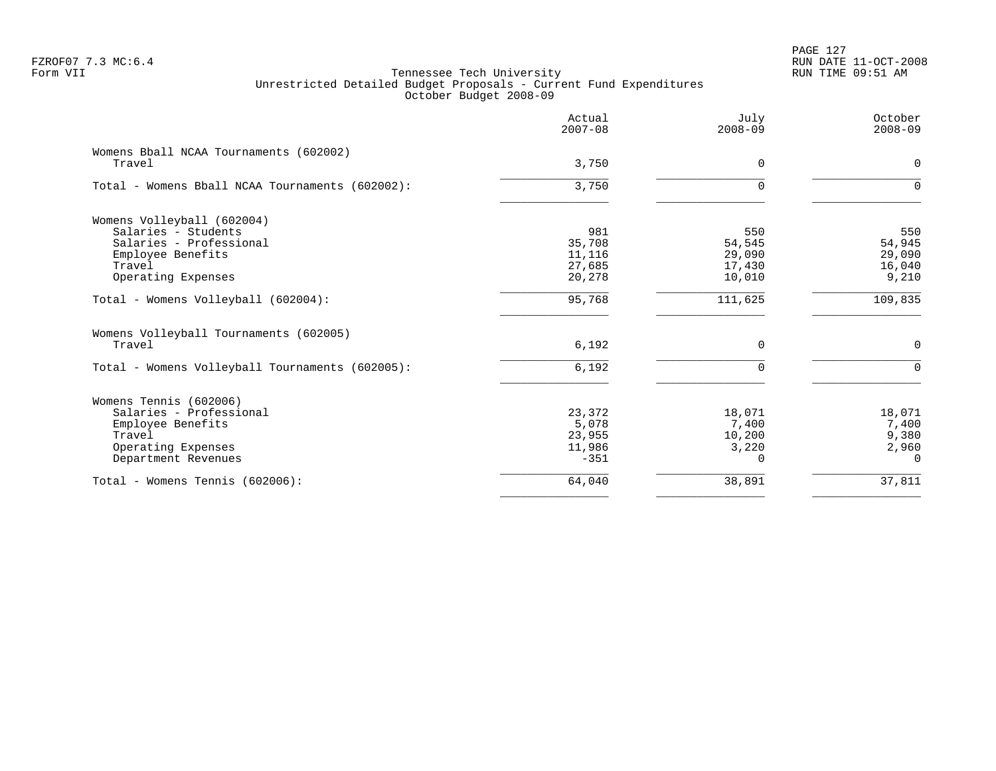|                                                  | Actual<br>$2007 - 08$ | July<br>$2008 - 09$ | October<br>$2008 - 09$ |
|--------------------------------------------------|-----------------------|---------------------|------------------------|
| Womens Bball NCAA Tournaments (602002)<br>Travel | 3,750                 | $\Omega$            | 0                      |
|                                                  |                       |                     |                        |
| Total - Womens Bball NCAA Tournaments (602002):  | 3,750                 | $\Omega$            | $\Omega$               |
| Womens Volleyball (602004)                       |                       |                     |                        |
| Salaries - Students                              | 981                   | 550                 | 550                    |
| Salaries - Professional                          | 35,708                | 54,545              | 54,945                 |
| Employee Benefits                                | 11,116                | 29,090              | 29,090                 |
| Travel                                           | 27,685                | 17,430              | 16,040                 |
| Operating Expenses                               | 20,278                | 10,010              | 9,210                  |
| Total - Womens Volleyball (602004):              | 95,768                | 111,625             | 109,835                |
| Womens Volleyball Tournaments (602005)           |                       |                     |                        |
| Travel                                           | 6,192                 | $\Omega$            | $\mathbf 0$            |
| Total - Womens Volleyball Tournaments (602005):  | 6,192                 | $\mathbf 0$         | $\Omega$               |
| Womens Tennis (602006)                           |                       |                     |                        |
| Salaries - Professional                          | 23,372                | 18,071              | 18,071                 |
| Employee Benefits                                | 5,078                 | 7,400               | 7,400                  |
| Travel                                           | 23,955                | 10,200              | 9,380                  |
| Operating Expenses                               | 11,986                | 3,220               | 2,960                  |
| Department Revenues                              | $-351$                | $\Omega$            | $\Omega$               |
| Total - Womens Tennis (602006):                  | 64,040                | 38,891              | 37,811                 |
|                                                  |                       |                     |                        |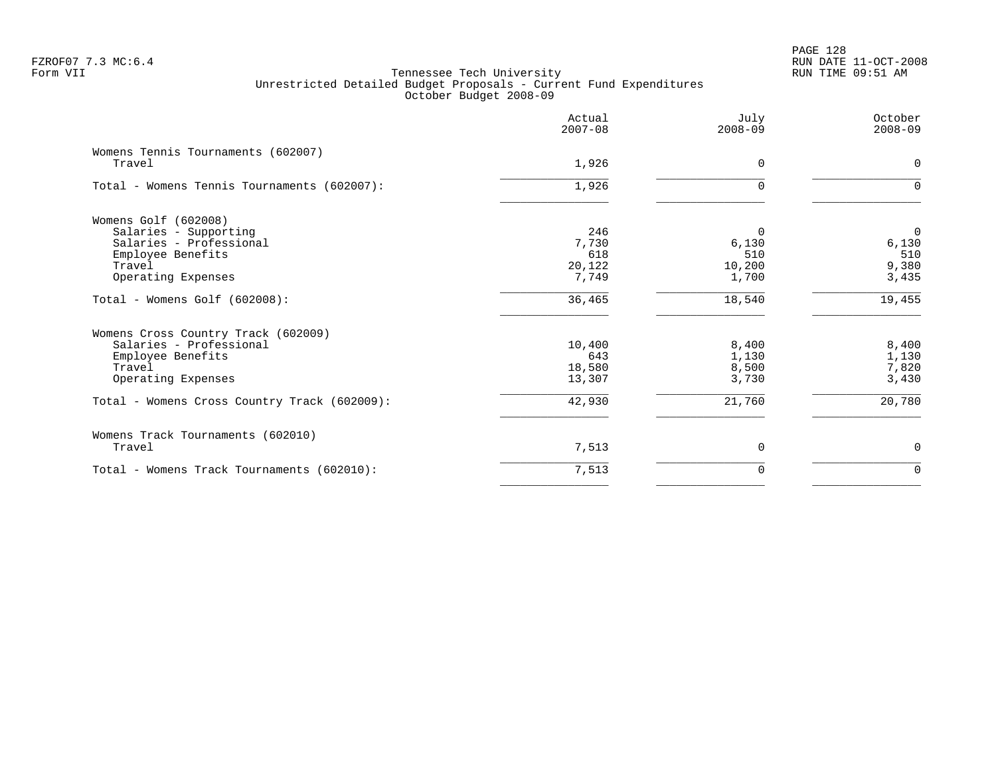# PAGE 128 FZROF07 7.3 MC:6.4 RUN DATE 11-OCT-2008

|                                              | Actual<br>$2007 - 08$ | July<br>$2008 - 09$ | October<br>$2008 - 09$ |
|----------------------------------------------|-----------------------|---------------------|------------------------|
| Womens Tennis Tournaments (602007)<br>Travel | 1,926                 | $\Omega$            | 0                      |
| Total - Womens Tennis Tournaments (602007):  | 1,926                 |                     | $\Omega$               |
| Womens Golf (602008)                         |                       |                     |                        |
| Salaries - Supporting                        | 246                   | $\Omega$            | $\mathbf 0$            |
| Salaries - Professional                      | 7,730                 | 6,130               | 6,130                  |
| Employee Benefits                            | 618                   | 510                 | 510                    |
| Travel                                       | 20,122                | 10,200              | 9,380                  |
| Operating Expenses                           | 7,749                 | 1,700               | 3,435                  |
| Total - Womens Golf (602008):                | 36,465                | 18,540              | 19,455                 |
| Womens Cross Country Track (602009)          |                       |                     |                        |
| Salaries - Professional                      | 10,400                | 8,400               | 8,400                  |
| Employee Benefits                            | 643                   | 1,130               | 1,130                  |
| Travel                                       | 18,580                | 8,500               | 7,820                  |
| Operating Expenses                           | 13,307                | 3,730               | 3,430                  |
| Total - Womens Cross Country Track (602009): | 42,930                | 21,760              | 20,780                 |
| Womens Track Tournaments (602010)            |                       |                     |                        |
| Travel                                       | 7,513                 | $\Omega$            | 0                      |
| Total - Womens Track Tournaments (602010):   | 7,513                 | $\Omega$            | $\Omega$               |
|                                              |                       |                     |                        |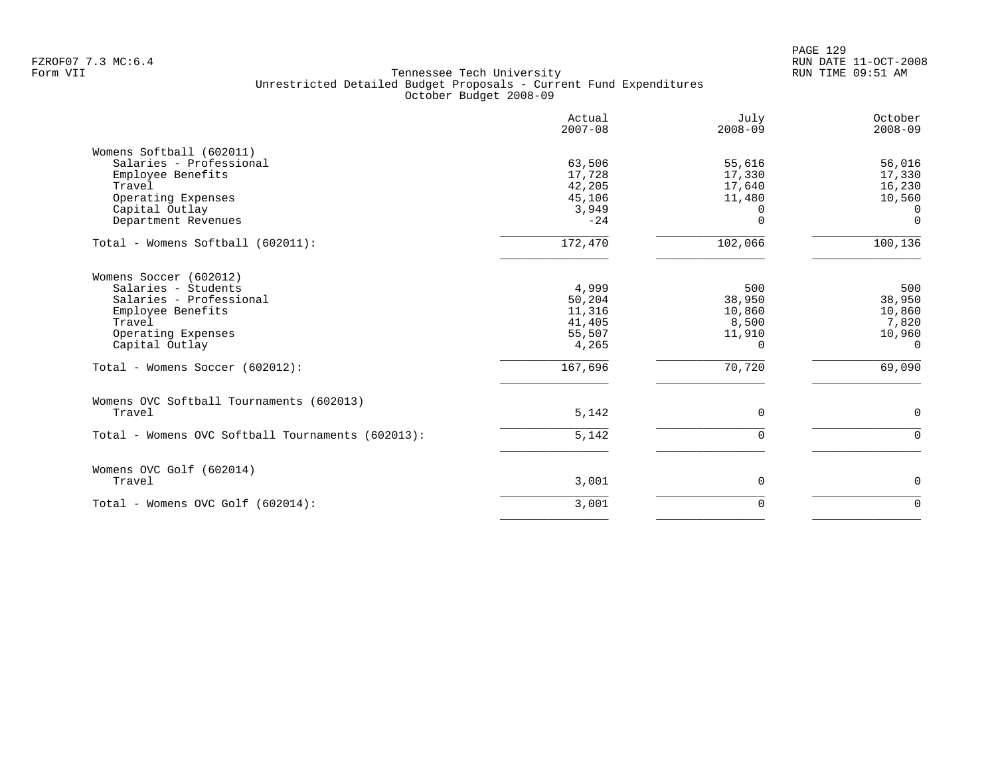|                                                                                                                                                   | Actual<br>$2007 - 08$                                  | July<br>$2008 - 09$                                          | October<br>$2008 - 09$                                   |
|---------------------------------------------------------------------------------------------------------------------------------------------------|--------------------------------------------------------|--------------------------------------------------------------|----------------------------------------------------------|
| Womens Softball (602011)<br>Salaries - Professional<br>Employee Benefits<br>Travel<br>Operating Expenses<br>Capital Outlay<br>Department Revenues | 63,506<br>17,728<br>42,205<br>45,106<br>3,949<br>$-24$ | 55,616<br>17,330<br>17,640<br>11,480<br>$\Omega$<br>$\Omega$ | 56,016<br>17,330<br>16,230<br>10,560<br>0<br>$\mathbf 0$ |
| Total - Womens Softball (602011):                                                                                                                 | 172,470                                                | 102,066                                                      | 100,136                                                  |
| Womens Soccer (602012)<br>Salaries - Students<br>Salaries - Professional<br>Employee Benefits<br>Travel<br>Operating Expenses<br>Capital Outlay   | 4,999<br>50,204<br>11,316<br>41,405<br>55,507<br>4,265 | 500<br>38,950<br>10,860<br>8,500<br>11,910<br>$\Omega$       | 500<br>38,950<br>10,860<br>7,820<br>10,960<br>$\Omega$   |
| Total - Womens Soccer (602012):                                                                                                                   | 167,696                                                | 70,720                                                       | 69,090                                                   |
| Womens OVC Softball Tournaments (602013)<br>Travel                                                                                                | 5,142                                                  | $\Omega$                                                     | $\mathbf 0$                                              |
| Total - Womens OVC Softball Tournaments (602013):                                                                                                 | 5,142                                                  | $\Omega$                                                     | $\Omega$                                                 |
| Womens OVC Golf (602014)<br>Travel                                                                                                                | 3,001                                                  | $\mathbf 0$                                                  | $\mathbf 0$                                              |
| Total - Womens OVC Golf (602014):                                                                                                                 | 3,001                                                  | $\mathbf 0$                                                  | $\mathbf 0$                                              |
|                                                                                                                                                   |                                                        |                                                              |                                                          |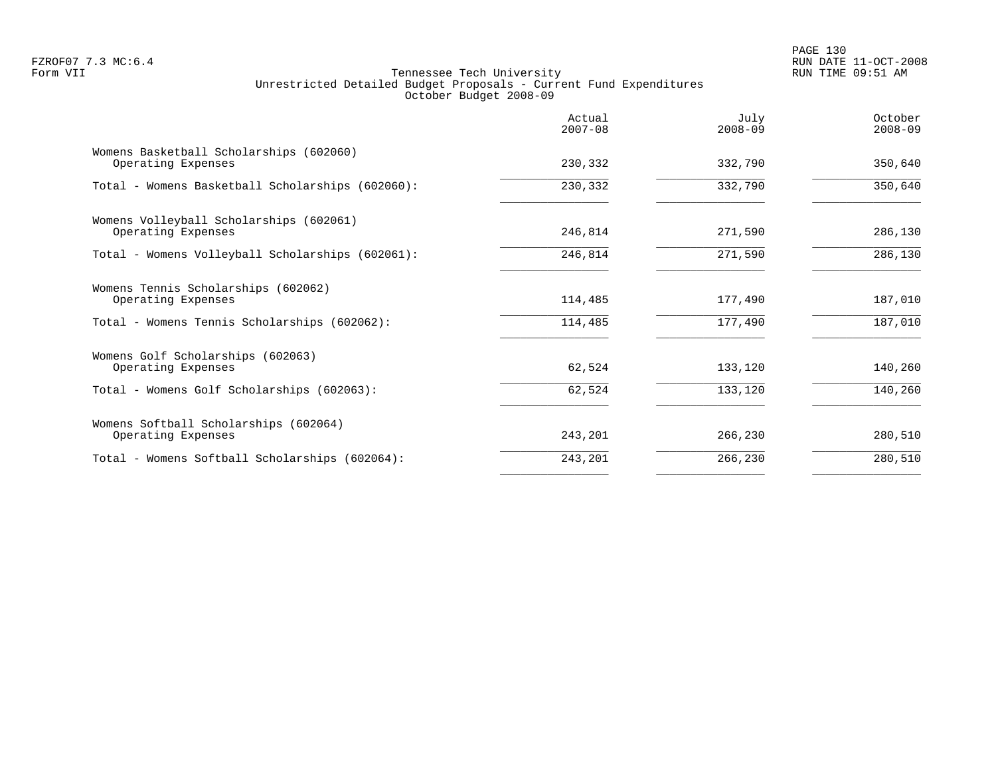PAGE 130 FZROF07 7.3 MC:6.4 RUN DATE 11-OCT-2008

|                                                               | Actual<br>$2007 - 08$ | July<br>$2008 - 09$ | October<br>$2008 - 09$ |
|---------------------------------------------------------------|-----------------------|---------------------|------------------------|
| Womens Basketball Scholarships (602060)<br>Operating Expenses | 230,332               | 332,790             | 350,640                |
| Total - Womens Basketball Scholarships (602060):              | 230,332               | 332,790             | 350,640                |
| Womens Volleyball Scholarships (602061)<br>Operating Expenses | 246,814               | 271,590             | 286,130                |
| Total - Womens Volleyball Scholarships (602061):              | 246,814               | 271,590             | 286,130                |
| Womens Tennis Scholarships (602062)<br>Operating Expenses     | 114,485               | 177,490             | 187,010                |
| Total - Womens Tennis Scholarships (602062):                  | 114,485               | 177,490             | 187,010                |
| Womens Golf Scholarships (602063)<br>Operating Expenses       | 62,524                | 133,120             | 140,260                |
| Total - Womens Golf Scholarships (602063):                    | 62,524                | 133,120             | 140,260                |
| Womens Softball Scholarships (602064)<br>Operating Expenses   | 243,201               | 266,230             | 280,510                |
| Total - Womens Softball Scholarships (602064):                | 243,201               | 266,230             | 280,510                |
|                                                               |                       |                     |                        |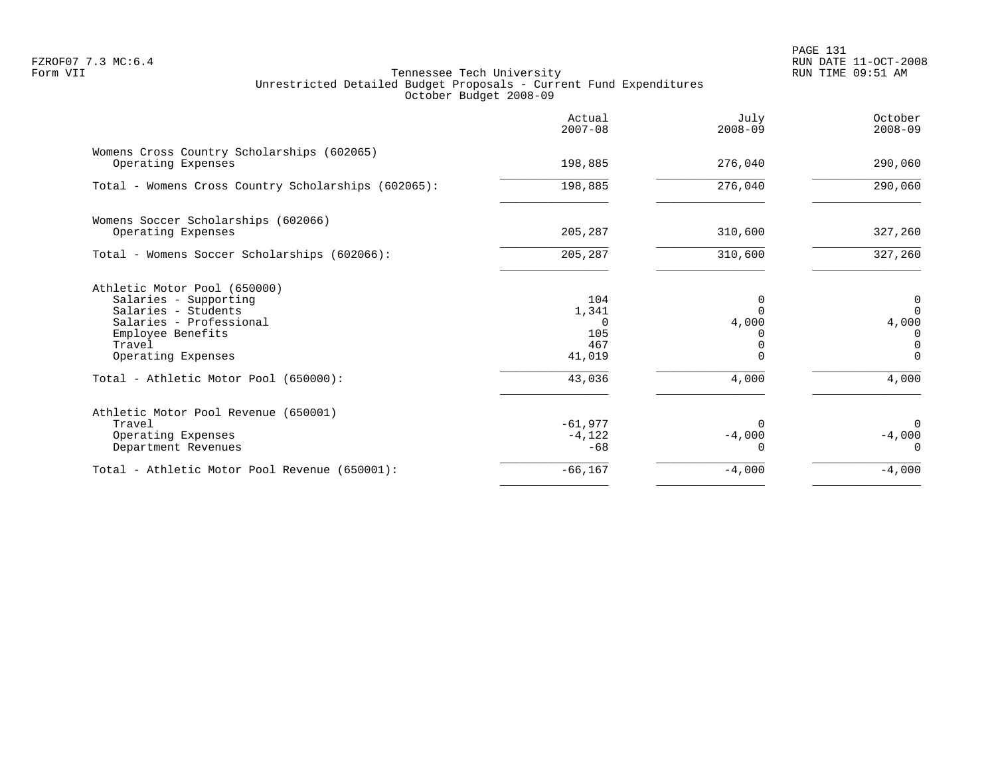PAGE 131 FZROF07 7.3 MC:6.4 RUN DATE 11-OCT-2008

|                                                                  | Actual<br>$2007 - 08$ | July<br>$2008 - 09$ | October<br>$2008 - 09$ |
|------------------------------------------------------------------|-----------------------|---------------------|------------------------|
| Womens Cross Country Scholarships (602065)<br>Operating Expenses | 198,885               | 276,040             | 290,060                |
|                                                                  |                       |                     |                        |
| Total - Womens Cross Country Scholarships (602065):              | 198,885               | 276,040             | 290,060                |
| Womens Soccer Scholarships (602066)                              |                       |                     |                        |
| Operating Expenses                                               | 205,287               | 310,600             | 327,260                |
| Total - Womens Soccer Scholarships (602066):                     | 205,287               | 310,600             | 327,260                |
| Athletic Motor Pool (650000)                                     |                       |                     |                        |
| Salaries - Supporting                                            | 104                   | 0                   | 0                      |
| Salaries - Students                                              | 1,341                 | $\Omega$            | $\Omega$               |
| Salaries - Professional                                          | $\Omega$              | 4,000               | 4,000                  |
| Employee Benefits                                                | 105                   |                     | 0                      |
| Travel                                                           | 467                   |                     | $\Omega$               |
| Operating Expenses                                               | 41,019                | $\Omega$            | $\Omega$               |
| Total - Athletic Motor Pool (650000):                            | 43,036                | 4,000               | 4,000                  |
| Athletic Motor Pool Revenue (650001)                             |                       |                     |                        |
| Travel                                                           | $-61,977$             | ∩                   | $\Omega$               |
| Operating Expenses                                               | $-4,122$              | $-4,000$            | $-4,000$               |
| Department Revenues                                              | $-68$                 |                     | $\Omega$               |
| Total - Athletic Motor Pool Revenue (650001):                    | $-66, 167$            | $-4,000$            | $-4,000$               |
|                                                                  |                       |                     |                        |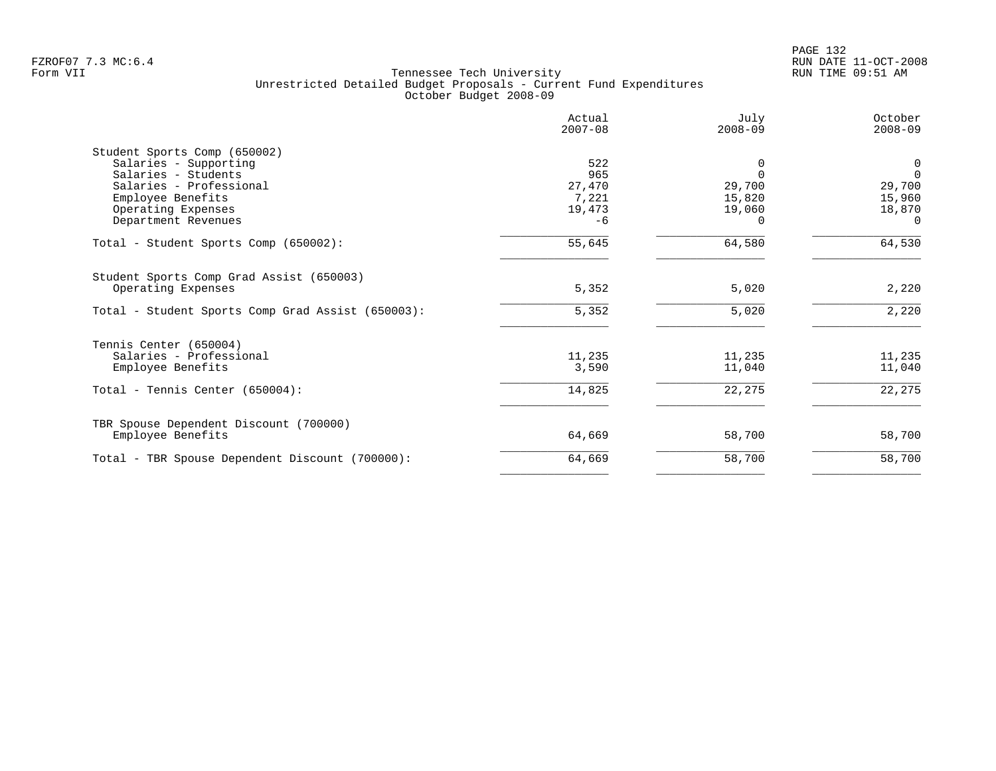|                                                                                                                                                                           | Actual<br>$2007 - 08$                           | July<br>$2008 - 09$                                            | October<br>$2008 - 09$                                  |
|---------------------------------------------------------------------------------------------------------------------------------------------------------------------------|-------------------------------------------------|----------------------------------------------------------------|---------------------------------------------------------|
| Student Sports Comp (650002)<br>Salaries - Supporting<br>Salaries - Students<br>Salaries - Professional<br>Employee Benefits<br>Operating Expenses<br>Department Revenues | 522<br>965<br>27,470<br>7,221<br>19,473<br>$-6$ | $\Omega$<br>$\Omega$<br>29,700<br>15,820<br>19,060<br>$\Omega$ | 0<br>$\Omega$<br>29,700<br>15,960<br>18,870<br>$\Omega$ |
| Total - Student Sports Comp (650002):                                                                                                                                     | 55,645                                          | 64,580                                                         | 64,530                                                  |
| Student Sports Comp Grad Assist (650003)<br>Operating Expenses<br>Total - Student Sports Comp Grad Assist (650003):                                                       | 5,352<br>5,352                                  | 5,020<br>5,020                                                 | 2,220<br>2,220                                          |
| Tennis Center (650004)<br>Salaries - Professional<br>Employee Benefits<br>Total - Tennis Center $(650004)$ :                                                              | 11,235<br>3,590<br>14,825                       | 11,235<br>11,040<br>22,275                                     | 11,235<br>11,040<br>22,275                              |
| TBR Spouse Dependent Discount (700000)<br>Employee Benefits                                                                                                               | 64,669                                          | 58,700                                                         | 58,700                                                  |
| Total - TBR Spouse Dependent Discount (700000):                                                                                                                           | 64,669                                          | 58,700                                                         | 58,700                                                  |
|                                                                                                                                                                           |                                                 |                                                                |                                                         |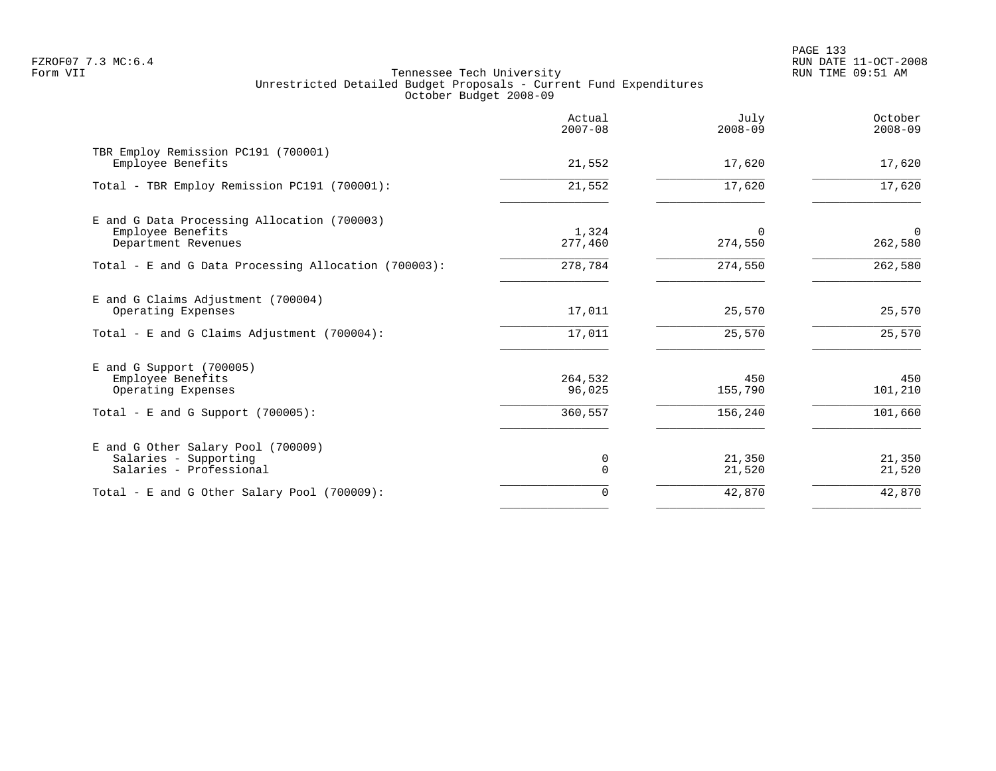PAGE 133 FZROF07 7.3 MC:6.4 RUN DATE 11-OCT-2008

|                                                                                         | Actual<br>$2007 - 08$ | July<br>$2008 - 09$ | October<br>$2008 - 09$    |
|-----------------------------------------------------------------------------------------|-----------------------|---------------------|---------------------------|
| TBR Employ Remission PC191 (700001)<br>Employee Benefits                                | 21,552                | 17,620              | 17,620                    |
| Total - TBR Employ Remission PC191 (700001):                                            | 21,552                | 17,620              | 17,620                    |
| E and G Data Processing Allocation (700003)<br>Employee Benefits<br>Department Revenues | 1,324<br>277,460      | $\Omega$<br>274,550 | $\overline{0}$<br>262,580 |
| Total - E and G Data Processing Allocation (700003):                                    | 278,784               | 274,550             | 262,580                   |
| E and G Claims Adjustment (700004)<br>Operating Expenses                                | 17,011                | 25,570              | 25,570                    |
| Total - E and G Claims Adjustment $(700004)$ :                                          | 17,011                | 25,570              | 25,570                    |
| $E$ and G Support (700005)<br>Employee Benefits<br>Operating Expenses                   | 264,532<br>96,025     | 450<br>155,790      | 450<br>101,210            |
| Total - E and G Support $(700005)$ :                                                    | 360,557               | 156,240             | 101,660                   |
| E and G Other Salary Pool (700009)<br>Salaries - Supporting<br>Salaries - Professional  | 0<br>$\Omega$         | 21,350<br>21,520    | 21,350<br>21,520          |
| Total - E and G Other Salary Pool (700009):                                             | $\mathbf 0$           | 42,870              | 42,870                    |
|                                                                                         |                       |                     |                           |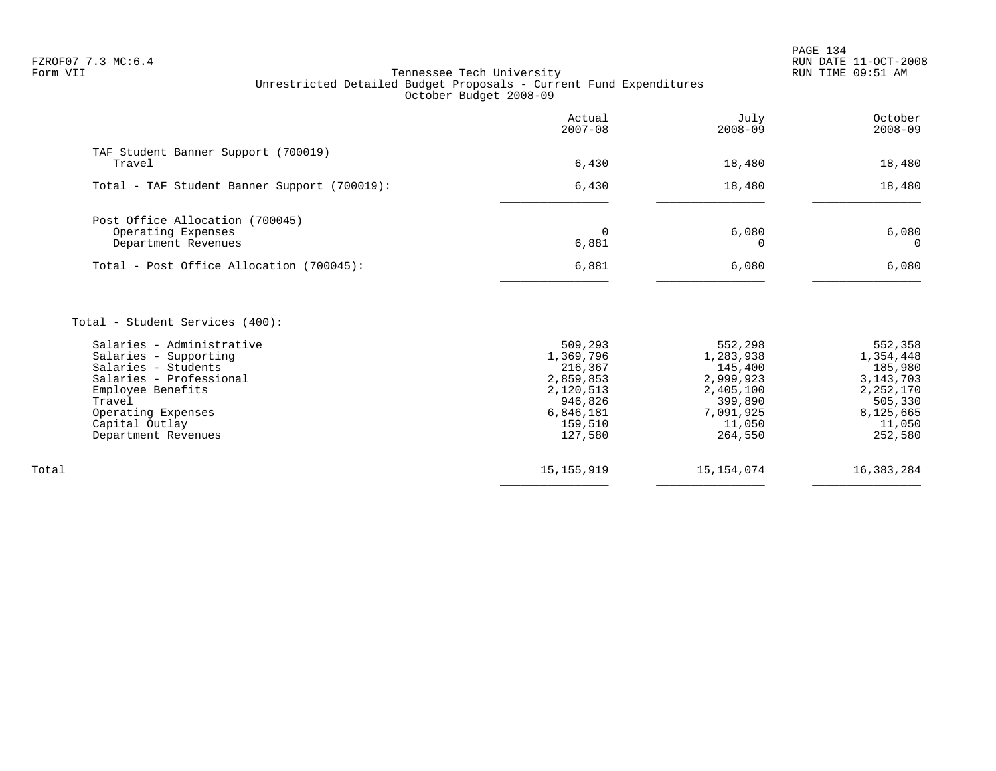| TAF Student Banner Support (700019)<br>6,430<br>Travel<br>18,480<br>6,430<br>18,480<br>Total - TAF Student Banner Support (700019):<br>Post Office Allocation (700045)<br>6,080<br>Operating Expenses<br>$\Omega$<br>6,881<br>Department Revenues<br>$\Omega$<br>6,881<br>6,080<br>Total - Post Office Allocation (700045):<br>Total - Student Services (400):<br>Salaries - Administrative<br>509,293<br>552,298<br>1,369,796<br>Salaries - Supporting<br>1,283,938<br>Salaries - Students<br>216,367<br>145,400<br>Salaries - Professional<br>2,859,853<br>2,999,923<br>2,120,513<br>2,405,100<br>Employee Benefits<br>946,826<br>399,890<br>Travel<br>6,846,181<br>7,091,925<br>Operating Expenses<br>Capital Outlay<br>159,510<br>11,050<br>Department Revenues<br>127,580<br>264,550 | Actual<br>$2007 - 08$ | July<br>$2008 - 09$ | October<br>$2008 - 09$                                                                                   |
|-------------------------------------------------------------------------------------------------------------------------------------------------------------------------------------------------------------------------------------------------------------------------------------------------------------------------------------------------------------------------------------------------------------------------------------------------------------------------------------------------------------------------------------------------------------------------------------------------------------------------------------------------------------------------------------------------------------------------------------------------------------------------------------------|-----------------------|---------------------|----------------------------------------------------------------------------------------------------------|
|                                                                                                                                                                                                                                                                                                                                                                                                                                                                                                                                                                                                                                                                                                                                                                                           |                       |                     | 18,480                                                                                                   |
|                                                                                                                                                                                                                                                                                                                                                                                                                                                                                                                                                                                                                                                                                                                                                                                           |                       |                     | 18,480                                                                                                   |
|                                                                                                                                                                                                                                                                                                                                                                                                                                                                                                                                                                                                                                                                                                                                                                                           |                       |                     |                                                                                                          |
|                                                                                                                                                                                                                                                                                                                                                                                                                                                                                                                                                                                                                                                                                                                                                                                           |                       |                     | 6,080<br>$\Omega$                                                                                        |
|                                                                                                                                                                                                                                                                                                                                                                                                                                                                                                                                                                                                                                                                                                                                                                                           |                       |                     | 6,080                                                                                                    |
|                                                                                                                                                                                                                                                                                                                                                                                                                                                                                                                                                                                                                                                                                                                                                                                           |                       |                     | 552,358<br>1,354,448<br>185,980<br>3, 143, 703<br>2,252,170<br>505,330<br>8,125,665<br>11,050<br>252,580 |
| 15, 154, 074<br>15, 155, 919<br>Total                                                                                                                                                                                                                                                                                                                                                                                                                                                                                                                                                                                                                                                                                                                                                     |                       |                     | 16, 383, 284                                                                                             |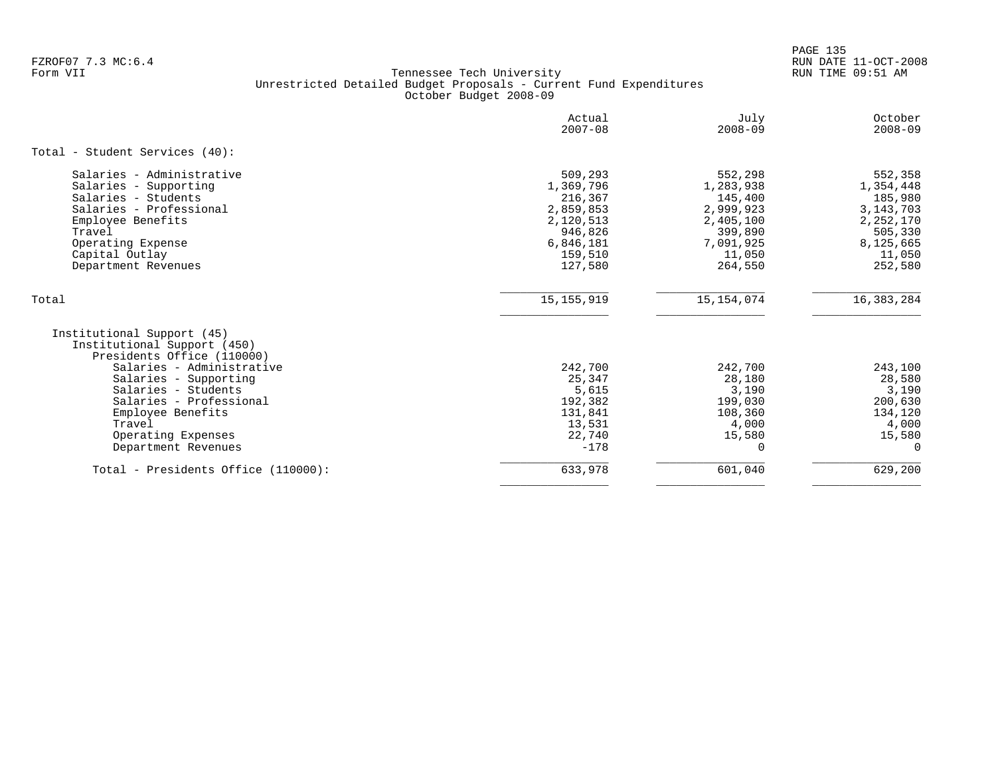PAGE 135 FZROF07 7.3 MC:6.4 RUN DATE 11-OCT-2008

|                                                                                                                                                                                                   | Actual<br>$2007 - 08$                                                                                   | July<br>$2008 - 09$                                                                                    | October<br>$2008 - 09$                                                                                   |
|---------------------------------------------------------------------------------------------------------------------------------------------------------------------------------------------------|---------------------------------------------------------------------------------------------------------|--------------------------------------------------------------------------------------------------------|----------------------------------------------------------------------------------------------------------|
| Total - Student Services (40):                                                                                                                                                                    |                                                                                                         |                                                                                                        |                                                                                                          |
| Salaries - Administrative<br>Salaries - Supporting<br>Salaries - Students<br>Salaries - Professional<br>Employee Benefits<br>Travel<br>Operating Expense<br>Capital Outlay<br>Department Revenues | 509,293<br>1,369,796<br>216,367<br>2,859,853<br>2,120,513<br>946,826<br>6,846,181<br>159,510<br>127,580 | 552,298<br>1,283,938<br>145,400<br>2,999,923<br>2,405,100<br>399,890<br>7,091,925<br>11,050<br>264,550 | 552,358<br>1,354,448<br>185,980<br>3, 143, 703<br>2,252,170<br>505,330<br>8,125,665<br>11,050<br>252,580 |
| Total                                                                                                                                                                                             | 15, 155, 919                                                                                            | 15, 154, 074                                                                                           | 16, 383, 284                                                                                             |
| Institutional Support (45)<br>Institutional Support (450)<br>Presidents Office (110000)                                                                                                           |                                                                                                         |                                                                                                        |                                                                                                          |
| Salaries - Administrative<br>Salaries - Supporting<br>Salaries - Students<br>Salaries - Professional<br>Employee Benefits<br>Travel<br>Operating Expenses<br>Department Revenues                  | 242,700<br>25,347<br>5,615<br>192,382<br>131,841<br>13,531<br>22,740<br>$-178$                          | 242,700<br>28,180<br>3,190<br>199,030<br>108,360<br>4,000<br>15,580                                    | 243,100<br>28,580<br>3,190<br>200,630<br>134,120<br>4,000<br>15,580<br>$\Omega$                          |
| Total - Presidents Office (110000):                                                                                                                                                               | 633,978                                                                                                 | 601,040                                                                                                | 629,200                                                                                                  |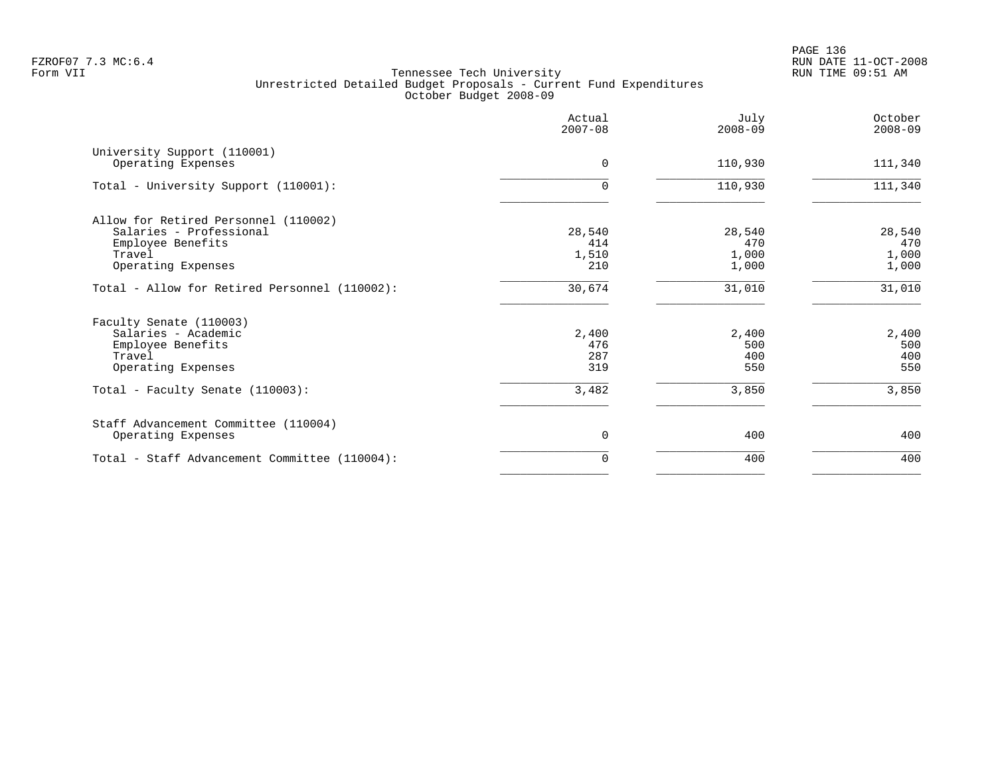|                                                   | Actual<br>$2007 - 08$ | July<br>$2008 - 09$ | October<br>$2008 - 09$ |
|---------------------------------------------------|-----------------------|---------------------|------------------------|
| University Support (110001)<br>Operating Expenses | $\Omega$              | 110,930             | 111,340                |
| Total - University Support (110001):              | $\Omega$              | 110,930             | 111,340                |
| Allow for Retired Personnel (110002)              |                       |                     |                        |
| Salaries - Professional                           | 28,540                | 28,540              | 28,540                 |
| Employee Benefits                                 | 414                   | 470                 | 470                    |
| Travel<br>Operating Expenses                      | 1,510<br>210          | 1,000<br>1,000      | 1,000<br>1,000         |
| Total - Allow for Retired Personnel (110002):     | 30,674                | 31,010              | 31,010                 |
| Faculty Senate (110003)                           |                       |                     |                        |
| Salaries - Academic                               | 2,400                 | 2,400               | 2,400                  |
| Employee Benefits                                 | 476                   | 500                 | 500                    |
| Travel                                            | 287                   | 400                 | 400                    |
| Operating Expenses                                | 319                   | 550                 | 550                    |
| Total - Faculty Senate (110003):                  | 3,482                 | 3,850               | 3,850                  |
| Staff Advancement Committee (110004)              |                       |                     |                        |
| Operating Expenses                                | $\mathbf 0$           | 400                 | 400                    |
| Total - Staff Advancement Committee (110004):     | $\Omega$              | 400                 | 400                    |
|                                                   |                       |                     |                        |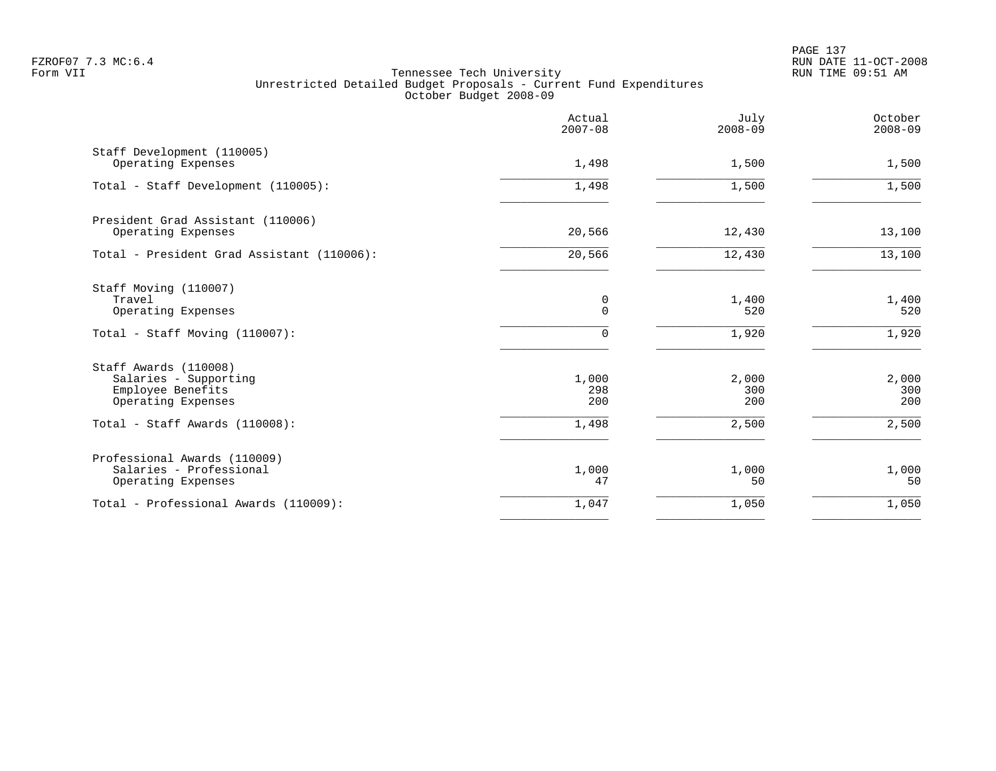|                                                                                           | Actual<br>$2007 - 08$ | July<br>$2008 - 09$   | October<br>$2008 - 09$ |
|-------------------------------------------------------------------------------------------|-----------------------|-----------------------|------------------------|
| Staff Development (110005)<br>Operating Expenses                                          | 1,498                 | 1,500                 | 1,500                  |
| Total - Staff Development (110005):                                                       | 1,498                 | 1,500                 | 1,500                  |
| President Grad Assistant (110006)<br>Operating Expenses                                   | 20,566                | 12,430                | 13,100                 |
| Total - President Grad Assistant (110006):                                                | 20,566                | 12,430                | 13,100                 |
| Staff Moving (110007)<br>Travel<br>Operating Expenses<br>Total - Staff Moving (110007):   | 0<br>$\mathbf 0$<br>0 | 1,400<br>520<br>1,920 | 1,400<br>520<br>1,920  |
| Staff Awards (110008)<br>Salaries - Supporting<br>Employee Benefits<br>Operating Expenses | 1,000<br>298<br>200   | 2,000<br>300<br>200   | 2,000<br>300<br>200    |
| Total - Staff Awards (110008):                                                            | 1,498                 | 2,500                 | 2,500                  |
| Professional Awards (110009)<br>Salaries - Professional<br>Operating Expenses             | 1,000<br>47           | 1,000<br>50           | 1,000<br>50            |
| Total - Professional Awards (110009):                                                     | 1,047                 | 1,050                 | 1,050                  |
|                                                                                           |                       |                       |                        |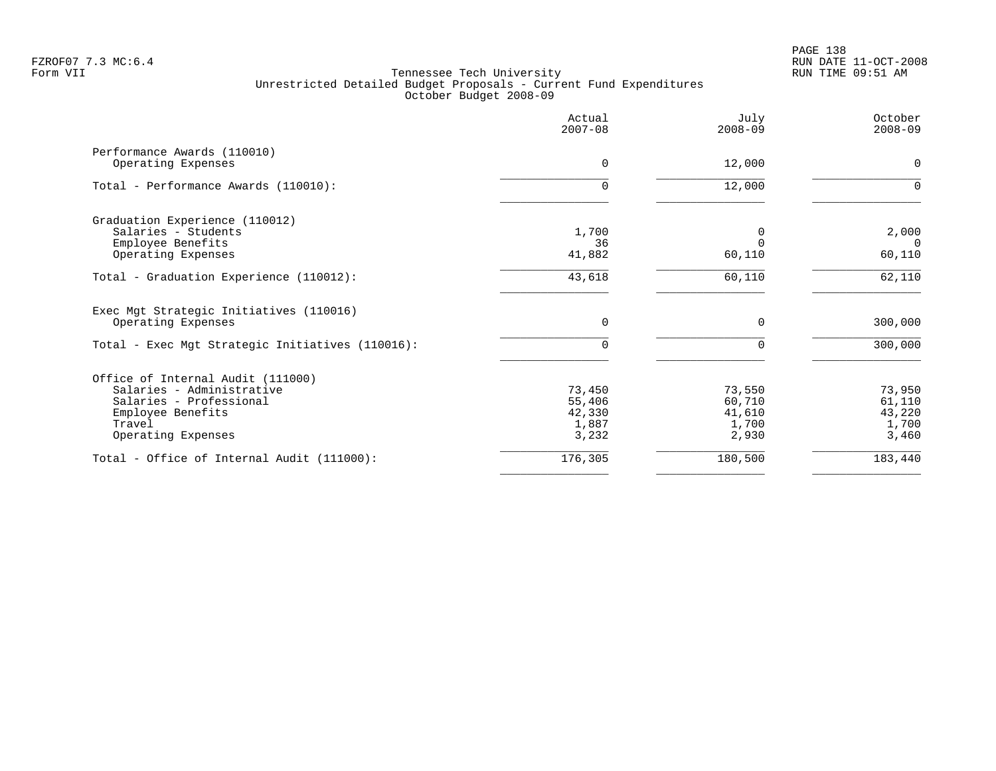|                                                                                           | Actual<br>$2007 - 08$    | July<br>$2008 - 09$      | October<br>$2008 - 09$   |
|-------------------------------------------------------------------------------------------|--------------------------|--------------------------|--------------------------|
| Performance Awards (110010)<br>Operating Expenses                                         | $\Omega$                 | 12,000                   | $\Omega$                 |
| Total - Performance Awards (110010):                                                      | $\Omega$                 | 12,000                   | $\Omega$                 |
| Graduation Experience (110012)<br>Salaries - Students<br>Employee Benefits                | 1,700<br>36              | 0<br>$\Omega$            | 2,000<br>$\cap$          |
| Operating Expenses                                                                        | 41,882                   | 60,110                   | 60,110                   |
| Total - Graduation Experience (110012):                                                   | 43,618                   | 60,110                   | 62,110                   |
| Exec Mgt Strategic Initiatives (110016)<br>Operating Expenses                             | $\mathbf 0$              | $\mathbf 0$              | 300,000                  |
| Total - Exec Mgt Strategic Initiatives (110016):                                          | $\Omega$                 | $\Omega$                 | 300,000                  |
| Office of Internal Audit (111000)<br>Salaries - Administrative<br>Salaries - Professional | 73,450<br>55,406         | 73,550<br>60,710         | 73,950<br>61,110         |
| Employee Benefits<br>Travel<br>Operating Expenses                                         | 42,330<br>1,887<br>3,232 | 41,610<br>1,700<br>2,930 | 43,220<br>1,700<br>3,460 |
| Total - Office of Internal Audit (111000):                                                | 176,305                  | 180,500                  | 183,440                  |
|                                                                                           |                          |                          |                          |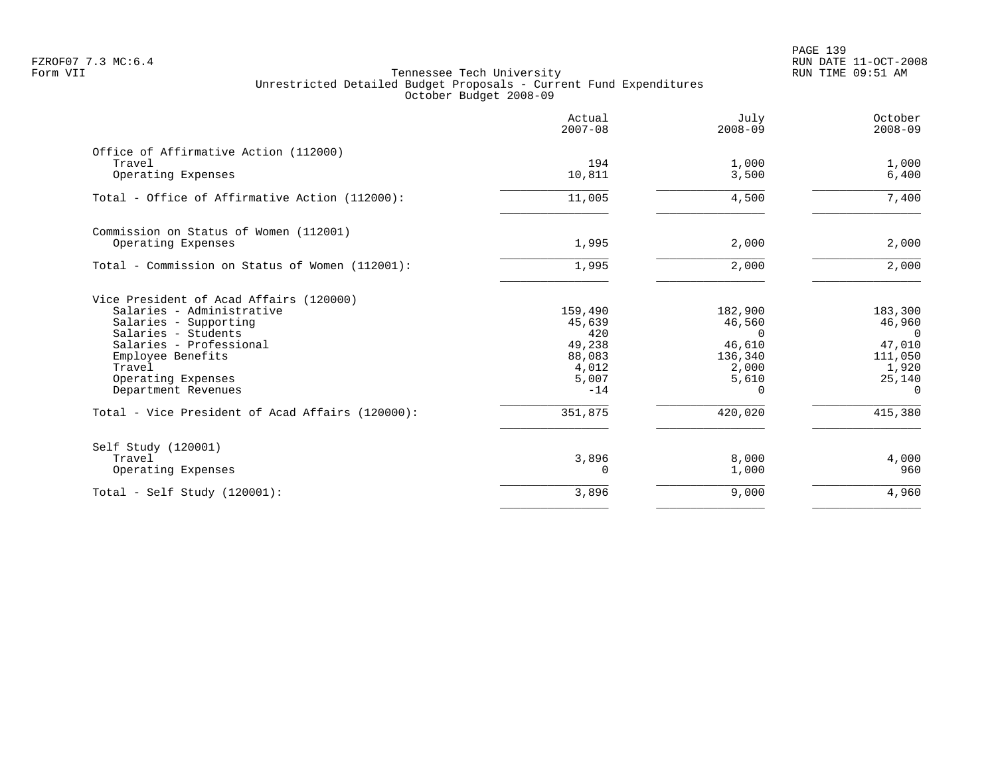|                                                  | Actual<br>$2007 - 08$ | July<br>$2008 - 09$ | October<br>$2008 - 09$ |
|--------------------------------------------------|-----------------------|---------------------|------------------------|
| Office of Affirmative Action (112000)<br>Travel  | 194                   | 1,000               | 1,000                  |
| Operating Expenses                               | 10,811                | 3,500               | 6,400                  |
| Total - Office of Affirmative Action (112000):   | 11,005                | 4,500               | 7,400                  |
| Commission on Status of Women (112001)           |                       |                     |                        |
| Operating Expenses                               | 1,995                 | 2,000               | 2,000                  |
| Total - Commission on Status of Women (112001):  | 1,995                 | 2,000               | 2,000                  |
| Vice President of Acad Affairs (120000)          |                       |                     |                        |
| Salaries - Administrative                        | 159,490               | 182,900             | 183,300                |
| Salaries - Supporting<br>Salaries - Students     | 45,639<br>420         | 46,560<br>$\Omega$  | 46,960<br>$\Omega$     |
| Salaries - Professional                          | 49,238                | 46,610              | 47,010                 |
| Employee Benefits                                | 88,083                | 136,340             | 111,050                |
| Travel                                           | 4,012                 | 2,000               | 1,920                  |
| Operating Expenses                               | 5,007                 | 5,610               | 25,140                 |
| Department Revenues                              | $-14$                 | $\Omega$            | $\Omega$               |
| Total - Vice President of Acad Affairs (120000): | 351,875               | 420,020             | 415,380                |
| Self Study (120001)                              |                       |                     |                        |
| Travel                                           | 3,896                 | 8,000               | 4,000                  |
| Operating Expenses                               | 0                     | 1,000               | 960                    |
| Total - Self Study $(120001)$ :                  | 3,896                 | 9,000               | 4,960                  |
|                                                  |                       |                     |                        |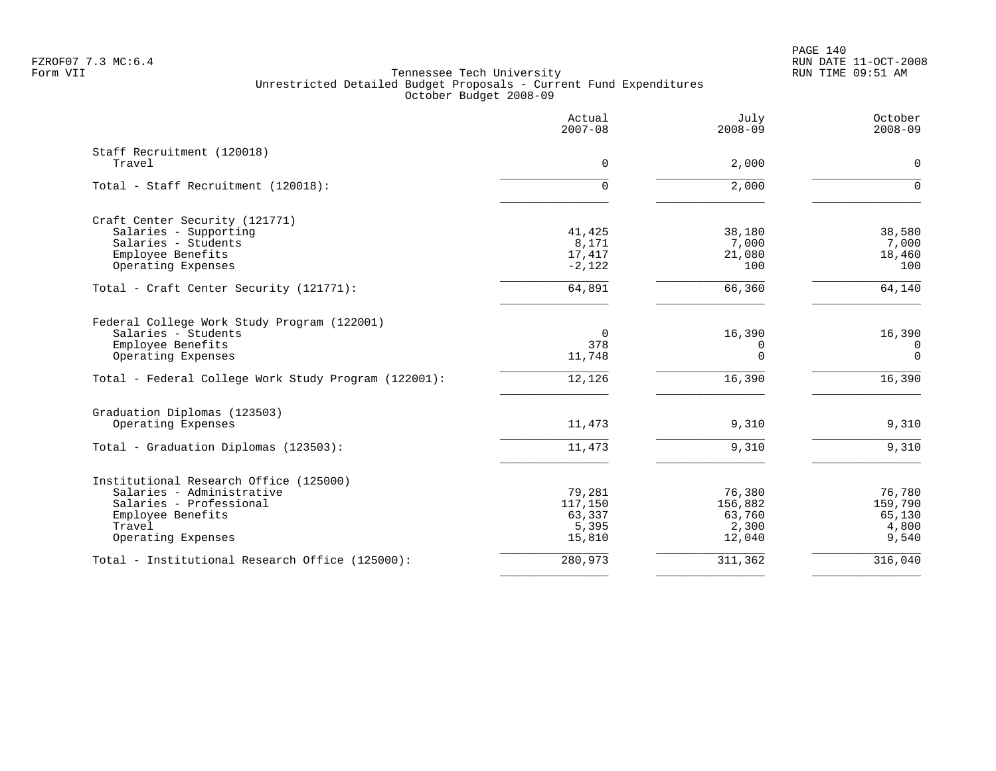PAGE 140 FZROF07 7.3 MC:6.4 RUN DATE 11-OCT-2008

|                                                      | Actual<br>$2007 - 08$ | July<br>$2008 - 09$ | October<br>$2008 - 09$ |
|------------------------------------------------------|-----------------------|---------------------|------------------------|
| Staff Recruitment (120018)<br>Travel                 | $\mathbf 0$           | 2,000               | $\mathbf 0$            |
|                                                      |                       |                     |                        |
| Total - Staff Recruitment (120018):                  | $\Omega$              | 2,000               | $\Omega$               |
| Craft Center Security (121771)                       |                       |                     |                        |
| Salaries - Supporting                                | 41,425                | 38,180              | 38,580                 |
| Salaries - Students                                  | 8,171                 | 7,000               | 7,000                  |
| Employee Benefits                                    | 17,417                | 21,080              | 18,460                 |
| Operating Expenses                                   | $-2,122$              | 100                 | 100                    |
| Total - Craft Center Security (121771):              | 64,891                | 66,360              | 64,140                 |
| Federal College Work Study Program (122001)          |                       |                     |                        |
| Salaries - Students                                  | $\Omega$              | 16,390              | 16,390                 |
| Employee Benefits                                    | 378                   | 0                   | 0                      |
| Operating Expenses                                   | 11,748                | $\Omega$            | $\mathbf 0$            |
| Total - Federal College Work Study Program (122001): | 12,126                | 16,390              | 16,390                 |
| Graduation Diplomas (123503)                         |                       |                     |                        |
| Operating Expenses                                   | 11,473                | 9,310               | 9,310                  |
| Total - Graduation Diplomas (123503):                | 11,473                | 9,310               | 9,310                  |
| Institutional Research Office (125000)               |                       |                     |                        |
| Salaries - Administrative                            | 79,281                | 76,380              | 76,780                 |
| Salaries - Professional                              | 117,150               | 156,882             | 159,790                |
| Employee Benefits                                    | 63,337                | 63,760              | 65,130                 |
| Travel                                               | 5,395                 | 2,300               | 4,800                  |
| Operating Expenses                                   | 15,810                | 12,040              | 9,540                  |
| Total - Institutional Research Office (125000):      | 280,973               | 311,362             | 316,040                |
|                                                      |                       |                     |                        |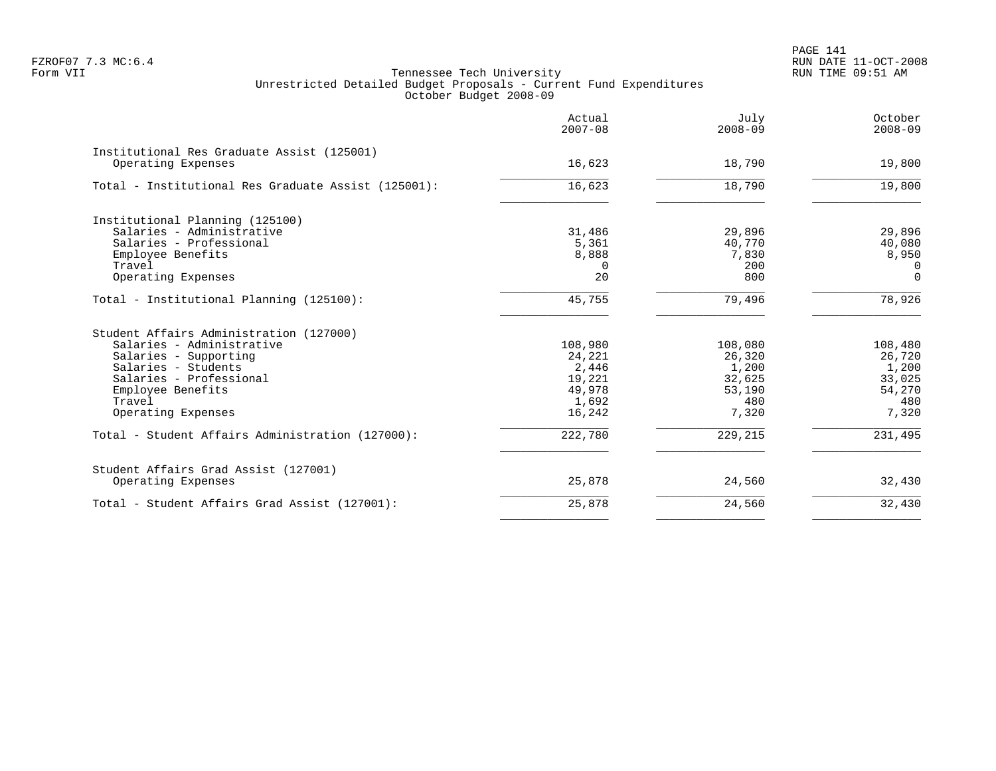|                                                     | Actual<br>$2007 - 08$ | July<br>$2008 - 09$ | October<br>$2008 - 09$ |
|-----------------------------------------------------|-----------------------|---------------------|------------------------|
| Institutional Res Graduate Assist (125001)          |                       |                     |                        |
| Operating Expenses                                  | 16,623                | 18,790              | 19,800                 |
| Total - Institutional Res Graduate Assist (125001): | 16,623                | 18,790              | 19,800                 |
| Institutional Planning (125100)                     |                       |                     |                        |
| Salaries - Administrative                           | 31,486                | 29,896              | 29,896                 |
| Salaries - Professional                             | 5,361                 | 40,770              | 40,080                 |
| Employee Benefits                                   | 8,888                 | 7,830               | 8,950                  |
| Travel                                              | $\Omega$              | 200                 | $\Omega$               |
| Operating Expenses                                  | 20                    | 800                 | $\Omega$               |
| Total - Institutional Planning (125100):            | 45,755                | 79,496              | 78,926                 |
| Student Affairs Administration (127000)             |                       |                     |                        |
| Salaries - Administrative                           | 108,980               | 108,080             | 108,480                |
| Salaries - Supporting                               | 24,221                | 26,320              | 26,720                 |
| Salaries - Students                                 | 2,446                 | 1,200               | 1,200                  |
| Salaries - Professional                             | 19,221                | 32,625              | 33,025                 |
| Employee Benefits                                   | 49,978                | 53,190              | 54,270                 |
| Travel                                              | 1,692                 | 480                 | 480                    |
| Operating Expenses                                  | 16,242                | 7,320               | 7,320                  |
| Total - Student Affairs Administration (127000):    | 222,780               | 229,215             | 231,495                |
| Student Affairs Grad Assist (127001)                |                       |                     |                        |
| Operating Expenses                                  | 25,878                | 24,560              | 32,430                 |
| Total - Student Affairs Grad Assist (127001):       | 25,878                | 24,560              | 32,430                 |
|                                                     |                       |                     |                        |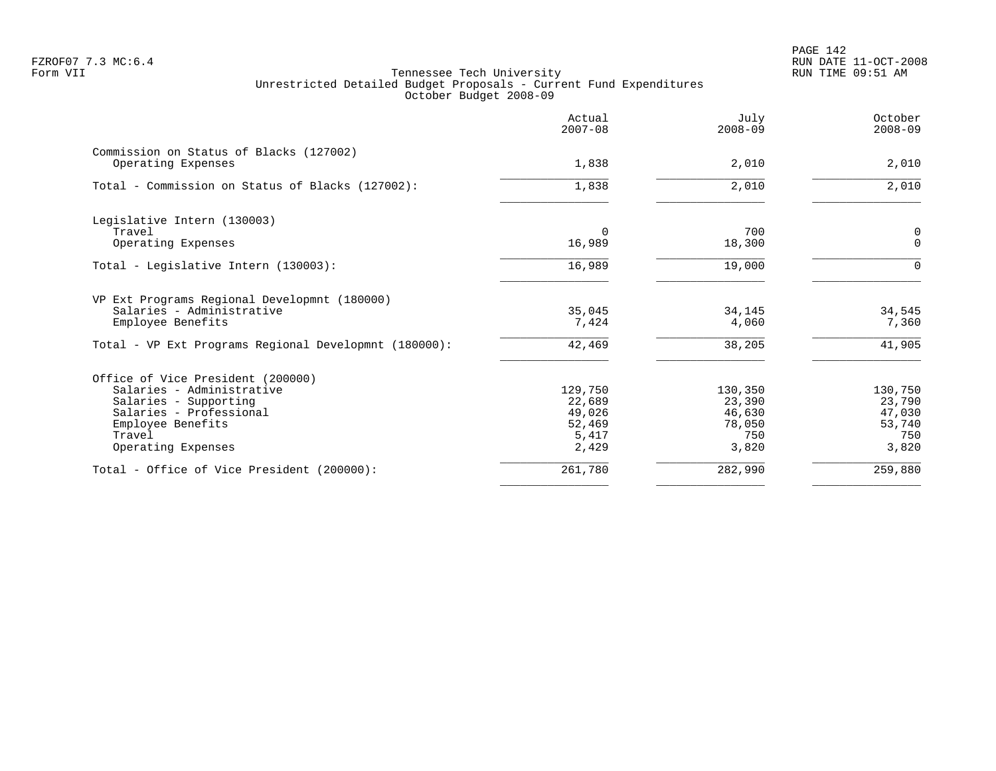PAGE 142 FZROF07 7.3 MC:6.4 RUN DATE 11-OCT-2008

|                                                       | Actual<br>$2007 - 08$ | July<br>$2008 - 09$ | October<br>$2008 - 09$ |
|-------------------------------------------------------|-----------------------|---------------------|------------------------|
| Commission on Status of Blacks (127002)               |                       |                     |                        |
| Operating Expenses                                    | 1,838                 | 2,010               | 2,010                  |
| Total - Commission on Status of Blacks (127002):      | 1,838                 | 2,010               | 2,010                  |
| Legislative Intern (130003)                           |                       |                     |                        |
| Travel                                                | $\Omega$              | 700                 | 0                      |
| Operating Expenses                                    | 16,989                | 18,300              | $\mathbf 0$            |
| Total - Legislative Intern (130003):                  | 16,989                | 19,000              | $\Omega$               |
| VP Ext Programs Regional Developmnt (180000)          |                       |                     |                        |
| Salaries - Administrative                             | 35,045                | 34,145              | 34,545                 |
| Employee Benefits                                     | 7,424                 | 4,060               | 7,360                  |
| Total - VP Ext Programs Regional Developmnt (180000): | 42,469                | 38,205              | 41,905                 |
| Office of Vice President (200000)                     |                       |                     |                        |
| Salaries - Administrative                             | 129,750               | 130,350             | 130,750                |
| Salaries - Supporting                                 | 22,689                | 23,390              | 23,790                 |
| Salaries - Professional                               | 49,026                | 46,630              | 47,030                 |
| Employee Benefits                                     | 52,469                | 78,050              | 53,740                 |
| Travel                                                | 5,417                 | 750                 | 750                    |
| Operating Expenses                                    | 2,429                 | 3,820               | 3,820                  |
| Total - Office of Vice President (200000):            | 261,780               | 282,990             | 259,880                |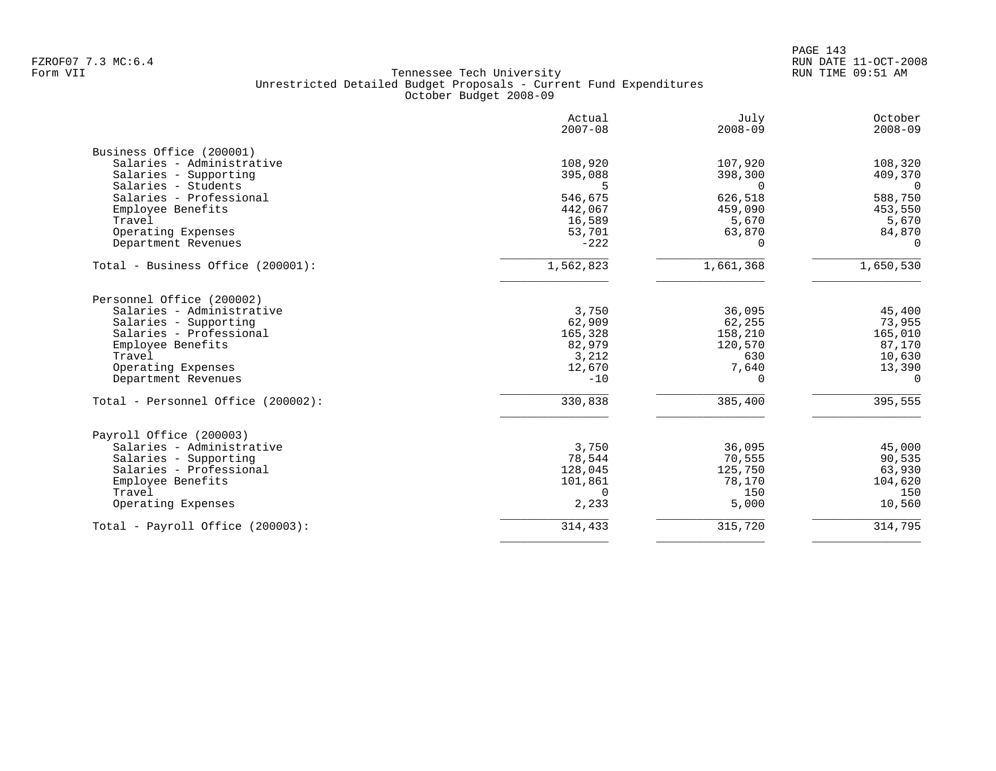|                                    | Actual<br>$2007 - 08$ | July<br>$2008 - 09$ | October<br>$2008 - 09$ |
|------------------------------------|-----------------------|---------------------|------------------------|
| Business Office (200001)           |                       |                     |                        |
| Salaries - Administrative          | 108,920               | 107,920             | 108,320                |
| Salaries - Supporting              | 395,088               | 398,300             | 409,370                |
| Salaries - Students                | 5                     | $\Omega$            | $\overline{0}$         |
| Salaries - Professional            | 546,675               | 626,518             | 588,750                |
| Employee Benefits                  | 442,067               | 459,090             | 453,550                |
| Travel                             | 16,589                | 5,670               | 5,670                  |
| Operating Expenses                 | 53,701                | 63,870              | 84,870                 |
| Department Revenues                | $-222$                | <sup>n</sup>        | $\Omega$               |
| Total - Business Office (200001):  | 1,562,823             | 1,661,368           | 1,650,530              |
| Personnel Office (200002)          |                       |                     |                        |
| Salaries - Administrative          | 3,750                 | 36,095              | 45,400                 |
| Salaries - Supporting              | 62,909                | 62,255              | 73,955                 |
| Salaries - Professional            | 165,328               | 158,210             | 165,010                |
| Employee Benefits                  | 82,979                | 120,570             | 87,170                 |
| Travel                             | 3,212                 | 630                 | 10,630                 |
| Operating Expenses                 | 12,670                | 7,640               | 13,390                 |
| Department Revenues                | $-10$                 | $\Omega$            | $\Omega$               |
| Total - Personnel Office (200002): | 330,838               | 385,400             | 395,555                |
| Payroll Office (200003)            |                       |                     |                        |
| Salaries - Administrative          | 3,750                 | 36,095              | 45,000                 |
| Salaries - Supporting              | 78,544                | 70,555              | 90,535                 |
| Salaries - Professional            | 128,045               | 125,750             | 63,930                 |
| Employee Benefits                  | 101,861               | 78,170              | 104,620                |
| Travel                             | $\mathbf 0$           | 150                 | 150                    |
| Operating Expenses                 | 2,233                 | 5,000               | 10,560                 |
| Total - Payroll Office (200003):   | 314,433               | 315,720             | 314,795                |
|                                    |                       |                     |                        |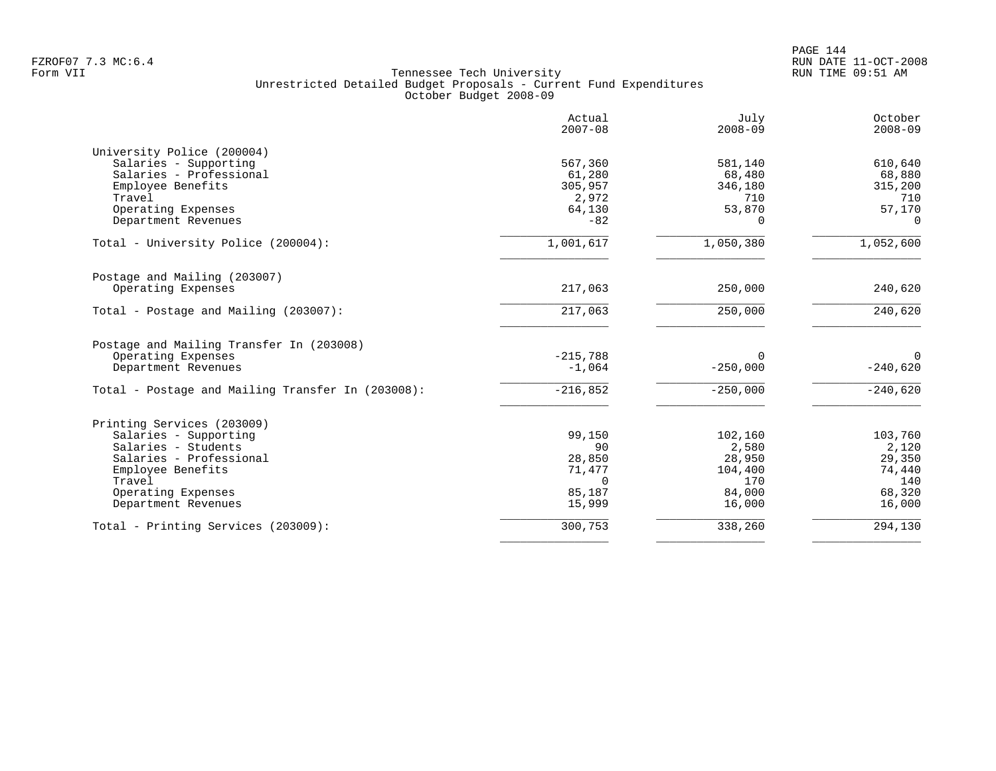|                                                                                       | Actual<br>$2007 - 08$  | July<br>$2008 - 09$    | October<br>$2008 - 09$ |
|---------------------------------------------------------------------------------------|------------------------|------------------------|------------------------|
| University Police (200004)                                                            |                        |                        |                        |
| Salaries - Supporting                                                                 | 567,360                | 581,140                | 610,640                |
| Salaries - Professional                                                               | 61,280                 | 68,480                 | 68,880                 |
| Employee Benefits                                                                     | 305,957                | 346,180                | 315,200                |
| Travel                                                                                | 2,972                  | 710                    | 710                    |
| Operating Expenses                                                                    | 64,130                 | 53,870                 | 57,170                 |
| Department Revenues                                                                   | $-82$                  | $\Omega$               | $\Omega$               |
| Total - University Police (200004):                                                   | 1,001,617              | 1,050,380              | 1,052,600              |
| Postage and Mailing (203007)                                                          |                        |                        |                        |
| Operating Expenses                                                                    | 217,063                | 250,000                | 240,620                |
| Total - Postage and Mailing (203007):                                                 | 217,063                | 250,000                | 240,620                |
| Postage and Mailing Transfer In (203008)<br>Operating Expenses<br>Department Revenues | $-215,788$<br>$-1,064$ | $\Omega$<br>$-250,000$ | $\Omega$<br>$-240,620$ |
| Total - Postage and Mailing Transfer In (203008):                                     | $-216,852$             | $-250,000$             | $-240,620$             |
| Printing Services (203009)                                                            |                        |                        |                        |
| Salaries - Supporting                                                                 | 99,150                 | 102,160                | 103,760                |
| Salaries - Students                                                                   | 90                     | 2,580                  | 2,120                  |
| Salaries - Professional                                                               | 28,850                 | 28,950                 | 29,350                 |
| Employee Benefits                                                                     | 71,477                 | 104,400                | 74,440                 |
| Travel                                                                                | $\Omega$               | 170                    | 140                    |
| Operating Expenses                                                                    | 85,187                 | 84,000                 | 68,320                 |
| Department Revenues                                                                   | 15,999                 | 16,000                 | 16,000                 |
| Total - Printing Services (203009):                                                   | 300,753                | 338,260                | 294,130                |
|                                                                                       |                        |                        |                        |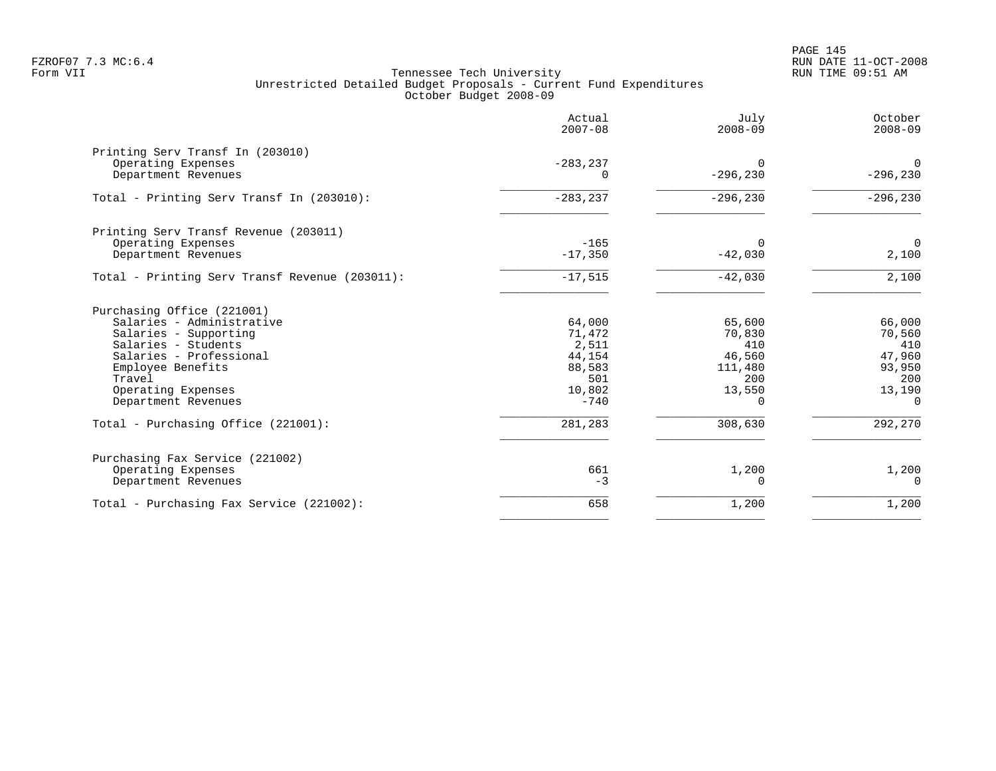PAGE 145 FZROF07 7.3 MC:6.4 RUN DATE 11-OCT-2008

|                                                                                                                                                                                                                | Actual<br>$2007 - 08$                                                    | July<br>$2008 - 09$                                                       | October<br>$2008 - 09$                                                   |
|----------------------------------------------------------------------------------------------------------------------------------------------------------------------------------------------------------------|--------------------------------------------------------------------------|---------------------------------------------------------------------------|--------------------------------------------------------------------------|
| Printing Serv Transf In (203010)<br>Operating Expenses<br>Department Revenues                                                                                                                                  | $-283, 237$<br>0                                                         | $\Omega$<br>$-296, 230$                                                   | $\mathbf 0$<br>$-296, 230$                                               |
| Total - Printing Serv Transf In (203010):                                                                                                                                                                      | $-283, 237$                                                              | $-296, 230$                                                               | $-296, 230$                                                              |
| Printing Serv Transf Revenue (203011)<br>Operating Expenses<br>Department Revenues                                                                                                                             | $-165$<br>$-17,350$                                                      | $\Omega$<br>$-42,030$                                                     | $\overline{0}$<br>2,100                                                  |
| Total - Printing Serv Transf Revenue (203011):                                                                                                                                                                 | $-17,515$                                                                | $-42,030$                                                                 | 2,100                                                                    |
| Purchasing Office (221001)<br>Salaries - Administrative<br>Salaries - Supporting<br>Salaries - Students<br>Salaries - Professional<br>Employee Benefits<br>Travel<br>Operating Expenses<br>Department Revenues | 64,000<br>71,472<br>2,511<br>44,154<br>88,583<br>501<br>10,802<br>$-740$ | 65,600<br>70,830<br>410<br>46,560<br>111,480<br>200<br>13,550<br>$\Omega$ | 66,000<br>70,560<br>410<br>47,960<br>93,950<br>200<br>13,190<br>$\Omega$ |
| Total - Purchasing Office (221001):                                                                                                                                                                            | 281,283                                                                  | 308,630                                                                   | 292,270                                                                  |
| Purchasing Fax Service (221002)<br>Operating Expenses<br>Department Revenues                                                                                                                                   | 661<br>$-3$                                                              | 1,200<br>0                                                                | 1,200<br>$\Omega$                                                        |
| Total - Purchasing Fax Service (221002):                                                                                                                                                                       | 658                                                                      | 1,200                                                                     | 1,200                                                                    |
|                                                                                                                                                                                                                |                                                                          |                                                                           |                                                                          |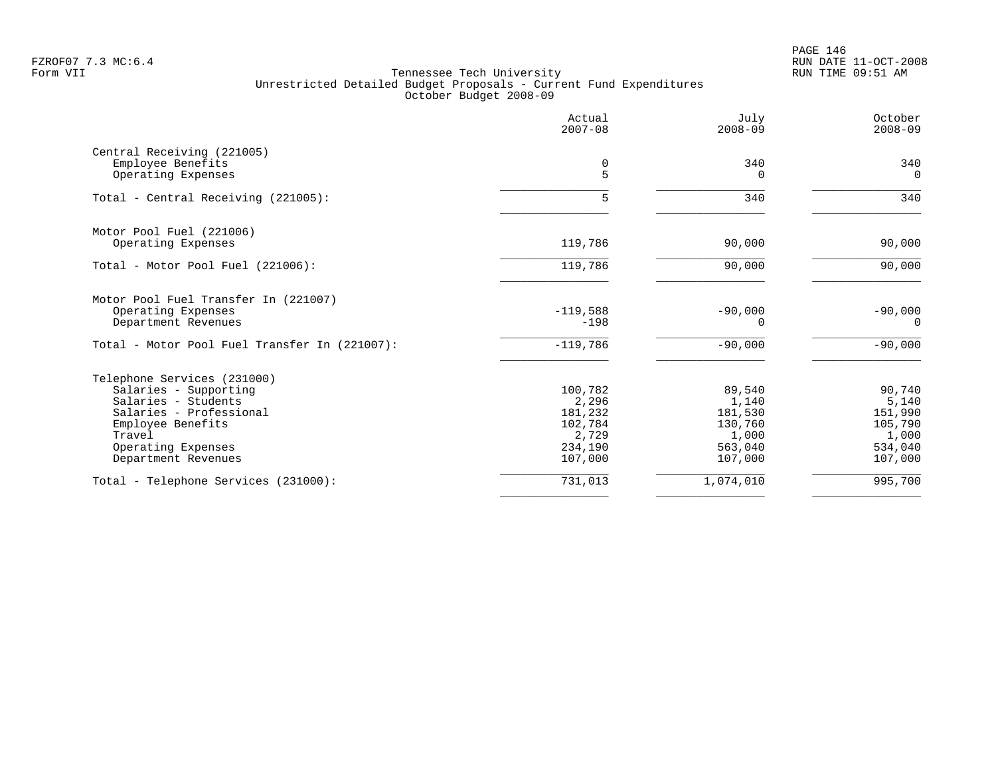PAGE 146 FZROF07 7.3 MC:6.4 RUN DATE 11-OCT-2008

|                                                 | Actual<br>$2007 - 08$ | July<br>$2008 - 09$   | October<br>$2008 - 09$ |
|-------------------------------------------------|-----------------------|-----------------------|------------------------|
| Central Receiving (221005)<br>Employee Benefits | 0                     | 340                   | 340                    |
| Operating Expenses                              | 5                     | $\Omega$              | $\mathbf 0$            |
| Total - Central Receiving (221005):             | 5                     | 340                   | 340                    |
| Motor Pool Fuel (221006)                        |                       |                       |                        |
| Operating Expenses                              | 119,786               | 90,000                | 90,000                 |
| Total - Motor Pool Fuel (221006):               | 119,786               | 90,000                | 90,000                 |
| Motor Pool Fuel Transfer In (221007)            |                       |                       |                        |
| Operating Expenses<br>Department Revenues       | $-119,588$<br>$-198$  | $-90,000$<br>$\Omega$ | $-90,000$<br>$\Omega$  |
| Total - Motor Pool Fuel Transfer In (221007):   | $-119,786$            | $-90,000$             | $-90,000$              |
| Telephone Services (231000)                     |                       |                       |                        |
| Salaries - Supporting                           | 100,782               | 89,540                | 90,740                 |
| Salaries - Students                             | 2,296                 | 1,140                 | 5,140                  |
| Salaries - Professional                         | 181,232               | 181,530               | 151,990                |
| Employee Benefits<br>Travel                     | 102,784<br>2,729      | 130,760<br>1,000      | 105,790<br>1,000       |
| Operating Expenses                              | 234,190               | 563,040               | 534,040                |
| Department Revenues                             | 107,000               | 107,000               | 107,000                |
| Total - Telephone Services (231000):            | 731,013               | 1,074,010             | 995,700                |
|                                                 |                       |                       |                        |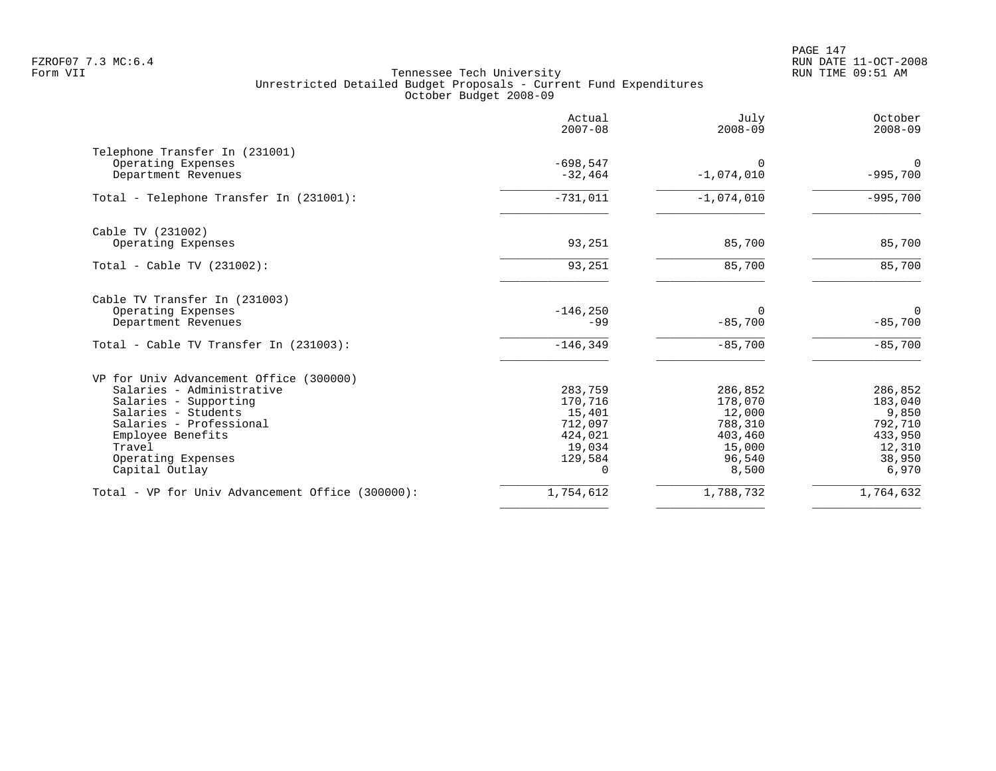PAGE 147 FZROF07 7.3 MC:6.4 RUN DATE 11-OCT-2008

| Actual<br>$2007 - 08$ | July<br>$2008 - 09$                                                                       | October<br>$2008 - 09$                                                  |
|-----------------------|-------------------------------------------------------------------------------------------|-------------------------------------------------------------------------|
|                       |                                                                                           |                                                                         |
| $-32, 464$            | $-1,074,010$                                                                              | $\Omega$<br>$-995,700$                                                  |
| $-731,011$            | $-1,074,010$                                                                              | $-995,700$                                                              |
|                       |                                                                                           |                                                                         |
| 93,251                | 85,700                                                                                    | 85,700                                                                  |
| 93,251                | 85,700                                                                                    | 85,700                                                                  |
|                       |                                                                                           |                                                                         |
| $-99$                 | $\Omega$<br>$-85,700$                                                                     | $\mathbf 0$<br>$-85,700$                                                |
| $-146, 349$           | $-85,700$                                                                                 | $-85,700$                                                               |
|                       |                                                                                           |                                                                         |
| 283,759               | 286,852                                                                                   | 286,852                                                                 |
|                       |                                                                                           | 183,040                                                                 |
|                       |                                                                                           | 9,850                                                                   |
|                       |                                                                                           | 792,710                                                                 |
|                       |                                                                                           | 433,950<br>12,310                                                       |
|                       |                                                                                           | 38,950                                                                  |
| 0                     | 8,500                                                                                     | 6,970                                                                   |
| 1,754,612             | 1,788,732                                                                                 | 1,764,632                                                               |
|                       | $-698,547$<br>$-146, 250$<br>170,716<br>15,401<br>712,097<br>424,021<br>19,034<br>129,584 | $\Omega$<br>178,070<br>12,000<br>788,310<br>403,460<br>15,000<br>96,540 |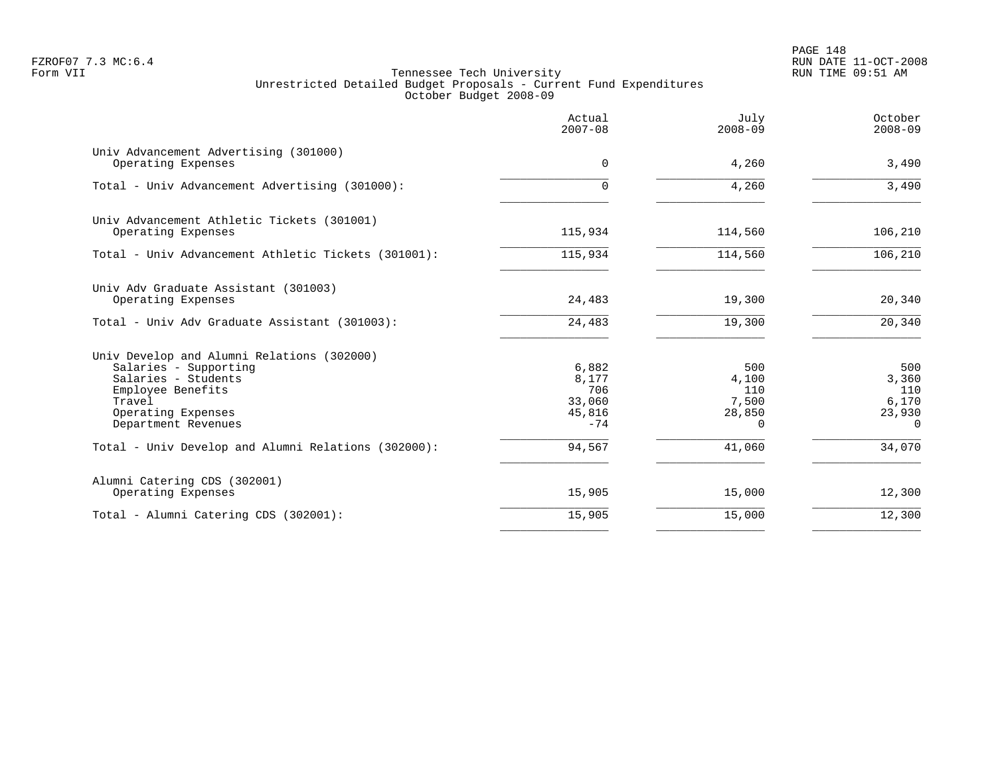PAGE 148 FZROF07 7.3 MC:6.4 RUN DATE 11-OCT-2008

|                                                                                                                                                                        | Actual<br>$2007 - 08$                              | July<br>$2008 - 09$                         | October<br>$2008 - 09$                             |
|------------------------------------------------------------------------------------------------------------------------------------------------------------------------|----------------------------------------------------|---------------------------------------------|----------------------------------------------------|
| Univ Advancement Advertising (301000)<br>Operating Expenses                                                                                                            | $\Omega$                                           | 4,260                                       | 3,490                                              |
| Total - Univ Advancement Advertising (301000):                                                                                                                         | $\Omega$                                           | 4,260                                       | 3,490                                              |
| Univ Advancement Athletic Tickets (301001)<br>Operating Expenses                                                                                                       | 115,934                                            | 114,560                                     | 106,210                                            |
| Total - Univ Advancement Athletic Tickets (301001):                                                                                                                    | 115,934                                            | 114,560                                     | 106,210                                            |
| Univ Adv Graduate Assistant (301003)<br>Operating Expenses                                                                                                             | 24,483                                             | 19,300                                      | 20,340                                             |
| Total - Univ Adv Graduate Assistant (301003):                                                                                                                          | 24,483                                             | 19,300                                      | 20,340                                             |
| Univ Develop and Alumni Relations (302000)<br>Salaries - Supporting<br>Salaries - Students<br>Employee Benefits<br>Travel<br>Operating Expenses<br>Department Revenues | 6,882<br>8,177<br>706<br>33,060<br>45,816<br>$-74$ | 500<br>4,100<br>110<br>7,500<br>28,850<br>0 | 500<br>3,360<br>110<br>6,170<br>23,930<br>$\Omega$ |
| Total - Univ Develop and Alumni Relations (302000):                                                                                                                    | 94,567                                             | 41,060                                      | 34,070                                             |
| Alumni Catering CDS (302001)<br>Operating Expenses                                                                                                                     | 15,905                                             | 15,000                                      | 12,300                                             |
| Total - Alumni Catering CDS (302001):                                                                                                                                  | 15,905                                             | 15,000                                      | 12,300                                             |
|                                                                                                                                                                        |                                                    |                                             |                                                    |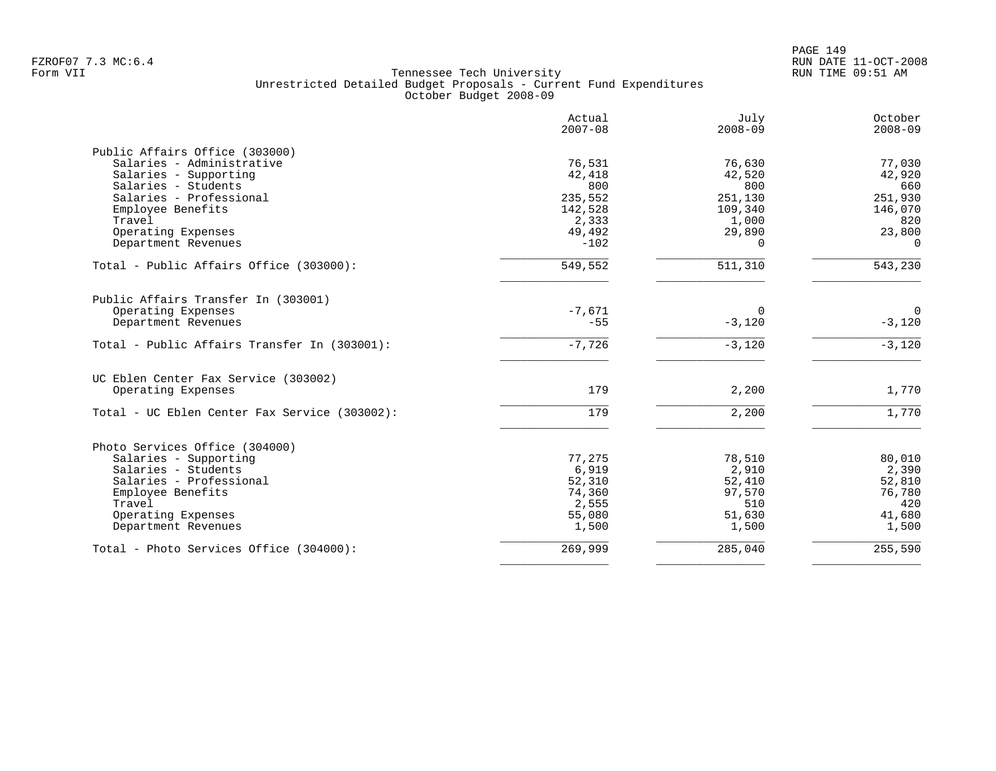|                                               | Actual<br>$2007 - 08$ | July<br>$2008 - 09$ | October<br>$2008 - 09$ |
|-----------------------------------------------|-----------------------|---------------------|------------------------|
| Public Affairs Office (303000)                |                       |                     |                        |
| Salaries - Administrative                     | 76,531                | 76,630              | 77,030                 |
| Salaries - Supporting                         | 42,418                | 42,520              | 42,920                 |
| Salaries - Students                           | 800                   | 800                 | 660                    |
| Salaries - Professional                       | 235,552               | 251,130             | 251,930                |
| Employee Benefits                             | 142,528               | 109,340             | 146,070                |
| Travel                                        | 2,333                 | 1,000               | 820                    |
| Operating Expenses                            | 49,492                | 29,890              | 23,800                 |
| Department Revenues                           | $-102$                | $\Omega$            | $\Omega$               |
| Total - Public Affairs Office (303000):       | 549,552               | 511,310             | 543,230                |
| Public Affairs Transfer In (303001)           |                       |                     |                        |
| Operating Expenses                            | $-7,671$              | $\Omega$            | $\overline{0}$         |
| Department Revenues                           | $-55$                 | $-3,120$            | $-3,120$               |
| Total - Public Affairs Transfer In (303001):  | $-7,726$              | $-3,120$            | $-3,120$               |
| UC Eblen Center Fax Service (303002)          |                       |                     |                        |
| Operating Expenses                            | 179                   | 2,200               | 1,770                  |
| Total - UC Eblen Center Fax Service (303002): | 179                   | 2,200               | 1,770                  |
| Photo Services Office (304000)                |                       |                     |                        |
| Salaries - Supporting                         | 77,275                | 78,510              | 80,010                 |
| Salaries - Students                           | 6,919                 | 2,910               | 2,390                  |
| Salaries - Professional                       | 52,310                | 52,410              | 52,810                 |
| Employee Benefits                             | 74,360                | 97,570              | 76,780                 |
| Travel                                        | 2,555                 | 510                 | 420                    |
| Operating Expenses                            | 55,080                | 51,630              | 41,680                 |
| Department Revenues                           | 1,500                 | 1,500               | 1,500                  |
| Total - Photo Services Office (304000):       | 269,999               | 285,040             | 255,590                |
|                                               |                       |                     |                        |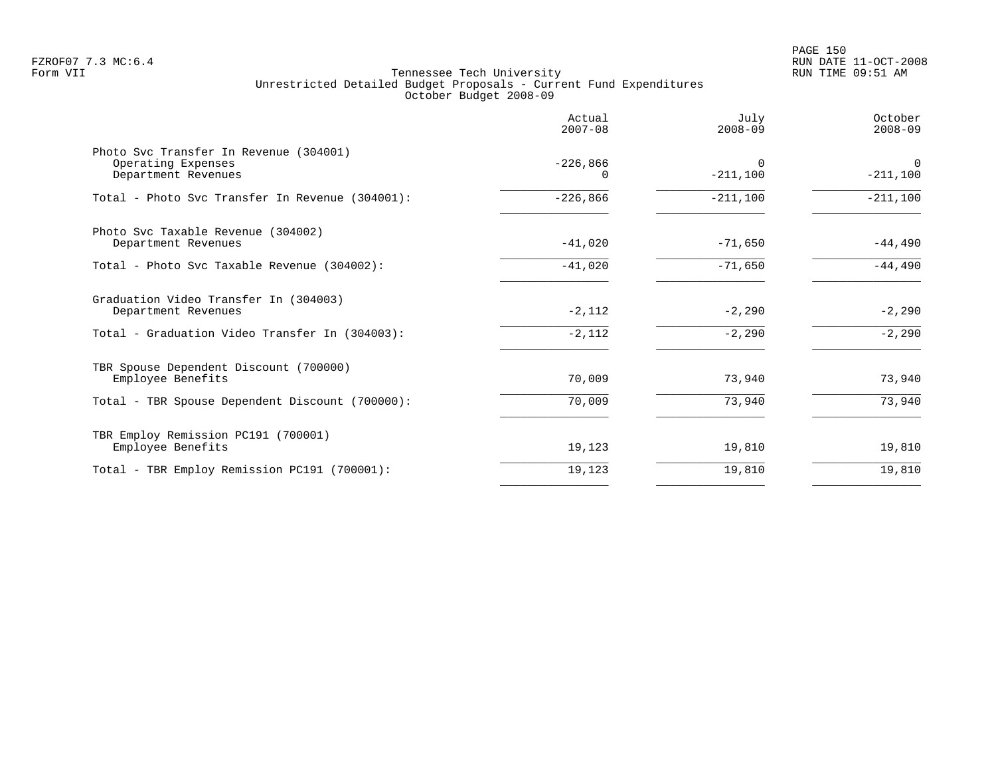|                                                                                     | Actual<br>$2007 - 08$ | July<br>$2008 - 09$    | October<br>$2008 - 09$    |
|-------------------------------------------------------------------------------------|-----------------------|------------------------|---------------------------|
| Photo Svc Transfer In Revenue (304001)<br>Operating Expenses<br>Department Revenues | $-226,866$            | $\Omega$<br>$-211,100$ | $\mathbf 0$<br>$-211,100$ |
| Total - Photo Svc Transfer In Revenue (304001):                                     | $-226,866$            | $-211,100$             | $-211,100$                |
| Photo Svc Taxable Revenue (304002)<br>Department Revenues                           | $-41,020$             | $-71,650$              | $-44,490$                 |
| Total - Photo Svc Taxable Revenue (304002):                                         | $-41,020$             | $-71,650$              | $-44,490$                 |
| Graduation Video Transfer In (304003)<br>Department Revenues                        | $-2,112$              | $-2,290$               | $-2,290$                  |
| Total - Graduation Video Transfer In (304003):                                      | $-2,112$              | $-2,290$               | $-2,290$                  |
| TBR Spouse Dependent Discount (700000)<br>Employee Benefits                         | 70,009                | 73,940                 | 73,940                    |
| Total - TBR Spouse Dependent Discount (700000):                                     | 70,009                | 73,940                 | 73,940                    |
| TBR Employ Remission PC191 (700001)<br>Employee Benefits                            | 19,123                | 19,810                 | 19,810                    |
| Total - TBR Employ Remission PC191 (700001):                                        | 19,123                | 19,810                 | 19,810                    |
|                                                                                     |                       |                        |                           |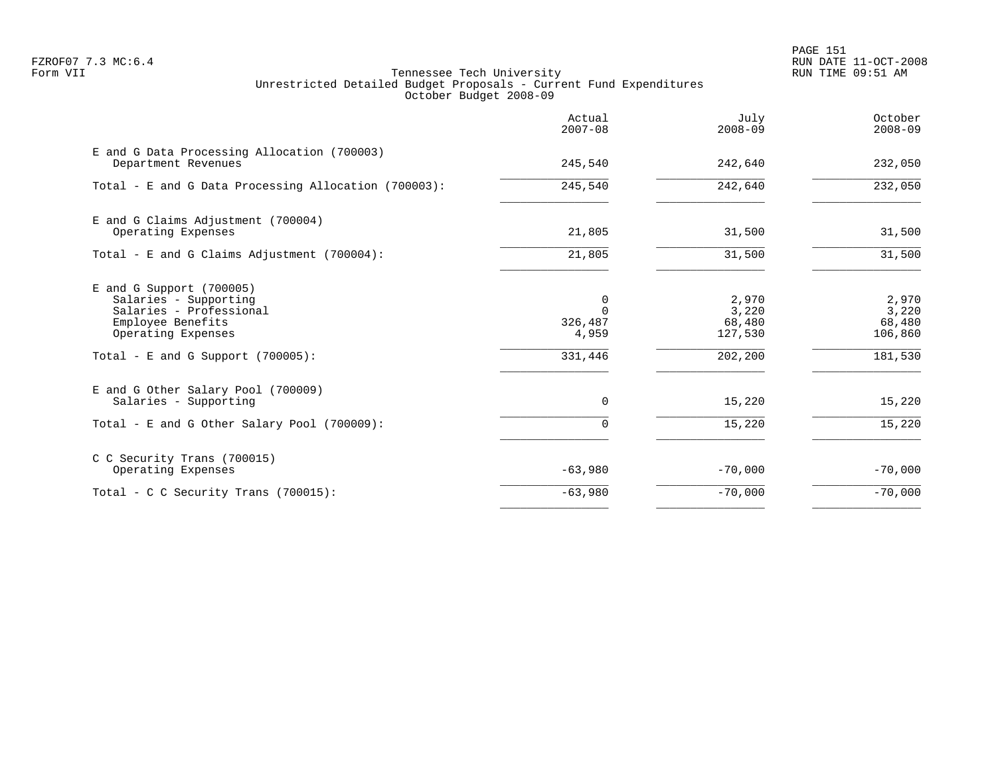PAGE 151 FZROF07 7.3 MC:6.4 RUN DATE 11-OCT-2008

|                                                                                                                                                                   | Actual<br>$2007 - 08$                        | July<br>$2008 - 09$                            | October<br>$2008 - 09$                         |
|-------------------------------------------------------------------------------------------------------------------------------------------------------------------|----------------------------------------------|------------------------------------------------|------------------------------------------------|
| E and G Data Processing Allocation (700003)<br>Department Revenues                                                                                                | 245,540                                      | 242,640                                        | 232,050                                        |
| Total - E and G Data Processing Allocation (700003):                                                                                                              | 245,540                                      | 242,640                                        | 232,050                                        |
| E and G Claims Adjustment (700004)<br>Operating Expenses                                                                                                          | 21,805                                       | 31,500                                         | 31,500                                         |
| Total - E and G Claims Adjustment $(700004)$ :                                                                                                                    | 21,805                                       | 31,500                                         | 31,500                                         |
| $E$ and G Support (700005)<br>Salaries - Supporting<br>Salaries - Professional<br>Employee Benefits<br>Operating Expenses<br>Total - E and G Support $(700005)$ : | 0<br>$\Omega$<br>326,487<br>4,959<br>331,446 | 2,970<br>3,220<br>68,480<br>127,530<br>202,200 | 2,970<br>3,220<br>68,480<br>106,860<br>181,530 |
| E and G Other Salary Pool (700009)<br>Salaries - Supporting<br>Total - E and G Other Salary Pool (700009):                                                        | $\mathbf 0$<br>0                             | 15,220<br>15,220                               | 15,220<br>15,220                               |
| C C Security Trans (700015)<br>Operating Expenses                                                                                                                 | $-63,980$                                    | $-70,000$                                      | $-70,000$                                      |
| Total - C C Security Trans (700015):                                                                                                                              | $-63,980$                                    | $-70,000$                                      | $-70,000$                                      |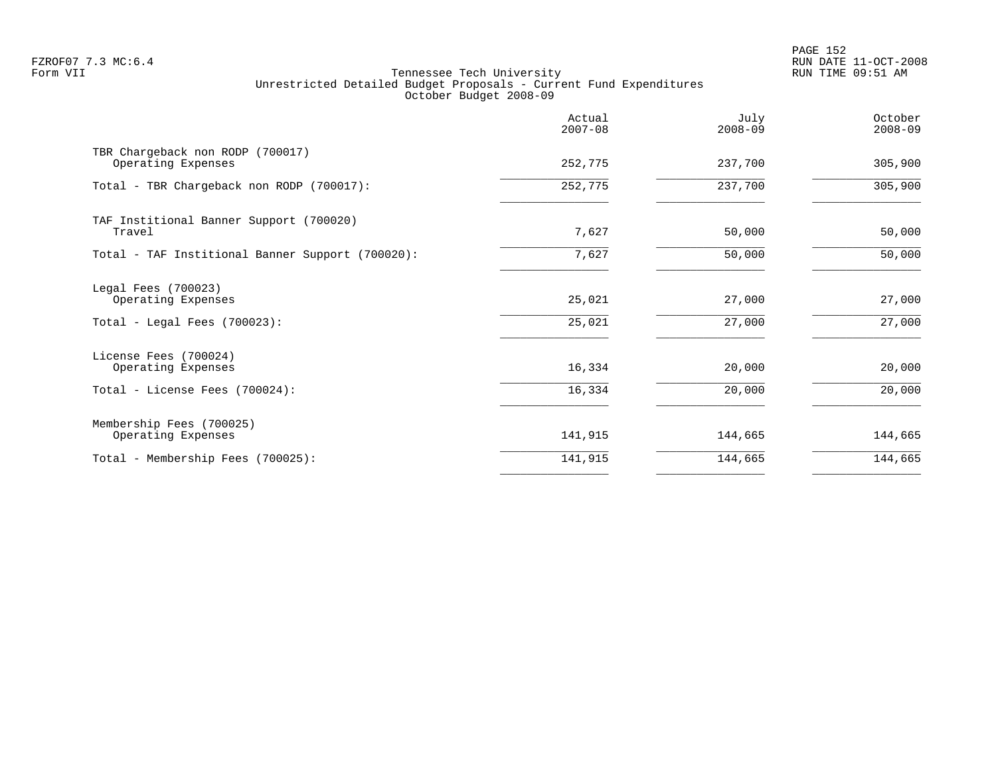PAGE 152 FZROF07 7.3 MC:6.4 RUN DATE 11-OCT-2008

|                                                                               | Actual<br>$2007 - 08$ | July<br>$2008 - 09$ | October<br>$2008 - 09$ |
|-------------------------------------------------------------------------------|-----------------------|---------------------|------------------------|
| TBR Chargeback non RODP (700017)<br>Operating Expenses                        | 252,775               | 237,700             | 305,900                |
| Total - TBR Chargeback non RODP (700017):                                     | 252,775               | 237,700             | 305,900                |
| TAF Institional Banner Support (700020)<br>Travel                             | 7,627                 | 50,000              | 50,000                 |
| Total - TAF Institional Banner Support (700020):                              | 7,627                 | 50,000              | 50,000                 |
| Legal Fees (700023)<br>Operating Expenses<br>Total - Legal Fees $(700023)$ :  | 25,021<br>25,021      | 27,000<br>27,000    | 27,000<br>27,000       |
| License Fees (700024)<br>Operating Expenses<br>Total - License Fees (700024): | 16,334<br>16,334      | 20,000<br>20,000    | 20,000<br>20,000       |
| Membership Fees (700025)<br>Operating Expenses                                | 141,915               | 144,665             | 144,665                |
| Total - Membership Fees (700025):                                             | 141,915               | 144,665             | 144,665                |
|                                                                               |                       |                     |                        |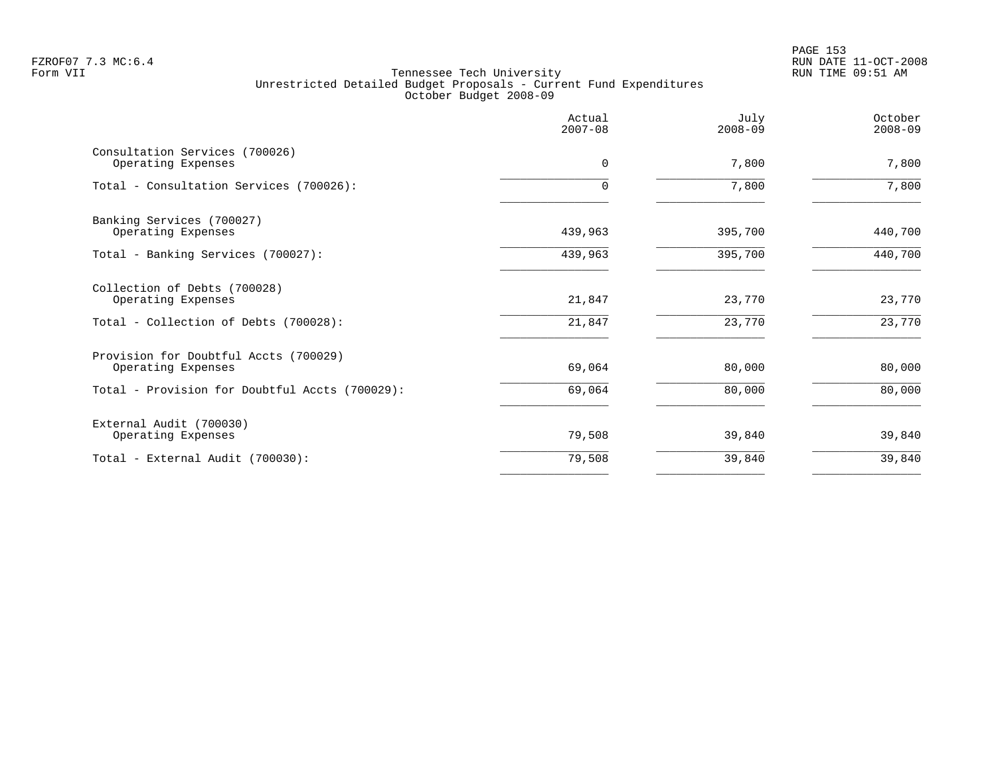PAGE 153 FZROF07 7.3 MC:6.4 RUN DATE 11-OCT-2008

|                                                                                             | Actual<br>$2007 - 08$ | July<br>$2008 - 09$ | October<br>$2008 - 09$ |
|---------------------------------------------------------------------------------------------|-----------------------|---------------------|------------------------|
| Consultation Services (700026)<br>Operating Expenses                                        | $\Omega$              | 7,800               | 7,800                  |
| Total - Consultation Services (700026):                                                     | $\Omega$              | 7,800               | 7,800                  |
| Banking Services (700027)<br>Operating Expenses                                             | 439,963               | 395,700             | 440,700                |
| Total - Banking Services (700027):                                                          | 439,963               | 395,700             | 440,700                |
| Collection of Debts (700028)<br>Operating Expenses<br>Total - Collection of Debts (700028): | 21,847<br>21,847      | 23,770<br>23,770    | 23,770<br>23,770       |
| Provision for Doubtful Accts (700029)<br>Operating Expenses                                 | 69,064                | 80,000              | 80,000                 |
| Total - Provision for Doubtful Accts (700029):                                              | 69,064                | 80,000              | 80,000                 |
| External Audit (700030)<br>Operating Expenses                                               | 79,508                | 39,840              | 39,840                 |
| Total - External Audit (700030):                                                            | 79,508                | 39,840              | 39,840                 |
|                                                                                             |                       |                     |                        |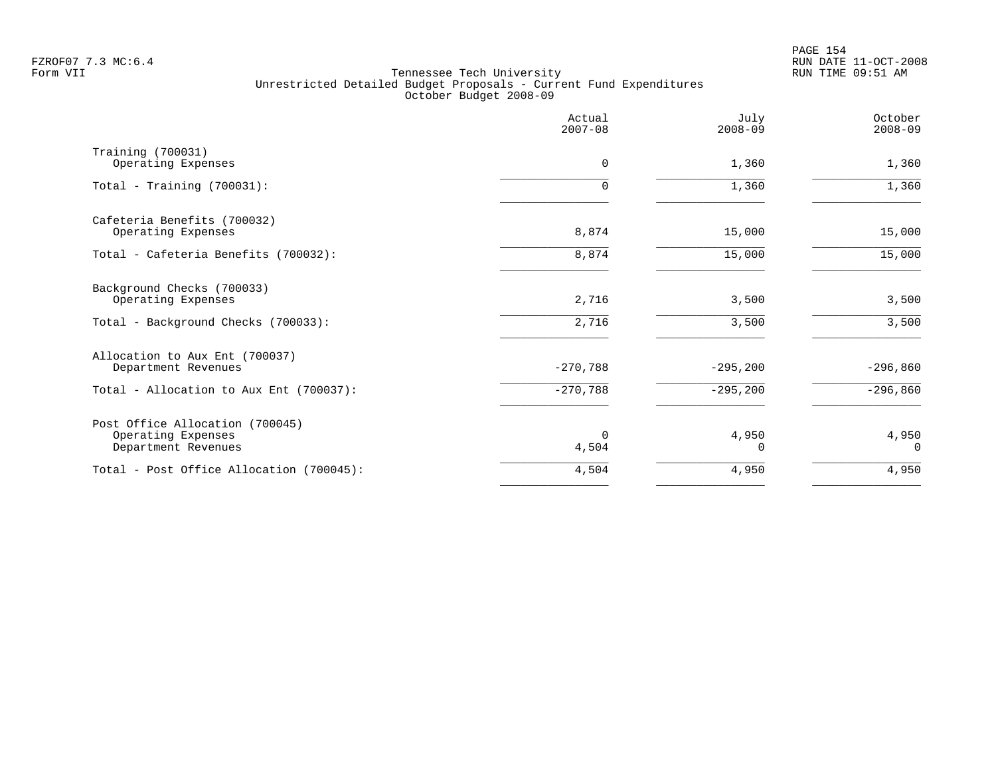PAGE 154 FZROF07 7.3 MC:6.4 RUN DATE 11-OCT-2008

|                                                                              | Actual<br>$2007 - 08$ | July<br>$2008 - 09$ | October<br>$2008 - 09$ |
|------------------------------------------------------------------------------|-----------------------|---------------------|------------------------|
| Training (700031)<br>Operating Expenses                                      | 0                     | 1,360               | 1,360                  |
| Total - Training $(700031)$ :                                                | 0                     | 1,360               | 1,360                  |
| Cafeteria Benefits (700032)<br>Operating Expenses                            | 8,874                 | 15,000              | 15,000                 |
| Total - Cafeteria Benefits (700032):                                         | 8,874                 | 15,000              | 15,000                 |
| Background Checks (700033)<br>Operating Expenses                             | 2,716                 | 3,500               | 3,500                  |
| Total - Background Checks (700033):                                          | 2,716                 | 3,500               | 3,500                  |
| Allocation to Aux Ent (700037)<br>Department Revenues                        | $-270,788$            | $-295, 200$         | $-296,860$             |
| Total - Allocation to Aux Ent (700037):                                      | $-270,788$            | $-295, 200$         | $-296,860$             |
| Post Office Allocation (700045)<br>Operating Expenses<br>Department Revenues | $\Omega$<br>4,504     | 4,950<br>0          | 4,950<br>$\Omega$      |
| Total - Post Office Allocation (700045):                                     | 4,504                 | 4,950               | 4,950                  |
|                                                                              |                       |                     |                        |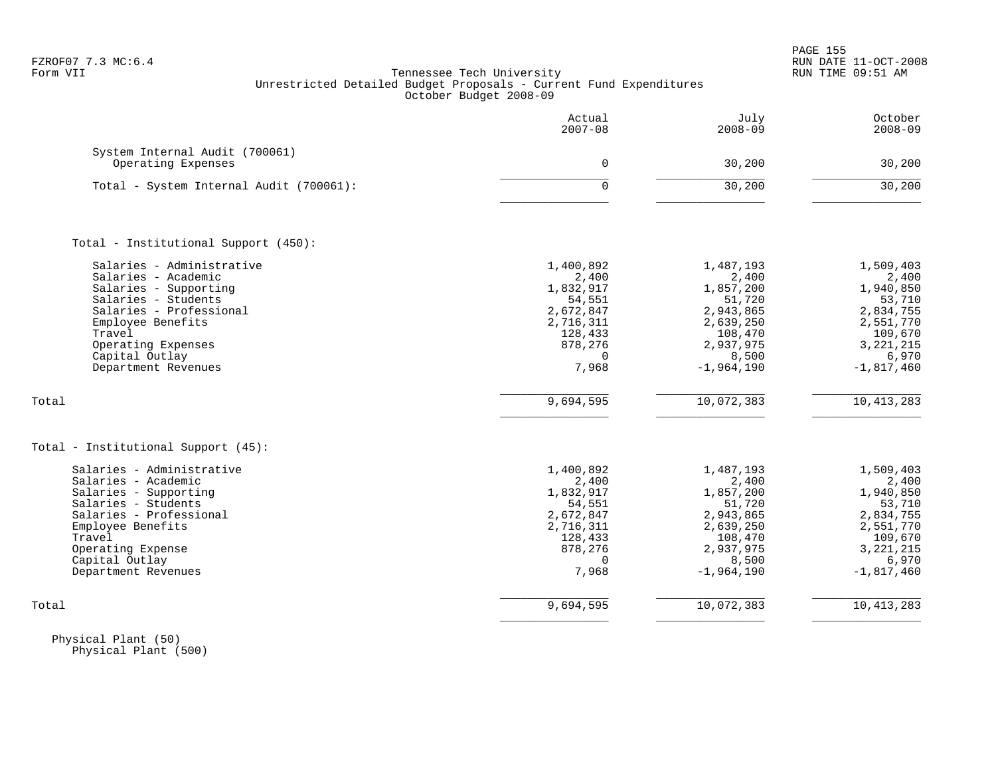| FZROF07 7.3 MC:6.4 |  |  |
|--------------------|--|--|
|                    |  |  |

| Actual<br>$2007 - 08$ | July<br>$2008 - 09$                                                                                                                      | October<br>$2008 - 09$                                                                                                                                                 |
|-----------------------|------------------------------------------------------------------------------------------------------------------------------------------|------------------------------------------------------------------------------------------------------------------------------------------------------------------------|
|                       |                                                                                                                                          |                                                                                                                                                                        |
| $\mathbf 0$           | 30,200                                                                                                                                   | 30,200                                                                                                                                                                 |
| $\Omega$              | 30,200                                                                                                                                   | 30,200                                                                                                                                                                 |
|                       |                                                                                                                                          |                                                                                                                                                                        |
|                       |                                                                                                                                          |                                                                                                                                                                        |
| 1,400,892             | 1,487,193                                                                                                                                | 1,509,403                                                                                                                                                              |
| 2,400                 | 2,400                                                                                                                                    | 2,400                                                                                                                                                                  |
| 1,832,917             |                                                                                                                                          | 1,940,850                                                                                                                                                              |
| 54,551                | 51,720                                                                                                                                   | 53,710                                                                                                                                                                 |
|                       |                                                                                                                                          | 2,834,755                                                                                                                                                              |
|                       |                                                                                                                                          | 2,551,770                                                                                                                                                              |
|                       |                                                                                                                                          | 109,670                                                                                                                                                                |
|                       |                                                                                                                                          | 3, 221, 215                                                                                                                                                            |
|                       |                                                                                                                                          | 6,970                                                                                                                                                                  |
|                       |                                                                                                                                          | $-1,817,460$                                                                                                                                                           |
| 9,694,595             | 10,072,383                                                                                                                               | 10, 413, 283                                                                                                                                                           |
|                       |                                                                                                                                          |                                                                                                                                                                        |
|                       |                                                                                                                                          | 1,509,403                                                                                                                                                              |
|                       |                                                                                                                                          | 2,400                                                                                                                                                                  |
|                       |                                                                                                                                          | 1,940,850                                                                                                                                                              |
|                       |                                                                                                                                          | 53,710                                                                                                                                                                 |
|                       |                                                                                                                                          | 2,834,755                                                                                                                                                              |
|                       |                                                                                                                                          | 2,551,770                                                                                                                                                              |
| 128,433               |                                                                                                                                          | 109,670                                                                                                                                                                |
| 878,276               | 2,937,975                                                                                                                                | 3, 221, 215                                                                                                                                                            |
| $\Omega$              | 8,500                                                                                                                                    | 6,970                                                                                                                                                                  |
| 7,968                 | $-1,964,190$                                                                                                                             | $-1,817,460$                                                                                                                                                           |
| 9,694,595             | 10,072,383                                                                                                                               | 10, 413, 283                                                                                                                                                           |
|                       | 2,672,847<br>2,716,311<br>128,433<br>878,276<br>$\Omega$<br>7,968<br>1,400,892<br>2,400<br>1,832,917<br>54,551<br>2,672,847<br>2,716,311 | 1,857,200<br>2,943,865<br>2,639,250<br>108,470<br>2,937,975<br>8,500<br>$-1,964,190$<br>1,487,193<br>2,400<br>1,857,200<br>51,720<br>2,943,865<br>2,639,250<br>108,470 |

 Physical Plant (50) Physical Plant (500)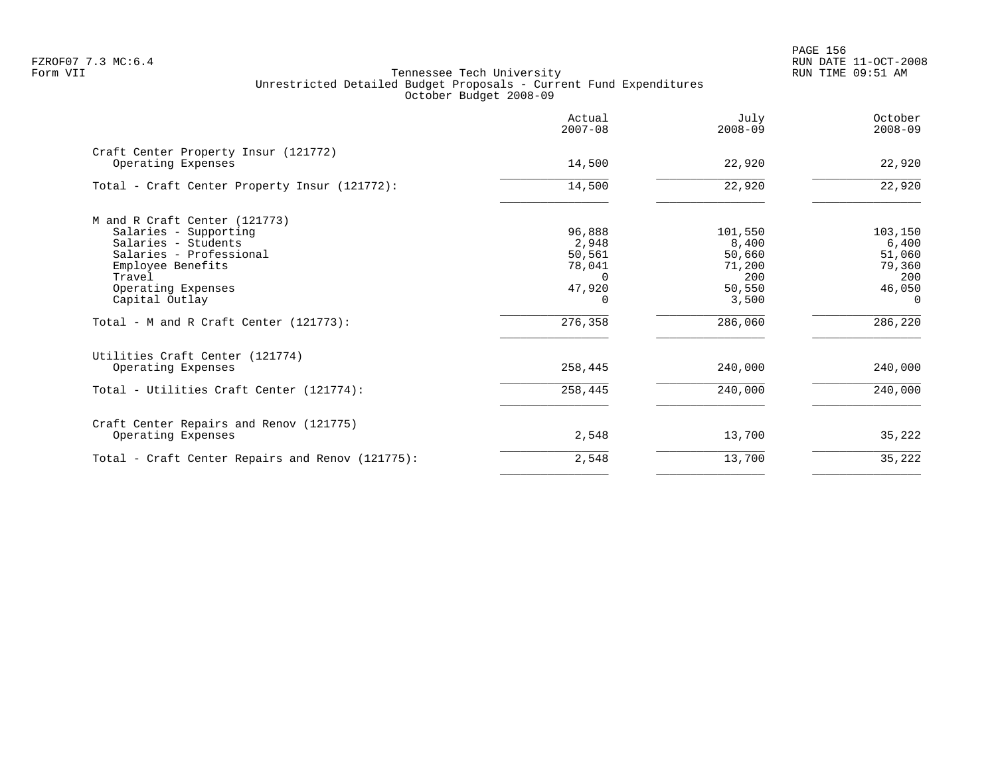en and the set of the set of the set of the set of the set of the set of the set of the set of the set of the set of the set of the set of the set of the set of the set of the set of the set of the set of the set of the se FZROF07 7.3 MC:6.4 RUN DATE 11-OCT-2008

|                                                            | Actual<br>$2007 - 08$ | July<br>$2008 - 09$ | October<br>$2008 - 09$ |
|------------------------------------------------------------|-----------------------|---------------------|------------------------|
| Craft Center Property Insur (121772)<br>Operating Expenses | 14,500                | 22,920              | 22,920                 |
| Total - Craft Center Property Insur (121772):              | 14,500                | 22,920              | 22,920                 |
| M and R Craft Center (121773)                              |                       |                     |                        |
| Salaries - Supporting                                      | 96,888                | 101,550             | 103,150                |
| Salaries - Students<br>Salaries - Professional             | 2,948                 | 8,400               | 6,400                  |
| Employee Benefits                                          | 50,561<br>78,041      | 50,660<br>71,200    | 51,060<br>79,360       |
| Travel                                                     | $\Omega$              | 200                 | 200                    |
| Operating Expenses                                         | 47,920                | 50,550              | 46,050                 |
| Capital Outlay                                             |                       | 3,500               | $\Omega$               |
| Total - M and R Craft Center (121773):                     | 276,358               | 286,060             | 286,220                |
| Utilities Craft Center (121774)                            |                       |                     |                        |
| Operating Expenses                                         | 258,445               | 240,000             | 240,000                |
| Total - Utilities Craft Center (121774):                   | 258,445               | 240,000             | 240,000                |
| Craft Center Repairs and Renov (121775)                    |                       |                     |                        |
| Operating Expenses                                         | 2,548                 | 13,700              | 35,222                 |
| Total - Craft Center Repairs and Renov (121775):           | 2,548                 | 13,700              | 35,222                 |
|                                                            |                       |                     |                        |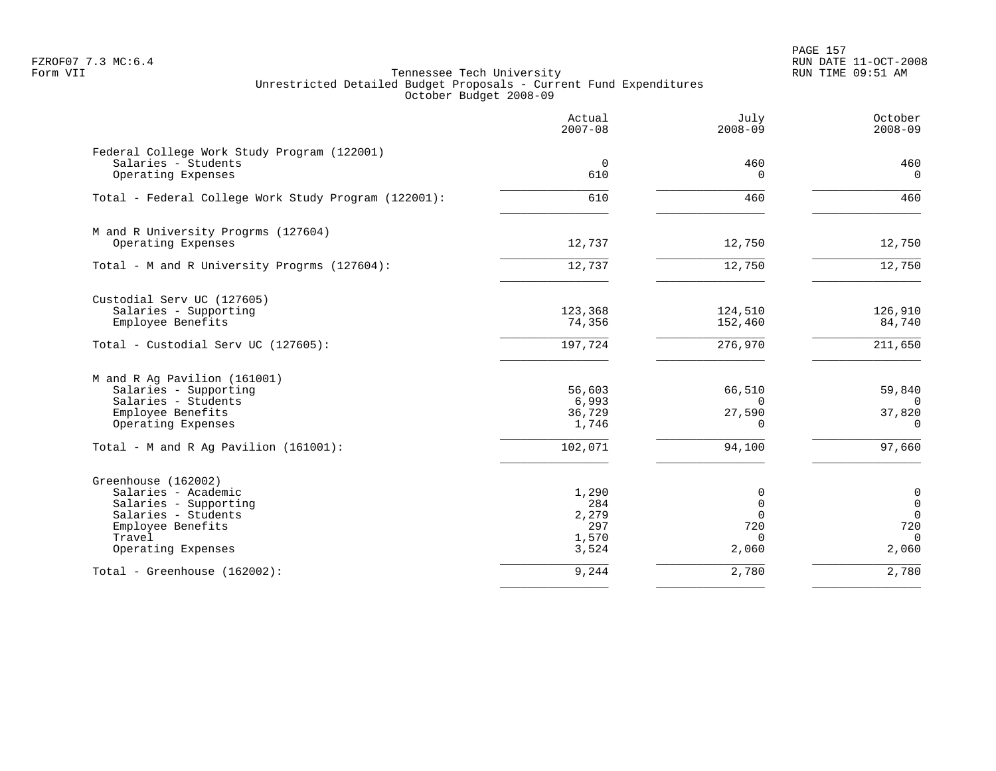PAGE 157 FZROF07 7.3 MC:6.4 RUN DATE 11-OCT-2008

|                                                                                                                                                 | Actual<br>$2007 - 08$                          | July<br>$2008 - 09$                                         | October<br>$2008 - 09$                                             |
|-------------------------------------------------------------------------------------------------------------------------------------------------|------------------------------------------------|-------------------------------------------------------------|--------------------------------------------------------------------|
| Federal College Work Study Program (122001)<br>Salaries - Students<br>Operating Expenses                                                        | $\overline{0}$<br>610                          | 460<br>$\Omega$                                             | 460<br>$\mathbf 0$                                                 |
| Total - Federal College Work Study Program (122001):                                                                                            | 610                                            | 460                                                         | 460                                                                |
| M and R University Progrms (127604)<br>Operating Expenses                                                                                       | 12,737                                         | 12,750                                                      | 12,750                                                             |
| Total - M and R University Progrms (127604):                                                                                                    | 12,737                                         | 12,750                                                      | 12,750                                                             |
| Custodial Serv UC (127605)<br>Salaries - Supporting<br>Employee Benefits                                                                        | 123,368<br>74,356                              | 124,510<br>152,460                                          | 126,910<br>84,740                                                  |
| Total - Custodial Serv UC (127605):                                                                                                             | 197,724                                        | 276,970                                                     | 211,650                                                            |
| M and R Ag Pavilion (161001)<br>Salaries - Supporting<br>Salaries - Students<br>Employee Benefits<br>Operating Expenses                         | 56,603<br>6,993<br>36,729<br>1,746             | 66,510<br>$\Omega$<br>27,590<br>$\Omega$                    | 59,840<br>$\Omega$<br>37,820<br>$\Omega$                           |
| Total - M and R Ag Pavilion (161001):                                                                                                           | 102,071                                        | 94,100                                                      | 97,660                                                             |
| Greenhouse (162002)<br>Salaries - Academic<br>Salaries - Supporting<br>Salaries - Students<br>Employee Benefits<br>Travel<br>Operating Expenses | 1,290<br>284<br>2,279<br>297<br>1,570<br>3,524 | 0<br>$\mathbf 0$<br>$\Omega$<br>720<br>$\mathbf 0$<br>2,060 | $\mathbf 0$<br>$\mathbf 0$<br>$\Omega$<br>720<br>$\Omega$<br>2,060 |
| Total - Greenhouse (162002):                                                                                                                    | 9,244                                          | 2,780                                                       | 2,780                                                              |
|                                                                                                                                                 |                                                |                                                             |                                                                    |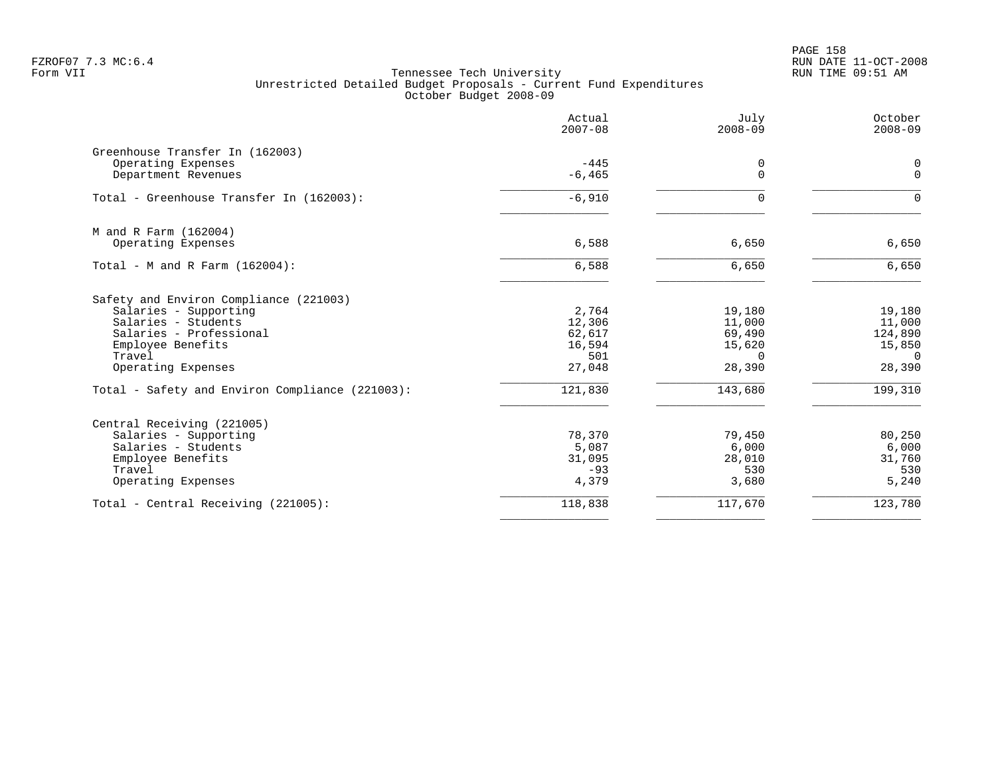PAGE 158 FZROF07 7.3 MC:6.4 RUN DATE 11-OCT-2008

| Actual<br>$2007 - 08$ | July<br>$2008 - 09$                                                                          | October<br>$2008 - 09$                                                                 |
|-----------------------|----------------------------------------------------------------------------------------------|----------------------------------------------------------------------------------------|
|                       |                                                                                              |                                                                                        |
| $-445$                | 0                                                                                            | 0                                                                                      |
|                       |                                                                                              | $\mathbf 0$                                                                            |
| $-6,910$              | $\Omega$                                                                                     | $\Omega$                                                                               |
|                       |                                                                                              |                                                                                        |
|                       |                                                                                              | 6,650                                                                                  |
| 6,588                 | 6,650                                                                                        | 6,650                                                                                  |
|                       |                                                                                              |                                                                                        |
|                       |                                                                                              | 19,180                                                                                 |
|                       |                                                                                              | 11,000                                                                                 |
|                       |                                                                                              | 124,890<br>15,850                                                                      |
|                       |                                                                                              | $\Omega$                                                                               |
| 27,048                | 28,390                                                                                       | 28,390                                                                                 |
| 121,830               | 143,680                                                                                      | 199,310                                                                                |
|                       |                                                                                              |                                                                                        |
| 78,370                | 79,450                                                                                       | 80,250                                                                                 |
|                       | 6,000                                                                                        | 6,000                                                                                  |
|                       |                                                                                              | 31,760                                                                                 |
| 4,379                 | 3,680                                                                                        | 530<br>5,240                                                                           |
| 118,838               | 117,670                                                                                      | 123,780                                                                                |
|                       | $-6, 465$<br>6,588<br>2,764<br>12,306<br>62,617<br>16,594<br>501<br>5,087<br>31,095<br>$-93$ | $\Omega$<br>6,650<br>19,180<br>11,000<br>69,490<br>15,620<br>$\Omega$<br>28,010<br>530 |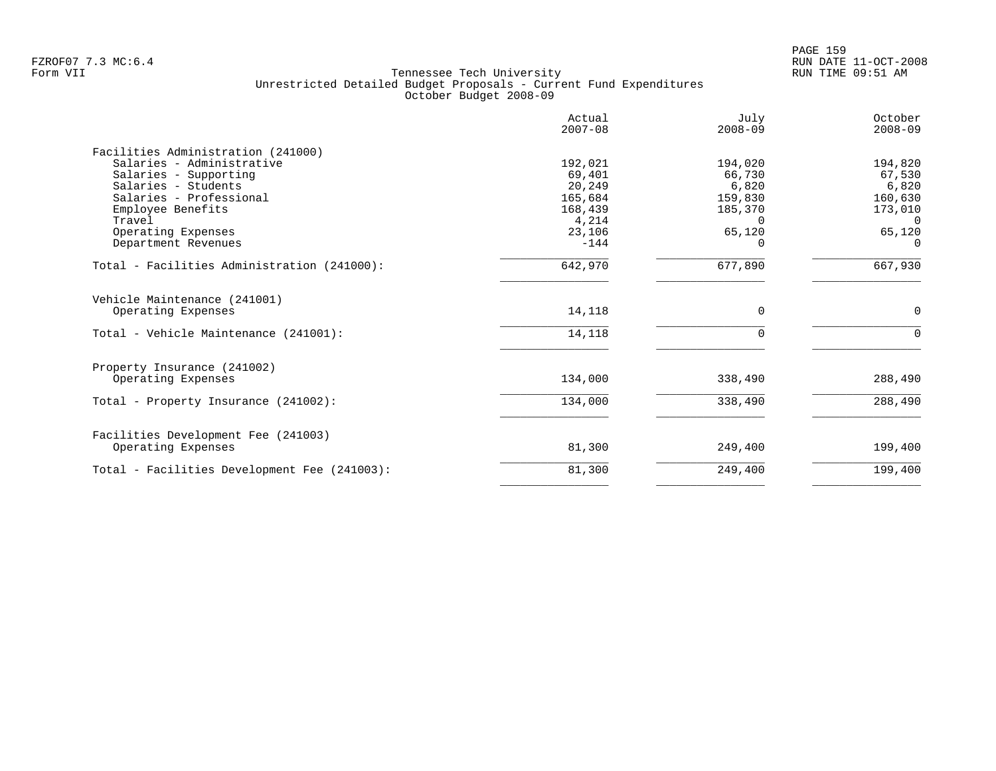|                                              | Actual<br>$2007 - 08$ | July<br>$2008 - 09$ | October<br>$2008 - 09$ |
|----------------------------------------------|-----------------------|---------------------|------------------------|
| Facilities Administration (241000)           |                       |                     |                        |
| Salaries - Administrative                    | 192,021               | 194,020             | 194,820                |
| Salaries - Supporting                        | 69,401                | 66,730              | 67,530                 |
| Salaries - Students                          | 20,249                | 6,820               | 6,820                  |
| Salaries - Professional                      | 165,684               | 159,830             | 160,630                |
| Employee Benefits                            | 168,439               | 185,370             | 173,010                |
| Travel                                       | 4,214                 | $\Omega$            | $\Omega$               |
| Operating Expenses                           | 23,106                | 65,120              | 65,120                 |
| Department Revenues                          | $-144$                | 0                   | $\Omega$               |
| Total - Facilities Administration (241000):  | 642,970               | 677,890             | 667,930                |
| Vehicle Maintenance (241001)                 |                       |                     |                        |
| Operating Expenses                           | 14,118                | 0                   | 0                      |
| Total - Vehicle Maintenance (241001):        | 14,118                | $\Omega$            | $\Omega$               |
| Property Insurance (241002)                  |                       |                     |                        |
| Operating Expenses                           | 134,000               | 338,490             | 288,490                |
| Total - Property Insurance (241002):         | 134,000               | 338,490             | 288,490                |
| Facilities Development Fee (241003)          |                       |                     |                        |
| Operating Expenses                           | 81,300                | 249,400             | 199,400                |
| Total - Facilities Development Fee (241003): | 81,300                | 249,400             | 199,400                |
|                                              |                       |                     |                        |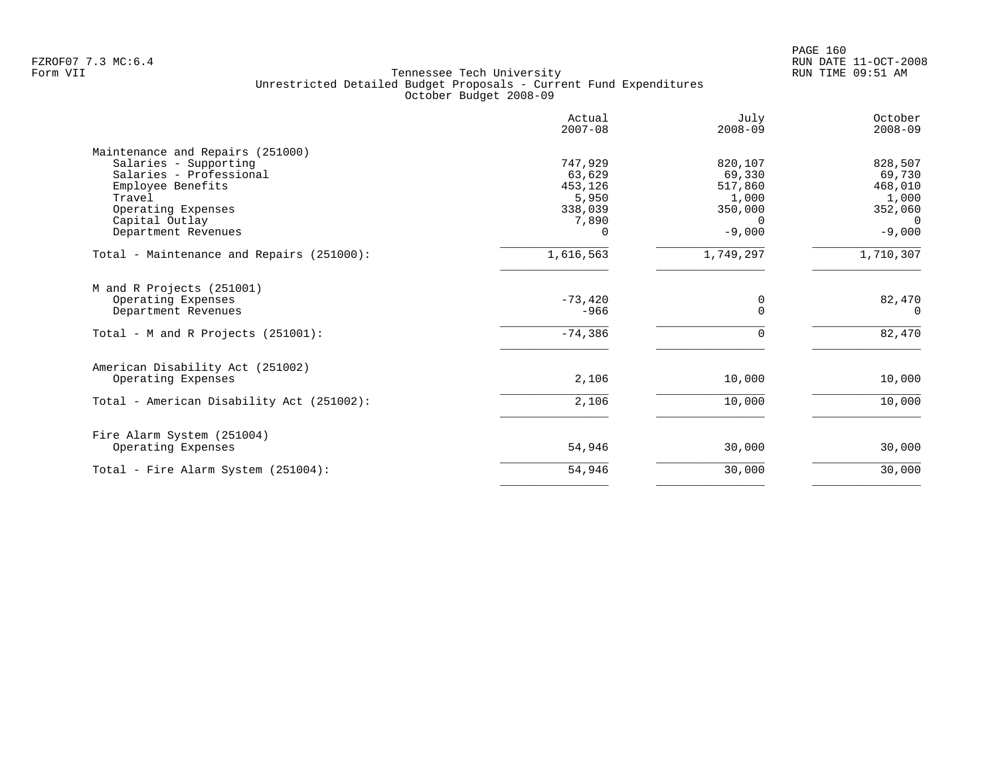|                                           | Actual<br>$2007 - 08$ | July<br>$2008 - 09$ | October<br>$2008 - 09$ |
|-------------------------------------------|-----------------------|---------------------|------------------------|
| Maintenance and Repairs (251000)          |                       |                     |                        |
| Salaries - Supporting                     | 747,929               | 820,107             | 828,507                |
| Salaries - Professional                   | 63,629                | 69,330              | 69,730                 |
| Employee Benefits                         | 453,126               | 517,860             | 468,010                |
| Travel                                    | 5,950                 | 1,000               | 1,000                  |
| Operating Expenses                        | 338,039               | 350,000             | 352,060                |
| Capital Outlay                            | 7,890                 | $\Omega$            | $\Omega$               |
| Department Revenues                       | $\Omega$              | $-9,000$            | $-9,000$               |
| Total - Maintenance and Repairs (251000): | 1,616,563             | 1,749,297           | 1,710,307              |
| M and R Projects (251001)                 |                       |                     |                        |
| Operating Expenses                        | $-73,420$             | 0                   | 82,470                 |
| Department Revenues                       | $-966$                | $\Omega$            | $\Omega$               |
| Total - M and R Projects (251001):        | $-74,386$             | $\Omega$            | 82,470                 |
| American Disability Act (251002)          |                       |                     |                        |
| Operating Expenses                        | 2,106                 | 10,000              | 10,000                 |
| Total - American Disability Act (251002): | 2,106                 | 10,000              | 10,000                 |
| Fire Alarm System (251004)                |                       |                     |                        |
| Operating Expenses                        | 54,946                | 30,000              | 30,000                 |
| Total - Fire Alarm System (251004):       | 54,946                | 30,000              | 30,000                 |
|                                           |                       |                     |                        |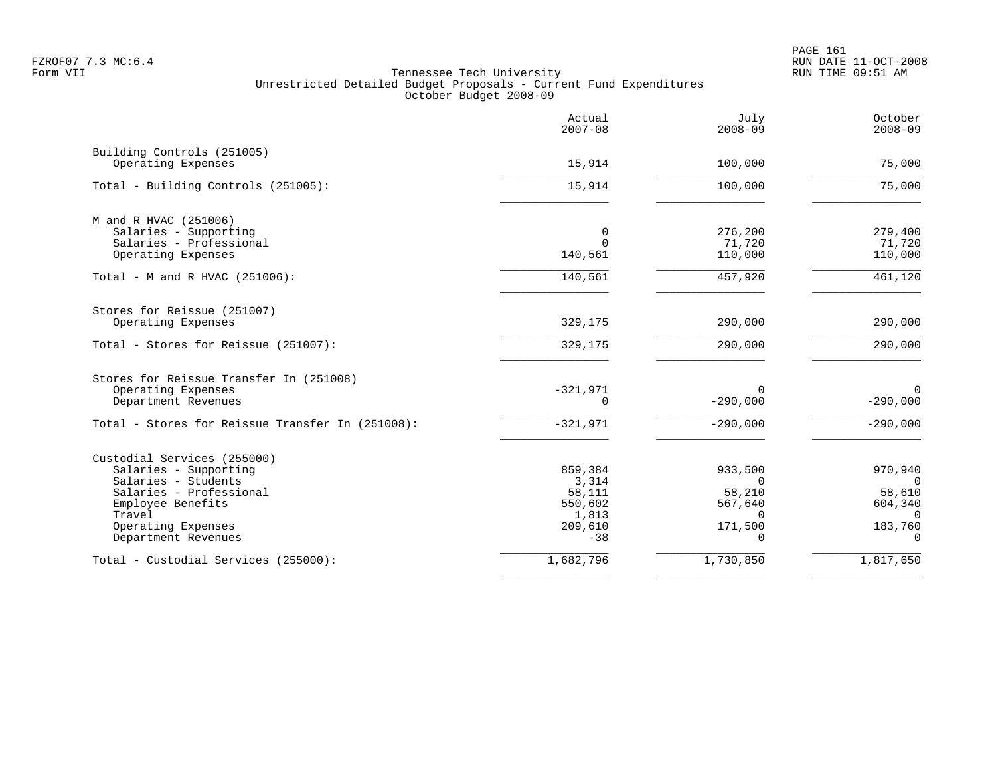|                                                  | Actual<br>$2007 - 08$ | July<br>$2008 - 09$ | October<br>$2008 - 09$ |
|--------------------------------------------------|-----------------------|---------------------|------------------------|
| Building Controls (251005)<br>Operating Expenses | 15,914                | 100,000             | 75,000                 |
|                                                  |                       |                     |                        |
| Total - Building Controls (251005):              | 15,914                | 100,000             | 75,000                 |
| M and R HVAC (251006)                            |                       |                     |                        |
| Salaries - Supporting                            | 0                     | 276,200             | 279,400                |
| Salaries - Professional                          | $\Omega$              | 71,720              | 71,720                 |
| Operating Expenses                               | 140,561               | 110,000             | 110,000                |
| Total - M and R HVAC (251006):                   | 140,561               | 457,920             | 461,120                |
| Stores for Reissue (251007)                      |                       |                     |                        |
| Operating Expenses                               | 329,175               | 290,000             | 290,000                |
| Total - Stores for Reissue (251007):             | 329,175               | 290,000             | 290,000                |
| Stores for Reissue Transfer In (251008)          |                       |                     |                        |
| Operating Expenses                               | $-321,971$            | 0                   | $\mathbf 0$            |
| Department Revenues                              | $\Omega$              | $-290,000$          | $-290,000$             |
| Total - Stores for Reissue Transfer In (251008): | $-321,971$            | $-290,000$          | $-290,000$             |
| Custodial Services (255000)                      |                       |                     |                        |
| Salaries - Supporting                            | 859,384               | 933,500             | 970,940                |
| Salaries - Students                              | 3,314                 | $\Omega$            | $\Omega$               |
| Salaries - Professional                          | 58,111                | 58,210              | 58,610                 |
| Employee Benefits                                | 550,602               | 567,640<br>$\Omega$ | 604,340                |
| Travel<br>Operating Expenses                     | 1,813<br>209,610      | 171,500             | $\Omega$<br>183,760    |
| Department Revenues                              | $-38$                 |                     | $\Omega$               |
| Total - Custodial Services (255000):             | 1,682,796             | 1,730,850           | 1,817,650              |
|                                                  |                       |                     |                        |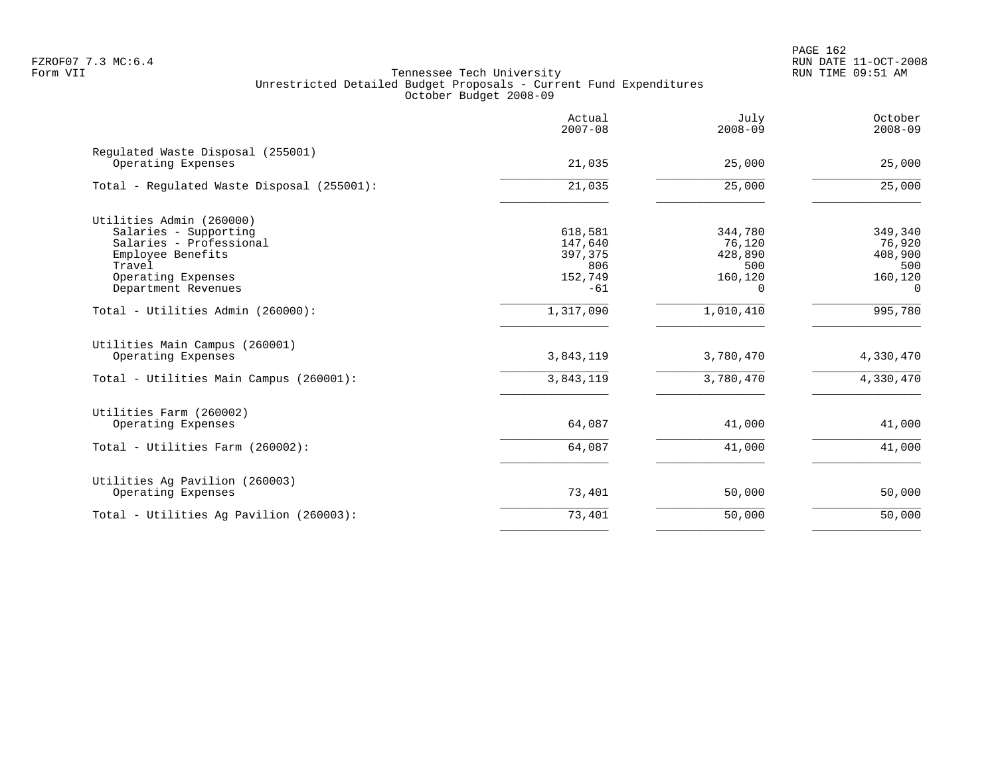|                                                         | Actual<br>$2007 - 08$ | July<br>$2008 - 09$ | October<br>$2008 - 09$ |
|---------------------------------------------------------|-----------------------|---------------------|------------------------|
| Regulated Waste Disposal (255001)<br>Operating Expenses | 21,035                | 25,000              | 25,000                 |
| Total - Regulated Waste Disposal (255001):              | 21,035                | 25,000              | 25,000                 |
| Utilities Admin (260000)                                |                       |                     |                        |
| Salaries - Supporting                                   | 618,581               | 344,780             | 349,340                |
| Salaries - Professional                                 | 147,640               | 76,120              | 76,920                 |
| Employee Benefits                                       | 397,375               | 428,890             | 408,900                |
| Travel                                                  | 806                   | 500                 | 500                    |
| Operating Expenses                                      | 152,749               | 160,120             | 160,120                |
| Department Revenues                                     | $-61$                 | $\Omega$            | $\Omega$               |
| Total - Utilities Admin (260000):                       | 1,317,090             | 1,010,410           | 995,780                |
| Utilities Main Campus (260001)                          |                       |                     |                        |
| Operating Expenses                                      | 3,843,119             | 3,780,470           | 4,330,470              |
| Total - Utilities Main Campus (260001):                 | 3,843,119             | 3,780,470           | 4,330,470              |
| Utilities Farm (260002)                                 |                       |                     |                        |
| Operating Expenses                                      | 64,087                | 41,000              | 41,000                 |
| Total - Utilities Farm (260002):                        | 64,087                | 41,000              | 41,000                 |
| Utilities Ag Pavilion (260003)                          |                       |                     |                        |
| Operating Expenses                                      | 73,401                | 50,000              | 50,000                 |
| Total - Utilities Aq Pavilion (260003):                 | 73,401                | 50,000              | 50,000                 |
|                                                         |                       |                     |                        |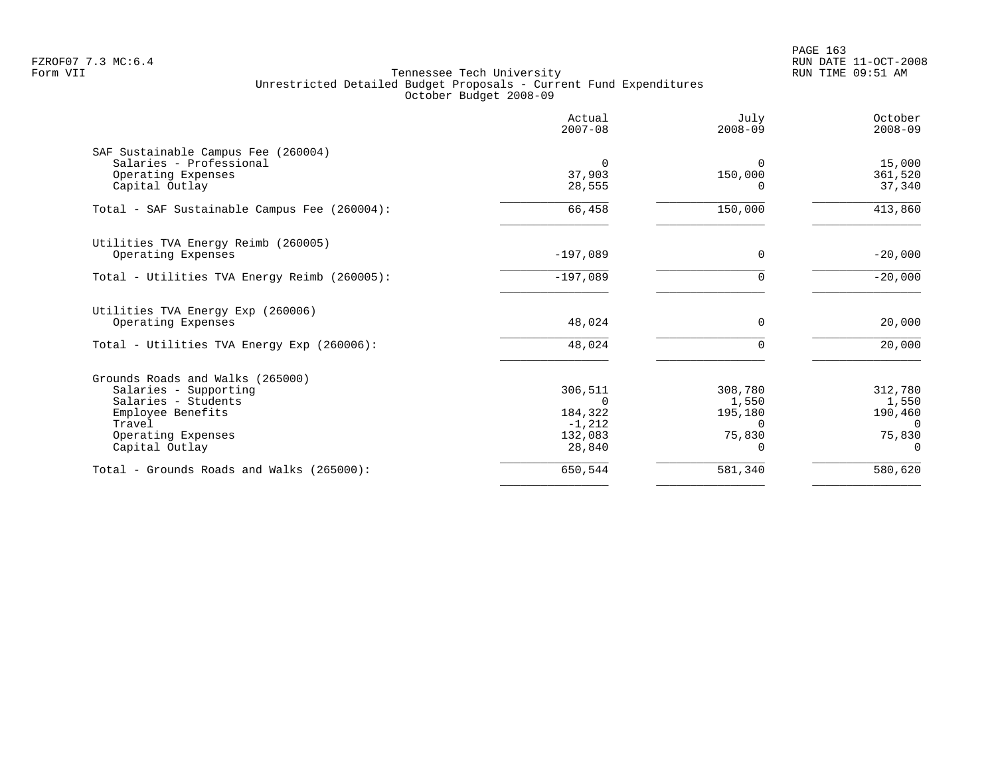|                                              | Actual<br>$2007 - 08$ | July<br>$2008 - 09$ | October<br>$2008 - 09$ |
|----------------------------------------------|-----------------------|---------------------|------------------------|
| SAF Sustainable Campus Fee (260004)          |                       |                     |                        |
| Salaries - Professional                      | $\Omega$              | $\Omega$            | 15,000                 |
| Operating Expenses                           | 37,903                | 150,000             | 361,520                |
| Capital Outlay                               | 28,555                |                     | 37,340                 |
| Total - SAF Sustainable Campus Fee (260004): | 66,458                | 150,000             | 413,860                |
| Utilities TVA Energy Reimb (260005)          |                       |                     |                        |
| Operating Expenses                           | $-197,089$            | 0                   | $-20,000$              |
| Total - Utilities TVA Energy Reimb (260005): | $-197,089$            |                     | $-20,000$              |
| Utilities TVA Energy Exp (260006)            |                       |                     |                        |
| Operating Expenses                           | 48,024                | $\Omega$            | 20,000                 |
| Total - Utilities TVA Energy Exp (260006):   | 48,024                | $\Omega$            | 20,000                 |
| Grounds Roads and Walks (265000)             |                       |                     |                        |
| Salaries - Supporting                        | 306,511               | 308,780             | 312,780                |
| Salaries - Students                          | $\Omega$              | 1,550               | 1,550                  |
| Employee Benefits                            | 184,322               | 195,180             | 190,460                |
| Travel                                       | $-1,212$              | $\Omega$            | $\Omega$               |
| Operating Expenses                           | 132,083               | 75,830              | 75,830                 |
| Capital Outlay                               | 28,840                |                     | $\Omega$               |
| Total - Grounds Roads and Walks (265000):    | 650,544               | 581,340             | 580,620                |
|                                              |                       |                     |                        |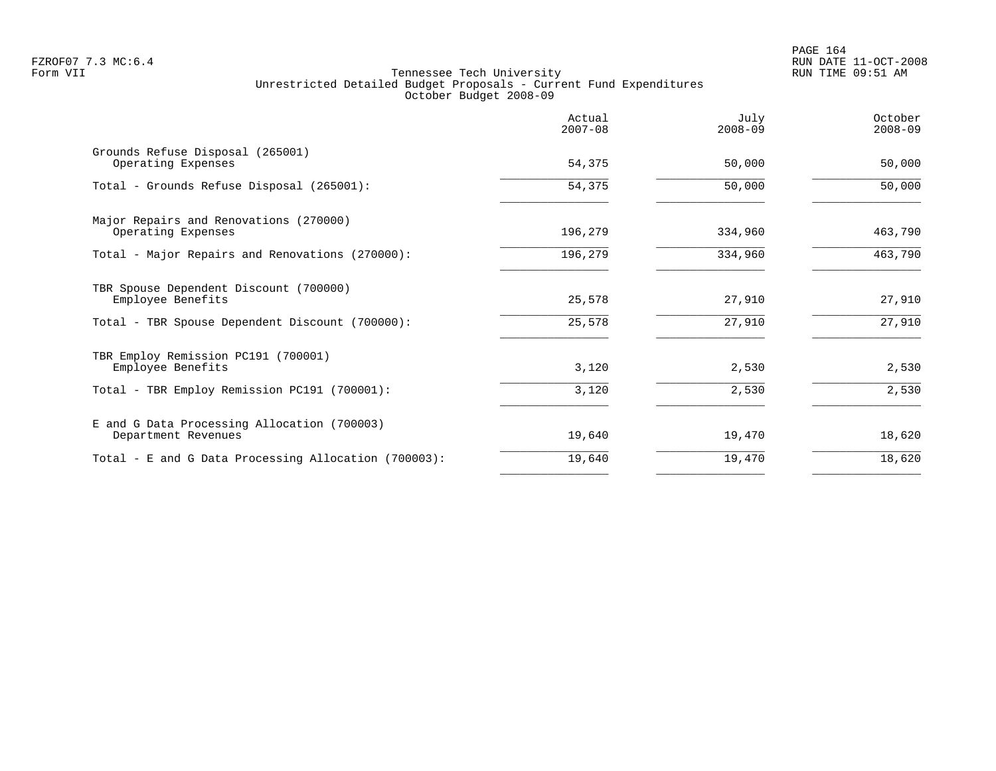|                                                                    | Actual<br>$2007 - 08$ | July<br>$2008 - 09$ | October<br>$2008 - 09$ |
|--------------------------------------------------------------------|-----------------------|---------------------|------------------------|
| Grounds Refuse Disposal (265001)<br>Operating Expenses             | 54,375                | 50,000              | 50,000                 |
| Total - Grounds Refuse Disposal (265001):                          | 54,375                | 50,000              | 50,000                 |
| Major Repairs and Renovations (270000)<br>Operating Expenses       | 196,279               | 334,960             | 463,790                |
| Total - Major Repairs and Renovations (270000):                    | 196,279               | 334,960             | 463,790                |
| TBR Spouse Dependent Discount (700000)<br>Employee Benefits        | 25,578                | 27,910              | 27,910                 |
| Total - TBR Spouse Dependent Discount (700000):                    | 25,578                | 27,910              | 27,910                 |
| TBR Employ Remission PC191 (700001)<br>Employee Benefits           | 3,120                 | 2,530               | 2,530                  |
| Total - TBR Employ Remission PC191 (700001):                       | 3,120                 | 2,530               | 2,530                  |
| E and G Data Processing Allocation (700003)<br>Department Revenues | 19,640                | 19,470              | 18,620                 |
| Total - E and G Data Processing Allocation (700003):               | 19,640                | 19,470              | 18,620                 |
|                                                                    |                       |                     |                        |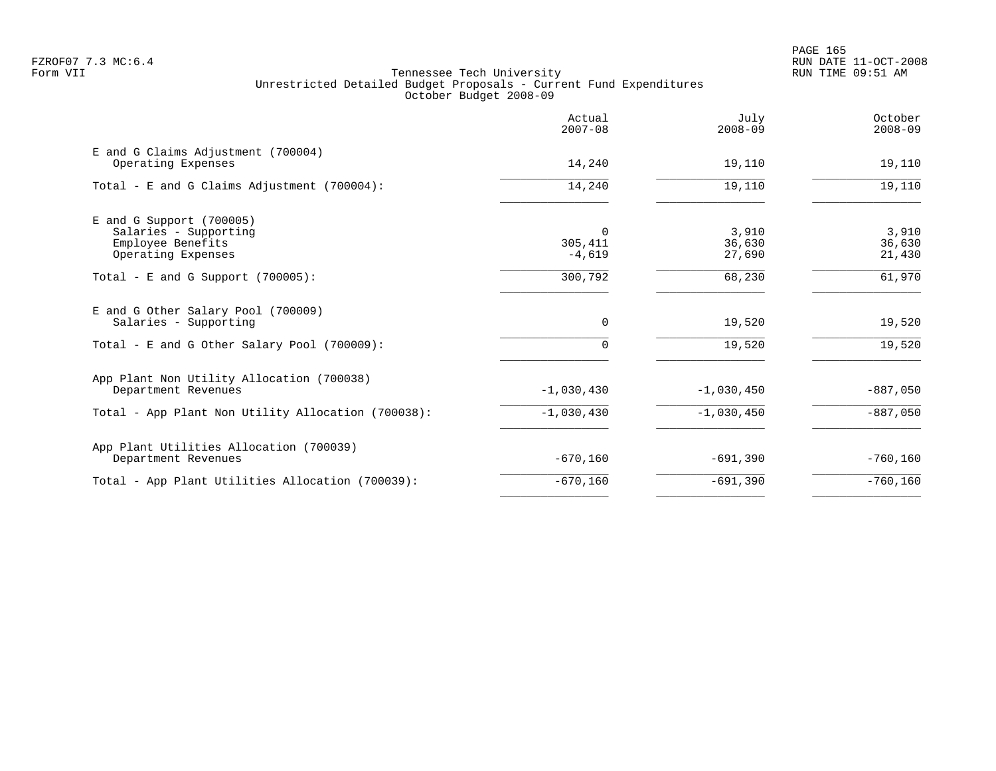PAGE 165 FZROF07 7.3 MC:6.4 RUN DATE 11-OCT-2008

|                                 | $2008 - 09$                  | $2008 - 09$               |
|---------------------------------|------------------------------|---------------------------|
| 14,240                          | 19,110                       | 19,110                    |
| 14,240                          | 19,110                       | 19,110                    |
| $\Omega$<br>305,411<br>$-4,619$ | 3,910<br>36,630<br>27,690    | 3,910<br>36,630<br>21,430 |
| 300,792                         | 68,230                       | 61,970                    |
| 0                               | 19,520                       | 19,520                    |
| $\Omega$                        | 19,520                       | 19,520                    |
|                                 | $-1,030,450$                 | $-887,050$                |
|                                 | $-1,030,450$                 | $-887,050$                |
| $-670,160$                      | $-691,390$                   | $-760,160$                |
| $-670, 160$                     | $-691,390$                   | $-760,160$                |
|                                 | $-1,030,430$<br>$-1,030,430$ |                           |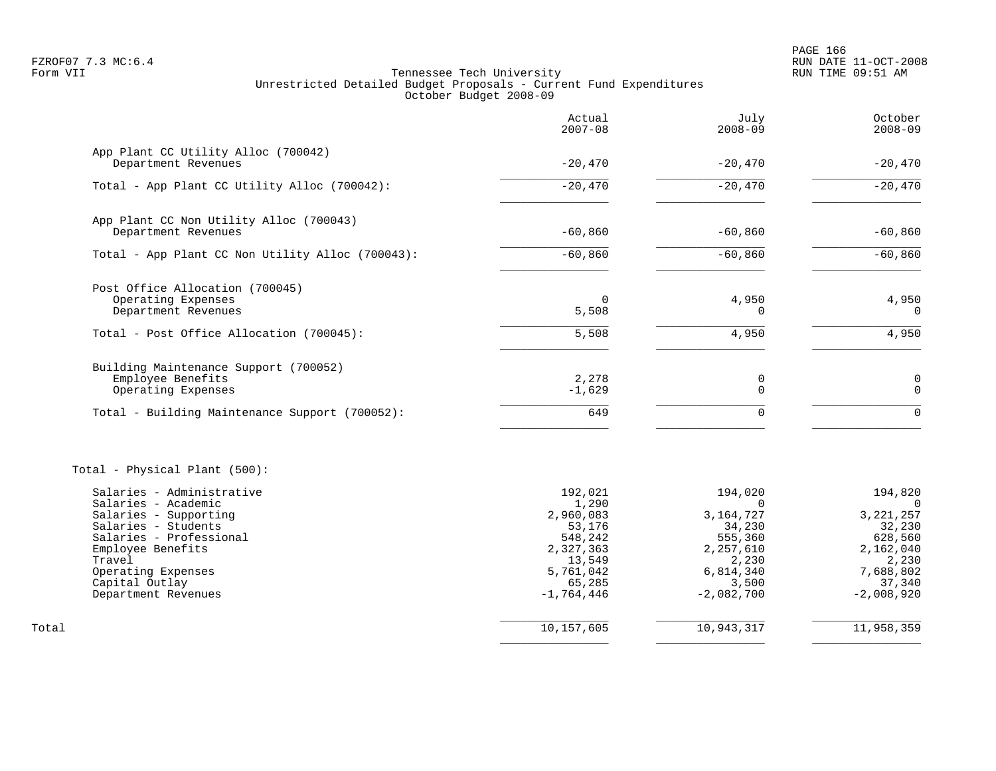PAGE 166 FZROF07 7.3 MC:6.4 RUN DATE 11-OCT-2008

|                                                  | Actual<br>$2007 - 08$  | July<br>$2008 - 09$     | October<br>$2008 - 09$  |
|--------------------------------------------------|------------------------|-------------------------|-------------------------|
| App Plant CC Utility Alloc (700042)              |                        |                         |                         |
| Department Revenues                              | $-20,470$              | $-20,470$               | $-20,470$               |
| Total - App Plant CC Utility Alloc (700042):     | $-20,470$              | $-20,470$               | $-20,470$               |
| App Plant CC Non Utility Alloc (700043)          |                        |                         |                         |
| Department Revenues                              | $-60,860$              | $-60,860$               | $-60,860$               |
| Total - App Plant CC Non Utility Alloc (700043): | $-60, 860$             | $-60,860$               | $-60,860$               |
| Post Office Allocation (700045)                  |                        |                         |                         |
| Operating Expenses<br>Department Revenues        | 0<br>5,508             | 4,950<br>0              | 4,950<br>0              |
| Total - Post Office Allocation (700045):         | 5,508                  | 4,950                   | 4,950                   |
| Building Maintenance Support (700052)            |                        |                         |                         |
| Employee Benefits<br>Operating Expenses          | 2,278<br>$-1,629$      | 0<br>$\mathbf 0$        | 0<br>$\Omega$           |
| Total - Building Maintenance Support (700052):   | 649                    | $\Omega$                | $\Omega$                |
| Total - Physical Plant (500):                    |                        |                         |                         |
| Salaries - Administrative                        | 192,021                | 194,020                 | 194,820                 |
| Salaries - Academic<br>Salaries - Supporting     | 1,290<br>2,960,083     | $\Omega$<br>3, 164, 727 | $\Omega$<br>3, 221, 257 |
| Salaries - Students                              | 53,176                 | 34,230                  | 32,230                  |
| Salaries - Professional                          | 548,242                | 555,360                 | 628,560                 |
| Employee Benefits<br>Travel                      | 2,327,363<br>13,549    | 2,257,610<br>2,230      | 2,162,040<br>2,230      |
| Operating Expenses                               | 5,761,042              | 6,814,340               | 7,688,802               |
| Capital Outlay<br>Department Revenues            | 65,285<br>$-1,764,446$ | 3,500<br>$-2,082,700$   | 37,340<br>$-2,008,920$  |
| Total                                            | 10,157,605             | 10,943,317              | 11,958,359              |
|                                                  |                        |                         |                         |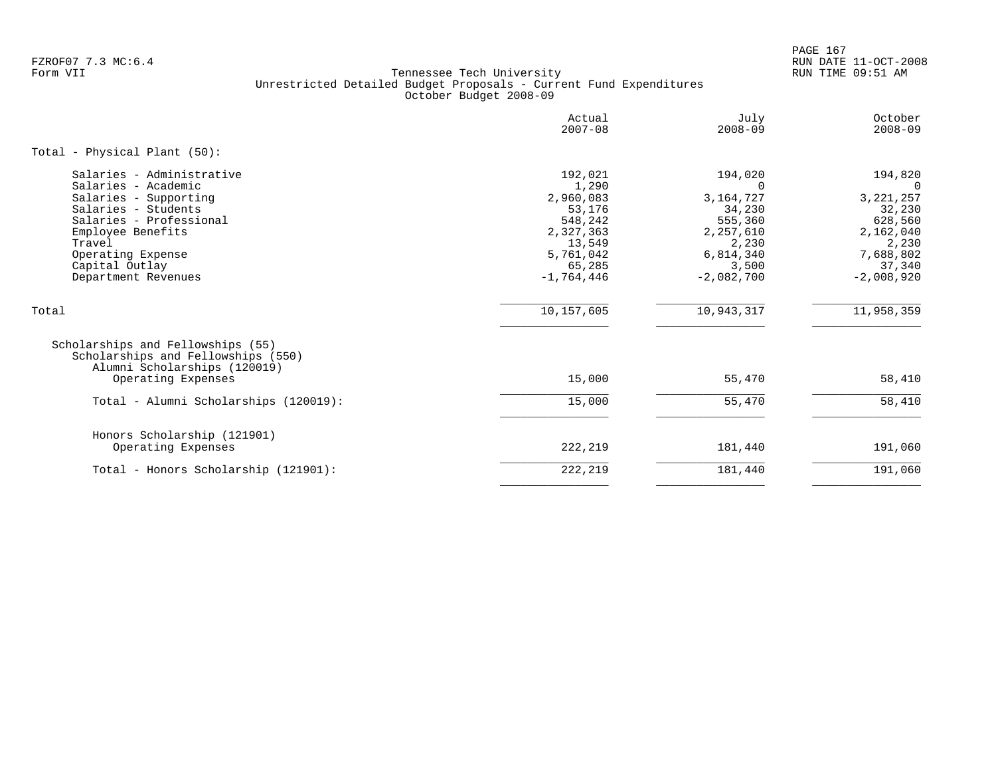PAGE 167 FZROF07 7.3 MC:6.4 RUN DATE 11-OCT-2008

|                                                                                                                                                                                                                          | Actual<br>$2007 - 08$                                                                                            | July<br>$2008 - 09$                                                                                                 | October<br>$2008 - 09$                                                                                               |
|--------------------------------------------------------------------------------------------------------------------------------------------------------------------------------------------------------------------------|------------------------------------------------------------------------------------------------------------------|---------------------------------------------------------------------------------------------------------------------|----------------------------------------------------------------------------------------------------------------------|
| Total - Physical Plant (50):                                                                                                                                                                                             |                                                                                                                  |                                                                                                                     |                                                                                                                      |
| Salaries - Administrative<br>Salaries - Academic<br>Salaries - Supporting<br>Salaries - Students<br>Salaries - Professional<br>Employee Benefits<br>Travel<br>Operating Expense<br>Capital Outlay<br>Department Revenues | 192,021<br>1,290<br>2,960,083<br>53,176<br>548,242<br>2,327,363<br>13,549<br>5,761,042<br>65,285<br>$-1,764,446$ | 194,020<br>$\Omega$<br>3, 164, 727<br>34,230<br>555,360<br>2,257,610<br>2,230<br>6,814,340<br>3,500<br>$-2,082,700$ | 194,820<br>$\Omega$<br>3, 221, 257<br>32,230<br>628,560<br>2,162,040<br>2,230<br>7,688,802<br>37,340<br>$-2,008,920$ |
| Total                                                                                                                                                                                                                    | 10,157,605                                                                                                       | 10,943,317                                                                                                          | 11,958,359                                                                                                           |
| Scholarships and Fellowships (55)<br>Scholarships and Fellowships (550)<br>Alumni Scholarships (120019)<br>Operating Expenses                                                                                            | 15,000                                                                                                           | 55,470                                                                                                              | 58,410                                                                                                               |
| Total - Alumni Scholarships (120019):                                                                                                                                                                                    | 15,000                                                                                                           | 55,470                                                                                                              | 58,410                                                                                                               |
| Honors Scholarship (121901)<br>Operating Expenses                                                                                                                                                                        | 222,219                                                                                                          | 181,440                                                                                                             | 191,060                                                                                                              |
| Total - Honors Scholarship (121901):                                                                                                                                                                                     | 222, 219                                                                                                         | 181,440                                                                                                             | 191,060                                                                                                              |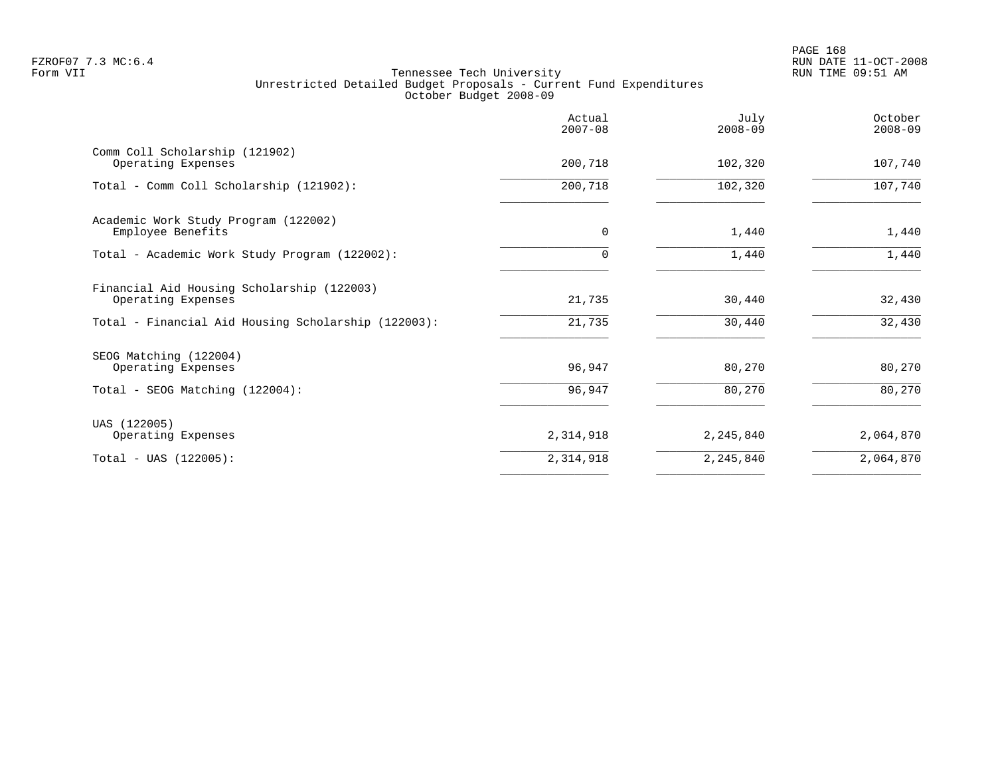|                                                                  | Actual<br>$2007 - 08$ | July<br>$2008 - 09$ | October<br>$2008 - 09$ |
|------------------------------------------------------------------|-----------------------|---------------------|------------------------|
| Comm Coll Scholarship (121902)<br>Operating Expenses             | 200,718               | 102,320             | 107,740                |
| Total - Comm Coll Scholarship (121902):                          | 200,718               | 102,320             | 107,740                |
| Academic Work Study Program (122002)<br>Employee Benefits        | $\mathbf 0$           | 1,440               | 1,440                  |
| Total - Academic Work Study Program (122002):                    | $\Omega$              | 1,440               | 1,440                  |
| Financial Aid Housing Scholarship (122003)<br>Operating Expenses | 21,735<br>21,735      | 30,440<br>30,440    | 32,430<br>32,430       |
| Total - Financial Aid Housing Scholarship (122003):              |                       |                     |                        |
| SEOG Matching (122004)<br>Operating Expenses                     | 96,947                | 80,270              | 80,270                 |
| Total - SEOG Matching (122004):                                  | 96,947                | 80,270              | 80,270                 |
| UAS (122005)<br>Operating Expenses                               | 2,314,918             | 2,245,840           | 2,064,870              |
| $Total - UAS (122005):$                                          | 2,314,918             | 2, 245, 840         | 2,064,870              |
|                                                                  |                       |                     |                        |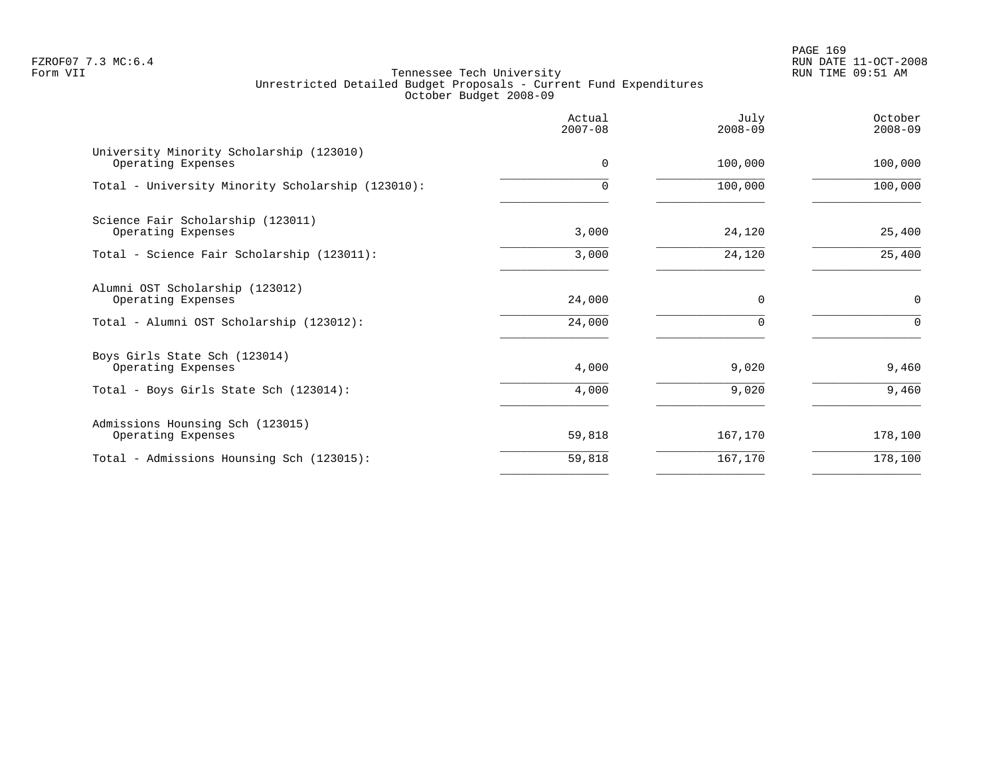PAGE 169 FZROF07 7.3 MC:6.4 RUN DATE 11-OCT-2008

|                                                                | Actual<br>$2007 - 08$ | July<br>$2008 - 09$ | October<br>$2008 - 09$ |
|----------------------------------------------------------------|-----------------------|---------------------|------------------------|
| University Minority Scholarship (123010)<br>Operating Expenses | $\Omega$              | 100,000             | 100,000                |
| Total - University Minority Scholarship (123010):              | $\Omega$              | 100,000             | 100,000                |
| Science Fair Scholarship (123011)<br>Operating Expenses        | 3,000                 | 24,120              | 25,400                 |
| Total - Science Fair Scholarship (123011):                     | 3,000                 | 24,120              | 25,400                 |
| Alumni OST Scholarship (123012)<br>Operating Expenses          | 24,000                | $\Omega$            | $\mathbf 0$            |
| Total - Alumni OST Scholarship (123012):                       | 24,000                | $\Omega$            | $\Omega$               |
| Boys Girls State Sch (123014)<br>Operating Expenses            | 4,000                 | 9,020               | 9,460                  |
| Total - Boys Girls State Sch (123014):                         | 4,000                 | 9,020               | 9,460                  |
| Admissions Hounsing Sch (123015)<br>Operating Expenses         | 59,818                | 167,170             | 178,100                |
| Total - Admissions Hounsing Sch (123015):                      | 59,818                | 167,170             | 178,100                |
|                                                                |                       |                     |                        |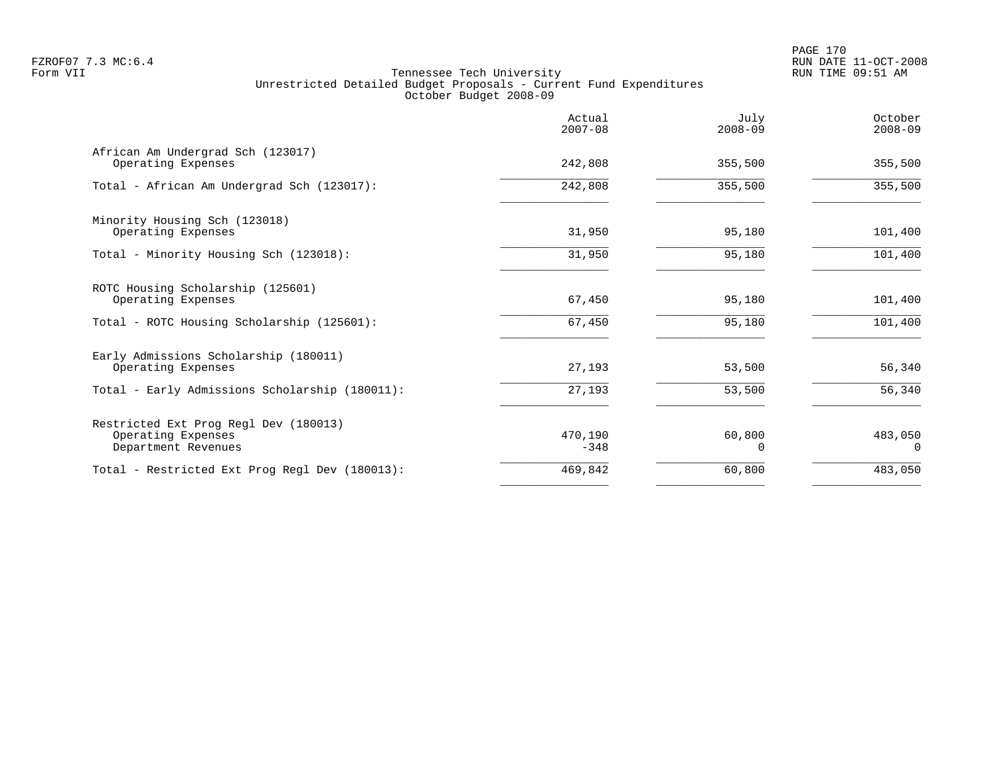|                                                                                    | Actual<br>$2007 - 08$ | July<br>$2008 - 09$ | October<br>$2008 - 09$ |
|------------------------------------------------------------------------------------|-----------------------|---------------------|------------------------|
| African Am Undergrad Sch (123017)<br>Operating Expenses                            | 242,808               | 355,500             | 355,500                |
| Total - African Am Undergrad Sch (123017):                                         | 242,808               | 355,500             | 355,500                |
| Minority Housing Sch (123018)<br>Operating Expenses                                | 31,950                | 95,180              | 101,400                |
| Total - Minority Housing Sch (123018):                                             | 31,950                | 95,180              | 101,400                |
| ROTC Housing Scholarship (125601)<br>Operating Expenses                            | 67,450                | 95,180              | 101,400                |
| Total - ROTC Housing Scholarship (125601):                                         | 67,450                | 95,180              | 101,400                |
| Early Admissions Scholarship (180011)<br>Operating Expenses                        | 27,193                | 53,500              | 56,340                 |
| Total - Early Admissions Scholarship (180011):                                     | 27,193                | 53,500              | 56,340                 |
| Restricted Ext Prog Regl Dev (180013)<br>Operating Expenses<br>Department Revenues | 470,190<br>$-348$     | 60,800<br>0         | 483,050<br>$\Omega$    |
| Total - Restricted Ext Prog Regl Dev (180013):                                     | 469,842               | 60,800              | 483,050                |
|                                                                                    |                       |                     |                        |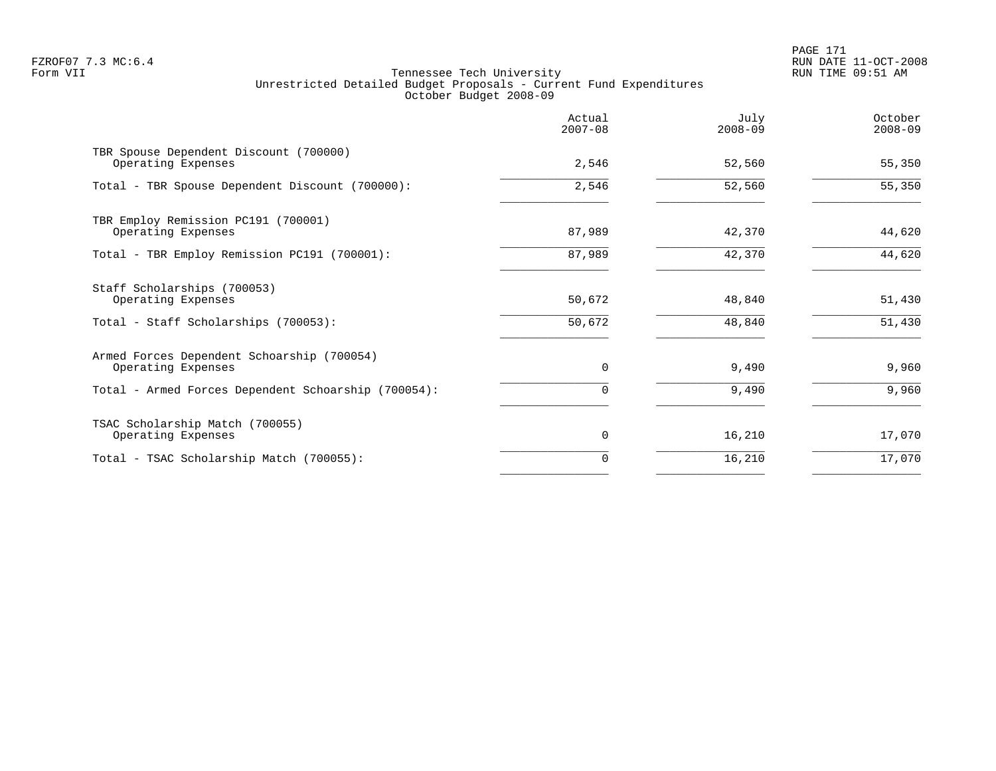PAGE 171 FZROF07 7.3 MC:6.4 RUN DATE 11-OCT-2008

|                                                                  | Actual<br>$2007 - 08$ | July<br>$2008 - 09$ | October<br>$2008 - 09$ |
|------------------------------------------------------------------|-----------------------|---------------------|------------------------|
| TBR Spouse Dependent Discount (700000)<br>Operating Expenses     | 2,546                 | 52,560              | 55,350                 |
| Total - TBR Spouse Dependent Discount (700000):                  | 2,546                 | 52,560              | 55,350                 |
| TBR Employ Remission PC191 (700001)<br>Operating Expenses        | 87,989                | 42,370              | 44,620                 |
| Total - TBR Employ Remission PC191 (700001):                     | 87,989                | 42,370              | 44,620                 |
| Staff Scholarships (700053)<br>Operating Expenses                | 50,672                | 48,840              | 51,430                 |
| Total - Staff Scholarships (700053):                             | 50,672                | 48,840              | 51,430                 |
| Armed Forces Dependent Schoarship (700054)<br>Operating Expenses | 0                     | 9,490               | 9,960                  |
| Total - Armed Forces Dependent Schoarship (700054):              | 0                     | 9,490               | 9,960                  |
| TSAC Scholarship Match (700055)<br>Operating Expenses            | 0                     | 16,210              | 17,070                 |
| Total - TSAC Scholarship Match (700055):                         | 0                     | 16,210              | 17,070                 |
|                                                                  |                       |                     |                        |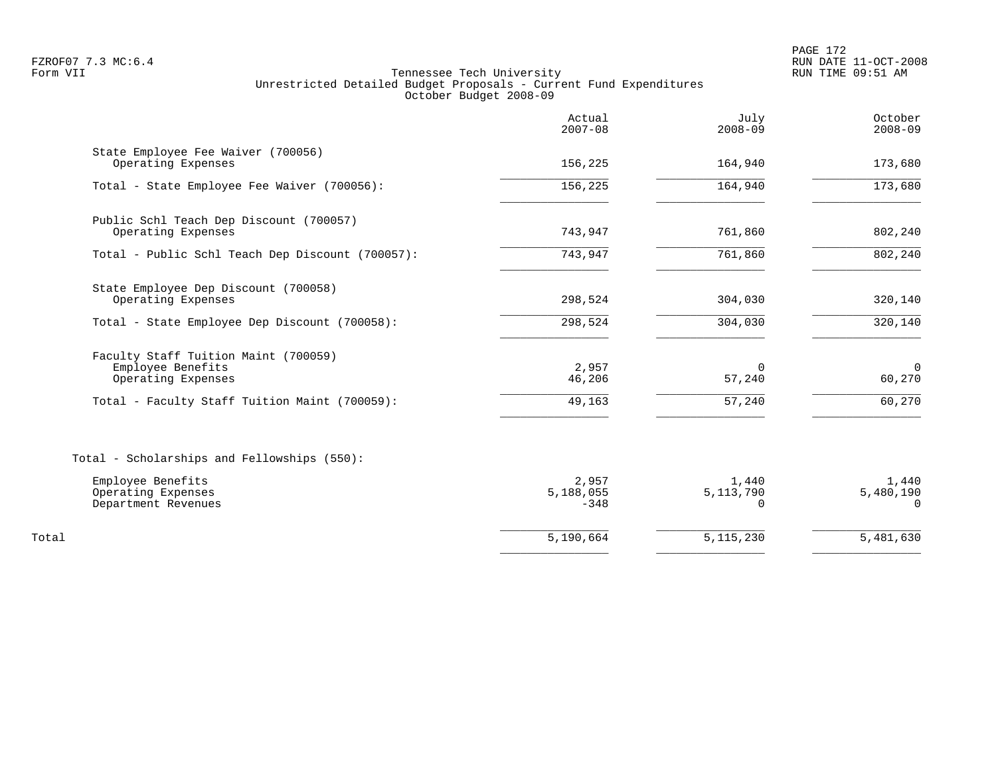PAGE 172 FZROF07 7.3 MC:6.4 RUN DATE 11-OCT-2008

|                                                                                                                                  | Actual<br>$2007 - 08$        | July<br>$2008 - 09$              | October<br>$2008 - 09$         |
|----------------------------------------------------------------------------------------------------------------------------------|------------------------------|----------------------------------|--------------------------------|
| State Employee Fee Waiver (700056)<br>Operating Expenses                                                                         | 156,225                      | 164,940                          | 173,680                        |
| Total - State Employee Fee Waiver (700056):                                                                                      | 156, 225                     | 164,940                          | 173,680                        |
| Public Schl Teach Dep Discount (700057)<br>Operating Expenses                                                                    | 743,947                      | 761,860                          | 802,240                        |
| Total - Public Schl Teach Dep Discount (700057):                                                                                 | 743,947                      | 761,860                          | 802,240                        |
| State Employee Dep Discount (700058)<br>Operating Expenses                                                                       | 298,524                      | 304,030                          | 320,140                        |
| Total - State Employee Dep Discount (700058):                                                                                    | 298,524                      | 304,030                          | 320,140                        |
| Faculty Staff Tuition Maint (700059)<br>Employee Benefits<br>Operating Expenses<br>Total - Faculty Staff Tuition Maint (700059): | 2,957<br>46,206<br>49,163    | 0<br>57,240<br>57,240            | $\Omega$<br>60,270<br>60,270   |
| Total - Scholarships and Fellowships (550):                                                                                      |                              |                                  |                                |
| Employee Benefits<br>Operating Expenses<br>Department Revenues                                                                   | 2,957<br>5,188,055<br>$-348$ | 1,440<br>5, 113, 790<br>$\Omega$ | 1,440<br>5,480,190<br>$\Omega$ |
| Total                                                                                                                            | 5,190,664                    | 5, 115, 230                      | 5,481,630                      |
|                                                                                                                                  |                              |                                  |                                |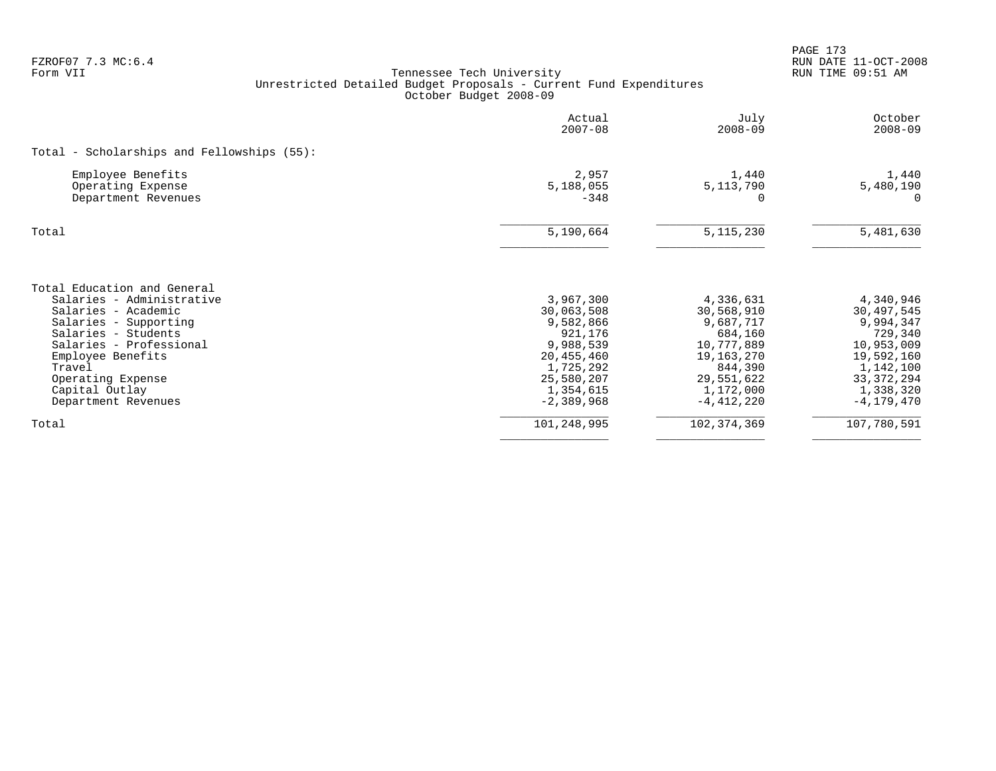| FZROF07 7.3 MC:6.4<br>Form VII                                                                                                                                                                                                                          | Tennessee Tech University<br>Unrestricted Detailed Budget Proposals - Current Fund Expenditures<br>October Budget 2008-09          |                                                                                                                                     | RUN DATE 11-OCT-2008<br>RUN TIME 09:51 AM                                                                                               |
|---------------------------------------------------------------------------------------------------------------------------------------------------------------------------------------------------------------------------------------------------------|------------------------------------------------------------------------------------------------------------------------------------|-------------------------------------------------------------------------------------------------------------------------------------|-----------------------------------------------------------------------------------------------------------------------------------------|
|                                                                                                                                                                                                                                                         | Actual<br>$2007 - 08$                                                                                                              | July<br>$2008 - 09$                                                                                                                 | October<br>$2008 - 09$                                                                                                                  |
| Total - Scholarships and Fellowships (55):                                                                                                                                                                                                              |                                                                                                                                    |                                                                                                                                     |                                                                                                                                         |
| Employee Benefits<br>Operating Expense<br>Department Revenues                                                                                                                                                                                           | 2,957<br>5,188,055<br>$-348$                                                                                                       | 1,440<br>5, 113, 790<br>$\Omega$                                                                                                    | 1,440<br>5,480,190<br>$\Omega$                                                                                                          |
| Total                                                                                                                                                                                                                                                   | 5,190,664                                                                                                                          | 5, 115, 230                                                                                                                         | 5,481,630                                                                                                                               |
| Total Education and General<br>Salaries - Administrative<br>Salaries - Academic<br>Salaries - Supporting<br>Salaries - Students<br>Salaries - Professional<br>Employee Benefits<br>Travel<br>Operating Expense<br>Capital Outlay<br>Department Revenues | 3,967,300<br>30,063,508<br>9,582,866<br>921,176<br>9,988,539<br>20,455,460<br>1,725,292<br>25,580,207<br>1,354,615<br>$-2,389,968$ | 4,336,631<br>30,568,910<br>9,687,717<br>684,160<br>10,777,889<br>19,163,270<br>844,390<br>29,551,622<br>1,172,000<br>$-4, 412, 220$ | 4,340,946<br>30,497,545<br>9,994,347<br>729,340<br>10,953,009<br>19,592,160<br>1,142,100<br>33, 372, 294<br>1,338,320<br>$-4, 179, 470$ |
| Total                                                                                                                                                                                                                                                   | 101,248,995                                                                                                                        | 102, 374, 369                                                                                                                       | 107,780,591                                                                                                                             |

PAGE 173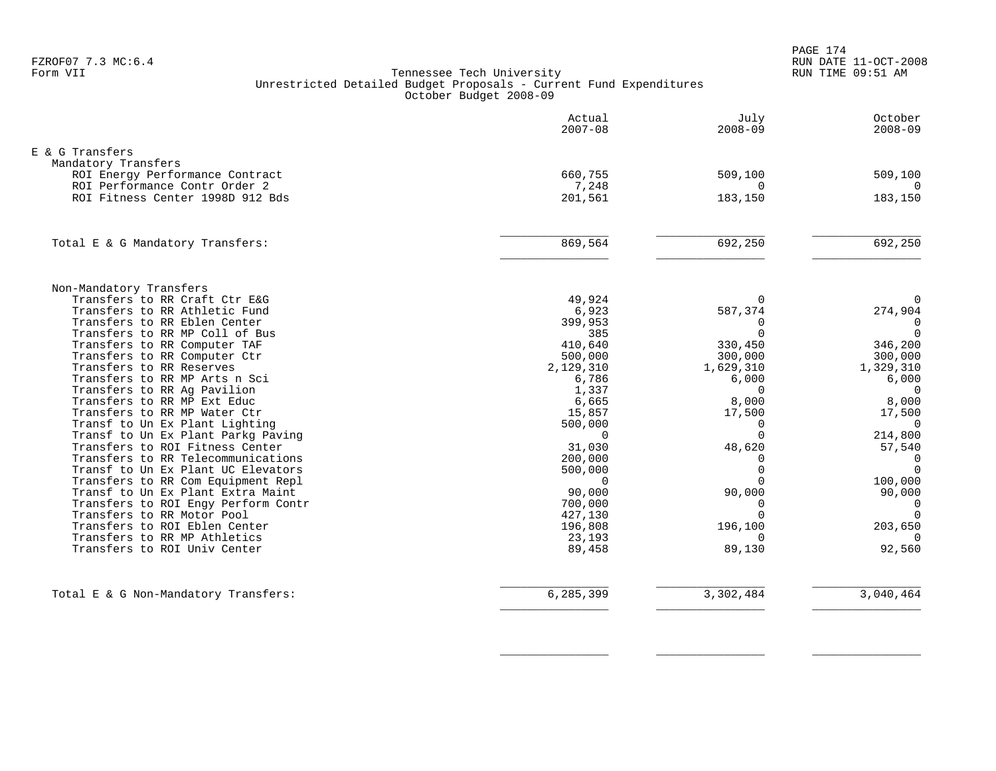PAGE 174 FZROF07 7.3 MC:6.4 RUN DATE 11-OCT-2008

#### Form VII Tennessee Tech University RUN TIME 09:51 AM Unrestricted Detailed Budget Proposals - Current Fund Expenditures October Budget 2008-09

|                                                               | Actual<br>$2007 - 08$ | July<br>$2008 - 09$ | October<br>$2008 - 09$  |
|---------------------------------------------------------------|-----------------------|---------------------|-------------------------|
| E & G Transfers                                               |                       |                     |                         |
| Mandatory Transfers                                           |                       |                     |                         |
| ROI Energy Performance Contract                               | 660,755               | 509,100             | 509,100                 |
| ROI Performance Contr Order 2                                 | 7,248                 | $\Omega$            | $\Omega$                |
| ROI Fitness Center 1998D 912 Bds                              | 201,561               | 183,150             | 183,150                 |
| Total E & G Mandatory Transfers:                              | 869,564               | 692,250             | 692,250                 |
|                                                               |                       |                     |                         |
| Non-Mandatory Transfers<br>Transfers to RR Craft Ctr E&G      | 49,924                | $\mathbf 0$         | $\mathbf 0$             |
| Transfers to RR Athletic Fund                                 | 6,923                 | 587,374             | 274,904                 |
| Transfers to RR Eblen Center                                  | 399,953               | 0                   | 0                       |
| Transfers to RR MP Coll of Bus                                | 385                   | $\Omega$            | $\overline{0}$          |
| Transfers to RR Computer TAF                                  | 410,640               | 330,450             | 346,200                 |
| Transfers to RR Computer Ctr                                  | 500,000               | 300,000             | 300,000                 |
| Transfers to RR Reserves                                      | 2,129,310             | 1,629,310           | 1,329,310               |
| Transfers to RR MP Arts n Sci                                 | 6,786                 | 6,000<br>$\Omega$   | 6,000                   |
| Transfers to RR Ag Pavilion<br>Transfers to RR MP Ext Educ    | 1,337<br>6,665        | 8,000               | $\overline{0}$<br>8,000 |
| Transfers to RR MP Water Ctr                                  | 15,857                | 17,500              | 17,500                  |
| Transf to Un Ex Plant Lighting                                | 500,000               | $\Omega$            | $\Omega$                |
| Transf to Un Ex Plant Parkg Paving                            | $\Omega$              | $\Omega$            | 214,800                 |
| Transfers to ROI Fitness Center                               | 31,030                | 48,620              | 57,540                  |
| Transfers to RR Telecommunications                            | 200,000               | $\Omega$            | $\overline{0}$          |
| Transf to Un Ex Plant UC Elevators                            | 500,000               | $\Omega$            | $\mathbf 0$             |
| Transfers to RR Com Equipment Repl                            | $\Omega$              | $\Omega$            | 100,000                 |
| Transf to Un Ex Plant Extra Maint                             | 90,000                | 90,000              | 90,000                  |
| Transfers to ROI Engy Perform Contr                           | 700,000               | $\Omega$            | $\overline{0}$          |
| Transfers to RR Motor Pool                                    | 427,130               | $\Omega$            | $\Omega$                |
| Transfers to ROI Eblen Center<br>Transfers to RR MP Athletics | 196,808<br>23,193     | 196,100<br>$\Omega$ | 203,650<br>$\Omega$     |
| Transfers to ROI Univ Center                                  | 89,458                | 89,130              | 92,560                  |
|                                                               |                       |                     |                         |
| Total E & G Non-Mandatory Transfers:                          | 6,285,399             | 3,302,484           | 3,040,464               |

 $\overline{\phantom{a}}$  , and the contract of the contract of the contract of the contract of the contract of the contract of the contract of the contract of the contract of the contract of the contract of the contract of the contrac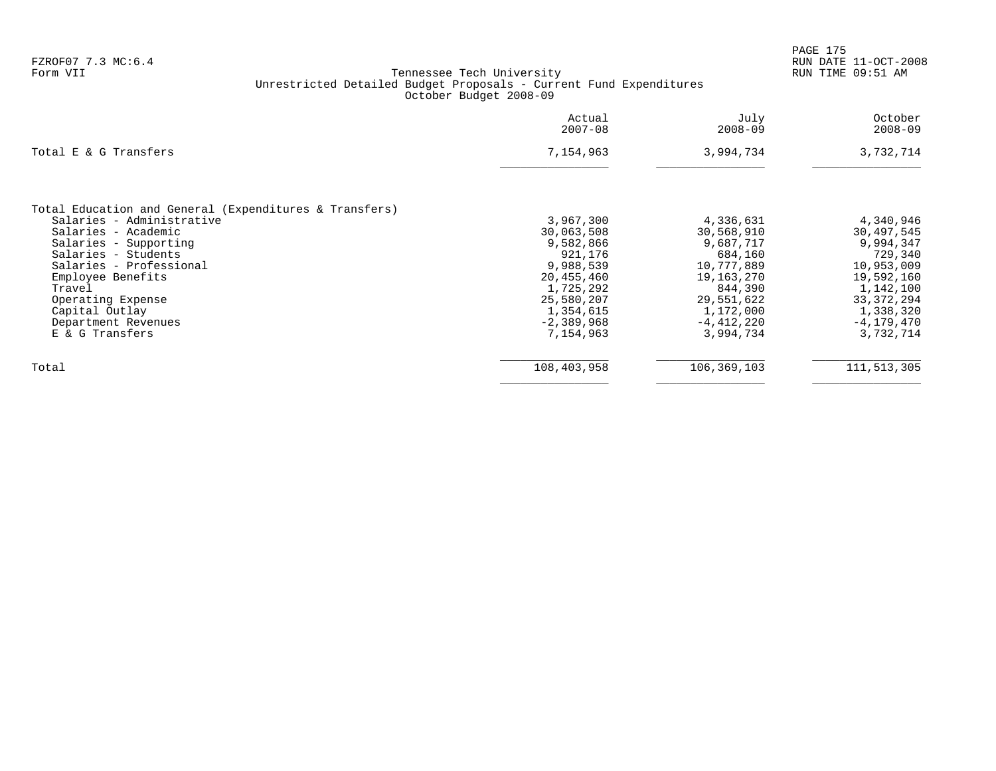| Actual<br>$2007 - 08$ | July<br>$2008 - 09$ | October<br>$2008 - 09$ |
|-----------------------|---------------------|------------------------|
| 7,154,963             | 3,994,734           | 3,732,714              |
|                       |                     |                        |
|                       |                     |                        |
| 3,967,300             | 4,336,631           | 4,340,946              |
| 30,063,508            | 30,568,910          | 30,497,545             |
| 9,582,866             | 9,687,717           | 9,994,347              |
| 921,176               | 684,160             | 729,340                |
| 9,988,539             | 10,777,889          | 10,953,009             |
| 20,455,460            | 19,163,270          | 19,592,160             |
| 1,725,292             | 844,390             | 1,142,100              |
| 25,580,207            | 29,551,622          | 33, 372, 294           |
| 1,354,615             | 1,172,000           | 1,338,320              |
| $-2,389,968$          | $-4,412,220$        | $-4, 179, 470$         |
| 7,154,963             | 3,994,734           | 3,732,714              |
| 108,403,958           | 106,369,103         | 111,513,305            |
|                       |                     |                        |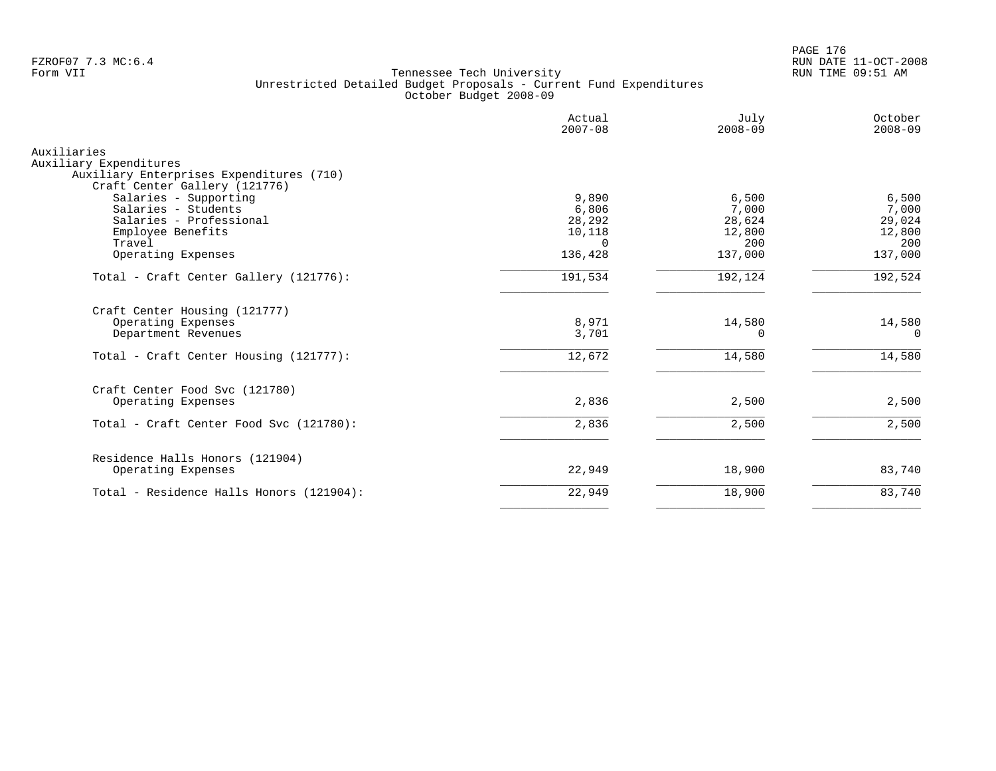PAGE 176 FZROF07 7.3 MC:6.4 RUN DATE 11-OCT-2008

|                                                                                                                                                               | Actual<br>$2007 - 08$                                   | July<br>$2008 - 09$                                  | October<br>$2008 - 09$                               |
|---------------------------------------------------------------------------------------------------------------------------------------------------------------|---------------------------------------------------------|------------------------------------------------------|------------------------------------------------------|
| Auxiliaries<br>Auxiliary Expenditures<br>Auxiliary Enterprises Expenditures (710)                                                                             |                                                         |                                                      |                                                      |
| Craft Center Gallery (121776)<br>Salaries - Supporting<br>Salaries - Students<br>Salaries - Professional<br>Employee Benefits<br>Travel<br>Operating Expenses | 9,890<br>6,806<br>28,292<br>10,118<br>$\cap$<br>136,428 | 6,500<br>7,000<br>28,624<br>12,800<br>200<br>137,000 | 6,500<br>7,000<br>29,024<br>12,800<br>200<br>137,000 |
| Total - Craft Center Gallery (121776):                                                                                                                        | 191,534                                                 | 192,124                                              | 192,524                                              |
| Craft Center Housing (121777)<br>Operating Expenses<br>Department Revenues<br>Total - Craft Center Housing (121777):                                          | 8,971<br>3,701<br>12,672                                | 14,580<br>0<br>14,580                                | 14,580<br>$\Omega$<br>14,580                         |
| Craft Center Food Svc (121780)<br>Operating Expenses                                                                                                          | 2,836                                                   | 2,500                                                | 2,500                                                |
| Total - Craft Center Food Svc (121780):                                                                                                                       | 2,836                                                   | 2,500                                                | 2,500                                                |
| Residence Halls Honors (121904)<br>Operating Expenses                                                                                                         | 22,949                                                  | 18,900                                               | 83,740                                               |
| Total - Residence Halls Honors (121904):                                                                                                                      | 22,949                                                  | 18,900                                               | 83,740                                               |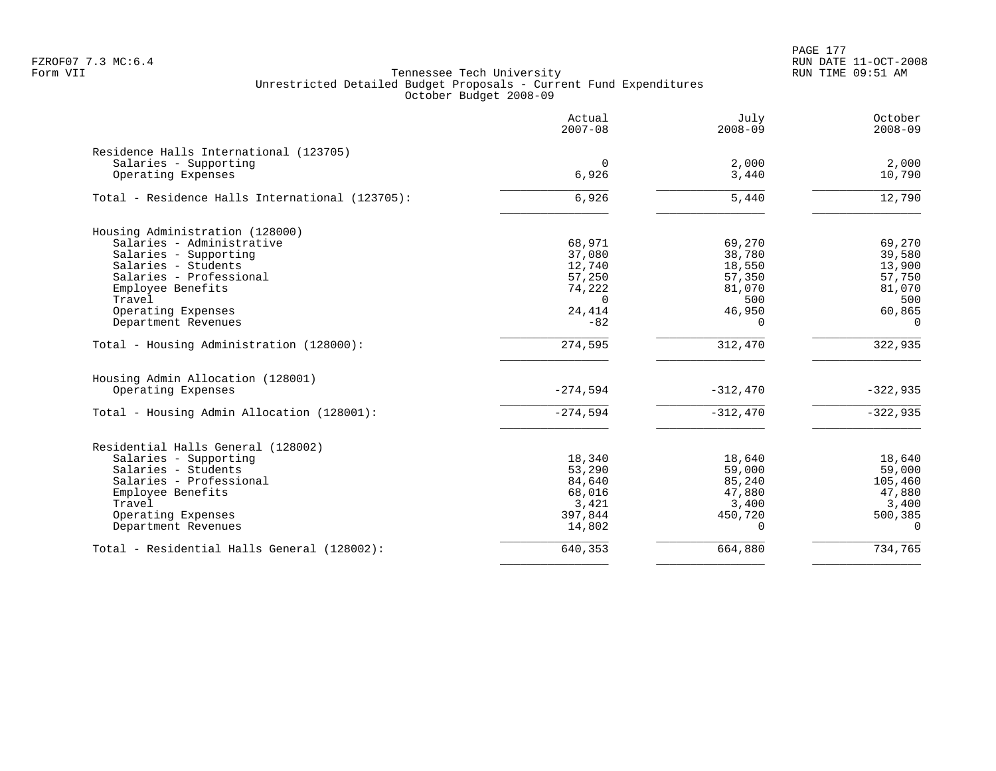PAGE 177 FZROF07 7.3 MC:6.4 RUN DATE 11-OCT-2008

|                                                 | Actual<br>$2007 - 08$ | July<br>$2008 - 09$ | October<br>$2008 - 09$ |
|-------------------------------------------------|-----------------------|---------------------|------------------------|
| Residence Halls International (123705)          |                       |                     |                        |
| Salaries - Supporting                           | $\Omega$              | 2,000               | 2,000                  |
| Operating Expenses                              | 6,926                 | 3,440               | 10,790                 |
| Total - Residence Halls International (123705): | 6,926                 | 5,440               | 12,790                 |
| Housing Administration (128000)                 |                       |                     |                        |
| Salaries - Administrative                       | 68,971                | 69,270              | 69,270                 |
| Salaries - Supporting                           | 37,080                | 38,780              | 39,580                 |
| Salaries - Students                             | 12,740                | 18,550              | 13,900                 |
| Salaries - Professional                         | 57,250                | 57,350              | 57,750                 |
| Employee Benefits                               | 74,222                | 81,070              | 81,070                 |
| Travel                                          | $\Omega$              | 500                 | 500                    |
| Operating Expenses                              | 24,414                | 46,950              | 60,865                 |
| Department Revenues                             | $-82$                 | $\Omega$            | $\Omega$               |
| Total - Housing Administration (128000):        | 274,595               | 312,470             | 322,935                |
| Housing Admin Allocation (128001)               |                       |                     |                        |
| Operating Expenses                              | $-274,594$            | $-312,470$          | $-322,935$             |
| Total - Housing Admin Allocation (128001):      | $-274,594$            | $-312,470$          | $-322,935$             |
| Residential Halls General (128002)              |                       |                     |                        |
| Salaries - Supporting                           | 18,340                | 18,640              | 18,640                 |
| Salaries - Students                             | 53,290                | 59,000              | 59,000                 |
| Salaries - Professional                         | 84,640                | 85,240              | 105,460                |
| Employee Benefits                               | 68,016                | 47,880              | 47,880                 |
| Travel                                          | 3,421                 | 3,400               | 3,400                  |
| Operating Expenses                              | 397,844               | 450,720             | 500,385                |
| Department Revenues                             | 14,802                | $\Omega$            | $\Omega$               |
| Total - Residential Halls General (128002):     | 640,353               | 664,880             | 734,765                |
|                                                 |                       |                     |                        |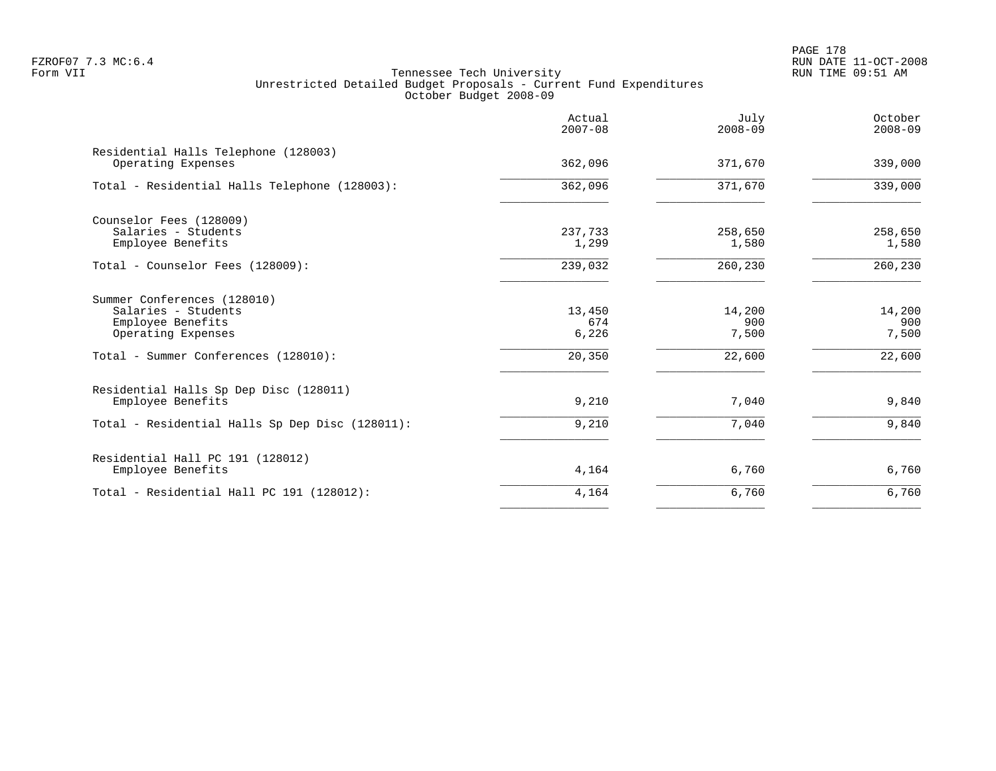PAGE 178 FZROF07 7.3 MC:6.4 RUN DATE 11-OCT-2008

| Actual<br>$2007 - 08$  | July<br>$2008 - 09$    | October<br>$2008 - 09$           |
|------------------------|------------------------|----------------------------------|
| 362,096                | 371,670                | 339,000                          |
| 362,096                | 371,670                | 339,000                          |
| 237,733<br>1,299       | 258,650<br>1,580       | 258,650<br>1,580                 |
| 239,032                | 260,230                | 260,230                          |
| 13,450<br>674<br>6,226 | 14,200<br>900<br>7,500 | 14,200<br>900<br>7,500<br>22,600 |
| 9,210                  | 7,040                  | 9,840                            |
|                        |                        | 9,840                            |
| 4,164                  | 6,760                  | 6,760                            |
| 4,164                  | 6,760                  | 6,760                            |
|                        | 20,350<br>9,210        | 22,600<br>7,040                  |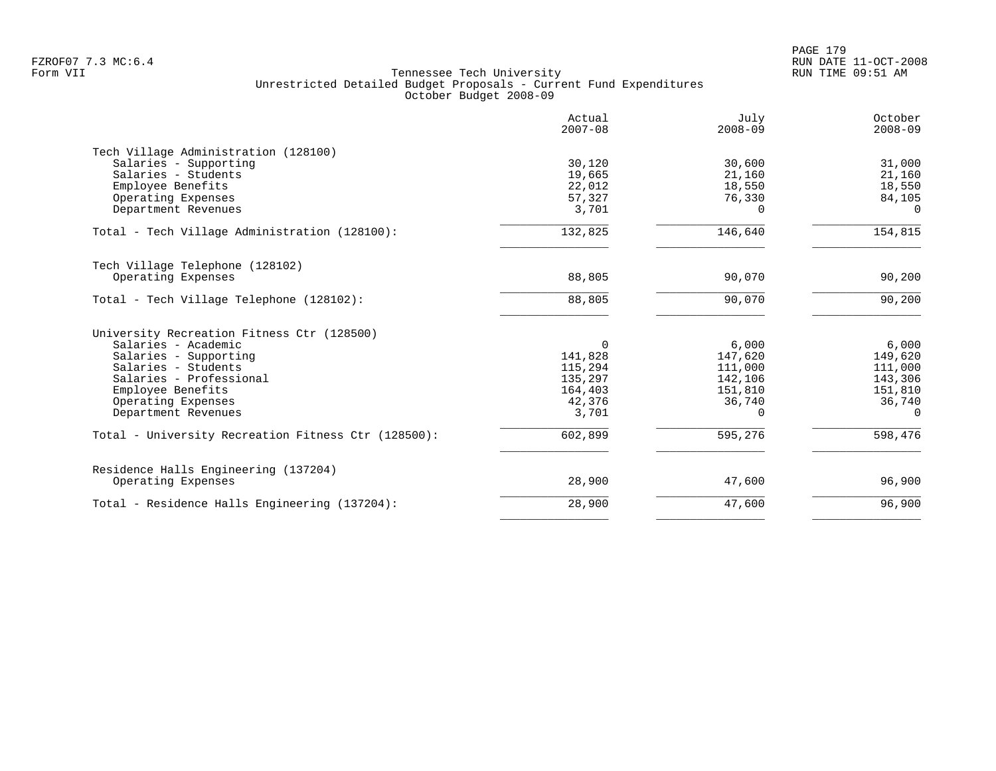|                                                     | Actual<br>$2007 - 08$ | July<br>$2008 - 09$ | October<br>$2008 - 09$ |
|-----------------------------------------------------|-----------------------|---------------------|------------------------|
| Tech Village Administration (128100)                |                       |                     |                        |
| Salaries - Supporting                               | 30,120                | 30,600              | 31,000                 |
| Salaries - Students<br>Employee Benefits            | 19,665<br>22,012      | 21,160<br>18,550    | 21,160<br>18,550       |
| Operating Expenses                                  | 57,327                | 76,330              | 84,105                 |
| Department Revenues                                 | 3,701                 | 0                   | $\Omega$               |
| Total - Tech Village Administration (128100):       | 132,825               | 146,640             | 154,815                |
| Tech Village Telephone (128102)                     |                       |                     |                        |
| Operating Expenses                                  | 88,805                | 90,070              | 90,200                 |
| Total - Tech Village Telephone (128102):            | 88,805                | 90,070              | 90,200                 |
| University Recreation Fitness Ctr (128500)          |                       |                     |                        |
| Salaries - Academic                                 | $\Omega$              | 6,000               | 6,000                  |
| Salaries - Supporting                               | 141,828               | 147,620             | 149,620                |
| Salaries - Students                                 | 115,294               | 111,000             | 111,000                |
| Salaries - Professional                             | 135,297               | 142,106             | 143,306                |
| Employee Benefits                                   | 164,403               | 151,810             | 151,810                |
| Operating Expenses                                  | 42,376                | 36,740              | 36,740                 |
| Department Revenues                                 | 3,701                 | $\Omega$            | $\Omega$               |
| Total - University Recreation Fitness Ctr (128500): | 602,899               | 595,276             | 598,476                |
| Residence Halls Engineering (137204)                |                       |                     |                        |
| Operating Expenses                                  | 28,900                | 47,600              | 96,900                 |
| Total - Residence Halls Engineering (137204):       | 28,900                | 47,600              | 96,900                 |
|                                                     |                       |                     |                        |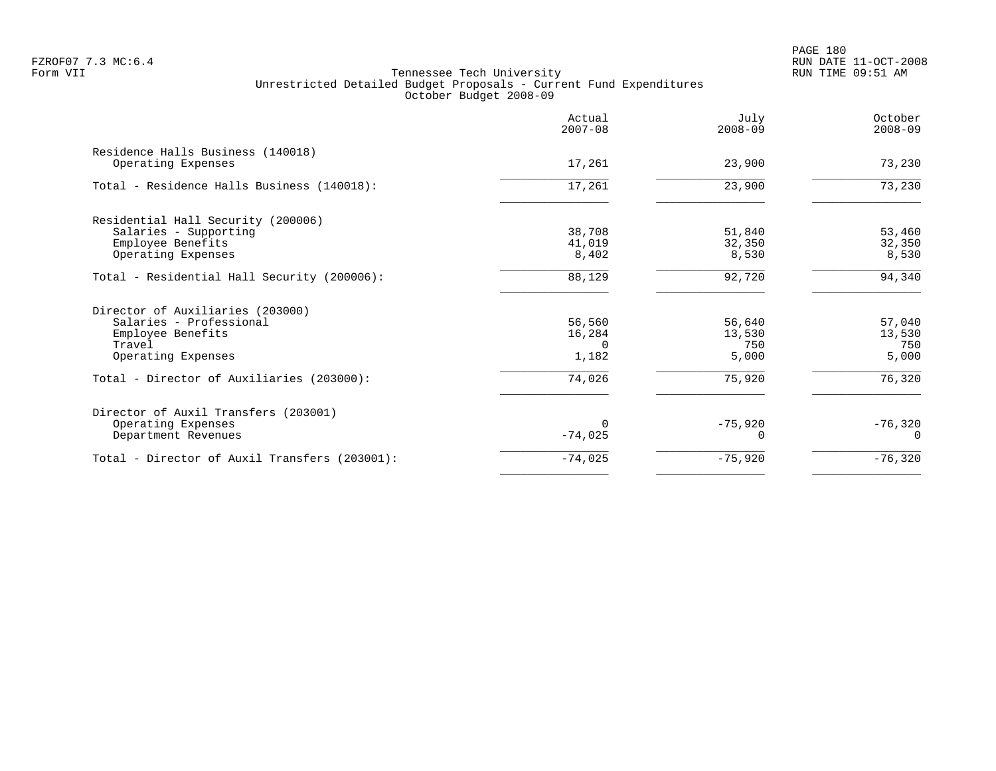|                                                                                                                  | Actual<br>$2007 - 08$               | July<br>$2008 - 09$              | October<br>$2008 - 09$           |
|------------------------------------------------------------------------------------------------------------------|-------------------------------------|----------------------------------|----------------------------------|
| Residence Halls Business (140018)<br>Operating Expenses                                                          | 17,261                              | 23,900                           | 73,230                           |
| Total - Residence Halls Business (140018):                                                                       | 17,261                              | 23,900                           | 73,230                           |
| Residential Hall Security (200006)<br>Salaries - Supporting<br>Employee Benefits<br>Operating Expenses           | 38,708<br>41,019<br>8,402           | 51,840<br>32,350<br>8,530        | 53,460<br>32,350<br>8,530        |
| Total - Residential Hall Security (200006):                                                                      | 88,129                              | 92,720                           | 94,340                           |
| Director of Auxiliaries (203000)<br>Salaries - Professional<br>Employee Benefits<br>Travel<br>Operating Expenses | 56,560<br>16,284<br>$\cap$<br>1,182 | 56,640<br>13,530<br>750<br>5,000 | 57,040<br>13,530<br>750<br>5,000 |
| Total - Director of Auxiliaries (203000):                                                                        | 74,026                              | 75,920                           | 76,320                           |
| Director of Auxil Transfers (203001)<br>Operating Expenses<br>Department Revenues                                | $-74,025$                           | $-75,920$                        | $-76,320$                        |
| Total - Director of Auxil Transfers (203001):                                                                    | $-74,025$                           | $-75,920$                        | $-76,320$                        |
|                                                                                                                  |                                     |                                  |                                  |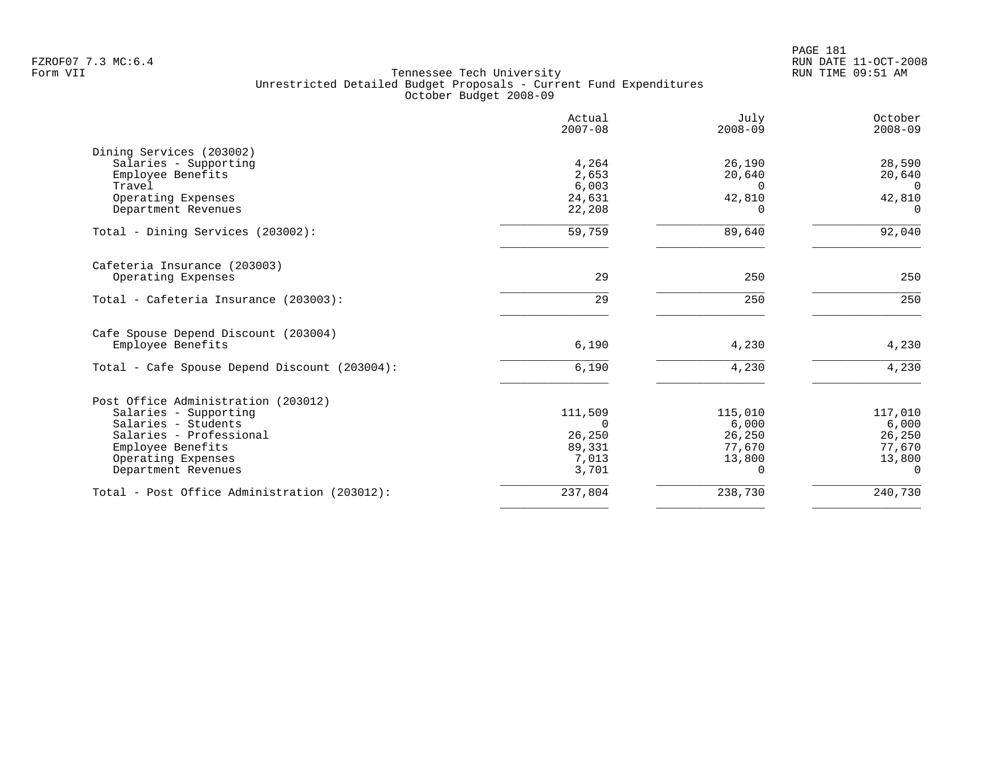PAGE 181 FZROF07 7.3 MC:6.4 RUN DATE 11-OCT-2008

|                                               | Actual<br>$2007 - 08$ | July<br>$2008 - 09$ | October<br>$2008 - 09$   |
|-----------------------------------------------|-----------------------|---------------------|--------------------------|
| Dining Services (203002)                      |                       |                     |                          |
| Salaries - Supporting                         | 4,264                 | 26,190              | 28,590                   |
| Employee Benefits                             | 2,653                 | 20,640              | 20,640                   |
| Travel<br>Operating Expenses                  | 6,003<br>24,631       | $\Omega$<br>42,810  | $\overline{0}$<br>42,810 |
| Department Revenues                           | 22,208                | $\Omega$            | $\Omega$                 |
| Total - Dining Services (203002):             | 59,759                | 89,640              | 92,040                   |
| Cafeteria Insurance (203003)                  |                       |                     |                          |
| Operating Expenses                            | 29                    | 250                 | 250                      |
| Total - Cafeteria Insurance (203003):         | 29                    | 250                 | 250                      |
| Cafe Spouse Depend Discount (203004)          |                       |                     |                          |
| Employee Benefits                             | 6,190                 | 4,230               | 4,230                    |
| Total - Cafe Spouse Depend Discount (203004): | 6,190                 | 4,230               | 4,230                    |
| Post Office Administration (203012)           |                       |                     |                          |
| Salaries - Supporting                         | 111,509               | 115,010             | 117,010                  |
| Salaries - Students                           | $\Omega$              | 6,000               | 6,000                    |
| Salaries - Professional                       | 26,250                | 26,250              | 26,250                   |
| Employee Benefits                             | 89,331                | 77,670              | 77,670                   |
| Operating Expenses                            | 7,013                 | 13,800              | 13,800                   |
| Department Revenues                           | 3,701                 | $\Omega$            | 0                        |
| Total - Post Office Administration (203012):  | 237,804               | 238,730             | 240,730                  |
|                                               |                       |                     |                          |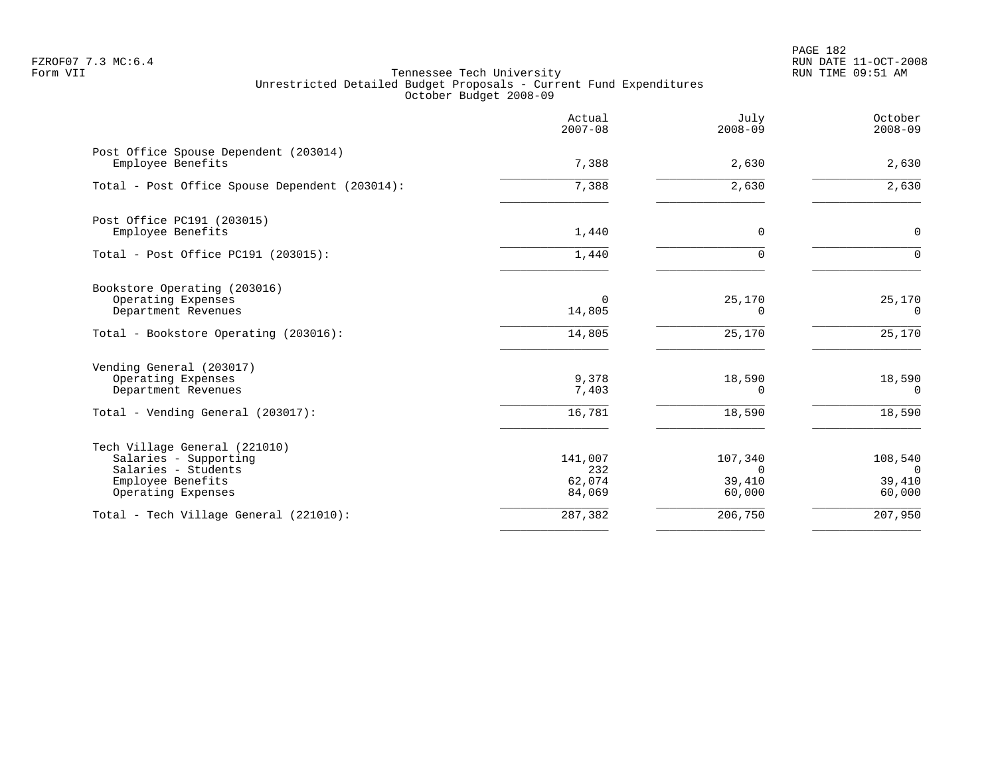PAGE 182 FZROF07 7.3 MC:6.4 RUN DATE 11-OCT-2008

|                                                                                                                          | Actual<br>$2007 - 08$              | July<br>$2008 - 09$                     | October<br>$2008 - 09$                        |
|--------------------------------------------------------------------------------------------------------------------------|------------------------------------|-----------------------------------------|-----------------------------------------------|
| Post Office Spouse Dependent (203014)<br>Employee Benefits                                                               | 7,388                              | 2,630                                   | 2,630                                         |
| Total - Post Office Spouse Dependent (203014):                                                                           | 7,388                              | 2,630                                   | 2,630                                         |
| Post Office PC191 (203015)<br>Employee Benefits                                                                          | 1,440                              | 0                                       | $\mathbf 0$                                   |
| Total - Post Office PC191 (203015):                                                                                      | 1,440                              |                                         | $\Omega$                                      |
| Bookstore Operating (203016)<br>Operating Expenses<br>Department Revenues                                                | 0<br>14,805                        | 25,170<br>0                             | 25,170<br>$\Omega$                            |
| Total - Bookstore Operating (203016):                                                                                    | 14,805                             | 25,170                                  | 25,170                                        |
| Vending General (203017)<br>Operating Expenses<br>Department Revenues                                                    | 9,378<br>7,403                     | 18,590<br>0                             | 18,590<br>$\Omega$                            |
| Total - Vending General (203017):                                                                                        | 16,781                             | 18,590                                  | 18,590                                        |
| Tech Village General (221010)<br>Salaries - Supporting<br>Salaries - Students<br>Employee Benefits<br>Operating Expenses | 141,007<br>232<br>62,074<br>84,069 | 107,340<br>$\Omega$<br>39,410<br>60,000 | 108,540<br>$\overline{0}$<br>39,410<br>60,000 |
| Total - Tech Village General (221010):                                                                                   | 287,382                            | 206,750                                 | 207,950                                       |
|                                                                                                                          |                                    |                                         |                                               |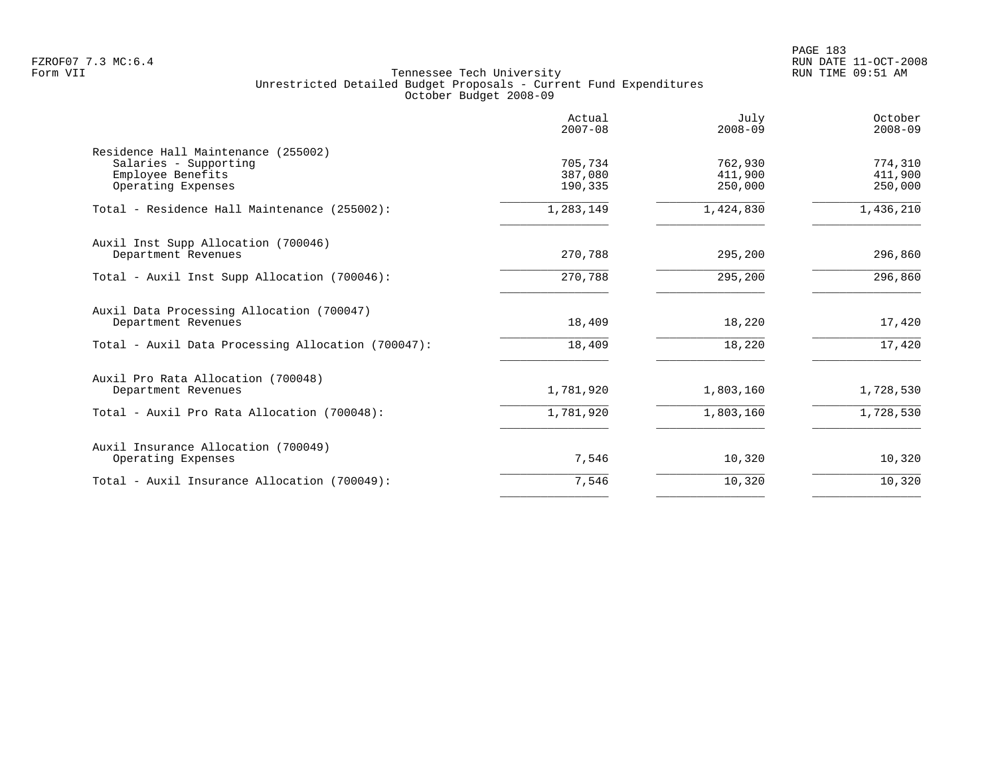PAGE 183 FZROF07 7.3 MC:6.4 RUN DATE 11-OCT-2008

|                                                                                                         | Actual<br>$2007 - 08$         | July<br>$2008 - 09$           | October<br>$2008 - 09$        |
|---------------------------------------------------------------------------------------------------------|-------------------------------|-------------------------------|-------------------------------|
| Residence Hall Maintenance (255002)<br>Salaries - Supporting<br>Employee Benefits<br>Operating Expenses | 705,734<br>387,080<br>190,335 | 762,930<br>411,900<br>250,000 | 774,310<br>411,900<br>250,000 |
| Total - Residence Hall Maintenance (255002):                                                            | 1,283,149                     | 1,424,830                     | 1,436,210                     |
| Auxil Inst Supp Allocation (700046)<br>Department Revenues                                              | 270,788                       | 295,200                       | 296,860                       |
| Total - Auxil Inst Supp Allocation (700046):                                                            | 270,788                       | 295,200                       | 296,860                       |
| Auxil Data Processing Allocation (700047)<br>Department Revenues                                        | 18,409                        | 18,220                        | 17,420                        |
| Total - Auxil Data Processing Allocation (700047):                                                      | 18,409                        | 18,220                        | 17,420                        |
| Auxil Pro Rata Allocation (700048)<br>Department Revenues                                               | 1,781,920                     | 1,803,160                     | 1,728,530                     |
| Total - Auxil Pro Rata Allocation (700048):                                                             | 1,781,920                     | 1,803,160                     | 1,728,530                     |
| Auxil Insurance Allocation (700049)<br>Operating Expenses                                               | 7,546                         | 10,320                        | 10,320                        |
| Total - Auxil Insurance Allocation (700049):                                                            | 7,546                         | 10,320                        | 10,320                        |
|                                                                                                         |                               |                               |                               |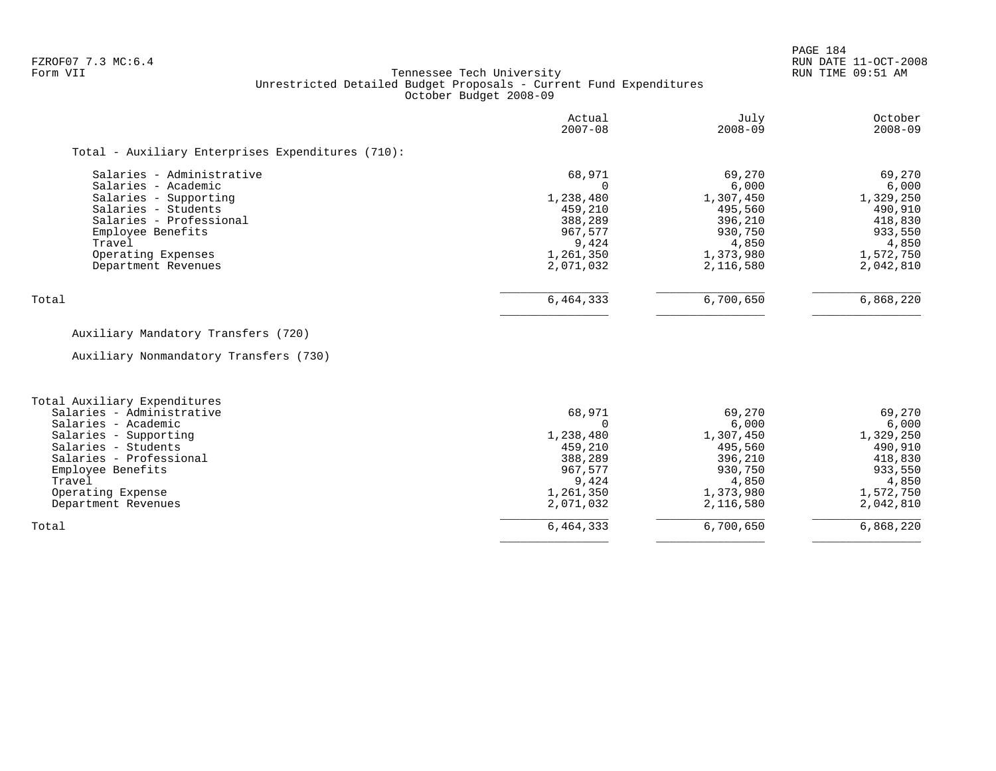PAGE 184

# FZROF07 7.3 MC:6.4 RUN DATE 11-OCT-2008<br>Form VII RUN TIME 09:51 AM Tennessee Tech University Unrestricted Detailed Budget Proposals - Current Fund Expenditures October Budget 2008-09

|                                                   | Actual<br>$2007 - 08$ | July<br>$2008 - 09$ | October<br>$2008 - 09$ |
|---------------------------------------------------|-----------------------|---------------------|------------------------|
| Total - Auxiliary Enterprises Expenditures (710): |                       |                     |                        |
| Salaries - Administrative                         | 68,971                | 69,270              | 69,270                 |
| Salaries - Academic                               |                       | 6,000               | 6,000                  |
| Salaries - Supporting                             | 1,238,480             | 1,307,450           | 1,329,250              |
| Salaries - Students                               | 459,210               | 495,560             | 490,910                |
| Salaries - Professional                           | 388,289               | 396,210             | 418,830                |
| Employee Benefits                                 | 967,577               | 930,750             | 933,550                |
| Travel                                            | 9,424                 | 4,850               | 4,850                  |
| Operating Expenses                                | 1,261,350             | 1,373,980           | 1,572,750              |
| Department Revenues                               | 2,071,032             | 2,116,580           | 2,042,810              |
| Total                                             | 6,464,333             | 6,700,650           | 6,868,220              |

# Auxiliary Mandatory Transfers (720)

Auxiliary Nonmandatory Transfers (730)

| Total Auxiliary Expenditures |           |           |           |
|------------------------------|-----------|-----------|-----------|
| Salaries - Administrative    | 68,971    | 69,270    | 69,270    |
| Salaries - Academic          |           | 6,000     | 6,000     |
| Salaries - Supporting        | 1,238,480 | 1,307,450 | 1,329,250 |
| Salaries - Students          | 459,210   | 495,560   | 490,910   |
| Salaries - Professional      | 388,289   | 396,210   | 418,830   |
| Employee Benefits            | 967,577   | 930,750   | 933,550   |
| Travel                       | 9,424     | 4,850     | 4,850     |
| Operating Expense            | 1,261,350 | 1,373,980 | 1,572,750 |
| Department Revenues          | 2,071,032 | 2,116,580 | 2,042,810 |
| Total                        | 6,464,333 | 6,700,650 | 6,868,220 |
|                              |           |           |           |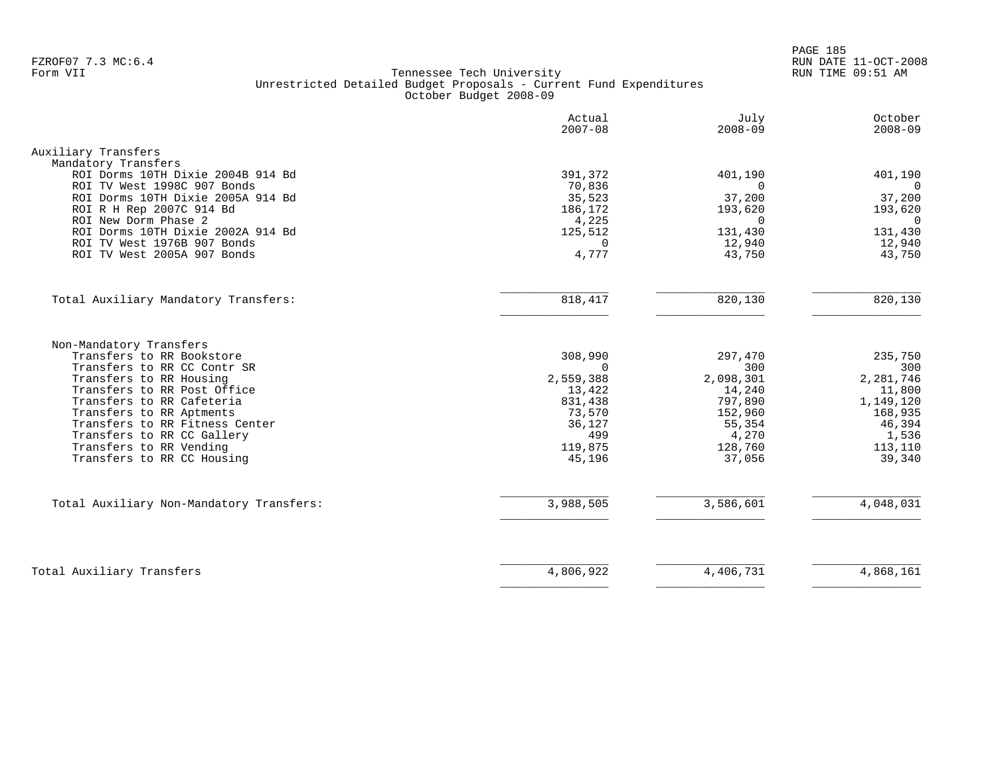PAGE 185 FZROF07 7.3 MC:6.4 RUN DATE 11-OCT-2008

|                                          | Actual<br>$2007 - 08$ | July<br>$2008 - 09$ | October<br>$2008 - 09$ |
|------------------------------------------|-----------------------|---------------------|------------------------|
| Auxiliary Transfers                      |                       |                     |                        |
| Mandatory Transfers                      |                       |                     |                        |
| ROI Dorms 10TH Dixie 2004B 914 Bd        | 391,372               | 401,190             | 401,190                |
| ROI TV West 1998C 907 Bonds              | 70,836                | $\Omega$            | $\mathbf 0$            |
| ROI Dorms 10TH Dixie 2005A 914 Bd        | 35,523                | 37,200              | 37,200                 |
| ROI R H Rep 2007C 914 Bd                 | 186,172               | 193,620             | 193,620                |
| ROI New Dorm Phase 2                     | 4,225                 | $\Omega$            | $\Omega$               |
| ROI Dorms 10TH Dixie 2002A 914 Bd        | 125,512               | 131,430             | 131,430                |
| ROI TV West 1976B 907 Bonds              | $\Omega$              | 12,940              | 12,940                 |
| ROI TV West 2005A 907 Bonds              | 4,777                 | 43,750              | 43,750                 |
|                                          |                       |                     |                        |
| Total Auxiliary Mandatory Transfers:     | 818,417               | 820,130             | 820,130                |
| Non-Mandatory Transfers                  |                       |                     |                        |
| Transfers to RR Bookstore                | 308,990               | 297,470             | 235,750                |
| Transfers to RR CC Contr SR              | $\Omega$              | 300                 | 300                    |
| Transfers to RR Housing                  | 2,559,388             | 2,098,301           | 2,281,746              |
| Transfers to RR Post Office              | 13,422                | 14,240              | 11,800                 |
| Transfers to RR Cafeteria                | 831,438               | 797,890             | 1,149,120              |
| Transfers to RR Aptments                 | 73,570                | 152,960             | 168,935                |
| Transfers to RR Fitness Center           | 36,127                | 55,354              | 46,394                 |
| Transfers to RR CC Gallery               | 499                   | 4,270               | 1,536                  |
| Transfers to RR Vending                  | 119,875               | 128,760             | 113,110                |
| Transfers to RR CC Housing               | 45,196                | 37,056              | 39,340                 |
| Total Auxiliary Non-Mandatory Transfers: | 3,988,505             | 3,586,601           | $\overline{4,048,031}$ |
|                                          |                       |                     |                        |
|                                          |                       |                     |                        |
| Total Auxiliary Transfers                | 4,806,922             | 4,406,731           | 4,868,161              |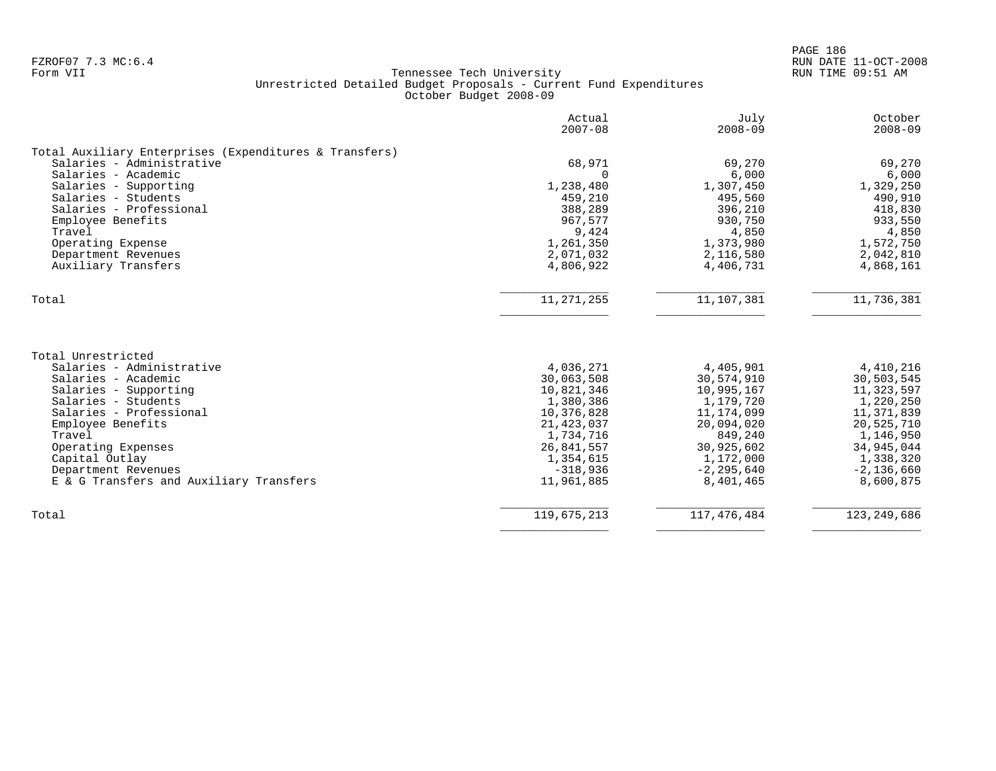|                                                                                                                                                   | Actual<br>$2007 - 08$                                            | July<br>$2008 - 09$                                              | October<br>$2008 - 09$                                           |
|---------------------------------------------------------------------------------------------------------------------------------------------------|------------------------------------------------------------------|------------------------------------------------------------------|------------------------------------------------------------------|
| Total Auxiliary Enterprises (Expenditures & Transfers)                                                                                            |                                                                  |                                                                  |                                                                  |
| Salaries - Administrative                                                                                                                         | 68,971                                                           | 69,270                                                           | 69,270                                                           |
| Salaries - Academic                                                                                                                               | $\Omega$                                                         | 6,000                                                            | 6,000                                                            |
| Salaries - Supporting                                                                                                                             | 1,238,480                                                        | 1,307,450                                                        | 1,329,250                                                        |
| Salaries - Students                                                                                                                               | 459,210                                                          | 495,560                                                          | 490,910                                                          |
| Salaries - Professional                                                                                                                           | 388,289                                                          | 396,210                                                          | 418,830                                                          |
| Employee Benefits                                                                                                                                 | 967,577                                                          | 930,750                                                          | 933,550                                                          |
| Travel                                                                                                                                            | 9,424                                                            | 4,850                                                            | 4,850                                                            |
| Operating Expense                                                                                                                                 | 1,261,350                                                        | 1,373,980                                                        | 1,572,750                                                        |
| Department Revenues                                                                                                                               | 2,071,032                                                        | 2,116,580                                                        | 2,042,810                                                        |
| Auxiliary Transfers                                                                                                                               | 4,806,922                                                        | 4,406,731                                                        | 4,868,161                                                        |
| Total                                                                                                                                             | 11, 271, 255                                                     | 11,107,381                                                       | 11,736,381                                                       |
| Total Unrestricted<br>Salaries - Administrative<br>Salaries - Academic<br>Salaries - Supporting<br>Salaries - Students<br>Salaries - Professional | 4,036,271<br>30,063,508<br>10,821,346<br>1,380,386<br>10,376,828 | 4,405,901<br>30,574,910<br>10,995,167<br>1,179,720<br>11,174,099 | 4,410,216<br>30,503,545<br>11,323,597<br>1,220,250<br>11,371,839 |
| Employee Benefits                                                                                                                                 | 21, 423, 037                                                     | 20,094,020                                                       | 20,525,710                                                       |
| Travel                                                                                                                                            | 1,734,716                                                        | 849,240                                                          | 1,146,950                                                        |
| Operating Expenses                                                                                                                                | 26,841,557                                                       | 30,925,602                                                       | 34,945,044                                                       |
| Capital Outlay                                                                                                                                    | 1,354,615                                                        | 1,172,000                                                        | 1,338,320                                                        |
| Department Revenues                                                                                                                               | $-318,936$                                                       | $-2, 295, 640$                                                   | $-2,136,660$                                                     |
| E & G Transfers and Auxiliary Transfers                                                                                                           | 11,961,885                                                       | 8,401,465                                                        | 8,600,875                                                        |
| Total                                                                                                                                             | 119,675,213                                                      | 117, 476, 484                                                    | 123, 249, 686                                                    |
|                                                                                                                                                   |                                                                  |                                                                  |                                                                  |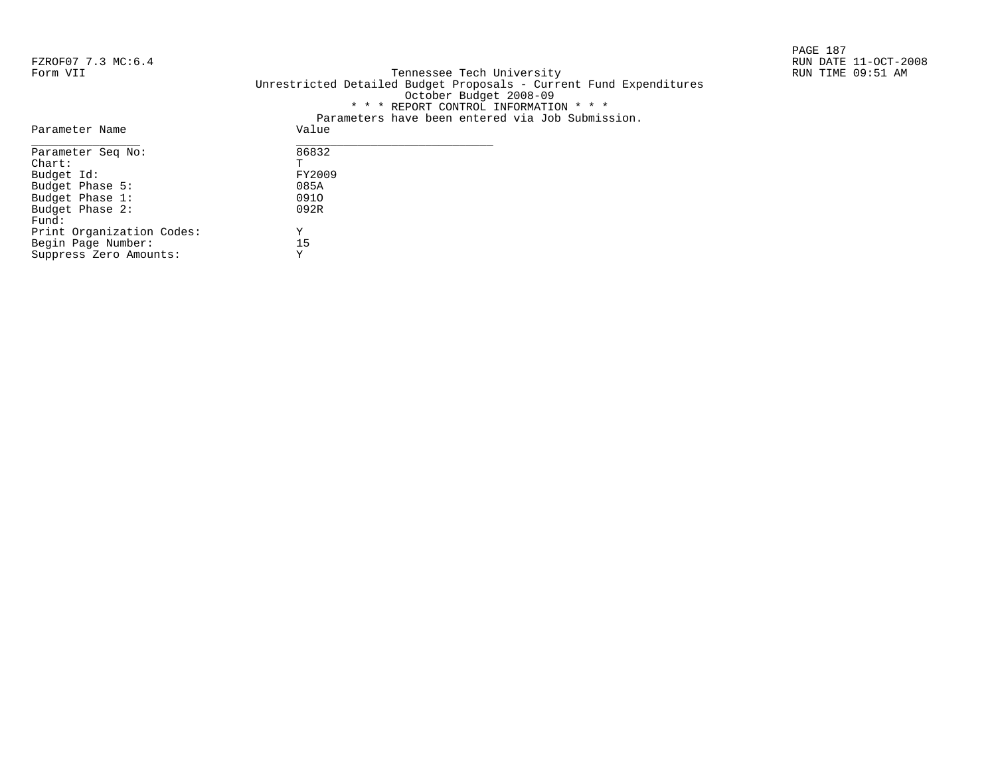Parameter Name

PAGE 187

# FZROF07 7.3 MC:6.4 RUN DATE 11-OCT-2008<br>Form VII RUN TIME 09:51 AM Form VII Tennessee Tech University RUN TIME 09:51 AM Unrestricted Detailed Budget Proposals - Current Fund Expenditures October Budget 2008-09 \* \* \* REPORT CONTROL INFORMATION \* \* \* Parameters have been entered via Job Submission.<br>Value

| Parameter Seq No:         | 86832  |  |
|---------------------------|--------|--|
| $chart$ :                 | Ͳ      |  |
| Budget Id:                | FY2009 |  |
| Budget Phase 5:           | 085A   |  |
| Budget Phase 1:           | 0910   |  |
| Budget Phase 2:           | 092R   |  |
| Fund:                     |        |  |
| Print Organization Codes: | Y      |  |
| Begin Page Number:        | 15     |  |
| Suppress Zero Amounts:    | Y      |  |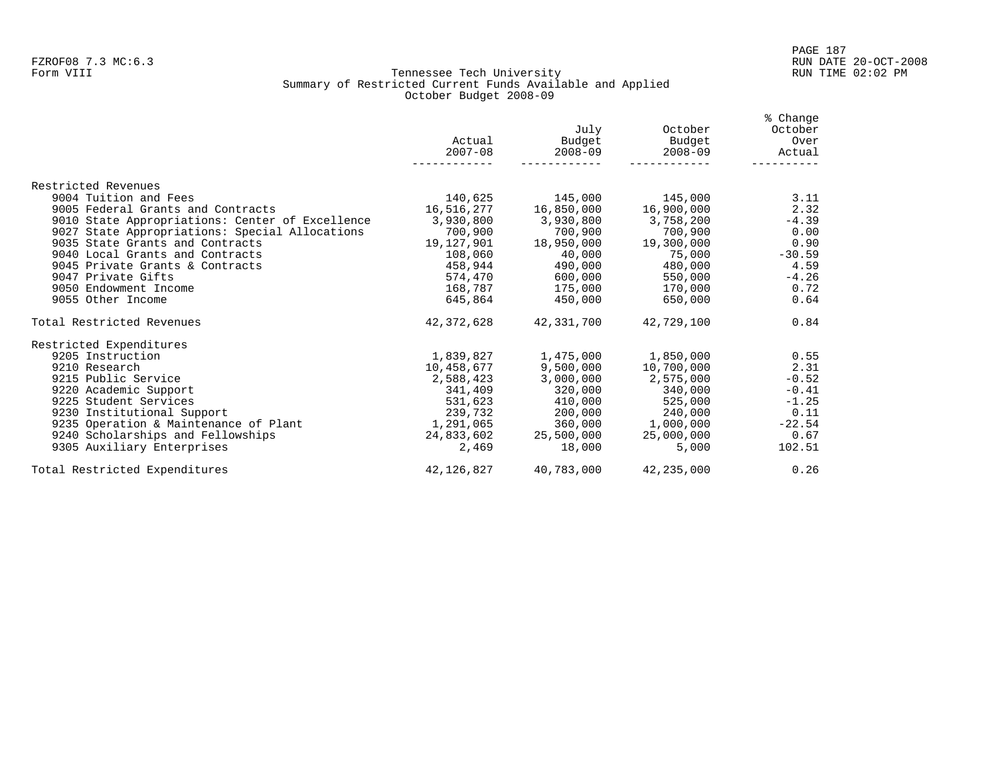#### Form VIII Tennessee Tech University RUN TIME 02:02 PM Summary of Restricted Current Funds Available and Applied October Budget 2008-09

|                                                 | Actual<br>$2007 - 08$               | July<br>Budget<br>$2008 - 09$ | October<br>Budget<br>$2008 - 09$ | % Change<br>October<br>Over<br>Actual |
|-------------------------------------------------|-------------------------------------|-------------------------------|----------------------------------|---------------------------------------|
| Restricted Revenues                             |                                     |                               |                                  |                                       |
| 9004 Tuition and Fees                           |                                     |                               | 140,625 145,000 145,000          | 3.11                                  |
| 9005 Federal Grants and Contracts               |                                     |                               |                                  | 2.32                                  |
| 9010 State Appropriations: Center of Excellence | $3,930,800$ $3,930,800$ $3,758,200$ |                               |                                  | $-4.39$                               |
| 9027 State Appropriations: Special Allocations  | 700,900                             | 700,900                       | 700,900                          | 0.00                                  |
| 9035 State Grants and Contracts                 |                                     |                               | 19,127,901 18,950,000 19,300,000 | 0.90                                  |
| 9040 Local Grants and Contracts                 | 108,060                             | 40,000                        | 75,000                           | $-30.59$                              |
| 9045 Private Grants & Contracts                 |                                     |                               | 458,944 490,000 480,000 458,944  | 4.59                                  |
| 9047 Private Gifts                              |                                     | 574,470 600,000               | 550,000                          | $-4.26$                               |
| 9050 Endowment Income                           |                                     | 168,787 175,000               | 170,000                          | 0.72                                  |
| 9055 Other Income                               |                                     | 645,864 450,000               | 650,000                          | 0.64                                  |
| Total Restricted Revenues                       |                                     | 42,372,628 42,331,700         | 42,729,100                       | 0.84                                  |
| Restricted Expenditures                         |                                     |                               |                                  |                                       |
| 9205 Instruction                                | 1,839,827                           |                               | 1,475,000 1,850,000              | 0.55                                  |
| 9210 Research                                   | 10,458,677                          | 9,500,000                     | 10,700,000                       | 2.31                                  |
| 9215 Public Service                             | 2,588,423                           | 3,000,000                     | 2,575,000                        | $-0.52$                               |
| 9220 Academic Support                           |                                     | 341,409 320,000               | 340,000                          | $-0.41$                               |
| 9225 Student Services                           |                                     |                               | 531,623 410,000 525,000          | $-1.25$                               |
| 9230 Institutional Support                      | 239,732                             |                               | 200.000 240.000                  | 0.11                                  |
| 9235 Operation & Maintenance of Plant           | 1,291,065                           |                               | 360,000 1,000,000                | $-22.54$                              |
| 9240 Scholarships and Fellowships               |                                     | 24,833,602 25,500,000         | 25,000,000                       | 0.67                                  |
| 9305 Auxiliary Enterprises                      | 2,469                               | 18,000                        | 5,000                            | 102.51                                |
| Total Restricted Expenditures                   |                                     | 42,126,827 40,783,000         | 42,235,000                       | 0.26                                  |